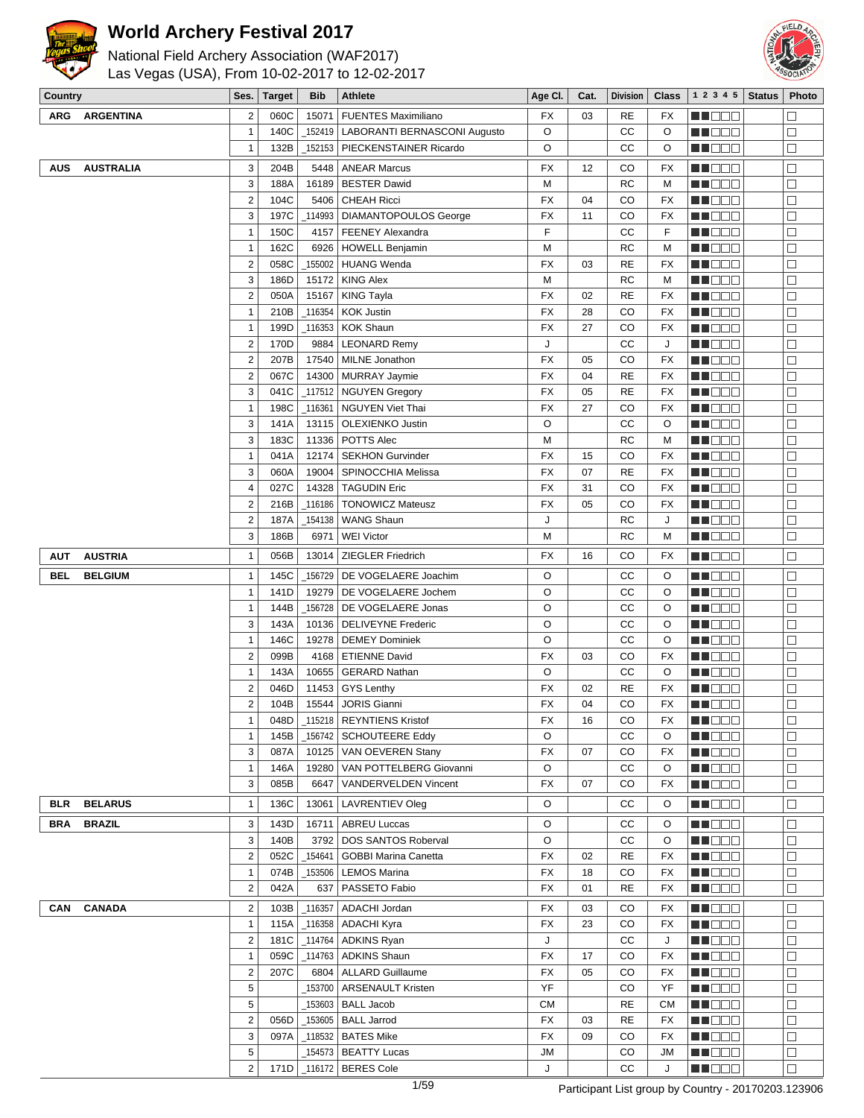

# National Field Archery Association (WAF2017)



Las Vegas (USA), From 10-02-2017 to 12-02-2017

| Country    |                  | Ses.                    | <b>Target</b> | <b>Bib</b> | Athlete                               | Age CI.                | Cat. | <b>Division</b> | <b>Class</b> | 1 2 3 4 5        | <b>Status</b> | Photo             |
|------------|------------------|-------------------------|---------------|------------|---------------------------------------|------------------------|------|-----------------|--------------|------------------|---------------|-------------------|
| ARG        | <b>ARGENTINA</b> | $\overline{2}$          | 060C          | 15071      | <b>FUENTES Maximiliano</b>            | FX                     | 03   | <b>RE</b>       | FX           | M DOO            |               | $\Box$            |
|            |                  | $\mathbf{1}$            | 140C          |            | 152419   LABORANTI BERNASCONI Augusto | O                      |      | СC              | O            | MU O O O         |               | $\Box$            |
|            |                  | $\mathbf{1}$            | 132B          |            | 152153   PIECKENSTAINER Ricardo       | O                      |      | СC              | O            | <b>REDDE</b>     |               | $\Box$            |
| AUS        | <b>AUSTRALIA</b> | 3                       | 204B          | 5448       | <b>ANEAR Marcus</b>                   | FX                     | 12   | CO              | FX           | MU O O O         |               | $\Box$            |
|            |                  | 3                       | 188A          |            | 16189   BESTER Dawid                  | M                      |      | <b>RC</b>       | M            | <b>NH</b> OOO    |               | $\Box$            |
|            |                  | $\overline{2}$          | 104C          | 5406       | <b>CHEAH Ricci</b>                    | <b>FX</b>              | 04   | CO              | <b>FX</b>    | MO DO O          |               | $\Box$            |
|            |                  | 3                       | 197C          |            | 114993   DIAMANTOPOULOS George        | FX                     | 11   | CO              | <b>FX</b>    | MA DE EL         |               | $\Box$            |
|            |                  | $\mathbf{1}$            | 150C          |            | 4157   FEENEY Alexandra               | F                      |      | CC              | F            | M DE B           |               | $\Box$            |
|            |                  | $\mathbf{1}$            | 162C          |            | 6926   HOWELL Benjamin                | M                      |      | <b>RC</b>       | M            | MU DO B          |               | $\Box$            |
|            |                  | $\overline{2}$          | 058C          |            | _155002   HUANG Wenda                 | <b>FX</b>              | 03   | <b>RE</b>       | FX           | MA OO B          |               | $\Box$            |
|            |                  | 3                       | 186D          |            | 15172   KING Alex                     | M                      |      | <b>RC</b>       | M            | <b>MNOOO</b>     |               | $\Box$            |
|            |                  | $\overline{2}$          | 050A          |            | 15167   KING Tayla                    | <b>FX</b>              | 02   | <b>RE</b>       | FX           | MUO OO           |               | $\Box$            |
|            |                  | $\mathbf{1}$            | 210B          |            | _116354   KOK Justin                  | <b>FX</b>              | 28   | CO              | FX           | MU DO O          |               | $\Box$            |
|            |                  | $\mathbf{1}$            | 199D          |            | _116353   KOK Shaun                   | <b>FX</b>              | 27   | CO              | FX           | <b>MN</b> OOO    |               | $\Box$            |
|            |                  | $\overline{2}$          | 170D          | 9884       | <b>LEONARD Remy</b>                   | J                      |      | cc              | J            | MU DO 2          |               | $\Box$            |
|            |                  | $\overline{2}$          | 207B          |            | 17540   MILNE Jonathon                | <b>FX</b>              | 05   | CO              | <b>FX</b>    | MA O O O         |               | $\Box$            |
|            |                  | $\overline{2}$          | 067C          |            | 14300 MURRAY Jaymie                   | <b>FX</b>              | 04   | <b>RE</b>       | <b>FX</b>    | MU DO B          |               | $\Box$            |
|            |                  | 3                       | 041C          |            | _117512   NGUYEN Gregory              | FX                     | 05   | <b>RE</b>       | FX           | MU DO B          |               | $\Box$            |
|            |                  | $\mathbf{1}$            | 198C          |            | _116361   NGUYEN Viet Thai            | <b>FX</b>              | 27   | CO              | FX           | MU DE B          |               | $\Box$            |
|            |                  | 3                       | 141A          |            | 13115   OLEXIENKO Justin              | O                      |      | СC              | O            | <b>HE</b> DOO    |               | $\Box$            |
|            |                  | 3                       | 183C          |            | 11336   POTTS Alec                    | М                      |      | <b>RC</b>       | M            | <u>LL DOO</u>    |               | $\Box$            |
|            |                  | $\mathbf{1}$            | 041A          |            | 12174   SEKHON Gurvinder              | <b>FX</b>              | 15   | CO              | FX           | MUOOO            |               | $\Box$            |
|            |                  | 3                       | 060A          |            | 19004   SPINOCCHIA Melissa            | <b>FX</b>              | 07   | <b>RE</b>       | <b>FX</b>    | <b>MNODO</b>     |               | $\Box$            |
|            |                  | 4                       | 027C          |            | 14328   TAGUDIN Eric                  | FX                     | 31   | CO              | <b>FX</b>    | M DOO            |               | $\Box$            |
|            |                  | $\overline{\mathbf{c}}$ | 216B          | _116186    | <b>TONOWICZ Mateusz</b>               | FX                     | 05   | CO              | <b>FX</b>    | MU O O O         |               | $\Box$            |
|            |                  | $\overline{2}$          | 187A          |            | _154138   WANG Shaun                  | J                      |      | RC              | J            | N DO D           |               | $\Box$            |
|            |                  | 3                       | 186B          | 6971       | <b>WEI Victor</b>                     | М                      |      | <b>RC</b>       | M            | MU DE B          |               | $\Box$            |
|            |                  |                         |               |            |                                       |                        |      |                 |              |                  |               |                   |
| <b>AUT</b> | <b>AUSTRIA</b>   | $\mathbf{1}$            | 056B          | 13014      | <b>ZIEGLER Friedrich</b>              | <b>FX</b>              | 16   | CO              | <b>FX</b>    | MN O O O         |               | $\Box$            |
| <b>BEL</b> | <b>BELGIUM</b>   | $\mathbf{1}$            | 145C          |            | _156729 DE VOGELAERE Joachim          | O                      |      | СC              | O            | N DO O           |               | $\Box$            |
|            |                  | $\mathbf{1}$            | 141D          |            | 19279   DE VOGELAERE Jochem           | $\circ$                |      | CC              | O            | MUOOO            |               | $\Box$            |
|            |                  | $\mathbf{1}$            | 144B          |            | 156728   DE VOGELAERE Jonas           | O                      |      | СC              | O            | MU DE B          |               | $\Box$            |
|            |                  | 3                       | 143A          |            | 10136   DELIVEYNE Frederic            | $\circ$                |      | СC              | O            | MU DO D          |               | $\Box$            |
|            |                  | $\mathbf{1}$            | 146C          | 19278      | <b>DEMEY Dominiek</b>                 | O                      |      | СC              | O            | MU OOO           |               | $\Box$            |
|            |                  | $\overline{2}$          | 099B          |            | 4168   ETIENNE David                  | <b>FX</b>              | 03   | CO              | FX           | MN 888           |               | $\Box$            |
|            |                  | $\mathbf{1}$            | 143A          |            | 10655   GERARD Nathan                 | O                      |      | cc              | O            | MA OO B          |               | $\Box$            |
|            |                  | $\overline{2}$          | 046D          |            | 11453 GYS Lenthy                      | FX                     | 02   | <b>RE</b>       | <b>FX</b>    | MA DE E          |               | $\Box$            |
|            |                  | $\overline{2}$          | 104B          | 15544      | <b>JORIS Gianni</b>                   | <b>FX</b>              | 04   | CO              | <b>FX</b>    | MU O O O         |               | $\Box$            |
|            |                  | 1                       |               |            | 048D 115218 REYNTIENS Kristof         | $\mathsf{F}\mathsf{X}$ | 16   | $_{\rm CO}$     | FX           | <b>HEDDD</b>     |               | $\overline{\Box}$ |
|            |                  | $\mathbf{1}$            | 145B          |            | $_1$ 156742   SCHOUTEERE Eddy         | O                      |      | СC              | O            | <u> Literatu</u> |               | $\Box$            |
|            |                  | 3                       | 087A          |            | 10125   VAN OEVEREN Stany             | FX                     | 07   | CO              | FX           | MU DE EL         |               | $\Box$            |
|            |                  | $\mathbf{1}$            | 146A          |            | 19280   VAN POTTELBERG Giovanni       | O                      |      | СC              | O            | MU O O O         |               | $\Box$            |
|            |                  | 3                       | 085B          | 6647       | VANDERVELDEN Vincent                  | FX                     | 07   | CO              | FX           | MU DO D          |               | $\Box$            |
| <b>BLR</b> | <b>BELARUS</b>   | $\mathbf{1}$            | 136C          |            | 13061   LAVRENTIEV Oleg               | O                      |      | CС              | O            | ME OO BI         |               | $\Box$            |
| BRA        | <b>BRAZIL</b>    | 3                       | 143D          |            | 16711   ABREU Luccas                  | O                      |      | CС              | O            | MUO DO           |               | $\Box$            |
|            |                  | 3                       | 140B          |            | 3792   DOS SANTOS Roberval            | O                      |      | СC              | O            | MUO OO           |               | $\Box$            |
|            |                  | $\overline{2}$          | 052C          | _154641丨   | <b>GOBBI Marina Canetta</b>           | FX                     | 02   | <b>RE</b>       | FX           | MUODO            |               | $\Box$            |
|            |                  | $\mathbf{1}$            | 074B          |            | _153506   LEMOS Marina                | FX                     | 18   | CO              | FX           | ME DE E          |               | $\Box$            |
|            |                  | $\overline{2}$          | 042A          |            | 637   PASSETO Fabio                   | FX                     | 01   | <b>RE</b>       | FX           | ME DE EL         |               | $\Box$            |
| CAN        | <b>CANADA</b>    | $\sqrt{2}$              | 103B          |            | _116357   ADACHI Jordan               | FX                     | 03   | CO              | FX           | N DE E           |               | $\Box$            |
|            |                  | $\mathbf{1}$            | 115A          |            | _116358   ADACHI Kyra                 | FX                     | 23   | CO              | FX           | MUOOO            |               | $\Box$            |
|            |                  | $\overline{\mathbf{c}}$ | 181C          |            | $_1$ 114764   ADKINS Ryan             | J                      |      | СC              | J            | ME DE E          |               | $\Box$            |
|            |                  | $\mathbf{1}$            | 059C          |            | $_1$ 114763   ADKINS Shaun            | FX                     | 17   | CO              | FX           | <b>RECO</b> E    |               | $\Box$            |
|            |                  | $\overline{\mathbf{c}}$ | 207C          |            | 6804   ALLARD Guillaume               | FX                     | 05   | CO              | FX           | MN O O O         |               | $\Box$            |
|            |                  | 5                       |               |            | 153700   ARSENAULT Kristen            | YF                     |      | CO              | YF           | <b>NNODO</b>     |               | $\Box$            |
|            |                  | 5                       |               |            | _153603   BALL Jacob                  | СM                     |      | <b>RE</b>       | <b>CM</b>    | MU O O O         |               | $\Box$            |
|            |                  | $\overline{2}$          | 056D          |            | $\_153605$   BALL Jarrod              | FX                     | 03   | RE              | FX           | ME OO O          |               | $\Box$            |
|            |                  | 3                       | 097A          |            | _118532   BATES Mike                  | FX                     | 09   | CO              | FX           | MU O O O         |               | $\Box$            |
|            |                  | 5                       |               |            | _154573   BEATTY Lucas                | <b>JM</b>              |      | CO              | JM           | MUO DO           |               | $\Box$            |
|            |                  | $\overline{2}$          |               |            | 171D   116172   BERES Cole            | J                      |      | CC              | J            | MA BEL           |               |                   |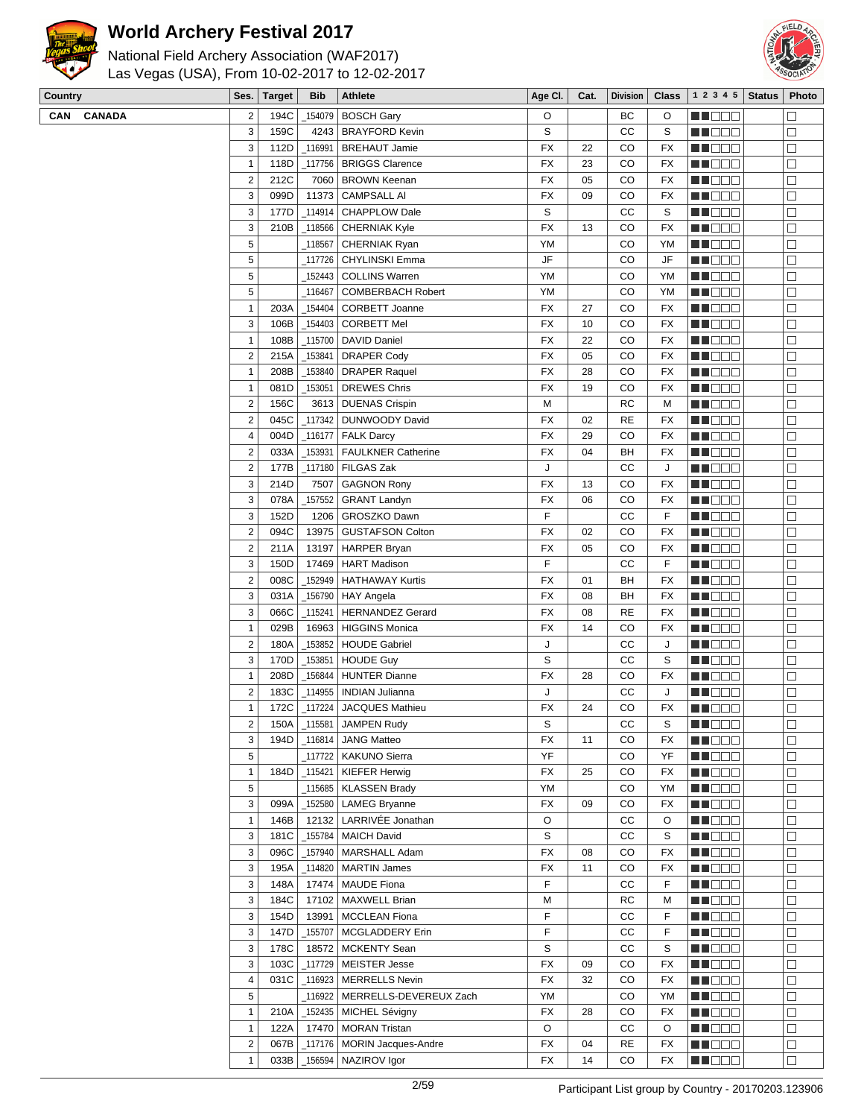



| Ses. Target Bib Athlete                        |  |  |  |  |  |  |  |  |  |  |  |  |  |
|------------------------------------------------|--|--|--|--|--|--|--|--|--|--|--|--|--|
| Las Vegas (USA), From 10-02-2017 to 12-02-2017 |  |  |  |  |  |  |  |  |  |  |  |  |  |
| National Field Archery Association (WAF2017)   |  |  |  |  |  |  |  |  |  |  |  |  |  |

| Country    | Ses.                    | <b>Target</b> | <b>Bib</b> | <b>Athlete</b>                   | Age CI.     | Cat. | <b>Division</b> | Class       | 1 2 3 4 5      | <b>Status</b> | Photo             |
|------------|-------------------------|---------------|------------|----------------------------------|-------------|------|-----------------|-------------|----------------|---------------|-------------------|
| CAN CANADA | $\overline{2}$          | 194C          | 154079     | BOSCH Gary                       | O           |      | ВC              | O           | <u>LI BEE</u>  |               | $\Box$            |
|            | 3                       | 159C          |            | 4243   BRAYFORD Kevin            | S           |      | СC              | S           | MU DO 8        |               | $\Box$            |
|            | 3                       | 112D          | _116991    | <b>BREHAUT Jamie</b>             | <b>FX</b>   | 22   | CO              | FX          | MU DO S        |               | $\Box$            |
|            | $\mathbf{1}$            | 118D          |            | _117756   BRIGGS Clarence        | <b>FX</b>   | 23   | CO              | FX          | MN DE E        |               | $\Box$            |
|            | $\overline{2}$          | 212C          | 7060       | <b>BROWN Keenan</b>              | FX          | 05   | CO              | FX          | <b>REBEE</b>   |               | $\Box$            |
|            | 3                       | 099D          | 11373      | <b>CAMPSALL AI</b>               | <b>FX</b>   | 09   | CO              | FX          | MU DO 8        |               | $\Box$            |
|            | 3                       | 177D          | 114914     | <b>CHAPPLOW Dale</b>             | S           |      | СC              | S           | MU DO B        |               | $\Box$            |
|            | 3                       | 210B          |            | _118566   CHERNIAK Kyle          | <b>FX</b>   | 13   | CO              | FX          | MN DO S        |               | $\Box$            |
|            | 5                       |               | _118567    | <b>CHERNIAK Ryan</b>             | YM          |      | CO              | ΥM          | <b>REDDO</b>   |               | $\Box$            |
|            | $\sqrt{5}$              |               | _117726    | <b>CHYLINSKI Emma</b>            | JF          |      | CO              | JF          |                |               | $\Box$            |
|            | 5                       |               |            |                                  | YM          |      | CO              |             | MU DOO         |               |                   |
|            | 5                       |               | _152443    | <b>COLLINS Warren</b>            |             |      |                 | YM          | NH DE B        |               | $\Box$            |
|            |                         |               | 116467     | <b>COMBERBACH Robert</b>         | YM          |      | CO              | YM          | MN 886         |               | $\Box$            |
|            | $\mathbf{1}$            | 203A          | 154404     | <b>CORBETT Joanne</b>            | FX          | 27   | CO              | FX          | <b>REBEE</b>   |               | $\Box$            |
|            | 3                       | 106B          | 154403     | <b>CORBETT Mel</b>               | FX          | 10   | CO              | FX          | MN DO B        |               | $\Box$            |
|            | $\mathbf{1}$            | 108B          | _115700    | DAVID Daniel                     | <b>FX</b>   | 22   | CO              | FX          | MU DO S        |               | $\Box$            |
|            | $\overline{2}$          | 215A          | _153841    | <b>DRAPER Cody</b>               | FX          | 05   | CO              | FX          | <b>RECOR</b>   |               | $\Box$            |
|            | $\mathbf{1}$            | 208B          |            | 153840   DRAPER Raquel           | FX          | 28   | CO              | FX          | NH BEE         |               | $\Box$            |
|            | $\mathbf{1}$            | 081D          | 153051     | <b>DREWES Chris</b>              | FX          | 19   | CO              | FX          | MU DO O        |               | $\Box$            |
|            | $\overline{2}$          | 156C          |            | 3613   DUENAS Crispin            | М           |      | <b>RC</b>       | М           | MU DO 8        |               | $\Box$            |
|            | $\overline{2}$          | 045C          |            | _117342   DUNWOODY David         | FX          | 02   | <b>RE</b>       | FX          | <b>RECOR</b>   |               | $\Box$            |
|            | $\overline{\mathbf{4}}$ | 004D          | 116177     | FALK Darcy                       | <b>FX</b>   | 29   | CO              | <b>FX</b>   | <b>REBED</b>   |               | $\Box$            |
|            | $\sqrt{2}$              | 033A          | 153931     | <b>FAULKNER Catherine</b>        | <b>FX</b>   | 04   | BH              | FX          | MU DOO         |               | $\Box$            |
|            | $\sqrt{2}$              | 177B          | 117180     | <b>FILGAS Zak</b>                | J           |      | СC              | J           | MU DO B        |               | $\Box$            |
|            | 3                       | 214D          | 7507       | <b>GAGNON Rony</b>               | <b>FX</b>   | 13   | CO              | FX          | MU DO S        |               | $\Box$            |
|            | 3                       | 078A          | 157552     | <b>GRANT Landyn</b>              | FX          | 06   | CO              | FX          | <b>RECOR</b>   |               | $\Box$            |
|            | 3                       | 152D          |            | 1206   GROSZKO Dawn              | F           |      | СC              | F           | MU DE S        |               | $\Box$            |
|            | $\sqrt{2}$              | 094C          | 13975      | GUSTAFSON Colton                 | FX          | 02   | CO              | FX          | MU DO 8        |               | $\Box$            |
|            | $\overline{2}$          | 211A          | 13197      | HARPER Bryan                     | FX          | 05   | CO              | FX          | MN OO O        |               | $\Box$            |
|            | 3                       | 150D          | 17469      | HART Madison                     | F           |      | СC              | F           | <b>RECOR</b>   |               | $\Box$            |
|            | $\overline{2}$          | 008C          | 152949     | HATHAWAY Kurtis                  | <b>FX</b>   | 01   | BH              | <b>FX</b>   |                |               | $\Box$            |
|            |                         |               |            |                                  |             |      |                 |             | MU DE E        |               |                   |
|            | 3                       | 031A          |            | _156790   HAY Angela             | <b>FX</b>   | 08   | BH              | FX          | MU DOO         |               | $\Box$            |
|            | 3                       | 066C          | 115241     | <b>HERNANDEZ Gerard</b>          | FX          | 08   | <b>RE</b>       | FX          | MU DO B        |               | $\Box$            |
|            | $\mathbf{1}$            | 029B          | 16963      | <b>HIGGINS Monica</b>            | <b>FX</b>   | 14   | CO              | FX          | <u> El Esc</u> |               | $\Box$            |
|            | $\overline{2}$          | 180A          | 153852     | <b>HOUDE Gabriel</b>             | J           |      | СC              | J           | MN 888         |               | $\Box$            |
|            | 3                       | 170D          | _153851    | <b>HOUDE Guy</b>                 | S           |      | СC              | S           | M DOO          |               | $\Box$            |
|            | $\mathbf{1}$            | 208D          | 156844     | <b>HUNTER Dianne</b>             | FX          | 28   | CO              | FX          | MU DO 8        |               | $\Box$            |
|            | $\overline{2}$          | 183C          | _114955    | INDIAN Julianna                  | J           |      | CС              | J           | MU DO S        |               | $\Box$            |
|            | $\mathbf{1}$            | 172C          |            | 117224 JACQUES Mathieu           | <b>FX</b>   | 24   | CO              | <b>FX</b>   | MO DO O        |               | $\Box$            |
|            | $\overline{\mathbf{c}}$ |               |            | 150A   115581   JAMPEN Rudy      | $\mathbb S$ |      | $_{\rm CC}$     | $\mathbb S$ | <b>AN DEC</b>  |               | $\overline{\Box}$ |
|            | 3                       | 194D          | _116814    | <b>JANG Matteo</b>               | <b>FX</b>   | 11   | CO              | FX          | <b>MNODO</b>   |               | $\Box$            |
|            | 5                       |               | 117722     | <b>KAKUNO Sierra</b>             | YF          |      | CO              | YF          | M DOO          |               | $\Box$            |
|            | $\mathbf{1}$            | 184D          | _115421    | KIEFER Herwig                    | <b>FX</b>   | 25   | CO              | FX          | NH BEE         |               | $\Box$            |
|            | 5                       |               |            | _115685   KLASSEN Brady          | YM          |      | CO              | YM          | <b>MEDDE</b>   |               | $\Box$            |
|            | 3                       | 099A          |            | _152580   LAMEG Bryanne          | FX          | 09   | CO              | FX          | MU OO O        |               | $\Box$            |
|            | $\mathbf{1}$            | 146B          | 12132      | LARRIVÉE Jonathan                | O           |      | СC              | O           | <u>ma mat</u>  |               | $\Box$            |
|            | 3                       | 181C          | 155784     | MAICH David                      | $\mathbb S$ |      | CC              | S           | <b>MN</b> OOO  |               | $\Box$            |
|            | 3                       | 096C          |            | _157940   MARSHALL Adam          | ${\sf FX}$  | 08   | CO              | FX          | <b>REBEE</b>   |               | $\Box$            |
|            | 3                       | 195A          |            | 114820   MARTIN James            | <b>FX</b>   | 11   | CO              | FX          | <b>REDDE</b>   |               | $\Box$            |
|            | 3                       | 148A          |            | 17474   MAUDE Fiona              | F           |      | cc              | F           | MU DO B        |               | $\Box$            |
|            | 3                       | 184C          | 17102      | MAXWELL Brian                    | M           |      | RC              | M           | <b>MN</b> OOO  |               | $\Box$            |
|            |                         |               |            |                                  | F           |      |                 | F           |                |               | $\Box$            |
|            | 3                       | 154D          | 13991      | <b>MCCLEAN Fiona</b>             |             |      | СC              |             | <b>REBEE</b>   |               |                   |
|            | 3                       | 147D          | 155707     | MCGLADDERY Erin                  | F           |      | СC              | F           | n de de        |               | $\Box$            |
|            | 3                       | 178C          | 18572      | MCKENTY Sean                     | $\mathbb S$ |      | CC              | S           | MU DO B        |               | $\Box$            |
|            | 3                       | 103C          |            | _117729   MEISTER Jesse          | <b>FX</b>   | 09   | CO              | FX          | <u>ma maa</u>  |               | $\Box$            |
|            | $\overline{\mathbf{4}}$ | 031C          | 116923     | MERRELLS Nevin                   | <b>FX</b>   | 32   | CO              | FX          | <b>REDEE</b>   |               | $\Box$            |
|            | $\sqrt{5}$              |               |            | _116922   MERRELLS-DEVEREUX Zach | YM          |      | CO              | YM          | MU DO O        |               | $\Box$            |
|            | $\mathbf{1}$            | 210A          |            | _152435   MICHEL Sévigny         | FX          | 28   | CO              | FX          | <b>MNODO</b>   |               | $\Box$            |
|            | $\mathbf{1}$            | 122A          |            | 17470 MORAN Tristan              | O           |      | cc              | O           | <b>MEDDD</b>   |               | $\Box$            |
|            | $\overline{2}$          | 067B          | 117176     | MORIN Jacques-Andre              | FX          | 04   | <b>RE</b>       | FX          | <b>MN</b> OOO  |               | $\Box$            |
|            | $\mathbf{1}$            | 033B          |            | _156594 NAZIROV Igor             | FX          | 14   | CO              | FX          | <b>REDDD</b>   |               | $\Box$            |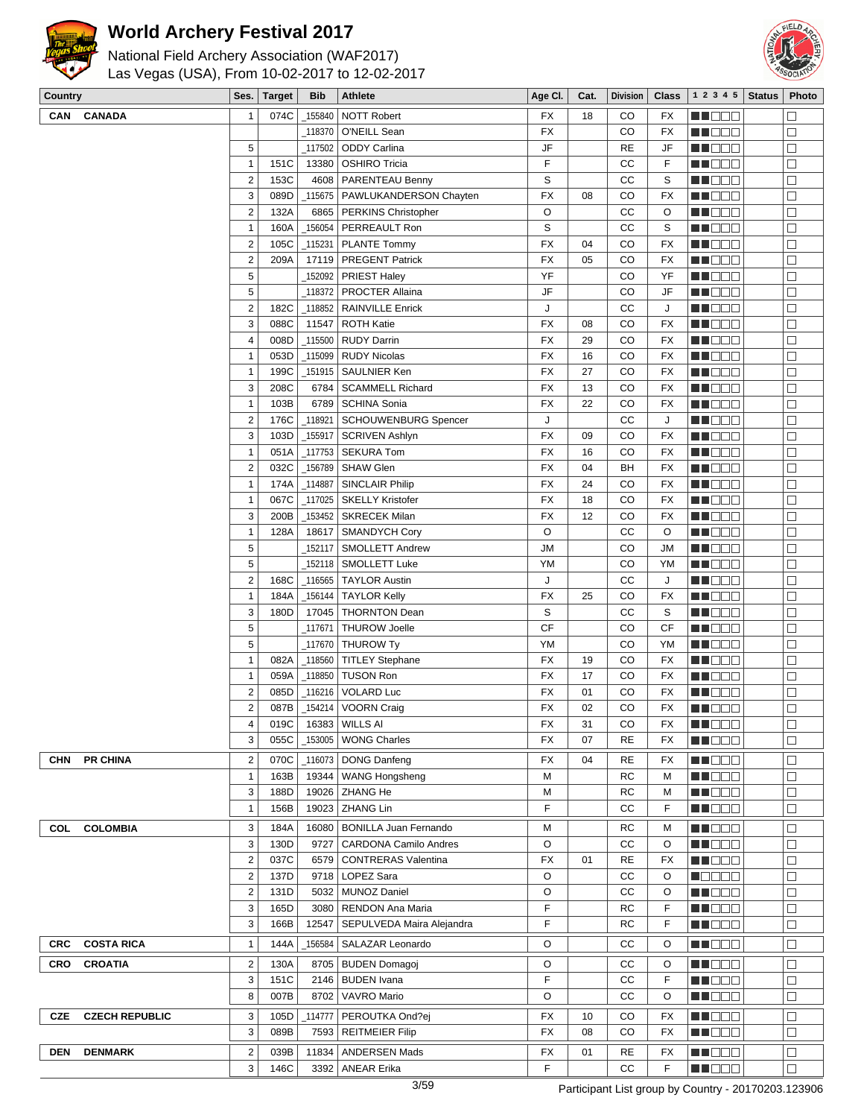



| Country                             | Ses.                    | <b>Target</b> | <b>Bib</b> | <b>Athlete</b>                  | Age CI.                | Cat. | <b>Division</b> | <b>Class</b>             | 1 2 3 4 5     | <b>Status</b> | Photo             |
|-------------------------------------|-------------------------|---------------|------------|---------------------------------|------------------------|------|-----------------|--------------------------|---------------|---------------|-------------------|
| <b>CAN</b><br><b>CANADA</b>         | $\mathbf{1}$            | 074C          | _155840    | <b>NOTT Robert</b>              | FX                     | 18   | CO              | FX                       | N NO DEI      |               | $\Box$            |
|                                     |                         |               | _118370    | O'NEILL Sean                    | <b>FX</b>              |      | CO              | <b>FX</b>                | MUOOO         |               | □                 |
|                                     | 5                       |               | 117502     | <b>ODDY Carlina</b>             | JF                     |      | <b>RE</b>       | JF                       | MN O O O      |               | □                 |
|                                     | $\mathbf{1}$            | 151C          | 13380      | <b>OSHIRO Tricia</b>            | F                      |      | cc              | F                        | MA DO O       |               | $\Box$            |
|                                     | $\overline{c}$          | 153C          | 4608       | <b>PARENTEAU Benny</b>          | S                      |      | cc              | S                        | MU O O O      |               | $\Box$            |
|                                     | 3                       | 089D          |            | 115675   PAWLUKANDERSON Chayten | <b>FX</b>              | 08   | CO              | FX                       | MU DO B       |               | $\Box$            |
|                                     | $\overline{2}$          | 132A          | 6865       | PERKINS Christopher             | O                      |      | cc              | O                        | MU DOO        |               | $\Box$            |
|                                     | $\mathbf{1}$            | 160A          |            | _156054 PERREAULT Ron           | S                      |      | cc              | S                        | MN O O O      |               | $\Box$            |
|                                     | $\overline{\mathbf{c}}$ | 105C          | 115231     | PLANTE Tommy                    | FX                     | 04   | CO              | <b>FX</b>                | MUOOO         |               | $\Box$            |
|                                     | $\overline{2}$          | 209A          |            | 17119   PREGENT Patrick         | <b>FX</b>              | 05   | CO              | <b>FX</b>                | MU O O O      |               | $\Box$            |
|                                     | 5                       |               | 152092     | <b>PRIEST Haley</b>             | YF                     |      | CO              | YF                       | <b>HE</b> OOO |               | $\Box$            |
|                                     | 5                       |               |            | _118372   PROCTER Allaina       | JF                     |      | CO              | <b>JF</b>                | MO DO         |               | $\Box$            |
|                                     | $\overline{2}$          | 182C          |            | _118852   RAINVILLE Enrick      | J                      |      | cc              | J                        | ME DE S       |               | $\Box$            |
|                                     | 3                       | 088C          | 11547      | <b>ROTH Katie</b>               | FX                     | 08   | CO              | FX                       | <b>HE</b> OOO |               | $\Box$            |
|                                     | $\overline{\mathbf{4}}$ | 008D          | $-115500$  | <b>RUDY Darrin</b>              | FX                     | 29   | CO              | FX                       | M NO BIB      |               | $\Box$            |
|                                     | $\mathbf{1}$            | 053D          |            | $-115099$ RUDY Nicolas          | <b>FX</b>              | 16   | CO              | FX                       | <b>REDDE</b>  |               | $\Box$            |
|                                     | $\mathbf{1}$            | 199C          |            | _151915   SAULNIER Ken          | FX                     | 27   | CO              | <b>FX</b>                | MU DO O       |               | $\Box$            |
|                                     | 3                       | 208C          | 6784       | <b>SCAMMELL Richard</b>         | FX                     | 13   | CO              | <b>FX</b>                | MUO DO        |               | $\Box$            |
|                                     | $\mathbf{1}$            | 103B          | 6789       | <b>SCHINA Sonia</b>             | FX                     | 22   | CO              | <b>FX</b>                | MU O O O      |               | $\Box$            |
|                                     | $\overline{\mathbf{c}}$ | 176C          | 118921     | <b>SCHOUWENBURG Spencer</b>     | J                      |      | cc              | J                        | <b>HE</b> OOO |               | $\Box$            |
|                                     | 3                       | 103D          | _155917    | SCRIVEN Ashlyn                  | <b>FX</b>              | 09   | CO              | <b>FX</b>                | MA DE E       |               | $\Box$            |
|                                     | $\mathbf{1}$            | 051A          |            | $_1$ 117753 SEKURA Tom          | <b>FX</b>              | 16   | CO              | FX                       | MA DE C       |               | $\Box$            |
|                                     | $\overline{2}$          | 032C          | _156789    | SHAW Glen                       | FX                     | 04   | BH              | FX                       | <b>REDDE</b>  |               | $\Box$            |
|                                     | $\mathbf{1}$            | 174A          | $\_114887$ | <b>SINCLAIR Philip</b>          | <b>FX</b>              | 24   | CO              | FX                       | M DO U        |               | $\Box$            |
|                                     | $\mathbf{1}$            | 067C          |            | _117025   SKELLY Kristofer      | FX                     | 18   | CO              | FX                       | <b>REDDE</b>  |               | $\Box$            |
|                                     | 3                       | 200B          | $-153452$  | <b>SKRECEK Milan</b>            | FX                     | 12   | CO              | <b>FX</b>                | <b>MA</b> OOO |               | $\Box$            |
|                                     | $\mathbf{1}$            | 128A          | 18617      | <b>SMANDYCH Cory</b>            | O                      |      | СC              | O                        | MU O O O      |               | $\Box$            |
|                                     | 5                       |               | _152117    | <b>SMOLLETT Andrew</b>          | JМ                     |      | CO              | <b>JM</b>                | MN DO B       |               | □                 |
|                                     | 5                       |               | _152118    | <b>SMOLLETT Luke</b>            | YM                     |      | CO              | YM                       | <b>HE</b> OOO |               | $\Box$            |
|                                     | $\overline{2}$          | 168C          | $-116565$  | <b>TAYLOR Austin</b>            | J                      |      | cc              | J                        | <b>MA</b> OOO |               | $\Box$            |
|                                     | $\mathbf{1}$            | 184A          | _156144    | <b>TAYLOR Kelly</b>             | <b>FX</b>              | 25   | CO              | FX                       | M DO B        |               | $\Box$            |
|                                     | 3                       | 180D          | 17045      | <b>THORNTON Dean</b>            | S                      |      | cc              | S                        | MU DOO        |               | □                 |
|                                     | 5                       |               | 117671     | <b>THUROW Joelle</b>            | CF                     |      | CO              | <b>CF</b>                | MA DO U       |               | $\Box$            |
|                                     | 5                       |               | 117670     | <b>THUROW Ty</b>                | YM                     |      | CO              | YM                       | <b>REDDD</b>  |               | П                 |
|                                     | $\mathbf{1}$            | 082A          |            | _118560 TITLEY Stephane         | FX                     | 19   | CO              | <b>FX</b>                | MU O O O      |               | $\Box$            |
|                                     | 1                       | 059A          | _118850    | <b>TUSON Ron</b>                | FX                     | 17   | CO              | <b>FX</b>                | MU O O O      |               | $\Box$            |
|                                     | $\overline{2}$          | 085D          | _116216    | <b>VOLARD Luc</b>               | FX                     | 01   | CO              | FX                       | MN O O O      |               | $\Box$            |
|                                     | $\overline{c}$          | 087B          |            | 154214   VOORN Craig            | <b>FX</b>              | 02   | CO              | <b>FX</b>                | MA DE E       |               | $\Box$            |
|                                     | 4                       | 019C          |            | 16383 WILLS AI                  | $\mathsf{F}\mathsf{X}$ | 31   | $_{\rm CO}$     | $\overline{\mathsf{FX}}$ | <b>HEDDE</b>  |               | $\overline{\Box}$ |
|                                     | 3                       | 055C          |            | _153005   WONG Charles          | FX                     | 07   | <b>RE</b>       | FX                       | <b>REDDE</b>  |               | $\Box$            |
| <b>PR CHINA</b><br>CHN              | $\overline{c}$          | 070C          | 116073     | DONG Danfeng                    | FX                     | 04   | <b>RE</b>       | FX                       | N DE E        |               | $\Box$            |
|                                     | $\mathbf{1}$            | 163B          | 19344      | <b>WANG Hongsheng</b>           | М                      |      | RC              | M                        | WO OO U       |               | □                 |
|                                     | 3                       | 188D          |            | 19026   ZHANG He                | М                      |      | RC              | M                        | MA O O O      |               | $\Box$            |
|                                     | 1                       | 156B          |            | 19023 ZHANG Lin                 | F                      |      | CС              | F                        | <b>REDDE</b>  |               | $\Box$            |
| <b>COLOMBIA</b><br>COL              | 3                       | 184A          | 16080      | BONILLA Juan Fernando           | M                      |      | RC              | M                        | N DO D        |               | $\Box$            |
|                                     | 3                       | 130D          | 9727       | <b>CARDONA Camilo Andres</b>    | O                      |      | СC              | O                        | <b>MA</b> OOO |               | $\Box$            |
|                                     | $\overline{\mathbf{c}}$ | 037C          | 6579       | <b>CONTRERAS Valentina</b>      | FX                     | 01   | <b>RE</b>       | FX                       | <u>Li Sec</u> |               | $\Box$            |
|                                     | $\mathbf 2$             | 137D          |            | 9718   LOPEZ Sara               | O                      |      | CC              | O                        | MOOO O        |               | $\Box$            |
|                                     | $\overline{\mathbf{c}}$ | 131D          | 5032       | <b>MUNOZ Daniel</b>             | O                      |      | СC              | O                        | NN O O O      |               | $\Box$            |
|                                     | 3                       | 165D          | 3080       | RENDON Ana Maria                | F                      |      | RC              | F                        | <b>MARGE</b>  |               | $\Box$            |
|                                     | 3                       | 166B          | 12547      | SEPULVEDA Maira Alejandra       | F                      |      | RC              | F                        | <b>MA</b> OOO |               | $\Box$            |
| <b>COSTA RICA</b><br><b>CRC</b>     | $\mathbf{1}$            | 144A          | 156584     | SALAZAR Leonardo                | O                      |      | СC              | O                        | <b>HELED</b>  |               | $\Box$            |
|                                     |                         |               |            |                                 |                        |      |                 |                          |               |               |                   |
| <b>CRO</b><br><b>CROATIA</b>        | $\overline{\mathbf{c}}$ | 130A          |            | 8705   BUDEN Domagoj            | O                      |      | CС              | O                        | N DO D        |               | $\Box$            |
|                                     | 3                       | 151C          | 2146       | <b>BUDEN</b> Ivana              | F                      |      | СC              | F                        | <b>HELLER</b> |               | $\Box$            |
|                                     | 8                       | 007B          | 8702       | VAVRO Mario                     | O                      |      | СC              | O                        | <u>Li Sec</u> |               | $\Box$            |
| <b>CZECH REPUBLIC</b><br><b>CZE</b> | 3                       | 105D          | 114777     | PEROUTKA Ond?ej                 | FX                     | 10   | CO              | FX                       | <b>HE</b> OOO |               | $\Box$            |
|                                     | 3                       | 089B          | 7593       | <b>REITMEIER Filip</b>          | FX                     | 08   | CO              | FX                       | MU DO D       |               | $\Box$            |
| <b>DEN</b><br><b>DENMARK</b>        | $\overline{c}$          | 039B          | 11834      | <b>ANDERSEN Mads</b>            | FX                     | 01   | RE              | FX                       | MU DO O       |               | $\Box$            |
|                                     | 3                       | 146C          | 3392       | <b>ANEAR Erika</b>              | F                      |      | CC              | F                        | <b>REDD</b> E |               | $\Box$            |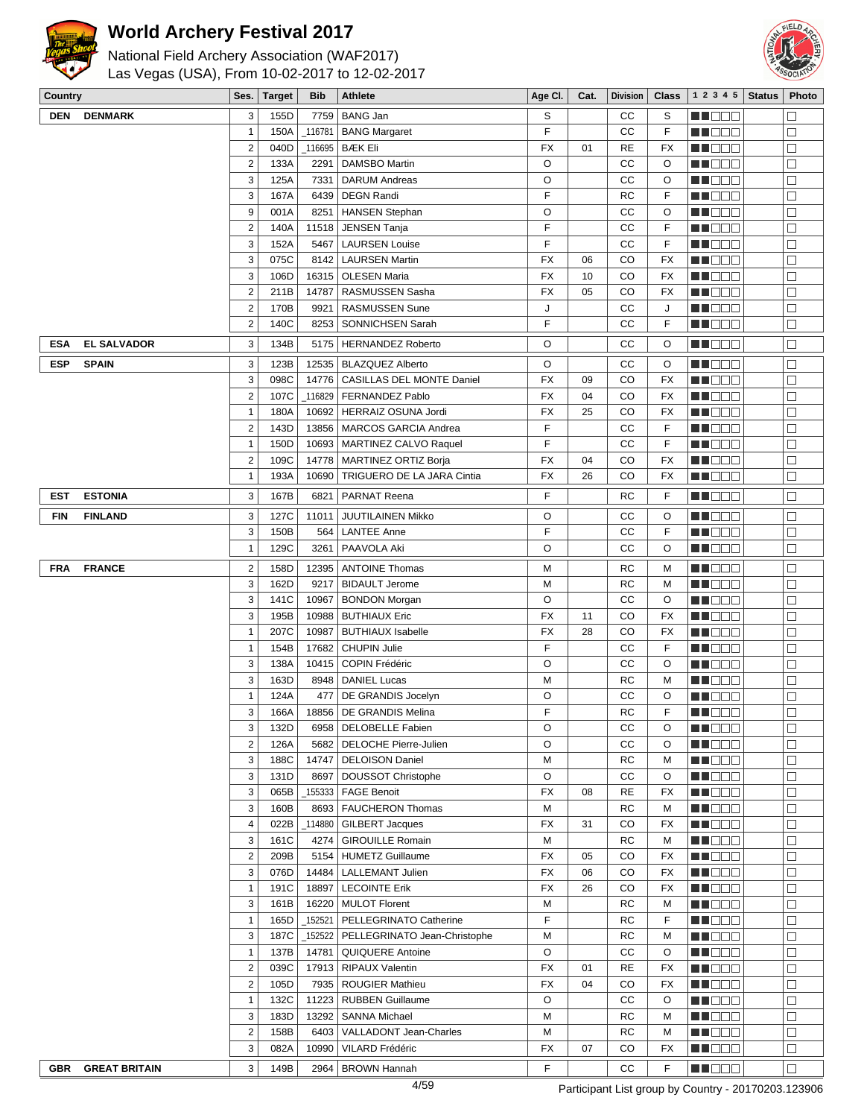



| $\checkmark$ | Las vegas (USA), From 10-02-2017 to 12-02-2017 |                         |               |            |                                                      |           |      |                 |              |                   |               | <b>POCIAL</b>    |
|--------------|------------------------------------------------|-------------------------|---------------|------------|------------------------------------------------------|-----------|------|-----------------|--------------|-------------------|---------------|------------------|
| Country      |                                                | Ses.                    | <b>Target</b> | <b>Bib</b> | <b>Athlete</b>                                       | Age CI.   | Cat. | <b>Division</b> | <b>Class</b> | 1 2 3 4 5         | <b>Status</b> | Photo            |
| <b>DEN</b>   | <b>DENMARK</b>                                 | 3                       | 155D          |            | 7759   BANG Jan                                      | S         |      | СC              | S            | MI DE S           |               | $\Box$           |
|              |                                                | $\mathbf{1}$            | 150A          |            | <b>BANG Margaret</b>                                 | F         |      | СC              | F            | MU O O O          |               | $\Box$           |
|              |                                                | $\overline{2}$          | 040D          |            | _116695   BÆK Eli                                    | FX        | 01   | RE              | FX           | MN 888            |               | $\Box$           |
|              |                                                | $\overline{c}$          | 133A          | 2291       | <b>DAMSBO Martin</b>                                 | O         |      | CC              | O            | M DE B            |               | $\Box$           |
|              |                                                | 3                       | 125A          | 7331       | <b>DARUM Andreas</b>                                 | O         |      | cc              | O            | H EES             |               | $\Box$           |
|              |                                                | 3                       | 167A          | 6439       | <b>DEGN Randi</b>                                    | F         |      | <b>RC</b>       | F            | ME 88             |               | □                |
|              |                                                | 9                       | 001A          | 8251       | <b>HANSEN Stephan</b>                                | O         |      | cc              | O            | MU DO O           |               | $\Box$           |
|              |                                                | $\overline{2}$          | 140A          | 11518      | JENSEN Tanja                                         | F         |      | СC              | F            | MA DE E           |               | $\Box$           |
|              |                                                | 3                       | 152A          | 5467       | <b>LAURSEN Louise</b>                                | F         |      | СC              | F            | M BEE             |               | $\Box$           |
|              |                                                | 3                       | 075C          |            | 8142   LAURSEN Martin                                | FX        | 06   | CO              | FX           | MU O O O          |               | $\Box$           |
|              |                                                | 3                       | 106D          |            | 16315   OLESEN Maria                                 | FX        | 10   | CO              | <b>FX</b>    | M NO S            |               | $\Box$           |
|              |                                                | $\mathbf 2$             | 211B          | 14787      | RASMUSSEN Sasha                                      | FX        | 05   | CO              | <b>FX</b>    | M NO S            |               | $\Box$           |
|              |                                                | $\overline{\mathbf{c}}$ | 170B          | 9921       | <b>RASMUSSEN Sune</b>                                | J         |      | СC              | J            | M DE B            |               | $\Box$           |
|              |                                                | $\mathbf 2$             | 140C          | 8253       | SONNICHSEN Sarah                                     | F         |      | СC              | F            | MU DE S           |               | $\Box$           |
| ESA          | <b>EL SALVADOR</b>                             | 3                       | 134B          | 5175       | HERNANDEZ Roberto                                    | O         |      | СC              | O            | MOO D             |               | $\Box$           |
| <b>ESP</b>   | <b>SPAIN</b>                                   | 3                       | 123B          |            | 12535   BLAZQUEZ Alberto                             | O         |      | СC              | O            | MO DO             |               | $\Box$           |
|              |                                                | 3                       | 098C          | 14776      | CASILLAS DEL MONTE Daniel                            | FX        | 09   | CO              | <b>FX</b>    | ME DE S           |               | $\Box$           |
|              |                                                | $\overline{2}$          | 107C          |            | _116829   FERNANDEZ Pablo                            | <b>FX</b> | 04   | CO              | <b>FX</b>    | MU DO S           |               | □                |
|              |                                                | $\mathbf{1}$            | 180A          | 10692      | HERRAIZ OSUNA Jordi                                  | FX        | 25   | CO              | <b>FX</b>    | MUO OO            |               | $\Box$           |
|              |                                                | $\overline{c}$          | 143D          |            | 13856   MARCOS GARCIA Andrea                         | F         |      | CC              | F            | MU DE S           |               | $\Box$           |
|              |                                                | 1                       | 150D          |            | 10693   MARTINEZ CALVO Raquel                        | F         |      | СC              | F            | M DE B            |               | $\Box$           |
|              |                                                | $\overline{\mathbf{c}}$ | 109C          | 14778      | <b>MARTINEZ ORTIZ Borja</b>                          | FX        | 04   | CO              | FX           | M DO V            |               | $\Box$           |
|              |                                                | $\mathbf{1}$            | 193A          | 10690      | TRIGUERO DE LA JARA Cintia                           | FX        | 26   | CO              | FX           | MU OOO            |               | $\Box$           |
| EST          | <b>ESTONIA</b>                                 | 3                       | 167B          | 6821       | <b>PARNAT Reena</b>                                  | F         |      | RC              | F            | MU DO S           |               | $\Box$           |
| <b>FIN</b>   | <b>FINLAND</b>                                 | 3                       | 127C          | 11011      | JUUTILAINEN Mikko                                    | O         |      | CС              | O            | ME DE S           |               | $\Box$           |
|              |                                                | 3                       | 150B          | 564        | <b>LANTEE Anne</b>                                   | F         |      | СC              | F            | MU DO S           |               | □                |
|              |                                                | $\mathbf{1}$            | 129C          | 3261       | PAAVOLA Aki                                          | O         |      | СC              | O            | MN 886            |               | $\Box$           |
|              |                                                |                         |               |            |                                                      |           |      |                 |              |                   |               |                  |
| <b>FRA</b>   | <b>FRANCE</b>                                  | $\overline{\mathbf{c}}$ | 158D          | 12395      | <b>ANTOINE Thomas</b>                                | M         |      | RC              | М            | ME DE S           |               | $\Box$           |
|              |                                                | 3                       | 162D          | 9217       | <b>BIDAULT Jerome</b>                                | M         |      | RC              | М            | M NO S            |               | $\Box$           |
|              |                                                | 3                       | 141C          | 10967      | <b>BONDON Morgan</b>                                 | O         |      | СC              | O            | MO DO             |               | $\Box$           |
|              |                                                | 3                       | 195B          | 10988      | <b>BUTHIAUX Eric</b>                                 | FX        | 11   | CO              | FX           | <u>en de la</u>   |               | □                |
|              |                                                | $\mathbf{1}$            | 207C          | 10987      | <b>BUTHIAUX Isabelle</b>                             | FX<br>F   | 28   | CO              | <b>FX</b>    | MU OO B           |               | $\Box$           |
|              |                                                | $\mathbf{1}$            | 154B          | 17682      | <b>CHUPIN Julie</b>                                  |           |      | CC              | F            | MNO 88            |               | $\Box$<br>$\Box$ |
|              |                                                | 3                       | 138A          | 10415      | COPIN Frédéric                                       | O         |      | СC              | O            | MA DEL            |               |                  |
|              |                                                | 3                       | 163D          | 8948       | <b>DANIEL Lucas</b>                                  | М<br>O    |      | RC<br>СC        | М<br>O       | N DE S            |               | $\Box$<br>$\Box$ |
|              |                                                | $\mathbf{1}$            | 124A          | 477        | DE GRANDIS Jocelyn                                   | F         |      |                 |              | ME DE S           |               |                  |
|              |                                                | 3<br>3                  | 166A<br>132D  | 6958       | 18856   DE GRANDIS Melina<br><b>DELOBELLE Fabien</b> | O         |      | RC<br>СC        | F<br>O       | MI DE S           |               | □<br>$\Box$      |
|              |                                                | $\overline{2}$          | 126A          | 5682       | DELOCHE Pierre-Julien                                | O         |      | CC              | O            | MN 888<br>ME DE E |               | $\Box$           |
|              |                                                | 3                       | 188C          |            | 14747   DELOISON Daniel                              | M         |      | RC              | М            | ME DE S           |               | $\Box$           |
|              |                                                | 3                       | 131D          | 8697       | <b>DOUSSOT Christophe</b>                            | O         |      | CС              | O            | MU OOO            |               | □                |
|              |                                                | 3                       | 065B          |            | _155333   FAGE Benoit                                | FX        | 08   | <b>RE</b>       | FX           | MN 888            |               | $\Box$           |
|              |                                                | 3                       | 160B          | 8693       | <b>FAUCHERON Thomas</b>                              | М         |      | <b>RC</b>       | М            | ME DE E           |               | $\Box$           |
|              |                                                | 4                       | 022B          |            | 114880   GILBERT Jacques                             | FX        | 31   | CO              | <b>FX</b>    | <b>HE</b> OOO     |               | $\Box$           |
|              |                                                | 3                       | 161C          | 4274       | <b>GIROUILLE Romain</b>                              | M         |      | <b>RC</b>       | М            | MU OOO            |               | $\Box$           |
|              |                                                | $\overline{2}$          | 209B          |            | 5154   HUMETZ Guillaume                              | FX        | 05   | CO              | FX           | MN 888            |               | $\Box$           |
|              |                                                | 3                       | 076D          | 14484      | <b>LALLEMANT Julien</b>                              | FX        | 06   | CO              | FX           | MO DO             |               | $\Box$           |
|              |                                                | $\mathbf{1}$            | 191C          | 18897      | <b>LECOINTE Erik</b>                                 | FX        | 26   | CO              | FX           | <b>MNODO</b>      |               | $\Box$           |
|              |                                                | 3                       | 161B          |            | 16220   MULOT Florent                                | М         |      | <b>RC</b>       | М            | MU DO S           |               | □                |
|              |                                                | $\mathbf{1}$            | 165D          | _152521    | PELLEGRINATO Catherine                               | F         |      | RC              | F            | ME DE E           |               | $\Box$           |
|              |                                                | 3                       | 187C          |            | _152522 PELLEGRINATO Jean-Christophe                 | M         |      | RC              | М            | MA DE E           |               | $\Box$           |
|              |                                                | $\mathbf{1}$            | 137B          | 14781      | QUIQUERE Antoine                                     | O         |      | СC              | O            | ME DE S           |               | $\Box$           |
|              |                                                | $\overline{2}$          | 039C          |            | 17913   RIPAUX Valentin                              | FX        | 01   | RE              | FX           | M NO S            |               | $\Box$           |
|              |                                                | $\overline{2}$          | 105D          |            | 7935   ROUGIER Mathieu                               | FX        | 04   | CO              | FX           | MU DO B           |               | □                |
|              |                                                | $\mathbf{1}$            | 132C          | 11223      | <b>RUBBEN Guillaume</b>                              | O         |      | CC              | O            | MU DO B           |               | $\Box$           |
|              |                                                | 3                       | 183D          | 13292      | <b>SANNA Michael</b>                                 | M         |      | RC              | М            | ME DE S           |               | $\Box$           |
|              |                                                | $\overline{\mathbf{c}}$ | 158B          | 6403       | VALLADONT Jean-Charles                               | M         |      | <b>RC</b>       | М            | <b>MNODO</b>      |               | $\Box$           |
|              |                                                | 3                       | 082A          | 10990      | VILARD Frédéric                                      | FX        | 07   | CO              | FX           | MU DO 3           |               | □                |
|              |                                                | 3                       |               |            |                                                      |           |      |                 | F            | MU O O O          |               | $\Box$           |
| <b>GBR</b>   | <b>GREAT BRITAIN</b>                           |                         | 149B          | 2964       | <b>BROWN Hannah</b>                                  | F         |      | CС              |              |                   |               |                  |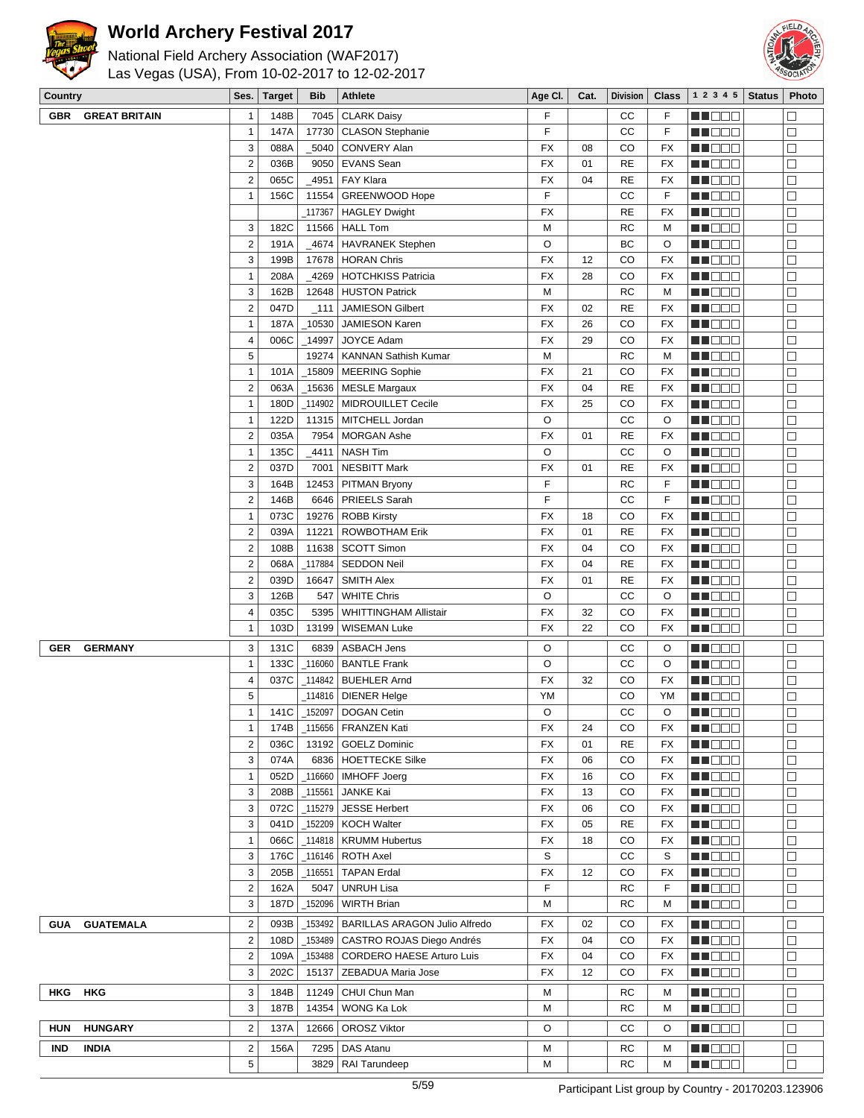



| <b>Country</b> |                                                |  | Ses.   Target | <b>Bib</b> | Athlete | , Age Cl. ∣ | Cat. |  |  | Division   Class   1 2 3 4 5   Status   Photo |  |                       |
|----------------|------------------------------------------------|--|---------------|------------|---------|-------------|------|--|--|-----------------------------------------------|--|-----------------------|
|                | Las Vegas (USA), From 10-02-2017 to 12-02-2017 |  |               |            |         |             |      |  |  |                                               |  | <b>BEACH OF BRIDE</b> |
| <b>Record</b>  | National Field Archery Association (WAF2017)   |  |               |            |         |             |      |  |  |                                               |  |                       |

| <b>GBR</b> | <b>GREAT BRITAIN</b> | 1                       | 148B |            | 7045   CLARK Daisy                   | F         |    | CС        | F         | M DE B               | $\Box$ |
|------------|----------------------|-------------------------|------|------------|--------------------------------------|-----------|----|-----------|-----------|----------------------|--------|
|            |                      | $\mathbf{1}$            | 147A |            | 17730   CLASON Stephanie             | F         |    | cc        | F         | MU DO B              | $\Box$ |
|            |                      | 3                       | 088A |            | _5040   CONVERY Alan                 | FX        | 08 | CO        | FX        | MN DOO               | $\Box$ |
|            |                      | $\overline{2}$          | 036B |            | 9050   EVANS Sean                    | FX        | 01 | <b>RE</b> | <b>FX</b> | M DE E               | $\Box$ |
|            |                      | $\overline{2}$          | 065C |            | _4951   FAY Klara                    | FX        | 04 | <b>RE</b> | FX        | ME BER               | $\Box$ |
|            |                      | $\mathbf{1}$            | 156C |            | 11554   GREENWOOD Hope               | F         |    | CC        | F         |                      | $\Box$ |
|            |                      |                         |      |            |                                      |           |    |           |           | MU OO B              |        |
|            |                      |                         |      |            | _117367   HAGLEY Dwight              | <b>FX</b> |    | <b>RE</b> | <b>FX</b> | NH DE B              | $\Box$ |
|            |                      | 3                       | 182C |            | 11566   HALL Tom                     | M         |    | <b>RC</b> | M         | M DOO                | $\Box$ |
|            |                      | $\overline{2}$          | 191A |            | _4674   HAVRANEK Stephen             | O         |    | BC        | O         | n in Biblio          | $\Box$ |
|            |                      | 3                       | 199B |            | 17678   HORAN Chris                  | <b>FX</b> | 12 | CO        | FX        | MU DO B              | $\Box$ |
|            |                      | $\mathbf{1}$            | 208A |            | _4269   HOTCHKISS Patricia           | FX        | 28 | CO        | FX        | NN OOO               | $\Box$ |
|            |                      | 3                       | 162B |            | 12648 HUSTON Patrick                 | M         |    | RC        | M         | MN DOO               | $\Box$ |
|            |                      | $\overline{2}$          | 047D | $\_111$    | <b>JAMIESON Gilbert</b>              | FX        | 02 | <b>RE</b> | FX        | M DE S               | $\Box$ |
|            |                      | $\mathbf{1}$            | 187A | _10530     | <b>JAMIESON Karen</b>                | FX        | 26 | CO        | FX        | MU OOO               | $\Box$ |
|            |                      | $\overline{4}$          | 006C | _14997     | JOYCE Adam                           | FX        | 29 | CO        | FX        | MUOOO                | $\Box$ |
|            |                      | 5                       |      | 19274      | <b>KANNAN Sathish Kumar</b>          | M         |    | <b>RC</b> | M         | MUOOO                | $\Box$ |
|            |                      | $\mathbf{1}$            | 101A |            | _15809   MEERING Sophie              | <b>FX</b> | 21 | CO        | <b>FX</b> | M DE S               | $\Box$ |
|            |                      | $\overline{2}$          |      |            |                                      | <b>FX</b> | 04 | <b>RE</b> | <b>FX</b> |                      | $\Box$ |
|            |                      |                         | 063A |            | _15636   MESLE Margaux               |           |    |           |           | <b>MNOOO</b>         |        |
|            |                      | $\mathbf{1}$            | 180D |            | 114902   MIDROUILLET Cecile          | FX        | 25 | CO        | <b>FX</b> | MU DO B              | $\Box$ |
|            |                      | $\mathbf{1}$            | 122D |            | 11315   MITCHELL Jordan              | O         |    | cc        | O         | MN 888               | $\Box$ |
|            |                      | $\overline{2}$          | 035A |            | 7954   MORGAN Ashe                   | FX        | 01 | <b>RE</b> | FX        | <b>REDDE</b>         | $\Box$ |
|            |                      | $\mathbf{1}$            | 135C | _4411      | <b>NASH Tim</b>                      | O         |    | cc        | O         | <b>NN</b> OOO        | $\Box$ |
|            |                      | $\overline{2}$          | 037D | 7001       | <b>NESBITT Mark</b>                  | FX        | 01 | <b>RE</b> | FX        | M DOO                | $\Box$ |
|            |                      | 3                       | 164B |            | 12453   PITMAN Bryony                | F         |    | RC        | F         | <b>REDDE</b>         | $\Box$ |
|            |                      | $\overline{2}$          | 146B |            | 6646   PRIEELS Sarah                 | F         |    | cc        | F         | <b>REDDE</b>         | $\Box$ |
|            |                      | $\mathbf{1}$            | 073C |            | 19276   ROBB Kirsty                  | <b>FX</b> | 18 | CO        | FX        | <b>MNO</b> OO        | $\Box$ |
|            |                      | $\overline{\mathbf{c}}$ | 039A |            | 11221   ROWBOTHAM Erik               | <b>FX</b> | 01 | <b>RE</b> | FX        | MU OOO               | $\Box$ |
|            |                      | $\overline{\mathbf{c}}$ | 108B |            | 11638   SCOTT Simon                  | FX        | 04 | CO        | FX        | MN DOO               | $\Box$ |
|            |                      | $\overline{\mathbf{c}}$ | 068A |            | <sub>_</sub> 117884   SEDDON Neil    | FX        | 04 | <b>RE</b> | FX        | MU DE LI             | $\Box$ |
|            |                      |                         |      |            |                                      |           |    | <b>RE</b> |           | <b>HELLO</b>         | $\Box$ |
|            |                      | $\overline{\mathbf{c}}$ | 039D | 16647      | <b>SMITH Alex</b>                    | FX        | 01 |           | FX        |                      |        |
|            |                      | 3                       | 126B | 547        | <b>WHITE Chris</b>                   | O         |    | cc        | O         | M DOO                | $\Box$ |
|            |                      | $\overline{4}$          | 035C | 5395       | <b>WHITTINGHAM Allistair</b>         | FX        | 32 | CO        | FX        | MU O O O             | $\Box$ |
|            |                      | $\mathbf{1}$            | 103D | 13199      | <b>WISEMAN Luke</b>                  | FX        | 22 | CO        | FX        | MN 888               | $\Box$ |
| <b>GER</b> | <b>GERMANY</b>       | 3                       | 131C | 6839       | <b>ASBACH Jens</b>                   | O         |    | CС        | O         | MU DO B              | $\Box$ |
|            |                      | $\mathbf{1}$            | 133C | 116060     | <b>BANTLE Frank</b>                  | O         |    | CC        | O         | <b>HE</b> DOD        | $\Box$ |
|            |                      | 4                       | 037C |            | _114842   BUEHLER Arnd               | <b>FX</b> | 32 | CO        | FX        | M DE S               | $\Box$ |
|            |                      | 5                       |      |            | _114816 DIENER Helge                 | YM        |    | CO        | YM        | MU DO B              | $\Box$ |
|            |                      | $\mathbf{1}$            | 141C |            | _152097 DOGAN Cetin                  | O         |    | cc        | O         | MUOOO                | $\Box$ |
|            |                      | 1                       | 174B |            | _115656   FRANZEN Kati               | <b>FX</b> | 24 | CO        | <b>FX</b> | M DOO                | $\Box$ |
|            |                      |                         |      |            |                                      |           |    |           |           |                      | $\Box$ |
|            |                      | 2                       | 036C |            | 13192 GOELZ Dominic                  | FX        | 01 | RE        | FX        | <u> Hees</u>         |        |
|            |                      | 3                       | 074A |            | 6836   HOETTECKE Silke               | FX        | 06 | CO        | FX        | MA DE L              | $\Box$ |
|            |                      | $\mathbf{1}$            | 052D |            | _116660   IMHOFF Joerg               | FX        | 16 | CO        | FX        | MU DO B              | $\Box$ |
|            |                      | 3                       | 208B | _115561    | JANKE Kai                            | FX        | 13 | CO        | FX        | MN DOO               | $\Box$ |
|            |                      | 3                       | 072C | $-115279$  | <b>JESSE Herbert</b>                 | FX        | 06 | CO        | FX        | <b>REDDE</b>         | $\Box$ |
|            |                      | 3                       | 041D |            | _152209   KOCH Walter                | FX        | 05 | <b>RE</b> | FX        | <u>LI OOD</u>        | $\Box$ |
|            |                      | $\mathbf{1}$            | 066C |            | _114818   KRUMM Hubertus             | FX        | 18 | CO        | FX        | MU OO S              | $\Box$ |
|            |                      | 3                       | 176C |            | _116146   ROTH Axel                  | S         |    | CС        | S         | M DE S               | $\Box$ |
|            |                      | 3                       | 205B | $\_116551$ | <b>TAPAN Erdal</b>                   | FX        | 12 | CO        | FX        | <b>HEDDD</b>         | $\Box$ |
|            |                      | $\overline{2}$          | 162A |            | 5047   UNRUH Lisa                    | F         |    | RC        | F         | <u>LI OOO</u>        | $\Box$ |
|            |                      | 3                       | 187D | 152096     | <b>WIRTH Brian</b>                   | M         |    | RC        | M         | MU OOO               | $\Box$ |
|            |                      |                         |      |            |                                      |           |    |           |           |                      |        |
| GUA        | <b>GUATEMALA</b>     | $\overline{2}$          | 093B | 153492_    | <b>BARILLAS ARAGON Julio Alfredo</b> | FX        | 02 | CO        | FX        | <b>HEDDD</b>         | $\Box$ |
|            |                      | $\overline{2}$          | 108D |            | _153489   CASTRO ROJAS Diego Andrés  | FX        | 04 | CO        | FX        | WU 88                | $\Box$ |
|            |                      | $\overline{2}$          | 109A |            | 153488   CORDERO HAESE Arturo Luis   | FX        | 04 | CO        | FX        | <b>RECOR</b>         | $\Box$ |
|            |                      | 3                       | 202C | 15137      | ZEBADUA Maria Jose                   | FX        | 12 | CO        | FX        | <b>RECOR</b>         | $\Box$ |
| <b>HKG</b> | HKG                  | 3                       | 184B |            | 11249   CHUI Chun Man                | М         |    | RC        | M         | MUOOO                | ⊏      |
|            |                      | 3                       | 187B | 14354      | WONG Ka Lok                          | M         |    | RC        | M         | <u> Lista de la </u> | $\Box$ |
|            |                      |                         |      |            |                                      |           |    |           |           |                      |        |
| HUN        | <b>HUNGARY</b>       | $\overline{2}$          | 137A |            | 12666   OROSZ Viktor                 | O         |    | CС        | O         | NN O O O             | $\Box$ |
| IND        | <b>INDIA</b>         | $\overline{\mathbf{c}}$ | 156A |            | 7295   DAS Atanu                     | М         |    | RC        | М         | MU DE E              | $\Box$ |
|            |                      | 5                       |      |            | 3829   RAI Tarundeep                 | M         |    | RC        | М         | MU DE L              | $\Box$ |
|            |                      |                         |      |            |                                      |           |    |           |           |                      |        |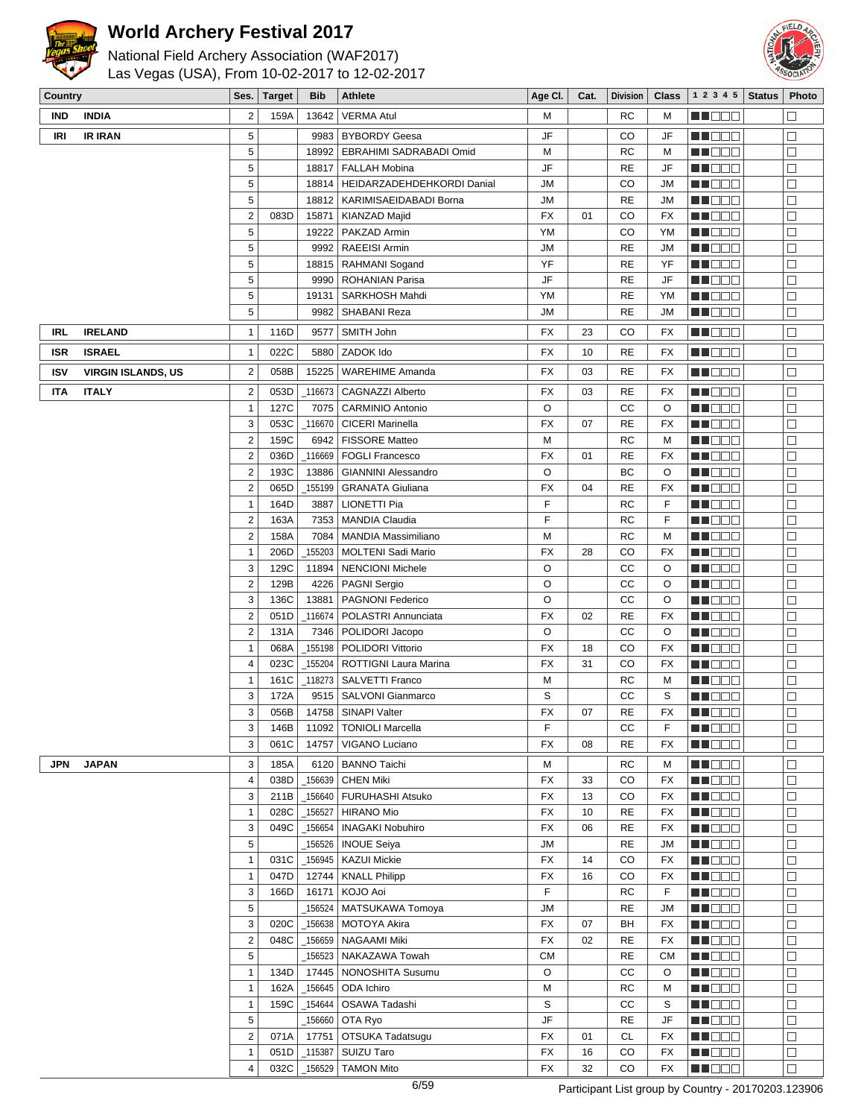

# National Field Archery Association (WAF2017)



Las Vegas (USA), From 10-02-2017 to 12-02-2017

| Country    |                           | Ses.                         | <b>Target</b> | <b>Bib</b>      | Athlete                                              | Age Cl.        | Cat.     | <b>Division</b> | Class     | 1 2 3 4 5              | <b>Status</b> | Photo            |
|------------|---------------------------|------------------------------|---------------|-----------------|------------------------------------------------------|----------------|----------|-----------------|-----------|------------------------|---------------|------------------|
| IND        | <b>INDIA</b>              | $\overline{2}$               | 159A          | 13642           | <b>VERMA Atul</b>                                    | М              |          | <b>RC</b>       | M         | HI DEC                 |               | $\Box$           |
| IRI        | <b>IR IRAN</b>            | 5                            |               | 9983            | <b>BYBORDY Geesa</b>                                 | JF             |          | CO              | JF        | <u>en de la</u>        |               | $\Box$           |
|            |                           | 5                            |               | 18992           | EBRAHIMI SADRABADI Omid                              | М              |          | <b>RC</b>       | M         | MI DE E                |               | $\Box$           |
|            |                           | 5                            |               | 18817           | <b>FALLAH Mobina</b>                                 | JF             |          | RE              | JF        | M DE O                 |               | $\Box$           |
|            |                           | 5                            |               | 18814           | HEIDARZADEHDEHKORDI Danial                           | <b>JM</b>      |          | CO              | JМ        | MN 888                 |               | $\Box$           |
|            |                           | 5                            |               | 18812           | KARIMISAEIDABADI Borna                               | <b>JM</b>      |          | <b>RE</b>       | JМ        | <u>Li Bee</u>          |               | $\Box$           |
|            |                           | $\boldsymbol{2}$             | 083D          | 15871           | KIANZAD Majid                                        | FX             | 01       | CO              | <b>FX</b> | MA DO O                |               | $\Box$           |
|            |                           | 5                            |               | 19222           | PAKZAD Armin                                         | YM             |          | CO              | YM        | MU OOO                 |               | $\Box$           |
|            |                           | 5                            |               | 9992            | RAEEISI Armin                                        | <b>JM</b>      |          | <b>RE</b>       | JM        | MN DO B                |               | $\Box$           |
|            |                           | 5                            |               | 18815           | RAHMANI Sogand                                       | YF             |          | <b>RE</b>       | YF        | MA DE C                |               | $\Box$           |
|            |                           | 5                            |               | 9990            | <b>ROHANIAN Parisa</b>                               | JF             |          | <b>RE</b>       | JF        | <b>HE</b> OOO          |               | $\Box$           |
|            |                           | 5                            |               | 19131           | SARKHOSH Mahdi                                       | YM             |          | <b>RE</b>       | YM        | MU OO B                |               | $\Box$           |
|            |                           | 5                            |               | 9982            | SHABANI Reza                                         | JM             |          | RE              | JM        | <b>RECOD</b>           |               | $\Box$           |
| IRL        | <b>IRELAND</b>            | $\mathbf{1}$                 | 116D          | 9577            | SMITH John                                           | <b>FX</b>      | 23       | CO              | FX        | MU DO B                |               | $\Box$           |
| <b>ISR</b> | <b>ISRAEL</b>             | $\mathbf{1}$                 | 022C          | 5880            | ZADOK Ido                                            | FX             | 10       | <b>RE</b>       | FX        | MA DE S                |               | $\Box$           |
| <b>ISV</b> | <b>VIRGIN ISLANDS, US</b> | $\boldsymbol{2}$             | 058B          | 15225           | <b>WAREHIME Amanda</b>                               | <b>FX</b>      | 03       | <b>RE</b>       | FX        | <u>Li Bee</u>          |               | $\Box$           |
| IΤA        | <b>ITALY</b>              | $\overline{\mathbf{c}}$      | 053D          | 116673          | <b>CAGNAZZI Alberto</b>                              | FX             | 03       | RE              | FX        | MA DE C                |               | $\Box$           |
|            |                           | $\mathbf{1}$                 | 127C          | 7075            | <b>CARMINIO Antonio</b>                              | O              |          | CC              | O         | <u>Li Bee</u>          |               | $\Box$           |
|            |                           | 3                            | 053C          | 116670          | <b>CICERI Marinella</b>                              | FX             | 07       | <b>RE</b>       | FX        | MU DE S                |               | $\Box$           |
|            |                           | $\mathbf 2$                  | 159C          | 6942            | <b>FISSORE Matteo</b>                                | M              |          | <b>RC</b>       | M         | MU DO 3                |               | $\Box$           |
|            |                           | $\mathbf 2$                  | 036D          | 116669          | <b>FOGLI Francesco</b>                               | <b>FX</b>      | 01       | RE              | FX        | MA DO O                |               | $\Box$           |
|            |                           | $\boldsymbol{2}$             | 193C          | 13886           | <b>GIANNINI Alessandro</b>                           | $\circ$        |          | ВC              | O         | MA DE E                |               | $\Box$           |
|            |                           | $\mathbf 2$                  | 065D          | 155199          | <b>GRANATA Giuliana</b>                              | FX             | 04       | <b>RE</b>       | FX        | MU DO B                |               | $\Box$           |
|            |                           | $\mathbf{1}$                 | 164D          | 3887            | LIONETTI Pia                                         | F              |          | RC              | F         | MU OOO                 |               | $\Box$           |
|            |                           | $\mathbf 2$                  | 163A          | 7353            | <b>MANDIA Claudia</b>                                | F              |          | <b>RC</b>       | F         | MN O O O               |               | $\Box$           |
|            |                           | $\mathbf 2$<br>$\mathbf{1}$  | 158A          | 7084            | <b>MANDIA Massimiliano</b>                           | М              |          | RC              | М         | MA DE E                |               | $\Box$<br>$\Box$ |
|            |                           | 3                            | 206D<br>129C  | 155203<br>11894 | <b>MOLTENI Sadi Mario</b><br><b>NENCIONI Michele</b> | <b>FX</b><br>O | 28       | CO<br>СC        | FX<br>O   | MU DE E<br>MU DO S     |               | $\Box$           |
|            |                           | $\mathbf 2$                  | 129B          | 4226            | <b>PAGNI Sergio</b>                                  | O              |          | СC              | O         | <b>RECOR</b>           |               | $\Box$           |
|            |                           | 3                            | 136C          | 13881           | PAGNONI Federico                                     | $\circ$        |          | CC              | O         | MA DE C                |               | $\Box$           |
|            |                           | $\mathbf 2$                  | 051D          | 116674          | POLASTRI Annunciata                                  | <b>FX</b>      | 02       | <b>RE</b>       | FX        | ME DE C                |               | $\Box$           |
|            |                           | $\mathbf 2$                  | 131A          | 7346            | POLIDORI Jacopo                                      | O              |          | СC              | O         | M DE E                 |               | $\Box$           |
|            |                           | $\mathbf{1}$                 | 068A          | 155198          | <b>POLIDORI Vittorio</b>                             | <b>FX</b>      | 18       | CO              | <b>FX</b> | MU DO B                |               | $\Box$           |
|            |                           | $\sqrt{4}$                   | 023C          | 155204          | <b>ROTTIGNI Laura Marina</b>                         | FX             | 31       | CO              | FX        | MA DO C                |               | $\Box$           |
|            |                           | $\mathbf{1}$                 | 161C          | 118273          | <b>SALVETTI Franco</b>                               | М              |          | RC              | М         | ME DE S                |               | $\Box$           |
|            |                           | 3                            | 172A          | 9515            | SALVONI Gianmarco                                    | S              |          | СC              | S         | MA DE C                |               | $\Box$           |
|            |                           | 3                            | 056B          | 14758           | SINAPI Valter                                        | <b>FX</b>      | 07       | <b>RE</b>       | <b>FX</b> | NN OOO                 |               | $\Box$           |
|            |                           | 3                            | 146B          | 11092           | TONIOLI Marcella                                     | F              |          | CС              | F         | MN 888                 |               | $\Box$           |
|            |                           | 3                            | 061C          | 14757           | VIGANO Luciano                                       | <b>FX</b>      | 08       | <b>RE</b>       | FX        | MU DE E                |               | $\Box$           |
| JPN        | <b>JAPAN</b>              | 3                            | 185A          | 6120            | <b>BANNO Taichi</b>                                  | M              |          | <b>RC</b>       | M         | MU DO B                |               | $\Box$           |
|            |                           | $\overline{\mathbf{4}}$      | 038D          | 156639          | <b>CHEN Miki</b>                                     | FX             | 33       | CO              | FX        | <b>REDDE</b>           |               | $\Box$           |
|            |                           | 3                            | 211B          | _156640         | <b>FURUHASHI Atsuko</b>                              | <b>FX</b>      | 13       | CO              | FX        | <b>MNODO</b>           |               | $\Box$           |
|            |                           | $\mathbf{1}$                 | 028C          | $-156527$       | <b>HIRANO Mio</b>                                    | <b>FX</b>      | 10       | <b>RE</b>       | FX        | MU OO S                |               | $\Box$           |
|            |                           | 3                            | 049C          | 156654          | <b>INAGAKI Nobuhiro</b>                              | <b>FX</b>      | 06       | <b>RE</b>       | FX        | MU DO B                |               | $\Box$           |
|            |                           | 5                            |               | _156526         | <b>INOUE Seiya</b>                                   | <b>JM</b>      |          | <b>RE</b>       | JM        | M DE B                 |               | $\Box$           |
|            |                           | $\mathbf{1}$<br>$\mathbf{1}$ | 031C<br>047D  | 156945<br>12744 | KAZUI Mickie<br><b>KNALL Philipp</b>                 | FX<br>FX       | 14<br>16 | CO<br>CO        | FX<br>FX  | <b>REDDE</b><br>MU OOO |               | $\Box$<br>$\Box$ |
|            |                           | 3                            | 166D          | 16171           | KOJO Aoi                                             | F              |          | RC              | F         | <b>RECOR</b>           |               | $\Box$           |
|            |                           | 5                            |               | 156524          | MATSUKAWA Tomoya                                     | <b>JM</b>      |          | <b>RE</b>       | <b>JM</b> | <b>REDDE</b>           |               | $\Box$           |
|            |                           | 3                            | 020C          | 156638          | <b>MOTOYA Akira</b>                                  | FX             | 07       | BH              | FX        | <u>Maca</u>            |               | $\Box$           |
|            |                           | $\mathbf 2$                  | 048C          | 156659          | <b>NAGAAMI Miki</b>                                  | <b>FX</b>      | 02       | <b>RE</b>       | FX        | MU OOO                 |               | $\Box$           |
|            |                           | $\sqrt{5}$                   |               | 156523          | NAKAZAWA Towah                                       | <b>CM</b>      |          | <b>RE</b>       | <b>CM</b> | <b>MADDE</b>           |               | $\Box$           |
|            |                           | $\mathbf{1}$                 | 134D          | 17445           | NONOSHITA Susumu                                     | O              |          | СC              | O         | MU DO O                |               | $\Box$           |
|            |                           | $\mathbf{1}$                 | 162A          | 156645          | ODA Ichiro                                           | М              |          | RC              | M         | M DE B                 |               | $\Box$           |
|            |                           | $\mathbf{1}$                 | 159C          | _154644         | OSAWA Tadashi                                        | S              |          | СC              | S         | MT DEL                 |               | $\Box$           |
|            |                           | 5                            |               | _156660         | OTA Ryo                                              | JF             |          | <b>RE</b>       | JF        | <b>MADDE</b>           |               | $\Box$           |
|            |                           | $\boldsymbol{2}$             | 071A          | 17751           | OTSUKA Tadatsugu                                     | FX             | 01       | CL              | FX        | <b>REDDE</b>           |               | $\Box$           |
|            |                           | $\mathbf{1}$                 | 051D          | $-115387$       | SUIZU Taro                                           | <b>FX</b>      | 16       | CO              | FX        | ME DE S                |               | $\Box$           |
|            |                           | $\overline{\mathbf{4}}$      |               | 032C 156529     | TAMON Mito                                           | <b>FX</b>      | 32       | CO              | <b>FX</b> | MU DO B                |               | $\Box$           |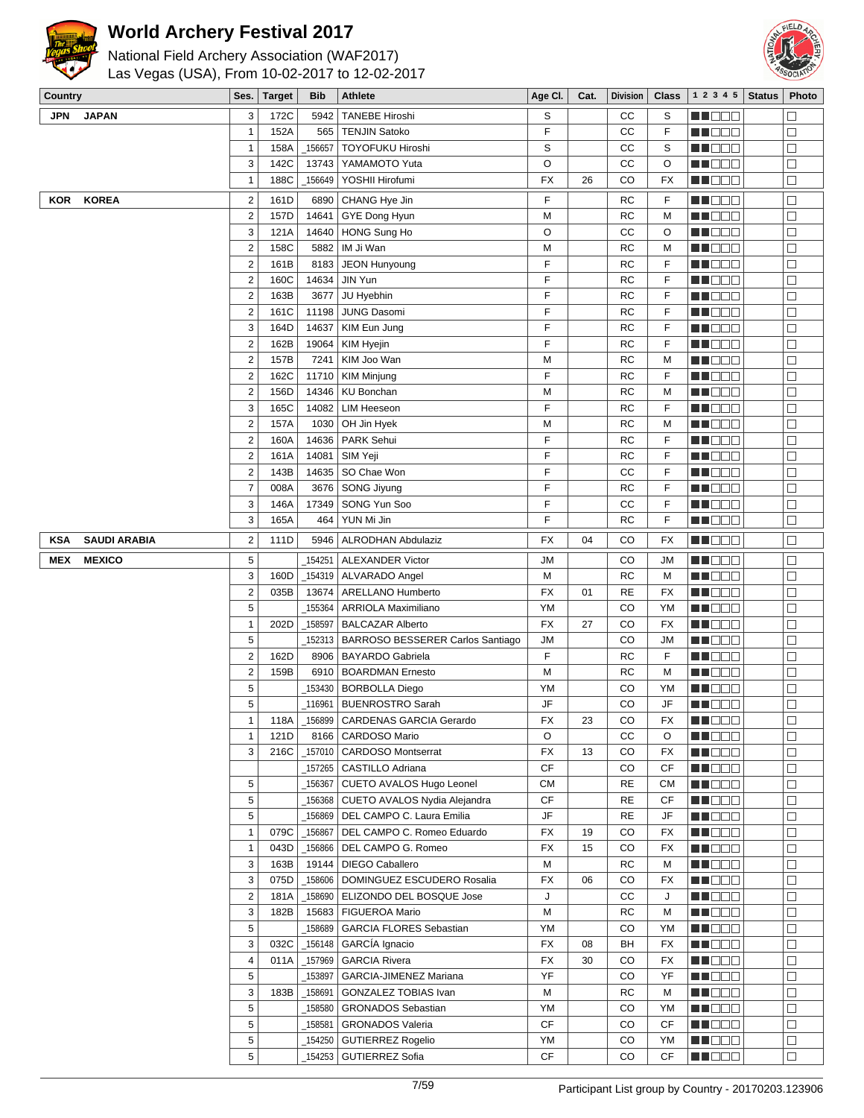



| Country    |                     | Ses.                    | <b>Target</b> | <b>Bib</b> | <b>Athlete</b>                                          | Age CI.        | Cat. | Division        | <b>Class</b> | 1 2 3 4 5                                                                                                                                                                                                                      | <b>Status</b> | Photo            |
|------------|---------------------|-------------------------|---------------|------------|---------------------------------------------------------|----------------|------|-----------------|--------------|--------------------------------------------------------------------------------------------------------------------------------------------------------------------------------------------------------------------------------|---------------|------------------|
| JPN        | <b>JAPAN</b>        | 3                       | 172C          | 5942       | <b>TANEBE Hiroshi</b>                                   | S              |      | cc              | S            | MA DE E                                                                                                                                                                                                                        |               | $\Box$           |
|            |                     | 1                       | 152A          | 565        | <b>TENJIN Satoko</b>                                    | F              |      | cc              | F            | MN 888                                                                                                                                                                                                                         |               | $\Box$           |
|            |                     | 1                       | 158A          | _156657    | TOYOFUKU Hiroshi                                        | S              |      | CС              | S            | MN 888                                                                                                                                                                                                                         |               | $\Box$           |
|            |                     | 3                       | 142C          | 13743      | YAMAMOTO Yuta                                           | O              |      | CC              | O            | <u> HISE S</u>                                                                                                                                                                                                                 |               | $\Box$           |
|            |                     | $\mathbf{1}$            | 188C          | 156649     | YOSHII Hirofumi                                         | <b>FX</b>      | 26   | CO              | <b>FX</b>    | MA DE E                                                                                                                                                                                                                        |               | $\Box$           |
| <b>KOR</b> | <b>KOREA</b>        | $\boldsymbol{2}$        | 161D          | 6890       | CHANG Hye Jin                                           | F              |      | RC              | F            | N N D D D                                                                                                                                                                                                                      |               | $\Box$           |
|            |                     | $\boldsymbol{2}$        | 157D          | 14641      | GYE Dong Hyun                                           | M              |      | RC              | M            | <u> HILLEN</u>                                                                                                                                                                                                                 |               | $\Box$           |
|            |                     | 3                       | 121A          | 14640      | HONG Sung Ho                                            | O              |      | CС              | O            | MA OO E                                                                                                                                                                                                                        |               | $\Box$           |
|            |                     | $\boldsymbol{2}$        | 158C          | 5882       | IM Ji Wan                                               | M              |      | <b>RC</b>       | M            | NN O O O                                                                                                                                                                                                                       |               | $\Box$           |
|            |                     | $\mathbf 2$             | 161B          | 8183       | JEON Hunyoung                                           | F              |      | <b>RC</b>       | F            | MUOOO                                                                                                                                                                                                                          |               | $\Box$           |
|            |                     | $\mathbf 2$             | 160C          | 14634      | JIN Yun                                                 | F              |      | <b>RC</b>       | F            | MA DE E                                                                                                                                                                                                                        |               | $\Box$           |
|            |                     | $\boldsymbol{2}$        | 163B          | 3677       | JU Hyebhin                                              | F              |      | <b>RC</b>       | F            | ME DE S                                                                                                                                                                                                                        |               | $\Box$           |
|            |                     | $\mathbf 2$             | 161C          | 11198      | JUNG Dasomi                                             | F              |      | RC              | F            | MN 888                                                                                                                                                                                                                         |               | $\Box$           |
|            |                     | 3                       | 164D          | 14637      | KIM Eun Jung                                            | F              |      | RC              | F            | MN OO B                                                                                                                                                                                                                        |               | $\Box$           |
|            |                     | $\mathbf 2$             | 162B          | 19064      | <b>KIM Hyejin</b>                                       | F              |      | RC              | F            | MUOOO                                                                                                                                                                                                                          |               | $\Box$           |
|            |                     | $\mathbf 2$             | 157B          | 7241       | KIM Joo Wan                                             | M              |      | RC              | M            | MU DE E                                                                                                                                                                                                                        |               | $\Box$           |
|            |                     | $\mathbf 2$             | 162C          | 11710      | <b>KIM Minjung</b>                                      | F              |      | RC              | F            | MA DE E                                                                                                                                                                                                                        |               | $\Box$           |
|            |                     | $\overline{\mathbf{c}}$ | 156D          | 14346      | <b>KU Bonchan</b>                                       | M              |      | RC              | M            | NN OOO                                                                                                                                                                                                                         |               | $\Box$           |
|            |                     | 3                       | 165C          | 14082      | <b>LIM Heeseon</b>                                      | F              |      | <b>RC</b>       | F            | MOO D                                                                                                                                                                                                                          |               | $\Box$           |
|            |                     | $\mathbf 2$             | 157A          | 1030       | OH Jin Hyek                                             | M              |      | <b>RC</b>       | M            | e de la co                                                                                                                                                                                                                     |               | $\Box$           |
|            |                     | $\mathbf 2$             | 160A          | 14636      | PARK Sehui                                              | F              |      | RC              | F            | MU OOO                                                                                                                                                                                                                         |               | $\Box$           |
|            |                     | $\mathbf 2$             | 161A          | 14081      | SIM Yeji                                                | F              |      | RC              | F            | MA DE C                                                                                                                                                                                                                        |               | $\Box$           |
|            |                     | $\mathbf 2$             | 143B          | 14635      | SO Chae Won                                             | F              |      | CС              | F            | ME DE S                                                                                                                                                                                                                        |               | $\Box$           |
|            |                     | $\overline{7}$          | 008A          | 3676       | SONG Jiyung                                             | F              |      | <b>RC</b>       | F            | MA DE S                                                                                                                                                                                                                        |               | $\Box$           |
|            |                     | 3                       | 146A          | 17349      | SONG Yun Soo                                            | F              |      | cc              | F            | MU OO B                                                                                                                                                                                                                        |               | $\Box$           |
|            |                     | 3                       | 165A          | 464        | YUN Mi Jin                                              | F              |      | RC              | F            | MN O O O                                                                                                                                                                                                                       |               | $\Box$           |
| <b>KSA</b> | <b>SAUDI ARABIA</b> | $\overline{2}$          | 111D          | 5946       | <b>ALRODHAN Abdulaziz</b>                               | FX             | 04   | CO              | <b>FX</b>    | MU DO 2                                                                                                                                                                                                                        |               | $\Box$           |
| MEX        | <b>MEXICO</b>       | 5                       |               | 154251     | <b>ALEXANDER Victor</b>                                 | JМ             |      | CO              | <b>JM</b>    | e de la co                                                                                                                                                                                                                     |               | $\Box$           |
|            |                     | 3                       | 160D          |            | _154319   ALVARADO Angel                                | М              |      | RC              | M            | MUOOO                                                                                                                                                                                                                          |               | $\Box$           |
|            |                     | $\overline{c}$          | 035B          | 13674      | <b>ARELLANO Humberto</b>                                | FX             | 01   | <b>RE</b>       | <b>FX</b>    | MA DE C                                                                                                                                                                                                                        |               | $\Box$           |
|            |                     | 5                       |               | 155364     | ARRIOLA Maximiliano                                     | YM             |      | CO              | YM           | ME DE E                                                                                                                                                                                                                        |               | $\Box$           |
|            |                     | 1                       | 202D          | _158597    | <b>BALCAZAR Alberto</b>                                 | <b>FX</b>      | 27   | CO              | <b>FX</b>    | MA DE B                                                                                                                                                                                                                        |               | $\Box$           |
|            |                     | 5                       |               | 152313     | BARROSO BESSERER Carlos Santiago                        | JМ             |      | CO              | <b>JM</b>    | MU DO 2                                                                                                                                                                                                                        |               | $\Box$           |
|            |                     | $\mathbf 2$             | 162D          | 8906       | <b>BAYARDO Gabriela</b>                                 | F              |      | RC              | F            | MNO O O                                                                                                                                                                                                                        |               | $\Box$           |
|            |                     | $\mathbf 2$             | 159B          | 6910       | <b>BOARDMAN Ernesto</b>                                 | M              |      | RC              | M            | n i Bele                                                                                                                                                                                                                       |               | $\Box$           |
|            |                     | 5                       |               | 153430     | <b>BORBOLLA Diego</b>                                   | YM             |      | CO              | YM           | e de la construcción de la construcción de la construcción de la construcción de la construcción de la construcción de la construcción de la construcción de la construcción de la construcción de la construcción de la const |               | $\Box$           |
|            |                     | 5                       |               |            | 116961   BUENROSTRO Sarah                               | JF             |      | CO              | JF           | MU OO B                                                                                                                                                                                                                        |               | $\Box$           |
|            |                     | $\mathbf{1}$            |               |            | 118A   156899   CARDENAS GARCIA Gerardo                 | FX             | 23   | CO              | FX           | <b>REDDO</b>                                                                                                                                                                                                                   |               | $\Box$           |
|            |                     | $\mathbf{1}$            | 121D          |            | 8166   CARDOSO Mario                                    | O              |      | CС              | O            | MO DO                                                                                                                                                                                                                          |               | $\Box$           |
|            |                     | 3                       | 216C          |            | _157010   CARDOSO Montserrat                            | FX             | 13   | CO              | <b>FX</b>    | MI DE S                                                                                                                                                                                                                        |               | $\Box$           |
|            |                     |                         |               |            | _157265   CASTILLO Adriana                              | <b>CF</b>      |      | CO              | CF           | MU DE S                                                                                                                                                                                                                        |               | $\Box$           |
|            |                     | 5                       |               | _156367    | CUETO AVALOS Hugo Leonel                                | <b>CM</b>      |      | <b>RE</b>       | <b>CM</b>    | MUOOO                                                                                                                                                                                                                          |               | $\Box$           |
|            |                     | 5                       |               | _156368    | CUETO AVALOS Nydia Alejandra                            | CF             |      | RE              | CF           | MN 88                                                                                                                                                                                                                          |               | $\Box$           |
|            |                     | 5                       |               | 156869     | DEL CAMPO C. Laura Emilia                               | JF             |      | RE              | JF           | <b>MNDBB</b>                                                                                                                                                                                                                   |               | $\Box$           |
|            |                     | $\mathbf{1}$            | 079C          |            | _156867   DEL CAMPO C. Romeo Eduardo                    | FX             | 19   | CO              | FX           | MU O O O                                                                                                                                                                                                                       |               | $\Box$           |
|            |                     | $\mathbf{1}$<br>3       | 043D<br>163B  |            | _156866   DEL CAMPO G. Romeo<br>19144   DIEGO Caballero | <b>FX</b><br>M | 15   | CO<br><b>RC</b> | FX<br>М      | MU DO D                                                                                                                                                                                                                        |               | $\Box$<br>$\Box$ |
|            |                     | 3                       | 075D          | _158606    | DOMINGUEZ ESCUDERO Rosalia                              | FX             | 06   | CO              | <b>FX</b>    | MN 888<br><b>NNE DE L</b>                                                                                                                                                                                                      |               | $\Box$           |
|            |                     | $\overline{2}$          | 181A          | _158690    | ELIZONDO DEL BOSQUE Jose                                | J              |      | cc              | J            | MU OO O                                                                                                                                                                                                                        |               | $\Box$           |
|            |                     | 3                       | 182B          |            | 15683   FIGUEROA Mario                                  | M              |      | RC              | M            | MU O O O                                                                                                                                                                                                                       |               | $\Box$           |
|            |                     | 5                       |               | 158689     | <b>GARCIA FLORES Sebastian</b>                          | YM             |      | CO              | YM           | MU DE C                                                                                                                                                                                                                        |               | $\Box$           |
|            |                     | 3                       | 032C          | $-156148$  | GARCÍA Ignacio                                          | FX             | 08   | BH              | FX           | MO O O                                                                                                                                                                                                                         |               | $\Box$           |
|            |                     | $\overline{\mathbf{4}}$ | 011A          | 157969     | <b>GARCIA Rivera</b>                                    | <b>FX</b>      | 30   | CO              | FX           | MU DE B                                                                                                                                                                                                                        |               | $\Box$           |
|            |                     | 5                       |               | _153897    | GARCIA-JIMENEZ Mariana                                  | YF             |      | CO              | YF           | MUOOO                                                                                                                                                                                                                          |               | $\Box$           |
|            |                     | 3                       | 183B          | _158691    | GONZALEZ TOBIAS Ivan                                    | М              |      | RC              | M            | MN 888                                                                                                                                                                                                                         |               | $\Box$           |
|            |                     | 5                       |               | 158580     | <b>GRONADOS Sebastian</b>                               | YM             |      | CO              | YM           | MOO O                                                                                                                                                                                                                          |               | $\Box$           |
|            |                     | 5                       |               | _158581    | <b>GRONADOS Valeria</b>                                 | <b>CF</b>      |      | CO              | CF           | MUOOO                                                                                                                                                                                                                          |               | $\Box$           |
|            |                     | 5                       |               | _154250    | <b>GUTIERREZ Rogelio</b>                                | YM             |      | CO              | YM           | MU DO S                                                                                                                                                                                                                        |               | $\Box$           |
|            |                     | 5                       |               |            | _154253   GUTIERREZ Sofia                               | CF             |      | CO              | CF           | <b>RECOD</b>                                                                                                                                                                                                                   |               | $\Box$           |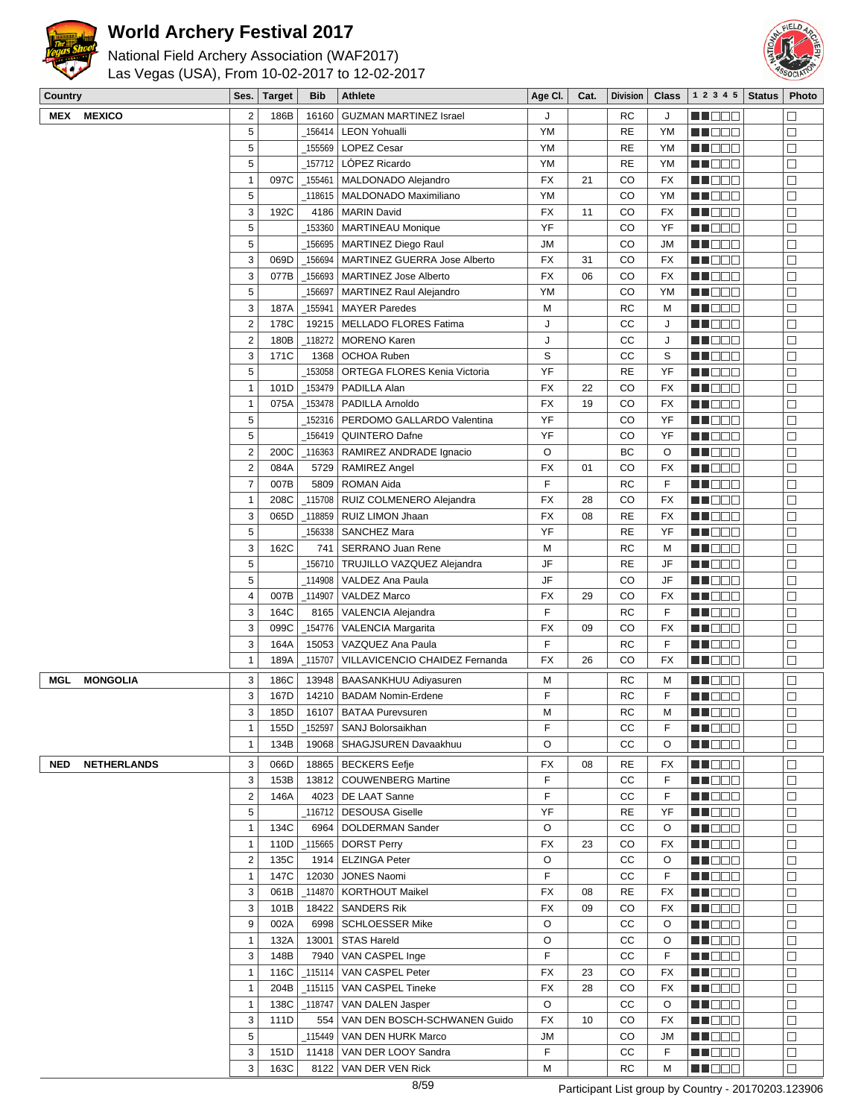



| <b>Country</b> |                    | Ses.                    | <b>Target</b> | <b>Bib</b> | <b>Athlete</b>                                     | Age CI.   | Cat. | <b>Division</b> | <b>Class</b> | 1 2 3 4 5                    | <b>Status</b> | Photo            |
|----------------|--------------------|-------------------------|---------------|------------|----------------------------------------------------|-----------|------|-----------------|--------------|------------------------------|---------------|------------------|
|                | <b>MEX MEXICO</b>  | $\mathbf{2}$            | 186B          | 16160      | <b>GUZMAN MARTINEZ Israel</b>                      | J         |      | <b>RC</b>       | J            | n in Die Er                  |               | П                |
|                |                    | 5                       |               | 156414     | <b>LEON Yohualli</b>                               | <b>YM</b> |      | <b>RE</b>       | YM           | MU O O O                     |               | $\Box$           |
|                |                    | 5                       |               | 155569     | LOPEZ Cesar                                        | YM        |      | <b>RE</b>       | YM           | MU OO D                      |               | $\Box$           |
|                |                    | 5                       |               | 157712     | LÓPEZ Ricardo                                      | <b>YM</b> |      | <b>RE</b>       | YM           | n i Bele                     |               | $\Box$           |
|                |                    | $\mathbf{1}$            | 097C          | _155461    | MALDONADO Alejandro                                | <b>FX</b> | 21   | CO              | <b>FX</b>    | MA DE E                      |               | $\Box$           |
|                |                    | 5                       |               |            | 118615   MALDONADO Maximiliano                     | YM        |      | CO              | YM           | M OOO                        |               | $\Box$           |
|                |                    | 3                       | 192C          | 4186       | <b>MARIN David</b>                                 | FX        | 11   | CO              | <b>FX</b>    | MU DO B                      |               | $\Box$           |
|                |                    | $\overline{5}$          |               | 153360     | <b>MARTINEAU Monique</b>                           | YF        |      | CO              | YF           | <b>RECE</b>                  |               | $\Box$           |
|                |                    | 5                       |               | 156695     | MARTINEZ Diego Raul                                | <b>JM</b> |      | CO              | <b>JM</b>    | M DE S                       |               | $\Box$           |
|                |                    | 3                       | 069D          | 156694     | MARTINEZ GUERRA Jose Alberto                       | <b>FX</b> | 31   | CO              | <b>FX</b>    | MU O O O                     |               | $\Box$           |
|                |                    | 3                       | 077B          | 156693     | MARTINEZ Jose Alberto                              | <b>FX</b> | 06   | CO              | <b>FX</b>    | MU DO B                      |               | $\Box$           |
|                |                    | 5                       |               | 156697     | <b>MARTINEZ Raul Alejandro</b>                     | YM        |      | CO              | YM           | NN OO E                      |               | $\Box$           |
|                |                    | 3                       | 187A          | 155941     | <b>MAYER Paredes</b>                               | M         |      | <b>RC</b>       | M            | <u>s de esc</u>              |               | $\Box$           |
|                |                    | $\overline{2}$          | 178C          | 19215      | MELLADO FLORES Fatima                              | J         |      | CC              | J            | MU DO D                      |               | $\Box$           |
|                |                    | $\overline{2}$          | 180B          | _118272    | MORENO Karen                                       | J         |      | CC              | J            | n i De E                     |               | $\Box$           |
|                |                    | 3                       | 171C          | 1368       | OCHOA Ruben                                        | S         |      | CC              | S            | M DOO                        |               | $\Box$           |
|                |                    | 5                       |               | 153058     | ORTEGA FLORES Kenia Victoria                       | YF        |      | <b>RE</b>       | YF           | ME DE L                      |               | $\Box$           |
|                |                    | $\mathbf{1}$            | 101D          | _153479    | PADILLA Alan                                       | <b>FX</b> | 22   | CO              | <b>FX</b>    | MA DE L                      |               | $\Box$           |
|                |                    | $\mathbf{1}$            | 075A          | _153478    | PADILLA Arnoldo                                    | <b>FX</b> | 19   | CO              | <b>FX</b>    | MA DE E                      |               | $\Box$           |
|                |                    | 5                       |               | 152316     | PERDOMO GALLARDO Valentina                         | YF        |      | CO              | YF           | MU DO B                      |               | $\Box$           |
|                |                    | 5                       |               | 156419     | QUINTERO Dafne                                     | YF        |      | CO              | YF           | MU DE B                      |               | $\Box$           |
|                |                    | $\mathbf 2$             | 200C          |            | 116363   RAMIREZ ANDRADE Ignacio                   | O         |      | BC              | O            | M DEE                        |               | $\Box$           |
|                |                    | $\overline{2}$          | 084A          | 5729       | <b>RAMIREZ Angel</b>                               | <b>FX</b> | 01   | CO              | <b>FX</b>    | WU 88                        |               | $\Box$           |
|                |                    | $\overline{7}$          | 007B          |            | 5809   ROMAN Aida                                  | F         |      | <b>RC</b>       | F            | MU DO O                      |               | $\Box$           |
|                |                    | $\mathbf{1}$            | 208C          | 115708     | RUIZ COLMENERO Alejandra                           | <b>FX</b> | 28   | CO              | <b>FX</b>    | n i Bele                     |               | $\Box$           |
|                |                    | 3                       | 065D          | 118859     | RUIZ LIMON Jhaan                                   | <b>FX</b> | 08   | <b>RE</b>       | <b>FX</b>    | M DOO                        |               | $\Box$           |
|                |                    | 5                       |               | 156338     | SANCHEZ Mara                                       | YF        |      | <b>RE</b>       | YF           | M DE O                       |               | $\Box$           |
|                |                    | 3                       | 162C          | 741        | SERRANO Juan Rene                                  | M         |      | <b>RC</b>       | M            | MUOOO                        |               | $\Box$           |
|                |                    | 5                       |               | 156710     | TRUJILLO VAZQUEZ Alejandra                         | JF        |      | <b>RE</b>       | JF           | M D D D                      |               | $\Box$           |
|                |                    | 5                       |               | 114908     | VALDEZ Ana Paula                                   | JF        |      | CO              | JF           | ME DE S                      |               | $\Box$           |
|                |                    | $\overline{\mathbf{4}}$ | 007B          | 114907     | VALDEZ Marco                                       | <b>FX</b> | 29   | CO              | <b>FX</b>    | M DE S                       |               | $\Box$           |
|                |                    | $\sqrt{3}$              | 164C          | 8165       | VALENCIA Alejandra                                 | F         |      | <b>RC</b>       | F            | NN O O O                     |               | □                |
|                |                    | 3                       | 099C          |            | 154776   VALENCIA Margarita                        | <b>FX</b> | 09   | CO              | <b>FX</b>    | MN D D D                     |               | $\Box$           |
|                |                    | 3                       | 164A          | 15053      | VAZQUEZ Ana Paula                                  | F         |      | <b>RC</b>       | F            | M DE B                       |               | $\Box$           |
|                |                    | $\mathbf{1}$            | 189A          | 115707     | VILLAVICENCIO CHAIDEZ Fernanda                     | FX        | 26   | CO              | <b>FX</b>    | MA DE E                      |               | $\Box$           |
| MGL            | <b>MONGOLIA</b>    | 3                       | 186C          |            | 13948   BAASANKHUU Adiyasuren                      | М         |      | RC              | M            | MU DO 2                      |               | $\Box$           |
|                |                    | 3                       | 167D          |            | 14210   BADAM Nomin-Erdene                         | F         |      | <b>RC</b>       | F            | MU O O O                     |               | $\Box$           |
|                |                    | 3                       | 185D          |            | 16107   BATAA Purevsuren                           | М         |      | <b>RC</b>       | M            | NN O O O                     |               | $\Box$           |
|                |                    | $\mathbf{1}$            | 155D          | $-152597$  | SANJ Bolorsaikhan                                  | F         |      | СC              | F            | M DOO                        |               | $\Box$           |
|                |                    | $\mathbf{1}$            | 134B          | 19068      | SHAGJSUREN Davaakhuu                               | O         |      | CC              | O            | MO DO O                      |               | $\Box$           |
|                |                    |                         |               |            |                                                    |           |      |                 |              |                              |               |                  |
| <b>NED</b>     | <b>NETHERLANDS</b> | 3<br>3                  | 066D          |            | 18865   BECKERS Eefje                              | FX<br>F   | 08   | <b>RE</b><br>CC | FX<br>F      | MN O O O                     |               | $\Box$<br>$\Box$ |
|                |                    | $\sqrt{2}$              | 153B<br>146A  |            | 13812   COUWENBERG Martine<br>4023   DE LAAT Sanne | F         |      | СC              | F            | <b>HEDDD</b><br><b>MADDO</b> |               | $\Box$           |
|                |                    | 5                       |               |            | _116712   DESOUSA Giselle                          | YF        |      | <b>RE</b>       | YF           | MU DO B                      |               | $\Box$           |
|                |                    | $\mathbf{1}$            | 134C          |            | 6964   DOLDERMAN Sander                            | O         |      | СC              | O            | MH DEE                       |               | $\Box$           |
|                |                    | $\mathbf{1}$            | 110D          |            | _115665 DORST Perry                                | <b>FX</b> | 23   | CO              | FX           | <b>REDDE</b>                 |               | $\Box$           |
|                |                    | $\sqrt{2}$              | 135C          |            | 1914 ELZINGA Peter                                 | O         |      | cc              | O            | <b>MNODO</b>                 |               | □                |
|                |                    | $\mathbf{1}$            | 147C          | 12030      | JONES Naomi                                        | F         |      | СC              | F            | MU OOO                       |               | $\Box$           |
|                |                    | $\sqrt{3}$              | 061B          | _114870    | <b>KORTHOUT Maikel</b>                             | <b>FX</b> | 08   | <b>RE</b>       | <b>FX</b>    | <b>RECOR</b>                 |               | $\Box$           |
|                |                    | 3                       | 101B          | 18422      | SANDERS Rik                                        | <b>FX</b> | 09   | CO              | FX           | MU O O O                     |               | $\Box$           |
|                |                    | 9                       | 002A          |            | 6998   SCHLOESSER Mike                             | O         |      | CC              | O            | <b>MNODO</b>                 |               | $\Box$           |
|                |                    | $\mathbf{1}$            | 132A          | 13001      | <b>STAS Hareld</b>                                 | O         |      | СC              | O            | <b>REDDE</b>                 |               | $\Box$           |
|                |                    | 3                       | 148B          | 7940       | VAN CASPEL Inge                                    | F         |      | СC              | F            | MU DO B                      |               | $\Box$           |
|                |                    | $\mathbf{1}$            | 116C          | _115114    | VAN CASPEL Peter                                   | FX        | 23   | CO              | FX           | <b>MN</b> OOO                |               | $\Box$           |
|                |                    | $\mathbf{1}$            | 204B          |            | _115115   VAN CASPEL Tineke                        | FX        | 28   | CO              | <b>FX</b>    | <b>REDDD</b>                 |               | $\Box$           |
|                |                    | $\mathbf{1}$            | 138C          |            | _118747   VAN DALEN Jasper                         | O         |      | cc              | O            | <b>REDDO</b>                 |               | $\Box$           |
|                |                    | 3                       | 111D          |            | 554   VAN DEN BOSCH-SCHWANEN Guido                 | FX        | 10   | CO              | FX           | MN DOO                       |               | $\Box$           |
|                |                    | $\sqrt{5}$              |               |            | _115449   VAN DEN HURK Marco                       | JМ        |      | CO              | JM           | <b>RECOR</b>                 |               | $\Box$           |
|                |                    | 3                       | 151D          |            | 11418   VAN DER LOOY Sandra                        | F         |      | СC              | F            | <b>REDDE</b>                 |               | $\Box$           |
|                |                    | 3                       | 163C          |            | 8122   VAN DER VEN Rick                            | М         |      | RC              | M            | MU DO D                      |               | $\Box$           |
|                |                    |                         |               |            |                                                    |           |      |                 |              |                              |               |                  |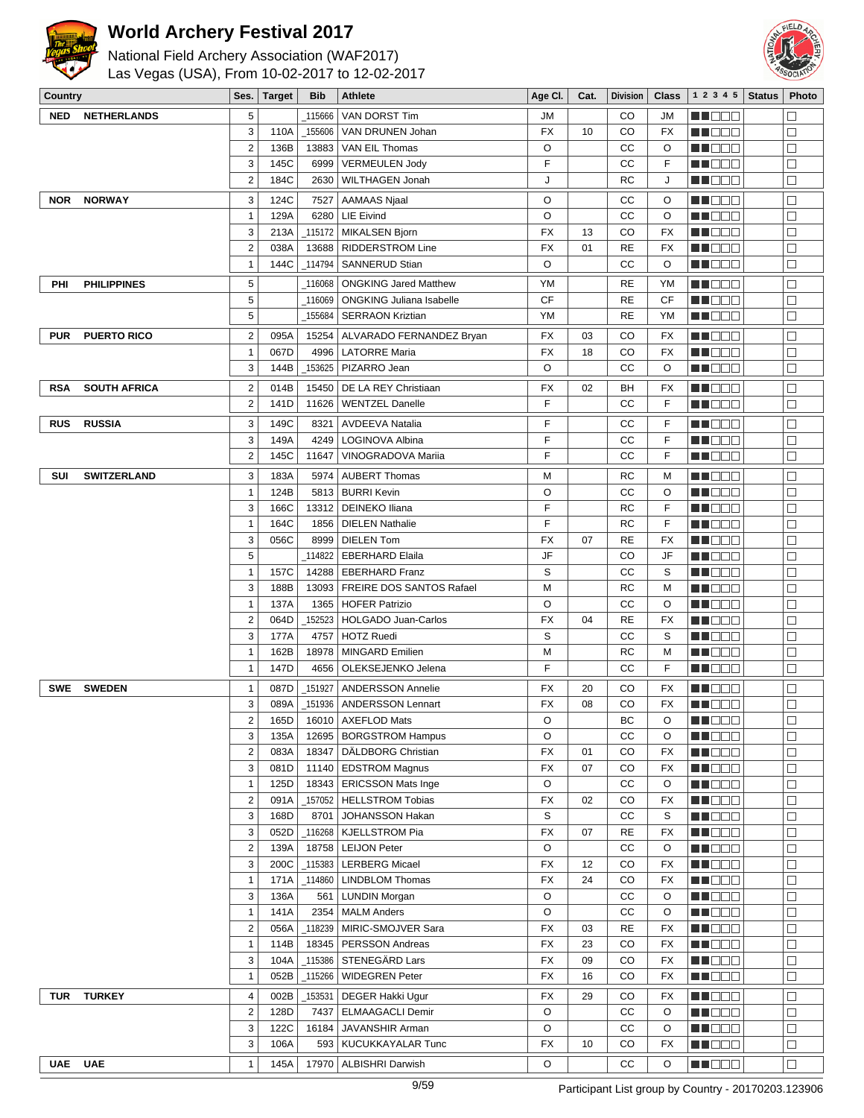



| National Field Archery Association (WAF2017)   |  |
|------------------------------------------------|--|
| Las Vegas (USA), From 10-02-2017 to 12-02-2017 |  |

| Country    |                     | Ses.              | <b>Target</b> | <b>Bib</b>   | Athlete                                                | Age CI.   | Cat.     | <b>Division</b> | Class     | 12345              | <b>Status</b> | Photo                       |
|------------|---------------------|-------------------|---------------|--------------|--------------------------------------------------------|-----------|----------|-----------------|-----------|--------------------|---------------|-----------------------------|
| <b>NED</b> | <b>NETHERLANDS</b>  | 5                 |               | 115666       | VAN DORST Tim                                          | JM        |          | CO              | JM        | HI EE              |               | П                           |
|            |                     | 3                 | 110A          | 155606       | VAN DRUNEN Johan                                       | FX        | 10       | CO              | FX        | MU DO 2            |               | $\Box$                      |
|            |                     | $\sqrt{2}$        | 136B          | 13883        | VAN EIL Thomas                                         | O         |          | CC              | O         | MNO O O            |               | $\Box$                      |
|            |                     | 3                 | 145C          | 6999         | <b>VERMEULEN Jody</b>                                  | F         |          | CС              | F         | N NO DO            |               | $\Box$                      |
|            |                     | $\sqrt{2}$        | 184C          | 2630         | <b>WILTHAGEN Jonah</b>                                 | J         |          | RC              | J         | n in Die Ei        |               | $\Box$                      |
| <b>NOR</b> | <b>NORWAY</b>       | 3                 | 124C          | 7527         | <b>AAMAAS Njaal</b>                                    | O         |          | CC              | O         | MOO O              |               | $\Box$                      |
|            |                     | $\mathbf{1}$      | 129A          | 6280         | <b>LIE Eivind</b>                                      | O         |          | CС              | O         | MUOOO              |               | $\Box$                      |
|            |                     | 3                 | 213A          | 115172       | <b>MIKALSEN Bjorn</b>                                  | <b>FX</b> | 13       | CO              | FX        | MU O O O           |               | □                           |
|            |                     | $\mathbf 2$       | 038A          | 13688        | <b>RIDDERSTROM Line</b>                                | <b>FX</b> | 01       | <b>RE</b>       | FX        | MUOOO              |               | $\Box$                      |
|            |                     | $\mathbf{1}$      | 144C          | 114794       | <b>SANNERUD Stian</b>                                  | O         |          | CC              | O         | MA OO B            |               | $\Box$                      |
| PHI        | <b>PHILIPPINES</b>  | 5                 |               | 116068       | <b>ONGKING Jared Matthew</b>                           | YM        |          | RE              | YM        | M OO O             |               | $\Box$                      |
|            |                     | 5                 |               | 116069       | <b>ONGKING Juliana Isabelle</b>                        | CF        |          | <b>RE</b>       | CF        | MU DE B            |               | $\Box$                      |
|            |                     | $\sqrt{5}$        |               | 155684       | <b>SERRAON Kriztian</b>                                | YM        |          | RE              | YM        | <u> Hose</u>       |               | $\Box$                      |
| <b>PUR</b> | <b>PUERTO RICO</b>  | $\sqrt{2}$        | 095A          | 15254        | ALVARADO FERNANDEZ Bryan                               | FX        | 03       | CO              | FX        | n i Biblio         |               | $\Box$                      |
|            |                     | $\mathbf{1}$      | 067D          | 4996         | <b>LATORRE Maria</b>                                   | <b>FX</b> | 18       | CO              | FX        | <u> HILLEN</u>     |               | $\Box$                      |
|            |                     | 3                 | 144B          | 153625       | PIZARRO Jean                                           | O         |          | CС              | O         | MU DO B            |               | □                           |
| <b>RSA</b> | <b>SOUTH AFRICA</b> | $\mathbf{2}$      | 014B          |              | 15450   DE LA REY Christiaan                           | FX        | 02       | BH              | FX        | MA DE E            |               | $\Box$                      |
|            |                     | $\overline{2}$    | 141D          | 11626        | <b>WENTZEL Danelle</b>                                 | F         |          | CC              | F         | M DO O             |               | □                           |
| <b>RUS</b> | <b>RUSSIA</b>       | 3                 | 149C          | 8321         | <b>AVDEEVA Natalia</b>                                 | F         |          | CC              | F         | MU DO D            |               | $\Box$                      |
|            |                     | 3                 | 149A          |              | 4249   LOGINOVA Albina                                 | F         |          | CС              | F         | MUOOO              |               | □                           |
|            |                     | $\overline{2}$    | 145C          | 11647        | <b>VINOGRADOVA Marija</b>                              | F         |          | CС              | F         | MU DO D            |               | $\Box$                      |
| SUI        | <b>SWITZERLAND</b>  | 3                 | 183A          | 5974         | AUBERT Thomas                                          | М         |          | RC              | M         | MUOOO              |               | □                           |
|            |                     | $\mathbf{1}$      | 124B          |              | 5813 BURRI Kevin                                       | O         |          | CC              | O         | MUOOO              |               | $\Box$                      |
|            |                     | 3                 | 166C          |              | 13312   DEINEKO Iliana                                 | F         |          | RC              | F         | MU DE B            |               | $\Box$                      |
|            |                     | $\mathbf{1}$      | 164C          |              | 1856   DIELEN Nathalie                                 | F         |          | RC              | F         | <b>HEDDD</b>       |               | $\Box$                      |
|            |                     | 3                 | 056C          |              | 8999   DIELEN Tom                                      | FX        | 07       | <b>RE</b>       | FX        | WU 88              |               | $\Box$                      |
|            |                     | 5                 |               | 114822       | EBERHARD Elaila                                        | JF        |          | CO              | JF        | MUOOO              |               | $\Box$                      |
|            |                     | $\mathbf{1}$      | 157C          |              | 14288   EBERHARD Franz                                 | S         |          | CC              | S         | ME DE E            |               | $\Box$                      |
|            |                     | 3                 | 188B          | 13093        | FREIRE DOS SANTOS Rafael                               | М         |          | RC              | M         | MU DO D            |               | $\Box$                      |
|            |                     | $\mathbf{1}$      | 137A          | 1365         | <b>HOFER Patrizio</b>                                  | O         |          | CС              | O         | M DE E             |               | □                           |
|            |                     | $\sqrt{2}$        | 064D          | 152523       | <b>HOLGADO Juan-Carlos</b>                             | <b>FX</b> | 04       | <b>RE</b>       | FX        | MUOOO              |               | $\Box$                      |
|            |                     | 3                 | 177A          | 4757         | <b>HOTZ Ruedi</b>                                      | S         |          | CC              | S         | MU DO D            |               | $\Box$                      |
|            |                     | $\mathbf{1}$      | 162B          |              | 18978   MINGARD Emilien                                | M         |          | RC              | M         | <u> Hose</u>       |               | $\Box$                      |
|            |                     | $\mathbf{1}$      | 147D          |              | 4656   OLEKSEJENKO Jelena                              | F         |          | CС              | F         | MUOOO              |               | $\Box$                      |
| <b>SWE</b> | <b>SWEDEN</b>       | $\mathbf{1}$      | 087D          | 151927       | <b>ANDERSSON Annelie</b>                               | FX        | 20       | CO              | <b>FX</b> | MU DO D            |               | $\Box$                      |
|            |                     | 3                 | 089A          |              | 151936   ANDERSSON Lennart                             | FX        | 08       | CO              | FX        | <b>REDDE</b>       |               | □                           |
|            |                     | $\mathbf 2$       | 165D          |              | 16010 AXEFLOD Mats                                     | O         |          | BC              | $\circ$   | <b>REDDE</b>       |               | $\overline{\Box}$<br>$\Box$ |
|            |                     | 3<br>$\sqrt{2}$   | 135A<br>083A  |              | 12695   BORGSTROM Hampus<br>18347   DÄLDBORG Christian | O<br>FX   | 01       | CC<br>CO        | O<br>FX   | MN E E E<br>M DE S |               | $\Box$                      |
|            |                     | 3                 | 081D          |              | 11140   EDSTROM Magnus                                 | FX        | 07       | CO              | FX        | MU OOO             |               | $\Box$                      |
|            |                     | $\mathbf{1}$      | 125D          |              | 18343   ERICSSON Mats Inge                             | O         |          | cc              | O         | MU OOO             |               | □                           |
|            |                     | $\sqrt{2}$        | 091A          | 157052       | HELLSTROM Tobias                                       | FX        | 02       | CO              | FX        | <b>RECOR</b>       |               | $\Box$                      |
|            |                     | 3                 | 168D          | 8701         | JOHANSSON Hakan                                        | S         |          | cc              | S         | N DE B             |               | $\Box$                      |
|            |                     | 3                 | 052D          |              | _116268   KJELLSTROM Pia                               | <b>FX</b> | 07       | <b>RE</b>       | FX        | M DOO              |               | $\Box$                      |
|            |                     | $\sqrt{2}$        | 139A          |              | 18758   LEIJON Peter                                   | O         |          | $_{\rm CC}$     | O         | MU DO B            |               | $\Box$                      |
|            |                     | 3                 | 200C          |              | _115383   LERBERG Micael                               | <b>FX</b> | 12       | CO              | FX        | MUOOO              |               | $\Box$                      |
|            |                     | $\mathbf{1}$      | 171A          |              | 114860   LINDBLOM Thomas                               | FX        | 24       | CO              | FX        | ME DE S            |               | $\Box$                      |
|            |                     | 3                 | 136A          | 561          | LUNDIN Morgan                                          | O         |          | CС              | O         | MU DO U            |               | $\Box$                      |
|            |                     | $\mathbf{1}$      | 141A          |              | 2354   MALM Anders                                     | O         |          | cc              | O         | MU OOO             |               | $\Box$                      |
|            |                     | $\sqrt{2}$        | 056A          |              | 118239   MIRIC-SMOJVER Sara                            | <b>FX</b> | 03       | <b>RE</b>       | FX        | <b>HE</b> DOD      |               | □                           |
|            |                     | $\mathbf{1}$      | 114B          | 18345        | PERSSON Andreas                                        | <b>FX</b> | 23       | CO              | FX        | MOO O              |               | $\Box$                      |
|            |                     | 3<br>$\mathbf{1}$ | 104A<br>052B  | 115386       | STENEGÄRD Lars<br><b>WIDEGREN Peter</b>                | FX<br>FX  | 09<br>16 | CO<br>CO        | FX<br>FX  | <b>MNDDD</b>       |               | $\Box$                      |
|            |                     |                   |               | _115266      |                                                        |           |          |                 |           | WU 88              |               | □                           |
| <b>TUR</b> | <b>TURKEY</b>       | $\sqrt{4}$        | 002B          | 153531       | DEGER Hakki Ugur                                       | FX        | 29       | CO              | FX        | N NO DE L          |               | $\Box$                      |
|            |                     | $\sqrt{2}$        | 128D          | 7437         | <b>ELMAAGACLI Demir</b>                                | O         |          | cc              | O         | MU OOO             |               | $\Box$                      |
|            |                     | 3<br>3            | 122C          | 16184<br>593 | JAVANSHIR Arman                                        | O<br>FX   | 10       | CС<br>CO        | O<br>FX   | MN O O O           |               | $\Box$<br>$\Box$            |
|            |                     |                   | 106A          |              | KUCUKKAYALAR Tunc                                      |           |          |                 |           | e de la p          |               |                             |
| <b>UAE</b> | <b>UAE</b>          | $\mathbf{1}$      | 145A          | 17970        | <b>ALBISHRI Darwish</b>                                | O         |          | СC              | O         | MU DE C            |               | $\Box$                      |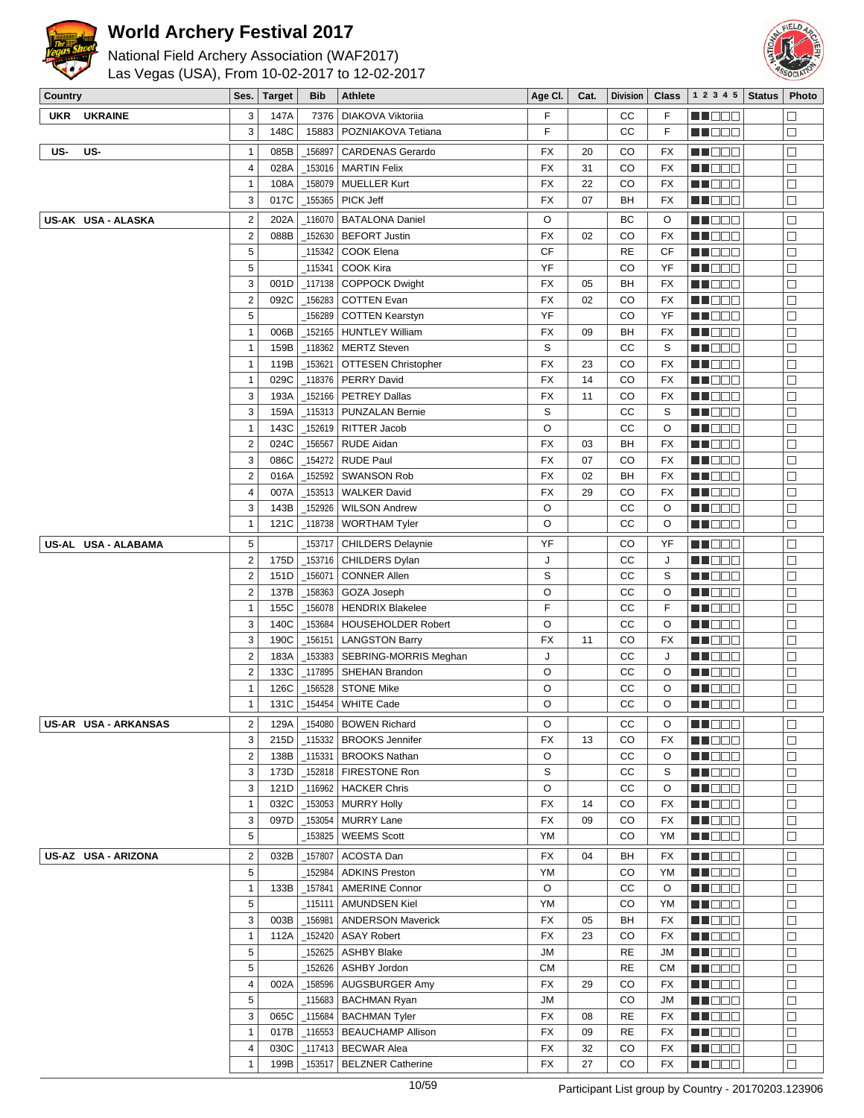



| National Field Archery Association (WAF2017)   |
|------------------------------------------------|
| Las Vegas (USA), From 10-02-2017 to 12-02-2017 |

| Country    |                      | Ses.                      | Target | Bib           | Athlete                           | Age Cl.   | Cat. | Division    | Class     | 1 2 3 4 5   Status | Photo  |
|------------|----------------------|---------------------------|--------|---------------|-----------------------------------|-----------|------|-------------|-----------|--------------------|--------|
| <b>UKR</b> | <b>UKRAINE</b>       | 3                         | 147A   | 7376          | DIAKOVA Viktoriia                 | F         |      | cc          | F.        | MU DO D            | $\Box$ |
|            |                      | 3                         | 148C   | 15883         | POZNIAKOVA Tetiana                | F         |      | cc          | F         | WU 88              | $\Box$ |
|            |                      |                           |        |               |                                   |           |      |             |           |                    |        |
| US-        | US-                  | $\mathbf{1}$              | 085B   | 156897        | <b>CARDENAS Gerardo</b>           | FX        | 20   | CO          | FX        | N NO DEI           | $\Box$ |
|            |                      | $\overline{\mathbf{4}}$   | 028A   | _153016       | <b>MARTIN Felix</b>               | FX        | 31   | CO          | FX        | MU O O O           | $\Box$ |
|            |                      | $\mathbf{1}$              | 108A   | _158079       | <b>MUELLER Kurt</b>               | FX        | 22   | CO          | FX        | N I DE E           | $\Box$ |
|            |                      | 3                         | 017C   | _155365       | PICK Jeff                         | <b>FX</b> | 07   | BH          | FX        | e de e             | $\Box$ |
|            | US-AK USA - ALASKA   | $\sqrt{2}$                | 202A   | 116070        | <b>BATALONA Daniel</b>            | O         |      | ВC          | O         | NN O O O           | $\Box$ |
|            |                      | $\mathbf 2$               | 088B   | _152630       | <b>BEFORT Justin</b>              | <b>FX</b> | 02   | CO          | FX        | n i Biblio         | $\Box$ |
|            |                      | 5                         |        | _115342       | COOK Elena                        | <b>CF</b> |      | <b>RE</b>   | CF        | MU DO D            | $\Box$ |
|            |                      | 5                         |        | _115341       | COOK Kira                         | YF        |      | CO          | YF        | M DE L             | $\Box$ |
|            |                      | 3                         | 001D   | $-117138$     | <b>COPPOCK Dwight</b>             | FX        | 05   | BH          | <b>FX</b> | MU DO O            | $\Box$ |
|            |                      |                           |        |               |                                   |           |      |             |           |                    |        |
|            |                      | $\mathbf 2$               | 092C   | 156283        | <b>COTTEN Evan</b>                | <b>FX</b> | 02   | CO          | FX        | MU DE B            | $\Box$ |
|            |                      | 5                         |        | 156289        | <b>COTTEN Kearstyn</b>            | YF        |      | CO          | YF        | <u> Hose</u>       | $\Box$ |
|            |                      | $\mathbf{1}$              | 006B   | 152165        | <b>HUNTLEY William</b>            | FX        | 09   | BH          | FX        | WU 88              | $\Box$ |
|            |                      | $\mathbf{1}$              | 159B   | _118362       | <b>MERTZ Steven</b>               | S         |      | cc          | S         | NN O O O           | $\Box$ |
|            |                      | $\mathbf{1}$              | 119B   | $-153621$     | <b>OTTESEN Christopher</b>        | <b>FX</b> | 23   | CO          | FX        | MU DO D            | $\Box$ |
|            |                      | $\mathbf{1}$              | 029C   | _118376       | <b>PERRY David</b>                | <b>FX</b> | 14   | CO          | FX        | e de la co         | $\Box$ |
|            |                      | 3                         | 193A   | 152166        | <b>PETREY Dallas</b>              | FX        | 11   | CO          | FX        | M DE E             | Е      |
|            |                      | 3                         | 159A   | _115313       | PUNZALAN Bernie                   | S         |      | СC          | S         | MU O O O           | $\Box$ |
|            |                      | $\mathbf{1}$              | 143C   | 152619        | RITTER Jacob                      | O         |      | cc          | O         | NN OO O            | $\Box$ |
|            |                      | $\sqrt{2}$                | 024C   | 156567        | <b>RUDE Aidan</b>                 | FX        | 03   | BH          | FX        | MU DE B            | $\Box$ |
|            |                      | 3                         | 086C   | 154272        | <b>RUDE Paul</b>                  | FX        | 07   | CO          | FX        | n in Biblio        | $\Box$ |
|            |                      | $\mathbf 2$               | 016A   | 152592        | <b>SWANSON Rob</b>                | FX        | 02   | BH          | FX        | MUOOO              | $\Box$ |
|            |                      | $\sqrt{4}$                | 007A   | _153513       | <b>WALKER David</b>               | <b>FX</b> | 29   | CO          | FX        | MU O O O           | $\Box$ |
|            |                      | 3                         | 143B   | 152926        | <b>WILSON Andrew</b>              | O         |      | cc          | O         | <u> Literatu</u>   | П      |
|            |                      | $\mathbf{1}$              |        |               |                                   |           |      |             |           |                    | $\Box$ |
|            |                      |                           | 121C   | _118738       | <b>WORTHAM Tyler</b>              | O         |      | СC          | O         | MU O O O           |        |
|            | US-AL USA - ALABAMA  | 5                         |        | 153717        | <b>CHILDERS Delaynie</b>          | YF        |      | CO          | YF        | N NO DE L          | $\Box$ |
|            |                      | $\mathbf 2$               | 175D   | _153716       | CHILDERS Dylan                    | J         |      | СC          | J         | M DE E             | $\Box$ |
|            |                      | $\mathbf 2$               | 151D   | 156071        | <b>CONNER Allen</b>               | S         |      | cc          | S         | MUOOO              | $\Box$ |
|            |                      | $\mathbf 2$               | 137B   | _158363       | GOZA Joseph                       | O         |      | cc          | O         | MUOOO              | $\Box$ |
|            |                      | $\mathbf{1}$              | 155C   | 156078        | <b>HENDRIX Blakelee</b>           | F         |      | cc          | F         | <u> Literatur</u>  | $\Box$ |
|            |                      | 3                         | 140C   | 153684        | <b>HOUSEHOLDER Robert</b>         | $\circ$   |      | cc          | O         | MU DO D            | $\Box$ |
|            |                      | 3                         | 190C   | _156151       | <b>LANGSTON Barry</b>             | <b>FX</b> | 11   | CO          | FX        | n nooc             | $\Box$ |
|            |                      | $\sqrt{2}$                | 183A   | _153383       | SEBRING-MORRIS Meghan             | J         |      | cc          | J         | MU DE B            | $\Box$ |
|            |                      | $\mathbf 2$               | 133C   | 117895        | SHEHAN Brandon                    | O         |      | cc          | O         | MUOOO              | $\Box$ |
|            |                      | $\mathbf{1}$              |        |               | <b>STONE Mike</b>                 | O         |      | СC          |           |                    | $\Box$ |
|            |                      |                           | 126C   | 156528        |                                   |           |      |             | O         | M DE S             |        |
|            |                      | $\mathbf{1}$              | 131C   | _154454       | <b>WHITE Cade</b>                 | O         |      | СC          | O         | n i De B           | $\Box$ |
|            | US-AR USA - ARKANSAS | $\overline{2}$            |        |               | 129A   154080   BOWEN Richard     | O         |      | $_{\rm CC}$ | O         | <b>HOOD</b>        | Ō      |
|            |                      | 3                         |        |               | 215D   115332   BROOKS Jennifer   | FX        | 13   | CO          | FX        | MU DO 2            | □      |
|            |                      | $\boldsymbol{2}$          | 138B   | $\_115331$    | <b>BROOKS Nathan</b>              | O         |      | СC          | O         | MNO O O            | $\Box$ |
|            |                      | 3                         | 173D   | $-152818$     | FIRESTONE Ron                     | S         |      | СC          | S         | MOO O              | $\Box$ |
|            |                      | $\ensuremath{\mathsf{3}}$ |        | 121D   116962 | <b>HACKER Chris</b>               | O         |      | cc          | O         | <u>Li Bee</u>      | $\Box$ |
|            |                      | $\mathbf{1}$              |        | 032C 153053   | <b>MURRY Holly</b>                | FX        | 14   | CO          | FX        | MUOOO              | □      |
|            |                      | 3                         |        | 097D 153054   | <b>MURRY Lane</b>                 | FX        | 09   | CO          | FX        | MA O O O           | $\Box$ |
|            |                      | 5                         |        | _153825       | <b>WEEMS Scott</b>                | YM        |      | CO          | YM        | <b>HE</b> OOO      | $\Box$ |
|            |                      |                           |        |               |                                   | <b>FX</b> | 04   | BH          |           |                    |        |
|            | US-AZ USA - ARIZONA  | $\overline{\mathbf{c}}$   |        | 032B   157807 | ACOSTA Dan                        |           |      |             | FX        | MNO OO             | $\Box$ |
|            |                      | 5                         |        | _152984       | <b>ADKINS Preston</b>             | YM        |      | CO          | YM        | MU DO D            | $\Box$ |
|            |                      | $\mathbf{1}$              | 133B   | $-157841$     | <b>AMERINE Connor</b>             | O         |      | СC          | $\circ$   | <b>MN</b> OOO      | $\Box$ |
|            |                      | 5                         |        | _115111       | <b>AMUNDSEN Kiel</b>              | YM        |      | CO          | YM        | MU OO S            | $\Box$ |
|            |                      | 3                         | 003B   | $-156981$     | <b>ANDERSON Maverick</b>          | FX        | 05   | BH          | FX        | MU DO B            | □      |
|            |                      | $\mathbf{1}$              |        | 112A 152420   | <b>ASAY Robert</b>                | FX        | 23   | CO          | FX        | MA DE E            | $\Box$ |
|            |                      | 5                         |        | _152625       | <b>ASHBY Blake</b>                | <b>JM</b> |      | RE          | <b>JM</b> | <b>HEDDE</b>       | $\Box$ |
|            |                      | 5                         |        | _152626       | ASHBY Jordon                      | <b>CM</b> |      | RE          | <b>CM</b> | MU O O O           | $\Box$ |
|            |                      | $\overline{\mathbf{4}}$   | 002A   | $-158596$     | AUGSBURGER Amy                    | FX        | 29   | CO          | FX        | NN O O O           | $\Box$ |
|            |                      | 5                         |        |               | _115683   BACHMAN Ryan            | JM        |      | CO          | JM        | MUOOO              | $\Box$ |
|            |                      | 3                         |        | 065C 115684   | <b>BACHMAN Tyler</b>              | FX        | 08   | RE          | FX        | <b>MA</b> OOO      | $\Box$ |
|            |                      | $\mathbf{1}$              |        |               | 017B   116553   BEAUCHAMP Allison | FX        | 09   | RE          | FX        | <u>LI OOO</u>      | $\Box$ |
|            |                      | 4                         | 030C   | $\_117413$    | <b>BECWAR Alea</b>                | FX        | 32   | CO          | FX        | MU O O O           | $\Box$ |
|            |                      | $\mathbf{1}$              | 199B   |               | _153517   BELZNER Catherine       | FX        | 27   | CO          | FX        | <b>MADDE</b>       | $\Box$ |
|            |                      |                           |        |               |                                   |           |      |             |           |                    |        |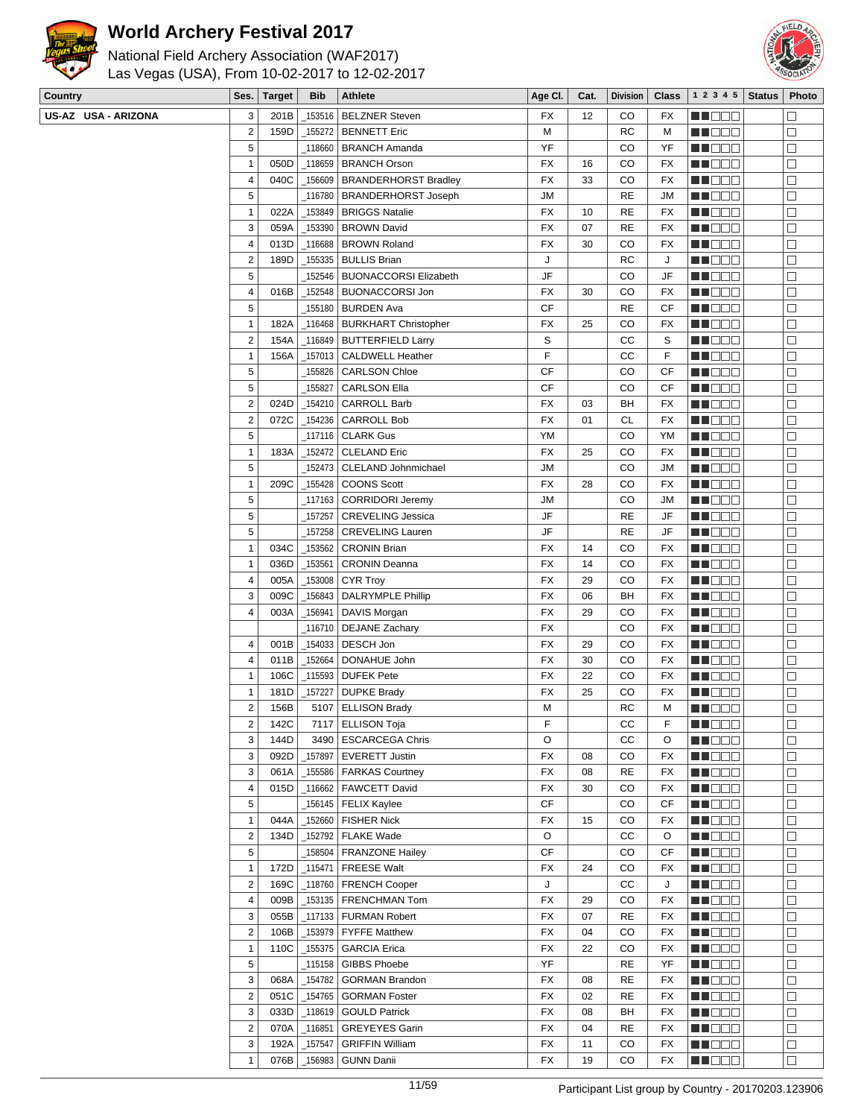

## **World Archery Festival 2017**

National Field Archery Association (WAF2017)



Las Vegas (USA), From 10-02-2017 to 12-02-2017

| Country             | Ses.                    | <b>Target</b> | <b>Bib</b> | Athlete                        | Age CI.   | Cat. | <b>Division</b> | <b>Class</b> | 1 2 3 4 5        | <b>Status</b> | Photo  |
|---------------------|-------------------------|---------------|------------|--------------------------------|-----------|------|-----------------|--------------|------------------|---------------|--------|
| US-AZ USA - ARIZONA | 3                       | 201B          | 153516     | <b>BELZNER Steven</b>          | <b>FX</b> | 12   | CO              | FX           | n i De E         |               | $\Box$ |
|                     | $\overline{\mathbf{c}}$ | 159D          | _155272    | <b>BENNETT Eric</b>            | M         |      | <b>RC</b>       | M            | MA DE E          |               | $\Box$ |
|                     | 5                       |               | _118660    | <b>BRANCH Amanda</b>           | YF        |      | CO              | YF           | MU DE B          |               | $\Box$ |
|                     | $\mathbf{1}$            | 050D          |            | _118659 BRANCH Orson           | FX        | 16   | CO              | FX           | MU DE B          |               | $\Box$ |
|                     | 4                       | 040C          |            | 156609   BRANDERHORST Bradley  | <b>FX</b> | 33   | CO              | FX           | <u>LI OOD</u>    |               | $\Box$ |
|                     | 5                       |               |            | _116780   BRANDERHORST Joseph  | JМ        |      | <b>RE</b>       | JM           | MUODO            |               | $\Box$ |
|                     | $\mathbf{1}$            | 022A          |            | _153849   BRIGGS Natalie       | FX        | 10   | <b>RE</b>       | FX           | MU DO O          |               | $\Box$ |
|                     | 3                       | 059A          |            | _153390   BROWN David          | FX        | 07   | <b>RE</b>       | FX           | MA DO O          |               | $\Box$ |
|                     | 4                       | 013D          | _116688    | <b>BROWN Roland</b>            | FX        | 30   | CO              | FX           | ME DE S          |               | $\Box$ |
|                     | $\overline{c}$          | 189D          | _155335    | <b>BULLIS Brian</b>            | J         |      | <b>RC</b>       | J            | MU DO O          |               | $\Box$ |
|                     | 5                       |               |            | 152546   BUONACCORSI Elizabeth | JF        |      | CO              | JF           | MNO OO           |               | $\Box$ |
|                     | 4                       | 016B          | 152548     | <b>BUONACCORSI Jon</b>         | FX        | 30   | CO              | FX           | MN OO O          |               | $\Box$ |
|                     | 5                       |               |            | 155180   BURDEN Ava            | CF        |      | <b>RE</b>       | CF           | <b>MA</b> DOO    |               | $\Box$ |
|                     | $\mathbf{1}$            | 182A          |            | _116468   BURKHART Christopher | FX        | 25   | CO              | FX           | WU O O O         |               | $\Box$ |
|                     | $\overline{c}$          | 154A          |            | _116849   BUTTERFIELD Larry    | S         |      | CC              | S            | MN O O O         |               | $\Box$ |
|                     | $\mathbf{1}$            | 156A          |            | _157013   CALDWELL Heather     | F         |      | CC              | F            |                  |               | $\Box$ |
|                     |                         |               |            |                                |           |      |                 |              | NN O O O         |               |        |
|                     | 5                       |               | 155826     | <b>CARLSON Chloe</b>           | СF        |      | CO              | CF           | MO DO O          |               | $\Box$ |
|                     | 5                       |               | _155827    | <b>CARLSON Ella</b>            | CF        |      | CO              | СF           | MA DE S          |               | $\Box$ |
|                     | $\overline{c}$          | 024D          | _154210    | <b>CARROLL Barb</b>            | FX        | 03   | BH              | <b>FX</b>    | MU DO B          |               | $\Box$ |
|                     | $\overline{\mathbf{c}}$ | 072C          |            | _154236 CARROLL Bob            | <b>FX</b> | 01   | <b>CL</b>       | FX           | MN DE B          |               | $\Box$ |
|                     | 5                       |               |            |                                | YM        |      | CO              | YM           | MO DO O          |               | $\Box$ |
|                     | 1                       | 183A          | _152472    | <b>CLELAND Eric</b>            | FX        | 25   | CO              | FX           | <b>HE</b> OOO    |               | $\Box$ |
|                     | 5                       |               |            | _152473   CLELAND Johnmichael  | JМ        |      | CO              | JM           | WU 88            |               | $\Box$ |
|                     | $\mathbf{1}$            | 209C          |            | $\_$ 155428 $ $ COONS Scott    | FX        | 28   | CO              | <b>FX</b>    | MU DO D          |               | $\Box$ |
|                     | 5                       |               |            | _117163   CORRIDORI Jeremy     | <b>JM</b> |      | CO              | JM           | MU DO D          |               | $\Box$ |
|                     | 5                       |               | 157257     | <b>CREVELING Jessica</b>       | JF        |      | <b>RE</b>       | JF           | MU DO O          |               | $\Box$ |
|                     | 5                       |               | 157258     | <b>CREVELING Lauren</b>        | JF        |      | <b>RE</b>       | JF           | MA DE E          |               | $\Box$ |
|                     | 1                       | 034C          | _153562    | <b>CRONIN Brian</b>            | FX        | 14   | CO              | FX           | M DO O           |               | $\Box$ |
|                     | $\mathbf{1}$            | 036D          | _153561    | <b>CRONIN Deanna</b>           | <b>FX</b> | 14   | CO              | FX           | MN 888           |               | $\Box$ |
|                     | 4                       | 005A          | 153008     | CYR Troy                       | FX        | 29   | CO              | FX           | <b>HEBBB</b>     |               | $\Box$ |
|                     | 3                       | 009C          |            | _156843   DALRYMPLE Phillip    | FX        | 06   | BH              | <b>FX</b>    | MU DO D          |               | $\Box$ |
|                     | 4                       | 003A          |            | _156941   DAVIS Morgan         | <b>FX</b> | 29   | CO              | <b>FX</b>    | MUOOO            |               | $\Box$ |
|                     |                         |               |            | _116710   DEJANE Zachary       | <b>FX</b> |      | CO              | FX           | MU DO D          |               | $\Box$ |
|                     | 4                       | 001B          |            |                                | FX        | 29   | CO              | FX           | <u> Literatu</u> |               | $\Box$ |
|                     | 4                       | 011B          | _152664    | DONAHUE John                   | FX        | 30   | CO              | FX           | M DO B           |               | $\Box$ |
|                     | 1                       | 106C          | _115593    | <b>DUFEK Pete</b>              | FX        | 22   | CO              | FX           | MU DO B          |               | $\Box$ |
|                     | 1                       | 181D          | 157227     | <b>DUPKE Brady</b>             | <b>FX</b> | 25   | CO              | FX           | M DE O           |               | $\Box$ |
|                     | $\overline{c}$          | 156B          |            | 5107   ELLISON Brady           | M         |      | <b>RC</b>       | M            | MU DE B          |               | П      |
|                     | 2                       | 142C          |            | 7117   ELLISON Toja            | F         |      | cс              | F            | <b>NH</b> OOO    |               | $\Box$ |
|                     | 3                       | 144D          |            | 3490   ESCARCEGA Chris         | O         |      | СC              | O            | MU OOO           |               | $\Box$ |
|                     | 3                       | 092D          |            | _157897 EVERETT Justin         | <b>FX</b> | 08   | CO              | FX           | MUOOO            |               | $\Box$ |
|                     | 3                       | 061A          |            | _155586   FARKAS Courtney      | FX        | 08   | <b>RE</b>       | FX           | MN DE B          |               | $\Box$ |
|                     | 4                       | 015D          |            | _116662   FAWCETT David        | FX        | 30   | CO              | FX           | <b>MA</b> OOO    |               | $\Box$ |
|                     | 5                       |               |            | _156145   FELIX Kaylee         | CF        |      | CO              | CF           | MU DO B          |               | $\Box$ |
|                     |                         |               |            |                                |           |      |                 |              |                  |               |        |
|                     | 1                       | 044A          |            | $\_$ 152660 FISHER Nick        | FX        | 15   | CO              | FX           | MN 888           |               | $\Box$ |
|                     | $\overline{\mathbf{c}}$ | 134D          |            | _152792   FLAKE Wade           | O         |      | СC              | O            | <b>MA</b> OOO    |               | $\Box$ |
|                     | 5                       |               |            | _158504   FRANZONE Hailey      | CF        |      | CO              | CF           | MUOOO            |               | $\Box$ |
|                     | 1                       | 172D          |            | $_1$ 115471   FREESE Walt      | FX        | 24   | CO              | FX           | MU OO S          |               | $\Box$ |
|                     | $\overline{2}$          | 169C          |            | _118760   FRENCH Cooper        | J         |      | СC              | J            | MU DO B          |               | $\Box$ |
|                     | 4                       | 009B          |            | _153135   FRENCHMAN Tom        | FX        | 29   | CO              | FX           | MU O O O         |               | $\Box$ |
|                     | 3                       | 055B          |            | _117133   FURMAN Robert        | FX        | 07   | <b>RE</b>       | FX           | <b>HE</b> DOO    |               | $\Box$ |
|                     | $\overline{\mathbf{c}}$ | 106B          |            | _153979   FYFFE Matthew        | FX        | 04   | CO              | FX           | MUODO            |               | $\Box$ |
|                     | 1                       | 110C          |            | _155375   GARCIA Erica         | <b>FX</b> | 22   | CO              | FX           | MU OOO           |               | $\Box$ |
|                     | 5                       |               |            | _115158   GIBBS Phoebe         | YF        |      | <b>RE</b>       | YF           | MU DO B          |               | $\Box$ |
|                     | 3                       | 068A          | 154782     | <b>GORMAN Brandon</b>          | FX        | 08   | <b>RE</b>       | FX           | MO DO O          |               | $\Box$ |
|                     | 2                       | 051C          |            | _154765   GORMAN Foster        | FX        | 02   | <b>RE</b>       | FX           | <b>MA</b> OOO    |               | $\Box$ |
|                     | 3                       | 033D          |            | _118619   GOULD Patrick        | FX        | 08   | BH              | FX           | MU OOO           |               | $\Box$ |
|                     | $\overline{\mathbf{c}}$ | 070A          |            | _116851 GREYEYES Garin         | FX        | 04   | RE              | FX           | MU DO D          |               | $\Box$ |
|                     | 3                       | 192A          | 157547     | <b>GRIFFIN William</b>         | FX        | 11   | CO              | FX           | <b>MARGE</b>     |               | $\Box$ |
|                     | 1                       | 076B          | _156983    | <b>GUNN Danii</b>              | FX        | 19   | CO              | FX           | <b>MN</b> OOO    |               | $\Box$ |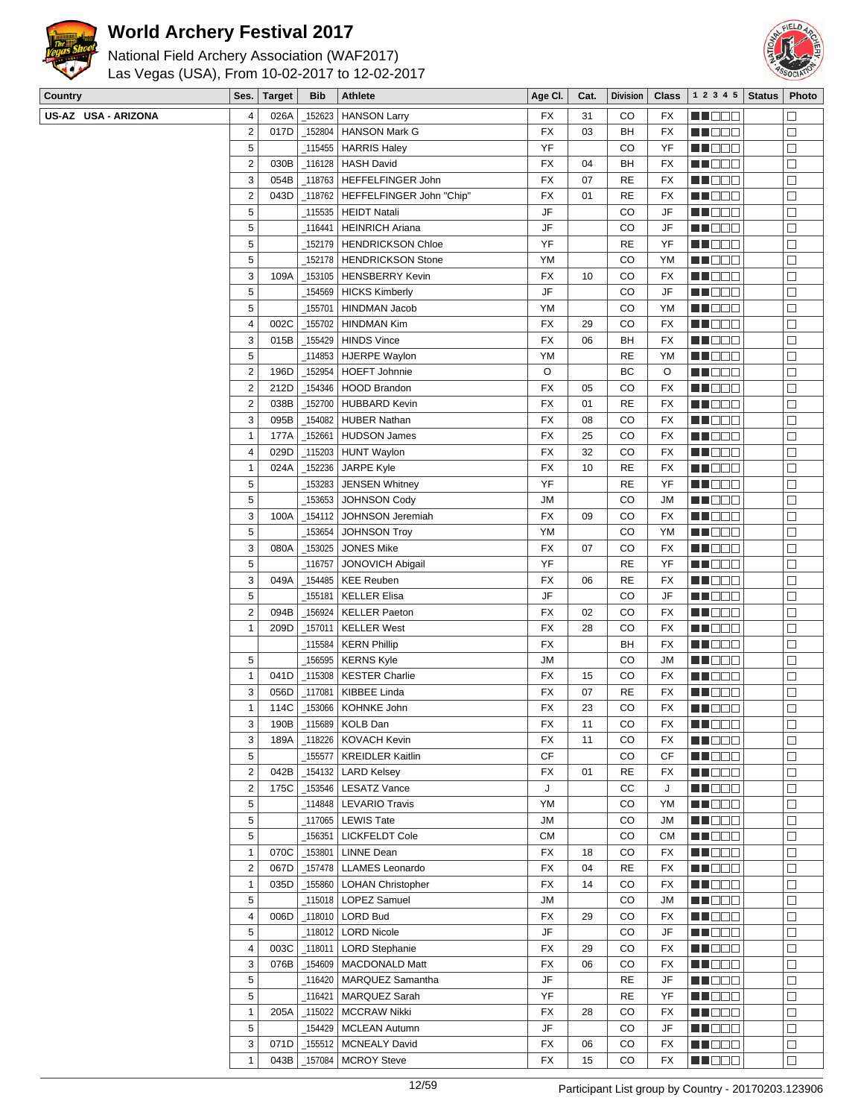

## **World Archery Festival 2017**



| $ S_{PS} $ Target $ Rih $ Athlete              |  |  |  |  |  |  |  |  |  |  |
|------------------------------------------------|--|--|--|--|--|--|--|--|--|--|
| Las Vegas (USA), From 10-02-2017 to 12-02-2017 |  |  |  |  |  |  |  |  |  |  |
| National Field Archery Association (WAF2017)   |  |  |  |  |  |  |  |  |  |  |

| Country             | Ses.                    | <b>Target</b> | <b>Bib</b> | <b>Athlete</b>                                | Age CI.   | Cat.     | <b>Division</b> |            | <b>Class</b> $ 12345 $       | <b>Status</b> | Photo                |
|---------------------|-------------------------|---------------|------------|-----------------------------------------------|-----------|----------|-----------------|------------|------------------------------|---------------|----------------------|
| US-AZ USA - ARIZONA | 4                       | 026A          |            | 152623   HANSON Larry                         | FX        | 31       | CO              | FX         | M DE S                       |               | $\Box$               |
|                     | $\overline{2}$          | 017D          | 152804     | <b>HANSON Mark G</b>                          | <b>FX</b> | 03       | BH              | FX         | MU DO 2                      |               | $\Box$               |
|                     | 5                       |               |            | _115455   HARRIS Haley                        | YF        |          | CO              | YF         | M D D D                      |               | $\Box$               |
|                     | $\sqrt{2}$              | 030B          |            | _116128   HASH David                          | FX        | 04       | BH              | FX         | M DE B                       |               | $\Box$               |
|                     | 3                       | 054B          |            | _118763   HEFFELFINGER John                   | FX        | 07       | <b>RE</b>       | FX         | <u> Hilber</u>               |               | $\Box$               |
|                     | $\sqrt{2}$              | 043D          |            | _118762   HEFFELFINGER John "Chip"            | FX        | 01       | <b>RE</b>       | FX         | MU DE C                      |               | □                    |
|                     | 5                       |               |            | _115535   HEIDT Natali                        | JF        |          | CO              | JF         | MU DO G                      |               | $\Box$               |
|                     | 5                       |               | 116441     | <b>HEINRICH Ariana</b>                        | JF        |          | CO              | JF         | <b>RECOR</b>                 |               | $\Box$               |
|                     | $\mathbf 5$             |               | 152179     | <b>HENDRICKSON Chloe</b>                      | YF        |          | <b>RE</b>       | YF         | <b>HE</b> OOO                |               | $\Box$               |
|                     | $\mathbf 5$             |               |            | 152178   HENDRICKSON Stone                    | YM        |          | CO              | YM         | <u> Literatu</u>             |               | $\Box$               |
|                     | 3                       | 109A          |            | _153105   HENSBERRY Kevin                     | FX        | 10       | CO              | FX         | MU OO O                      |               | $\Box$               |
|                     | 5                       |               |            | _154569 HICKS Kimberly                        | JF        |          | CO              | JF         | <u> Literatur</u>            |               | $\Box$               |
|                     | 5                       |               | 155701     | <b>HINDMAN Jacob</b>                          | YM        |          | CO              | YM         | MU DE E                      |               | $\Box$               |
|                     | $\overline{4}$          | 002C          | 155702     | <b>HINDMAN Kim</b>                            | <b>FX</b> | 29       | CO              | FX         | MU DE C                      |               | $\Box$               |
|                     | 3                       | 015B          |            | _155429   HINDS Vince                         | FX        | 06       | BH              | FX         | <u>ma ce</u>                 |               | $\Box$               |
|                     | 5                       |               |            | _114853   HJERPE Waylon                       | YM        |          | <b>RE</b>       | YM         | <b>RECODE</b>                |               | $\Box$               |
|                     | $\sqrt{2}$              | 196D          |            | _152954   HOEFT Johnnie                       | O         |          | ВC              | O          | <u> Helena</u>               |               | $\Box$               |
|                     | $\sqrt{2}$              | 212D          |            | 154346   HOOD Brandon                         | FX        | 05       | CO              | FX         | <b>MA</b> OO O               |               | $\Box$               |
|                     | $\sqrt{2}$              | 038B          |            | _152700 HUBBARD Kevin                         | <b>FX</b> | 01       | <b>RE</b>       | <b>FX</b>  | M DO O                       |               | $\Box$               |
|                     | 3                       | 095B          |            | _154082   HUBER Nathan                        | FX        | 08       | CO              | FX         | M DO D                       |               | $\Box$               |
|                     | $\mathbf{1}$            | 177A          | 152661     | HUDSON James                                  | FX        | 25       | CO              | FX         | <u> Here a B</u>             |               | $\Box$               |
|                     | 4                       | 029D          |            | _115203   HUNT Waylon                         | FX        | 32       | CO              | FX         | M DE B                       |               | $\Box$               |
|                     | $\mathbf{1}$            | 024A          |            | _152236   JARPE Kyle                          | FX        | 10       | <b>RE</b>       | FX         | MU DE C                      |               | $\Box$               |
|                     | 5                       |               | 153283     | JENSEN Whitney                                | YF        |          | <b>RE</b>       | YF         | M NO S                       |               | $\Box$               |
|                     | 5                       |               | _153653    | JOHNSON Cody                                  | <b>JM</b> |          | CO              | JM         | <b>RECOR</b>                 |               | $\Box$               |
|                     | 3                       | 100A          | 154112     | JOHNSON Jeremiah                              | <b>FX</b> | 09       | CO              | FX         | M DE O                       |               | $\Box$               |
|                     | $\mathbf 5$             |               | 153654     | <b>JOHNSON Troy</b>                           | YM        |          | CO              | YM         | MU DO B                      |               | $\Box$               |
|                     | 3                       | 080A          | 153025     | JONES Mike                                    | FX        | 07       | CO              | FX         | <u> Literatur</u>            |               | $\Box$               |
|                     | 5                       |               | 116757     | <b>JONOVICH Abigail</b>                       | YF        |          | <b>RE</b>       | YF         | <b>RECODE</b>                |               | $\Box$               |
|                     | 3                       | 049A          |            |                                               | FX        | 06       | RE              | FX         | <u> Literatu</u>             |               | $\Box$               |
|                     | 5                       |               | _155181    | <b>KELLER Elisa</b>                           | JF        |          | CO              | JF         | M DOO                        |               | □                    |
|                     | $\overline{2}$          | 094B          | _156924    | KELLER Paeton                                 | <b>FX</b> | 02       | CO              | FX         | <u>ma ce</u>                 |               | $\Box$               |
|                     | $\mathbf{1}$            | 209D          | 157011     | <b>KELLER West</b>                            | <b>FX</b> | 28       | CO              | FX         | <u> Here a Bi</u>            |               | $\Box$               |
|                     |                         |               | _115584    | <b>KERN Phillip</b>                           | FX        |          | BH              | FX         | <b>REBED</b>                 |               | $\Box$               |
|                     | 5                       |               |            | _156595   KERNS Kyle                          | JМ        |          | CO              | JМ         |                              |               | $\Box$               |
|                     | $\mathbf{1}$            | 041D          |            | _115308   KESTER Charlie                      | FX        | 15       | CO              | FX         | <u> HIDDO</u>                |               | $\Box$               |
|                     | 3                       | 056D          | $\_117081$ | KIBBEE Linda                                  | FX        | 07       | <b>RE</b>       | FX         | MA NO W                      |               | $\Box$               |
|                     | $\mathbf{1}$            | 114C          |            |                                               | FX        |          | CO              | FX         | M D D D                      |               | $\Box$               |
|                     | 3                       | 190B          |            | _153066   KOHNKE John<br>$_1$ 15689 KOLB Dan  | FX        | 23<br>11 | $_{\rm CO}$     | ${\sf FX}$ | <b>REDDE</b><br><b>BECOO</b> |               | $\overline{\square}$ |
|                     |                         |               |            | 118226   KOVACH Kevin                         | FX        |          |                 |            |                              |               | □                    |
|                     | 3<br>5                  | 189A          |            |                                               | CF        | 11       | CO<br>CO        | FX         | MU OOO                       |               |                      |
|                     |                         | 042B          | _155577    | KREIDLER Kaitlin<br>$_1$ 154132   LARD Kelsey |           | 01       |                 | CF         | MN 888                       |               | $\Box$               |
|                     | $\overline{2}$          |               |            |                                               | FX        |          | <b>RE</b>       | FX         | <b>RECORD</b>                |               | $\Box$               |
|                     | $\overline{2}$          | 175C          |            | _153546   LESATZ Vance                        | J         |          | СC              | J          | <b>REDDO</b>                 |               | $\Box$               |
|                     | 5                       |               |            | 114848   LEVARIO Travis                       | YM        |          | CO              | YM         | MU OOO                       |               | $\Box$               |
|                     | 5                       |               |            | _117065   LEWIS Tate                          | JM        |          | CO              | JM         | <b>RECOR</b>                 |               | $\Box$               |
|                     | $\sqrt{5}$              |               | _156351    | LICKFELDT Cole                                | <b>CM</b> |          | CO              | СM         | <b>RECOR</b>                 |               | $\Box$               |
|                     | $\mathbf{1}$            | 070C          | _153801    | <b>LINNE Dean</b>                             | FX        | 18       | CO              | FX         | <b>MNODO</b>                 |               | $\Box$               |
|                     | $\overline{2}$          | 067D          |            | _157478   LLAMES Leonardo                     | FX        | 04       | RE              | FX         | MU DE S                      |               | □                    |
|                     | $\mathbf{1}$            | 035D          |            | _155860   LOHAN Christopher                   | FX        | 14       | CO              | FX         | M NO S                       |               | $\Box$               |
|                     | 5                       |               |            | _115018   LOPEZ Samuel                        | <b>JM</b> |          | CO              | JM         | <b>RECODE</b>                |               | $\Box$               |
|                     | $\overline{\mathbf{4}}$ | 006D          |            | _118010   LORD Bud                            | FX        | 29       | CO              | FX         | <b>REBED</b>                 |               | $\Box$               |
|                     | 5                       |               |            | _118012   LORD Nicole                         | JF        |          | CO              | JF         | <b>REDDE</b>                 |               | $\Box$               |
|                     | 4                       | 003C          | 118011     | LORD Stephanie                                | FX        | 29       | CO              | FX         | MU O O O                     |               | $\Box$               |
|                     | 3                       | 076B          |            | _154609   MACDONALD Matt                      | FX        | 06       | CO              | FX         | MU DO B                      |               | $\Box$               |
|                     | $\sqrt{5}$              |               |            | 116420   MARQUEZ Samantha                     | JF        |          | RE              | JF         | <u>Maca</u>                  |               | $\Box$               |
|                     | 5                       |               | _116421    | MARQUEZ Sarah                                 | YF        |          | RE              | YF         | MU DE B                      |               | $\Box$               |
|                     | $\mathbf{1}$            | 205A          |            | _115022   MCCRAW Nikki                        | FX        | 28       | CO              | FX         | MU O O O                     |               | □                    |
|                     | 5                       |               |            | _154429   MCLEAN Autumn                       | JF        |          | CO              | JF         | <b>RECOR</b>                 |               | $\Box$               |
|                     | 3                       | 071D          | _155512    | <b>MCNEALY David</b>                          | FX        | 06       | CO              | FX         | <b>REDDE</b>                 |               | $\Box$               |
|                     | $\mathbf{1}$            | 043B          |            | _157084   MCROY Steve                         | FX        | 15       | CO              | FX         | <b>REDDO</b>                 |               | $\Box$               |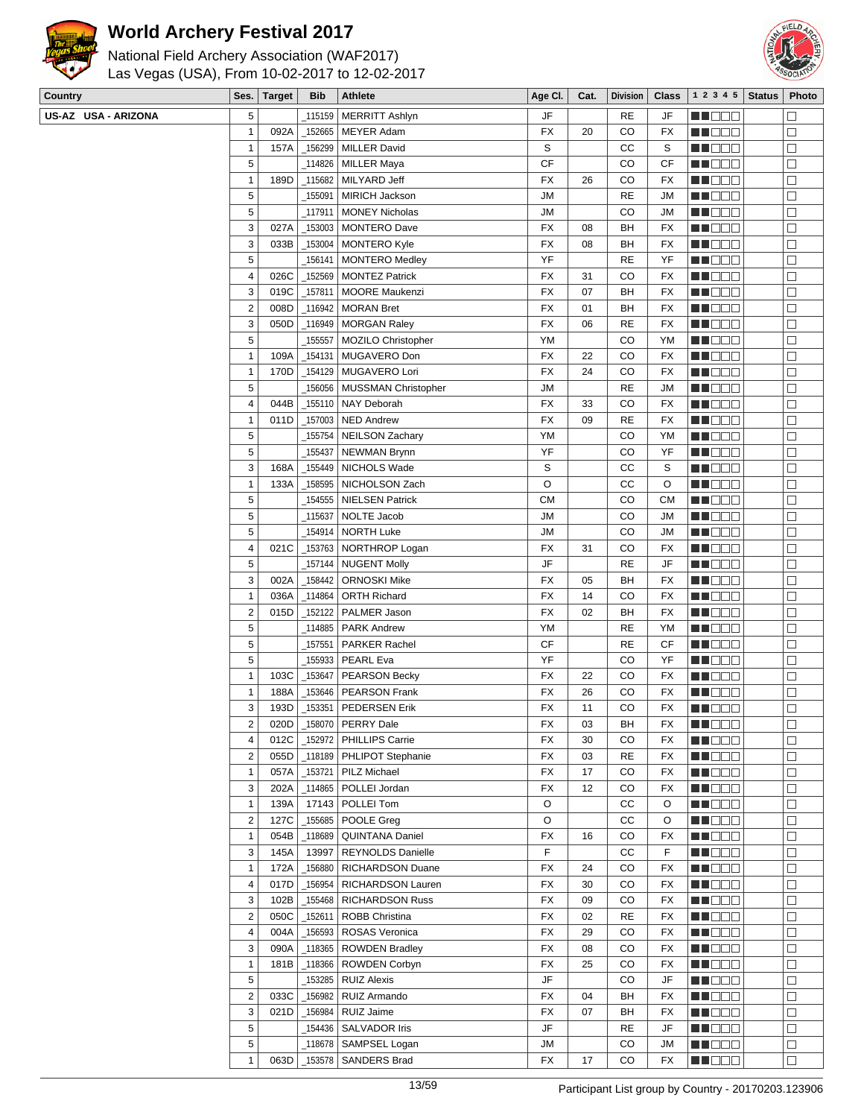



| National Field Archery Association (WAF2017)   |
|------------------------------------------------|
| Las Vegas (USA), From 10-02-2017 to 12-02-2017 |

| Country             | Ses.                    | <b>Target</b> | <b>Bib</b> | Athlete                     | Age CI.                | Cat. | <b>Division</b> | <b>Class</b> | 1 2 3 4 5     | <b>Status</b> | Photo                       |
|---------------------|-------------------------|---------------|------------|-----------------------------|------------------------|------|-----------------|--------------|---------------|---------------|-----------------------------|
| US-AZ USA - ARIZONA | 5                       |               | 115159     | <b>MERRITT Ashlyn</b>       | JF                     |      | RE              | JF           | HI DEE        |               | $\mathcal{L}_{\mathcal{A}}$ |
|                     | 1                       | 092A          | 152665     | <b>MEYER Adam</b>           | <b>FX</b>              | 20   | CO              | FX           | MU DO B       |               | $\Box$                      |
|                     | $\mathbf{1}$            | 157A          | 156299     | <b>MILLER David</b>         | S                      |      | СC              | S            | MU DO O       |               | $\Box$                      |
|                     | 5                       |               | 114826     | <b>MILLER Maya</b>          | <b>CF</b>              |      | CO              | CF           | e de e        |               | $\Box$                      |
|                     | 1                       | 189D          | $-115682$  | MILYARD Jeff                | <b>FX</b>              | 26   | CO              | FX           | MUOOO         |               | $\Box$                      |
|                     | 5                       |               | _155091    | <b>MIRICH Jackson</b>       | <b>JM</b>              |      | <b>RE</b>       | <b>JM</b>    | M OOO         |               | $\Box$                      |
|                     | 5                       |               | 117911     | <b>MONEY Nicholas</b>       | <b>JM</b>              |      | CO              | <b>JM</b>    | MN DO B       |               | $\Box$                      |
|                     | 3                       | 027A          | 153003     | <b>MONTERO Dave</b>         | <b>FX</b>              | 08   | BH              | FX           | M DE S        |               | $\Box$                      |
|                     | 3                       | 033B          | _153004    | <b>MONTERO Kyle</b>         | FX                     | 08   | BH              | FX           | e de e        |               | $\Box$                      |
|                     | 5                       |               | 156141     | <b>MONTERO Medley</b>       | YF                     |      | RE              | YF           | n i De E      |               | $\Box$                      |
|                     | 4                       | 026C          | 152569     | <b>MONTEZ Patrick</b>       | <b>FX</b>              | 31   | CO              | FX           | MU O O O      |               | $\Box$                      |
|                     | 3                       | 019C          | _157811    | <b>MOORE Maukenzi</b>       | <b>FX</b>              | 07   | BH              | FX           | MO DO         |               | $\Box$                      |
|                     | $\boldsymbol{2}$        | 008D          | _116942    | <b>MORAN Bret</b>           | FX                     | 01   | BH              | FX           | MO DO O       |               | $\Box$                      |
|                     | 3                       | 050D          |            | _116949   MORGAN Raley      | <b>FX</b>              | 06   | <b>RE</b>       | FX           | MI DE E       |               | $\Box$                      |
|                     | 5                       |               |            | 155557   MOZILO Christopher | YM                     |      | CO              | YM           | MUOOO         |               | $\Box$                      |
|                     | 1                       | 109A          | $-154131$  | MUGAVERO Don                | <b>FX</b>              | 22   | CO              | FX           | MN D D O      |               | $\Box$                      |
|                     | $\mathbf{1}$            | 170D          |            | _154129   MUGAVERO Lori     | <b>FX</b>              | 24   | CO              | FX           | n de e        |               | $\Box$                      |
|                     | 5                       |               | 156056     | MUSSMAN Christopher         | JM                     |      | <b>RE</b>       | JM           | MU DO B       |               | $\Box$                      |
|                     | 4                       | 044B          |            | _155110 NAY Deborah         | <b>FX</b>              | 33   | CO              | FX           | n nooc        |               | $\Box$                      |
|                     | 1                       | 011D          | 157003     | <b>NED Andrew</b>           | <b>FX</b>              | 09   | <b>RE</b>       | FX           | MUOOO         |               | $\Box$                      |
|                     | 5                       |               | 155754     | <b>NEILSON Zachary</b>      | YM                     |      | CO              | YM           | MA DE E       |               | $\Box$                      |
|                     | 5                       |               | _155437    | <b>NEWMAN Brynn</b>         | YF                     |      | CO              | YF           | MU DO B       |               | $\Box$                      |
|                     | 3                       | 168A          | _155449    | NICHOLS Wade                | S                      |      | СC              | S            | M DE E        |               | $\Box$                      |
|                     | 1                       | 133A          |            | _158595 NICHOLSON Zach      | O                      |      | CC              | O            | MUOOO         |               | $\Box$                      |
|                     | 5                       |               | 154555     | <b>NIELSEN Patrick</b>      | <b>CM</b>              |      | CO              | <b>CM</b>    | MO DO O       |               | $\Box$                      |
|                     | 5                       |               | _115637    | NOLTE Jacob                 | <b>JM</b>              |      | CO              | <b>JM</b>    | M DE S        |               | $\Box$                      |
|                     | 5                       |               | 154914     | <b>NORTH Luke</b>           | JM                     |      | CO              | JM           | MU DO B       |               | $\Box$                      |
|                     | 4                       | 021C          |            | _153763   NORTHROP Logan    | <b>FX</b>              | 31   | CO              | FX           | MU O O O      |               | $\Box$                      |
|                     | 5                       |               | 157144     | <b>NUGENT Molly</b>         | JF                     |      | <b>RE</b>       | JF           | MN D D D      |               | $\Box$                      |
|                     | 3                       | 002A          | _158442    | <b>ORNOSKI Mike</b>         | FX                     | 05   | BH              | FX           | ME DE S       |               | $\Box$                      |
|                     | 1                       | 036A          | _114864    | <b>ORTH Richard</b>         | <b>FX</b>              | 14   | CO              | FX           | M D D D       |               | $\Box$                      |
|                     | 2                       | 015D          | 152122     | PALMER Jason                | <b>FX</b>              | 02   | BH              | FX           | MU DO O       |               | $\Box$                      |
|                     | 5                       |               |            | 114885   PARK Andrew        | YM                     |      | RE              | YM           | M DE S        |               | $\Box$                      |
|                     | 5                       |               | 157551     | <b>PARKER Rachel</b>        | <b>CF</b>              |      | <b>RE</b>       | CF           | MO DO O       |               | $\Box$                      |
|                     | 5                       |               | 155933     | PEARL Eva                   | YF                     |      | CO              | YF           | M DEE         |               | $\Box$                      |
|                     | $\mathbf{1}$            | 103C          | _153647    | <b>PEARSON Becky</b>        | FX                     | 22   | CO              | FX           | MU DO B       |               | $\Box$                      |
|                     | 1                       | 188A          | 153646     | <b>PEARSON Frank</b>        | FX                     | 26   | CO              | FX           | MU DO O       |               | $\Box$                      |
|                     | 3                       | 193D          | 153351     | <b>PEDERSEN Erik</b>        | FX                     | 11   | CO              | FX           | MU DE B       |               | $\Box$                      |
|                     | 2                       | 020D          |            | _158070   PERRY Dale        | FX                     | 03   | ВH              | FX           | MU O O O      |               | $\Box$                      |
|                     | 4                       | 012C          |            | _152972   PHILLIPS Carrie   | <b>FX</b>              | 30   | CO              | FX           | MU DO D       |               | $\Box$                      |
|                     | 2                       | 055D          |            | _118189   PHLIPOT Stephanie | <b>FX</b>              | 03   | <b>RE</b>       | FX           | MN 888        |               | $\Box$                      |
|                     | $\mathbf{1}$            | 057A          |            | 153721 PILZ Michael         | <b>FX</b>              | 17   | CO              | FX           | M DE S        |               | $\Box$                      |
|                     | 3                       | 202A          | $-114865$  | POLLEI Jordan               | FX                     | 12   | CO              | FX           | ME DE S       |               | $\Box$                      |
|                     | 1                       | 139A          |            | 17143   POLLEI Tom          | O                      |      | СC              | O            | MU DO O       |               | $\Box$                      |
|                     | $\overline{\mathbf{c}}$ | 127C          | 155685     | POOLE Greg                  | O                      |      | СC              | O            | MN 888        |               | $\Box$                      |
|                     | $\mathbf{1}$            | 054B          | _118689    | QUINTANA Daniel             | <b>FX</b>              | 16   | CO              | FX           | <b>REDDO</b>  |               | $\Box$                      |
|                     | 3                       | 145A          | 13997      | REYNOLDS Danielle           | F                      |      | cc              | F            | <b>MA</b> OOO |               | $\Box$                      |
|                     | $\mathbf{1}$            | 172A          | 156880     | RICHARDSON Duane            | <b>FX</b>              | 24   | CO              | FX           | <b>REDDO</b>  |               | $\Box$                      |
|                     | 4                       | 017D          | _156954    | RICHARDSON Lauren           | <b>FX</b>              | 30   | CO              | FX           | MU DO D       |               | $\Box$                      |
|                     | 3                       | 102B          | _155468    | <b>RICHARDSON Russ</b>      | <b>FX</b>              | 09   | CO              | FX           | MN 888        |               | $\Box$                      |
|                     | $\overline{c}$          | 050C          | _152611    | ROBB Christina              | FX                     | 02   | RE              | FX           | ME DE S       |               | $\Box$                      |
|                     | 4                       | 004A          | 156593     | ROSAS Veronica              | FX                     | 29   | CO              | FX           | ME DE S       |               | $\Box$                      |
|                     | 3                       | 090A          | $-118365$  | <b>ROWDEN Bradley</b>       | FX                     | 08   | CO              | FX           | MU DO B       |               | $\Box$                      |
|                     | $\mathbf{1}$            | 181B          | $\_118366$ | <b>ROWDEN Corbyn</b>        | <b>FX</b>              | 25   | CO              | FX           | MN D D D      |               | $\Box$                      |
|                     | 5                       |               | _153285    | <b>RUIZ Alexis</b>          | JF                     |      | CO              | JF           | MOO D         |               | $\Box$                      |
|                     | $\overline{2}$          | 033C          | 156982     | RUIZ Armando                | FX                     | 04   | BН              | FX           | MU O O O      |               | $\Box$                      |
|                     | 3                       | 021D          | 156984     | RUIZ Jaime                  | FX                     | 07   | BH              | FX           | MU DO B       |               | $\Box$                      |
|                     | 5                       |               | 154436     | <b>SALVADOR Iris</b>        | $\mathsf{J}\mathsf{F}$ |      | RE              | JF           | MU DO D       |               | $\Box$                      |
|                     | 5                       |               | _118678    | SAMPSEL Logan               | JM                     |      | CO              | JM           | <b>MA</b> DOO |               | $\Box$                      |
|                     | 1                       | 063D          | 153578     | <b>SANDERS Brad</b>         | FX                     | 17   | CO              | FX           | MUOOO         |               | $\Box$                      |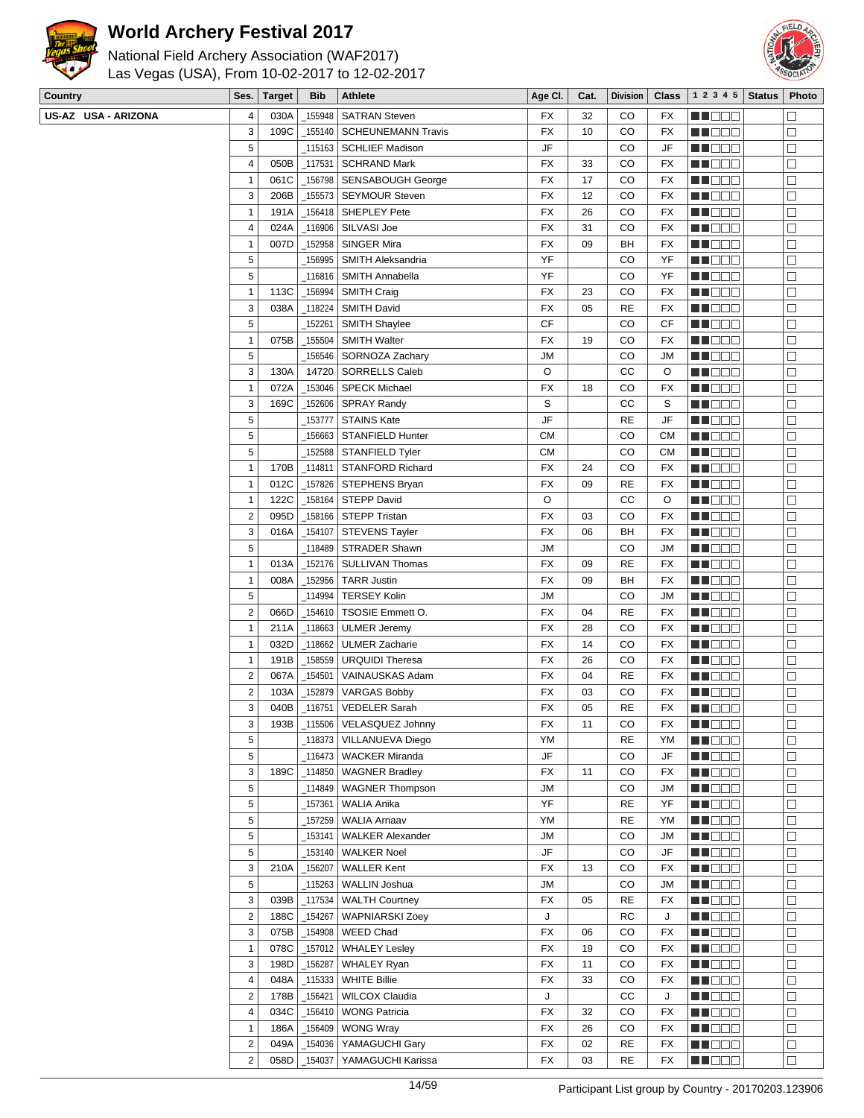

## **World Archery Festival 2017**

# National Field Archery Association (WAF2017)



Las Vegas (USA), From 10-02-2017 to 12-02-2017

| 030A<br>155948<br><b>SATRAN Steven</b><br>CO<br>MA DE L<br>4<br>FX<br>32<br>FX<br>$\overline{\phantom{a}}$<br>109C<br>3<br><b>SCHEUNEMANN Travis</b><br>FX<br>CO<br>MU DO B<br>155140<br>10<br>FX<br>$\Box$<br>5<br>JF<br>115163   SCHLIEF Madison_<br>CO<br>JF<br>MU DO O<br>$\Box$<br>4<br>050B<br>FX<br>CO<br>_117531<br><b>SCHRAND Mark</b><br>33<br>FX<br>NN 888<br>$\Box$<br><b>FX</b><br>061C<br>_156798<br>17<br>CO<br>M D D D<br>$\mathbf{1}$<br><b>SENSABOUGH George</b><br>FX<br>$\Box$<br>3<br>206B<br>_155573 SEYMOUR Steven<br>FX<br>12<br>CO<br>MU DO B<br>FX<br>$\Box$<br>191A<br>_156418   SHEPLEY Pete<br>FX<br>CO<br>MN DO B<br>$\Box$<br>1<br>26<br>FX<br>024A<br>SILVASI Joe<br>FX<br>31<br>CO<br>4<br>_116906<br>FX<br>MA DE L<br>$\Box$<br>007D<br>152958<br>SINGER Mira<br>FX<br><b>HE</b> OOO<br>$\Box$<br>$\mathbf{1}$<br>09<br>BH<br>FX<br>5<br>YF<br>CO<br>_156995<br>SMITH Aleksandria<br>YF<br>M DO O<br>⊐<br>5<br>YF<br>CO<br>MN DO B<br>$\Box$<br>116816<br><b>SMITH Annabella</b><br>YF<br>$\mathbf{1}$<br>FX<br>CO<br>113C<br>156994<br><b>SMITH Craig</b><br>23<br>FX<br>MO DO<br>$\Box$<br><b>FX</b><br>3<br><b>RE</b><br>038A<br>_118224<br><b>SMITH David</b><br>05<br>FX<br><u>Li Sec</u><br>$\Box$<br>5<br><b>CF</b><br>152261<br>CO<br>CF<br>MU DO O<br><b>SMITH Shaylee</b><br>$\Box$<br>$\mathbf{1}$<br>075B<br>$\_155504$<br><b>FX</b><br>CO<br><b>SMITH Walter</b><br>19<br>FX<br>MU O O O<br>$\Box$<br>5<br>_156546<br><b>JM</b><br>CO<br>$\Box$<br>SORNOZA Zachary<br>MN D D O<br>JM<br>3<br>14720   SORRELLS Caleb<br>O<br>СC<br>MA BEL<br>130A<br>O<br>$\Box$<br>072A<br>153046<br><b>SPECK Michael</b><br>CO<br>1<br>FX<br>18<br>FX<br>M DE S<br>S<br>3<br>169C<br><b>SPRAY Randy</b><br>СC<br>MU DO B<br>_152606<br>S<br>$\Box$<br>5<br><b>STAINS Kate</b><br>JF<br><b>RE</b><br>_153777<br>JF<br>MU DO O<br>$\Box$<br>5<br><b>CM</b><br>CO<br>MO DO O<br>$\Box$<br>156663<br>STANFIELD Hunter<br>CМ<br>5<br>СM<br>CO<br>152588 STANFIELD Tyler_<br>CМ<br>MU DO B<br>$\Box$<br>$\mathbf{1}$<br>170B<br>_114811   STANFORD Richard<br>FX<br>CO<br>MU DO B<br>24<br>FX<br>⊐<br>012C<br>_157826   STEPHENS Bryan<br><b>FX</b><br><b>RE</b><br>$\mathbf{1}$<br>09<br>FX<br>N N D D D<br>$\Box$<br>122C<br>O<br>СC<br>$\Box$<br>$\mathbf{1}$<br>_158164   STEPP David<br>O<br>MO DO O<br>$\overline{\mathbf{c}}$<br>095D<br><b>FX</b><br>CO<br>MA DE L<br>$\Box$<br>_158166   STEPP Tristan<br>03<br>FX<br>3<br>016A<br>FX<br>BH<br><b>MA</b> OO O<br>_154107<br>STEVENS Tayler<br>06<br>FX<br>$\Box$<br>5<br>CO<br>118489   STRADER Shawn<br><b>JM</b><br>JM<br>M DO O<br>⊐<br>$\mathbf{1}$<br>013A<br>152176<br>SULLIVAN Thomas<br><b>FX</b><br><b>RE</b><br>09<br>FX<br>MN D D D<br>$\Box$<br>$\mathbf{1}$<br>_152956 TARR Justin<br>FX<br>BH<br>ME DE S<br>$\Box$<br>008A<br>09<br>FX<br>$\sqrt{5}$<br><b>JM</b><br>CO<br>_114994<br><b>TERSEY Kolin</b><br>JM<br>MU DO B<br>$\Box$<br>$\sqrt{2}$<br>_154610   TSOSIE Emmett O.<br>FX<br><b>RE</b><br>MN DO B<br>066D<br>04<br>FX<br>⊐<br>$\mathbf{1}$<br>_118663   ULMER Jeremy<br><b>FX</b><br>28<br>CO<br>211A<br>FX<br>MN D D D<br>$\Box$<br>032D<br>118662<br>MO DO O<br>$\Box$<br>$\mathbf{1}$<br><b>ULMER Zacharie</b><br>FX<br>14<br>CO<br>FX<br>$\mathbf{1}$<br>FX<br>MA DE E<br>191B<br>158559<br><b>URQUIDI Theresa</b><br>26<br>CO<br>FX<br>□<br>$\overline{\mathbf{c}}$<br><b>RE</b><br>067A<br>_154501<br>VAINAUSKAS Adam<br>FX<br>04<br>FX<br>M DO O<br>⊐<br>$\overline{c}$<br>103A<br>FX<br>_152879<br><b>VARGAS Bobby</b><br>03<br>CO<br>FX<br>M DO D<br>⊒<br>3<br>$\Box$<br>040B<br><b>VEDELER Sarah</b><br>FX<br><b>RE</b><br>MO DO O<br>_116751<br>05<br>FX<br>3<br>193B<br>_115506   VELASQUEZ Johnny<br>FX<br>11<br>CO<br>FX<br>MU O O O<br>ப<br>5<br>YM<br>_118373 VILLANUEVA Diego<br><b>RE</b><br>ΥM<br>WO OO U<br>$\Box$<br>5<br>JF<br>_116473   WACKER Miranda<br>CO<br>JF<br>MA O O O<br>⊐<br>3<br>189C<br>_114850   WAGNER Bradley<br>FX<br>CO<br>11<br>FX<br><b>MADDO</b><br>$\Box$<br>5<br><b>JM</b><br>CO<br><b>HE</b> OOO<br>$\Box$<br>114849   WAGNER Thompson<br>JM<br>5<br>YF<br><b>RE</b><br>YF<br>MU DO B<br>$\Box$<br>_157361  <br>WALIA Anika<br>5<br><b>WALIA Arnaav</b><br>YM<br><b>RE</b><br>157259<br>YM<br>MU DO O<br>$\Box$<br>5<br>153141<br><b>WALKER Alexander</b><br><b>JM</b><br>CO<br>JM<br><b>REDDO</b><br>$\Box$<br>5<br>JF<br>_153140  <br><b>WALKER Noel</b><br>CO<br><b>MA</b> OOO<br>$\Box$<br>JF<br>$\sqrt{3}$<br>210A<br>_156207<br><b>WALLER Kent</b><br>FX<br>CO<br>MU O O O<br>$\Box$<br>13<br>FX<br>$\sqrt{5}$<br><b>JM</b><br>CO<br>_115263  <br>WALLIN Joshua<br>JM<br>MA O O O<br>$\Box$<br>3<br>039B<br>117534<br>FX<br><b>RE</b><br>MN OO O<br><b>WALTH Courtney</b><br>FX<br>$\Box$<br>05<br>$\overline{2}$<br>188C<br>154267<br>J<br>RC<br><b>HE</b> DOO<br>$\Box$<br><b>WAPNIARSKI Zoey</b><br>J<br>MU DEL<br>075B<br>_154908<br><b>WEED Chad</b><br>FX<br>CO<br>$\Box$<br>3<br>06<br>FX<br>$\mathbf{1}$<br>078C<br>_157012   WHALEY Lesley<br>FX<br>CO<br>MU DO B<br>□<br>19<br>FX<br>3<br>198D<br>156287<br>FX<br>CO<br><b>WHALEY Ryan</b><br>11<br>FX<br><b>RECOR</b><br>$\Box$<br>4<br>048A<br>115333<br><b>WHITE Billie</b><br>FX<br>33<br>CO<br><b>MADDO</b><br>$\Box$<br>FX<br>$\overline{2}$<br>CC<br>178B<br>156421<br>WILCOX Claudia<br>J<br>MU O O O<br>J<br>$\Box$<br>MU DO B<br>034C<br>156410<br><b>WONG Patricia</b><br>FX<br>CO<br>$\Box$<br>4<br>32<br>FX<br><b>FX</b><br>$\mathbf{1}$<br>_156409   WONG Wray<br>CO<br>186A<br>26<br>FX<br>NN O O O<br>$\Box$<br>$\overline{\mathbf{c}}$<br>049A<br>_154036   YAMAGUCHI Gary<br>FX<br>02<br><b>RE</b><br><b>MARGE</b><br>FX<br>$\Box$<br>$\overline{2}$<br>_154037   YAMAGUCHI Karissa<br>П | Country             | Ses. | <b>Target</b> | <b>Bib</b> | Athlete | Age CI. | Cat. | <b>Division</b> | <b>Class</b> | 1 2 3 4 5    | <b>Status</b> | Photo |
|----------------------------------------------------------------------------------------------------------------------------------------------------------------------------------------------------------------------------------------------------------------------------------------------------------------------------------------------------------------------------------------------------------------------------------------------------------------------------------------------------------------------------------------------------------------------------------------------------------------------------------------------------------------------------------------------------------------------------------------------------------------------------------------------------------------------------------------------------------------------------------------------------------------------------------------------------------------------------------------------------------------------------------------------------------------------------------------------------------------------------------------------------------------------------------------------------------------------------------------------------------------------------------------------------------------------------------------------------------------------------------------------------------------------------------------------------------------------------------------------------------------------------------------------------------------------------------------------------------------------------------------------------------------------------------------------------------------------------------------------------------------------------------------------------------------------------------------------------------------------------------------------------------------------------------------------------------------------------------------------------------------------------------------------------------------------------------------------------------------------------------------------------------------------------------------------------------------------------------------------------------------------------------------------------------------------------------------------------------------------------------------------------------------------------------------------------------------------------------------------------------------------------------------------------------------------------------------------------------------------------------------------------------------------------------------------------------------------------------------------------------------------------------------------------------------------------------------------------------------------------------------------------------------------------------------------------------------------------------------------------------------------------------------------------------------------------------------------------------------------------------------------------------------------------------------------------------------------------------------------------------------------------------------------------------------------------------------------------------------------------------------------------------------------------------------------------------------------------------------------------------------------------------------------------------------------------------------------------------------------------------------------------------------------------------------------------------------------------------------------------------------------------------------------------------------------------------------------------------------------------------------------------------------------------------------------------------------------------------------------------------------------------------------------------------------------------------------------------------------------------------------------------------------------------------------------------------------------------------------------------------------------------------------------------------------------------------------------------------------------------------------------------------------------------------------------------------------------------------------------------------------------------------------------------------------------------------------------------------------------------------------------------------------------------------------------------------------------------------------------------------------------------------------------------------------------------------------------------------------------------------------------------------------------------------------------------------------------------------------------------------------------------------------------------------------------------------------------------------------------------------------------------------------------------------------------------------------------------------------------------------------------------------------------------------------------------------------------------------------------------------------------------------------------------------------------------------------------------------------------------------------------------------------------------------------------------------------------------------------------------------------------------------------------------------------------------------------------------------------|---------------------|------|---------------|------------|---------|---------|------|-----------------|--------------|--------------|---------------|-------|
|                                                                                                                                                                                                                                                                                                                                                                                                                                                                                                                                                                                                                                                                                                                                                                                                                                                                                                                                                                                                                                                                                                                                                                                                                                                                                                                                                                                                                                                                                                                                                                                                                                                                                                                                                                                                                                                                                                                                                                                                                                                                                                                                                                                                                                                                                                                                                                                                                                                                                                                                                                                                                                                                                                                                                                                                                                                                                                                                                                                                                                                                                                                                                                                                                                                                                                                                                                                                                                                                                                                                                                                                                                                                                                                                                                                                                                                                                                                                                                                                                                                                                                                                                                                                                                                                                                                                                                                                                                                                                                                                                                                                                                                                                                                                                                                                                                                                                                                                                                                                                                                                                                                                                                                                                                                                                                                                                                                                                                                                                                                                                                                                                                                                                                                                        | US-AZ USA - ARIZONA |      |               |            |         |         |      |                 |              |              |               |       |
|                                                                                                                                                                                                                                                                                                                                                                                                                                                                                                                                                                                                                                                                                                                                                                                                                                                                                                                                                                                                                                                                                                                                                                                                                                                                                                                                                                                                                                                                                                                                                                                                                                                                                                                                                                                                                                                                                                                                                                                                                                                                                                                                                                                                                                                                                                                                                                                                                                                                                                                                                                                                                                                                                                                                                                                                                                                                                                                                                                                                                                                                                                                                                                                                                                                                                                                                                                                                                                                                                                                                                                                                                                                                                                                                                                                                                                                                                                                                                                                                                                                                                                                                                                                                                                                                                                                                                                                                                                                                                                                                                                                                                                                                                                                                                                                                                                                                                                                                                                                                                                                                                                                                                                                                                                                                                                                                                                                                                                                                                                                                                                                                                                                                                                                                        |                     |      |               |            |         |         |      |                 |              |              |               |       |
|                                                                                                                                                                                                                                                                                                                                                                                                                                                                                                                                                                                                                                                                                                                                                                                                                                                                                                                                                                                                                                                                                                                                                                                                                                                                                                                                                                                                                                                                                                                                                                                                                                                                                                                                                                                                                                                                                                                                                                                                                                                                                                                                                                                                                                                                                                                                                                                                                                                                                                                                                                                                                                                                                                                                                                                                                                                                                                                                                                                                                                                                                                                                                                                                                                                                                                                                                                                                                                                                                                                                                                                                                                                                                                                                                                                                                                                                                                                                                                                                                                                                                                                                                                                                                                                                                                                                                                                                                                                                                                                                                                                                                                                                                                                                                                                                                                                                                                                                                                                                                                                                                                                                                                                                                                                                                                                                                                                                                                                                                                                                                                                                                                                                                                                                        |                     |      |               |            |         |         |      |                 |              |              |               |       |
|                                                                                                                                                                                                                                                                                                                                                                                                                                                                                                                                                                                                                                                                                                                                                                                                                                                                                                                                                                                                                                                                                                                                                                                                                                                                                                                                                                                                                                                                                                                                                                                                                                                                                                                                                                                                                                                                                                                                                                                                                                                                                                                                                                                                                                                                                                                                                                                                                                                                                                                                                                                                                                                                                                                                                                                                                                                                                                                                                                                                                                                                                                                                                                                                                                                                                                                                                                                                                                                                                                                                                                                                                                                                                                                                                                                                                                                                                                                                                                                                                                                                                                                                                                                                                                                                                                                                                                                                                                                                                                                                                                                                                                                                                                                                                                                                                                                                                                                                                                                                                                                                                                                                                                                                                                                                                                                                                                                                                                                                                                                                                                                                                                                                                                                                        |                     |      |               |            |         |         |      |                 |              |              |               |       |
|                                                                                                                                                                                                                                                                                                                                                                                                                                                                                                                                                                                                                                                                                                                                                                                                                                                                                                                                                                                                                                                                                                                                                                                                                                                                                                                                                                                                                                                                                                                                                                                                                                                                                                                                                                                                                                                                                                                                                                                                                                                                                                                                                                                                                                                                                                                                                                                                                                                                                                                                                                                                                                                                                                                                                                                                                                                                                                                                                                                                                                                                                                                                                                                                                                                                                                                                                                                                                                                                                                                                                                                                                                                                                                                                                                                                                                                                                                                                                                                                                                                                                                                                                                                                                                                                                                                                                                                                                                                                                                                                                                                                                                                                                                                                                                                                                                                                                                                                                                                                                                                                                                                                                                                                                                                                                                                                                                                                                                                                                                                                                                                                                                                                                                                                        |                     |      |               |            |         |         |      |                 |              |              |               |       |
|                                                                                                                                                                                                                                                                                                                                                                                                                                                                                                                                                                                                                                                                                                                                                                                                                                                                                                                                                                                                                                                                                                                                                                                                                                                                                                                                                                                                                                                                                                                                                                                                                                                                                                                                                                                                                                                                                                                                                                                                                                                                                                                                                                                                                                                                                                                                                                                                                                                                                                                                                                                                                                                                                                                                                                                                                                                                                                                                                                                                                                                                                                                                                                                                                                                                                                                                                                                                                                                                                                                                                                                                                                                                                                                                                                                                                                                                                                                                                                                                                                                                                                                                                                                                                                                                                                                                                                                                                                                                                                                                                                                                                                                                                                                                                                                                                                                                                                                                                                                                                                                                                                                                                                                                                                                                                                                                                                                                                                                                                                                                                                                                                                                                                                                                        |                     |      |               |            |         |         |      |                 |              |              |               |       |
|                                                                                                                                                                                                                                                                                                                                                                                                                                                                                                                                                                                                                                                                                                                                                                                                                                                                                                                                                                                                                                                                                                                                                                                                                                                                                                                                                                                                                                                                                                                                                                                                                                                                                                                                                                                                                                                                                                                                                                                                                                                                                                                                                                                                                                                                                                                                                                                                                                                                                                                                                                                                                                                                                                                                                                                                                                                                                                                                                                                                                                                                                                                                                                                                                                                                                                                                                                                                                                                                                                                                                                                                                                                                                                                                                                                                                                                                                                                                                                                                                                                                                                                                                                                                                                                                                                                                                                                                                                                                                                                                                                                                                                                                                                                                                                                                                                                                                                                                                                                                                                                                                                                                                                                                                                                                                                                                                                                                                                                                                                                                                                                                                                                                                                                                        |                     |      |               |            |         |         |      |                 |              |              |               |       |
|                                                                                                                                                                                                                                                                                                                                                                                                                                                                                                                                                                                                                                                                                                                                                                                                                                                                                                                                                                                                                                                                                                                                                                                                                                                                                                                                                                                                                                                                                                                                                                                                                                                                                                                                                                                                                                                                                                                                                                                                                                                                                                                                                                                                                                                                                                                                                                                                                                                                                                                                                                                                                                                                                                                                                                                                                                                                                                                                                                                                                                                                                                                                                                                                                                                                                                                                                                                                                                                                                                                                                                                                                                                                                                                                                                                                                                                                                                                                                                                                                                                                                                                                                                                                                                                                                                                                                                                                                                                                                                                                                                                                                                                                                                                                                                                                                                                                                                                                                                                                                                                                                                                                                                                                                                                                                                                                                                                                                                                                                                                                                                                                                                                                                                                                        |                     |      |               |            |         |         |      |                 |              |              |               |       |
|                                                                                                                                                                                                                                                                                                                                                                                                                                                                                                                                                                                                                                                                                                                                                                                                                                                                                                                                                                                                                                                                                                                                                                                                                                                                                                                                                                                                                                                                                                                                                                                                                                                                                                                                                                                                                                                                                                                                                                                                                                                                                                                                                                                                                                                                                                                                                                                                                                                                                                                                                                                                                                                                                                                                                                                                                                                                                                                                                                                                                                                                                                                                                                                                                                                                                                                                                                                                                                                                                                                                                                                                                                                                                                                                                                                                                                                                                                                                                                                                                                                                                                                                                                                                                                                                                                                                                                                                                                                                                                                                                                                                                                                                                                                                                                                                                                                                                                                                                                                                                                                                                                                                                                                                                                                                                                                                                                                                                                                                                                                                                                                                                                                                                                                                        |                     |      |               |            |         |         |      |                 |              |              |               |       |
|                                                                                                                                                                                                                                                                                                                                                                                                                                                                                                                                                                                                                                                                                                                                                                                                                                                                                                                                                                                                                                                                                                                                                                                                                                                                                                                                                                                                                                                                                                                                                                                                                                                                                                                                                                                                                                                                                                                                                                                                                                                                                                                                                                                                                                                                                                                                                                                                                                                                                                                                                                                                                                                                                                                                                                                                                                                                                                                                                                                                                                                                                                                                                                                                                                                                                                                                                                                                                                                                                                                                                                                                                                                                                                                                                                                                                                                                                                                                                                                                                                                                                                                                                                                                                                                                                                                                                                                                                                                                                                                                                                                                                                                                                                                                                                                                                                                                                                                                                                                                                                                                                                                                                                                                                                                                                                                                                                                                                                                                                                                                                                                                                                                                                                                                        |                     |      |               |            |         |         |      |                 |              |              |               |       |
|                                                                                                                                                                                                                                                                                                                                                                                                                                                                                                                                                                                                                                                                                                                                                                                                                                                                                                                                                                                                                                                                                                                                                                                                                                                                                                                                                                                                                                                                                                                                                                                                                                                                                                                                                                                                                                                                                                                                                                                                                                                                                                                                                                                                                                                                                                                                                                                                                                                                                                                                                                                                                                                                                                                                                                                                                                                                                                                                                                                                                                                                                                                                                                                                                                                                                                                                                                                                                                                                                                                                                                                                                                                                                                                                                                                                                                                                                                                                                                                                                                                                                                                                                                                                                                                                                                                                                                                                                                                                                                                                                                                                                                                                                                                                                                                                                                                                                                                                                                                                                                                                                                                                                                                                                                                                                                                                                                                                                                                                                                                                                                                                                                                                                                                                        |                     |      |               |            |         |         |      |                 |              |              |               |       |
|                                                                                                                                                                                                                                                                                                                                                                                                                                                                                                                                                                                                                                                                                                                                                                                                                                                                                                                                                                                                                                                                                                                                                                                                                                                                                                                                                                                                                                                                                                                                                                                                                                                                                                                                                                                                                                                                                                                                                                                                                                                                                                                                                                                                                                                                                                                                                                                                                                                                                                                                                                                                                                                                                                                                                                                                                                                                                                                                                                                                                                                                                                                                                                                                                                                                                                                                                                                                                                                                                                                                                                                                                                                                                                                                                                                                                                                                                                                                                                                                                                                                                                                                                                                                                                                                                                                                                                                                                                                                                                                                                                                                                                                                                                                                                                                                                                                                                                                                                                                                                                                                                                                                                                                                                                                                                                                                                                                                                                                                                                                                                                                                                                                                                                                                        |                     |      |               |            |         |         |      |                 |              |              |               |       |
|                                                                                                                                                                                                                                                                                                                                                                                                                                                                                                                                                                                                                                                                                                                                                                                                                                                                                                                                                                                                                                                                                                                                                                                                                                                                                                                                                                                                                                                                                                                                                                                                                                                                                                                                                                                                                                                                                                                                                                                                                                                                                                                                                                                                                                                                                                                                                                                                                                                                                                                                                                                                                                                                                                                                                                                                                                                                                                                                                                                                                                                                                                                                                                                                                                                                                                                                                                                                                                                                                                                                                                                                                                                                                                                                                                                                                                                                                                                                                                                                                                                                                                                                                                                                                                                                                                                                                                                                                                                                                                                                                                                                                                                                                                                                                                                                                                                                                                                                                                                                                                                                                                                                                                                                                                                                                                                                                                                                                                                                                                                                                                                                                                                                                                                                        |                     |      |               |            |         |         |      |                 |              |              |               |       |
|                                                                                                                                                                                                                                                                                                                                                                                                                                                                                                                                                                                                                                                                                                                                                                                                                                                                                                                                                                                                                                                                                                                                                                                                                                                                                                                                                                                                                                                                                                                                                                                                                                                                                                                                                                                                                                                                                                                                                                                                                                                                                                                                                                                                                                                                                                                                                                                                                                                                                                                                                                                                                                                                                                                                                                                                                                                                                                                                                                                                                                                                                                                                                                                                                                                                                                                                                                                                                                                                                                                                                                                                                                                                                                                                                                                                                                                                                                                                                                                                                                                                                                                                                                                                                                                                                                                                                                                                                                                                                                                                                                                                                                                                                                                                                                                                                                                                                                                                                                                                                                                                                                                                                                                                                                                                                                                                                                                                                                                                                                                                                                                                                                                                                                                                        |                     |      |               |            |         |         |      |                 |              |              |               |       |
|                                                                                                                                                                                                                                                                                                                                                                                                                                                                                                                                                                                                                                                                                                                                                                                                                                                                                                                                                                                                                                                                                                                                                                                                                                                                                                                                                                                                                                                                                                                                                                                                                                                                                                                                                                                                                                                                                                                                                                                                                                                                                                                                                                                                                                                                                                                                                                                                                                                                                                                                                                                                                                                                                                                                                                                                                                                                                                                                                                                                                                                                                                                                                                                                                                                                                                                                                                                                                                                                                                                                                                                                                                                                                                                                                                                                                                                                                                                                                                                                                                                                                                                                                                                                                                                                                                                                                                                                                                                                                                                                                                                                                                                                                                                                                                                                                                                                                                                                                                                                                                                                                                                                                                                                                                                                                                                                                                                                                                                                                                                                                                                                                                                                                                                                        |                     |      |               |            |         |         |      |                 |              |              |               |       |
|                                                                                                                                                                                                                                                                                                                                                                                                                                                                                                                                                                                                                                                                                                                                                                                                                                                                                                                                                                                                                                                                                                                                                                                                                                                                                                                                                                                                                                                                                                                                                                                                                                                                                                                                                                                                                                                                                                                                                                                                                                                                                                                                                                                                                                                                                                                                                                                                                                                                                                                                                                                                                                                                                                                                                                                                                                                                                                                                                                                                                                                                                                                                                                                                                                                                                                                                                                                                                                                                                                                                                                                                                                                                                                                                                                                                                                                                                                                                                                                                                                                                                                                                                                                                                                                                                                                                                                                                                                                                                                                                                                                                                                                                                                                                                                                                                                                                                                                                                                                                                                                                                                                                                                                                                                                                                                                                                                                                                                                                                                                                                                                                                                                                                                                                        |                     |      |               |            |         |         |      |                 |              |              |               |       |
|                                                                                                                                                                                                                                                                                                                                                                                                                                                                                                                                                                                                                                                                                                                                                                                                                                                                                                                                                                                                                                                                                                                                                                                                                                                                                                                                                                                                                                                                                                                                                                                                                                                                                                                                                                                                                                                                                                                                                                                                                                                                                                                                                                                                                                                                                                                                                                                                                                                                                                                                                                                                                                                                                                                                                                                                                                                                                                                                                                                                                                                                                                                                                                                                                                                                                                                                                                                                                                                                                                                                                                                                                                                                                                                                                                                                                                                                                                                                                                                                                                                                                                                                                                                                                                                                                                                                                                                                                                                                                                                                                                                                                                                                                                                                                                                                                                                                                                                                                                                                                                                                                                                                                                                                                                                                                                                                                                                                                                                                                                                                                                                                                                                                                                                                        |                     |      |               |            |         |         |      |                 |              |              |               |       |
|                                                                                                                                                                                                                                                                                                                                                                                                                                                                                                                                                                                                                                                                                                                                                                                                                                                                                                                                                                                                                                                                                                                                                                                                                                                                                                                                                                                                                                                                                                                                                                                                                                                                                                                                                                                                                                                                                                                                                                                                                                                                                                                                                                                                                                                                                                                                                                                                                                                                                                                                                                                                                                                                                                                                                                                                                                                                                                                                                                                                                                                                                                                                                                                                                                                                                                                                                                                                                                                                                                                                                                                                                                                                                                                                                                                                                                                                                                                                                                                                                                                                                                                                                                                                                                                                                                                                                                                                                                                                                                                                                                                                                                                                                                                                                                                                                                                                                                                                                                                                                                                                                                                                                                                                                                                                                                                                                                                                                                                                                                                                                                                                                                                                                                                                        |                     |      |               |            |         |         |      |                 |              |              |               |       |
|                                                                                                                                                                                                                                                                                                                                                                                                                                                                                                                                                                                                                                                                                                                                                                                                                                                                                                                                                                                                                                                                                                                                                                                                                                                                                                                                                                                                                                                                                                                                                                                                                                                                                                                                                                                                                                                                                                                                                                                                                                                                                                                                                                                                                                                                                                                                                                                                                                                                                                                                                                                                                                                                                                                                                                                                                                                                                                                                                                                                                                                                                                                                                                                                                                                                                                                                                                                                                                                                                                                                                                                                                                                                                                                                                                                                                                                                                                                                                                                                                                                                                                                                                                                                                                                                                                                                                                                                                                                                                                                                                                                                                                                                                                                                                                                                                                                                                                                                                                                                                                                                                                                                                                                                                                                                                                                                                                                                                                                                                                                                                                                                                                                                                                                                        |                     |      |               |            |         |         |      |                 |              |              |               |       |
|                                                                                                                                                                                                                                                                                                                                                                                                                                                                                                                                                                                                                                                                                                                                                                                                                                                                                                                                                                                                                                                                                                                                                                                                                                                                                                                                                                                                                                                                                                                                                                                                                                                                                                                                                                                                                                                                                                                                                                                                                                                                                                                                                                                                                                                                                                                                                                                                                                                                                                                                                                                                                                                                                                                                                                                                                                                                                                                                                                                                                                                                                                                                                                                                                                                                                                                                                                                                                                                                                                                                                                                                                                                                                                                                                                                                                                                                                                                                                                                                                                                                                                                                                                                                                                                                                                                                                                                                                                                                                                                                                                                                                                                                                                                                                                                                                                                                                                                                                                                                                                                                                                                                                                                                                                                                                                                                                                                                                                                                                                                                                                                                                                                                                                                                        |                     |      |               |            |         |         |      |                 |              |              |               |       |
|                                                                                                                                                                                                                                                                                                                                                                                                                                                                                                                                                                                                                                                                                                                                                                                                                                                                                                                                                                                                                                                                                                                                                                                                                                                                                                                                                                                                                                                                                                                                                                                                                                                                                                                                                                                                                                                                                                                                                                                                                                                                                                                                                                                                                                                                                                                                                                                                                                                                                                                                                                                                                                                                                                                                                                                                                                                                                                                                                                                                                                                                                                                                                                                                                                                                                                                                                                                                                                                                                                                                                                                                                                                                                                                                                                                                                                                                                                                                                                                                                                                                                                                                                                                                                                                                                                                                                                                                                                                                                                                                                                                                                                                                                                                                                                                                                                                                                                                                                                                                                                                                                                                                                                                                                                                                                                                                                                                                                                                                                                                                                                                                                                                                                                                                        |                     |      |               |            |         |         |      |                 |              |              |               |       |
|                                                                                                                                                                                                                                                                                                                                                                                                                                                                                                                                                                                                                                                                                                                                                                                                                                                                                                                                                                                                                                                                                                                                                                                                                                                                                                                                                                                                                                                                                                                                                                                                                                                                                                                                                                                                                                                                                                                                                                                                                                                                                                                                                                                                                                                                                                                                                                                                                                                                                                                                                                                                                                                                                                                                                                                                                                                                                                                                                                                                                                                                                                                                                                                                                                                                                                                                                                                                                                                                                                                                                                                                                                                                                                                                                                                                                                                                                                                                                                                                                                                                                                                                                                                                                                                                                                                                                                                                                                                                                                                                                                                                                                                                                                                                                                                                                                                                                                                                                                                                                                                                                                                                                                                                                                                                                                                                                                                                                                                                                                                                                                                                                                                                                                                                        |                     |      |               |            |         |         |      |                 |              |              |               |       |
|                                                                                                                                                                                                                                                                                                                                                                                                                                                                                                                                                                                                                                                                                                                                                                                                                                                                                                                                                                                                                                                                                                                                                                                                                                                                                                                                                                                                                                                                                                                                                                                                                                                                                                                                                                                                                                                                                                                                                                                                                                                                                                                                                                                                                                                                                                                                                                                                                                                                                                                                                                                                                                                                                                                                                                                                                                                                                                                                                                                                                                                                                                                                                                                                                                                                                                                                                                                                                                                                                                                                                                                                                                                                                                                                                                                                                                                                                                                                                                                                                                                                                                                                                                                                                                                                                                                                                                                                                                                                                                                                                                                                                                                                                                                                                                                                                                                                                                                                                                                                                                                                                                                                                                                                                                                                                                                                                                                                                                                                                                                                                                                                                                                                                                                                        |                     |      |               |            |         |         |      |                 |              |              |               |       |
|                                                                                                                                                                                                                                                                                                                                                                                                                                                                                                                                                                                                                                                                                                                                                                                                                                                                                                                                                                                                                                                                                                                                                                                                                                                                                                                                                                                                                                                                                                                                                                                                                                                                                                                                                                                                                                                                                                                                                                                                                                                                                                                                                                                                                                                                                                                                                                                                                                                                                                                                                                                                                                                                                                                                                                                                                                                                                                                                                                                                                                                                                                                                                                                                                                                                                                                                                                                                                                                                                                                                                                                                                                                                                                                                                                                                                                                                                                                                                                                                                                                                                                                                                                                                                                                                                                                                                                                                                                                                                                                                                                                                                                                                                                                                                                                                                                                                                                                                                                                                                                                                                                                                                                                                                                                                                                                                                                                                                                                                                                                                                                                                                                                                                                                                        |                     |      |               |            |         |         |      |                 |              |              |               |       |
|                                                                                                                                                                                                                                                                                                                                                                                                                                                                                                                                                                                                                                                                                                                                                                                                                                                                                                                                                                                                                                                                                                                                                                                                                                                                                                                                                                                                                                                                                                                                                                                                                                                                                                                                                                                                                                                                                                                                                                                                                                                                                                                                                                                                                                                                                                                                                                                                                                                                                                                                                                                                                                                                                                                                                                                                                                                                                                                                                                                                                                                                                                                                                                                                                                                                                                                                                                                                                                                                                                                                                                                                                                                                                                                                                                                                                                                                                                                                                                                                                                                                                                                                                                                                                                                                                                                                                                                                                                                                                                                                                                                                                                                                                                                                                                                                                                                                                                                                                                                                                                                                                                                                                                                                                                                                                                                                                                                                                                                                                                                                                                                                                                                                                                                                        |                     |      |               |            |         |         |      |                 |              |              |               |       |
|                                                                                                                                                                                                                                                                                                                                                                                                                                                                                                                                                                                                                                                                                                                                                                                                                                                                                                                                                                                                                                                                                                                                                                                                                                                                                                                                                                                                                                                                                                                                                                                                                                                                                                                                                                                                                                                                                                                                                                                                                                                                                                                                                                                                                                                                                                                                                                                                                                                                                                                                                                                                                                                                                                                                                                                                                                                                                                                                                                                                                                                                                                                                                                                                                                                                                                                                                                                                                                                                                                                                                                                                                                                                                                                                                                                                                                                                                                                                                                                                                                                                                                                                                                                                                                                                                                                                                                                                                                                                                                                                                                                                                                                                                                                                                                                                                                                                                                                                                                                                                                                                                                                                                                                                                                                                                                                                                                                                                                                                                                                                                                                                                                                                                                                                        |                     |      |               |            |         |         |      |                 |              |              |               |       |
|                                                                                                                                                                                                                                                                                                                                                                                                                                                                                                                                                                                                                                                                                                                                                                                                                                                                                                                                                                                                                                                                                                                                                                                                                                                                                                                                                                                                                                                                                                                                                                                                                                                                                                                                                                                                                                                                                                                                                                                                                                                                                                                                                                                                                                                                                                                                                                                                                                                                                                                                                                                                                                                                                                                                                                                                                                                                                                                                                                                                                                                                                                                                                                                                                                                                                                                                                                                                                                                                                                                                                                                                                                                                                                                                                                                                                                                                                                                                                                                                                                                                                                                                                                                                                                                                                                                                                                                                                                                                                                                                                                                                                                                                                                                                                                                                                                                                                                                                                                                                                                                                                                                                                                                                                                                                                                                                                                                                                                                                                                                                                                                                                                                                                                                                        |                     |      |               |            |         |         |      |                 |              |              |               |       |
|                                                                                                                                                                                                                                                                                                                                                                                                                                                                                                                                                                                                                                                                                                                                                                                                                                                                                                                                                                                                                                                                                                                                                                                                                                                                                                                                                                                                                                                                                                                                                                                                                                                                                                                                                                                                                                                                                                                                                                                                                                                                                                                                                                                                                                                                                                                                                                                                                                                                                                                                                                                                                                                                                                                                                                                                                                                                                                                                                                                                                                                                                                                                                                                                                                                                                                                                                                                                                                                                                                                                                                                                                                                                                                                                                                                                                                                                                                                                                                                                                                                                                                                                                                                                                                                                                                                                                                                                                                                                                                                                                                                                                                                                                                                                                                                                                                                                                                                                                                                                                                                                                                                                                                                                                                                                                                                                                                                                                                                                                                                                                                                                                                                                                                                                        |                     |      |               |            |         |         |      |                 |              |              |               |       |
|                                                                                                                                                                                                                                                                                                                                                                                                                                                                                                                                                                                                                                                                                                                                                                                                                                                                                                                                                                                                                                                                                                                                                                                                                                                                                                                                                                                                                                                                                                                                                                                                                                                                                                                                                                                                                                                                                                                                                                                                                                                                                                                                                                                                                                                                                                                                                                                                                                                                                                                                                                                                                                                                                                                                                                                                                                                                                                                                                                                                                                                                                                                                                                                                                                                                                                                                                                                                                                                                                                                                                                                                                                                                                                                                                                                                                                                                                                                                                                                                                                                                                                                                                                                                                                                                                                                                                                                                                                                                                                                                                                                                                                                                                                                                                                                                                                                                                                                                                                                                                                                                                                                                                                                                                                                                                                                                                                                                                                                                                                                                                                                                                                                                                                                                        |                     |      |               |            |         |         |      |                 |              |              |               |       |
|                                                                                                                                                                                                                                                                                                                                                                                                                                                                                                                                                                                                                                                                                                                                                                                                                                                                                                                                                                                                                                                                                                                                                                                                                                                                                                                                                                                                                                                                                                                                                                                                                                                                                                                                                                                                                                                                                                                                                                                                                                                                                                                                                                                                                                                                                                                                                                                                                                                                                                                                                                                                                                                                                                                                                                                                                                                                                                                                                                                                                                                                                                                                                                                                                                                                                                                                                                                                                                                                                                                                                                                                                                                                                                                                                                                                                                                                                                                                                                                                                                                                                                                                                                                                                                                                                                                                                                                                                                                                                                                                                                                                                                                                                                                                                                                                                                                                                                                                                                                                                                                                                                                                                                                                                                                                                                                                                                                                                                                                                                                                                                                                                                                                                                                                        |                     |      |               |            |         |         |      |                 |              |              |               |       |
|                                                                                                                                                                                                                                                                                                                                                                                                                                                                                                                                                                                                                                                                                                                                                                                                                                                                                                                                                                                                                                                                                                                                                                                                                                                                                                                                                                                                                                                                                                                                                                                                                                                                                                                                                                                                                                                                                                                                                                                                                                                                                                                                                                                                                                                                                                                                                                                                                                                                                                                                                                                                                                                                                                                                                                                                                                                                                                                                                                                                                                                                                                                                                                                                                                                                                                                                                                                                                                                                                                                                                                                                                                                                                                                                                                                                                                                                                                                                                                                                                                                                                                                                                                                                                                                                                                                                                                                                                                                                                                                                                                                                                                                                                                                                                                                                                                                                                                                                                                                                                                                                                                                                                                                                                                                                                                                                                                                                                                                                                                                                                                                                                                                                                                                                        |                     |      |               |            |         |         |      |                 |              |              |               |       |
|                                                                                                                                                                                                                                                                                                                                                                                                                                                                                                                                                                                                                                                                                                                                                                                                                                                                                                                                                                                                                                                                                                                                                                                                                                                                                                                                                                                                                                                                                                                                                                                                                                                                                                                                                                                                                                                                                                                                                                                                                                                                                                                                                                                                                                                                                                                                                                                                                                                                                                                                                                                                                                                                                                                                                                                                                                                                                                                                                                                                                                                                                                                                                                                                                                                                                                                                                                                                                                                                                                                                                                                                                                                                                                                                                                                                                                                                                                                                                                                                                                                                                                                                                                                                                                                                                                                                                                                                                                                                                                                                                                                                                                                                                                                                                                                                                                                                                                                                                                                                                                                                                                                                                                                                                                                                                                                                                                                                                                                                                                                                                                                                                                                                                                                                        |                     |      |               |            |         |         |      |                 |              |              |               |       |
|                                                                                                                                                                                                                                                                                                                                                                                                                                                                                                                                                                                                                                                                                                                                                                                                                                                                                                                                                                                                                                                                                                                                                                                                                                                                                                                                                                                                                                                                                                                                                                                                                                                                                                                                                                                                                                                                                                                                                                                                                                                                                                                                                                                                                                                                                                                                                                                                                                                                                                                                                                                                                                                                                                                                                                                                                                                                                                                                                                                                                                                                                                                                                                                                                                                                                                                                                                                                                                                                                                                                                                                                                                                                                                                                                                                                                                                                                                                                                                                                                                                                                                                                                                                                                                                                                                                                                                                                                                                                                                                                                                                                                                                                                                                                                                                                                                                                                                                                                                                                                                                                                                                                                                                                                                                                                                                                                                                                                                                                                                                                                                                                                                                                                                                                        |                     |      |               |            |         |         |      |                 |              |              |               |       |
|                                                                                                                                                                                                                                                                                                                                                                                                                                                                                                                                                                                                                                                                                                                                                                                                                                                                                                                                                                                                                                                                                                                                                                                                                                                                                                                                                                                                                                                                                                                                                                                                                                                                                                                                                                                                                                                                                                                                                                                                                                                                                                                                                                                                                                                                                                                                                                                                                                                                                                                                                                                                                                                                                                                                                                                                                                                                                                                                                                                                                                                                                                                                                                                                                                                                                                                                                                                                                                                                                                                                                                                                                                                                                                                                                                                                                                                                                                                                                                                                                                                                                                                                                                                                                                                                                                                                                                                                                                                                                                                                                                                                                                                                                                                                                                                                                                                                                                                                                                                                                                                                                                                                                                                                                                                                                                                                                                                                                                                                                                                                                                                                                                                                                                                                        |                     |      |               |            |         |         |      |                 |              |              |               |       |
|                                                                                                                                                                                                                                                                                                                                                                                                                                                                                                                                                                                                                                                                                                                                                                                                                                                                                                                                                                                                                                                                                                                                                                                                                                                                                                                                                                                                                                                                                                                                                                                                                                                                                                                                                                                                                                                                                                                                                                                                                                                                                                                                                                                                                                                                                                                                                                                                                                                                                                                                                                                                                                                                                                                                                                                                                                                                                                                                                                                                                                                                                                                                                                                                                                                                                                                                                                                                                                                                                                                                                                                                                                                                                                                                                                                                                                                                                                                                                                                                                                                                                                                                                                                                                                                                                                                                                                                                                                                                                                                                                                                                                                                                                                                                                                                                                                                                                                                                                                                                                                                                                                                                                                                                                                                                                                                                                                                                                                                                                                                                                                                                                                                                                                                                        |                     |      |               |            |         |         |      |                 |              |              |               |       |
|                                                                                                                                                                                                                                                                                                                                                                                                                                                                                                                                                                                                                                                                                                                                                                                                                                                                                                                                                                                                                                                                                                                                                                                                                                                                                                                                                                                                                                                                                                                                                                                                                                                                                                                                                                                                                                                                                                                                                                                                                                                                                                                                                                                                                                                                                                                                                                                                                                                                                                                                                                                                                                                                                                                                                                                                                                                                                                                                                                                                                                                                                                                                                                                                                                                                                                                                                                                                                                                                                                                                                                                                                                                                                                                                                                                                                                                                                                                                                                                                                                                                                                                                                                                                                                                                                                                                                                                                                                                                                                                                                                                                                                                                                                                                                                                                                                                                                                                                                                                                                                                                                                                                                                                                                                                                                                                                                                                                                                                                                                                                                                                                                                                                                                                                        |                     |      |               |            |         |         |      |                 |              |              |               |       |
|                                                                                                                                                                                                                                                                                                                                                                                                                                                                                                                                                                                                                                                                                                                                                                                                                                                                                                                                                                                                                                                                                                                                                                                                                                                                                                                                                                                                                                                                                                                                                                                                                                                                                                                                                                                                                                                                                                                                                                                                                                                                                                                                                                                                                                                                                                                                                                                                                                                                                                                                                                                                                                                                                                                                                                                                                                                                                                                                                                                                                                                                                                                                                                                                                                                                                                                                                                                                                                                                                                                                                                                                                                                                                                                                                                                                                                                                                                                                                                                                                                                                                                                                                                                                                                                                                                                                                                                                                                                                                                                                                                                                                                                                                                                                                                                                                                                                                                                                                                                                                                                                                                                                                                                                                                                                                                                                                                                                                                                                                                                                                                                                                                                                                                                                        |                     |      |               |            |         |         |      |                 |              |              |               |       |
|                                                                                                                                                                                                                                                                                                                                                                                                                                                                                                                                                                                                                                                                                                                                                                                                                                                                                                                                                                                                                                                                                                                                                                                                                                                                                                                                                                                                                                                                                                                                                                                                                                                                                                                                                                                                                                                                                                                                                                                                                                                                                                                                                                                                                                                                                                                                                                                                                                                                                                                                                                                                                                                                                                                                                                                                                                                                                                                                                                                                                                                                                                                                                                                                                                                                                                                                                                                                                                                                                                                                                                                                                                                                                                                                                                                                                                                                                                                                                                                                                                                                                                                                                                                                                                                                                                                                                                                                                                                                                                                                                                                                                                                                                                                                                                                                                                                                                                                                                                                                                                                                                                                                                                                                                                                                                                                                                                                                                                                                                                                                                                                                                                                                                                                                        |                     |      |               |            |         |         |      |                 |              |              |               |       |
|                                                                                                                                                                                                                                                                                                                                                                                                                                                                                                                                                                                                                                                                                                                                                                                                                                                                                                                                                                                                                                                                                                                                                                                                                                                                                                                                                                                                                                                                                                                                                                                                                                                                                                                                                                                                                                                                                                                                                                                                                                                                                                                                                                                                                                                                                                                                                                                                                                                                                                                                                                                                                                                                                                                                                                                                                                                                                                                                                                                                                                                                                                                                                                                                                                                                                                                                                                                                                                                                                                                                                                                                                                                                                                                                                                                                                                                                                                                                                                                                                                                                                                                                                                                                                                                                                                                                                                                                                                                                                                                                                                                                                                                                                                                                                                                                                                                                                                                                                                                                                                                                                                                                                                                                                                                                                                                                                                                                                                                                                                                                                                                                                                                                                                                                        |                     |      |               |            |         |         |      |                 |              |              |               |       |
|                                                                                                                                                                                                                                                                                                                                                                                                                                                                                                                                                                                                                                                                                                                                                                                                                                                                                                                                                                                                                                                                                                                                                                                                                                                                                                                                                                                                                                                                                                                                                                                                                                                                                                                                                                                                                                                                                                                                                                                                                                                                                                                                                                                                                                                                                                                                                                                                                                                                                                                                                                                                                                                                                                                                                                                                                                                                                                                                                                                                                                                                                                                                                                                                                                                                                                                                                                                                                                                                                                                                                                                                                                                                                                                                                                                                                                                                                                                                                                                                                                                                                                                                                                                                                                                                                                                                                                                                                                                                                                                                                                                                                                                                                                                                                                                                                                                                                                                                                                                                                                                                                                                                                                                                                                                                                                                                                                                                                                                                                                                                                                                                                                                                                                                                        |                     |      |               |            |         |         |      |                 |              |              |               |       |
|                                                                                                                                                                                                                                                                                                                                                                                                                                                                                                                                                                                                                                                                                                                                                                                                                                                                                                                                                                                                                                                                                                                                                                                                                                                                                                                                                                                                                                                                                                                                                                                                                                                                                                                                                                                                                                                                                                                                                                                                                                                                                                                                                                                                                                                                                                                                                                                                                                                                                                                                                                                                                                                                                                                                                                                                                                                                                                                                                                                                                                                                                                                                                                                                                                                                                                                                                                                                                                                                                                                                                                                                                                                                                                                                                                                                                                                                                                                                                                                                                                                                                                                                                                                                                                                                                                                                                                                                                                                                                                                                                                                                                                                                                                                                                                                                                                                                                                                                                                                                                                                                                                                                                                                                                                                                                                                                                                                                                                                                                                                                                                                                                                                                                                                                        |                     |      |               |            |         |         |      |                 |              |              |               |       |
|                                                                                                                                                                                                                                                                                                                                                                                                                                                                                                                                                                                                                                                                                                                                                                                                                                                                                                                                                                                                                                                                                                                                                                                                                                                                                                                                                                                                                                                                                                                                                                                                                                                                                                                                                                                                                                                                                                                                                                                                                                                                                                                                                                                                                                                                                                                                                                                                                                                                                                                                                                                                                                                                                                                                                                                                                                                                                                                                                                                                                                                                                                                                                                                                                                                                                                                                                                                                                                                                                                                                                                                                                                                                                                                                                                                                                                                                                                                                                                                                                                                                                                                                                                                                                                                                                                                                                                                                                                                                                                                                                                                                                                                                                                                                                                                                                                                                                                                                                                                                                                                                                                                                                                                                                                                                                                                                                                                                                                                                                                                                                                                                                                                                                                                                        |                     |      |               |            |         |         |      |                 |              |              |               |       |
|                                                                                                                                                                                                                                                                                                                                                                                                                                                                                                                                                                                                                                                                                                                                                                                                                                                                                                                                                                                                                                                                                                                                                                                                                                                                                                                                                                                                                                                                                                                                                                                                                                                                                                                                                                                                                                                                                                                                                                                                                                                                                                                                                                                                                                                                                                                                                                                                                                                                                                                                                                                                                                                                                                                                                                                                                                                                                                                                                                                                                                                                                                                                                                                                                                                                                                                                                                                                                                                                                                                                                                                                                                                                                                                                                                                                                                                                                                                                                                                                                                                                                                                                                                                                                                                                                                                                                                                                                                                                                                                                                                                                                                                                                                                                                                                                                                                                                                                                                                                                                                                                                                                                                                                                                                                                                                                                                                                                                                                                                                                                                                                                                                                                                                                                        |                     |      |               |            |         |         |      |                 |              |              |               |       |
|                                                                                                                                                                                                                                                                                                                                                                                                                                                                                                                                                                                                                                                                                                                                                                                                                                                                                                                                                                                                                                                                                                                                                                                                                                                                                                                                                                                                                                                                                                                                                                                                                                                                                                                                                                                                                                                                                                                                                                                                                                                                                                                                                                                                                                                                                                                                                                                                                                                                                                                                                                                                                                                                                                                                                                                                                                                                                                                                                                                                                                                                                                                                                                                                                                                                                                                                                                                                                                                                                                                                                                                                                                                                                                                                                                                                                                                                                                                                                                                                                                                                                                                                                                                                                                                                                                                                                                                                                                                                                                                                                                                                                                                                                                                                                                                                                                                                                                                                                                                                                                                                                                                                                                                                                                                                                                                                                                                                                                                                                                                                                                                                                                                                                                                                        |                     |      |               |            |         |         |      |                 |              |              |               |       |
|                                                                                                                                                                                                                                                                                                                                                                                                                                                                                                                                                                                                                                                                                                                                                                                                                                                                                                                                                                                                                                                                                                                                                                                                                                                                                                                                                                                                                                                                                                                                                                                                                                                                                                                                                                                                                                                                                                                                                                                                                                                                                                                                                                                                                                                                                                                                                                                                                                                                                                                                                                                                                                                                                                                                                                                                                                                                                                                                                                                                                                                                                                                                                                                                                                                                                                                                                                                                                                                                                                                                                                                                                                                                                                                                                                                                                                                                                                                                                                                                                                                                                                                                                                                                                                                                                                                                                                                                                                                                                                                                                                                                                                                                                                                                                                                                                                                                                                                                                                                                                                                                                                                                                                                                                                                                                                                                                                                                                                                                                                                                                                                                                                                                                                                                        |                     |      |               |            |         |         |      |                 |              |              |               |       |
|                                                                                                                                                                                                                                                                                                                                                                                                                                                                                                                                                                                                                                                                                                                                                                                                                                                                                                                                                                                                                                                                                                                                                                                                                                                                                                                                                                                                                                                                                                                                                                                                                                                                                                                                                                                                                                                                                                                                                                                                                                                                                                                                                                                                                                                                                                                                                                                                                                                                                                                                                                                                                                                                                                                                                                                                                                                                                                                                                                                                                                                                                                                                                                                                                                                                                                                                                                                                                                                                                                                                                                                                                                                                                                                                                                                                                                                                                                                                                                                                                                                                                                                                                                                                                                                                                                                                                                                                                                                                                                                                                                                                                                                                                                                                                                                                                                                                                                                                                                                                                                                                                                                                                                                                                                                                                                                                                                                                                                                                                                                                                                                                                                                                                                                                        |                     |      |               |            |         |         |      |                 |              |              |               |       |
|                                                                                                                                                                                                                                                                                                                                                                                                                                                                                                                                                                                                                                                                                                                                                                                                                                                                                                                                                                                                                                                                                                                                                                                                                                                                                                                                                                                                                                                                                                                                                                                                                                                                                                                                                                                                                                                                                                                                                                                                                                                                                                                                                                                                                                                                                                                                                                                                                                                                                                                                                                                                                                                                                                                                                                                                                                                                                                                                                                                                                                                                                                                                                                                                                                                                                                                                                                                                                                                                                                                                                                                                                                                                                                                                                                                                                                                                                                                                                                                                                                                                                                                                                                                                                                                                                                                                                                                                                                                                                                                                                                                                                                                                                                                                                                                                                                                                                                                                                                                                                                                                                                                                                                                                                                                                                                                                                                                                                                                                                                                                                                                                                                                                                                                                        |                     |      |               |            |         |         |      |                 |              |              |               |       |
|                                                                                                                                                                                                                                                                                                                                                                                                                                                                                                                                                                                                                                                                                                                                                                                                                                                                                                                                                                                                                                                                                                                                                                                                                                                                                                                                                                                                                                                                                                                                                                                                                                                                                                                                                                                                                                                                                                                                                                                                                                                                                                                                                                                                                                                                                                                                                                                                                                                                                                                                                                                                                                                                                                                                                                                                                                                                                                                                                                                                                                                                                                                                                                                                                                                                                                                                                                                                                                                                                                                                                                                                                                                                                                                                                                                                                                                                                                                                                                                                                                                                                                                                                                                                                                                                                                                                                                                                                                                                                                                                                                                                                                                                                                                                                                                                                                                                                                                                                                                                                                                                                                                                                                                                                                                                                                                                                                                                                                                                                                                                                                                                                                                                                                                                        |                     |      |               |            |         |         |      |                 |              |              |               |       |
|                                                                                                                                                                                                                                                                                                                                                                                                                                                                                                                                                                                                                                                                                                                                                                                                                                                                                                                                                                                                                                                                                                                                                                                                                                                                                                                                                                                                                                                                                                                                                                                                                                                                                                                                                                                                                                                                                                                                                                                                                                                                                                                                                                                                                                                                                                                                                                                                                                                                                                                                                                                                                                                                                                                                                                                                                                                                                                                                                                                                                                                                                                                                                                                                                                                                                                                                                                                                                                                                                                                                                                                                                                                                                                                                                                                                                                                                                                                                                                                                                                                                                                                                                                                                                                                                                                                                                                                                                                                                                                                                                                                                                                                                                                                                                                                                                                                                                                                                                                                                                                                                                                                                                                                                                                                                                                                                                                                                                                                                                                                                                                                                                                                                                                                                        |                     |      |               |            |         |         |      |                 |              |              |               |       |
|                                                                                                                                                                                                                                                                                                                                                                                                                                                                                                                                                                                                                                                                                                                                                                                                                                                                                                                                                                                                                                                                                                                                                                                                                                                                                                                                                                                                                                                                                                                                                                                                                                                                                                                                                                                                                                                                                                                                                                                                                                                                                                                                                                                                                                                                                                                                                                                                                                                                                                                                                                                                                                                                                                                                                                                                                                                                                                                                                                                                                                                                                                                                                                                                                                                                                                                                                                                                                                                                                                                                                                                                                                                                                                                                                                                                                                                                                                                                                                                                                                                                                                                                                                                                                                                                                                                                                                                                                                                                                                                                                                                                                                                                                                                                                                                                                                                                                                                                                                                                                                                                                                                                                                                                                                                                                                                                                                                                                                                                                                                                                                                                                                                                                                                                        |                     |      |               |            |         |         |      |                 |              |              |               |       |
|                                                                                                                                                                                                                                                                                                                                                                                                                                                                                                                                                                                                                                                                                                                                                                                                                                                                                                                                                                                                                                                                                                                                                                                                                                                                                                                                                                                                                                                                                                                                                                                                                                                                                                                                                                                                                                                                                                                                                                                                                                                                                                                                                                                                                                                                                                                                                                                                                                                                                                                                                                                                                                                                                                                                                                                                                                                                                                                                                                                                                                                                                                                                                                                                                                                                                                                                                                                                                                                                                                                                                                                                                                                                                                                                                                                                                                                                                                                                                                                                                                                                                                                                                                                                                                                                                                                                                                                                                                                                                                                                                                                                                                                                                                                                                                                                                                                                                                                                                                                                                                                                                                                                                                                                                                                                                                                                                                                                                                                                                                                                                                                                                                                                                                                                        |                     |      |               |            |         |         |      |                 |              |              |               |       |
|                                                                                                                                                                                                                                                                                                                                                                                                                                                                                                                                                                                                                                                                                                                                                                                                                                                                                                                                                                                                                                                                                                                                                                                                                                                                                                                                                                                                                                                                                                                                                                                                                                                                                                                                                                                                                                                                                                                                                                                                                                                                                                                                                                                                                                                                                                                                                                                                                                                                                                                                                                                                                                                                                                                                                                                                                                                                                                                                                                                                                                                                                                                                                                                                                                                                                                                                                                                                                                                                                                                                                                                                                                                                                                                                                                                                                                                                                                                                                                                                                                                                                                                                                                                                                                                                                                                                                                                                                                                                                                                                                                                                                                                                                                                                                                                                                                                                                                                                                                                                                                                                                                                                                                                                                                                                                                                                                                                                                                                                                                                                                                                                                                                                                                                                        |                     |      |               |            |         |         |      |                 |              |              |               |       |
|                                                                                                                                                                                                                                                                                                                                                                                                                                                                                                                                                                                                                                                                                                                                                                                                                                                                                                                                                                                                                                                                                                                                                                                                                                                                                                                                                                                                                                                                                                                                                                                                                                                                                                                                                                                                                                                                                                                                                                                                                                                                                                                                                                                                                                                                                                                                                                                                                                                                                                                                                                                                                                                                                                                                                                                                                                                                                                                                                                                                                                                                                                                                                                                                                                                                                                                                                                                                                                                                                                                                                                                                                                                                                                                                                                                                                                                                                                                                                                                                                                                                                                                                                                                                                                                                                                                                                                                                                                                                                                                                                                                                                                                                                                                                                                                                                                                                                                                                                                                                                                                                                                                                                                                                                                                                                                                                                                                                                                                                                                                                                                                                                                                                                                                                        |                     |      |               |            |         |         |      |                 |              |              |               |       |
|                                                                                                                                                                                                                                                                                                                                                                                                                                                                                                                                                                                                                                                                                                                                                                                                                                                                                                                                                                                                                                                                                                                                                                                                                                                                                                                                                                                                                                                                                                                                                                                                                                                                                                                                                                                                                                                                                                                                                                                                                                                                                                                                                                                                                                                                                                                                                                                                                                                                                                                                                                                                                                                                                                                                                                                                                                                                                                                                                                                                                                                                                                                                                                                                                                                                                                                                                                                                                                                                                                                                                                                                                                                                                                                                                                                                                                                                                                                                                                                                                                                                                                                                                                                                                                                                                                                                                                                                                                                                                                                                                                                                                                                                                                                                                                                                                                                                                                                                                                                                                                                                                                                                                                                                                                                                                                                                                                                                                                                                                                                                                                                                                                                                                                                                        |                     |      |               |            |         |         |      |                 |              |              |               |       |
|                                                                                                                                                                                                                                                                                                                                                                                                                                                                                                                                                                                                                                                                                                                                                                                                                                                                                                                                                                                                                                                                                                                                                                                                                                                                                                                                                                                                                                                                                                                                                                                                                                                                                                                                                                                                                                                                                                                                                                                                                                                                                                                                                                                                                                                                                                                                                                                                                                                                                                                                                                                                                                                                                                                                                                                                                                                                                                                                                                                                                                                                                                                                                                                                                                                                                                                                                                                                                                                                                                                                                                                                                                                                                                                                                                                                                                                                                                                                                                                                                                                                                                                                                                                                                                                                                                                                                                                                                                                                                                                                                                                                                                                                                                                                                                                                                                                                                                                                                                                                                                                                                                                                                                                                                                                                                                                                                                                                                                                                                                                                                                                                                                                                                                                                        |                     |      |               |            |         |         |      |                 |              |              |               |       |
|                                                                                                                                                                                                                                                                                                                                                                                                                                                                                                                                                                                                                                                                                                                                                                                                                                                                                                                                                                                                                                                                                                                                                                                                                                                                                                                                                                                                                                                                                                                                                                                                                                                                                                                                                                                                                                                                                                                                                                                                                                                                                                                                                                                                                                                                                                                                                                                                                                                                                                                                                                                                                                                                                                                                                                                                                                                                                                                                                                                                                                                                                                                                                                                                                                                                                                                                                                                                                                                                                                                                                                                                                                                                                                                                                                                                                                                                                                                                                                                                                                                                                                                                                                                                                                                                                                                                                                                                                                                                                                                                                                                                                                                                                                                                                                                                                                                                                                                                                                                                                                                                                                                                                                                                                                                                                                                                                                                                                                                                                                                                                                                                                                                                                                                                        |                     |      |               |            |         |         |      |                 |              |              |               |       |
|                                                                                                                                                                                                                                                                                                                                                                                                                                                                                                                                                                                                                                                                                                                                                                                                                                                                                                                                                                                                                                                                                                                                                                                                                                                                                                                                                                                                                                                                                                                                                                                                                                                                                                                                                                                                                                                                                                                                                                                                                                                                                                                                                                                                                                                                                                                                                                                                                                                                                                                                                                                                                                                                                                                                                                                                                                                                                                                                                                                                                                                                                                                                                                                                                                                                                                                                                                                                                                                                                                                                                                                                                                                                                                                                                                                                                                                                                                                                                                                                                                                                                                                                                                                                                                                                                                                                                                                                                                                                                                                                                                                                                                                                                                                                                                                                                                                                                                                                                                                                                                                                                                                                                                                                                                                                                                                                                                                                                                                                                                                                                                                                                                                                                                                                        |                     |      |               |            |         |         |      |                 |              |              |               |       |
|                                                                                                                                                                                                                                                                                                                                                                                                                                                                                                                                                                                                                                                                                                                                                                                                                                                                                                                                                                                                                                                                                                                                                                                                                                                                                                                                                                                                                                                                                                                                                                                                                                                                                                                                                                                                                                                                                                                                                                                                                                                                                                                                                                                                                                                                                                                                                                                                                                                                                                                                                                                                                                                                                                                                                                                                                                                                                                                                                                                                                                                                                                                                                                                                                                                                                                                                                                                                                                                                                                                                                                                                                                                                                                                                                                                                                                                                                                                                                                                                                                                                                                                                                                                                                                                                                                                                                                                                                                                                                                                                                                                                                                                                                                                                                                                                                                                                                                                                                                                                                                                                                                                                                                                                                                                                                                                                                                                                                                                                                                                                                                                                                                                                                                                                        |                     |      |               |            |         |         |      |                 |              |              |               |       |
|                                                                                                                                                                                                                                                                                                                                                                                                                                                                                                                                                                                                                                                                                                                                                                                                                                                                                                                                                                                                                                                                                                                                                                                                                                                                                                                                                                                                                                                                                                                                                                                                                                                                                                                                                                                                                                                                                                                                                                                                                                                                                                                                                                                                                                                                                                                                                                                                                                                                                                                                                                                                                                                                                                                                                                                                                                                                                                                                                                                                                                                                                                                                                                                                                                                                                                                                                                                                                                                                                                                                                                                                                                                                                                                                                                                                                                                                                                                                                                                                                                                                                                                                                                                                                                                                                                                                                                                                                                                                                                                                                                                                                                                                                                                                                                                                                                                                                                                                                                                                                                                                                                                                                                                                                                                                                                                                                                                                                                                                                                                                                                                                                                                                                                                                        |                     |      |               |            |         |         |      |                 |              |              |               |       |
|                                                                                                                                                                                                                                                                                                                                                                                                                                                                                                                                                                                                                                                                                                                                                                                                                                                                                                                                                                                                                                                                                                                                                                                                                                                                                                                                                                                                                                                                                                                                                                                                                                                                                                                                                                                                                                                                                                                                                                                                                                                                                                                                                                                                                                                                                                                                                                                                                                                                                                                                                                                                                                                                                                                                                                                                                                                                                                                                                                                                                                                                                                                                                                                                                                                                                                                                                                                                                                                                                                                                                                                                                                                                                                                                                                                                                                                                                                                                                                                                                                                                                                                                                                                                                                                                                                                                                                                                                                                                                                                                                                                                                                                                                                                                                                                                                                                                                                                                                                                                                                                                                                                                                                                                                                                                                                                                                                                                                                                                                                                                                                                                                                                                                                                                        |                     |      |               |            |         |         |      |                 |              |              |               |       |
|                                                                                                                                                                                                                                                                                                                                                                                                                                                                                                                                                                                                                                                                                                                                                                                                                                                                                                                                                                                                                                                                                                                                                                                                                                                                                                                                                                                                                                                                                                                                                                                                                                                                                                                                                                                                                                                                                                                                                                                                                                                                                                                                                                                                                                                                                                                                                                                                                                                                                                                                                                                                                                                                                                                                                                                                                                                                                                                                                                                                                                                                                                                                                                                                                                                                                                                                                                                                                                                                                                                                                                                                                                                                                                                                                                                                                                                                                                                                                                                                                                                                                                                                                                                                                                                                                                                                                                                                                                                                                                                                                                                                                                                                                                                                                                                                                                                                                                                                                                                                                                                                                                                                                                                                                                                                                                                                                                                                                                                                                                                                                                                                                                                                                                                                        |                     |      | 058D          |            |         | FX      | 03   | <b>RE</b>       | FX           | <b>MNOOO</b> |               |       |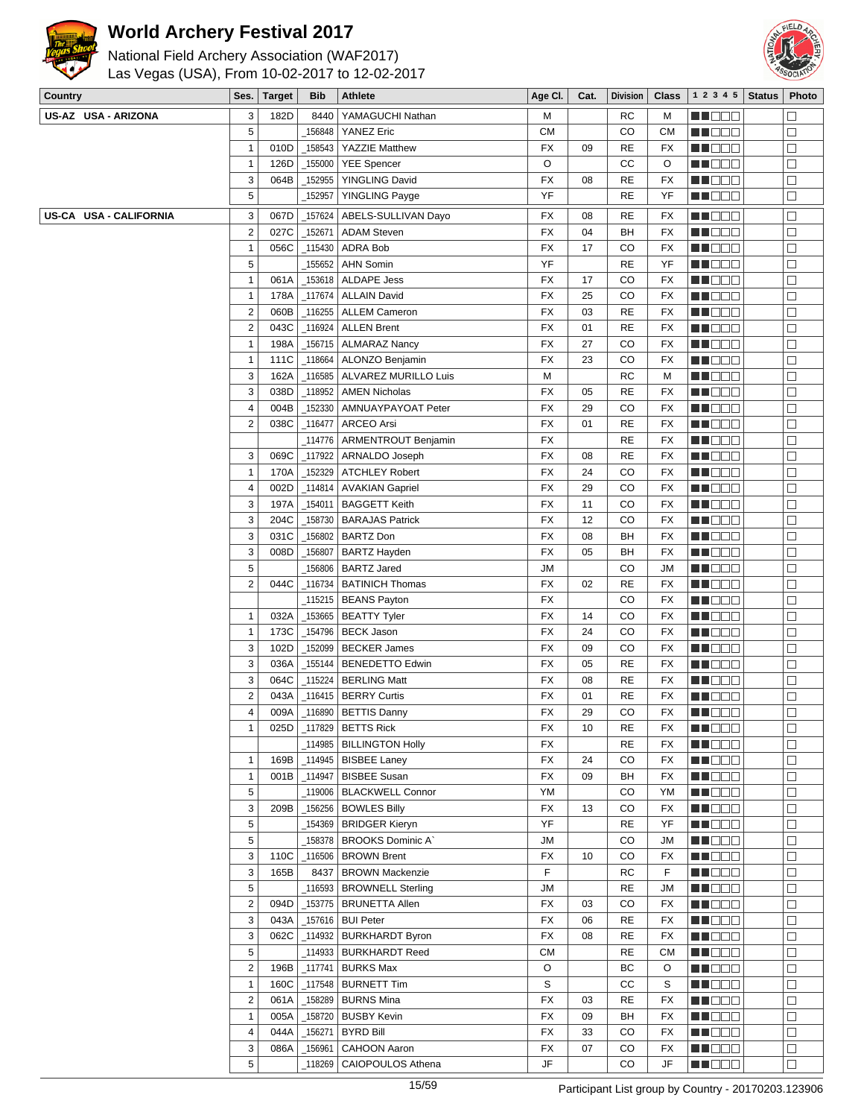



| Country                | Ses.           | <b>Target</b> | <b>Bib</b> | Athlete                                        | Age Cl.   | Cat. | <b>Division</b> | <b>Class</b> | 12345         | <b>Status</b> | Photo  |
|------------------------|----------------|---------------|------------|------------------------------------------------|-----------|------|-----------------|--------------|---------------|---------------|--------|
| US-AZ USA - ARIZONA    | 3              | 182D          | 8440       | YAMAGUCHI Nathan                               | М         |      | RC              | М            | MU DE E       |               | $\Box$ |
|                        | 5              |               | 156848     | <b>YANEZ Eric</b>                              | <b>CM</b> |      | CO              | <b>CM</b>    | MU DO 2       |               | $\Box$ |
|                        | $\mathbf{1}$   | 010D          | _158543    | <b>YAZZIE Matthew</b>                          | FX        | 09   | RE              | FX           | <b>RECOR</b>  |               | $\Box$ |
|                        | $\mathbf{1}$   | 126D          | _155000    | <b>YEE Spencer</b>                             | O         |      | СC              | O            | M DE E        |               | $\Box$ |
|                        | 3              | 064B          | 152955     | YINGLING David                                 | FX        | 08   | <b>RE</b>       | FX           | M DE B        |               | $\Box$ |
|                        | 5              |               | 152957     | <b>YINGLING Payge</b>                          | YF        |      | RE              | YF           | MU DE C       |               | $\Box$ |
| US-CA USA - CALIFORNIA | 3              | 067D          | 157624     | ABELS-SULLIVAN Dayo                            | FX        | 08   | RE              | FX           | MU DE S       |               | $\Box$ |
|                        | $\sqrt{2}$     | 027C          | 152671     | <b>ADAM Steven</b>                             | FX        | 04   | BН              | FX           | MU OO B       |               | $\Box$ |
|                        | 1              | 056C          | _115430    | ADRA Bob                                       | FX        | 17   | CO              | FX           | MN 888        |               | $\Box$ |
|                        | 5              |               | 155652     | <b>AHN Somin</b>                               | YF        |      | <b>RE</b>       | YF           | M DE B        |               | $\Box$ |
|                        | $\mathbf{1}$   | 061A          | _153618    | ALDAPE Jess                                    | FX        | 17   | CO              | FX           | MU DE E       |               | $\Box$ |
|                        | $\mathbf{1}$   | 178A          | 117674     | <b>ALLAIN David</b>                            | FX        | 25   | CO              | FX           | MU OOO        |               | $\Box$ |
|                        | $\overline{c}$ | 060B          | 116255     | <b>ALLEM Cameron</b>                           | FX        | 03   | RE              | FX           | <b>RECOD</b>  |               | $\Box$ |
|                        | $\overline{2}$ | 043C          | 116924     | <b>ALLEN Brent</b>                             | FX        | 01   | <b>RE</b>       | FX           | <b>REDDE</b>  |               | $\Box$ |
|                        | $\mathbf{1}$   | 198A          | _156715    | <b>ALMARAZ Nancy</b>                           | FX        | 27   | CO              | FX           | MU DE E       |               | $\Box$ |
|                        | $\mathbf{1}$   | 111C          | _118664    | ALONZO Benjamin                                | FX        | 23   | CO              | FX           | MU DE S       |               | $\Box$ |
|                        | 3              | 162A          |            | _116585   ALVAREZ MURILLO Luis                 | М         |      | RC              | М            | MU OOO        |               | $\Box$ |
|                        | 3              | 038D          | 118952     | <b>AMEN Nicholas</b>                           | FX        | 05   | RE              | FX           | <b>REDDE</b>  |               | $\Box$ |
|                        | $\overline{4}$ | 004B          | 152330     | AMNUAYPAYOAT Peter                             | FX        | 29   | CO              | FX           | <b>REDDO</b>  |               | $\Box$ |
|                        | $\overline{2}$ | 038C          | _116477    | <b>ARCEO Arsi</b>                              | FX        | 01   | <b>RE</b>       | FX           | MU DOO        |               | $\Box$ |
|                        |                |               | _114776    | ARMENTROUT Benjamin                            | FX        |      | <b>RE</b>       | FX           | MU DO B       |               | $\Box$ |
|                        | 3              | 069C          | 117922     | ARNALDO Joseph                                 | FX        | 08   | RE              | FX           | <b>RECOR</b>  |               | $\Box$ |
|                        | $\mathbf{1}$   | 170A          | 152329     | <b>ATCHLEY Robert</b>                          | FX        | 24   | CO              | FX           | MA DE E       |               | $\Box$ |
|                        | 4              | 002D          | 114814     |                                                | FX        | 29   | CO              | FX           | MA DO O       |               | $\Box$ |
|                        | 3              | 197A          | _154011    | <b>AVAKIAN Gapriel</b><br><b>BAGGETT Keith</b> | FX        | 11   | CO              | FX           |               |               | $\Box$ |
|                        | 3              |               |            |                                                | FX        | 12   | CO              | FX           | MU DO B       |               | $\Box$ |
|                        |                | 204C          | _158730    | <b>BARAJAS Patrick</b>                         |           |      |                 |              | MN O O O      |               |        |
|                        | 3              | 031C          | 156802     | <b>BARTZ Don</b>                               | FX        | 08   | BН              | FX           | M DE S        |               | $\Box$ |
|                        | 3              | 008D          | _156807    | <b>BARTZ Hayden</b>                            | FX        | 05   | BH              | FX           | M DE B        |               | $\Box$ |
|                        | 5              |               | _156806    | <b>BARTZ Jared</b>                             | <b>JM</b> |      | CO              | JM           | MU DO 8       |               | $\Box$ |
|                        | $\overline{2}$ | 044C          | 116734     | <b>BATINICH Thomas</b>                         | FX        | 02   | <b>RE</b>       | FX           | <b>NNODO</b>  |               | $\Box$ |
|                        |                |               |            | _115215   BEANS Payton                         | FX        |      | CO              | FX           | MA DE E       |               | $\Box$ |
|                        | $\mathbf{1}$   | 032A          | 153665     | <b>BEATTY Tyler</b>                            | FX        | 14   | CO              | FX           | <b>REDDO</b>  |               | $\Box$ |
|                        | $\mathbf{1}$   | 173C          | _154796    | <b>BECK Jason</b>                              | FX        | 24   | CO              | FX           | MU DO B       |               | $\Box$ |
|                        | 3              | 102D          | _152099    | <b>BECKER James</b>                            | FX        | 09   | CO              | FX           | MNO 88        |               | $\Box$ |
|                        | 3              | 036A          | _155144    | <b>BENEDETTO Edwin</b>                         | FX        | 05   | <b>RE</b>       | FX           | MN 888        |               | $\Box$ |
|                        | 3              | 064C          | 115224     | <b>BERLING Matt</b>                            | FX        | 08   | RE              | FX           | MA BELE       |               | $\Box$ |
|                        | $\overline{2}$ | 043A          | _116415    | <b>BERRY Curtis</b>                            | FX        | 01   | RE              | FX           | MU DO O       |               | $\Box$ |
|                        | 4              | 009A          |            | _116890   BETTIS Danny                         | FX        | 29   | CO              | FX           | MN 888        |               | $\Box$ |
|                        | $\mathbf{1}$   |               |            | 025D   117829   BETTS Rick                     | FX        | 10   | RE              | FX           | M DE S        |               | $\Box$ |
|                        |                |               |            | _114985 BILLINGTON Holly                       | FX        |      | RE              | FX           | <b>REBEE</b>  |               | $\Box$ |
|                        | $\mathbf{1}$   | 169B          |            | _114945   BISBEE Laney                         | FX        | 24   | CO              | FX           | <b>MNOOO</b>  |               | $\Box$ |
|                        | $\mathbf{1}$   | 001B          | _114947    | <b>BISBEE Susan</b>                            | FX        | 09   | BH              | FX           | MU DO 2       |               | $\Box$ |
|                        | 5              |               | _119006    | <b>BLACKWELL Connor</b>                        | YM        |      | CO              | YM           | <b>REDDE</b>  |               | $\Box$ |
|                        | 3              | 209B          | $\_156256$ | <b>BOWLES Billy</b>                            | FX        | 13   | CO              | FX           | <b>MNODO</b>  |               | $\Box$ |
|                        | 5              |               | 154369     | <b>BRIDGER Kieryn</b>                          | YF        |      | RE              | YF           | MU OOO        |               | $\Box$ |
|                        | 5              |               | 158378     | <b>BROOKS Dominic A'</b>                       | JM        |      | CO              | JM           | MU DO B       |               | $\Box$ |
|                        | 3              | 110C          | _116506    | <b>BROWN Brent</b>                             | FX        | 10   | CO              | FX           | MN 888        |               | $\Box$ |
|                        | 3              | 165B          | 8437       | <b>BROWN Mackenzie</b>                         | F         |      | RC              | F            | <b>REDDE</b>  |               | $\Box$ |
|                        | 5              |               |            | 116593   BROWNELL Sterling                     | JM        |      | RE              | JM           | <b>MNO</b> OO |               | $\Box$ |
|                        | $\sqrt{2}$     | 094D          | _153775    | BRUNETTA Allen                                 | FX        | 03   | CO              | FX           | MU OOO        |               | $\Box$ |
|                        | 3              | 043A          | _157616    | <b>BUI Peter</b>                               | FX        | 06   | RE              | FX           | <b>RECOD</b>  |               | $\Box$ |
|                        | 3              | 062C          | _114932    | <b>BURKHARDT Byron</b>                         | FX        | 08   | <b>RE</b>       | FX           | <b>REDDE</b>  |               | $\Box$ |
|                        | 5              |               |            | _114933   BURKHARDT Reed                       | <b>CM</b> |      | <b>RE</b>       | СM           | <b>REDDE</b>  |               | $\Box$ |
|                        | $\sqrt{2}$     | 196B          | $-117741$  | <b>BURKS Max</b>                               | O         |      | ВC              | O            | MU DOO        |               | $\Box$ |
|                        | $\mathbf{1}$   | 160C          | _117548    | <b>BURNETT Tim</b>                             | S         |      | CC              | S            | MN DO B       |               | $\Box$ |
|                        | $\overline{2}$ | 061A          |            | _158289   BURNS Mina                           | FX        | 03   | <b>RE</b>       | FX           | MU DO S       |               | $\Box$ |
|                        | $\mathbf{1}$   | 005A          | _158720    | <b>BUSBY Kevin</b>                             | FX        | 09   | BH              | FX           | <b>REBEE</b>  |               | $\Box$ |
|                        | 4              | 044A          | 156271     | <b>BYRD Bill</b>                               | FX        | 33   | CO              | FX           | <b>MNODO</b>  |               | $\Box$ |
|                        | 3              | 086A          | 156961     | <b>CAHOON Aaron</b>                            | FX        | 07   | CO              | FX           | MU DO B       |               | $\Box$ |
|                        | 5              |               | 118269     | CAIOPOULOS Athena                              | JF        |      | CO              | JF           | MN DOG        |               | $\Box$ |
|                        |                |               |            |                                                |           |      |                 |              |               |               |        |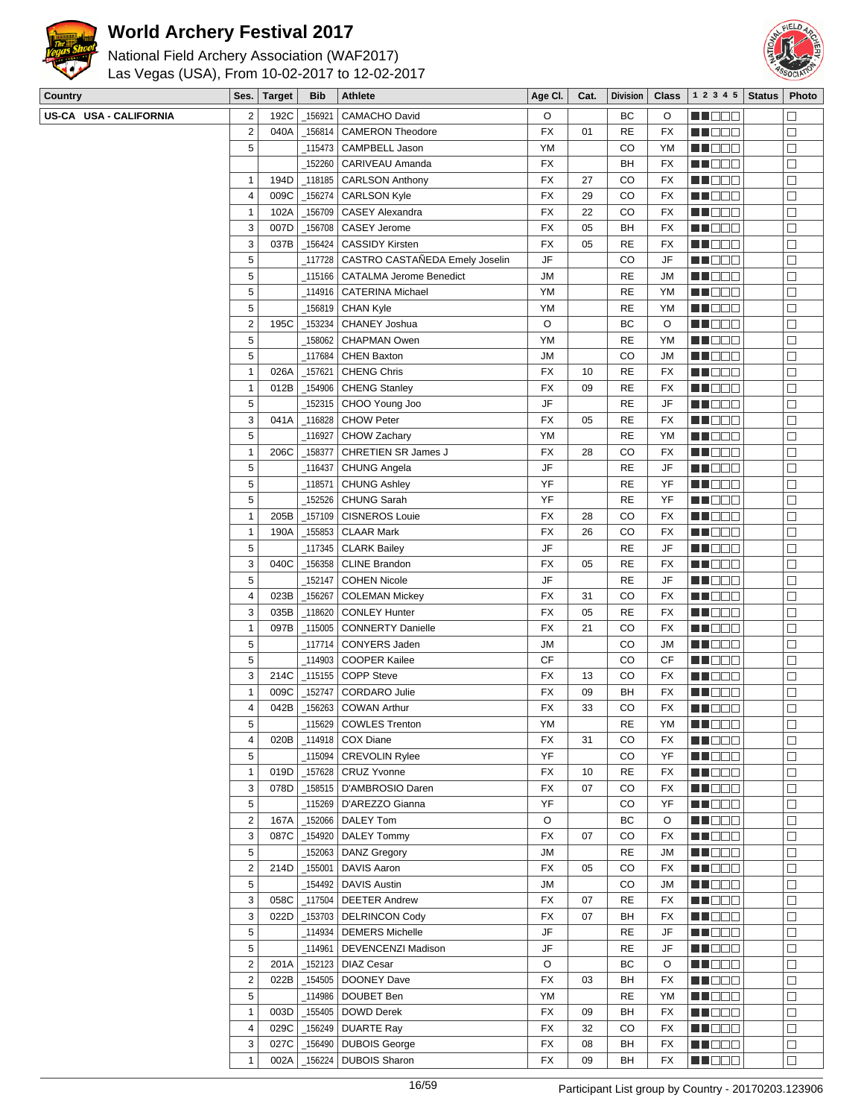



| ta da di sensita dal 1990                      |  |
|------------------------------------------------|--|
| Las Vegas (USA), From 10-02-2017 to 12-02-2017 |  |
| National Field Archery Association (WAF2017)   |  |

| Country                | Ses.                    | <b>Target</b> | <b>Bib</b>        | <b>Athlete</b>                                 | Age CI.       | Cat. | <b>Division</b> | <b>Class</b> | $1 \t2 \t3 \t4 \t5$ Status | Photo                |
|------------------------|-------------------------|---------------|-------------------|------------------------------------------------|---------------|------|-----------------|--------------|----------------------------|----------------------|
| US-CA USA - CALIFORNIA | $\overline{\mathbf{c}}$ | 192C          | 156921            | <b>CAMACHO David</b>                           | O             |      | ВC              | O            | <u>LI DEC</u>              | $\Box$               |
|                        | $\mathbf 2$             | 040A          | $\_156814$ $\mid$ | <b>CAMERON Theodore</b>                        | FX            | 01   | <b>RE</b>       | FX           | u o de                     | □                    |
|                        | 5                       |               |                   | _115473 CAMPBELL Jason                         | YM            |      | CO              | YM           | N DO D                     | $\Box$               |
|                        |                         |               |                   | _152260 CARIVEAU Amanda                        | FX            |      | BH              | FX           | MU DE B                    | $\Box$               |
|                        | 1                       | 194D          |                   | 118185   CARLSON Anthony                       | FX            | 27   | CO              | FX           | MU DO O                    | $\Box$               |
|                        | 4                       | 009C          | $-156274$         | <b>CARLSON Kyle</b>                            | FX            | 29   | CO              | FX           | MUODO                      | □                    |
|                        | $\mathbf{1}$            | 102A          |                   | _156709   CASEY Alexandra                      | FX            | 22   | CO              | FX           | MN O O O                   | □                    |
|                        | 3                       | 007D          |                   | _156708   CASEY Jerome                         | FX            | 05   | BH              | FX           | N DE B                     | $\Box$               |
|                        | 3                       | 037B          |                   | _156424   CASSIDY Kirsten                      | FX            | 05   | <b>RE</b>       | FX           | NN DE O                    | $\Box$               |
|                        | 5                       |               |                   | 117728   CASTRO CASTAÑEDA Emely Joselin        | JF            |      | CO              | JF           | MU DO O                    | □                    |
|                        | 5                       |               |                   | 115166   CATALMA Jerome Benedict               | JM            |      | <b>RE</b>       | JM           | NN O O O                   | $\Box$               |
|                        | 5                       |               |                   | _114916   CATERINA Michael                     | YM            |      | <b>RE</b>       | YM           | N DO O                     | $\Box$               |
|                        | 5                       |               |                   | _156819 CHAN Kyle                              | YM            |      | <b>RE</b>       | YM           | <u>Li dec</u>              | $\Box$               |
|                        | $\mathbf 2$             | 195C          |                   | _153234 CHANEY Joshua                          | O             |      | BC              | O            | MU DOO                     | $\Box$               |
|                        | 5                       |               | _158062           | <b>CHAPMAN Owen</b>                            | YM            |      | <b>RE</b>       | YM           | MNO 88                     | □                    |
|                        | 5                       |               | $-117684$         | <b>CHEN Baxton</b>                             | JM            |      | CO              | JM           | NN DE EI                   | $\Box$               |
|                        | $\mathbf{1}$            | 026A          | _157621           | <b>CHENG Chris</b>                             | FX            | 10   | <b>RE</b>       | FX           | N DE E                     | $\Box$               |
|                        | 1                       | 012B          |                   | _154906   CHENG Stanley                        | FX            | 09   | <b>RE</b>       | FX           | MUODO                      | $\Box$               |
|                        | 5                       |               |                   | _152315   CHOO Young Joo                       | JF            |      | <b>RE</b>       | JF           | MU DO B                    | $\Box$               |
|                        | 3                       | 041A          |                   | 116828 CHOW Peter                              | FX            | 05   | <b>RE</b>       | FX           | <b>MA</b> OOO              | $\Box$               |
|                        | 5                       |               | $\_116927$        | CHOW Zachary                                   | <b>YM</b>     |      | <b>RE</b>       | YM           | N DE E                     | $\Box$               |
|                        | $\mathbf{1}$            | 206C          |                   | _158377 CHRETIEN SR James J                    | FX            | 28   | CO              | FX           | <u> Hose</u>               | $\Box$               |
|                        | 5                       |               |                   | _116437   CHUNG Angela                         | JF            |      | <b>RE</b>       | JF           | MU O O O                   | $\Box$               |
|                        | 5                       |               | _118571           | <b>CHUNG Ashley</b>                            | YF            |      | <b>RE</b>       | YF           | MUOOO                      | □                    |
|                        | 5                       |               | $-152526$         | <b>CHUNG Sarah</b>                             | YF            |      | <b>RE</b>       | YF           | MA DELI                    | $\Box$               |
|                        | $\mathbf{1}$            | 205B          |                   | _157109   CISNEROS Louie                       | FX            | 28   | CO              | FX           | <b>HE</b> OOO              | $\Box$               |
|                        | 1                       | 190A          |                   | _155853 CLAAR Mark                             | FX            | 26   | CO              | FX           | MU O O O                   | $\Box$               |
|                        | 5                       |               |                   | _117345   CLARK Bailey                         | JF            |      | <b>RE</b>       | JF           | MUOOO                      | □                    |
|                        | 3                       | 040C          |                   | _156358   CLINE Brandon                        | <b>FX</b>     | 05   | <b>RE</b>       | FX           | <b>MA</b> OOO              | $\Box$               |
|                        | 5                       |               | 152147            | <b>COHEN Nicole</b>                            | JF            |      | <b>RE</b>       | JF           | <u>Li Bee</u>              | $\Box$               |
|                        | 4                       | 023B          | $\_156267$        | <b>COLEMAN Mickey</b>                          | FX            | 31   | CO              | FX           | M DOO                      | $\Box$               |
|                        | 3                       | 035B          |                   | _118620   CONLEY Hunter                        | FX            | 05   | <b>RE</b>       | FX           | MUOOO                      | $\Box$               |
|                        | $\mathbf{1}$            | 097B          |                   | _115005   CONNERTY Danielle                    | FX            | 21   | CO              | FX           | MN 888                     | $\Box$               |
|                        | 5<br>5                  |               | _117714           | <b>CONYERS Jaden</b><br>114903   COOPER Kailee | JM            |      | CO              | JM           | N DE B                     | $\Box$               |
|                        | 3                       | 214C          |                   | $\_115155$ COPP Steve                          | CF<br>FX      | 13   | CO<br>CO        | СF           | N DE E<br>MU O O O         | $\Box$               |
|                        | $\mathbf{1}$            | 009C          |                   | _152747 CORDARO Julie                          | FX            | 09   | BH              | FX<br>FX     | MUOOO                      | $\Box$<br>$\Box$     |
|                        | 4                       | 042B          |                   | 156263 COWAN Arthur                            | <b>FX</b>     | 33   | CO              | FX           | MU DE B                    | $\Box$               |
|                        | 5                       |               |                   | _115629 COWLES Trenton                         | YM            |      | RE              | YM           | <b>HOOD</b>                | $\overline{\square}$ |
|                        | 4                       | 020B          |                   | $_1$ 114918   COX Diane                        | FX            | 31   | CO              | FX           | MU DE B                    | $\Box$               |
|                        | 5                       |               |                   | _115094 CREVOLIN Rylee                         | YF            |      | CO              | YF           | MN O O O                   | $\Box$               |
|                        | $\mathbf{1}$            | 019D          |                   | _157628   CRUZ Yvonne                          | FX            | 10   | <b>RE</b>       | FX           | <b>REDDE</b>               | $\Box$               |
|                        | 3                       | 078D          |                   | _158515   D'AMBROSIO Daren                     | FX            | 07   | CO              | FX           | <b>MNOOO</b>               | $\Box$               |
|                        | 5                       |               |                   | _115269 D'AREZZO Gianna                        | YF            |      | CO              | YF           | MUOOO                      | $\Box$               |
|                        | $\overline{c}$          | 167A          |                   | $_1$ 152066   DALEY Tom                        | O             |      | ВC              | O            | MU DOO                     | $\Box$               |
|                        | 3                       | 087C          |                   | $-154920$ DALEY Tommy                          | <b>FX</b>     | 07   | CO              | FX           | <b>REDDE</b>               | $\Box$               |
|                        | 5                       |               |                   | $\_152063$ DANZ Gregory                        | $\mathsf{JM}$ |      | <b>RE</b>       | JM           | <b>HEDDE</b>               | $\Box$               |
|                        | $\overline{\mathbf{c}}$ | 214D          |                   | $-155001$ DAVIS Aaron                          | FX            | 05   | CO              | FX           | MU DEL                     | $\Box$               |
|                        | 5                       |               |                   | _154492 DAVIS Austin                           | <b>JM</b>     |      | CO              | JM           | <b>RECO</b> E              | $\Box$               |
|                        | 3                       | 058C          |                   | 117504   DEETER Andrew                         | FX            | 07   | <b>RE</b>       | FX           | MU DO D                    | $\Box$               |
|                        | 3                       | 022D          |                   | _153703 DELRINCON Cody                         | FX            | 07   | BH              | FX           | <b>NH</b> OOO              | $\Box$               |
|                        | 5                       |               |                   | _114934 DEMERS Michelle                        | JF            |      | <b>RE</b>       | JF           | MU DO O                    | $\Box$               |
|                        | 5                       |               |                   | 114961   DEVENCENZI Madison                    | JF            |      | <b>RE</b>       | JF           | MUOOO                      | □                    |
|                        | $\overline{2}$          | 201A          |                   | $_1$ 152123   DIAZ Cesar                       | O             |      | BС              | O            | <b>RECOD</b>               | $\Box$               |
|                        | $\overline{\mathbf{c}}$ | 022B          |                   | $\_154505$ DOONEY Dave                         | FX            | 03   | BH              | FX           | <b>HE</b> OOO              | $\Box$               |
|                        | 5                       |               |                   | _114986   DOUBET Ben                           | YM            |      | <b>RE</b>       | YM           | MUO DO                     | $\Box$               |
|                        | $\mathbf{1}$            | 003D          |                   | $-155405$ DOWD Derek                           | FX            | 09   | BH              | FX           | MU O O O                   | $\Box$               |
|                        | 4                       | 029C          |                   | $\_$ 156249 DUARTE Ray                         | FX            | 32   | CO              | FX           | MU OO D                    | $\Box$               |
|                        | 3                       | 027C          |                   | _156490   DUBOIS George                        | FX            | 08   | BH              | FX           | MN DE B                    | $\Box$               |
|                        | $\mathbf{1}$            | 002A          |                   | _156224   DUBOIS Sharon                        | FX            | 09   | BH              | FX           | <b>MNO</b> OO              | $\Box$               |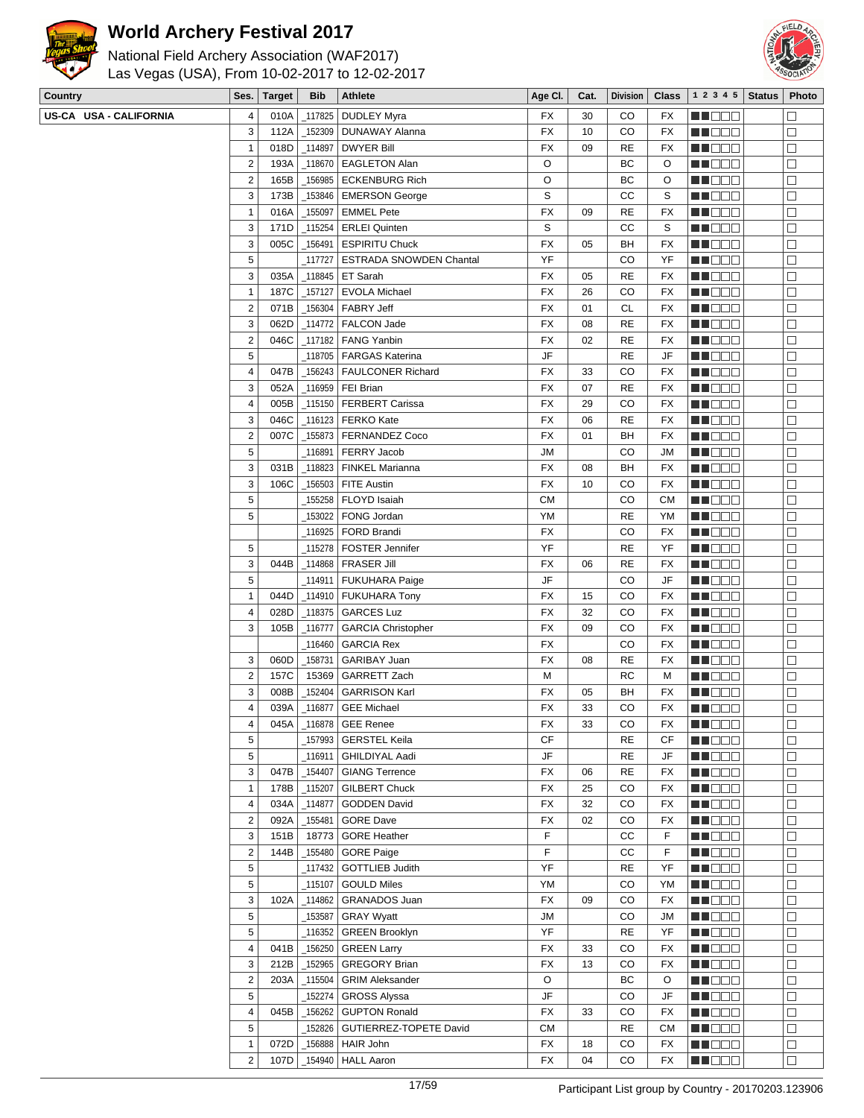



| <b>Country</b>         | Ses.                    | Target       | <b>Bib</b> | <b>Athlete</b>                                   | Age CI.         | Cat.     | Division    | Class     | $1\ 2\ 3\ 4\ 5$ Status        | Photo                |
|------------------------|-------------------------|--------------|------------|--------------------------------------------------|-----------------|----------|-------------|-----------|-------------------------------|----------------------|
| US-CA USA - CALIFORNIA | 4                       | 010A         |            | _117825   DUDLEY Myra                            | FX              | 30       | CO          | FX        | M DE S                        | $\Box$               |
|                        | 3                       | 112A         |            | _152309   DUNAWAY Alanna                         | <b>FX</b>       | 10       | CO          | FX        | MU OO B                       | $\Box$               |
|                        | 1                       | 018D         |            | _114897   DWYER Bill                             | FX              | 09       | <b>RE</b>   | FX        | MNO O O                       | $\Box$               |
|                        | $\overline{2}$          | 193A         |            | _118670   EAGLETON Alan                          | O               |          | ВC          | O         | ME DE E                       | $\Box$               |
|                        | $\overline{2}$          | 165B         |            | _156985 ECKENBURG Rich                           | O               |          | ВC          | O         | MU DOO                        | $\Box$               |
|                        | 3                       | 173B         |            | _153846   EMERSON George                         | S               |          | cc          | S         | ME 88                         | $\Box$               |
|                        | $\mathbf{1}$            | 016A         |            | $\_155097$ EMMEL Pete                            | FX              | 09       | <b>RE</b>   | FX        | MN DOO                        | $\Box$               |
|                        | 3                       | 171D         |            | $_1$ 115254   ERLEI Quinten                      | S               |          | СC          | S         | <b>REDDE</b>                  | $\Box$               |
|                        | 3                       | 005C         |            | _156491   ESPIRITU Chuck                         | <b>FX</b>       | 05       | BH          | FX        | <b>REDDD</b>                  | $\Box$               |
|                        | 5                       |              |            | 117727   ESTRADA SNOWDEN Chantal                 | YF              |          | CO          | YF        | MU DO S                       | $\Box$               |
|                        | 3                       | 035A         |            | _118845   ET Sarah                               | FX              | 05       | <b>RE</b>   | FX        | MN 888                        | $\Box$               |
|                        | 1                       | 187C         |            | 157127   EVOLA Michael                           | FX              | 26       | CO          | FX        | MN 888                        | $\Box$               |
|                        | $\overline{2}$          | 071B         |            | $\_$ 156304 FABRY Jeff                           | <b>FX</b>       | 01       | <b>CL</b>   | FX        | <u>Li i Biblio</u>            | $\Box$               |
|                        | 3                       | 062D         |            | _114772   FALCON Jade                            | <b>FX</b>       | 08       | <b>RE</b>   | FX        | MU DO B                       | $\Box$               |
|                        | $\sqrt{2}$              | 046C         |            | $_1$ 117182   FANG Yanbin                        | <b>FX</b>       | 02       | <b>RE</b>   | FX        | MNO 88                        | □                    |
|                        | 5                       |              |            | 118705   FARGAS Katerina                         | JF              |          | <b>RE</b>   | JF        | MN 888                        | $\Box$               |
|                        | 4                       | 047B         |            | _156243   FAULCONER Richard                      | FX              | 33       | CO          | FX        | <u>Maca</u>                   | $\Box$               |
|                        | 3                       | 052A         |            | _116959   FEI Brian                              | FX              | 07       | <b>RE</b>   | FX        | <b>REDDD</b>                  | $\Box$               |
|                        | 4                       | 005B         |            | _115150   FERBERT Carissa                        | FX              | 29       | CO          | FX        | MU DO 3                       | □                    |
|                        | 3                       | 046C         |            | $_1$ 116123   FERKO Kate                         | FX              | 06       | <b>RE</b>   | FX        | MN O O O                      | $\Box$               |
|                        | 2                       | 007C         |            | _155873   FERNANDEZ Coco                         | <b>FX</b>       | 01       | BH          | FX        | ME DE E                       | $\Box$               |
|                        | 5                       |              |            | _116891   FERRY Jacob                            | <b>JM</b>       |          | CO          | JМ        | MA DE S                       | $\Box$               |
|                        | 3                       | 031B         |            | _118823   FINKEL Marianna                        | <b>FX</b>       | 08       | BH          | FX        | ME BER                        | $\Box$               |
|                        | 3                       | 106C         |            | _156503   FITE Austin                            | <b>FX</b>       | 10       | CO          | FX        | MN OO B                       | $\Box$               |
|                        | 5                       |              |            | _155258   FLOYD Isaiah                           | СM              |          | CO          | <b>CM</b> | MA DE C                       | $\Box$               |
|                        | 5                       |              |            | 153022   FONG Jordan                             | YM              |          | <b>RE</b>   | YM        | <b>MNO</b> OO                 | $\Box$               |
|                        |                         |              |            | 116925   FORD Brandi                             | <b>FX</b>       |          | CO          | FX        | MU DO B                       | $\Box$               |
|                        | 5                       |              |            | _115278   FOSTER Jennifer                        | YF              |          | <b>RE</b>   | YF        | MN 888                        | $\Box$               |
|                        | 3                       | 044B         |            | $_1$ 114868   FRASER Jill                        | <b>FX</b>       | 06       | <b>RE</b>   | FX        | MA DE C                       | $\Box$               |
|                        | 5                       |              |            | _114911   FUKUHARA Paige                         | JF              |          | CO          | JF        | MO 88                         | $\Box$               |
|                        | $\mathbf{1}$            | 044D         |            | _114910   FUKUHARA Tony                          | <b>FX</b>       | 15       | CO          | FX        | MU DE S                       | $\Box$               |
|                        | 4                       | 028D         |            | _118375   GARCES Luz                             | <b>FX</b>       | 32       | CO          | FX        | MN DOO                        | $\Box$               |
|                        | 3                       | 105B         |            | _116777   GARCIA Christopher                     | <b>FX</b>       | 09       | CO          | FX        | MA DO O                       | $\Box$               |
|                        |                         |              |            | _116460   GARCIA Rex                             | <b>FX</b>       |          | CO          | FX        | <b>REBEE</b>                  | $\Box$               |
|                        | 3                       | 060D         |            | _158731   GARIBAY Juan                           | FX              | 08       | RE          | FX        | MU DE S                       | $\Box$               |
|                        | $\overline{\mathbf{c}}$ | 157C         |            | 15369 GARRETT Zach                               | М               |          | RC          | м         | MU DO 2                       | $\Box$               |
|                        | 3                       | 008B         |            | _152404   GARRISON Karl                          | FX              | 05       | BH          | FX        | MN 888                        | $\Box$               |
|                        | 4                       | 039A         |            | $\_116877$ GEE Michael                           | <b>FX</b>       | 33       | CO          | <b>FX</b> | MA DE E                       | $\Box$               |
|                        |                         |              |            | 045A 116878 GEE Renee                            | $\overline{FX}$ | 33       | $_{\rm CO}$ | <b>FX</b> | <b>HOOD</b>                   | $\overline{\square}$ |
|                        | 4<br>5                  |              |            | 157993   GERSTEL Keila                           | CF              |          | RE          | СF        | MUO OO                        | $\Box$               |
|                        | 5                       |              |            | 116911   GHILDIYAL Aadi                          | JF              |          |             |           |                               |                      |
|                        | 3                       | 047B         |            | _154407   GIANG Terrence                         | FX              | 06       | RE<br>RE    | JF<br>FX  | MN DO O                       | $\Box$               |
|                        | $\mathbf{1}$            |              | $-115207$  | <b>GILBERT Chuck</b>                             | FX              |          | CO          |           | <b>MEDDE</b><br><b>MNO</b> OO | $\Box$<br>$\Box$     |
|                        | 4                       | 178B<br>034A | _114877    | <b>GODDEN David</b>                              | FX              | 25<br>32 | CO          | FX<br>FX  | MU OO O                       | $\Box$               |
|                        | $\overline{c}$          | 092A         | 155481     | <b>GORE Dave</b>                                 | FX              | 02       | CO          | FX        |                               | $\Box$               |
|                        | 3                       | 151B         |            | 18773 GORE Heather                               | F               |          | СC          | F         | MN 888<br><b>MNOOO</b>        | $\Box$               |
|                        | $\overline{2}$          | 144B         |            |                                                  | F               |          |             | F         |                               |                      |
|                        | 5                       |              | _155480    | <b>GORE Paige</b>                                | YF              |          | CC          | YF        | <b>REDDE</b>                  | $\Box$               |
|                        | 5                       |              |            | 117432 GOTTLIEB Judith<br>$\_115107$ GOULD Miles | YM              |          | RE          | YM        | <b>MNODO</b>                  | $\Box$               |
|                        |                         |              |            |                                                  | <b>FX</b>       |          | CO          |           | ME DOO                        | $\Box$               |
|                        | 3                       | 102A         |            | _114862   GRANADOS Juan                          |                 | 09       | CO          | FX        | MN 888                        | $\Box$               |
|                        | 5                       |              |            | _153587 GRAY Wyatt                               | <b>JM</b>       |          | CO          | JМ        | <b>REBOO</b>                  | $\Box$               |
|                        | 5                       |              |            | _116352 GREEN Brooklyn                           | YF              |          | <b>RE</b>   | YF        | MH BEA                        | $\Box$               |
|                        | 4                       | 041B         |            | $-156250$ GREEN Larry                            | FX              | 33       | CO          | FX        | <b>MNODO</b>                  | $\Box$               |
|                        | 3                       | 212B         | $\_152965$ | <b>GREGORY Brian</b>                             | FX              | 13       | CO          | FX        | MN DOO                        | $\Box$               |
|                        | $\overline{2}$          | 203A         | $-115504$  | <b>GRIM Aleksander</b>                           | O               |          | BC          | O         | <b>MNOOO</b>                  | $\Box$               |
|                        | 5                       |              | _152274    | <b>GROSS Alyssa</b>                              | JF              |          | CO          | JF        | MU O O O                      | $\Box$               |
|                        | 4                       | 045B         |            | _156262 GUPTON Ronald                            | <b>FX</b>       | 33       | CO          | FX        | <b>MNODO</b>                  | $\Box$               |
|                        | 5                       |              |            | 152826   GUTIERREZ-TOPETE David                  | <b>CM</b>       |          | RE          | <b>CM</b> | <b>RECOR</b>                  | $\Box$               |
|                        | 1                       | 072D         | _156888    | HAIR John                                        | FX              | 18       | CO          | FX        | MOO D                         | $\Box$               |
|                        | $\overline{2}$          | 107D         |            | _154940   HALL Aaron                             | FX              | 04       | CO          | FX        | <b>MNO</b> OO                 | $\Box$               |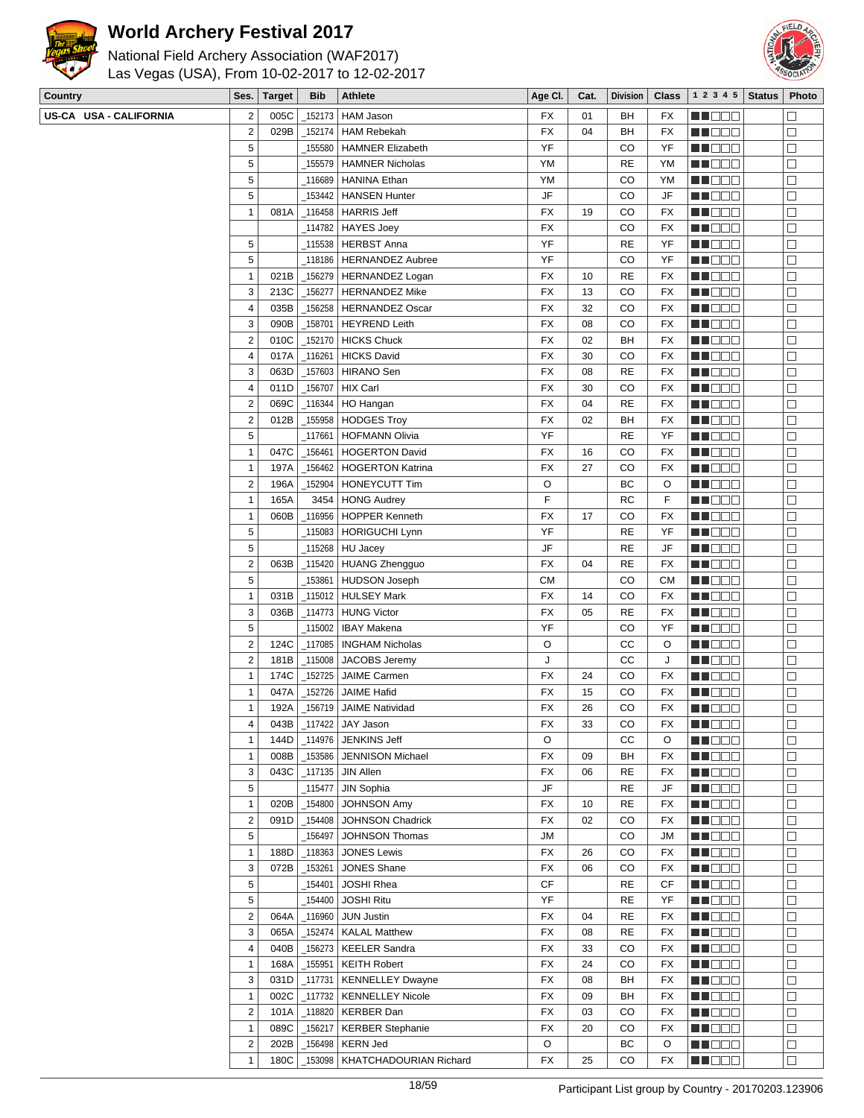

National Field Archery Association (WAF2017) Las Vegas (USA), From 10-02-2017 to 12-02-2017



| <b>Country</b>         |                  | Ses.   Target | <b>Bib</b> | <b>Athlete</b>             | Age Cl.   | Cat. | Division    |           | <b>Class</b>   1 2 3 4 5   Status | Photo  |
|------------------------|------------------|---------------|------------|----------------------------|-----------|------|-------------|-----------|-----------------------------------|--------|
| US-CA USA - CALIFORNIA | $\sqrt{2}$       | 005C          | 152173     | HAM Jason                  | FX        | 01   | BH          | FX        | M DOO                             | $\Box$ |
|                        | $\mathbf 2$      | 029B          | _152174    | <b>HAM Rebekah</b>         | <b>FX</b> | 04   | BH          | <b>FX</b> | M DOO                             | □      |
|                        | 5                |               | _155580    | <b>HAMNER Elizabeth</b>    | YF        |      | CO          | YF        | MU DO B                           | $\Box$ |
|                        | $\sqrt{5}$       |               | 155579     | <b>HAMNER Nicholas</b>     | YM        |      | <b>RE</b>   | YM        | <b>REDDE</b>                      | $\Box$ |
|                        | 5                |               | 116689     | <b>HANINA Ethan</b>        | YM        |      | CO          | YM        | ME DE S                           | $\Box$ |
|                        | 5                |               | 153442     | <b>HANSEN Hunter</b>       | JF        |      | CO          | JF        | MU DO B                           | □      |
|                        | $\mathbf{1}$     | 081A          | _116458    | <b>HARRIS Jeff</b>         | FX        | 19   | CO          | <b>FX</b> | MN 888                            | $\Box$ |
|                        |                  |               |            | _114782   HAYES Joey       | <b>FX</b> |      | CO          | <b>FX</b> | MA DE C                           | $\Box$ |
|                        | 5                |               | _115538    | <b>HERBST Anna</b>         | YF        |      | <b>RE</b>   | YF        | <b>MNOOO</b>                      | $\Box$ |
|                        | 5                |               | 118186     | <b>HERNANDEZ Aubree</b>    | YF        |      | CO          | YF        | MU DO O                           | $\Box$ |
|                        | $\mathbf{1}$     | 021B          | _156279    | HERNANDEZ Logan            | FX        | 10   | <b>RE</b>   | <b>FX</b> | MN 888                            | □      |
|                        | 3                | 213C          | _156277    | <b>HERNANDEZ Mike</b>      | FX        | 13   | CO          | FX        | <b>HEDDD</b>                      | $\Box$ |
|                        | $\overline{4}$   | 035B          | 156258     | <b>HERNANDEZ Oscar</b>     | <b>FX</b> | 32   | CO          | FX        | <b>REDDE</b>                      | $\Box$ |
|                        | 3                | 090B          | 158701     | <b>HEYREND Leith</b>       | FX        | 08   | CO          | FX        | MU DO B                           | $\Box$ |
|                        | $\mathbf 2$      | 010C          | 152170     | <b>HICKS Chuck</b>         | FX        | 02   | BH          | FX        | MN 888                            | □      |
|                        | $\sqrt{4}$       | 017A          | 116261     | <b>HICKS David</b>         | <b>FX</b> | 30   | CO          | <b>FX</b> | <b>REDDE</b>                      | $\Box$ |
|                        | 3                | 063D          | _157603    | <b>HIRANO</b> Sen          | <b>FX</b> | 08   | <b>RE</b>   | <b>FX</b> | ME DE S                           | $\Box$ |
|                        | $\overline{4}$   | 011D          | _156707    | HIX Carl                   | <b>FX</b> | 30   | CO          | FX        | MU DEL                            | $\Box$ |
|                        | $\mathbf 2$      | 069C          | $-116344$  | HO Hangan                  | <b>FX</b> | 04   | <b>RE</b>   | FX        | MU DO B                           | $\Box$ |
|                        | $\mathbf 2$      | 012B          | 155958     | <b>HODGES Troy</b>         | <b>FX</b> | 02   | BH          | <b>FX</b> | MU DO S                           | $\Box$ |
|                        | 5                |               | 117661     | <b>HOFMANN Olivia</b>      | YF        |      | <b>RE</b>   | YF        | <b>HEDDD</b>                      | $\Box$ |
|                        | $\mathbf{1}$     | 047C          | 156461     | <b>HOGERTON David</b>      | <b>FX</b> | 16   | CO          | FX        | <b>REBEE</b>                      | $\Box$ |
|                        | $\mathbf{1}$     | 197A          | 156462     | <b>HOGERTON Katrina</b>    | FX        | 27   | CO          | FX        | MU DO B                           | □      |
|                        | $\mathbf 2$      | 196A          | 152904     | <b>HONEYCUTT Tim</b>       | O         |      | ВC          | O         | MN OO B                           | $\Box$ |
|                        | $\mathbf{1}$     | 165A          | 3454       | <b>HONG Audrey</b>         | F         |      | <b>RC</b>   | F         |                                   | $\Box$ |
|                        | $\mathbf{1}$     | 060B          | _116956    | <b>HOPPER Kenneth</b>      | <b>FX</b> | 17   | CO          | <b>FX</b> | <b>REDDO</b><br><b>MNOOO</b>      | $\Box$ |
|                        | 5                |               | 115083     | HORIGUCHI Lynn             | YF        |      | <b>RE</b>   | YF        | Ma Mala                           | $\Box$ |
|                        | 5                |               | 115268     | <b>HU Jacey</b>            | JF        |      | <b>RE</b>   | JF        | MU DO B                           | $\Box$ |
|                        | $\sqrt{2}$       | 063B          | $-115420$  | HUANG Zhengguo             | <b>FX</b> | 04   | <b>RE</b>   | <b>FX</b> | MN DO S                           | $\Box$ |
|                        | 5                |               | 153861     | <b>HUDSON Joseph</b>       | СM        |      | CO          | <b>CM</b> | <b>HEDDD</b>                      | $\Box$ |
|                        | $\mathbf{1}$     | 031B          | 115012     | <b>HULSEY Mark</b>         | <b>FX</b> | 14   | CO          | FX        | MN DO B                           | $\Box$ |
|                        | 3                | 036B          | 114773     | <b>HUNG Victor</b>         | FX        | 05   | <b>RE</b>   | FX        | MN 888                            | □      |
|                        | $\overline{5}$   |               | 115002     | <b>IBAY Makena</b>         | YF        |      | CO          | YF        | <b>RECOR</b>                      | $\Box$ |
|                        | $\mathbf 2$      | 124C          | _117085    | <b>INGHAM Nicholas</b>     | O         |      | cc          | O         | MA BELE                           | $\Box$ |
|                        | $\overline{2}$   | 181B          | $-115008$  | JACOBS Jeremy              | J         |      | cc          | J         | <b>MNODO</b>                      | $\Box$ |
|                        | $\mathbf{1}$     | 174C          | 152725     | JAIME Carmen               | <b>FX</b> | 24   | CO          | FX        | MU DO 8                           | $\Box$ |
|                        | $\mathbf{1}$     | 047A          | _152726    | <b>JAIME Hafid</b>         | FX        | 15   | CO          | FX        | MU DO B                           | $\Box$ |
|                        | $\mathbf{1}$     | 192A          | 156719     | <b>JAIME Natividad</b>     | FX        | 26   | CO          | <b>FX</b> | MN DE S                           | $\Box$ |
|                        | 4                | 043B          | $\_117422$ | JAY Jason                  | FX        | 33   | $_{\rm CO}$ | FX        | M HOO S                           | $\Box$ |
|                        | $\mathbf{1}$     | 144D          | _114976    | JENKINS Jeff               | $\circ$   |      | CС          | O         | MU OO B                           | □      |
|                        | $\mathbf{1}$     | 008B          | _153586    | <b>JENNISON Michael</b>    | FX        | 09   | BH          | FX        | MU DO O                           | □      |
|                        | 3                | 043C          |            | $\_117135$ JIN Allen       | FX        | 06   | <b>RE</b>   | FX        | <b>HE</b> OOO                     | $\Box$ |
|                        | $\sqrt{5}$       |               | _115477    | JIN Sophia                 | JF        |      | <b>RE</b>   | JF        | MU DOO                            | $\Box$ |
|                        | $\mathbf{1}$     | 020B          | $-154800$  | <b>JOHNSON Amy</b>         | <b>FX</b> | 10   | <b>RE</b>   | FX        | MU DO B                           | $\Box$ |
|                        | $\sqrt{2}$       | 091D          | 154408     | JOHNSON Chadrick           | FX        | 02   | CO          | FX        | <b>RECOD</b>                      | $\Box$ |
|                        | 5                |               | _156497    | JOHNSON Thomas             | <b>JM</b> |      | CO          | <b>JM</b> | <b>RECOR</b>                      | $\Box$ |
|                        | $\mathbf{1}$     | 188D          | $-118363$  | <b>JONES Lewis</b>         | FX        | 26   | CO          | FX        | <b>REBEE</b>                      | $\Box$ |
|                        | 3                | 072B          | _153261    | JONES Shane                | FX        | 06   | CO          | FX        | ma a se                           | $\Box$ |
|                        | $\mathbf 5$      |               | 154401     | JOSHI Rhea                 | CF        |      | <b>RE</b>   | СF        | NH DE B                           | □      |
|                        | 5                |               | 154400     | <b>JOSHI Ritu</b>          | YF        |      | <b>RE</b>   | YF        | <b>REDDE</b>                      | $\Box$ |
|                        | $\boldsymbol{2}$ | 064A          | 116960     | <b>JUN Justin</b>          | FX        | 04   | <b>RE</b>   | FX        | <b>HEDDD</b>                      | $\Box$ |
|                        | 3                | 065A          | _152474    | <b>KALAL Matthew</b>       | FX        | 08   | <b>RE</b>   | FX        | MU DOO                            | □      |
|                        | $\pmb{4}$        | 040B          | $-156273$  | <b>KEELER Sandra</b>       | FX        | 33   | CO          | FX        | MU DO B                           | □      |
|                        | $\mathbf{1}$     | 168A          | $\_155951$ | <b>KEITH Robert</b>        | FX        | 24   | CO          | FX        | <b>REDDE</b>                      | $\Box$ |
|                        | 3                | 031D          | $\_117731$ | <b>KENNELLEY Dwayne</b>    | FX        | 08   | BH          | FX        | <b>REDDE</b>                      | $\Box$ |
|                        | $\mathbf{1}$     | 002C          |            | _117732   KENNELLEY Nicole | <b>FX</b> | 09   | BH          | FX        | MH 888                            | $\Box$ |
|                        |                  |               |            |                            |           |      |             |           |                                   |        |

**RECOR** 

**NNOOC** 

**BEBBB** 

FEDOO

 $\overline{\square}$ 

 $\Box$ 

 $\overline{\square}$ 

 $\overline{\Box}$ 

2 101A 118820 KERBER Dan FX 03 CO FX 1 089C 156217 KERBER Stephanie FX 20 CO FX 2 202B 156498 KERN Jed C C C BC O 1 180C 153098 KHATCHADOURIAN Richard FX 7 25 CO FX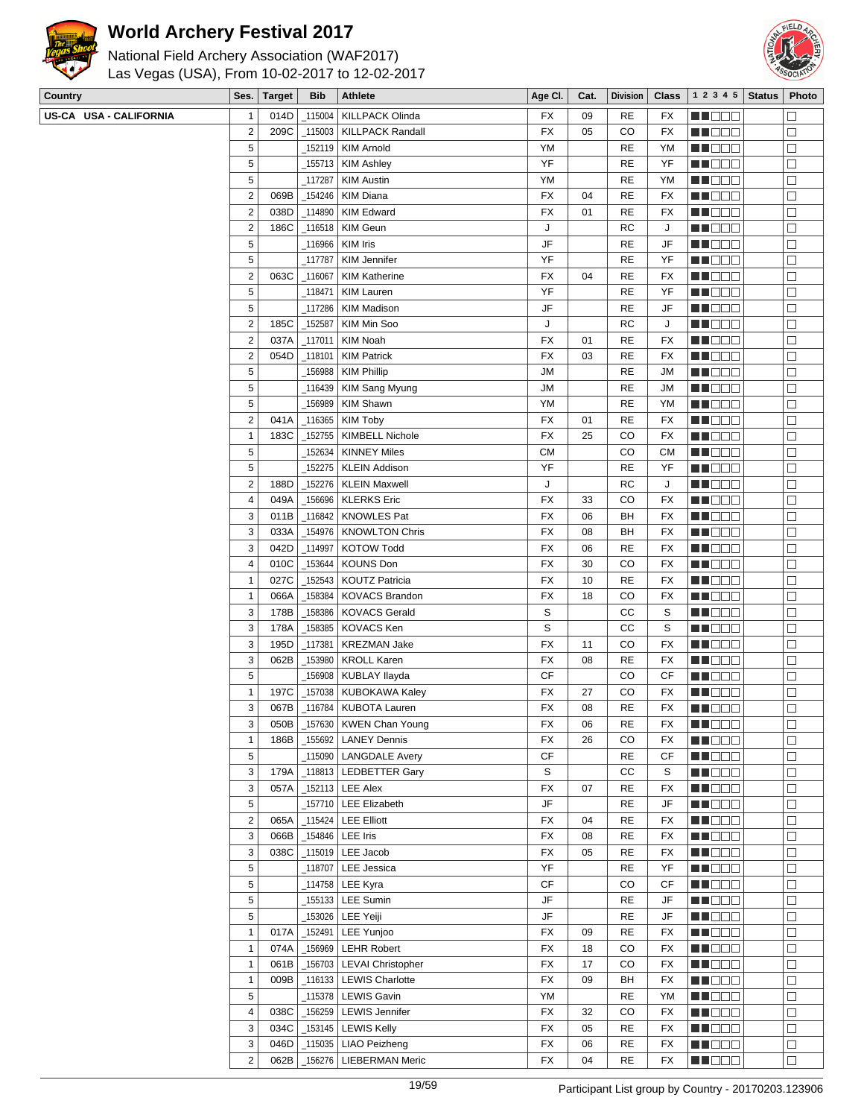



| National Field Archery Association (WAF2017)   |  |
|------------------------------------------------|--|
| Las Vegas (USA), From 10-02-2017 to 12-02-2017 |  |

| Country                |                | Ses.   Target | Bib     | <b>Athlete</b>                  | Age CI.                | Cat. |               |           | Division   Class   1 2 3 4 5   Status | Photo  |
|------------------------|----------------|---------------|---------|---------------------------------|------------------------|------|---------------|-----------|---------------------------------------|--------|
| US-CA USA - CALIFORNIA | $\mathbf{1}$   | 014D          | _115004 | <b>KILLPACK Olinda</b>          | FX                     | 09   | RE            | FX        | MU DE EL                              | П      |
|                        | $\overline{2}$ | 209C          | _115003 | <b>KILLPACK Randall</b>         | FX                     | 05   | CO            | <b>FX</b> | W OOO                                 | □      |
|                        | 5              |               | _152119 | KIM Arnold                      | YM                     |      | <b>RE</b>     | YM        | <u>ma mat</u>                         | □      |
|                        | 5              |               |         | _155713   KIM Ashley            | YF                     |      | RE            | YF        | <b>REDDO</b>                          | $\Box$ |
|                        | 5              |               | 117287  | <b>KIM Austin</b>               | YM                     |      | RE            | YM        | <b>MNOOO</b>                          | $\Box$ |
|                        | $\overline{2}$ | 069B          | 154246  | KIM Diana                       | <b>FX</b>              | 04   | RE            | FX        | MU DO B                               | $\Box$ |
|                        | $\overline{2}$ | 038D          | 114890  |                                 | FX                     | 01   | RE            | FX        |                                       |        |
|                        |                |               |         | <b>KIM Edward</b>               |                        |      |               |           | <b>REDDE</b>                          | $\Box$ |
|                        | $\overline{2}$ | 186C          |         | _116518   KIM Geun              | J                      |      | <b>RC</b>     | J         | <b>RECOR</b>                          | $\Box$ |
|                        | 5              |               |         | _116966 KIM Iris                | JF                     |      | RE            | JF        | <u>LI OOO</u>                         | $\Box$ |
|                        | 5              |               | _117787 | KIM Jennifer                    | YF                     |      | RE            | YF        | MU DO O                               | $\Box$ |
|                        | $\overline{2}$ | 063C          | _116067 | <b>KIM Katherine</b>            | FX                     | 04   | <b>RE</b>     | FX        | MU SE E                               | $\Box$ |
|                        | 5              |               | _118471 | <b>KIM Lauren</b>               | YF                     |      | <b>RE</b>     | YF        | MU DE LI                              | $\Box$ |
|                        | 5              |               | 117286  | <b>KIM Madison</b>              | JF                     |      | RE            | JF        | <b>REBEE</b>                          | $\Box$ |
|                        | $\overline{2}$ | 185C          | 152587  | KIM Min Soo                     | J                      |      | RC            | J         | MU DO O                               | $\Box$ |
|                        | $\overline{2}$ | 037A          | _117011 | <b>KIM Noah</b>                 | FX                     | 01   | RE            | FX        | M O O O                               | $\Box$ |
|                        | $\overline{2}$ | 054D          | _118101 | <b>KIM Patrick</b>              | FX                     | 03   | RE            | FX        | <b>RECODE</b>                         | $\Box$ |
|                        | $\sqrt{5}$     |               |         | _156988   KIM Phillip           | <b>JM</b>              |      | RE            | JМ        | <b>REBOO</b>                          | $\Box$ |
|                        | 5              |               |         | _116439   KIM Sang Myung        | <b>JM</b>              |      | <b>RE</b>     | JМ        | MU DOO                                | $\Box$ |
|                        | 5              |               | 156989  | <b>KIM Shawn</b>                | YM                     |      | RE            | YM        | MU DO B                               | □      |
|                        | $\overline{2}$ |               |         |                                 |                        |      |               |           |                                       |        |
|                        |                | 041A          |         | _116365   KIM Toby              | FX                     | 01   | <b>RE</b>     | FX        | MU DE L                               | □      |
|                        | $\mathbf{1}$   | 183C          | _152755 | <b>KIMBELL Nichole</b>          | FX                     | 25   | CO            | FX        | M DE L                                | $\Box$ |
|                        | 5              |               | 152634  | KINNEY Miles                    | <b>CM</b>              |      | CO            | <b>CM</b> | <b>REBEE</b>                          | $\Box$ |
|                        | 5              |               | 152275  | <b>KLEIN Addison</b>            | YF                     |      | RE            | YF        | MU DO B                               | □      |
|                        | $\overline{2}$ | 188D          | _152276 | KLEIN Maxwell                   | J                      |      | RC            | J         | M DE S                                | □      |
|                        | $\overline{4}$ | 049A          | 156696  | KLERKS Eric                     | FX                     | 33   | CO            | <b>FX</b> | <b>REDDO</b>                          | $\Box$ |
|                        | 3              | 011B          |         | _116842   KNOWLES Pat           | FX                     | 06   | BH            | FX        | <b>MNO</b> OO                         | $\Box$ |
|                        | 3              | 033A          | _154976 | KNOWLTON Chris                  | FX                     | 08   | BH            | FX        | MU OOO                                | □      |
|                        | 3              | 042D          | 114997  | <b>KOTOW Todd</b>               | FX                     | 06   | <b>RE</b>     | FX        | MU DO B                               | □      |
|                        | $\overline{4}$ | 010C          | _153644 | <b>KOUNS Don</b>                | FX                     | 30   | CO            | FX        | MU DE LI                              | $\Box$ |
|                        | $\mathbf{1}$   | 027C          | 152543  | <b>KOUTZ Patricia</b>           | FX                     | 10   | <b>RE</b>     | FX        | <b>REBED</b>                          | $\Box$ |
|                        | $\mathbf{1}$   | 066A          | _158384 | <b>KOVACS Brandon</b>           | FX                     | 18   | CO            | FX        |                                       | $\Box$ |
|                        |                |               |         |                                 |                        |      |               |           | MU OOO                                |        |
|                        | 3              | 178B          | 158386  | <b>KOVACS Gerald</b>            | S                      |      | СC            | S         | MU OOO                                | $\Box$ |
|                        | 3              | 178A          | 158385  | <b>KOVACS Ken</b>               | S                      |      | СC            | S         | MU DO B                               | $\Box$ |
|                        | 3              | 195D          | _117381 | <b>KREZMAN Jake</b>             | FX                     | 11   | CO            | <b>FX</b> | <u>Li Sec</u>                         | $\Box$ |
|                        | 3              | 062B          | _153980 | <b>KROLL Karen</b>              | <b>FX</b>              | 08   | RE            | <b>FX</b> | <b>MNODO</b>                          | $\Box$ |
|                        | 5              |               |         | _156908   KUBLAY Ilayda         | <b>CF</b>              |      | CO            | CF        | MU DO B                               | □      |
|                        | $\mathbf{1}$   | 197C          | _157038 | KUBOKAWA Kaley                  | FX                     | 27   | CO            | FX        | MU DO B                               | $\Box$ |
|                        | 3              | 067B          |         | _116784   KUBOTA Lauren         | FX                     | 08   | <b>RE</b>     | <b>FX</b> | M DE B                                | $\Box$ |
|                        | 3              | 050B          |         | $-157630$ KWEN Chan Young       | FX                     | 06   | $\mathsf{RE}$ | FX        | <b>HE</b> DOO                         | $\Box$ |
|                        | $\mathbf{1}$   | 186B          |         | _155692   LANEY Dennis          | FX                     | 26   | CO            | FX        | MU O O O                              | $\Box$ |
|                        | $\sqrt{5}$     |               |         | _115090   LANGDALE Avery        | <b>CF</b>              |      | <b>RE</b>     | CF        | <b>RECOR</b>                          | $\Box$ |
|                        | $\sqrt{3}$     | 179A          |         | _118813   LEDBETTER Gary        | S                      |      | СC            | S         | <b>HEDDD</b>                          | $\Box$ |
|                        | $\sqrt{3}$     | 057A          |         | _152113   LEE Alex              | <b>FX</b>              | 07   | RE            | FX        | <u>LI OOO</u>                         | □      |
|                        | 5              |               |         | 157710   LEE Elizabeth          | JF                     |      | RE            | JF        |                                       | □      |
|                        |                |               |         |                                 |                        |      |               |           | MUNDER S                              |        |
|                        | $\overline{2}$ | 065A          |         | $_1$ 115424 LEE Elliott         | FX                     | 04   | RE            | FX        | MU DO U                               | $\Box$ |
|                        | 3              | 066B          |         | _154846   LEE Iris              | FX                     | 08   | <b>RE</b>     | FX        | MN OO B                               | $\Box$ |
|                        | 3              | 038C          |         | _115019   LEE Jacob             | FX                     | 05   | <b>RE</b>     | FX        | <b>REBED</b>                          | $\Box$ |
|                        | 5              |               |         | 118707   LEE Jessica            | YF                     |      | <b>RE</b>     | YF        | MT DEL                                | $\Box$ |
|                        | 5              |               |         | _114758   LEE Kyra              | <b>CF</b>              |      | CO            | СF        | MU DO D                               | □      |
|                        | 5              |               |         | _155133   LEE Sumin             | JF                     |      | <b>RE</b>     | JF        | <b>RECOR</b>                          | $\Box$ |
|                        | $\sqrt{5}$     |               |         | <sub>−</sub> 153026   LEE Yeiji | $\mathsf{J}\mathsf{F}$ |      | <b>RE</b>     | JF        | <b>HEDDD</b>                          | $\Box$ |
|                        | $\mathbf{1}$   | 017A          | _152491 | LEE Yunjoo                      | FX                     | 09   | <b>RE</b>     | FX        | <b>MUDDE</b>                          | $\Box$ |
|                        | $\mathbf{1}$   | 074A          |         | _156969   LEHR Robert           | FX                     | 18   | CO            | FX        | MUNDO                                 | □      |
|                        | $\mathbf{1}$   | 061B          |         | _156703   LEVAI Christopher     | FX                     | 17   | CO            | FX        | <b>RECODE</b>                         | $\Box$ |
|                        |                |               |         |                                 |                        |      |               |           |                                       | $\Box$ |
|                        | $\mathbf{1}$   | 009B          |         | 116133   LEWIS Charlotte        | FX                     | 09   | BH            | FX        | N DE E                                |        |
|                        | 5              |               |         | _115378   LEWIS Gavin           | YM                     |      | RE            | YM        | <b>MNODO</b>                          | □      |
|                        | 4              | 038C          |         | _156259   LEWIS Jennifer        | FX                     | 32   | CO            | FX        | MU DO B                               | □      |
|                        | 3              | 034C          |         | $\_$ 153145 $\vert$ LEWIS Kelly | FX                     | 05   | RE            | FX        | NH DE B                               | $\Box$ |
|                        | 3              | 046D          |         | 115035   LIAO Peizheng          | FX                     | 06   | RE            | FX        | <b>REDDE</b>                          | $\Box$ |
|                        | $\overline{2}$ | 062B          |         | _156276   LIEBERMAN Meric       | FX                     | 04   | <b>RE</b>     | FX        | <b>REDDE</b>                          | $\Box$ |
|                        |                |               |         |                                 |                        |      |               |           |                                       |        |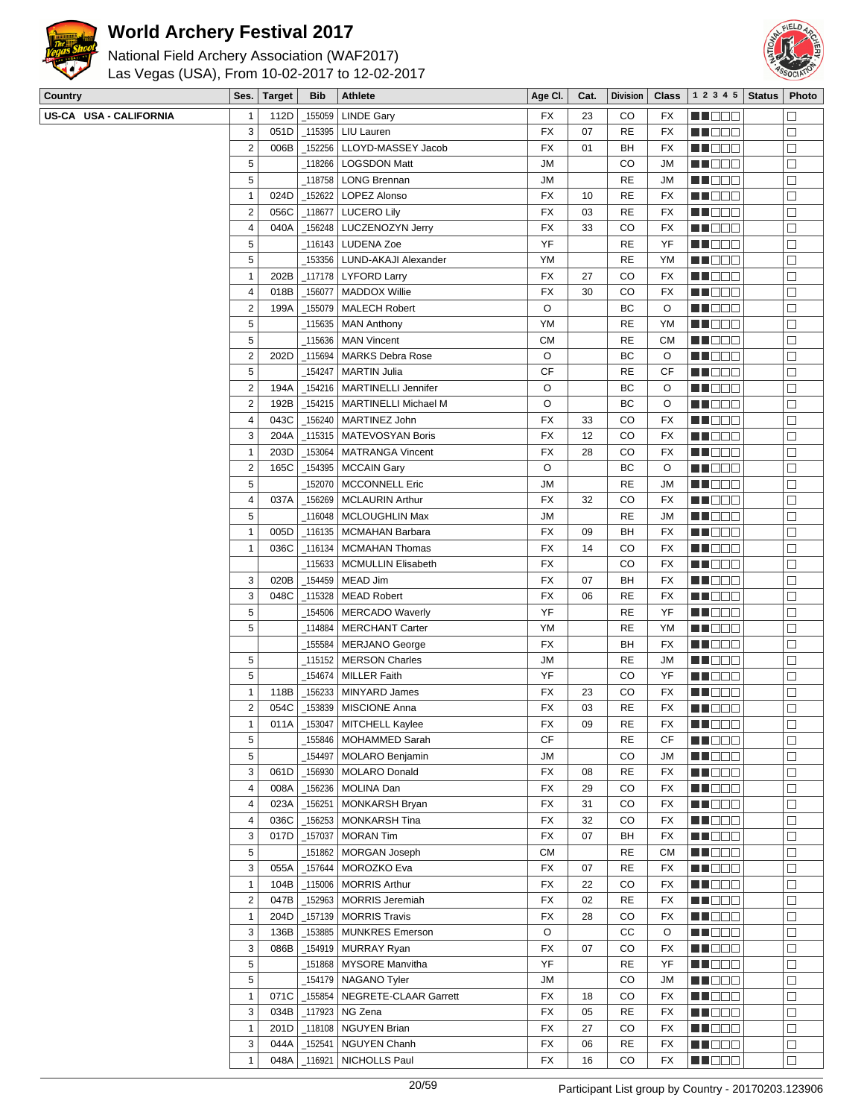



| <b>Country</b>         | Ses.                      | Target | <b>Bib</b> | Athlete                          | Age CI.   | Cat. | <b>Division</b> | <b>Class</b> | 1 2 3 4 5                                         | <b>Status</b> | Photo  |
|------------------------|---------------------------|--------|------------|----------------------------------|-----------|------|-----------------|--------------|---------------------------------------------------|---------------|--------|
| US-CA USA - CALIFORNIA | 1                         | 112D   | 155059     | <b>LINDE Gary</b>                | FX        | 23   | CO              | FX           | M DE L                                            |               | $\Box$ |
|                        | 3                         | 051D   | _115395    | LIU Lauren                       | FX        | 07   | <b>RE</b>       | <b>FX</b>    | MU DO B                                           |               | $\Box$ |
|                        | $\overline{\mathbf{c}}$   | 006B   | $-152256$  | LLOYD-MASSEY Jacob               | FX        | 01   | BH              | FX           | MN OO B                                           |               | $\Box$ |
|                        | $\sqrt{5}$                |        | _118266    | <b>LOGSDON Matt</b>              | JМ        |      | CO              | <b>JM</b>    | MO DO O                                           |               | $\Box$ |
|                        | 5                         |        | _118758    | <b>LONG Brennan</b>              | JМ        |      | <b>RE</b>       | <b>JM</b>    | MUOOO                                             |               | $\Box$ |
|                        | 1                         | 024D   | _152622    | LOPEZ Alonso                     | FX        | 10   | <b>RE</b>       | FX           | WU 88                                             |               | $\Box$ |
|                        | $\boldsymbol{2}$          | 056C   | $-118677$  | <b>LUCERO Lily</b>               | <b>FX</b> | 03   | <b>RE</b>       | FX           | MU DO D                                           |               | $\Box$ |
|                        | 4                         | 040A   | 156248     | LUCZENOZYN Jerry                 | <b>FX</b> | 33   | CO              | FX           | MO DO                                             |               | $\Box$ |
|                        | 5                         |        | 116143     | <b>LUDENA Zoe</b>                | YF        |      | <b>RE</b>       | YF           | MA DE L                                           |               | $\Box$ |
|                        | 5                         |        | 153356     | LUND-AKAJI Alexander             | YM        |      | <b>RE</b>       | YM           | MA DE E                                           |               | $\Box$ |
|                        | 1                         | 202B   | $-117178$  | <b>LYFORD Larry</b>              | FX        | 27   | CO              | FX           | MN DO B                                           |               | $\Box$ |
|                        | 4                         | 018B   | $-156077$  | MADDOX Willie                    | <b>FX</b> | 30   | CO              | FX           | <b>HE</b> OOO                                     |               | $\Box$ |
|                        | $\overline{c}$            | 199A   | 155079     | <b>MALECH Robert</b>             | O         |      | BC              | O            | ME DE S                                           |               | $\Box$ |
|                        | $\mathbf 5$               |        | 115635     | <b>MAN Anthony</b>               | YM        |      | <b>RE</b>       | YM           | MU DO O                                           |               | $\Box$ |
|                        | 5                         |        | _115636    | <b>MAN Vincent</b>               | <b>CM</b> |      | <b>RE</b>       | <b>CM</b>    | MU O O O                                          |               | $\Box$ |
|                        | 2                         | 202D   | _115694    | <b>MARKS Debra Rose</b>          | O         |      | ВC              | O            | MUOOO                                             |               | $\Box$ |
|                        | $\,$ 5 $\,$               |        | 154247     | <b>MARTIN Julia</b>              | CF        |      | <b>RE</b>       | CF           | <b>REDDE</b>                                      |               | $\Box$ |
|                        | $\overline{\mathbf{c}}$   | 194A   | 154216     | <b>MARTINELLI Jennifer</b>       | O         |      | ВC              | O            | MA DE S                                           |               | $\Box$ |
|                        | $\boldsymbol{2}$          | 192B   | _154215    | <b>MARTINELLI Michael M</b>      | O         |      | ВC              | O            |                                                   |               | $\Box$ |
|                        |                           |        |            |                                  |           |      | CO              |              | M DO O                                            |               |        |
|                        | 4                         | 043C   | $-156240$  | MARTINEZ John                    | FX        | 33   |                 | FX           | MU DO O                                           |               | $\Box$ |
|                        | 3                         | 204A   | 115315     | MATEVOSYAN Boris                 | <b>FX</b> | 12   | CO              | FX           | <b>HEBBB</b>                                      |               | $\Box$ |
|                        | $\mathbf{1}$              | 203D   | 153064     | <b>MATRANGA Vincent</b>          | <b>FX</b> | 28   | CO              | FX           | <b>MA</b> OOO                                     |               | $\Box$ |
|                        | $\overline{\mathbf{c}}$   | 165C   | 154395     | <b>MCCAIN Gary</b>               | O         |      | ВC              | O            | MU DO B                                           |               | $\Box$ |
|                        | $\mathbf 5$               |        | _152070    | <b>MCCONNELL Eric</b>            | JМ        |      | <b>RE</b>       | <b>JM</b>    | M DE S                                            |               | $\Box$ |
|                        | 4                         | 037A   | _156269    | <b>MCLAURIN Arthur</b>           | FX        | 32   | CO              | FX           | MU DO D                                           |               | $\Box$ |
|                        | $\sqrt{5}$                |        | 116048     | MCLOUGHLIN Max                   | ЛU        |      | <b>RE</b>       | <b>JM</b>    | <b>REDDO</b>                                      |               | $\Box$ |
|                        | $\mathbf{1}$              | 005D   | $-116135$  | <b>MCMAHAN Barbara</b>           | FX        | 09   | BH              | FX           | M DO D                                            |               | $\Box$ |
|                        | 1                         | 036C   | $-116134$  | <b>MCMAHAN Thomas</b>            | FX        | 14   | CO              | FX           | M DO O                                            |               | $\Box$ |
|                        |                           |        | 115633     | <b>MCMULLIN Elisabeth</b>        | FX        |      | CO              | FX           | <b>HE</b> OOO                                     |               | $\Box$ |
|                        | 3                         | 020B   | _154459    | MEAD Jim                         | <b>FX</b> | 07   | BH              | FX           | ME DE S                                           |               | $\Box$ |
|                        | 3                         | 048C   | $-115328$  | <b>MEAD Robert</b>               | <b>FX</b> | 06   | <b>RE</b>       | FX           | MU DO O                                           |               | $\Box$ |
|                        | $\sqrt{5}$                |        | _154506    | <b>MERCADO Waverly</b>           | YF        |      | <b>RE</b>       | YF           | MN DO B                                           |               | $\Box$ |
|                        | 5                         |        | 114884     | <b>MERCHANT Carter</b>           | YM        |      | <b>RE</b>       | YM           | M DE S                                            |               | $\Box$ |
|                        |                           |        | 155584     | <b>MERJANO George</b>            | FX        |      | BH              | FX           | WU DOO                                            |               | $\Box$ |
|                        | 5                         |        | 115152     | <b>MERSON Charles</b>            | ЛU        |      | <b>RE</b>       | <b>JM</b>    | WU O O O                                          |               | $\Box$ |
|                        | 5                         |        | _154674    | <b>MILLER Faith</b>              | YF        |      | CO              | YF           | MU DO B                                           |               | $\Box$ |
|                        | 1                         | 118B   | _156233    | MINYARD James                    | FX        | 23   | CO              | FX           | M DO D                                            |               | $\Box$ |
|                        | 2                         | 054C   | 153839     | <b>MISCIONE Anna</b>             | <b>FX</b> | 03   | <b>RE</b>       | FX           | e de e                                            |               | $\Box$ |
|                        | $\mathbf{1}$              |        |            | 011A   _153047   MITCHELL Kaylee | FX        | 09   | RE              | FX           | <u>Li de l</u>                                    |               | $\Box$ |
|                        | 5                         |        | _155846    | MOHAMMED Sarah                   | <b>CF</b> |      | RE              | CF           | MU DO B                                           |               | $\Box$ |
|                        | $\overline{5}$            |        | 154497     | <b>MOLARO Benjamin</b>           | <b>JM</b> |      | CO              | JM           | MU DO D                                           |               | $\Box$ |
|                        | 3                         | 061D   | $\_156930$ | MOLARO Donald                    | FX        | 08   | <b>RE</b>       | FX           | <b>MA</b> OOO                                     |               | $\Box$ |
|                        | 4                         | 008A   | 156236     | MOLINA Dan                       | FX        | 29   | CO              | FX           | MU DO O                                           |               | $\Box$ |
|                        | 4                         | 023A   | $-156251$  | MONKARSH Bryan                   | FX        | 31   | CO              | FX           | MU DO B                                           |               | $\Box$ |
|                        | 4                         | 036C   | $-156253$  | <b>MONKARSH Tina</b>             | FX        | 32   | CO              | FX           | MU DOO                                            |               | $\Box$ |
|                        | 3                         | 017D   | _157037    | <b>MORAN Tim</b>                 | FX        | 07   | BH              | FX           | <b>RECOR</b>                                      |               | $\Box$ |
|                        | 5                         |        | _151862    | MORGAN Joseph                    | <b>CM</b> |      | RE              | СM           | <b>REBEE</b>                                      |               | $\Box$ |
|                        | 3                         | 055A   | $-157644$  | MOROZKO Eva                      | FX        | 07   | <b>RE</b>       | <b>FX</b>    | ME BER                                            |               | □      |
|                        | $\mathbf{1}$              | 104B   | $-115006$  | MORRIS Arthur                    | FX        | 22   | CO              | FX           | MN 888                                            |               | $\Box$ |
|                        | $\overline{\mathbf{c}}$   | 047B   | $-152963$  | <b>MORRIS Jeremiah</b>           | FX        | 02   | <b>RE</b>       | FX           | MU DO D                                           |               | $\Box$ |
|                        | $\mathbf{1}$              | 204D   | _157139    | <b>MORRIS Travis</b>             | FX        | 28   | CO              | FX           | <b>REBOO</b>                                      |               | $\Box$ |
|                        | 3                         | 136B   | _153885    | <b>MUNKRES Emerson</b>           | O         |      | СC              | O            | MU DO O                                           |               | $\Box$ |
|                        | $\mathsf 3$               | 086B   |            | $\_$ 154919   MURRAY Ryan        | FX        | 07   | CO              | FX           | MU DO B                                           |               | $\Box$ |
|                        | 5                         |        |            | _151868   MYSORE Manvitha        | YF        |      | RE              | YF           | MN OO B                                           |               | $\Box$ |
|                        | $\,$ 5 $\,$               |        |            | NAGANO Tyler                     | <b>JM</b> |      | CO              | <b>JM</b>    | <b>MN</b> OOO                                     |               | $\Box$ |
|                        | $\mathbf{1}$              | 071C   | $-155854$  | NEGRETE-CLAAR Garrett            | FX        | 18   | CO              | FX           | <b>MNOOO</b>                                      |               | □      |
|                        | $\ensuremath{\mathsf{3}}$ | 034B   | $-117923$  | NG Zena                          | FX        | 05   | <b>RE</b>       | FX           | ME BER                                            |               | □      |
|                        | $\mathbf{1}$              | 201D   | $\_118108$ | NGUYEN Brian                     | FX        | 27   | CO              | FX           |                                                   |               |        |
|                        |                           |        |            |                                  |           |      |                 |              | MU DO D                                           |               | $\Box$ |
|                        | 3                         | 044A   | 152541     | NGUYEN Chanh                     | FX        | 06   | <b>RE</b>       | FX           | MA DO O                                           |               | $\Box$ |
|                        | $\mathbf{1}$              | 048A   | _116921    | NICHOLLS Paul                    | FX        | 16   | CO              | FX           | MA DE L                                           |               | $\Box$ |
|                        |                           |        |            | 20/59                            |           |      |                 |              | Bortioinant Liet aroun by Country 20170202 122008 |               |        |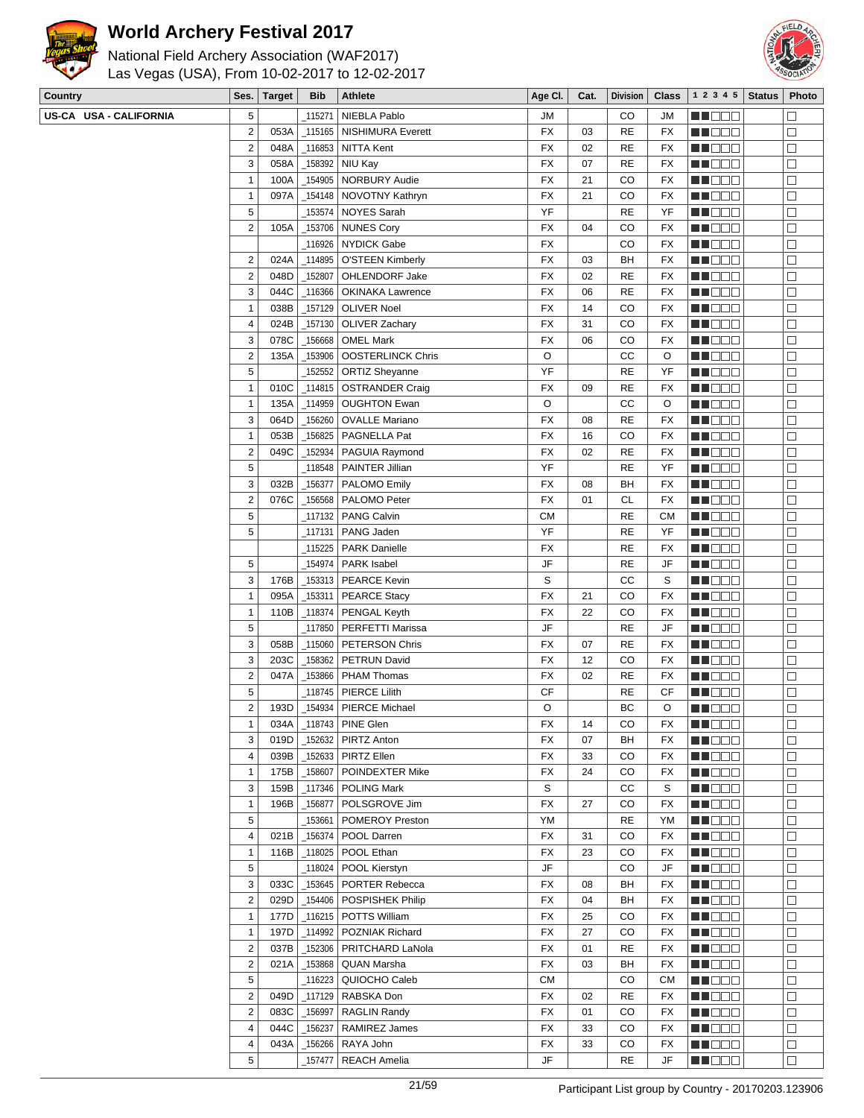



| National Field Archery Association (WAF2017)<br>Las Vegas (USA), From 10-02-2017 to 12-02-2017 |                        |   |             |            |                            |           |      |           | <b>ASSOCIATION</b> |                                               |  |  |  |  |  |
|------------------------------------------------------------------------------------------------|------------------------|---|-------------|------------|----------------------------|-----------|------|-----------|--------------------|-----------------------------------------------|--|--|--|--|--|
| <b>Country</b>                                                                                 |                        |   | Ses. Target | <b>Bib</b> | Athlete                    | Age Cl.   | Cat. |           |                    | Division   Class   1 2 3 4 5   Status   Photo |  |  |  |  |  |
|                                                                                                | US-CA USA - CALIFORNIA |   |             |            | 115271   NIEBLA Pablo      | <b>JM</b> |      | CО        | JM                 | HI DE E                                       |  |  |  |  |  |
|                                                                                                |                        | 2 | 053Al       |            | 115165   NISHIMURA Everett | <b>FX</b> | 03   | <b>RE</b> | FX                 | TE ELECT                                      |  |  |  |  |  |
|                                                                                                |                        |   | 048A        |            | _116853   NITTA Kent       | <b>FX</b> | 02   | <b>RE</b> | FX                 | NHEED.                                        |  |  |  |  |  |

| US-CA USA - CALIFORNIA | 5                       |      |            | _115271   NIEBLA Pablo            | JM        |    | CO        | JM        | MA DE B       | □      |
|------------------------|-------------------------|------|------------|-----------------------------------|-----------|----|-----------|-----------|---------------|--------|
|                        | $\overline{c}$          | 053A |            | 115165   NISHIMURA Everett        | <b>FX</b> | 03 | <b>RE</b> | FX        | M DOO         | □      |
|                        | $\overline{c}$          | 048A |            | _116853   NITTA Kent              | FX        | 02 | <b>RE</b> | FX        | MU DO B       | $\Box$ |
|                        | 3                       | 058A | _158392    | NIU Kay                           | FX        | 07 | RE        | FX        | <u> Helen</u> | $\Box$ |
|                        | $\mathbf{1}$            | 100A | _154905    | <b>NORBURY Audie</b>              | FX        | 21 | CO        | FX        | <u>LI DOO</u> | $\Box$ |
|                        | $\overline{1}$          | 097A |            | _154148 NOVOTNY Kathryn           | FX        | 21 | CO        | FX        | n i De B      | □      |
|                        |                         |      |            |                                   |           |    |           |           |               |        |
|                        | 5                       |      |            | _153574   NOYES Sarah             | YF        |    | <b>RE</b> | YF        | N N O O G     | $\Box$ |
|                        | $\overline{2}$          | 105A |            | _153706   NUNES Cory              | <b>FX</b> | 04 | CO        | FX        | N N D D G     | $\Box$ |
|                        |                         |      | 116926     | <b>NYDICK Gabe</b>                | <b>FX</b> |    | CO        | FX        | n in Eise     | $\Box$ |
|                        | $\overline{2}$          | 024A | 114895     | <b>O'STEEN Kimberly</b>           | FX        | 03 | BH        | <b>FX</b> | M DO B        | □      |
|                        | $\overline{c}$          | 048D | 152807     | OHLENDORF Jake                    | <b>FX</b> | 02 | <b>RE</b> | FX        | MN DO B       | □      |
|                        | 3                       | 044C | _116366    | <b>OKINAKA Lawrence</b>           | FX        | 06 | <b>RE</b> | FX        | MA DE C       | $\Box$ |
|                        | $\mathbf{1}$            | 038B |            | _157129   OLIVER Noel             | FX        | 14 | CO        | FX        | N NO DE       | $\Box$ |
|                        | $\overline{4}$          | 024B | _157130    | <b>OLIVER Zachary</b>             | FX        | 31 | CO        | FX        | MU O O O      | $\Box$ |
|                        | 3                       | 078C | _156668    | <b>OMEL Mark</b>                  | <b>FX</b> | 06 | CO        | FX        | MN 888        | $\Box$ |
|                        |                         |      |            |                                   |           |    |           |           |               |        |
|                        | $\overline{\mathbf{c}}$ | 135A | 153906     | <b>OOSTERLINCK Chris</b>          | $\circ$   |    | CC        | O         | NN DE S       | $\Box$ |
|                        | 5                       |      | 152552     | <b>ORTIZ Sheyanne</b>             | YF        |    | <b>RE</b> | YF        | M D D D D     | $\Box$ |
|                        | $\mathbf{1}$            | 010C | _114815    | <b>OSTRANDER Craig</b>            | FX        | 09 | <b>RE</b> | FX        | MT DE S       | $\Box$ |
|                        | $\mathbf{1}$            | 135A | 114959     | <b>OUGHTON Ewan</b>               | O         |    | cc        | O         | MU DO B       | □      |
|                        | 3                       | 064D | 156260     | <b>OVALLE Mariano</b>             | <b>FX</b> | 08 | <b>RE</b> | FX        | NN DE S       | $\Box$ |
|                        | $\mathbf{1}$            | 053B | 156825     | PAGNELLA Pat                      | FX        | 16 | CO        | FX        | MA DE E       | $\Box$ |
|                        | $\overline{2}$          | 049C | 152934     | PAGUIA Raymond                    | <b>FX</b> | 02 | RE        | FX        | <u>LI DOO</u> | $\Box$ |
|                        | 5                       |      |            | 118548   PAINTER Jillian          | YF        |    | <b>RE</b> | YF        | MU O O O      | □      |
|                        |                         |      |            |                                   | <b>FX</b> |    | BH        |           |               |        |
|                        | 3                       | 032B | _156377    | PALOMO Emily                      |           | 08 |           | FX        | N N O O G     | □      |
|                        | $\overline{2}$          | 076C | 156568     | PALOMO Peter                      | <b>FX</b> | 01 | CL        | FX        | N N D D G     | $\Box$ |
|                        | 5                       |      | 117132_    | <b>PANG Calvin</b>                | <b>CM</b> |    | <b>RE</b> | <b>CM</b> | M HOO E       | □      |
|                        | 5                       |      | 117131     | PANG Jaden                        | YF        |    | <b>RE</b> | YF        | MU DO L       | □      |
|                        |                         |      | 115225     | <b>PARK Danielle</b>              | FX        |    | <b>RE</b> | FX        | MN DO B       | □      |
|                        | 5                       |      | 154974     | PARK Isabel                       | JF        |    | <b>RE</b> | JF        | N NO D O      | $\Box$ |
|                        | 3                       | 176B |            | _153313   PEARCE Kevin            | S         |    | СC        | S         | N DE S        | $\Box$ |
|                        | $\mathbf{1}$            | 095A | _153311    | <b>PEARCE Stacy</b>               | FX        | 21 | CO        | FX        | MU O O O      | $\Box$ |
|                        | $\mathbf{1}$            | 110B |            |                                   | FX        | 22 | CO        | FX        |               | $\Box$ |
|                        |                         |      | _118374    | PENGAL Keyth                      | JF        |    |           |           | N N O O G     |        |
|                        | 5                       |      |            | 117850   PERFETTI Marissa         |           |    | <b>RE</b> | JF        | NN DE S       | $\Box$ |
|                        | 3                       | 058B | _115060    | <b>PETERSON Chris</b>             | FX        | 07 | <b>RE</b> | FX        | N N D D G     | $\Box$ |
|                        | 3                       | 203C | _158362    | PETRUN David                      | <b>FX</b> | 12 | CO        | FX        | MU DOC        | $\Box$ |
|                        | $\overline{2}$          | 047A | _153866    | <b>PHAM Thomas</b>                | <b>FX</b> | 02 | <b>RE</b> | FX        | MU OO U       | □      |
|                        | 5                       |      | 118745     | PIERCE Lilith                     | CF        |    | <b>RE</b> | СF        | <b>REDDE</b>  | $\Box$ |
|                        | $\overline{2}$          | 193D | 154934_    | PIERCE Michael                    | O         |    | BC        | O         | n de de       | $\Box$ |
|                        | 1                       | 034A |            | 118743   PINE Glen                | FX        | 14 | CO        | FX        | MA DO O       | $\Box$ |
|                        | 3                       | 019D |            | _152632   PIRTZ Anton             | FX        | 07 | ВH        |           | MU O O O      |        |
|                        |                         |      |            |                                   |           |    |           | FX        |               | ப      |
|                        | 4                       | 039B |            | _152633   PIRTZ Ellen             | FX        | 33 | CO        | FX        | MU DE S       | $\Box$ |
|                        | $\mathbf{1}$            | 175B | $\_158607$ | POINDEXTER Mike                   | FX        | 24 | CO        | FX        | <b>REDDO</b>  | $\Box$ |
|                        | 3                       | 159B |            | 117346   POLING Mark              | S         |    | СC        | S         | <u>Maca</u>   | $\Box$ |
|                        | $\mathbf{1}$            | 196B | _156877    | POLSGROVE Jim                     | <b>FX</b> | 27 | CO        | FX        | MU DO O       | □      |
|                        | 5                       |      | 153661     | POMEROY Preston                   | YM        |    | <b>RE</b> | YM        | MN OO B       | □      |
|                        | 4                       | 021B | $-156374$  | POOL Darren                       | FX        | 31 | CO        | FX        | <b>REDDE</b>  | $\Box$ |
|                        | $\mathbf{1}$            | 116B |            | _118025   POOL Ethan              | FX        | 23 | CO        | FX        | <b>MNODO</b>  | □      |
|                        | 5                       |      | _118024    | POOL Kierstyn                     | JF        |    | CO        | JF        | MU DO S       | $\Box$ |
|                        | 3                       | 033C |            | _153645   PORTER Rebecca          | FX        | 08 | BH        | FX        | NN O O O      | $\Box$ |
|                        | $\overline{2}$          | 029D |            | _154406   POSPISHEK Philip        | FX        | 04 | BH        | FX        | <b>RECOR</b>  | $\Box$ |
|                        |                         |      |            |                                   |           |    |           |           |               |        |
|                        | $\mathbf{1}$            | 177D |            | _116215   POTTS William           | <b>FX</b> | 25 | CO        | FX        | <b>REDDO</b>  | $\Box$ |
|                        | $\mathbf{1}$            | 197D |            | _114992   POZNIAK Richard         | FX        | 27 | CO        | FX        | <b>MUDDE</b>  | $\Box$ |
|                        | $\overline{2}$          | 037B | _152306    | PRITCHARD LaNola                  | FX        | 01 | <b>RE</b> | FX        | MU DO B       | □      |
|                        | $\overline{2}$          | 021A |            | <sub>-</sub> 153868   QUAN Marsha | FX        | 03 | BH        | FX        | <b>RECODE</b> | $\Box$ |
|                        | 5                       |      | 116223     | QUIOCHO Caleb                     | СM        |    | CO        | СM        | MA DE E       | $\Box$ |
|                        | $\overline{2}$          | 049D |            | _117129   RABSKA Don              | FX        | 02 | <b>RE</b> | FX        | MU DO O       | □      |
|                        | $\overline{2}$          | 083C | 156997_    | <b>RAGLIN Randy</b>               | FX        | 01 | CO        | FX        | MU OOO        | □      |
|                        | $\overline{4}$          | 044C | 156237     | RAMIREZ James                     | FX        | 33 | CO        | FX        | MN O O O      | $\Box$ |
|                        |                         |      |            |                                   |           |    |           |           |               |        |
|                        | 4                       | 043A | 156266     | RAYA John                         | FX        | 33 | CO        | FX        | MA BELE       | $\Box$ |
|                        | 5                       |      | 157477     | <b>REACH Amelia</b>               | JF        |    | RE        | JF        | <b>MNOOO</b>  | $\Box$ |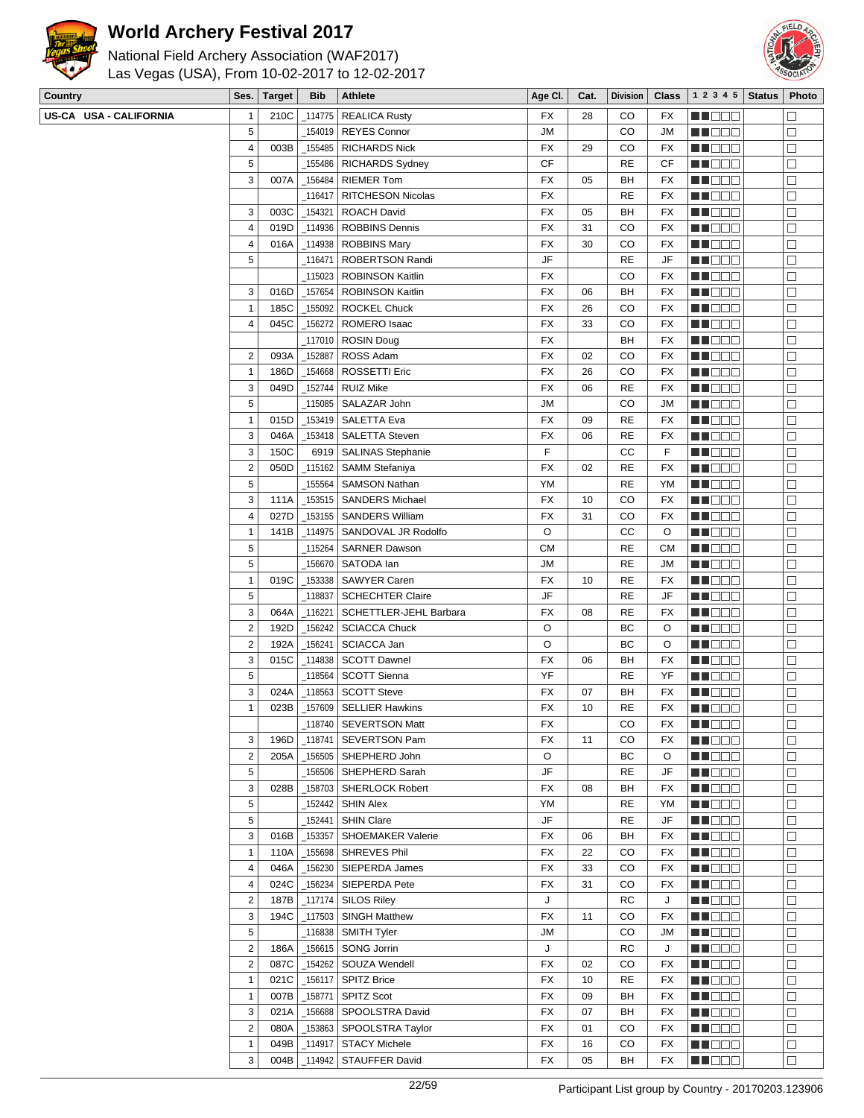

National Field Archery Association (WAF2017) Las Vegas (USA), From 10-02-2017 to 12-02-2017



| Country                | Ses. $ $                | <b>Target</b> | Bib        | Athlete                   | Age CI.   | Cat. | <b>Division</b> | <b>Class</b> | 12345         | <b>Status</b> | Photo             |
|------------------------|-------------------------|---------------|------------|---------------------------|-----------|------|-----------------|--------------|---------------|---------------|-------------------|
| US-CA USA - CALIFORNIA | 1                       | 210C          | _114775    | <b>REALICA Rusty</b>      | FX        | 28   | CO              | FX           | MA DE E       |               | $\Box$            |
|                        | 5                       |               |            | 154019   REYES Connor     | <b>JM</b> |      | CO              | <b>JM</b>    | MU DO 8       |               | □                 |
|                        | $\overline{\mathbf{4}}$ | 003B          | _155485    | <b>RICHARDS Nick</b>      | FX        | 29   | CO              | FX           | MU DO S       |               | $\Box$            |
|                        | 5                       |               | 155486     | <b>RICHARDS Sydney</b>    | <b>CF</b> |      | <b>RE</b>       | CF           | <b>MN</b> OOO |               | $\Box$            |
|                        | 3                       | 007A          | _156484    | <b>RIEMER Tom</b>         | <b>FX</b> | 05   | BH              | FX           | MU DO O       |               | $\Box$            |
|                        |                         |               | 116417     | <b>RITCHESON Nicolas</b>  | FX        |      | <b>RE</b>       | FX           | <b>NH</b> OOD |               | □                 |
|                        | 3                       | 003C          | 154321     | <b>ROACH David</b>        | FX        | 05   | BH              | FX           | MN OO O       |               | □                 |
|                        | $\overline{4}$          | 019D          | 114936     | <b>ROBBINS Dennis</b>     | FX        | 31   | CO              | FX           | MN OO B       |               | $\Box$            |
|                        | $\overline{4}$          | 016A          | _114938    | <b>ROBBINS Mary</b>       | FX        | 30   | CO              | FX           | <b>MNOOO</b>  |               | $\Box$            |
|                        | $\sqrt{5}$              |               | 116471     | ROBERTSON Randi           | JF        |      | <b>RE</b>       | JF           | M DOO         |               | □                 |
|                        |                         |               | _115023    | <b>ROBINSON Kaitlin</b>   | FX        |      | CO              | FX           | MN 888        |               | □                 |
|                        | 3                       | 016D          | 157654     | <b>ROBINSON Kaitlin</b>   | FX        | 06   | BH              | FX           | MA DE C       |               | $\Box$            |
|                        | $\mathbf{1}$            | 185C          | 155092     | <b>ROCKEL Chuck</b>       | FX        | 26   | CO              | FX           | <b>HEDDE</b>  |               | $\Box$            |
|                        | 4                       | 045C          | _156272    | ROMERO Isaac              | <b>FX</b> | 33   | CO              | FX           | MN DO B       |               | $\Box$            |
|                        |                         |               | _117010    | <b>ROSIN Doug</b>         | FX        |      | BH              | FX           | MN DOO        |               | □                 |
|                        | $\sqrt{2}$              | 093A          | 152887     | ROSS Adam                 | <b>FX</b> | 02   | CO              | FX           | <b>REDDE</b>  |               | $\Box$            |
|                        | $\mathbf{1}$            | 186D          | 154668     | <b>ROSSETTI Eric</b>      | FX        | 26   | CO              | FX           | M DE S        |               | $\Box$            |
|                        | 3                       | 049D          | 152744     | <b>RUIZ Mike</b>          | FX        | 06   | <b>RE</b>       | FX           | <b>MNOOO</b>  |               | $\Box$            |
|                        | $\mathbf 5$             |               |            |                           | <b>JM</b> |      | CO              | <b>JM</b>    |               |               |                   |
|                        |                         |               | _115085    | SALAZAR John              |           |      | <b>RE</b>       |              | MU DO 8       |               | $\Box$            |
|                        | $\mathbf{1}$            | 015D          | _153419    | <b>SALETTA Eva</b>        | <b>FX</b> | 09   |                 | FX           | MU DO S       |               | $\Box$            |
|                        | 3                       | 046A          | _153418    | <b>SALETTA Steven</b>     | FX        | 06   | <b>RE</b>       | FX           | <b>REDDO</b>  |               | $\Box$            |
|                        | 3                       | 150C          | 6919       | <b>SALINAS Stephanie</b>  | F         |      | cc              | F            | <b>NNODO</b>  |               | $\Box$            |
|                        | $\mathbf 2$             | 050D          | 115162     | <b>SAMM Stefaniya</b>     | <b>FX</b> | 02   | <b>RE</b>       | <b>FX</b>    | MU DO B       |               | □                 |
|                        | $\sqrt{5}$              |               | 155564     | <b>SAMSON Nathan</b>      | YM        |      | <b>RE</b>       | YM           | MU DO B       |               | □                 |
|                        | 3                       | 111A          |            | _153515   SANDERS Michael | <b>FX</b> | 10   | CO              | FX           | <b>MNODO</b>  |               | $\Box$            |
|                        | $\overline{\mathbf{4}}$ | 027D          | 153155     | <b>SANDERS William</b>    | FX        | 31   | CO              | FX           | <b>MNODO</b>  |               | $\Box$            |
|                        | $\mathbf{1}$            | 141B          | _114975    | SANDOVAL JR Rodolfo       | O         |      | cc              | O            | MU DO O       |               | □                 |
|                        | $\sqrt{5}$              |               | _115264    | <b>SARNER Dawson</b>      | CМ        |      | <b>RE</b>       | <b>CM</b>    | MN OO O       |               | $\Box$            |
|                        | 5                       |               | 156670     | SATODA lan                | <b>JM</b> |      | <b>RE</b>       | <b>JM</b>    | MA DE C       |               | $\Box$            |
|                        | $\mathbf{1}$            | 019C          | _153338    | <b>SAWYER Caren</b>       | FX        | 10   | <b>RE</b>       | FX           | <b>HEDDE</b>  |               | $\Box$            |
|                        | $\sqrt{5}$              |               | 118837     | <b>SCHECHTER Claire</b>   | JF        |      | <b>RE</b>       | JF           | MN DO B       |               | $\Box$            |
|                        | 3                       | 064A          | $-116221$  | SCHETTLER-JEHL Barbara    | <b>FX</b> | 08   | <b>RE</b>       | FX           | MU DO S       |               | □                 |
|                        | $\sqrt{2}$              | 192D          | _156242    | <b>SCIACCA Chuck</b>      | O         |      | ВC              | O            | <b>HEDDD</b>  |               | $\Box$            |
|                        | $\sqrt{2}$              | 192A          | _156241    | SCIACCA Jan               | O         |      | ВC              | O            | <b>REBOO</b>  |               | $\Box$            |
|                        | 3                       | 015C          | 114838     | <b>SCOTT Dawnel</b>       | FX        | 06   | BH              | FX           | <b>MNODO</b>  |               | $\Box$            |
|                        | $\mathbf 5$             |               | _118564    | <b>SCOTT Sienna</b>       | YF        |      | <b>RE</b>       | YF           | MU DO B       |               | □                 |
|                        | 3                       | 024A          | 118563     | <b>SCOTT Steve</b>        | FX        | 07   | BH              | <b>FX</b>    | <b>REDDE</b>  |               | $\Box$            |
|                        | $\mathbf{1}$            | 023B          |            | 157609 SELLIER Hawkins    | <b>FX</b> | 10   | <b>RE</b>       | <b>FX</b>    | MN DE S       |               | $\Box$            |
|                        |                         |               |            | $-118740$ SEVERTSON Matt  | FX        |      | $\rm CO$        | <b>FX</b>    | <b>ENDOD</b>  |               | $\overline{\Box}$ |
|                        | 3                       | 196D          |            | _118741   SEVERTSON Pam   | FX        | 11   | CO              | FX           | <b>MNODO</b>  |               | □                 |
|                        | $\sqrt{2}$              | 205A          |            | _156505 SHEPHERD John     | O         |      | BС              | O            | MU DO S       |               | □                 |
|                        | 5                       |               |            | _156506   SHEPHERD Sarah  | JF        |      | <b>RE</b>       | JF           | <b>REDDE</b>  |               | $\Box$            |
|                        | 3                       | 028B          | _158703    | SHERLOCK Robert           | FX        | 08   | BH              | FX           | <b>MNOOO</b>  |               | $\Box$            |
|                        | 5                       |               |            | _152442   SHIN Alex       | YM        |      | RE              | YM           | M DOO         |               | □                 |
|                        | 5                       |               | _152441    | <b>SHIN Clare</b>         | JF        |      | RE              | JF           | MU O O O      |               | □                 |
|                        | 3                       | 016B          | _153357    | SHOEMAKER Valerie         | FX        | 06   | BH              | FX           | MU DE S       |               | $\Box$            |
|                        | $\mathbf{1}$            | 110A          | _155698    | SHREVES Phil              | <b>FX</b> | 22   | CO              | FX           | <b>MNO</b> OO |               | $\Box$            |
|                        | 4                       | 046A          | _156230    | SIEPERDA James            | FX        | 33   | CO              | FX           | MU OOO        |               | $\Box$            |
|                        | 4                       | 024C          | _156234    | SIEPERDA Pete             | FX        | 31   | CO              | FX           | MN 888        |               | $\Box$            |
|                        | $\sqrt{2}$              | 187B          | $\_117174$ | <b>SILOS Riley</b>        | J         |      | RC              | J            | MN 886        |               | $\Box$            |
|                        | 3                       | 194C          | $\_117503$ | <b>SINGH Matthew</b>      | FX        | 11   | CO              | FX           | <b>REDDE</b>  |               | $\Box$            |
|                        | 5                       |               |            |                           | JM        |      | CO              | JM           | <b>MNODO</b>  |               | $\Box$            |
|                        | $\sqrt{2}$              | 186A          | 156615     | SONG Jorrin               | J         |      | RC              | J            | MU DO B       |               | □                 |
|                        | $\sqrt{2}$              | 087C          | _154262    | SOUZA Wendell             | FX        | 02   | CO              | FX           | MU DO O       |               | $\Box$            |
|                        | $\mathbf{1}$            | 021C          | _156117    | <b>SPITZ Brice</b>        | FX        | 10   | <b>RE</b>       | FX           | MU DE S       |               | $\Box$            |
|                        | $\mathbf{1}$            | 007B          | $-158771$  | <b>SPITZ Scot</b>         | FX        | 09   | BH              | FX           | <b>MNOOO</b>  |               | $\Box$            |
|                        | 3                       | 021A          | _156688丨   | SPOOLSTRA David           | FX        | 07   | BH              | FX           | MU OO B       |               | $\Box$            |
|                        | $\overline{2}$          | 080A          | _153863    | SPOOLSTRA Taylor          | FX        | 01   | CO              | FX           | <b>REDDE</b>  |               | $\Box$            |
|                        | $\mathbf{1}$            | 049B          | 114917     | <b>STACY Michele</b>      | FX        | 16   | CO              | FX           | <b>RECOR</b>  |               | $\Box$            |
|                        | 3                       | 004B          |            | _114942   STAUFFER David  | FX        | 05   | BH              | FX           | <b>REDDE</b>  |               | $\Box$            |
|                        |                         |               |            |                           |           |      |                 |              |               |               |                   |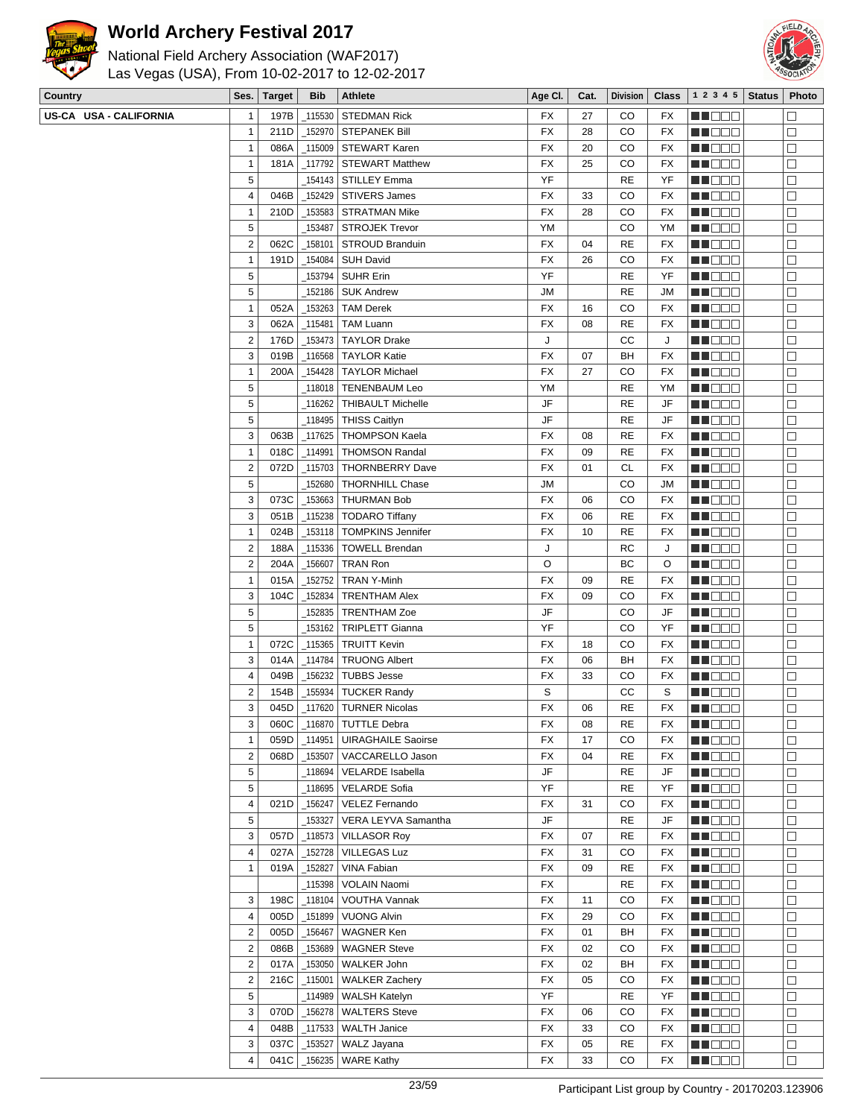



| National Field Archery Association (WAF2017)   |  |
|------------------------------------------------|--|
| Las Vegas (USA), From 10-02-2017 to 12-02-2017 |  |

| Country                | Ses.           | <b>Target</b> | <b>Bib</b> | Athlete                    | Age CI. | Cat. | <b>Division</b> | Class | 1 2 3 4 5      | <b>Status</b> | Photo  |
|------------------------|----------------|---------------|------------|----------------------------|---------|------|-----------------|-------|----------------|---------------|--------|
| US-CA USA - CALIFORNIA | $\mathbf{1}$   | 197B          | 115530     | <b>STEDMAN Rick</b>        | FX      | 27   | CO              | FX    | <b>MA</b> OO O |               |        |
|                        | $\overline{1}$ | 211D          | _152970    | STEPANEK Bill              | FX      | 28   | CO              | FX    | MU DO B        |               | $\Box$ |
|                        | $\mathbf{1}$   | 086A          |            | _115009   STEWART Karen    | FX      | 20   | CO              | FX    | MUOOO          |               | $\Box$ |
|                        | $\overline{1}$ | 181A          | 117792     | <b>STEWART Matthew</b>     | FX      | 25   | CO              | FX    | MO DO O        |               | $\Box$ |
|                        | $\sqrt{5}$     |               |            | 154143   STILLEY Emma      | YF      |      | RE              | YF    | MU DE E        |               | $\Box$ |
|                        | $\overline{4}$ | 046B          |            | _152429   STIVERS James    | FX      | 33   | CO              | FX    | MU DO B        |               | □      |
|                        | $\mathbf{1}$   | 210D          |            | _153583   STRATMAN Mike    | FX      | 28   | CO              | FX    | MU DO O        |               | □      |
|                        | 5              |               | _153487    | <b>STROJEK Trevor</b>      | YM      |      | CO              | YM    | MN OO O        |               | $\Box$ |
|                        | $\overline{2}$ | 062C          | _158101    | STROUD Branduin            | FX      | 04   | RE              | FX    | MU DE L        |               | $\Box$ |
|                        | $\mathbf{1}$   | 191D          | _154084    | <b>SUH David</b>           | FX      | 26   | CO              | FX    | MA DE E        |               | □      |
|                        | 5              |               |            | _153794   SUHR Erin        | YF      |      | RE              | YF    | MU OO O        |               | □      |
|                        | $\sqrt{5}$     |               | _152186    | <b>SUK Andrew</b>          | JM      |      | RE              | JM    | <b>REDDE</b>   |               | $\Box$ |
|                        | $\overline{1}$ |               |            |                            |         |      |                 |       |                |               |        |
|                        |                | 052A          | 153263     | <b>TAM Derek</b>           | FX      | 16   | CO              | FX    | <b>REDDO</b>   |               | $\Box$ |
|                        | 3              | 062A          | 115481     | <b>TAM Luann</b>           | FX      | 08   | RE              | FX    | MU DO B        |               | $\Box$ |
|                        | $\overline{2}$ | 176D          | _153473    | <b>TAYLOR Drake</b>        | J       |      | СC              | J     | MU DO D        |               | □      |
|                        | 3              | 019B          |            | _116568   TAYLOR Katie     | FX      | 07   | BH              | FX    | MUOOO          |               | $\Box$ |
|                        | $\mathbf{1}$   | 200A          | _154428    | <b>TAYLOR Michael</b>      | FX      | 27   | CO              | FX    | MO DO O        |               | $\Box$ |
|                        | 5              |               | _118018    | <b>TENENBAUM Leo</b>       | YM      |      | <b>RE</b>       | YM    | MU DE O        |               | $\Box$ |
|                        | 5              |               | _116262    | <b>THIBAULT Michelle</b>   | JF      |      | <b>RE</b>       | JF    | MU BEG         |               | $\Box$ |
|                        | 5              |               | _118495    | <b>THISS Caitlyn</b>       | JF      |      | RE              | JF    | <b>REDDE</b>   |               | □      |
|                        | 3              | 063B          | _117625    | <b>THOMPSON Kaela</b>      | FX      | 08   | RE              | FX    | <b>REDDO</b>   |               | $\Box$ |
|                        | $\overline{1}$ | 018C          | 114991_    | <b>THOMSON Randal</b>      | FX      | 09   | RE              | FX    | <b>MNOOO</b>   |               | $\Box$ |
|                        | $\overline{2}$ | 072D          | _115703    | <b>THORNBERRY Dave</b>     | FX      | 01   | CL              | FX    | MU DO B        |               | $\Box$ |
|                        | 5              |               | _152680    | <b>THORNHILL Chase</b>     | JM      |      | CO              | JМ    | <b>REDDE</b>   |               | □      |
|                        | $\sqrt{3}$     | 073C          |            | _153663   THURMAN Bob      | FX      | 06   | CO              | FX    | <b>REDDO</b>   |               | $\Box$ |
|                        | 3              | 051B          | _115238    | <b>TODARO Tiffany</b>      | FX      | 06   | RE              | FX    | M D D D        |               | $\Box$ |
|                        | $\overline{1}$ | 024B          | _153118    | <b>TOMPKINS Jennifer</b>   | FX      | 10   | RE              | FX    | M DO O         |               | □      |
|                        | $\overline{2}$ | 188A          | _115336    | <b>TOWELL Brendan</b>      | J       |      | RC              | J     | MN OO O        |               | $\Box$ |
|                        | $\sqrt{2}$     | 204A          | _156607    | TRAN Ron                   | O       |      | BC              | O     | <b>REDDE</b>   |               | $\Box$ |
|                        | $\mathbf{1}$   | 015A          | 152752     | <b>TRAN Y-Minh</b>         | FX      | 09   | RE              | FX    | <b>REDDO</b>   |               | $\Box$ |
|                        | 3              | 104C          | _152834    | <b>TRENTHAM Alex</b>       | FX      | 09   | CO              | FX    | MU DO O        |               | $\Box$ |
|                        | $\sqrt{5}$     |               | 152835     | <b>TRENTHAM Zoe</b>        | JF      |      | CO              | JF    | MU O O O       |               | $\Box$ |
|                        | 5              |               | _153162    | <b>TRIPLETT Gianna</b>     | YF      |      | CO              | YF    | <b>REDDE</b>   |               | $\Box$ |
|                        | $\mathbf{1}$   | 072C          | _115365丨   | <b>TRUITT Kevin</b>        | FX      | 18   | CO              | FX    | MU DE B        |               | $\Box$ |
|                        | 3              | 014A          | 114784     | <b>TRUONG Albert</b>       | FX      | 06   | BH              | FX    | MU DO O        |               | $\Box$ |
|                        | 4              | 049B          | 156232     | <b>TUBBS Jesse</b>         | FX      | 33   | CO              | FX    | MU 880         |               | □      |
|                        | $\overline{2}$ | 154B          | _155934    | <b>TUCKER Randy</b>        | S       |      | СC              | S     | MT DE S        |               | □      |
|                        | 3              | 045D          | _117620    | <b>TURNER Nicolas</b>      | FX      | 06   | RE              | FX    | MN DE S        |               | $\Box$ |
|                        |                |               |            |                            |         |      |                 |       |                |               |        |
|                        | 3              | 060C          |            | 116870   TUTTLE Debra      | FX      | 08   | RE              | FX    | <u> Helet</u>  |               | ⊔      |
|                        | $\mathbf{1}$   | 059D          | _114951    | <b>UIRAGHAILE Saoirse</b>  | FX      | 17   | CO              | FX    | MU DO B        |               | □      |
|                        | $\overline{2}$ | 068D          | _153507    | VACCARELLO Jason           | FX      | 04   | <b>RE</b>       | FX    | <b>RECOR</b>   |               | $\Box$ |
|                        | 5              |               |            | _118694   VELARDE Isabella | JF      |      | <b>RE</b>       | JF    | <b>RECOR</b>   |               | $\Box$ |
|                        | 5              |               |            | 118695   VELARDE Sofia     | YF      |      | RE              | YF    | MN 888         |               | $\Box$ |
|                        | 4              | 021D          | _156247    | VELEZ Fernando             | FX      | 31   | CO              | FX    | MU DO B        |               | $\Box$ |
|                        | 5              |               | _153327    | VERA LEYVA Samantha        | JF      |      | <b>RE</b>       | JF    | MU DO S        |               | □      |
|                        | 3              | 057D          | _118573    | <b>VILLASOR Roy</b>        | FX      | 07   | <b>RE</b>       | FX    | <b>RECOR</b>   |               | $\Box$ |
|                        | $\overline{4}$ | 027A          | _152728    | <b>VILLEGAS Luz</b>        | FX      | 31   | CO              | FX    | MB BBB         |               | $\Box$ |
|                        | $\mathbf{1}$   | 019A          | 152827     | VINA Fabian                | FX      | 09   | <b>RE</b>       | FX    | MU OOO         |               | $\Box$ |
|                        |                |               | _115398    | VOLAIN Naomi               | FX      |      | <b>RE</b>       | FX    | NH DE B        |               | $\Box$ |
|                        | 3              | 198C          | _118104    | VOUTHA Vannak              | FX      | 11   | CO              | FX    | <b>REDDE</b>   |               | $\Box$ |
|                        | 4              | 005D          | _151899    | <b>VUONG Alvin</b>         | FX      | 29   | CO              | FX    | <b>REDDO</b>   |               | $\Box$ |
|                        | $\overline{2}$ | 005D          | _156467    | <b>WAGNER Ken</b>          | FX      | 01   | BH              | FX    | NH BEE         |               | $\Box$ |
|                        | $\overline{2}$ | 086B          | 153689     | <b>WAGNER Steve</b>        | FX      | 02   | CO              | FX    | MU DO B        |               | $\Box$ |
|                        | $\overline{2}$ | 017A          | _153050    | <b>WALKER John</b>         | FX      | 02   | BH              | FX    | MU DO B        |               | $\Box$ |
|                        | $\overline{2}$ | 216C          | _115001    | <b>WALKER Zachery</b>      | FX      | 05   | CO              | FX    | MN DE S        |               | $\Box$ |
|                        | 5              |               | _114989    | <b>WALSH Katelyn</b>       | YF      |      | <b>RE</b>       | YF    | <b>MNOOO</b>   |               | $\Box$ |
|                        | 3              | 070D          |            | _156278   WALTERS Steve    | FX      | 06   | CO              | FX    | MU DO B        |               | □      |
|                        | $\overline{4}$ | 048B          | _117533    | <b>WALTH Janice</b>        | FX      | 33   | CO              | FX    | MU DO B        |               | $\Box$ |
|                        | 3              | 037C          | _153527    | WALZ Jayana                | FX      | 05   | <b>RE</b>       | FX    | <b>REDDO</b>   |               | $\Box$ |
|                        | $\overline{4}$ | 041C          |            | <b>WARE Kathy</b>          |         |      | CO              |       | <b>REBED</b>   |               |        |
|                        |                |               | _156235    |                            | FX      | 33   |                 | FX    |                |               | □      |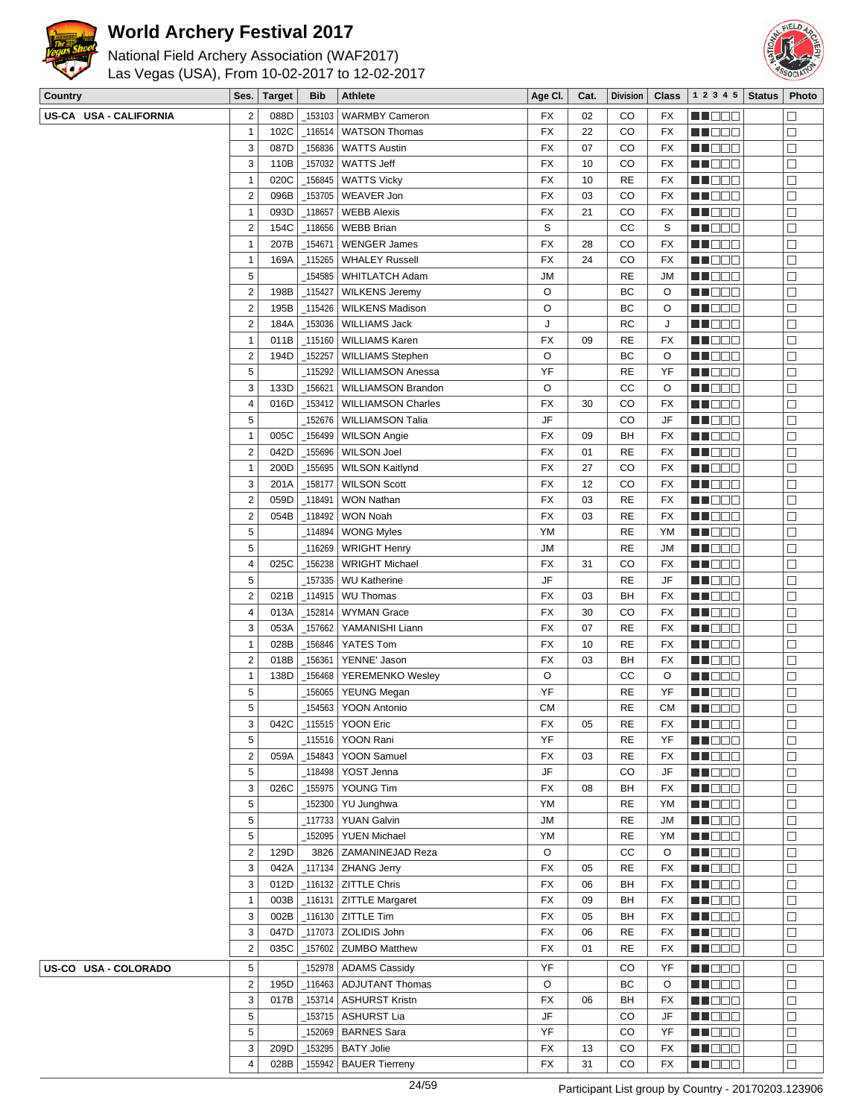

 $(MA$ E2017)



| Las Vegas (USA), From 10-02-2017 to 12-02-2017 |
|------------------------------------------------|
| National Field Archery Association (WAF2017)   |

| Country                | Ses.                    | <b>Target</b> | <b>Bib</b> | <b>Athlete</b>               | Age CI.   | Cat. | <b>Division</b> | <b>Class</b> | 1 2 3 4 5 Status | Photo                |
|------------------------|-------------------------|---------------|------------|------------------------------|-----------|------|-----------------|--------------|------------------|----------------------|
| US-CA USA - CALIFORNIA | $\mathbf 2$             | 088D          |            | 153103   WARMBY Cameron      | <b>FX</b> | 02   | CO              | FX           | M DE S           | $\Box$               |
|                        | $\mathbf{1}$            | 102C          |            | _116514   WATSON Thomas      | <b>FX</b> | 22   | CO              | <b>FX</b>    | <b>MNODO</b>     | $\Box$               |
|                        | 3                       | 087D          |            | 156836   WATTS Austin        | FX        | 07   | CO              | FX           | MN O O O         | $\Box$               |
|                        | 3                       | 110B          |            | _157032   WATTS Jeff         | FX        | 10   | CO              | FX           | MN O O O         | $\Box$               |
|                        | $\mathbf{1}$            | 020C          |            | _156845   WATTS Vicky        | <b>FX</b> | 10   | RE              | FX           | MU DO D          | $\Box$               |
|                        | $\overline{\mathbf{c}}$ | 096B          |            | _153705   WEAVER Jon         | FX        | 03   | CO              | FX           | MU DO B          | $\Box$               |
|                        | $\mathbf{1}$            | 093D          | 118657     | <b>WEBB Alexis</b>           | FX        | 21   | CO              | FX           | MN O O O         | $\Box$               |
|                        | $\overline{2}$          | 154C          |            | 118656   WEBB Brian          | S         |      | CC              | S            | N NO DEI         | $\Box$               |
|                        | $\mathbf{1}$            | 207B          | _154671    | <b>WENGER James</b>          | <b>FX</b> | 28   | CO              | FX           | N DE B           | $\Box$               |
|                        | 1                       | 169A          |            | _115265   WHALEY Russell     | <b>FX</b> | 24   | CO              | FX           | W OOO            | $\Box$               |
|                        | 5                       |               |            | 154585   WHITLATCH Adam      | <b>JM</b> |      | <b>RE</b>       | <b>JM</b>    | MN O O O         | $\Box$               |
|                        | $\overline{\mathbf{c}}$ | 198B          |            | _115427   WILKENS Jeremy     | O         |      | BC              | O            | MA O O O         | $\Box$               |
|                        | $\overline{\mathbf{c}}$ | 195B          |            | 115426   WILKENS Madison     | O         |      | BC              | O            | N DE B           | $\Box$               |
|                        | $\overline{\mathbf{c}}$ | 184A          |            | _153036   WILLIAMS Jack      | J         |      | RC              | J            | MU DO O          | $\Box$               |
|                        | $\mathbf{1}$            | 011B          |            | _115160   WILLIAMS Karen     | FX        | 09   | <b>RE</b>       | FX           | MUOOO            | $\Box$               |
|                        | $\overline{\mathbf{c}}$ | 194D          | 152257     | <b>WILLIAMS Stephen</b>      | O         |      | BC              | O            | <b>REDDE</b>     | $\Box$               |
|                        | 5                       |               |            | 115292   WILLIAMSON Anessa   | YF        |      | <b>RE</b>       | YF           | N NO DEI         | $\Box$               |
|                        | 3                       | 133D          | 156621     | WILLIAMSON Brandon           | O         |      | cc              | O            | MUODO            | $\Box$               |
|                        | 4                       | 016D          |            | _153412   WILLIAMSON Charles | <b>FX</b> | 30   | CO              | FX           | WO OO U          | $\Box$               |
|                        | 5                       |               |            | _152676   WILLIAMSON Talia   | JF        |      | CO              | JF           | MU DO D          | $\Box$               |
|                        | $\mathbf{1}$            | 005C          |            | _156499   WILSON Angie       | FX        | 09   | BН              | FX           | N NO DEI         | $\Box$               |
|                        | $\overline{c}$          | 042D          |            | _155696   WILSON Joel        | FX        | 01   | <b>RE</b>       | FX           | N NO DEI         | $\Box$               |
|                        | $\mathbf{1}$            | 200D          |            | _155695   WILSON Kaitlynd    | <b>FX</b> | 27   | CO              | FX           | MU DO B          | $\Box$               |
|                        | 3                       | 201A          | 158177     | <b>WILSON Scott</b>          | FX        | 12   | CO              | FX           | MN DE B          | $\Box$               |
|                        | $\overline{\mathbf{c}}$ | 059D          | _118491    | <b>WON Nathan</b>            | <b>FX</b> | 03   | RE              | FX           | MU DO O          | $\Box$               |
|                        | $\overline{\mathbf{c}}$ | 054B          | _118492    | <b>WON Noah</b>              | <b>FX</b> | 03   | <b>RE</b>       | FX           | N DE B           | $\Box$               |
|                        | 5                       |               | _114894    | <b>WONG Myles</b>            | YM        |      | <b>RE</b>       | YM           | MU O O O         | $\Box$               |
|                        | 5                       |               |            | _116269   WRIGHT Henry       | <b>JM</b> |      | <b>RE</b>       | <b>JM</b>    | MUOOO            | $\Box$               |
|                        | 4                       | 025C          | 156238     | <b>WRIGHT Michael</b>        | FX        | 31   | CO              | FX           | <b>MARGO</b>     | $\Box$               |
|                        | 5                       |               |            | 157335   WU Katherine        | JF        |      | RE              | JF           | <u>Li Bee</u>    | $\Box$               |
|                        | $\overline{\mathbf{c}}$ | 021B          |            | _114915   WU Thomas          | FX        | 03   | BH              | FX           | <b>HE</b> OOO    | $\Box$               |
|                        | 4                       | 013A          |            | _152814   WYMAN Grace        | FX        | 30   | CO              | FX           | MUOOO            | $\Box$               |
|                        | 3                       | 053A          | _157662    | YAMANISHI Liann              | FX        | 07   | <b>RE</b>       | FX           | MUOOO            | $\Box$               |
|                        | $\mathbf{1}$            | 028B          | $-156846$  | YATES Tom                    | <b>FX</b> | 10   | RE              | <b>FX</b>    | N DE B           | $\Box$               |
|                        | $\overline{c}$          | 018B          | _156361    | YENNE' Jason                 | FX        | 03   | BН              | FX           | MU O O O         | $\Box$               |
|                        | $\mathbf{1}$            | 138D          | _156468    | YEREMENKO Wesley             | O         |      | cc              | $\circ$      | MU O O O         | $\Box$               |
|                        | 5                       |               |            | 156065   YEUNG Megan         | YF        |      | RE              | YF           | MUOOO            | $\Box$               |
|                        | 5                       |               |            | 154563   YOON Antonio        | CМ        |      | RE              | <b>CM</b>    | <b>NNOCI</b>     | $\Box$               |
|                        | 3                       |               |            | 042C 115515 YOON Eric        | <b>FX</b> | 05   | $\mathsf{RE}$   | FX           | <b>THEE</b> 0    | $\overline{\square}$ |
|                        | 5                       |               |            | _115516   YOON Rani          | YF        |      | RE              | YF           | MN 888           | $\Box$               |
|                        | $\overline{\mathbf{c}}$ | 059A          |            | _154843   YOON Samuel        | FX        | 03   | RE              | FX           | MN 888           | $\Box$               |
|                        | 5                       |               |            | _118498   YOST Jenna         | JF        |      | CO              | JF           | NN OO O          | $\Box$               |
|                        | 3                       | 026C          |            | 155975   YOUNG Tim           | FX        | 08   | BH              | FX           | <b>REDDD</b>     | $\Box$               |
|                        | 5                       |               |            | _152300 YU Junghwa           | YM        |      | RE              | YM           | MU O O O         | $\Box$               |
|                        | 5                       |               |            | 117733 YUAN Galvin           | JM        |      | RE              | JM           | MU DOO           | $\Box$               |
|                        | 5                       |               |            | _152095   YUEN Michael       | YM        |      | RE              | YM           | N NO DEI         | $\Box$               |
|                        | $\mathbf 2$             | 129D          |            | 3826   ZAMANINEJAD Reza      | O         |      | CС              | O            | <b>MA</b> OOO    | $\Box$               |
|                        | 3                       | 042A          |            | _117134   ZHANG Jerry        | FX        | 05   | RE              | FX           | MU O O O         | $\Box$               |
|                        | 3                       | 012D          |            | _116132   ZITTLE Chris       | FX        | 06   | BH              | FX           | MN O O O         | $\Box$               |
|                        | $\mathbf{1}$            | 003B          |            | _116131   ZITTLE Margaret    | FX        | 09   | BH              | FX           | MN O O O         | $\Box$               |
|                        | 3                       | 002B          |            | $_1$ 116130 ZITTLE Tim       | FX        | 05   | BH              | FX           | <b>NNOOO</b>     | $\Box$               |
|                        | 3                       | 047D          |            |                              | FX        | 06   | <b>RE</b>       | FX           | <b>MNODO</b>     | $\Box$               |
|                        | $\mathbf 2$             | 035C          |            | _157602   ZUMBO Matthew      | FX        | 01   | RE              | FX           | Maaa             | □                    |
| US-CO USA - COLORADO   | 5                       |               |            | 152978   ADAMS Cassidy       | YF        |      | CO              | YF           | MU DOC           | $\Box$               |
|                        | $\mathbf 2$             | 195D          |            | _116463   ADJUTANT Thomas    | O         |      | BC              | O            | MN O O O         | $\Box$               |
|                        | 3                       | 017B          |            | _153714   ASHURST Kristn     | FX        | 06   |                 | FX           |                  | $\Box$               |
|                        | 5                       |               |            |                              | JF        |      | BH              | JF           | <b>REDDE</b>     | $\Box$               |
|                        |                         |               |            | 153715   ASHURST Lia         | YF        |      | CO              |              | <b>MA</b> OOO    | $\Box$               |
|                        | 5<br>3                  |               |            | 152069   BARNES Sara         |           |      | CO              | YF           | MU DOC           |                      |
|                        |                         | 209D          |            | _153295   BATY Jolie         | FX        | 13   | CO              | FX           | MU O O O         | □                    |
|                        | 4                       | 028B          |            | 155942   BAUER Tierreny      | FX        | 31   | CO              | FX           | MU DO D          | $\Box$               |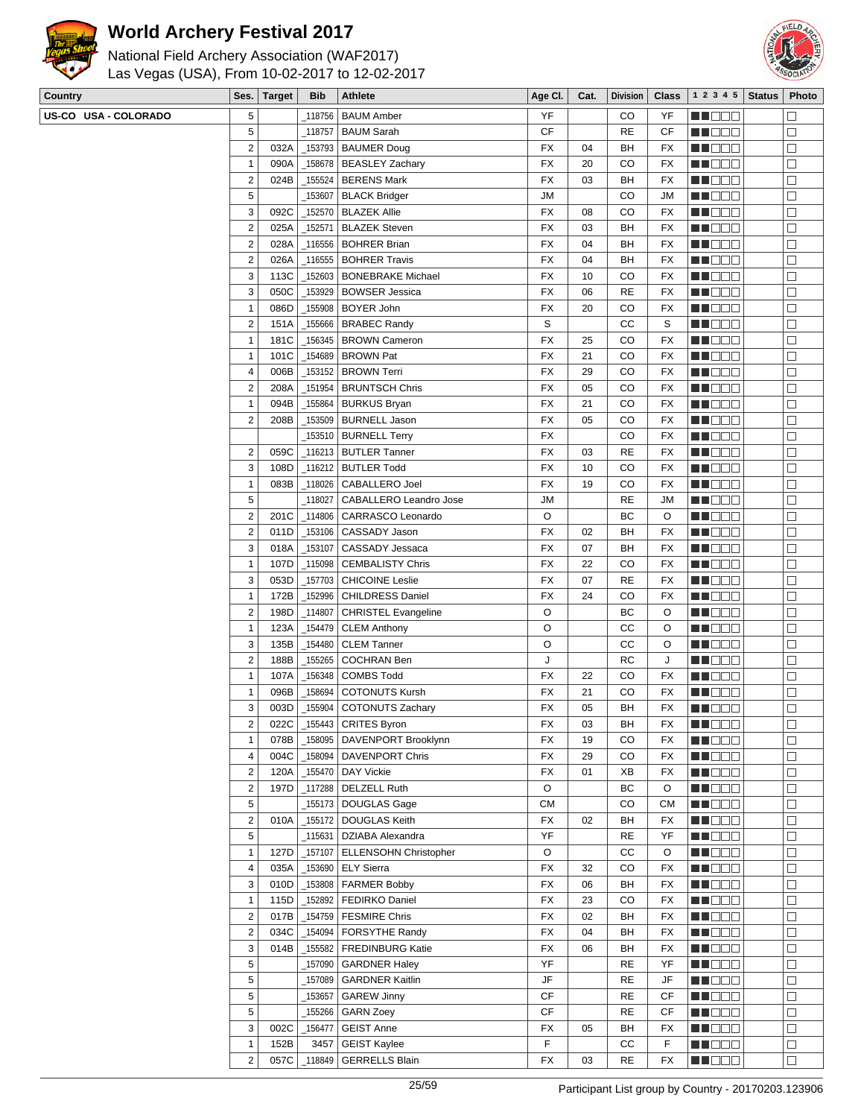



| Country              |                         | Ses.   Target | <b>Bib</b> | Athlete                      | Age Cl.   | Cat. | Division  | <b>Class</b> | 1 2 3 4 5   Status   Photo    |           |
|----------------------|-------------------------|---------------|------------|------------------------------|-----------|------|-----------|--------------|-------------------------------|-----------|
| US-CO USA - COLORADO | 5                       |               |            | 118756   BAUM Amber          | YF        |      | CO        | YF           | MA DE C                       | $\Box$    |
|                      | 5                       |               | 118757     | <b>BAUM Sarah</b>            | <b>CF</b> |      | <b>RE</b> | CF           | M DE E                        | □         |
|                      | $\overline{2}$          | 032A          |            | _153793   BAUMER Doug        | <b>FX</b> | 04   | BH        | FX           | <b>REDDE</b>                  | $\Box$    |
|                      | $\mathbf{1}$            | 090A          |            | 158678   BEASLEY Zachary     | FX        | 20   | CO        | FX           | MO DO O                       | $\Box$    |
|                      | $\overline{2}$          | 024B          |            | _155524   BERENS Mark        | FX        | 03   | BH        | FX           | M D D D                       | □         |
|                      |                         |               |            |                              |           |      |           |              |                               |           |
|                      | 5                       |               | 153607     | <b>BLACK Bridger</b>         | JM        |      | CO        | <b>JM</b>    | MU DO B                       | $\Box$    |
|                      | 3                       | 092C          | 152570     | <b>BLAZEK Allie</b>          | FX        | 08   | CO        | FX           | M DE S                        | $\Box$    |
|                      | $\overline{2}$          | 025A          | 152571     | <b>BLAZEK Steven</b>         | <b>FX</b> | 03   | BH        | <b>FX</b>    | MO DO                         | $\Box$    |
|                      | $\overline{2}$          | 028A          |            | 116556   BOHRER Brian        | FX        | 04   | BH        | FX           | MU DE B                       | $\Box$    |
|                      | $\overline{2}$          | 026A          | 116555     | <b>BOHRER Travis</b>         | <b>FX</b> | 04   | BH        | FX           | MU DO U                       | $\Box$    |
|                      | 3                       | 113C          |            | 152603   BONEBRAKE Michael   | FX        | 10   | CO        | FX           | M DE O                        | $\Box$    |
|                      | 3                       | 050C          | _153929    | <b>BOWSER Jessica</b>        | FX        | 06   | <b>RE</b> | FX           | MA DE C                       | $\Box$    |
|                      | $\mathbf{1}$            | 086D          |            | _155908   BOYER John         | <b>FX</b> | 20   | CO        | FX           | MU DE E                       | $\Box$    |
|                      | $\overline{2}$          | 151A          |            | 155666   BRABEC Randy        | S         |      | CC        | S            | MU DO O                       | $\Box$    |
|                      |                         |               |            |                              |           |      |           |              |                               |           |
|                      | $\mathbf{1}$            | 181C          | 156345     | BROWN Cameron                | FX        | 25   | CO        | FX           | MN 888                        | $\Box$    |
|                      | $\mathbf{1}$            | 101C          |            | _154689   BROWN Pat          | FX        | 21   | CO        | FX           | <u>in dia ka</u>              | $\Box$    |
|                      | 4                       | 006B          |            | _153152   BROWN Terri        | FX        | 29   | CO        | <b>FX</b>    | MO DO O                       | $\Box$    |
|                      | $\overline{2}$          | 208A          |            | _151954   BRUNTSCH Chris     | FX        | 05   | CO        | FX           | M DE S                        | $\Box$    |
|                      | $\mathbf{1}$            | 094B          | 155864     | BURKUS Bryan                 | FX        | 21   | CO        | FX           | ME DE S                       | $\Box$    |
|                      | $\overline{c}$          | 208B          |            | 153509   BURNELL Jason       | FX        | 05   | CO        | <b>FX</b>    | M DO D                        | $\Box$    |
|                      |                         |               |            | _153510   BURNELL Terry      | FX        |      | CO        | FX           | <b>RECOR</b>                  | $\Box$    |
|                      | $\overline{2}$          | 059C          |            | _116213   BUTLER Tanner      | FX        | 03   | <b>RE</b> | FX           | <b>MA</b> OOO                 | $\Box$    |
|                      | 3                       | 108D          |            | 116212 BUTLER Todd           | FX        | 10   | CO        | FX           | MU DO B                       | $\Box$    |
|                      | $\mathbf{1}$            |               |            |                              |           |      | CO        |              |                               |           |
|                      |                         | 083B          |            | 118026   CABALLERO Joel      | FX        | 19   |           | FX           | MU DO O                       | $\Box$    |
|                      | 5                       |               | 118027     | CABALLERO Leandro Jose       | <b>JM</b> |      | <b>RE</b> | <b>JM</b>    | <u> Lind a Bi</u>             | $\Box$    |
|                      | $\overline{\mathbf{c}}$ | 201C          | $-114806$  | CARRASCO Leonardo            | O         |      | BC        | O            | MU DE E                       | $\Box$    |
|                      | $\overline{2}$          | 011D          |            | _153106 CASSADY Jason        | FX        | 02   | BH        | FX           | MU DO B                       | $\Box$    |
|                      | 3                       | 018A          | 153107     | CASSADY Jessaca              | <b>FX</b> | 07   | BH        | FX           | M HOO W                       | $\Box$    |
|                      | $\mathbf{1}$            | 107D          |            | 115098   CEMBALISTY Chris    | FX        | 22   | CO        | FX           | MA DE L                       | $\Box$    |
|                      | 3                       | 053D          | 157703     | <b>CHICOINE Leslie</b>       | FX        | 07   | <b>RE</b> | FX           | <b>HEBBB</b>                  | $\Box$    |
|                      | $\mathbf{1}$            | 172B          | _152996    | <b>CHILDRESS Daniel</b>      | <b>FX</b> | 24   | CO        | FX           | MU DO B                       | $\Box$    |
|                      | $\overline{2}$          | 198D          | 114807     | <b>CHRISTEL Evangeline</b>   | O         |      | BC        | O            | MU O O O                      | $\Box$    |
|                      | $\mathbf{1}$            | 123A          | 154479_    |                              | O         |      | CС        | O            |                               | $\Box$    |
|                      |                         |               |            | CLEM Anthony                 |           |      |           |              | MN D D D                      |           |
|                      | 3                       | 135B          | 154480     | CLEM Tanner                  | O         |      | cc        | O            | MO DO O                       | $\Box$    |
|                      | $\overline{2}$          | 188B          | _155265    | <b>COCHRAN Ben</b>           | J         |      | <b>RC</b> | J            | <b>NH</b> 888                 | $\Box$    |
|                      | $\mathbf{1}$            | 107A          |            | 156348 COMBS Todd            | FX        | 22   | CO        | FX           | M DO O                        | $\Box$    |
|                      | $\mathbf{1}$            | 096B          | 158694     | <b>COTONUTS Kursh</b>        | FX        | 21   | CO        | FX           | N NO BIB                      | $\Box$    |
|                      | 3                       | 003D          |            | 155904   COTONUTS Zachary    | FX        | 05   | BH        | <b>FX</b>    | n i Bele                      | $\Box$    |
|                      | $\overline{\mathbf{c}}$ | 022C          |            | $-155443$ CRITES Byron       | FX        | 03   | BH        | FX           | <b>HOOD</b>                   | $\square$ |
|                      | 1                       | 078B          |            | 158095   DAVENPORT Brooklynn | FX        | 19   | CO        | FX           | MU O O O                      | $\Box$    |
|                      | 4                       | 004C          |            | 158094   DAVENPORT Chris     | FX        | 29   | CO        | FX           | <b>RECOR</b>                  | $\Box$    |
|                      | $\overline{2}$          | 120A          |            | _155470   DAY Vickie         | FX        | 01   | XB        | FX           | <b>RECOR</b>                  | $\Box$    |
|                      |                         |               |            |                              |           |      |           |              |                               |           |
|                      | $\overline{2}$          | 197D          |            | _117288 DELZELL Ruth         | O         |      | ВC        | O            | MU DO D                       | $\Box$    |
|                      |                         |               |            | _155173 DOUGLAS Gage         | СM        |      | CO        | <b>CM</b>    | MU OOO                        | $\Box$    |
|                      | 5                       |               |            |                              |           |      |           | FX           | MU DO O                       | $\Box$    |
|                      | $\overline{2}$          | 010A          |            | _155172   DOUGLAS Keith      | <b>FX</b> | 02   | BH        |              |                               |           |
|                      | 5                       |               | _115631    | DZIABA Alexandra             | YF        |      | <b>RE</b> | YF           | M DE B                        | $\Box$    |
|                      | 1                       | 127D          | 157107     | <b>ELLENSOHN Christopher</b> | O         |      | СC        | O            | <b>REBED</b>                  | $\Box$    |
|                      | 4                       | 035A          |            | _153690   ELY Sierra         | FX        | 32   | CO        | FX           |                               | $\Box$    |
|                      | 3                       | 010D          |            |                              | FX        | 06   | BH        | FX           | MA BEL                        | □         |
|                      |                         |               |            | $\_153808$ FARMER Bobby      |           |      |           |              | MU OOO                        |           |
|                      | $\mathbf{1}$            | 115D          |            | _152892   FEDIRKO Daniel     | FX        | 23   | CO        | FX           | <b>MA</b> OOO                 | $\Box$    |
|                      | $\overline{2}$          | 017B          |            | _154759   FESMIRE Chris      | FX        | 02   | BH        | FX           | <b>REDDO</b>                  | $\Box$    |
|                      | $\overline{2}$          | 034C          |            | 154094   FORSYTHE Randy      | FX        | 04   | BH        | FX           | MU DO D                       | $\Box$    |
|                      | 3                       | 014B          |            | _155582   FREDINBURG Katie   | FX        | 06   | BH        | <b>FX</b>    | MUNDO                         | $\Box$    |
|                      | 5                       |               |            | _157090 GARDNER Haley        | YF        |      | <b>RE</b> | YF           | <b>RECOR</b>                  | $\Box$    |
|                      | 5                       |               |            | 157089   GARDNER Kaitlin     | JF        |      | <b>RE</b> | JF           | MA DE E                       | $\Box$    |
|                      | 5                       |               | 153657     | <b>GAREW Jinny</b>           | СF        |      | <b>RE</b> | СF           | MU DO O                       | $\Box$    |
|                      | 5                       |               | 155266     | <b>GARN Zoey</b>             | СF        |      | <b>RE</b> | СF           | MU DO B                       | $\Box$    |
|                      | 3                       | 002C          | 156477     | <b>GEIST Anne</b>            | FX        | 05   | BH        | FX           |                               | $\Box$    |
|                      | $\mathbf{1}$            | 152B          | 3457       | <b>GEIST Kaylee</b>          | F         |      | CС        | F            | <b>REDDE</b><br><b>MA</b> OOO | $\Box$    |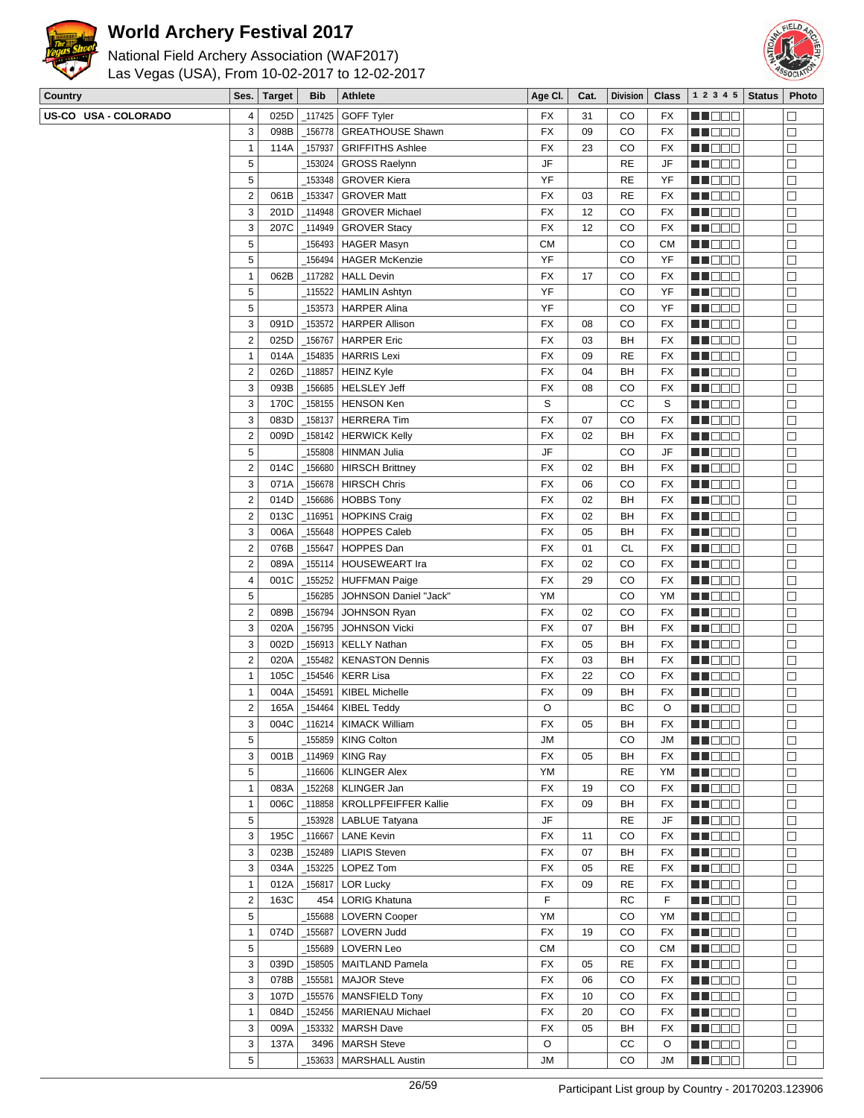



| <b>REAL PROPERTY</b> | National Field Archery Association (WAF2017)<br>Las Vegas (USA), From 10-02-2017 to 12-02-2017 |      |        |            |                            |           |    |    |    |                                                       |  |
|----------------------|------------------------------------------------------------------------------------------------|------|--------|------------|----------------------------|-----------|----|----|----|-------------------------------------------------------|--|
| <b>Country</b>       |                                                                                                | Ses. | Target | <b>Bib</b> | <b>Athlete</b>             |           |    |    |    | Age Cl.   Cat.   Division   Class   1 2 3 4 5   Statu |  |
|                      | US-CO USA - COLORADO                                                                           |      |        |            | 025D   117425   GOFF Tyler | <b>FX</b> | 31 | CO | FX |                                                       |  |
|                      |                                                                                                |      |        |            |                            |           |    |    |    |                                                       |  |

| oounu y              | Jes.                    | i di yet     | <b>DIU</b> | $\mu$ uncle                                | nye ul.   | val.     | $PIV$ $\sim$ $\sim$ $\sim$ $\sim$ |           | $+ 2 3 1 3 1$ old us | <b>FIIULU</b>    |
|----------------------|-------------------------|--------------|------------|--------------------------------------------|-----------|----------|-----------------------------------|-----------|----------------------|------------------|
| US-CO USA - COLORADO | 4                       | 025D         |            | _117425   GOFF Tyler                       | FX        | 31       | CO                                | FX        | <b>RECOR</b>         | $\Box$           |
|                      | 3                       | 098B         |            | 156778   GREATHOUSE Shawn                  | <b>FX</b> | 09       | CO                                | FX        | MU DO B              | $\Box$           |
|                      | $\mathbf{1}$            | 114A         | 157937     | <b>GRIFFITHS Ashlee</b>                    | FX        | 23       | CO                                | FX        | MU DO O              | $\Box$           |
|                      | 5                       |              | _153024    | <b>GROSS Raelynn</b>                       | JF        |          | <b>RE</b>                         | JF        | <u> Lind a Bi</u>    | $\Box$           |
|                      | 5                       |              |            | _153348   GROVER Kiera                     | YF        |          | <b>RE</b>                         | YF        | MA DO O              | $\Box$           |
|                      | $\mathbf 2$             | 061B         | _153347    | <b>GROVER Matt</b>                         | FX        | 03       | <b>RE</b>                         | FX        | MU DO B              | $\Box$           |
|                      | 3                       | 201D         |            | _114948 GROVER Michael                     | FX        | 12       | CO                                | FX        | M NO S               | $\Box$           |
|                      | 3                       | 207C         |            | _114949   GROVER Stacy                     | FX        | 12       | CO                                | FX        | MA DE C              | $\Box$           |
|                      | 5                       |              |            | <sub>-</sub> 156493   HAGER Masyn          | CМ        |          | CO                                | CМ        | <b>MNOOO</b>         | $\Box$           |
|                      | 5                       |              |            | _156494   HAGER McKenzie                   | YF        |          | CO                                | YF        | MU O O O             | $\Box$           |
|                      | $\mathbf{1}$            | 062B         |            | _117282   HALL Devin                       | FX        | 17       | CO                                | FX        | MU DO O              | $\Box$           |
|                      | 5                       |              |            | _115522 HAMLIN Ashtyn                      | YF        |          | CO                                | YF        | MU DOO               | $\Box$           |
|                      | 5                       |              |            | 153573   HARPER Alina                      | YF        |          | CO                                | YF        | M DEE                | $\Box$           |
|                      | 3                       | 091D         |            | _153572   HARPER Allison                   | FX        | 08       | CO                                | FX        | MU DO O              | $\Box$           |
|                      | $\overline{c}$          | 025D         |            | _156767   HARPER Eric                      | FX        | 03       | BH                                | FX        | MN DE U              | □                |
|                      | $\mathbf{1}$            | 014A         |            | _154835   HARRIS Lexi                      | FX        | 09       | <b>RE</b>                         | FX        | M DO D               | $\Box$           |
|                      | $\overline{2}$          | 026D         |            | _118857 HEINZ Kyle                         | FX        | 04       | BH                                | FX        | <b>REDDO</b>         | $\Box$           |
|                      | 3                       | 093B         |            | _156685   HELSLEY Jeff                     | FX        | 08       | CO                                | FX        | MU DO B              | $\Box$           |
|                      | $\sqrt{3}$              | 170C         |            | 158155   HENSON Ken                        | S         |          | СC                                | S         | MU DOO               | $\Box$           |
|                      | $\sqrt{3}$              | 083D         |            | _158137   HERRERA Tim                      | <b>FX</b> | 07       | CO                                | FX        | MU DO O              | $\Box$           |
|                      | $\overline{2}$          | 009D         |            | _158142   HERWICK Kelly                    | FX        | 02       | BH                                | FX        | MO DO O              | $\Box$           |
|                      | 5                       |              |            | <sub>-</sub> 155808   HINMAN Julia         | JF        |          | CO                                | JF        | MU E E E             | $\Box$           |
|                      | $\overline{\mathbf{c}}$ | 014C         |            | _156680   HIRSCH Brittney                  | FX        | 02       | BH                                | FX        | ME DE S              | $\Box$           |
|                      | 3                       | 071A         |            | _156678   HIRSCH Chris                     | FX        | 06       | CO                                | FX        | M NO S               | $\Box$           |
|                      | $\overline{2}$          | 014D         |            | _156686   HOBBS Tony                       | FX        | 02       | BH                                | FX        | MA DE C              | $\Box$           |
|                      | $\overline{2}$          | 013C         |            | _116951   HOPKINS Craig                    | FX        | 02       | BH                                | FX        | MA DE C              | $\Box$           |
|                      | 3                       | 006A         |            | _155648   HOPPES Caleb                     | FX        | 05       | BH                                | FX        | MU DO O              | $\Box$           |
|                      | $\overline{\mathbf{c}}$ | 076B         |            | _155647   HOPPES Dan                       | FX        | 01       | <b>CL</b>                         | FX        | MU DO B              | $\Box$           |
|                      | $\overline{2}$          | 089A         |            | _155114   HOUSEWEART Ira                   | FX        | 02       | CO                                | FX        | MN D D D             | $\Box$           |
|                      | 4                       | 001C         |            | _155252 HUFFMAN Paige                      | FX        | 29       | CO                                | FX        | <b>HEBBB</b>         | $\Box$           |
|                      | 5                       |              |            | 156285   JOHNSON Daniel "Jack"             | YM        |          | CO                                | YM        | MU DO B              | $\Box$           |
|                      | $\overline{2}$          | 089B         | _156794    | <b>JOHNSON Ryan</b>                        | FX        | 02       | CO                                | FX        | MU DO B              | $\Box$           |
|                      | 3                       | 020A         | 156795     | <b>JOHNSON Vicki</b>                       | FX        | 07       | BH                                | FX        | MN D D D             | $\Box$           |
|                      | 3                       | 002D         |            | 156913   KELLY Nathan                      | FX        | 05       | BH                                | FX        | ME DE L              | $\Box$           |
|                      | $\overline{2}$          | 020A         | 155482     | <b>KENASTON Dennis</b>                     | FX        | 03       | BH                                | FX        | ME BEL               | $\Box$           |
|                      | $\mathbf{1}$            | 105C         |            | _154546   KERR Lisa                        | FX        | 22       | CO                                | FX        | MU DO B              | □                |
|                      | $\mathbf{1}$            | 004A         |            | _154591   KIBEL Michelle                   | FX        | 09       | BH                                | FX        | ME E E E             | $\Box$           |
|                      | $\overline{2}$          | 165A         |            | _154464   KIBEL Teddy                      | O         |          | BС                                | O         | N NO DEI             | $\Box$           |
|                      | 3                       | 004C         |            | _116214   KIMACK William                   | <b>FX</b> | 05       | BH                                | <b>FX</b> | MA DE E              | $\Box$           |
|                      | 5                       |              |            | 155859   KING Colton                       | JM        |          | CO                                | JM        | MU DO 3              | $\Box$           |
|                      | 3                       | 001B         |            | $_1$ 114969   KING Ray                     | FX        | 05       | BH                                | FX        | MN DO B              | $\Box$           |
|                      | 5                       |              |            | _116606   KLINGER Alex                     | YM        |          | <b>RE</b>                         | YM        | MN DOO               | $\Box$           |
|                      | $\mathbf{1}$            | 083A         |            | _152268   KLINGER Jan                      | FX        | 19       | CO                                | FX        | <b>HEDDO</b>         | $\Box$           |
|                      | $\mathbf{1}$            | 006C         |            | _118858   KROLLPFEIFFER Kallie             | <b>FX</b> | 09       | BH                                | FX        | MU DO O              | $\Box$           |
|                      | 5                       |              |            | 153928   LABLUE Tatyana                    | JF        |          | <b>RE</b>                         | JF        | MU DOO               | $\Box$           |
|                      | 3                       | 195C         | _116667    | <b>LANE Kevin</b>                          | FX        | 11       | CO                                | FX        | ME DE S              | $\Box$           |
|                      | $\sqrt{3}$              | 023B         |            | 152489   LIAPIS Steven                     | <b>FX</b> | 07       | BH                                | FX        | <b>HE</b> DOO        | $\Box$           |
|                      | 3                       | 034A         |            | $\_153225$   LOPEZ Tom                     | FX        |          | <b>RE</b>                         |           | MU DO O              |                  |
|                      | $\mathbf{1}$            |              |            |                                            | <b>FX</b> | 05<br>09 |                                   | FX        |                      | $\Box$           |
|                      | $\overline{2}$          | 012A<br>163C |            | _156817   LOR Lucky<br>454   LORIG Khatuna | F         |          | <b>RE</b><br>RC                   | FX<br>F   | MU DO U<br>MN OO O   | ⊐                |
|                      | 5                       |              |            |                                            |           |          |                                   |           |                      | $\Box$<br>$\Box$ |
|                      |                         |              |            | 155688   LOVERN Cooper                     | YM        |          | CO                                | YM        | ME DE S              |                  |
|                      | $\mathbf{1}$            | 074D         |            | _155687   LOVERN Judd                      | FX        | 19       | CO                                | FX        | MH MAC               | $\Box$           |
|                      | 5                       |              |            | 155689   LOVERN Leo                        | <b>CM</b> |          | CO                                | <b>CM</b> | M DE S               | $\Box$           |
|                      | 3                       | 039D         | 158505     | MAITLAND Pamela                            | FX        | 05       | <b>RE</b>                         | FX        | <b>REDDE</b>         | $\Box$           |
|                      | 3                       | 078B         | 155581     | <b>MAJOR Steve</b>                         | FX        | 06       | CO                                | FX        | <b>HE</b> OOO        | $\Box$           |
|                      | $\sqrt{3}$              | 107D         |            | 155576   MANSFIELD Tony                    | FX        | 10       | CO                                | FX        | MU DO O              | $\Box$           |
|                      | $\mathbf{1}$            | 084D         |            | _152456   MARIENAU Michael                 | FX        | 20       | CO                                | FX        | MU DO B              | $\Box$           |
|                      | 3                       | 009A         |            | _153332   MARSH Dave                       | FX        | 05       | BH                                | FX        | MN DO B              | $\Box$           |
|                      | 3                       | 137A         |            | 3496   MARSH Steve                         | O         |          | cc                                | O         | MO DO O              | $\Box$           |
|                      | 5                       |              |            | 153633   MARSHALL Austin                   | JM        |          | CO                                | JМ        | <b>MEDEE</b>         | □                |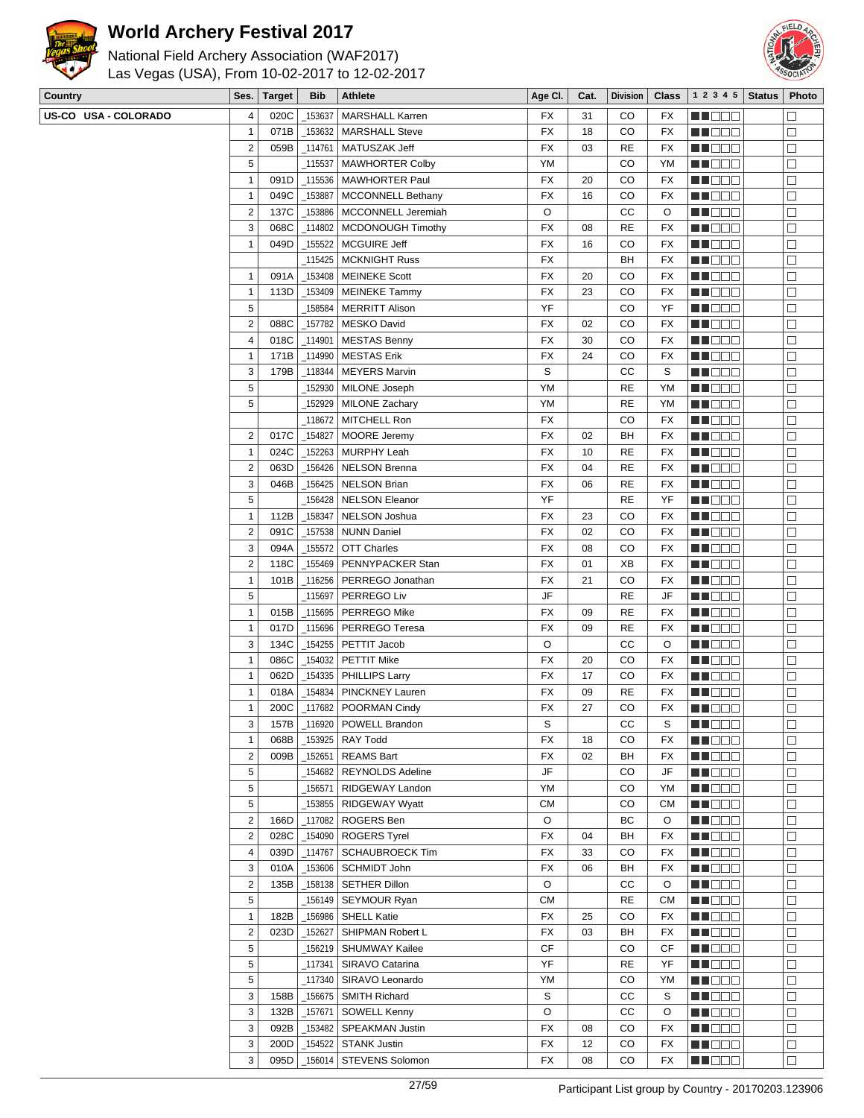



| National Field Archery Association (WAF2017)   |
|------------------------------------------------|
| Las Vegas (USA), From 10-02-2017 to 12-02-2017 |

| Country              | Ses.           | <b>Target</b> | <b>Bib</b> | Athlete                        | Age CI.   | Cat. | <b>Division</b> | $Class \vert$ | 1 2 3 4 5            | <b>Status</b> | Photo                |
|----------------------|----------------|---------------|------------|--------------------------------|-----------|------|-----------------|---------------|----------------------|---------------|----------------------|
| US-CO USA - COLORADO | 4              | 020C          | 153637     | <b>MARSHALL Karren</b>         | FX        | 31   | CO              | FX            | n i Biblio           |               |                      |
|                      | $\mathbf{1}$   | 071B          | 153632     | <b>MARSHALL Steve</b>          | FX        | 18   | CO              | FX            | MU DO 3              |               | □                    |
|                      | $\overline{2}$ | 059B          | _114761    | MATUSZAK Jeff                  | FX        | 03   | <b>RE</b>       | FX            | MN O O O             |               | $\Box$               |
|                      | 5              |               | 115537     | <b>MAWHORTER Colby</b>         | YM        |      | CO              | ΥM            | n de de              |               | $\Box$               |
|                      | $\overline{1}$ | 091D          | _115536    | MAWHORTER Paul                 | FX        | 20   | CO              | FX            | <b>REDDO</b>         |               | $\Box$               |
|                      | $\mathbf{1}$   | 049C          | 153887     | MCCONNELL Bethany              | FX        | 16   | CO              | FX            | MU DO B              |               | □                    |
|                      | $\overline{2}$ | 137C          | _153886    | MCCONNELL Jeremiah             | O         |      | СC              | O             | NN O O O             |               | □                    |
|                      | $\sqrt{3}$     | 068C          |            | _114802   MCDONOUGH Timothy    | FX        | 08   | <b>RE</b>       | FX            | <b>HE</b> OOO        |               | $\Box$               |
|                      | $\mathbf{1}$   | 049D          | 155522     | MCGUIRE Jeff                   | FX        | 16   | CO              | FX            | <b>MN</b> OOO        |               | $\Box$               |
|                      |                |               |            | 115425   MCKNIGHT Russ         | <b>FX</b> |      | BH              | FX            | MU O O O             |               | □                    |
|                      | $\mathbf{1}$   | 091A          |            | 153408   MEINEKE Scott         | <b>FX</b> | 20   | CO              | FX            | MU O O O             |               | □                    |
|                      | $\mathbf{1}$   |               |            | _153409   MEINEKE Tammy        | <b>FX</b> | 23   | CO              | FX            |                      |               |                      |
|                      |                | 113D          |            |                                |           |      |                 |               | <b>RECOR</b>         |               | $\Box$               |
|                      | 5              |               |            | 158584   MERRITT Alison        | YF        |      | CO              | YF            | e de la p            |               | $\Box$               |
|                      | $\overline{2}$ | 088C          | _157782    | MESKO David                    | FX        | 02   | CO              | FX            | MU DO O              |               | $\Box$               |
|                      | 4              | 018C          | _114901    | <b>MESTAS Benny</b>            | FX        | 30   | CO              | FX            | MN 888               |               | □                    |
|                      | $\overline{1}$ | 171B          | 114990     | <b>MESTAS Erik</b>             | FX        | 24   | CO              | FX            | <b>REDDE</b>         |               | $\Box$               |
|                      | 3              | 179B          |            | _118344   MEYERS Marvin        | S         |      | СC              | S             | <b>MA</b> DOO        |               | $\Box$               |
|                      | 5              |               | 152930     | MILONE Joseph                  | YM        |      | <b>RE</b>       | ΥM            | <b>MUDDO</b>         |               | $\Box$               |
|                      | 5              |               |            | 152929   MILONE Zachary        | YM        |      | <b>RE</b>       | ΥM            | MU O O O             |               | □                    |
|                      |                |               |            | _118672   MITCHELL Ron         | FX        |      | CO              | FX            | <u> Halia de la </u> |               | $\Box$               |
|                      | $\overline{2}$ | 017C          | $-154827$  | MOORE Jeremy                   | FX        | 02   | BH              | FX            | MN OO B              |               | $\Box$               |
|                      | $\overline{1}$ | 024C          |            | 152263   MURPHY Leah           | FX        | 10   | <b>RE</b>       | FX            | <u>LI DOO</u>        |               | $\Box$               |
|                      | $\overline{2}$ | 063D          |            | 156426 NELSON Brenna           | <b>FX</b> | 04   | <b>RE</b>       | FX            | MU DO B              |               | □                    |
|                      | 3              | 046B          |            | 156425   NELSON Brian          | <b>FX</b> | 06   | <b>RE</b>       | FX            | <b>REDDE</b>         |               | □                    |
|                      | 5              |               |            | _156428   NELSON Eleanor       | YF        |      | RE              | YF            | <b>REDDO</b>         |               | $\Box$               |
|                      | $\overline{1}$ | 112B          | 158347     | NELSON Joshua                  | FX        | 23   | CO              | FX            | <u> HOOO</u>         |               | $\Box$               |
|                      | $\overline{2}$ | 091C          |            | 157538   NUNN Daniel           | FX        | 02   | CO              | FX            | MU O O O             |               | $\Box$               |
|                      | 3              | 094A          | 155572     | OTT Charles                    | FX        | 08   | CO              | FX            | NN O O O             |               | □                    |
|                      | $\overline{2}$ | 118C          | _155469    | PENNYPACKER Stan               | FX        | 01   | XB              | FX            | <u>Ma Bisk</u>       |               | $\Box$               |
|                      | $\mathbf{1}$   | 101B          |            | _116256   PERREGO Jonathan     | FX        | 21   | CO              | FX            | <b>MNDBB</b>         |               | $\Box$               |
|                      | 5              |               | 115697     | PERREGO Liv                    | JF        |      | <b>RE</b>       | JF            | MU O O O             |               | $\Box$               |
|                      | $\overline{1}$ | 015B          | 115695     | <b>PERREGO Mike</b>            | FX        | 09   | <b>RE</b>       | FX            | MU DO B              |               | □                    |
|                      | $\mathbf{1}$   | 017D          |            | _115696   PERREGO Teresa       | <b>FX</b> | 09   | <b>RE</b>       | FX            | <b>REDDE</b>         |               | □                    |
|                      | 3              | 134C          | 154255     | PETTIT Jacob                   | O         |      | СC              | O             |                      |               | $\Box$               |
|                      |                |               |            |                                |           |      |                 |               | MA BELE              |               |                      |
|                      | $\overline{1}$ | 086C          | _154032    | PETTIT Mike                    | FX        | 20   | CO              | FX            | MA MER               |               | $\Box$               |
|                      | $\mathbf{1}$   | 062D          | _154335    | PHILLIPS Larry                 | FX        | 17   | CO              | FX            | MU DO B              |               | □                    |
|                      | $\overline{1}$ | 018A          | _154834    | PINCKNEY Lauren                | FX        | 09   | RE              | FX            | MOOO                 |               | $\Box$               |
|                      | $\mathbf{1}$   | 200C          |            | _117682   POORMAN Cindy        | FX        | 27   | CO              | FX            | <u>s de la p</u>     |               | $\Box$               |
|                      | 3              |               |            | 157B   116920   POWELL Brandon | S         |      | cc              | $\mathbb S$   | <b>NNOOD</b>         |               | $\overline{\square}$ |
|                      | $\mathbf{1}$   | 068B          |            | _153925   RAY Todd             | <b>FX</b> | 18   | CO              | FX            | MU DO 3              |               | $\Box$               |
|                      | $\overline{2}$ | 009B          | _152651    | <b>REAMS Bart</b>              | FX        | 02   | BH              | FX            | MN DO B              |               | $\Box$               |
|                      | $\sqrt{5}$     |               |            | 154682   REYNOLDS Adeline      | JF        |      | CO              | JF            | <b>REDDO</b>         |               | $\Box$               |
|                      | $\sqrt{5}$     |               | _156571    | RIDGEWAY Landon                | YM        |      | CO              | YM            | <b>MNOOO</b>         |               | $\Box$               |
|                      | $\sqrt{5}$     |               |            | _153855   RIDGEWAY Wyatt       | <b>CM</b> |      | CO              | СM            | MUOOO                |               | □                    |
|                      | $\overline{2}$ | 166D          |            | _117082   ROGERS Ben           | O         |      | ВC              | $\circ$       | MU DO O              |               | □                    |
|                      | $\overline{2}$ | 028C          |            | $\_$ 154090 ROGERS Tyrel       | FX        | 04   | BH              | FX            | <b>REDDE</b>         |               | $\Box$               |
|                      | 4              | 039D          | 114767     | <b>SCHAUBROECK Tim</b>         | FX        | 33   | CO              | FX            | <b>REDDO</b>         |               | □                    |
|                      | 3              | 010A          |            | _153606   SCHMIDT John         | FX        | 06   | BH              | FX            | MUOOO                |               | $\Box$               |
|                      | $\overline{2}$ | 135B          |            | _158138   SETHER Dillon        | O         |      | СC              | O             | MA DO D              |               | $\Box$               |
|                      | 5              |               | 156149_    | SEYMOUR Ryan                   | <b>CM</b> |      | RE              | СM            | MA DE E              |               | $\Box$               |
|                      | $\mathbf{1}$   | 182B          | 156986     | SHELL Katie                    | FX        | 25   | CO              | FX            | <b>REDDO</b>         |               | $\Box$               |
|                      | $\overline{2}$ | 023D          | 152627     | SHIPMAN Robert L               | <b>FX</b> | 03   | BH              | FX            | MU DO O              |               | $\Box$               |
|                      | 5              |               |            | _156219   SHUMWAY Kailee       | <b>CF</b> |      | CO              | CF            | MU OOO               |               | $\Box$               |
|                      | $\sqrt{5}$     |               | _117341    | SIRAVO Catarina                | YF        |      | <b>RE</b>       | YF            | NN DE S              |               | $\Box$               |
|                      | $\sqrt{5}$     |               | _117340    | SIRAVO Leonardo                | YM        |      | CO              | ΥM            | <b>REDDE</b>         |               | $\Box$               |
|                      |                |               |            |                                |           |      |                 |               |                      |               |                      |
|                      | $\sqrt{3}$     | 158B          |            | _156675   SMITH Richard        | S         |      | СC              | S             | <b>MNODO</b>         |               | $\Box$               |
|                      | 3              | 132B          | 157671     | <b>SOWELL Kenny</b>            | $\circ$   |      | СC              | O             | MUOOO                |               | $\Box$               |
|                      | $\sqrt{3}$     | 092B          |            | _153482 SPEAKMAN Justin        | FX        | 08   | CO              | FX            | <b>RECOR</b>         |               | $\Box$               |
|                      | 3              | 200D          | 154522     | STANK Justin                   | FX        | 12   | CO              | FX            | <b>REDDE</b>         |               | $\Box$               |
|                      | 3              | 095D          |            | 156014   STEVENS Solomon       | FX        | 08   | CO              | FX            | <b>MNOOO</b>         |               | $\Box$               |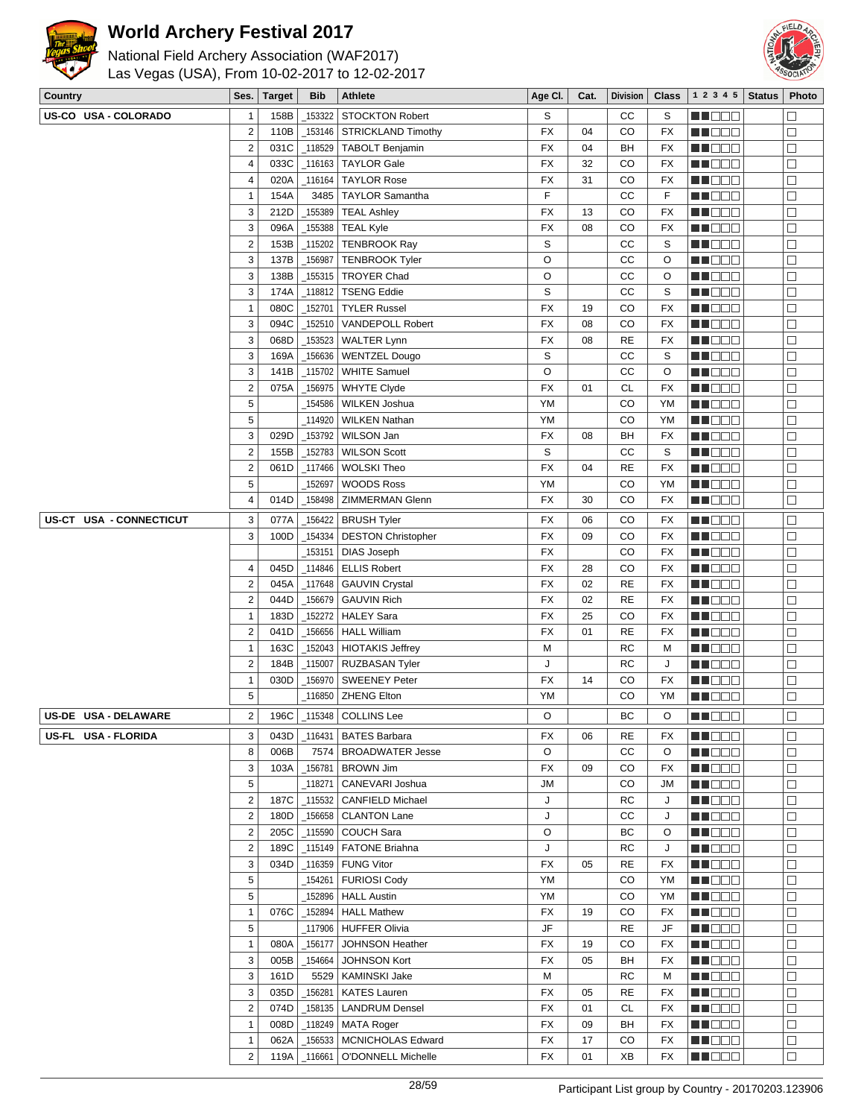

# National Field Archery Association (WAF2017)



Las Vegas (USA), From 10-02-2017 to 12-02-2017

| Country                 | Ses.                    | <b>Target</b> | <b>Bib</b> | <b>Athlete</b>              | Age CI.   | Cat. | <b>Division</b> | <b>Class</b> | 1 2 3 4 5     | <b>Status</b> | Photo  |
|-------------------------|-------------------------|---------------|------------|-----------------------------|-----------|------|-----------------|--------------|---------------|---------------|--------|
| US-CO USA - COLORADO    | 1                       | 158B          | _153322    | <b>STOCKTON Robert</b>      | S         |      | cc              | S            | MA DE S       |               | $\Box$ |
|                         | $\overline{2}$          | 110B          |            | 153146 STRICKLAND Timothy   | FX        | 04   | CO              | FX           | M DE O        |               | $\Box$ |
|                         | $\overline{c}$          | 031C          |            | _118529   TABOLT Benjamin   | FX        | 04   | BH              | FX           | M DO D        |               | $\Box$ |
|                         | 4                       | 033C          |            | 116163 TAYLOR Gale          | FX        | 32   | CO              | FX           | MA DE L       |               | $\Box$ |
|                         | $\overline{4}$          | 020A          |            | _116164   TAYLOR Rose       | FX        | 31   | CO              | FX           | M BEB         |               | $\Box$ |
|                         | 1                       | 154A          |            | 3485   TAYLOR Samantha      | F         |      | cc              | F            | M DE O        |               | $\Box$ |
|                         | 3                       | 212D          | _155389    | <b>TEAL Ashley</b>          | <b>FX</b> | 13   | CO              | FX           | MA BER        |               | $\Box$ |
|                         | 3                       | 096A          |            | _155388 TEAL Kyle           | <b>FX</b> | 08   | CO              | <b>FX</b>    | MA DE L       |               | $\Box$ |
|                         | $\overline{c}$          | 153B          | 115202     | <b>TENBROOK Ray</b>         | S         |      | cc              | S            | MU BEL        |               | $\Box$ |
|                         | 3                       | 137B          | 156987     | TENBROOK Tyler              | O         |      | cc              | O            | MA DE E       |               | $\Box$ |
|                         | 3                       | 138B          | 155315     | <b>TROYER Chad</b>          | O         |      | cc              | O            | MN DE U       |               | $\Box$ |
|                         | 3                       | 174A          | 118812     | <b>TSENG Eddie</b>          | S         |      | cc              | S            | MN 880        |               | $\Box$ |
|                         | $\mathbf{1}$            | 080C          | 152701     | <b>TYLER Russel</b>         | <b>FX</b> | 19   | CO              | FX           | ME DE L       |               | $\Box$ |
|                         | 3                       | 094C          | 152510     | VANDEPOLL Robert            | <b>FX</b> | 08   | CO              | <b>FX</b>    | MA DE E       |               | $\Box$ |
|                         | 3                       | 068D          | _153523    | <b>WALTER Lynn</b>          | <b>FX</b> | 08   | <b>RE</b>       | <b>FX</b>    | M O O O       |               | □      |
|                         | 3                       | 169A          | _156636    | WENTZEL Dougo               | S         |      | cc              | S            | MN DE G       |               | $\Box$ |
|                         | 3                       | 141B          | _115702    | <b>WHITE Samuel</b>         | O         |      | CC              | O            | e de e        |               | $\Box$ |
|                         | $\overline{\mathbf{c}}$ | 075A          |            | _156975   WHYTE Clyde       | <b>FX</b> | 01   | <b>CL</b>       | FX           | MA DE L       |               | $\Box$ |
|                         | 5                       |               | 154586_    | <b>WILKEN Joshua</b>        | YM        |      | CO              | YM           | MU DO U       |               | □      |
|                         | 5                       |               | 114920     | <b>WILKEN Nathan</b>        | YM        |      | CO              | YM           | MN DE L       |               | $\Box$ |
|                         | 3                       | 029D          | 153792     | WILSON Jan                  | <b>FX</b> | 08   | BH              | <b>FX</b>    | MN 880        |               | $\Box$ |
|                         | $\overline{\mathbf{c}}$ | 155B          | 152783     | <b>WILSON Scott</b>         | S         |      | cc              | S            | <b>REBEE</b>  |               | $\Box$ |
|                         | $\overline{\mathbf{c}}$ | 061D          | $-117466$  | <b>WOLSKI Theo</b>          | FX        | 04   | <b>RE</b>       | <b>FX</b>    | MU DO U       |               | $\Box$ |
|                         | 5                       |               |            | <b>WOODS Ross</b>           | YM        |      | CO              | YM           |               |               |        |
|                         | 4                       | 014D          | 152697     |                             | <b>FX</b> | 30   | CO              | <b>FX</b>    | M DO O        |               | $\Box$ |
|                         |                         |               |            | _158498   ZIMMERMAN Glenn   |           |      |                 |              | <b>RECOR</b>  |               | $\Box$ |
| US-CT USA - CONNECTICUT | 3                       | 077A          |            | _156422   BRUSH Tyler       | FX        | 06   | CO              | FX           | MN DO B       |               | $\Box$ |
|                         | 3                       | 100D          | 154334     | <b>DESTON Christopher</b>   | FX        | 09   | CO              | FX           | MA DE E       |               | $\Box$ |
|                         |                         |               | _153151    | <b>DIAS Joseph</b>          | FX        |      | CO              | <b>FX</b>    | MA DE L       |               | $\Box$ |
|                         | 4                       | 045D          |            | $_1$ 114846   ELLIS Robert  | FX        | 28   | CO              | <b>FX</b>    | MU DO U       |               | $\Box$ |
|                         | $\overline{\mathbf{c}}$ | 045A          |            | _117648   GAUVIN Crystal    | <b>FX</b> | 02   | <b>RE</b>       | FX           | M DO O        |               | $\Box$ |
|                         | $\overline{c}$          | 044D          |            | _156679 GAUVIN Rich         | <b>FX</b> | 02   | <b>RE</b>       | <b>FX</b>    | MA DE L       |               | $\Box$ |
|                         | $\overline{1}$          | 183D          |            | _152272   HALEY Sara        | <b>FX</b> | 25   | CO              | <b>FX</b>    | MU BEL        |               | $\Box$ |
|                         | $\overline{\mathbf{c}}$ | 041D          |            | 156656   HALL William       | <b>FX</b> | 01   | <b>RE</b>       | <b>FX</b>    | M DE O        |               | $\Box$ |
|                         | $\overline{1}$          | 163C          | 152043     | HIOTAKIS Jeffrey            | М         |      | <b>RC</b>       | M            | MN DE U       |               | $\Box$ |
|                         | $\overline{\mathbf{c}}$ | 184B          | 115007     | <b>RUZBASAN Tyler</b>       | J         |      | <b>RC</b>       | J            | MN 880        |               | $\Box$ |
|                         | $\mathbf{1}$            | 030D          |            | 156970   SWEENEY Peter      | FX        | 14   | CO              | FX           | n i Bele      |               | $\Box$ |
|                         | 5                       |               |            | 116850   ZHENG Elton        | YM        |      | CO              | YM           | MA DE E       |               | $\Box$ |
| US-DE USA - DELAWARE    | 2                       | 196C          |            | $-115348$ COLLINS Lee       | O         |      | BC              | O            |               |               | $\Box$ |
| US-FL USA - FLORIDA     | 3                       | 043D          |            | 116431   BATES Barbara      | FX        | 06   | RE              | FX           | M DE S        |               | $\Box$ |
|                         | 8                       | 006B          | 7574       | <b>BROADWATER Jesse</b>     | O         |      | СC              | O            | M D D D       |               | $\Box$ |
|                         | 3                       | 103A          | _156781    | <b>BROWN Jim</b>            | FX        | 09   | CO              | FX           | M DO O        |               | □      |
|                         | 5                       |               | _118271    | CANEVARI Joshua             | JM        |      | CO              | JM           | MU DEL        |               | □      |
|                         | $\mathbf 2$             | 187C          |            | _115532   CANFIELD Michael  | J         |      | RC              | J            | MU DO O       |               | $\Box$ |
|                         | $\mathbf 2$             | 180D          |            | _156658 CLANTON Lane        | J         |      | СC              | J            | <u>Li Sec</u> |               | $\Box$ |
|                         | $\overline{2}$          | 205C          | $\_115590$ | <b>COUCH Sara</b>           | O         |      | ВC              | O            | MU DO O       |               | □      |
|                         | $\overline{2}$          | 189C          |            | _115149   FATONE Briahna    | J         |      | RC              | J            | MU O O O      |               | $\Box$ |
|                         | 3                       | 034D          |            | 116359   FUNG Vitor         | FX        | 05   | <b>RE</b>       | FX           | <b>REDDE</b>  |               | $\Box$ |
|                         | 5                       |               |            | 154261   FURIOSI Cody       | YM        |      | CO              | YM           | MO DO O       |               | $\Box$ |
|                         | 5                       |               |            | 152896   HALL Austin        | YM        |      | CO              | YM           | MU DO O       |               | $\Box$ |
|                         | $\overline{1}$          | 076C          |            | $\_152894$   HALL Mathew    | FX        | 19   | CO              | FX           | M DO O        |               | □      |
|                         | 5                       |               |            | _117906 HUFFER Olivia       | JF        |      | RE              | JF           | MN DE L       |               | □      |
|                         | $\overline{1}$          | 080A          |            | _156177   JOHNSON Heather   | FX        | 19   | CO              | FX           | <b>REDDO</b>  |               | $\Box$ |
|                         | 3                       | 005B          |            | _154664   JOHNSON Kort      | FX        | 05   | BH              | FX           | MU DO B       |               | $\Box$ |
|                         | 3                       | 161D          |            | 5529   KAMINSKI Jake        | М         |      | RC              | M            | MU DO B       |               | □      |
|                         | 3                       | 035D          | _156281    | <b>KATES Lauren</b>         | FX        | 05   | RE              | FX           | M DO O        |               | $\Box$ |
|                         | 2                       | 074D          |            | _158135   LANDRUM Densel    | FX        | 01   | <b>CL</b>       | FX           | <b>MUDDO</b>  |               | $\Box$ |
|                         | $\mathbf{1}$            | 008D          |            | $\_$ 118249   MATA Roger    | FX        | 09   | BH              | FX           | <b>HE</b> DOO |               | $\Box$ |
|                         | 1                       | 062A          |            | _156533   MCNICHOLAS Edward | FX        | 17   | CO              | FX           | W OOO         |               | $\Box$ |
|                         | $\mathbf 2$             | 119A          | $\_116661$ | O'DONNELL Michelle          | FX        | 01   | XB              | FX           | <b>RECOD</b>  |               | $\Box$ |
|                         |                         |               |            |                             |           |      |                 |              |               |               |        |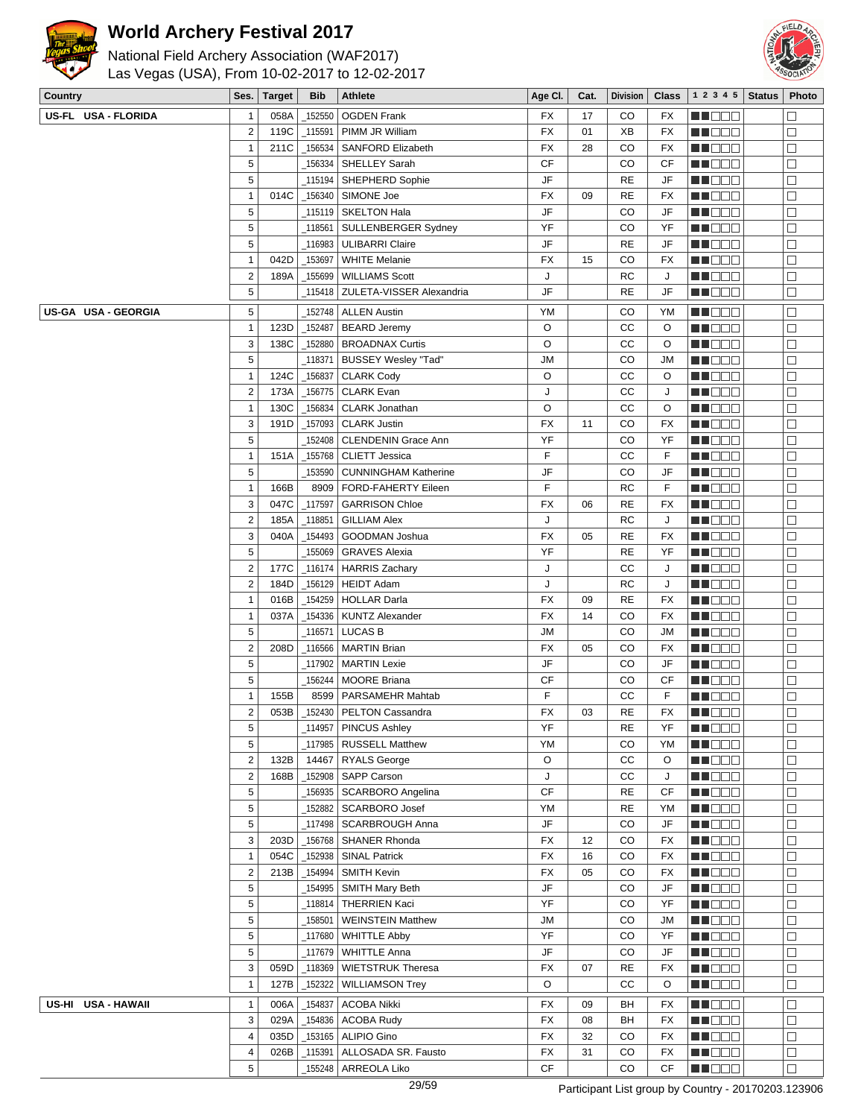



| Country             | Ses.             | <b>Target</b> | <b>Bib</b> | <b>Athlete</b>              | Age Cl.   | Cat. | <b>Division</b> | <b>Class</b>           | 1 2 3 4 5     | <b>Status</b> | Photo  |
|---------------------|------------------|---------------|------------|-----------------------------|-----------|------|-----------------|------------------------|---------------|---------------|--------|
| US-FL USA - FLORIDA | $\mathbf{1}$     | 058A          | 152550     | <b>OGDEN Frank</b>          | FX        | 17   | CO              | FX                     | MA DE E       |               | $\Box$ |
|                     | $\mathbf 2$      | 119C          | 115591     | PIMM JR William             | <b>FX</b> | 01   | XB              | FX                     | M OOO         |               | □      |
|                     | $\mathbf{1}$     | 211C          | 156534     | SANFORD Elizabeth           | <b>FX</b> | 28   | CO              | FX                     | MUOOO         |               | $\Box$ |
|                     | 5                |               | 156334     | SHELLEY Sarah               | <b>CF</b> |      | CO              | CF                     | MN 888        |               | $\Box$ |
|                     | 5                |               | 115194     | SHEPHERD Sophie             | JF        |      | <b>RE</b>       | JF                     | MA DE E       |               | $\Box$ |
|                     | $\mathbf{1}$     | 014C          | 156340     | SIMONE Joe                  | FX        | 09   | <b>RE</b>       | <b>FX</b>              | MU DO B       |               | $\Box$ |
|                     | 5                |               | 115119     | SKELTON Hala                | JF        |      | CO              | JF                     | MNO OO        |               | $\Box$ |
|                     | 5                |               | 118561     | SULLENBERGER Sydney         | YF        |      | CO              | YF                     |               |               | $\Box$ |
|                     |                  |               |            |                             |           |      |                 |                        | MU DO D       |               |        |
|                     | 5                |               | 116983     | <b>ULIBARRI Claire</b>      | JF        |      | <b>RE</b>       | JF                     | N DE B        |               | $\Box$ |
|                     | $\mathbf{1}$     | 042D          | 153697     | <b>WHITE Melanie</b>        | <b>FX</b> | 15   | CO              | FX                     | W OOO         |               | $\Box$ |
|                     | $\boldsymbol{2}$ | 189A          | 155699     | <b>WILLIAMS Scott</b>       | J         |      | <b>RC</b>       | J                      | MN O O O      |               | $\Box$ |
|                     | 5                |               | 115418     | ZULETA-VISSER Alexandria    | JF        |      | <b>RE</b>       | JF                     | NN O O O      |               | $\Box$ |
| US-GA USA - GEORGIA | 5                |               | 152748     | <b>ALLEN Austin</b>         | YM        |      | CO              | YM                     | <b>NNOOO</b>  |               | $\Box$ |
|                     | $\mathbf{1}$     | 123D          | 152487     | <b>BEARD Jeremy</b>         | O         |      | CC              | O                      | MU DO D       |               | $\Box$ |
|                     | 3                | 138C          | 152880     | <b>BROADNAX Curtis</b>      | O         |      | CC              | O                      | N DE B        |               | $\Box$ |
|                     | 5                |               | 118371     | BUSSEY Wesley "Tad"         | <b>JM</b> |      | CO              | <b>JM</b>              | MU DO D       |               | $\Box$ |
|                     | $\mathbf{1}$     | 124C          | 156837     | <b>CLARK Cody</b>           | O         |      | СC              | O                      | MNO OB        |               | $\Box$ |
|                     | $\overline{2}$   | 173A          | 156775     | <b>CLARK Evan</b>           | J         |      | СC              | J                      | MU DO O       |               | $\Box$ |
|                     | $\mathbf{1}$     | 130C          | 156834     | CLARK Jonathan              | O         |      | cc              | O                      | MU DE B       |               | $\Box$ |
|                     | 3                | 191D          | _157093    | <b>CLARK Justin</b>         | <b>FX</b> | 11   | CO              | <b>FX</b>              | <b>MEDOC</b>  |               | $\Box$ |
|                     | 5                |               | 152408     | CLENDENIN Grace Ann         | YF        |      | CO              | YF                     | MU DO B       |               | $\Box$ |
|                     | $\mathbf{1}$     | 151A          | 155768     | <b>CLIETT Jessica</b>       | F         |      | СC              | F                      | MN O O O      |               | $\Box$ |
|                     | $\sqrt{5}$       |               | 153590     | <b>CUNNINGHAM Katherine</b> | JF        |      | CO              | JF                     | n i Biblio    |               | $\Box$ |
|                     | $\mathbf{1}$     | 166B          | 8909       | <b>FORD-FAHERTY Eileen</b>  | F         |      | RC              | F                      | MU O O O      |               | $\Box$ |
|                     | 3                | 047C          | _117597    | <b>GARRISON Chloe</b>       | <b>FX</b> | 06   | <b>RE</b>       | FX                     | MU O O O      |               | $\Box$ |
|                     | $\sqrt{2}$       | 185A          | 118851     | <b>GILLIAM Alex</b>         | J         |      | RC              | J                      | MNO OO        |               | $\Box$ |
|                     | 3                | 040A          | 154493     | GOODMAN Joshua              | <b>FX</b> | 05   | <b>RE</b>       | FX                     | MU DE B       |               | $\Box$ |
|                     | $\sqrt{5}$       |               | 155069     | <b>GRAVES Alexia</b>        | YF        |      | <b>RE</b>       | YF                     | MU DO D       |               | $\Box$ |
|                     | $\overline{2}$   | 177C          | 116174     | <b>HARRIS Zachary</b>       | J         |      | CC              | J                      | MU DE S       |               | $\Box$ |
|                     | $\mathbf 2$      | 184D          | 156129     | <b>HEIDT Adam</b>           | J         |      | <b>RC</b>       | J                      | MNO OO        |               | $\Box$ |
|                     | $\mathbf{1}$     | 016B          | _154259    | <b>HOLLAR Darla</b>         | FX        | 09   | <b>RE</b>       | FX                     | N NO DO       |               | $\Box$ |
|                     | $\mathbf{1}$     | 037A          | 154336     | <b>KUNTZ Alexander</b>      | <b>FX</b> | 14   | CO              | FX                     | <u> Hees</u>  |               | $\Box$ |
|                     | 5                |               |            | <b>LUCAS B</b>              | JМ        |      | CO              | JМ                     | MU O O O      |               | $\Box$ |
|                     | $\mathbf 2$      |               | 116571     |                             |           |      |                 |                        |               |               | $\Box$ |
|                     |                  | 208D          |            | _116566   MARTIN Brian      | FX        | 05   | CO              | FX                     | MUOOO         |               |        |
|                     | 5                |               | 117902_    | <b>MARTIN Lexie</b>         | JF        |      | CO              | JF                     | MU DO D       |               | $\Box$ |
|                     | 5                |               | 156244     | <b>MOORE Briana</b>         | <b>CF</b> |      | CO              | CF                     | <b>MA</b> OOO |               | $\Box$ |
|                     | $\mathbf{1}$     | 155B          | 8599       | PARSAMEHR Mahtab            | F         |      | СC              | F                      | MU DO D       |               | $\Box$ |
|                     | $\overline{2}$   | 053B          | 152430     | PELTON Cassandra            | <b>FX</b> | 03   | <b>RE</b>       | FX                     | MN O O O      |               | $\Box$ |
|                     | 5                |               |            | _114957   PINCUS Ashley     | YF        |      | <b>RE</b>       | YF                     | MU DE B       |               | $\Box$ |
|                     | 5                |               |            | 117985   RUSSELL Matthew    | YM        |      | CO              | YM                     | n i Biblio    |               | $\Box$ |
|                     | $\sqrt{2}$       | 132B          | 14467      | RYALS George                | O         |      | СC              | O                      | M DE S        |               | $\Box$ |
|                     | $\sqrt{2}$       | 168B          | 152908     | SAPP Carson                 | J         |      | CC              | J                      | MU O O O      |               | $\Box$ |
|                     | $\sqrt{5}$       |               | 156935     | SCARBORO Angelina           | <b>CF</b> |      | RE              | CF                     | MN O O O      |               | $\Box$ |
|                     | 5                |               | 152882     | SCARBORO Josef              | YM        |      | RE              | YM                     | MN 888        |               | $\Box$ |
|                     | 5                |               | 117498     | SCARBROUGH Anna             | JF        |      | CO              | JF                     | MUOOO         |               | $\Box$ |
|                     | 3                | 203D          | _156768    | <b>SHANER Rhonda</b>        | FX        | 12   | CO              | FX                     | MU O O O      |               | $\Box$ |
|                     | $\mathbf{1}$     | 054C          | _152938    | <b>SINAL Patrick</b>        | FX        | 16   | CO              | FX                     | MUOOO         |               | $\Box$ |
|                     | $\sqrt{2}$       | 213B          | 154994     | <b>SMITH Kevin</b>          | FX        | 05   | CO              | FX                     | MN O O O      |               | $\Box$ |
|                     | 5                |               | 154995     | SMITH Mary Beth             | JF        |      | CO              | JF                     | M DE B        |               | $\Box$ |
|                     | $\mathbf 5$      |               | 118814     | <b>THERRIEN Kaci</b>        | YF        |      | CO              | YF                     | MA O O O      |               | $\Box$ |
|                     | 5                |               | 158501     | <b>WEINSTEIN Matthew</b>    | JМ        |      | CO              | JM                     | MN O O O      |               | $\Box$ |
|                     | 5                |               | 117680     | <b>WHITTLE Abby</b>         | YF        |      | CO              | YF                     | MN O O O      |               | $\Box$ |
|                     | 5                |               |            | _117679   WHITTLE Anna      | JF        |      | CO              | JF                     | MU DE B       |               | $\Box$ |
|                     | 3                | 059D          | 118369     | <b>WIETSTRUK Theresa</b>    | <b>FX</b> | 07   | RE              | FX                     | MU DE S       |               | $\Box$ |
|                     | $\mathbf{1}$     | 127B          | _152322    | <b>WILLIAMSON Trey</b>      | O         |      | CC              | O                      | MUOOO         |               | $\Box$ |
| US-HI USA - HAWAII  | $\mathbf{1}$     | 006A          | 154837     | <b>ACOBA Nikki</b>          | FX        | 09   | BH              | FX                     | MU DE S       |               | $\Box$ |
|                     | 3                | 029A          | 154836     | <b>ACOBA Rudy</b>           | <b>FX</b> | 08   | BH              | FX                     | MUOOO         |               | $\Box$ |
|                     | $\overline{4}$   | 035D          | _153165    | ALIPIO Gino                 | FX        | 32   | CO              | FX                     | NN OOO        |               | $\Box$ |
|                     | $\overline{4}$   | 026B          | _115391    | ALLOSADA SR. Fausto         | <b>FX</b> | 31   | CO              | FX                     | MU DE B       |               | $\Box$ |
|                     | 5                |               |            | 155248   ARREOLA Liko       | <b>CF</b> |      | CO              | $\mathsf{C}\mathsf{F}$ | MU DE S       |               | $\Box$ |
|                     |                  |               |            |                             |           |      |                 |                        |               |               |        |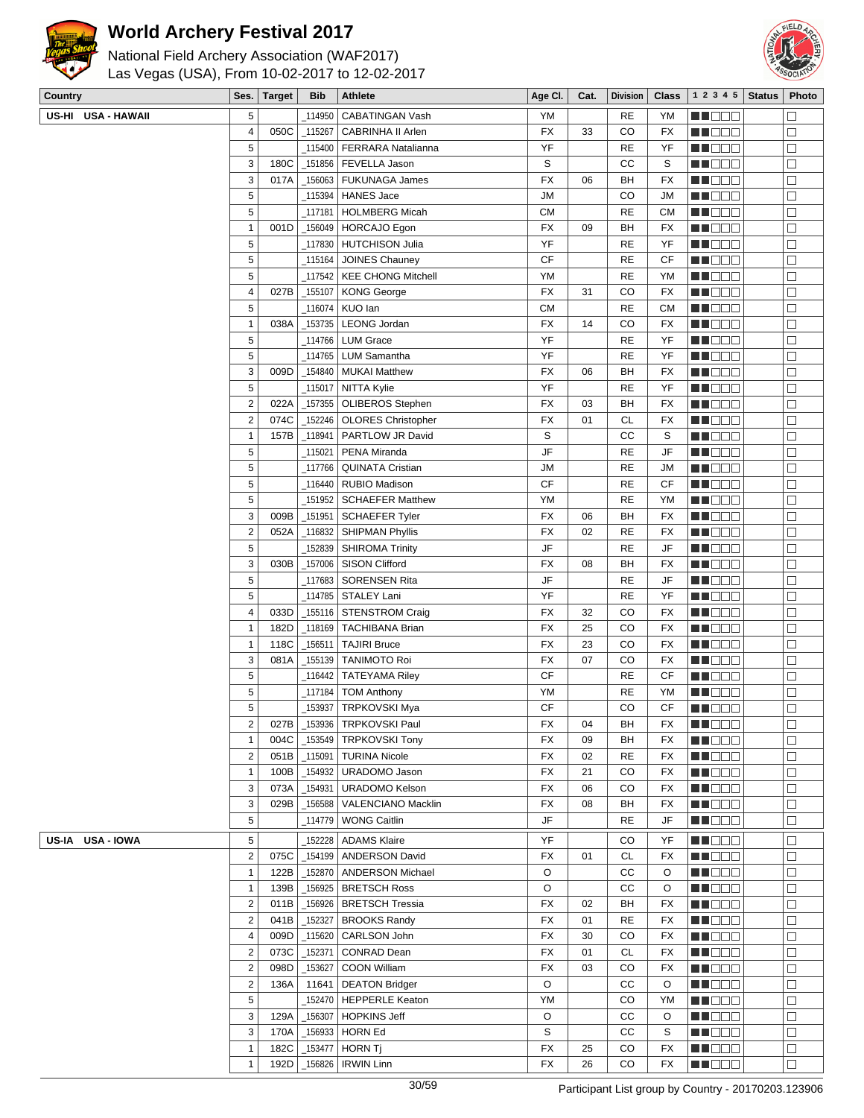



| Country            | Ses.                                               | <b>Target</b> | <b>Bib</b>         | <b>Athlete</b>                                          | Age CI.   | Cat.     | <b>Division</b> | <b>Class</b>    | 1 2 3 4 5         | <b>Status</b> | Photo            |
|--------------------|----------------------------------------------------|---------------|--------------------|---------------------------------------------------------|-----------|----------|-----------------|-----------------|-------------------|---------------|------------------|
| US-HI USA - HAWAII | 5                                                  |               | 114950             | CABATINGAN Vash                                         | <b>YM</b> |          | <b>RE</b>       | YM              | MA BEL            |               | $\Box$           |
|                    | 4                                                  | 050C          | 115267             | CABRINHA II Arlen                                       | <b>FX</b> | 33       | CO              | <b>FX</b>       | MU OOO            |               | $\Box$           |
|                    | 5                                                  |               | _115400            | FERRARA Natalianna                                      | YF        |          | <b>RE</b>       | YF              | MU DE C           |               | $\Box$           |
|                    | 3                                                  | 180C          | _151856            | FEVELLA Jason                                           | S         |          | СC              | S               | ME DE E           |               | $\Box$           |
|                    | 3                                                  | 017A          | 156063             | <b>FUKUNAGA James</b>                                   | FX        | 06       | BH              | FX              | <b>MUDDO</b>      |               | $\Box$           |
|                    | 5                                                  |               |                    | _115394   HANES Jace                                    | <b>JM</b> |          | CO              | <b>JM</b>       | MU OOO            |               | $\Box$           |
|                    | 5                                                  |               | 117181             | HOLMBERG Micah                                          | СM        |          | <b>RE</b>       | <b>CM</b>       | MN DO B           |               | $\Box$           |
|                    | 1                                                  | 001D          | _156049            | HORCAJO Egon                                            | <b>FX</b> | 09       | BН              | FX              | MN OO O           |               | $\Box$           |
|                    | 5                                                  |               |                    | _117830   HUTCHISON Julia                               | YF        |          | RE              | YF              | MA DE C           |               | $\Box$           |
|                    | 5                                                  |               | 115164             | JOINES Chauney                                          | <b>CF</b> |          | <b>RE</b>       | CF              | MU OO S           |               | $\Box$           |
|                    | 5                                                  |               |                    | 117542   KEE CHONG Mitchell                             | YM        |          | <b>RE</b>       | YM              | M DOO             |               | $\Box$           |
|                    | $\overline{4}$                                     | 027B          | _155107            | <b>KONG George</b>                                      | <b>FX</b> | 31       | CO              | <b>FX</b>       | MU DO B           |               | $\Box$           |
|                    | 5                                                  |               |                    | 116074   KUO lan                                        | <b>CM</b> |          | <b>RE</b>       | <b>CM</b>       | ME DE S           |               | $\Box$           |
|                    | $\mathbf{1}$                                       | 038A          |                    | _153735   LEONG Jordan                                  | <b>FX</b> | 14       | CO              | FX              | MU DO O           |               | $\Box$           |
|                    | 5                                                  |               |                    | 114766   LUM Grace                                      | YF        |          | <b>RE</b>       | YF              | MU DO B           |               | □                |
|                    | 5                                                  |               |                    | 114765   LUM Samantha                                   | YF        |          | <b>RE</b>       | YF              | MU DO B           |               | $\Box$           |
|                    | 3                                                  | 009D          | 154840             | <b>MUKAI Matthew</b>                                    | <b>FX</b> | 06       | BH              | FX              | <b>MN</b> OOC     |               | $\Box$           |
|                    | 5<br>$\mathbf 2$                                   | 022A          | 115017_            | NITTA Kylie                                             | YF        |          | <b>RE</b><br>BH | YF<br><b>FX</b> | MU DOC            |               | $\Box$           |
|                    | $\overline{c}$                                     | 074C          | _157355            | <b>OLIBEROS Stephen</b><br>_152246   OLORES Christopher | FX<br>FX  | 03<br>01 | <b>CL</b>       | <b>FX</b>       | ME DE S<br>MN 888 |               | $\Box$<br>$\Box$ |
|                    | $\mathbf{1}$                                       | 157B          | _118941            | PARTLOW JR David                                        | S         |          | СC              | S               | MO O O            |               | $\Box$           |
|                    | 5                                                  |               | 115021             | PENA Miranda                                            | JF        |          | <b>RE</b>       | JF              | MA DE S           |               | $\Box$           |
|                    | 5                                                  |               | 117766_            | <b>QUINATA Cristian</b>                                 | JМ        |          | <b>RE</b>       | JМ              | MU OOO            |               | $\Box$           |
|                    | 5                                                  |               |                    | 116440   RUBIO Madison                                  | CF        |          | <b>RE</b>       | CF              | MN 888            |               | $\Box$           |
|                    | 5                                                  |               |                    | 151952   SCHAEFER Matthew                               | YM        |          | <b>RE</b>       | YM              | MN OO B           |               | $\Box$           |
|                    | 3                                                  | 009B          | $-151951$          | <b>SCHAEFER Tyler</b>                                   | <b>FX</b> | 06       | BH              | FX              | <b>MN</b> OOC     |               | $\Box$           |
|                    | $\overline{\mathbf{c}}$                            | 052A          | _116832            | <b>SHIPMAN Phyllis</b>                                  | <b>FX</b> | 02       | RE              | FX              | MU DO O           |               | $\Box$           |
|                    | 5                                                  |               | 152839             | <b>SHIROMA Trinity</b>                                  | JF        |          | <b>RE</b>       | JF              | MU DO B           |               | $\Box$           |
|                    | 3                                                  | 030B          | _157006            | <b>SISON Clifford</b>                                   | <b>FX</b> | 08       | BН              | <b>FX</b>       | MA DE E           |               | $\Box$           |
|                    | 5                                                  |               |                    | 117683 SORENSEN Rita                                    | JF        |          | <b>RE</b>       | JF              | MO 88             |               | $\Box$           |
|                    | 5                                                  |               |                    |                                                         | YF        |          | <b>RE</b>       | YF              | MA DE C           |               | $\Box$           |
|                    | 4                                                  | 033D          |                    | _155116   STENSTROM Craig                               | <b>FX</b> | 32       | CO              | FX              | MN DO B           |               | $\Box$           |
|                    | $\mathbf{1}$                                       | 182D          |                    | _118169   TACHIBANA Brian                               | <b>FX</b> | 25       | CO              | FX              | MN 888            |               | $\Box$           |
|                    | 1                                                  | 118C          | 156511             | <b>TAJIRI Bruce</b>                                     | <b>FX</b> | 23       | CO              | FX              | ME DE S           |               | $\Box$           |
|                    | 3                                                  | 081A          | 155139             | <b>TANIMOTO Roi</b>                                     | <b>FX</b> | 07       | CO              | FX              | MH BEA            |               | $\Box$           |
|                    | 5                                                  |               | 116442_            | <b>TATEYAMA Riley</b>                                   | <b>CF</b> |          | <b>RE</b>       | CF              | MU DO B           |               | $\Box$           |
|                    | 5                                                  |               | _117184            | <b>TOM Anthony</b>                                      | YM        |          | <b>RE</b>       | YM              | MN DOG            |               | $\Box$           |
|                    | 5                                                  |               | 153937             | <b>TRPKOVSKI Mya</b>                                    | <b>CF</b> |          | CO              | CF              | ME DE E           |               | $\Box$           |
|                    | $\overline{\mathbf{c}}$                            |               |                    | 027B   _153936   TRPKOVSKI Paul                         | FX        | 04       | BH              | FX              | <b>NNODO</b>      |               | ப                |
|                    | $\overline{1}$                                     | 004C          |                    | _153549   TRPKOVSKI Tony                                | <b>FX</b> | 09       | BH              | FX              | MU OO O           |               | □                |
|                    | $\overline{\mathbf{c}}$                            | 051B          | $\_115091$         | <b>TURINA Nicole</b>                                    | FX        | 02       | RE              | FX              | <b>MEDDD</b>      |               | $\Box$           |
|                    | $\mathbf{1}$                                       | 100B          |                    | _154932 URADOMO Jason                                   | FX        | 21       | CO              | FX              | <b>MNOOO</b>      |               | $\Box$           |
|                    | 3                                                  | 073A          | _154931            | <b>URADOMO Kelson</b>                                   | FX        | 06       | CO              | FX              | <b>HE</b> DOO     |               | $\Box$           |
|                    | 3<br>5                                             | 029B          | _156588            | VALENCIANO Macklin<br>114779   WONG Caitlin             | FX<br>JF  | 08       | BH              | FX              | <b>MNODO</b>      |               | $\Box$           |
|                    |                                                    |               |                    |                                                         |           |          | RE              | JF              | <b>REDDD</b>      |               | $\Box$           |
| US-IA USA-IOWA     | 5                                                  |               | 152228             | <b>ADAMS Klaire</b>                                     | YF        |          | CO              | YF              | MU O O O          |               | □                |
|                    | $\mathbf 2$                                        | 075C          |                    | _154199   ANDERSON David                                | FX        | 01       | CL              | FX              | MUOOO             |               | $\Box$           |
|                    | 1                                                  | 122B          | _152870            | <b>ANDERSON Michael</b>                                 | O         |          | СC              | O               | M DE S            |               | $\Box$           |
|                    | 1                                                  | 139B          | 156925             | <b>BRETSCH Ross</b>                                     | O         |          | СC              | O               | <b>MNO</b> OO     |               | $\Box$           |
|                    | $\overline{\mathbf{c}}$<br>$\overline{\mathbf{c}}$ | 011B          | _156926            | BRETSCH Tressia                                         | FX        | 02       | BH              | FX              | MU DO B           |               | $\Box$           |
|                    | 4                                                  | 041B<br>009D  | _152327<br>_115620 | <b>BROOKS Randy</b><br>CARLSON John                     | FX<br>FX  | 01<br>30 | RE<br>CO        | FX<br>FX        | <b>MEDDE</b>      |               | □                |
|                    | $\overline{2}$                                     | 073C          | _152371            | CONRAD Dean                                             | FX        | 01       | CL              | FX              | MA DE S<br>M DE S |               | $\Box$<br>$\Box$ |
|                    | $\mathbf 2$                                        | 098D          | _153627            | COON William                                            | FX        | 03       | CO              | FX              | MU DE B           |               | □                |
|                    | 2                                                  | 136A          | 11641              | <b>DEATON Bridger</b>                                   | O         |          | cc              | O               | <b>RECOR</b>      |               | $\Box$           |
|                    | 5                                                  |               |                    | 152470   HEPPERLE Keaton                                | YM        |          | CO              | YM              | MA DE S           |               | $\Box$           |
|                    | 3                                                  | 129A          | _156307            | HOPKINS Jeff                                            | O         |          | СC              | O               | M DE S            |               | $\Box$           |
|                    | 3                                                  | 170A          | _156933            | HORN Ed                                                 | S         |          | СC              | S               | M DOO             |               | $\Box$           |
|                    | 1                                                  | 182C          | _153477            | <b>HORN Tj</b>                                          | FX        | 25       | CO              | FX              | MU DO B           |               | $\Box$           |
|                    | $\mathbf{1}$                                       | 192D          | _156826            | <b>IRWIN Linn</b>                                       | FX        | 26       | CO              | FX              | MN 888            |               | $\Box$           |
|                    |                                                    |               |                    |                                                         |           |          |                 |                 |                   |               |                  |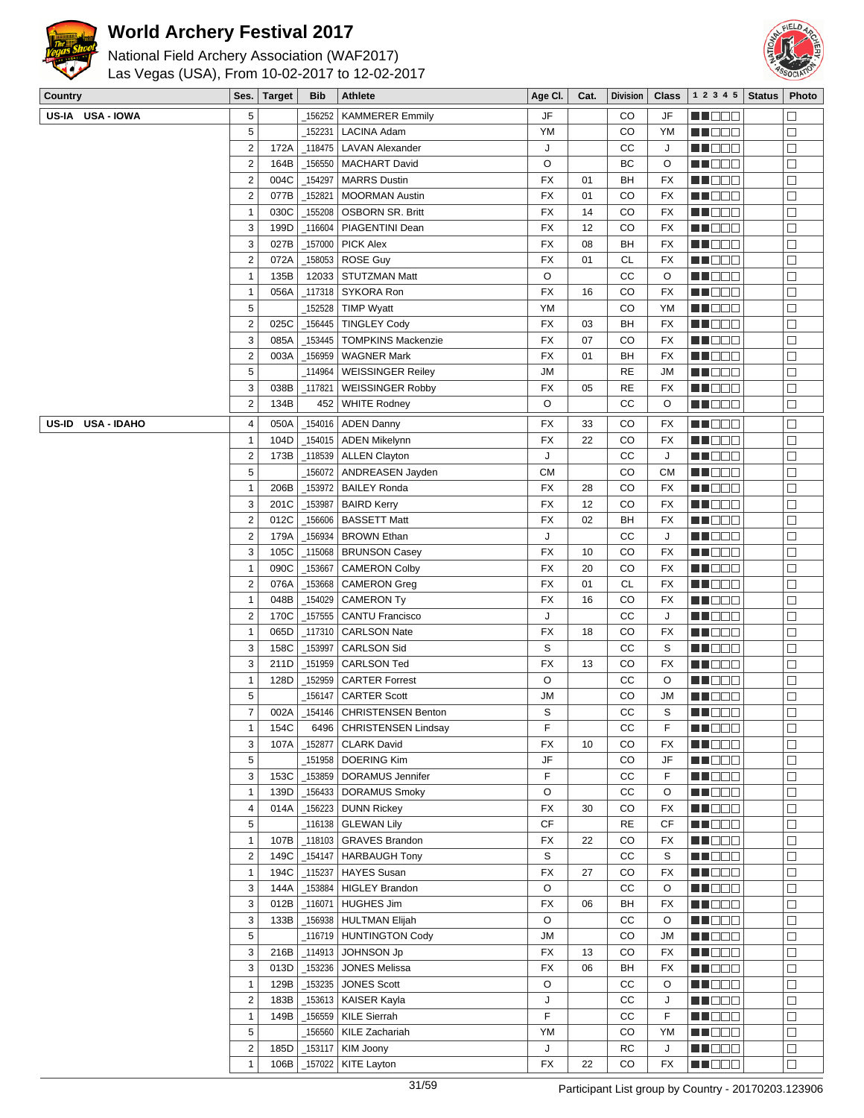



| $=$ $\frac{1}{2}$ $\frac{1}{2}$ $\frac{1}{2}$ $\frac{1}{2}$ $\frac{1}{2}$ $\frac{1}{2}$ $\frac{1}{2}$ $\frac{1}{2}$ $\frac{1}{2}$ $\frac{1}{2}$ $\frac{1}{2}$ $\frac{1}{2}$ $\frac{1}{2}$ $\frac{1}{2}$ $\frac{1}{2}$ $\frac{1}{2}$ $\frac{1}{2}$ $\frac{1}{2}$ $\frac{1}{2}$ $\frac{1}{2}$ $\frac{1}{2}$ $\frac{1}{2$ |                         |               |            |                                            |           |      |                 |              |                  |               |                   |
|------------------------------------------------------------------------------------------------------------------------------------------------------------------------------------------------------------------------------------------------------------------------------------------------------------------------|-------------------------|---------------|------------|--------------------------------------------|-----------|------|-----------------|--------------|------------------|---------------|-------------------|
| Country                                                                                                                                                                                                                                                                                                                | Ses.                    | <b>Target</b> | Bib        | Athlete                                    | Age CI.   | Cat. | <b>Division</b> | <b>Class</b> | 1 2 3 4 5        | <b>Status</b> | Photo             |
| US-IA USA-IOWA                                                                                                                                                                                                                                                                                                         | 5                       |               | 156252     | <b>KAMMERER Emmily</b>                     | JF        |      | CO              | JF           | M DOO            |               | П                 |
|                                                                                                                                                                                                                                                                                                                        | 5                       |               | 152231     | <b>LACINA Adam</b>                         | YM        |      | CO              | YM           | W OO B           |               | $\Box$            |
|                                                                                                                                                                                                                                                                                                                        | $\overline{2}$          | 172A          | 118475     | <b>LAVAN Alexander</b>                     | J         |      | СC              | J            | MU DO O          |               | □                 |
|                                                                                                                                                                                                                                                                                                                        | $\overline{2}$          | 164B          | 156550     | <b>MACHART David</b>                       | O         |      | BC              | O            | e de e           |               | $\Box$            |
|                                                                                                                                                                                                                                                                                                                        | $\overline{2}$          | 004C          | 154297     | <b>MARRS Dustin</b>                        | FX        | 01   | BH              | FX           | <u> Hees</u>     |               | $\Box$            |
|                                                                                                                                                                                                                                                                                                                        | $\sqrt{2}$              | 077B          | 152821     | <b>MOORMAN Austin</b>                      | <b>FX</b> | 01   | CO              | FX           | MU DO B          |               | □                 |
|                                                                                                                                                                                                                                                                                                                        | 1                       | 030C          | 155208     | <b>OSBORN SR. Britt</b>                    | <b>FX</b> | 14   | CO              | FX           | M DO O           |               | □                 |
|                                                                                                                                                                                                                                                                                                                        | 3                       | 199D          | 116604     | PIAGENTINI Dean                            | <b>FX</b> | 12   | CO              | FX           | MN DO S          |               | $\Box$            |
|                                                                                                                                                                                                                                                                                                                        | 3                       | 027B          | _157000    | <b>PICK Alex</b>                           | FX        | 08   | BH              | FX           | M DOO            |               | $\Box$            |
|                                                                                                                                                                                                                                                                                                                        | $\overline{2}$          | 072A          | _158053    | ROSE Guy                                   | FX        | 01   | <b>CL</b>       | <b>FX</b>    | MU DO O          |               | $\Box$            |
|                                                                                                                                                                                                                                                                                                                        | $\mathbf{1}$            | 135B          | 12033      | <b>STUTZMAN Matt</b>                       | O         |      | cc              | O            | MU DO S          |               | $\Box$            |
|                                                                                                                                                                                                                                                                                                                        | $\mathbf{1}$            | 056A          | _117318    | SYKORA Ron                                 | FX        | 16   | CO              | FX           | MN 886           |               | $\Box$            |
|                                                                                                                                                                                                                                                                                                                        | 5                       |               | 152528     | <b>TIMP Wyatt</b>                          | YM        |      | CO              | YM           | <u>LI BEE</u>    |               | $\Box$            |
|                                                                                                                                                                                                                                                                                                                        | $\overline{2}$          | 025C          | _156445    | <b>TINGLEY Cody</b>                        | <b>FX</b> | 03   | BH              | FX           | MU DO B          |               | □                 |
|                                                                                                                                                                                                                                                                                                                        | 3                       | 085A          | 153445     | <b>TOMPKINS Mackenzie</b>                  | <b>FX</b> | 07   | CO              | FX           | MU DO S          |               | □                 |
|                                                                                                                                                                                                                                                                                                                        | $\overline{\mathbf{c}}$ | 003A          | _156959    | <b>WAGNER Mark</b>                         | <b>FX</b> | 01   | BH              | FX           | M DO D           |               | $\Box$            |
|                                                                                                                                                                                                                                                                                                                        | 5                       |               | 114964     | <b>WEISSINGER Reiley</b>                   | <b>JM</b> |      | RE              | <b>JM</b>    | MN DE S          |               | $\Box$            |
|                                                                                                                                                                                                                                                                                                                        | 3                       | 038B          | _117821    |                                            | <b>FX</b> | 05   | <b>RE</b>       | FX           | M OO O           |               | $\Box$            |
|                                                                                                                                                                                                                                                                                                                        | $\overline{2}$          | 134B          | 452        | <b>WEISSINGER Robby</b>                    | O         |      | CC              | O            | MU DO B          |               |                   |
|                                                                                                                                                                                                                                                                                                                        |                         |               |            | <b>WHITE Rodney</b>                        |           |      |                 |              |                  |               | □                 |
| <b>USA - IDAHO</b><br>US-ID                                                                                                                                                                                                                                                                                            | 4                       | 050A          |            | 154016   ADEN Danny                        | <b>FX</b> | 33   | CO              | FX           | W OO B           |               | $\Box$            |
|                                                                                                                                                                                                                                                                                                                        | $\mathbf{1}$            | 104D          |            | _154015   ADEN Mikelynn                    | <b>FX</b> | 22   | CO              | FX           | MU OO U          |               | $\Box$            |
|                                                                                                                                                                                                                                                                                                                        | $\overline{\mathbf{c}}$ | 173B          |            | _118539   ALLEN Clayton                    | J         |      | cc              | J            | MU DE S          |               | $\Box$            |
|                                                                                                                                                                                                                                                                                                                        | 5                       |               |            | _156072 ANDREASEN Jayden                   | <b>CM</b> |      | CO              | <b>CM</b>    | MN DE S          |               | П                 |
|                                                                                                                                                                                                                                                                                                                        | $\mathbf{1}$            | 206B          | _153972    | <b>BAILEY Ronda</b>                        | FX        | 28   | CO              | FX           | <u>LI BEE</u>    |               | $\Box$            |
|                                                                                                                                                                                                                                                                                                                        | 3                       | 201C          | _153987    | <b>BAIRD Kerry</b>                         | FX        | 12   | CO              | FX           | MU DO 8          |               | $\Box$            |
|                                                                                                                                                                                                                                                                                                                        | $\overline{2}$          | 012C          | 156606     | <b>BASSETT Matt</b>                        | FX        | 02   | BH              | FX           | MU DO S          |               | □                 |
|                                                                                                                                                                                                                                                                                                                        | $\sqrt{2}$              | 179A          | 156934     | <b>BROWN Ethan</b>                         | J         |      | CC              | J            | MU DE S          |               | $\Box$            |
|                                                                                                                                                                                                                                                                                                                        | 3                       | 105C          | _115068    | <b>BRUNSON Casey</b>                       | <b>FX</b> | 10   | CO              | <b>FX</b>    | <u> Die Bele</u> |               | $\Box$            |
|                                                                                                                                                                                                                                                                                                                        | $\mathbf{1}$            | 090C          | _153667    | <b>CAMERON Colby</b>                       | <b>FX</b> | 20   | CO              | FX           | MU DO 8          |               | $\Box$            |
|                                                                                                                                                                                                                                                                                                                        | $\overline{2}$          | 076A          | _153668    | <b>CAMERON Greg</b>                        | FX        | 01   | <b>CL</b>       | FX           | MU DO S          |               | $\Box$            |
|                                                                                                                                                                                                                                                                                                                        | $\overline{1}$          | 048B          | _154029    | <b>CAMERON Ty</b>                          | <b>FX</b> | 16   | CO              | FX           | M DE S           |               | $\Box$            |
|                                                                                                                                                                                                                                                                                                                        | $\overline{2}$          | 170C          | _157555    | <b>CANTU Francisco</b>                     | J         |      | СC              | J            | MN 888           |               | П                 |
|                                                                                                                                                                                                                                                                                                                        | 1                       | 065D          | 117310     | <b>CARLSON Nate</b>                        | FX        | 18   | CO              | FX           | MU DOO           |               | □                 |
|                                                                                                                                                                                                                                                                                                                        | 3                       | 158C          | 153997     | <b>CARLSON Sid</b>                         | S         |      | CC              | S            | MU DO S          |               | □                 |
|                                                                                                                                                                                                                                                                                                                        | 3                       | 211D          | _151959    | <b>CARLSON Ted</b>                         | <b>FX</b> | 13   | CO              | FX           | MN 886           |               | $\Box$            |
|                                                                                                                                                                                                                                                                                                                        | $\mathbf{1}$            | 128D          | 152959     | <b>CARTER Forrest</b>                      | O         |      | CC              | O            | M DEE            |               | $\Box$            |
|                                                                                                                                                                                                                                                                                                                        | 5                       |               | _156147    | <b>CARTER Scott</b>                        | ЛU        |      | CO              | <b>JM</b>    | MT EE E          |               | $\Box$            |
|                                                                                                                                                                                                                                                                                                                        | $\overline{7}$          | 002A          |            | _154146 CHRISTENSEN Benton                 | S         |      | $_{\rm CC}$     | S            | <b>REDBE</b>     |               | $\overline{\Box}$ |
|                                                                                                                                                                                                                                                                                                                        | $\mathbf{1}$            | 154C          | 6496       | <b>CHRISTENSEN Lindsay</b>                 | F         |      | СC              | F            | MN 888           |               | $\Box$            |
|                                                                                                                                                                                                                                                                                                                        | 3                       | 107A          | 152877     | <b>CLARK David</b>                         | FX        | 10   | CO              | FX           | <b>REBEE</b>     |               | $\Box$            |
|                                                                                                                                                                                                                                                                                                                        | 5                       |               | 151958     | <b>DOERING Kim</b>                         | JF        |      | CO              | JF           | <b>RECOR</b>     |               | $\Box$            |
|                                                                                                                                                                                                                                                                                                                        | 3                       | 153C          | _153859    | DORAMUS Jennifer                           | F         |      | cc              | F            | MUO OO           |               | □                 |
|                                                                                                                                                                                                                                                                                                                        | $\mathbf{1}$            | 139D          | _156433    | <b>DORAMUS Smoky</b>                       | O         |      | CC              | O            | NH DEE           |               | □                 |
|                                                                                                                                                                                                                                                                                                                        | 4                       | 014A          | $-156223$  | <b>DUNN Rickey</b>                         | <b>FX</b> | 30   | CO              | FX           | M DE S           |               | $\Box$            |
|                                                                                                                                                                                                                                                                                                                        | 5                       |               | _116138    | <b>GLEWAN Lily</b>                         | <b>CF</b> |      | <b>RE</b>       | CF           | <b>MNOOO</b>     |               | □                 |
|                                                                                                                                                                                                                                                                                                                        | $\mathbf{1}$            | 107B          | $\_118103$ | <b>GRAVES Brandon</b>                      | <b>FX</b> | 22   | CO              | FX           | MUO OO           |               | □                 |
|                                                                                                                                                                                                                                                                                                                        | $\sqrt{2}$              | 149C          | _154147    | HARBAUGH Tony                              | S         |      | $_{\rm CC}$     | S            | MH DE B          |               | □                 |
|                                                                                                                                                                                                                                                                                                                        | $\mathbf{1}$            | 194C          | $-115237$  | <b>HAYES Susan</b>                         | <b>FX</b> | 27   | CO              | FX           | <b>MN</b> OOO    |               | $\Box$            |
|                                                                                                                                                                                                                                                                                                                        | 3                       | 144A          |            |                                            | O         |      | cc              |              | <b>MN</b> OOC    |               |                   |
|                                                                                                                                                                                                                                                                                                                        |                         |               | _153884    | <b>HIGLEY Brandon</b><br><b>HUGHES Jim</b> | <b>FX</b> |      |                 | O            |                  |               | $\Box$            |
|                                                                                                                                                                                                                                                                                                                        | 3                       | 012B          | $\_116071$ |                                            |           | 06   | BH              | FX           | ME BER           |               | $\Box$            |
|                                                                                                                                                                                                                                                                                                                        | 3                       | 133B          |            | _156938 HULTMAN Elijah                     | O         |      | cc              | O            | <b>RECOD</b>     |               | □                 |
|                                                                                                                                                                                                                                                                                                                        | 5                       |               | 116719     | HUNTINGTON Cody                            | <b>JM</b> |      | CO              | <b>JM</b>    | <b>RECOR</b>     |               | $\Box$            |
|                                                                                                                                                                                                                                                                                                                        | 3                       | 216B          | $\_114913$ | JOHNSON Jp                                 | FX        | 13   | CO              | FX           | MN 888           |               | □                 |
|                                                                                                                                                                                                                                                                                                                        | 3                       | 013D          | $-153236$  | <b>JONES Melissa</b>                       | <b>FX</b> | 06   | BH              | FX           | MU DE B          |               | □                 |
|                                                                                                                                                                                                                                                                                                                        | $\mathbf{1}$            | 129B          | $-153235$  | <b>JONES Scott</b>                         | O         |      | cc              | O            | ME OOO           |               | □                 |
|                                                                                                                                                                                                                                                                                                                        | $\sqrt{2}$              | 183B          |            | _153613   KAISER Kayla                     | J         |      | cc              | J            | <b>MEDDD</b>     |               | $\Box$            |
|                                                                                                                                                                                                                                                                                                                        | $\mathbf{1}$            | 149B          | _156559    | <b>KILE Sierrah</b>                        | F         |      | СC              | F            | <b>MNODO</b>     |               | П                 |
|                                                                                                                                                                                                                                                                                                                        | 5                       |               | 156560     | KILE Zachariah                             | YM        |      | CO              | YM           | MU DO O          |               | $\Box$            |
|                                                                                                                                                                                                                                                                                                                        | $\overline{2}$          | 185D          | $-153117$  | KIM Joony                                  | J         |      | RC              | J            | MU DO B          |               | □                 |
|                                                                                                                                                                                                                                                                                                                        | $\mathbf{1}$            | 106B          | _157022    | KITE Layton                                | <b>FX</b> | 22   | CO              | FX           | <b>REDDE</b>     |               | $\Box$            |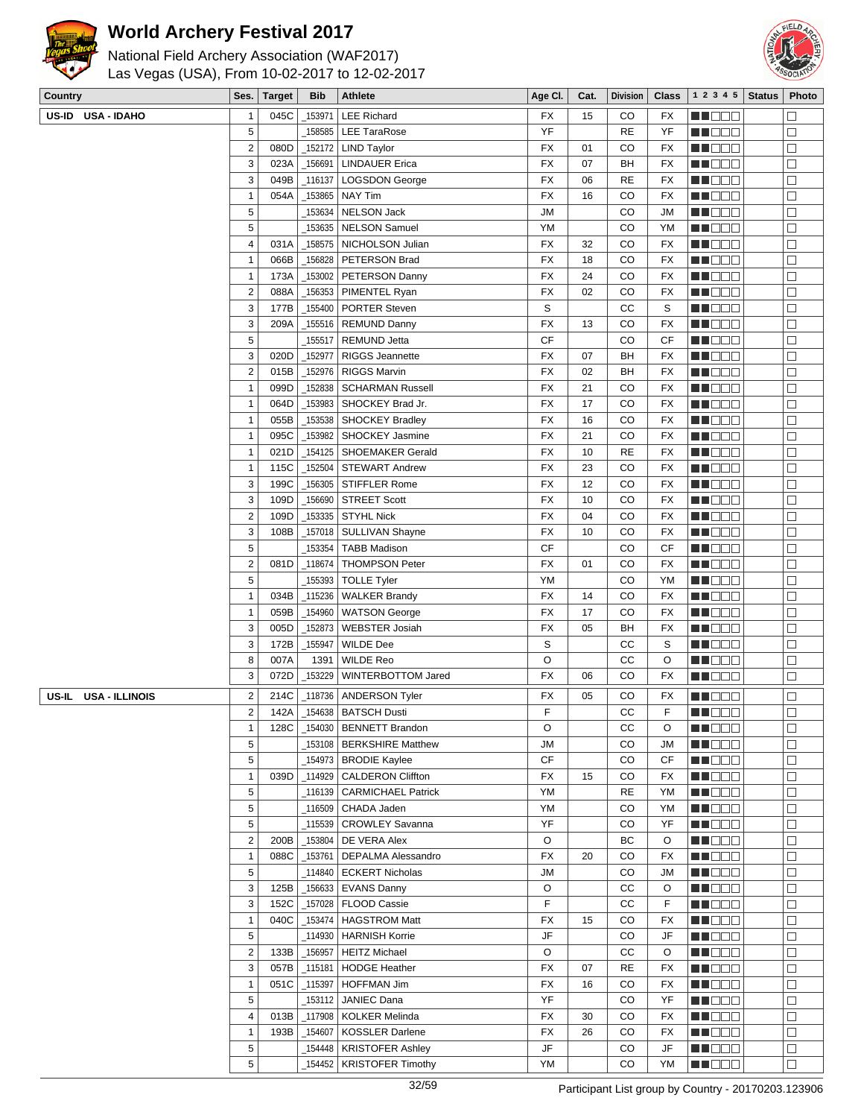



| Country                        | Ses.                         | <b>Target</b> | <b>Bib</b>          | <b>Athlete</b>                                    | Age CI.         | Cat. | <b>Division</b> | <b>Class</b>    | 1 2 3 4 5               | <b>Status</b> | Photo            |
|--------------------------------|------------------------------|---------------|---------------------|---------------------------------------------------|-----------------|------|-----------------|-----------------|-------------------------|---------------|------------------|
| US-ID USA - IDAHO              | 1                            | 045C          | _153971             | <b>LEE Richard</b>                                | <b>FX</b>       | 15   | CO              | <b>FX</b>       | MU O O O                |               | $\Box$           |
|                                | 5                            |               | 158585              | <b>LEE TaraRose</b>                               | YF              |      | <b>RE</b>       | YF              | MU DO 2                 |               | $\Box$           |
|                                | $\mathbf 2$                  | 080D          | _152172             | <b>LIND Taylor</b>                                | FX              | 01   | CO              | FX              | M NO S                  |               | $\Box$           |
|                                | 3                            | 023A          | _156691             | <b>LINDAUER Erica</b>                             | FX              | 07   | BH              | <b>FX</b>       | MN OO B                 |               | $\Box$           |
|                                | 3                            | 049B          | 116137              | <b>LOGSDON George</b>                             | FX              | 06   | <b>RE</b>       | FX              | <b>MNOOO</b>            |               | $\Box$           |
|                                | $\mathbf{1}$                 | 054A          | _153865             | <b>NAY Tim</b>                                    | <b>FX</b>       | 16   | CO              | FX              | MU OOO                  |               | $\Box$           |
|                                | 5                            |               | _153634             | <b>NELSON Jack</b>                                | <b>JM</b>       |      | CO              | JM              | M NO S                  |               | $\Box$           |
|                                | 5                            |               | 153635              | <b>NELSON Samuel</b>                              | YM              |      | CO              | YM              | M DE B                  |               | $\Box$           |
|                                | 4                            | 031A          | _158575             | NICHOLSON Julian                                  | <b>FX</b>       | 32   | CO              | <b>FX</b>       | ME DE S                 |               | $\Box$           |
|                                | $\mathbf{1}$                 | 066B          | 156828              | PETERSON Brad                                     | FX              | 18   | CO              | FX              | M DO V                  |               | $\Box$           |
|                                | $\mathbf{1}$                 | 173A          | 153002              | PETERSON Danny                                    | <b>FX</b>       | 24   | CO              | <b>FX</b>       | MN DE U                 |               | $\Box$           |
|                                | $\mathbf 2$                  | 088A          | _156353             | PIMENTEL Ryan                                     | FX              | 02   | CO              | FX              | M NO S                  |               | $\Box$           |
|                                | 3                            | 177B          | _155400             | <b>PORTER Steven</b>                              | S               |      | CC              | S               | M DE B                  |               | $\Box$           |
|                                | 3                            | 209A          | _155516             | <b>REMUND Danny</b>                               | FX              | 13   | CO              | FX              | MU DO B                 |               | $\Box$           |
|                                | 5                            |               | 155517              | <b>REMUND Jetta</b>                               | CF              |      | CO              | CF              | MU DO B                 |               | $\Box$           |
|                                | 3                            | 020D          | _152977             | <b>RIGGS Jeannette</b>                            | FX              | 07   | BH              | <b>FX</b>       | MU DO B                 |               | $\Box$           |
|                                | $\overline{2}$               | 015B          | _152976             | <b>RIGGS Marvin</b>                               | FX              | 02   | BH              | FX              | M DE B                  |               | $\Box$           |
|                                | $\mathbf{1}$                 | 099D          | 152838              | <b>SCHARMAN Russell</b>                           | FX              | 21   | CO              | <b>FX</b>       | MA DE S                 |               | $\Box$           |
|                                | $\mathbf{1}$                 | 064D          | _153983             | SHOCKEY Brad Jr.                                  | FX              | 17   | CO              | FX              | MU DO 3                 |               | $\Box$           |
|                                | $\mathbf{1}$                 | 055B          | _153538             | <b>SHOCKEY Bradley</b>                            | <b>FX</b>       | 16   | CO              | FX              | MN DE L                 |               | $\Box$           |
|                                | $\mathbf{1}$                 | 095C          | _153982             | SHOCKEY Jasmine                                   | FX              | 21   | CO              | <b>FX</b>       | M DE B                  |               | $\Box$           |
|                                | $\mathbf{1}$                 | 021D          | _154125             | <b>SHOEMAKER Gerald</b>                           | FX              | 10   | <b>RE</b>       | FX              | <b>REBEE</b>            |               | $\Box$           |
|                                | $\mathbf{1}$                 | 115C          | _152504             | <b>STEWART Andrew</b>                             | <b>FX</b>       | 23   | CO              | <b>FX</b>       | MU OOO                  |               | $\Box$           |
|                                | 3                            | 199C          | _156305             | STIFFLER Rome                                     | FX              | 12   | CO              | <b>FX</b>       | MN 888                  |               | $\Box$           |
|                                | 3                            | 109D          | _156690             | <b>STREET Scott</b>                               | FX              | 10   | CO              | FX              | MO DO                   |               | $\Box$           |
|                                | $\boldsymbol{2}$             | 109D          | _153335             | <b>STYHL Nick</b>                                 | FX              | 04   | CO              | FX              | <u>Maca</u>             |               | $\Box$           |
|                                | 3<br>5                       | 108B          | _157018             | SULLIVAN Shayne                                   | FX<br><b>CF</b> | 10   | CO<br>CO        | <b>FX</b><br>CF | ME DE S                 |               | $\Box$           |
|                                |                              | 081D          | $-153354$           | <b>TABB Madison</b>                               | <b>FX</b>       | 01   | CO              |                 | M NO S                  |               | $\Box$           |
|                                | $\overline{\mathbf{c}}$<br>5 |               | $\_118674$          | <b>THOMPSON Peter</b><br><b>TOLLE Tyler</b>       | YM              |      | CO              | FX<br>YM        | MN 880<br>M DE B        |               | $\Box$<br>$\Box$ |
|                                | $\mathbf{1}$                 | 034B          | 155393<br>$-115236$ | <b>WALKER Brandy</b>                              | FX              | 14   | CO              | FX              | MU DO B                 |               | $\Box$           |
|                                | $\mathbf{1}$                 | 059B          | 154960              | <b>WATSON George</b>                              | FX              | 17   | CO              | <b>FX</b>       | MU DO B                 |               | $\Box$           |
|                                | 3                            | 005D          | _152873             | <b>WEBSTER Josiah</b>                             | FX              | 05   | BH              | <b>FX</b>       | MU DO B                 |               | $\Box$           |
|                                | 3                            | 172B          | 155947              | <b>WILDE Dee</b>                                  | S               |      | cc              | S               | MA BER                  |               | $\Box$           |
|                                | 8                            | 007A          | 1391                | <b>WILDE Reo</b>                                  | O               |      | cc              | $\circ$         | MU DE S                 |               | $\Box$           |
|                                | 3                            | 072D          | _153229             | WINTERBOTTOM Jared                                | FX              | 06   | CO              | <b>FX</b>       | MU OO S                 |               | $\Box$           |
| <b>USA - ILLINOIS</b><br>US-IL | $\overline{2}$               | 214C          |                     | _118736   ANDERSON Tyler                          | FX              | 05   | CO              | <b>FX</b>       | ME DE S                 |               | $\Box$           |
|                                | $\overline{2}$               | 142A          |                     | _154638 BATSCH Dusti                              | F               |      | cc              | F               | <b>RECO</b>             |               | $\Box$           |
|                                | 1                            | 128C          |                     | _154030   BENNETT Brandon                         | O               |      | CC              | O               | MN OO B                 |               | $\Box$           |
|                                | 5                            |               | _153108             | <b>BERKSHIRE Matthew</b>                          | JM              |      | CO              | JМ              | M DE B                  |               | $\Box$           |
|                                | 5                            |               |                     | _154973   BRODIE Kaylee                           | CF              |      | CO              | CF              | MU DE S                 |               | $\Box$           |
|                                | 1                            | 039D          |                     | _114929   CALDERON Cliffton                       | FX              | 15   | CO              | FX              | MU OOO                  |               | $\Box$           |
|                                | 5                            |               | _116139             | <b>CARMICHAEL Patrick</b>                         | YM              |      | <b>RE</b>       | YM              | MN DE L                 |               | $\Box$           |
|                                | 5                            |               | _116509             | CHADA Jaden                                       | YM              |      | CO              | YM              | M DE B                  |               | $\Box$           |
|                                | 5                            |               | _115539             | <b>CROWLEY Savanna</b>                            | YF              |      | CO              | YF              | MU DO S                 |               | $\Box$           |
|                                | $\overline{2}$               | 200B          | _153804             | DE VERA Alex                                      | O               |      | BC              | O               | MU DO 2                 |               | $\Box$           |
|                                | $\mathbf{1}$                 | 088C          | _153761             | DEPALMA Alessandro                                | FX              | 20   | CO              | FX              | MU DO U                 |               | $\Box$           |
|                                | 5                            |               | _114840             | <b>ECKERT Nicholas</b>                            | JМ              |      | CO              | JM              | <u> HIS BI</u>          |               | $\Box$           |
|                                | 3                            | 125B          | _156633             | <b>EVANS Danny</b>                                | O               |      | CС              | O               | <b>HE</b> DOO           |               | $\Box$           |
|                                | 3                            | 152C          | _157028             | FLOOD Cassie                                      | F               |      | СC              | F               | MU DO S                 |               | $\Box$           |
|                                | 1                            | 040C          | _153474             | <b>HAGSTROM Matt</b>                              | FX              | 15   | CO              | FX              | M NO S                  |               | $\Box$           |
|                                | 5                            |               | _114930             | <b>HARNISH Korrie</b>                             | JF              |      | CO              | JF              | M DO D                  |               | $\Box$           |
|                                | $\overline{2}$               | 133B          | _156957             | <b>HEITZ Michael</b>                              | O               |      | cc              | O               | ME DE S                 |               | □                |
|                                | 3                            | 057B          | $\_115181$          | <b>HODGE Heather</b>                              | FX              | 07   | <b>RE</b>       | FX              | MU DO B                 |               | $\Box$           |
|                                | $\mathbf{1}$                 | 051C          | $-115397$           | <b>HOFFMAN Jim</b>                                | FX              | 16   | CO              | FX              | MUO OO                  |               | $\Box$           |
|                                | 5                            |               | _153112             | JANIEC Dana                                       | YF              |      | CO              | YF              | MN 888                  |               | $\Box$           |
|                                | 4                            | 013B          | _117908             | <b>KOLKER Melinda</b>                             | FX              | 30   | CO              | FX              | <u>Maca</u>             |               | $\Box$           |
|                                | 1<br>5                       | 193B          | _154607<br>154448   | <b>KOSSLER Darlene</b><br><b>KRISTOFER Ashley</b> | FX<br>JF        | 26   | CO<br>CO        | FX<br>JF        | MU DE S<br><b>REDDE</b> |               | $\Box$<br>$\Box$ |
|                                | 5                            |               |                     | 154452   KRISTOFER Timothy                        | YM              |      | CO              | YM              | MU DO O                 |               | $\Box$           |
|                                |                              |               |                     |                                                   |                 |      |                 |                 |                         |               |                  |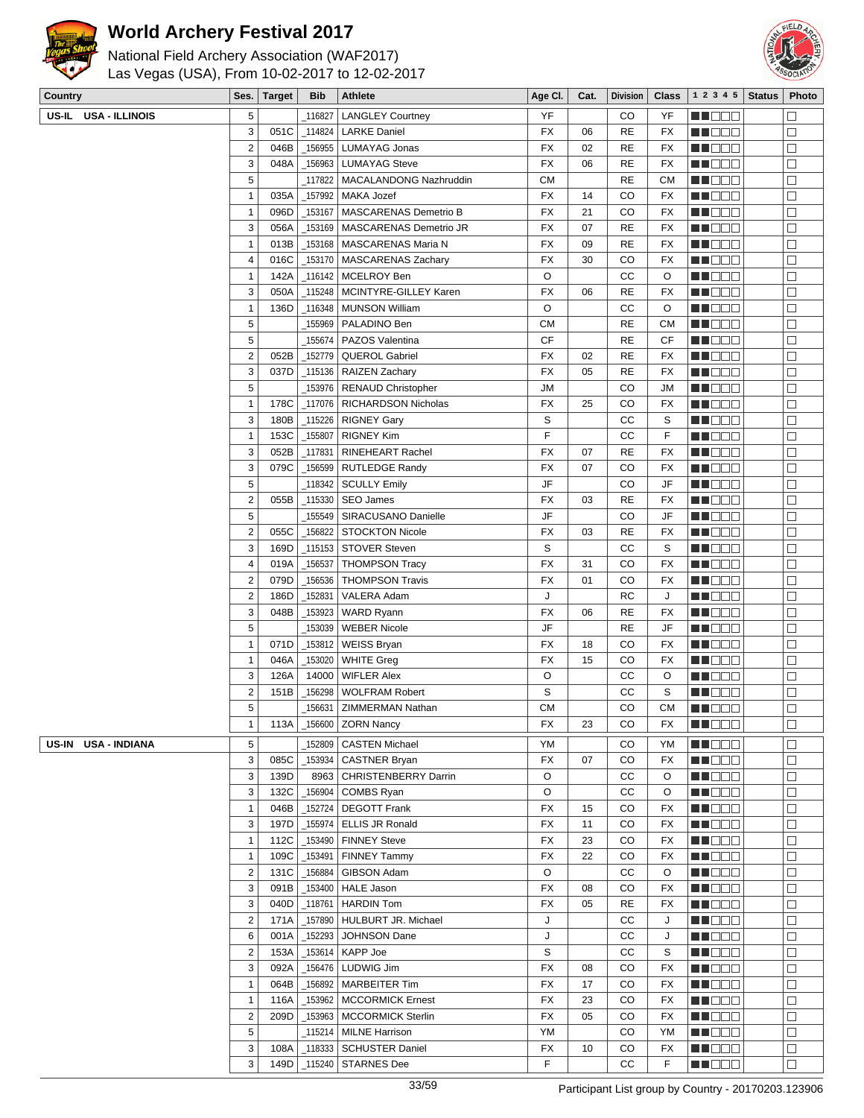

National Field Archery Association (WAF2017) Las Vegas (USA), From 10-02-2017 to 12-02-2017



| Country |                      | Ses.                    | Target       | <b>Bib</b> | Athlete                                    | Age CI.   | Cat. | <b>Division</b> | <b>Class</b> | 1 2 3 4 5               | <b>Status</b> | Photo            |
|---------|----------------------|-------------------------|--------------|------------|--------------------------------------------|-----------|------|-----------------|--------------|-------------------------|---------------|------------------|
|         | US-IL USA - ILLINOIS | 5                       |              | 116827     | <b>LANGLEY Courtney</b>                    | YF        |      | CO              | YF           | e de e                  |               | $\Box$           |
|         |                      | 3                       | 051C         |            | 114824   LARKE Daniel                      | FX        | 06   | <b>RE</b>       | FX           | M DOO                   |               | $\Box$           |
|         |                      | $\overline{c}$          | 046B         |            | _156955   LUMAYAG Jonas                    | <b>FX</b> | 02   | <b>RE</b>       | FX           | <b>REDDE</b>            |               | $\Box$           |
|         |                      | 3                       | 048A         |            | 156963   LUMAYAG Steve                     | FX        | 06   | <b>RE</b>       | <b>FX</b>    | M DE B                  |               | $\Box$           |
|         |                      | $\sqrt{5}$              |              |            | 117822   MACALANDONG Nazhruddin            | <b>CM</b> |      | <b>RE</b>       | <b>CM</b>    | MA DO O                 |               | $\Box$           |
|         |                      | $\mathbf{1}$            | 035A         |            | _157992   MAKA Jozef                       | FX        | 14   | CO              | FX           | M DOO                   |               | $\Box$           |
|         |                      | $\mathbf{1}$            | 096D         |            | _153167   MASCARENAS Demetrio B            | FX        | 21   | CO              | FX           | MN DO B                 |               | $\Box$           |
|         |                      | 3                       | 056A         |            | 153169   MASCARENAS Demetrio JR            | <b>FX</b> | 07   | <b>RE</b>       | FX           | N NO D O                |               | $\Box$           |
|         |                      | 1                       | 013B         |            | _153168   MASCARENAS Maria N               | <b>FX</b> | 09   | <b>RE</b>       | <b>FX</b>    | <b>HEDDD</b>            |               | $\Box$           |
|         |                      | 4                       | 016C         |            | _153170   MASCARENAS Zachary               | FX        | 30   | CO              | FX           | MU O O O                |               | $\Box$           |
|         |                      | 1                       | 142A         |            | _116142   MCELROY Ben                      | O         |      | CC              | O            | M HOO W                 |               | $\Box$           |
|         |                      | 3                       | 050A         |            | 115248   MCINTYRE-GILLEY Karen             | <b>FX</b> | 06   | <b>RE</b>       | FX           | MN 888                  |               | $\Box$           |
|         |                      | $\mathbf{1}$            | 136D         |            | _116348   MUNSON William                   | O         |      | СC              | O            | M DE L                  |               | $\Box$           |
|         |                      | 5                       |              |            | 155969   PALADINO Ben                      | <b>CM</b> |      | <b>RE</b>       | <b>CM</b>    | MA O O O                |               | $\Box$           |
|         |                      | 5                       |              | 155674     | PAZOS Valentina                            | <b>CF</b> |      | <b>RE</b>       | CF           | MN DO B                 |               | $\Box$           |
|         |                      | $\overline{2}$          | 052B         | _152779    | QUEROL Gabriel                             | <b>FX</b> | 02   | <b>RE</b>       | FX           | MN OO O                 |               | $\Box$           |
|         |                      | 3                       | 037D         |            | 115136   RAIZEN Zachary                    | <b>FX</b> | 05   | <b>RE</b>       | <b>FX</b>    | n de de                 |               | $\Box$           |
|         |                      | 5                       |              |            | 153976   RENAUD Christopher                | <b>JM</b> |      | CO              | JM           | MU DO O                 |               | $\Box$           |
|         |                      | $\mathbf{1}$            | 178C         |            | _117076   RICHARDSON Nicholas              | <b>FX</b> | 25   | CO              | FX           | MU O O O                |               | □                |
|         |                      | 3                       | 180B         |            | _115226   RIGNEY Gary                      | S         |      | CC              | S            | NN DE S                 |               | $\Box$           |
|         |                      | $\mathbf{1}$            | 153C         | 155807     | <b>RIGNEY Kim</b>                          | F         |      | CC              | F            | <b>MA</b> OO O          |               | $\Box$           |
|         |                      | 3                       | 052B         | 117831     | RINEHEART Rachel                           | FX        | 07   | <b>RE</b>       | <b>FX</b>    | M DO U                  |               | $\Box$           |
|         |                      | 3                       | 079C         | _156599丨   | <b>RUTLEDGE Randy</b>                      | <b>FX</b> | 07   | CO              | <b>FX</b>    | MU DO B                 |               | $\Box$           |
|         |                      | $\sqrt{5}$              |              |            | 118342   SCULLY Emily                      | JF        |      | CO              | JF           | MN DO B                 |               | $\Box$           |
|         |                      | $\overline{2}$<br>5     | 055B         | _155549    | _115330   SEO James<br>SIRACUSANO Danielle | FX<br>JF  | 03   | <b>RE</b><br>CO | FX<br>JF     | MN 888<br><b>MNOOO</b>  |               | $\Box$<br>$\Box$ |
|         |                      | $\overline{2}$          | 055C         |            | 156822   STOCKTON Nicole                   | <b>FX</b> | 03   | <b>RE</b>       | FX           | <b>MA</b> OO O          |               | $\Box$           |
|         |                      | 3                       | 169D         |            | _115153   STOVER Steven                    | S         |      | CC              | S            | M O O O                 |               | $\Box$           |
|         |                      | 4                       | 019A         | 156537     | <b>THOMPSON Tracy</b>                      | <b>FX</b> | 31   | CO              | FX           | M D D D                 |               | $\Box$           |
|         |                      | $\overline{2}$          | 079D         |            | _156536   THOMPSON Travis                  | <b>FX</b> | 01   | CO              | FX           | MU BEL                  |               | $\Box$           |
|         |                      | $\overline{c}$          | 186D         | 152831     | VALERA Adam                                | J         |      | <b>RC</b>       | J            | M DO O                  |               | $\Box$           |
|         |                      | 3                       | 048B         | _153923    | WARD Ryann                                 | <b>FX</b> | 06   | <b>RE</b>       | FX           | MN DE U                 |               | $\Box$           |
|         |                      | $\sqrt{5}$              |              | _153039    | <b>WEBER Nicole</b>                        | JF        |      | <b>RE</b>       | JF           | MN OO O                 |               | $\Box$           |
|         |                      | $\mathbf{1}$            | 071D         | _153812    | WEISS Bryan                                | FX        | 18   | CO              | FX           | <b>HE</b> OOO           |               | $\Box$           |
|         |                      | 1                       | 046A         | _153020丨   | <b>WHITE Greg</b>                          | <b>FX</b> | 15   | CO              | FX           | <u>LI DOO</u>           |               | □                |
|         |                      | 3                       | 126A         | 14000      | <b>WIFLER Alex</b>                         | O         |      | СC              | O            | MU O O O                |               | □                |
|         |                      | $\overline{\mathbf{c}}$ | 151B         | _156298    | <b>WOLFRAM Robert</b>                      | S         |      | CC              | S            | NN DE S                 |               | $\Box$           |
|         |                      | 5                       |              |            | 156631   ZIMMERMAN Nathan                  | <b>CM</b> |      | CO              | <b>CM</b>    | N I BE E                |               | $\Box$           |
|         |                      | $\mathbf{1}$            | 113A         |            | $-156600$ ZORN Nancy                       | FX        | 23   | CO              | FX           | <b>MNO</b> OO           |               | $\Box$           |
| US-IN   | <b>USA - INDIANA</b> | 5                       |              | 152809     | <b>CASTEN Michael</b>                      | YM        |      | CO              | YM           | <b>HEDDE</b>            |               | $\Box$           |
|         |                      | 3                       | 085C         |            | _153934   CASTNER Bryan                    | <b>FX</b> | 07   | CO              | FX           | MUO DO                  |               | $\Box$           |
|         |                      | 3                       | 139D         |            | 8963   CHRISTENBERRY Darrin                | O         |      | CC              | O            | MA O O O                |               | $\Box$           |
|         |                      | 3                       | 132C         |            | _156904 COMBS Ryan                         | O         |      | cc              | O            | MU DOO                  |               | $\Box$           |
|         |                      | 1                       | 046B         |            | _152724   DEGOTT Frank                     | FX        | 15   | CO              | FX           | <b>REDDE</b>            |               | $\Box$           |
|         |                      | 3                       | 197D         | 155974     | <b>ELLIS JR Ronald</b>                     | FX        | 11   | CO              | FX           | <b>RECOR</b>            |               | $\Box$           |
|         |                      | 1                       | 112C         | _153490    | <b>FINNEY Steve</b>                        | FX        | 23   | CO              | FX           | MU DOC                  |               | $\Box$           |
|         |                      | 1                       | 109C         | _153491    | <b>FINNEY Tammy</b>                        | FX        | 22   | CO              | FX           | MA O O O                |               | $\Box$           |
|         |                      | $\overline{2}$          | 131C         | _156884    | GIBSON Adam                                | O         |      | СC              | O            | MU DO O                 |               | $\Box$           |
|         |                      | 3                       | 091B         |            | _153400   HALE Jason                       | FX        | 08   | CO              | FX           | MOO O                   |               | □                |
|         |                      | 3                       | 040D         |            | $\_$ 118761   HARDIN Tom                   | <b>FX</b> | 05   | <b>RE</b><br>CC | FX           | MUO OO                  |               | $\Box$           |
|         |                      | $\mathbf 2$<br>6        | 171A         |            | _157890   HULBURT JR. Michael              | J<br>J    |      |                 | J            | NN O O O                |               | $\Box$           |
|         |                      | $\overline{c}$          | 001A<br>153A | _152293    | <b>JOHNSON Dane</b><br>_153614   KAPP Joe  | S         |      | СC<br>CС        | J<br>S       | MU DE C<br><b>REDDO</b> |               | $\Box$<br>$\Box$ |
|         |                      | 3                       | 092A         |            | _156476   LUDWIG Jim                       | FX        | 08   | CO              | FX           | MU DO O                 |               | $\Box$           |
|         |                      | 1                       | 064B         |            | _156892   MARBEITER Tim                    | FX        | 17   | CO              | FX           | <b>HE</b> OOO           |               | $\Box$           |
|         |                      | 1                       | 116A         |            | _153962   MCCORMICK Ernest                 | FX        | 23   | CO              | FX           | <b>HE</b> OOO           |               | $\Box$           |
|         |                      | $\overline{2}$          | 209D         |            | _153963   MCCORMICK Sterlin                | FX        | 05   | CO              | FX           | MO O O                  |               | $\Box$           |
|         |                      | 5                       |              |            | _115214   MILNE Harrison                   | YM        |      | CO              | YM           | MU DO O                 |               | $\Box$           |
|         |                      | 3                       | 108A         |            | _118333   SCHUSTER Daniel                  | FX        | 10   | CO              | FX           | MUOOO                   |               | □                |
|         |                      | 3                       | 149D         |            | $\_$ 115240 STARNES Dee                    | F         |      | CС              | F            | <b>RECOR</b>            |               | $\Box$           |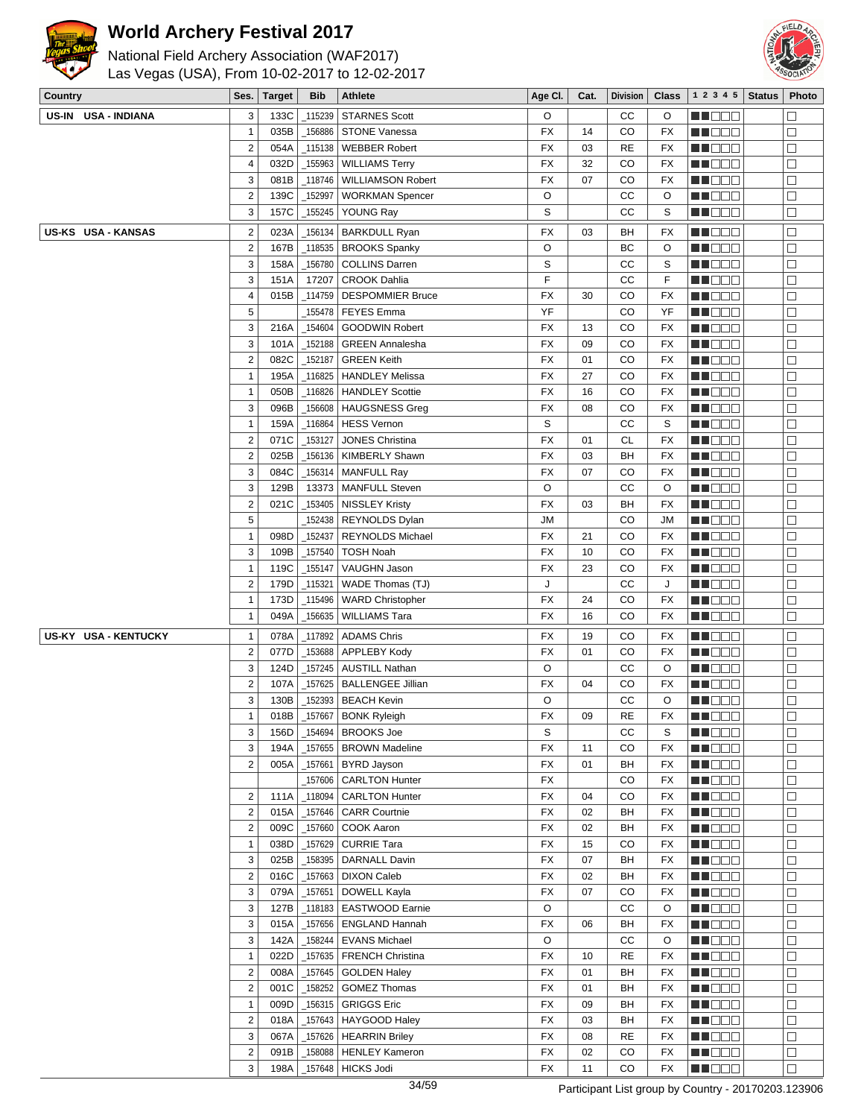



| National Field Archery Association (WAF2017)   |
|------------------------------------------------|
| Las Vegas (USA), From 10-02-2017 to 12-02-2017 |

| Country      |                      | Ses.                    | <b>Target</b> | <b>Bib</b> | <b>Athlete</b>             | Age CI.   | Cat. | <b>Division</b> | <b>Class</b> | 1 2 3 4 5                                                                                                      | <b>Status</b> | Photo  |
|--------------|----------------------|-------------------------|---------------|------------|----------------------------|-----------|------|-----------------|--------------|----------------------------------------------------------------------------------------------------------------|---------------|--------|
| <b>US-IN</b> | <b>USA - INDIANA</b> | 3                       | 133C          | 115239     | <b>STARNES Scott</b>       | O         |      | СC              | O            | MU BEL                                                                                                         |               | $\Box$ |
|              |                      | $\mathbf{1}$            | 035B          | 156886     | <b>STONE Vanessa</b>       | FX        | 14   | CO              | FX           | MU DO B                                                                                                        |               | $\Box$ |
|              |                      | $\overline{2}$          | 054A          | _115138    | <b>WEBBER Robert</b>       | <b>FX</b> | 03   | RE              | FX           | NN O O O                                                                                                       |               | $\Box$ |
|              |                      | $\overline{4}$          | 032D          | 155963     | <b>WILLIAMS Terry</b>      | FX        | 32   | CO              | FX           | e de la co                                                                                                     |               | $\Box$ |
|              |                      | 3                       | 081B          | _118746    | <b>WILLIAMSON Robert</b>   | FX        | 07   | CO              | FX           | <u> Heleti</u>                                                                                                 |               | $\Box$ |
|              |                      | $\overline{\mathbf{c}}$ | 139C          | 152997     | <b>WORKMAN Spencer</b>     | O         |      | CC              | O            | MU O O O                                                                                                       |               | $\Box$ |
|              |                      | 3                       | 157C          |            | _155245   YOUNG Ray        | S         |      | CC              | S            | <u> Helen</u>                                                                                                  |               | $\Box$ |
|              | US-KS USA - KANSAS   | $\overline{\mathbf{c}}$ | 023A          | 156134     | <b>BARKDULL Ryan</b>       | <b>FX</b> | 03   | BН              | FX           | MU DO B                                                                                                        |               | $\Box$ |
|              |                      | $\overline{2}$          | 167B          | _118535    | <b>BROOKS Spanky</b>       | O         |      | ВC              | O            | NN O O O                                                                                                       |               | $\Box$ |
|              |                      | 3                       | 158A          | _156780    | <b>COLLINS Darren</b>      | S         |      | СC              | S            | <b>HE</b> OOO                                                                                                  |               | $\Box$ |
|              |                      | 3                       | 151A          | 17207      | <b>CROOK Dahlia</b>        | F         |      | СC              | F            | e de la construcción de la construcción de la consecución de la consecución de la consecución de la consecució |               | $\Box$ |
|              |                      | 4                       | 015B          | _114759    | <b>DESPOMMIER Bruce</b>    | <b>FX</b> | 30   | CO              | FX           | Ma Mala                                                                                                        |               | $\Box$ |
|              |                      | 5                       |               | 155478     | <b>FEYES</b> Emma          | YF        |      | CO              | YF           | M OO E                                                                                                         |               | $\Box$ |
|              |                      | 3                       | 216A          | 154604     | <b>GOODWIN Robert</b>      | FX        | 13   | CO              | FX           | en de la p                                                                                                     |               | $\Box$ |
|              |                      | 3                       | 101A          | 152188     | <b>GREEN Annalesha</b>     | <b>FX</b> | 09   | CO              | <b>FX</b>    | ME DE S                                                                                                        |               | $\Box$ |
|              |                      | $\overline{2}$          | 082C          | 152187     | <b>GREEN Keith</b>         | FX        | 01   | CO              | FX           | MU O O O                                                                                                       |               | $\Box$ |
|              |                      | $\mathbf{1}$            | 195A          | 116825     | <b>HANDLEY Melissa</b>     | FX        | 27   | CO              | FX           | NN OOO                                                                                                         |               | $\Box$ |
|              |                      | $\mathbf{1}$            | 050B          | _116826    | <b>HANDLEY Scottie</b>     | <b>FX</b> | 16   | CO              | FX           | <u> Helen</u>                                                                                                  |               | $\Box$ |
|              |                      | 3                       | 096B          | _156608    | <b>HAUGSNESS Greg</b>      | FX        | 08   | CO              | FX           | <u> HOOS</u>                                                                                                   |               | $\Box$ |
|              |                      | $\mathbf{1}$            | 159A          | _116864    | <b>HESS Vernon</b>         | S         |      | СC              | S            | MU O O O                                                                                                       |               | $\Box$ |
|              |                      | $\overline{2}$          | 071C          | _153127    | <b>JONES Christina</b>     | <b>FX</b> | 01   | СL              | FX           | MU DO B                                                                                                        |               | $\Box$ |
|              |                      | $\overline{2}$          | 025B          | 156136     | <b>KIMBERLY Shawn</b>      | FX        | 03   | BH              | FX           | <b>RECOR</b>                                                                                                   |               | $\Box$ |
|              |                      | 3                       | 084C          | 156314     | <b>MANFULL Ray</b>         | FX        | 07   | CO              | FX           | <u>Li Sec</u>                                                                                                  |               | $\Box$ |
|              |                      | 3                       | 129B          | 13373      | <b>MANFULL Steven</b>      | O         |      | СC              | O            | MU DO O                                                                                                        |               | $\Box$ |
|              |                      | $\overline{c}$          | 021C          | 153405     | <b>NISSLEY Kristy</b>      | <b>FX</b> | 03   | BН              | FX           | MU O O O                                                                                                       |               | $\Box$ |
|              |                      | 5                       |               | _152438    | <b>REYNOLDS Dylan</b>      | JM        |      | CO              | JM           | NN O O O                                                                                                       |               | $\Box$ |
|              |                      | $\mathbf{1}$            | 098D          | _152437    | <b>REYNOLDS Michael</b>    | FX        | 21   | CO              | FX           | <u> Helen</u>                                                                                                  |               | $\Box$ |
|              |                      | 3                       | 109B          | _157540    | <b>TOSH Noah</b>           | FX        | 10   | CO              | FX           | <u>LI OOD</u>                                                                                                  |               | $\Box$ |
|              |                      | $\mathbf{1}$            | 119C          | _155147    | VAUGHN Jason               | <b>FX</b> | 23   | CO              | FX           | MU O O O                                                                                                       |               | $\Box$ |
|              |                      | $\overline{2}$          | 179D          | _115321    | WADE Thomas (TJ)           | J         |      | СC              | J            | MU DO O                                                                                                        |               | $\Box$ |
|              |                      | $\mathbf{1}$            | 173D          | _115496    | <b>WARD Christopher</b>    | FX        | 24   | CO              | FX           | MO DO                                                                                                          |               | $\Box$ |
|              |                      | $\mathbf{1}$            | 049A          | _156635    | <b>WILLIAMS Tara</b>       | FX        | 16   | CO              | FX           | MU DE B                                                                                                        |               | $\Box$ |
|              | US-KY USA - KENTUCKY | $\mathbf{1}$            | 078A          | _117892    | ADAMS Chris                | <b>FX</b> | 19   | CO              | FX           | MU DO D                                                                                                        |               | $\Box$ |
|              |                      | $\overline{c}$          | 077D          | _153688    | APPLEBY Kody               | <b>FX</b> | 01   | CO              | FX           | M DE D                                                                                                         |               | $\Box$ |
|              |                      | 3                       | 124D          | _157245    | <b>AUSTILL Nathan</b>      | O         |      | CC              | O            | MU DO B                                                                                                        |               | $\Box$ |
|              |                      | $\overline{2}$          | 107A          |            | 157625   BALLENGEE Jillian | FX        | 04   | CO              | FX           | MU DO O                                                                                                        |               | $\Box$ |
|              |                      | 3                       | 130B          | _152393    | BEACH Kevin                | O         |      | СC              | O            | <b>HE</b> OOO                                                                                                  |               | $\Box$ |
|              |                      | 1                       | 018B          | 157667     | <b>BONK Ryleigh</b>        | FX        | 09   | <b>RE</b>       | <b>FX</b>    | n i Biblio                                                                                                     |               | $\Box$ |
|              |                      | 3                       | 156D          |            | 154694   BROOKS Joe        | S         |      | СC              | S            | MU OOO                                                                                                         |               | $\Box$ |
|              |                      | 3                       | 194A          | 157655     | <b>BROWN Madeline</b>      | FX        | 11   | CO              | FX           | MU O O O                                                                                                       |               | $\Box$ |
|              |                      | $\overline{2}$          | 005A          | 157661     | <b>BYRD Jayson</b>         | <b>FX</b> | 01   | BH              | FX           | <b>MA</b> OOO                                                                                                  |               | $\Box$ |
|              |                      |                         |               |            | 157606   CARLTON Hunter    | <b>FX</b> |      | CO              | FX           | <b>REDDE</b>                                                                                                   |               | $\Box$ |
|              |                      | $\overline{2}$          | 111A          | $-118094$  | <b>CARLTON Hunter</b>      | <b>FX</b> | 04   | CO              | FX           | <b>MNODO</b>                                                                                                   |               | $\Box$ |
|              |                      | $\overline{\mathbf{c}}$ | 015A          | _157646    | <b>CARR Courtnie</b>       | <b>FX</b> | 02   | BH              | FX           | <b>NH</b> OOD                                                                                                  |               | $\Box$ |
|              |                      | $\overline{2}$          | 009C          |            | $-157660$ COOK Aaron       | <b>FX</b> | 02   | BH              | FX           | <b>REDDE</b>                                                                                                   |               | $\Box$ |
|              |                      | $\mathbf{1}$            | 038D          | _157629    | CURRIE Tara                | FX        | 15   | CO              | <b>FX</b>    | <b>REDDE</b>                                                                                                   |               | $\Box$ |
|              |                      | 3                       | 025B          |            | _158395   DARNALL Davin    | FX        | 07   | BH              | FX           | <b>HE</b> OOO                                                                                                  |               | $\Box$ |
|              |                      | $\overline{\mathbf{c}}$ | 016C          | _157663    | <b>DIXON Caleb</b>         | FX        | 02   | BН              | FX           | MU DO B                                                                                                        |               | $\Box$ |
|              |                      | 3                       | 079A          | 157651     | DOWELL Kayla               | FX        | 07   | CO              | FX           | MU DO O                                                                                                        |               | $\Box$ |
|              |                      | $\sqrt{3}$              | 127B          | $-118183$  | <b>EASTWOOD Earnie</b>     | O         |      | CC              | O            | <b>MA</b> OOO                                                                                                  |               | $\Box$ |
|              |                      | $\sqrt{3}$              | 015A          |            | _157656   ENGLAND Hannah   | <b>FX</b> | 06   | BH              | FX           | <b>MNODO</b>                                                                                                   |               | $\Box$ |
|              |                      | 3                       | 142A          |            | $-158244$ EVANS Michael    | O         |      | cc              | O            | MU DO B                                                                                                        |               | $\Box$ |
|              |                      | $\mathbf{1}$            | 022D          | $-157635$  | <b>FRENCH Christina</b>    | FX        | 10   | <b>RE</b>       | FX           | MN DO B                                                                                                        |               | $\Box$ |
|              |                      | $\overline{2}$          | 008A          |            | _157645   GOLDEN Haley     | <b>FX</b> | 01   | BH              | FX           | <b>RECOR</b>                                                                                                   |               | $\Box$ |
|              |                      | $\overline{\mathbf{c}}$ | 001C          | $-158252$  | GOMEZ Thomas               | FX        | 01   | BH              | FX           | <b>HEDDD</b>                                                                                                   |               | $\Box$ |
|              |                      | $\mathbf{1}$            | 009D          |            | $\_$ 156315 GRIGGS Eric    | FX        | 09   | BН              | FX           | MU OOO                                                                                                         |               | $\Box$ |
|              |                      | $\overline{\mathbf{c}}$ | 018A          | _157643    | HAYGOOD Haley              | FX        | 03   | BН              | FX           | MUOOO                                                                                                          |               | $\Box$ |
|              |                      | 3                       | 067A          | _157626    | <b>HEARRIN Briley</b>      | FX        | 08   | RE              | FX           | MA DE E                                                                                                        |               | $\Box$ |
|              |                      | $\sqrt{2}$              | 091B          |            | _158088   HENLEY Kameron   | <b>FX</b> | 02   | CO              | FX           | <b>HE</b> OOO                                                                                                  |               | $\Box$ |
|              |                      | 3                       | 198A          |            | _157648 HICKS Jodi         | <b>FX</b> | 11   | CO              | FX           | MU DOO                                                                                                         |               | $\Box$ |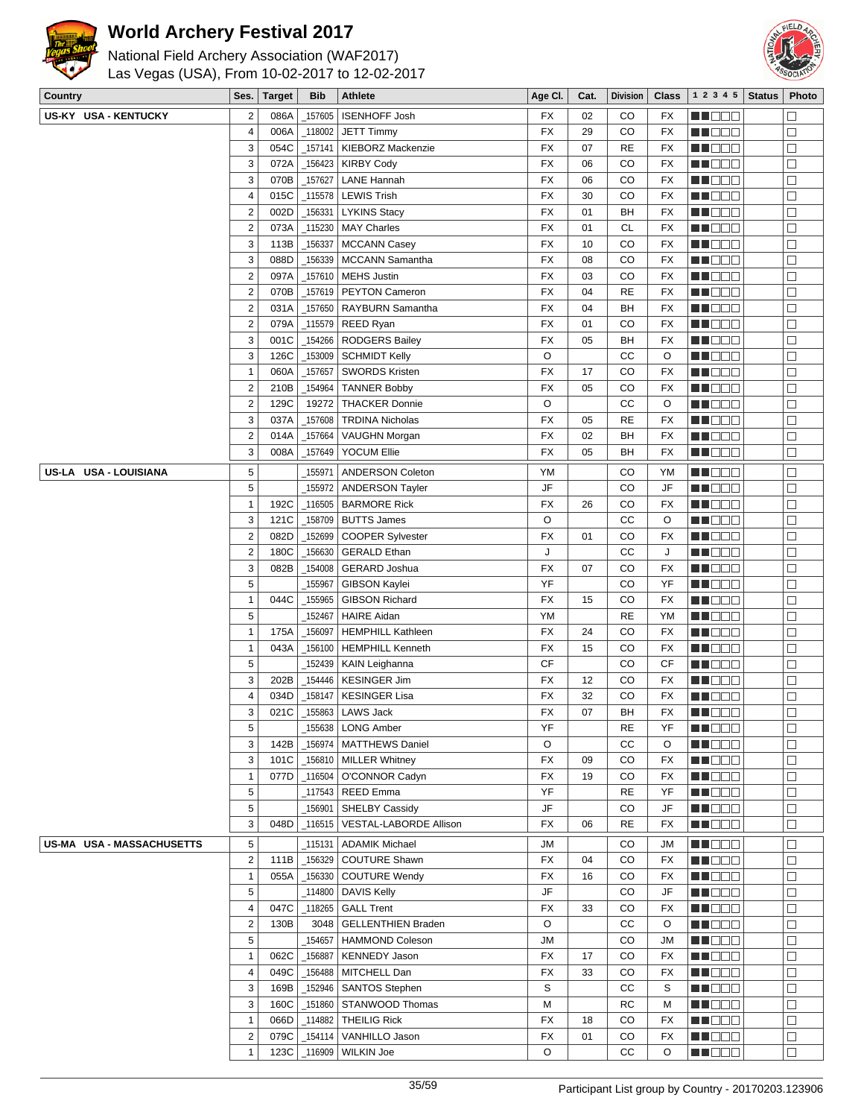



| National Field Archery Association (WAF2017)   |  |
|------------------------------------------------|--|
| Las Vegas (USA), From 10-02-2017 to 12-02-2017 |  |
|                                                |  |

| Country                   | Ses.                    | <b>Target</b> | <b>Bib</b> | <b>Athlete</b>                             | Age CI.         | Cat.     | <b>Division</b> | <b>Class</b>           | 1 2 3 4 5           | <b>Status</b> | Photo            |
|---------------------------|-------------------------|---------------|------------|--------------------------------------------|-----------------|----------|-----------------|------------------------|---------------------|---------------|------------------|
| US-KY USA - KENTUCKY      | $\overline{c}$          | 086A          | 157605     | <b>ISENHOFF Josh</b>                       | FX              | 02       | CO              | FX                     | n i De E            |               | $\Box$           |
|                           | 4                       | 006A          | 118002     | <b>JETT Timmy</b>                          | <b>FX</b>       | 29       | CO              | <b>FX</b>              | MU DO B             |               | $\Box$           |
|                           | 3                       | 054C          | 157141     | <b>KIEBORZ Mackenzie</b>                   | <b>FX</b>       | 07       | <b>RE</b>       | FX                     | MU DO O             |               | $\Box$           |
|                           | 3                       | 072A          | 156423     | <b>KIRBY Cody</b>                          | FX              | 06       | CO              | FX                     | MO DO O             |               | $\Box$           |
|                           | 3                       | 070B          | 157627     | <b>LANE Hannah</b>                         | FX              | 06       | CO              | FX                     | <u>Liela de la</u>  |               | $\Box$           |
|                           | 4                       | 015C          | $\_115578$ | <b>LEWIS Trish</b>                         | <b>FX</b>       | 30       | CO              | FX                     | WU 88               |               | $\Box$           |
|                           | $\overline{\mathbf{c}}$ | 002D          | 156331     | <b>LYKINS Stacy</b>                        | <b>FX</b>       | 01       | BН              | FX                     | <u>sa sa sa</u>     |               | $\Box$           |
|                           | $\mathbf 2$             | 073A          | 115230     | <b>MAY Charles</b>                         | FX              | 01       | <b>CL</b>       | FX                     | MO DO               |               | $\Box$           |
|                           | 3                       | 113B          | 156337     | <b>MCCANN Casey</b>                        | FX              | 10       | CO              | <b>FX</b>              | ME DE S             |               | $\Box$           |
|                           | 3                       | 088D          | 156339     | <b>MCCANN Samantha</b>                     | FX              | 08       | CO              | <b>FX</b>              | MU DO O             |               | $\Box$           |
|                           | $\overline{\mathbf{c}}$ | 097A          | _157610    | <b>MEHS Justin</b>                         | <b>FX</b>       | 03       | CO              | <b>FX</b>              | MU O O O            |               | $\Box$           |
|                           | $\overline{\mathbf{c}}$ | 070B          | 157619     | <b>PEYTON Cameron</b>                      | FX              | 04       | <b>RE</b>       | FX                     | MO DO               |               | $\Box$           |
|                           | $\overline{\mathbf{c}}$ | 031A          | 157650     | <b>RAYBURN Samantha</b>                    | FX              | 04       | BН              | FX                     | ME DE S             |               | $\Box$           |
|                           | $\overline{\mathbf{c}}$ | 079A          |            | _115579   REED Ryan                        | FX              | 01       | CO              | <b>FX</b>              | MU O O O            |               | $\Box$           |
|                           | 3                       | 001C          | _154266    | RODGERS Bailey                             | <b>FX</b>       | 05       | BН              | <b>FX</b>              | MU O O O            |               | $\Box$           |
|                           | 3                       | 126C          |            | _153009   SCHMIDT Kelly                    | O               |          | CC              | O                      | en de la p          |               | $\Box$           |
|                           | 1                       | 060A          | 157657     | <b>SWORDS Kristen</b>                      | <b>FX</b>       | 17       | CO              | FX                     | M DOO               |               | $\Box$           |
|                           | $\overline{\mathbf{c}}$ | 210B          | 154964     | <b>TANNER Bobby</b>                        | <b>FX</b>       | 05       | CO              | <b>FX</b>              | MA DE S             |               | $\Box$           |
|                           | $\overline{\mathbf{c}}$ | 129C          | 19272      | <b>THACKER Donnie</b>                      | O               |          | CC              | O                      | MU DO B             |               | $\Box$           |
|                           | 3                       | 037A          | 157608     | <b>TRDINA Nicholas</b>                     | FX              | 05       | RE              | <b>FX</b>              | MN 888              |               | $\Box$           |
|                           | $\overline{c}$          | 014A          | 157664     | VAUGHN Morgan                              | <b>FX</b>       | 02       | BН              | <b>FX</b>              | MO DO O             |               | $\Box$           |
|                           | 3                       | 008A          | _157649    | <b>YOCUM Ellie</b>                         | FX              | 05       | BН              | <b>FX</b>              | <b>MA</b> OOO       |               | $\Box$           |
| US-LA USA - LOUISIANA     | 5                       |               | 155971     | <b>ANDERSON Coleton</b>                    | YM              |          | CO              | YM                     | MN OO O             |               | $\Box$           |
|                           | 5                       |               | 155972     | <b>ANDERSON Tayler</b>                     | JF              |          | CO              | JF                     | MA DE S             |               | $\Box$           |
|                           | $\mathbf{1}$            | 192C          |            | _116505 BARMORE Rick                       | <b>FX</b>       | 26       | CO              | FX                     | MU DO B             |               | $\Box$           |
|                           | 3                       | 121C          | 158709     | <b>BUTTS James</b>                         | O               |          | CC              | O                      | MU DO O             |               | $\Box$           |
|                           | $\overline{c}$          | 082D          | 152699     | <b>COOPER Sylvester</b>                    | FX              | 01       | CO              | FX                     | e de la p           |               | $\Box$           |
|                           | $\overline{c}$          | 180C          | 156630     | <b>GERALD Ethan</b>                        | J               |          | CC              | J                      | MU DE E             |               | $\Box$           |
|                           | 3                       | 082B          | 154008     | <b>GERARD Joshua</b>                       | <b>FX</b>       | 07       | CO              | FX                     | M OOO               |               | $\Box$           |
|                           | 5                       |               | 155967     | <b>GIBSON Kaylei</b>                       | YF              |          | CO              | YF                     | MU DO O             |               | $\Box$           |
|                           | $\overline{1}$          | 044C          | 155965     | <b>GIBSON Richard</b>                      | <b>FX</b>       | 15       | CO              | <b>FX</b>              | <b>REBED</b>        |               | $\Box$           |
|                           | 5                       |               | 152467     | <b>HAIRE Aidan</b>                         | <b>YM</b>       |          | <b>RE</b>       | YM                     | ME DE S             |               | $\Box$           |
|                           | $\overline{1}$          | 175A          | 156097     | <b>HEMPHILL Kathleen</b>                   | FX              | 24       | CO              | <b>FX</b>              | MU DE S             |               | $\Box$           |
|                           | 1                       | 043A          | _156100    | <b>HEMPHILL Kenneth</b>                    | FX              | 15       | CO              | FX                     | MU O O O            |               | $\Box$           |
|                           | 5                       |               | _152439    | KAIN Leighanna                             | CF              |          | CO              | CF                     | MN D D D            |               | $\Box$           |
|                           | 3                       | 202B          | 154446_    | <b>KESINGER Jim</b>                        | FX              | 12       | CO              | <b>FX</b>              | M DEE               |               | $\Box$           |
|                           | 4<br>3                  | 034D<br>021C  | _158147    | <b>KESINGER Lisa</b><br>155863   LAWS Jack | FX<br><b>FX</b> | 32<br>07 | CO              | <b>FX</b><br><b>FX</b> | M DEE               |               | $\Box$<br>$\Box$ |
|                           | 5                       |               |            | _155638   LONG Amber                       | YF              |          | BН<br>RE        | YF                     | n i De E<br>MA DEJU |               | $\Box$           |
|                           | 3                       | 142B          |            | _156974   MATTHEWS Daniel                  | O               |          | CC              | O                      | n i Bele            |               | $\Box$           |
|                           | 3                       | 101C          |            | _156810   MILLER Whitney                   | FX              | 09       | CO              | FX                     | <u>ma cea</u>       |               | $\Box$           |
|                           | $\mathbf{1}$            | 077D          |            | _116504   O'CONNOR Cadyn                   | FX              | 19       | CO              | FX                     | <u> E BER</u>       |               | $\Box$           |
|                           | 5                       |               |            | _117543   REED Emma                        | YF              |          | <b>RE</b>       | YF                     | MN OO B             |               | $\Box$           |
|                           | 5                       |               | 156901     | SHELBY Cassidy                             | JF              |          | CO              | JF                     | MO DO O             |               | $\Box$           |
|                           | 3                       | 048D          |            | 116515   VESTAL-LABORDE Allison_           | <b>FX</b>       | 06       | RE              | FX                     | MU DE E             |               | $\Box$           |
| US-MA USA - MASSACHUSETTS | 5                       |               | _115131    | <b>ADAMIK Michael</b>                      | JM              |          | CO              | JM                     | MN 888              |               | $\Box$           |
|                           | $\mathbf 2$             | 111B          |            | _156329   COUTURE Shawn                    | FX              | 04       | CO              | <b>FX</b>              | <b>MA</b> DOO       |               | $\Box$           |
|                           | 1                       | 055A          |            | _156330 COUTURE Wendy                      | FX              | 16       | CO              | FX                     | MU DO B             |               | $\Box$           |
|                           | 5                       |               |            | _114800 DAVIS Kelly                        | JF              |          | CO              | JF                     | MU DO O             |               | $\Box$           |
|                           | 4                       | 047C          |            | $_1$ 118265 GALL Trent                     | FX              | 33       | CO              | FX                     | <u> Lind de la</u>  |               | $\Box$           |
|                           | $\overline{\mathbf{c}}$ | 130B          | 3048       | <b>GELLENTHIEN Braden</b>                  | O               |          | CC              | O                      | <b>MN</b> OOO       |               | $\Box$           |
|                           | 5                       |               |            | 154657   HAMMOND Coleson                   | <b>JM</b>       |          | CO              | JM                     | WU 88               |               | $\Box$           |
|                           | $\mathbf{1}$            | 062C          | _156887    | <b>KENNEDY Jason</b>                       | FX              | 17       | CO              | FX                     | MU DO O             |               | $\Box$           |
|                           | 4                       | 049C          |            | _156488   MITCHELL Dan                     | <b>FX</b>       | 33       | CO              | FX                     | <b>RECOR</b>        |               | $\Box$           |
|                           | 3                       | 169B          |            | 152946   SANTOS Stephen                    | S               |          | CC              | S                      | <b>REDDO</b>        |               | $\Box$           |
|                           | 3                       | 160C          | _151860    | STANWOOD Thomas                            | M               |          | RC              | M                      | MU DO O             |               | $\Box$           |
|                           | 1                       | 066D          |            | _114882   THEILIG Rick                     | FX              | 18       | CO              | FX                     | MUOOO               |               | $\Box$           |
|                           | $\overline{\mathbf{c}}$ | 079C          | _154114    | VANHILLO Jason                             | FX              | 01       | CO              | FX                     | MA DE E             |               | $\Box$           |
|                           | $\mathbf{1}$            | 123C          |            | _116909   WILKIN Joe                       | O               |          | cc              | O                      | <b>HEBBB</b>        |               | $\Box$           |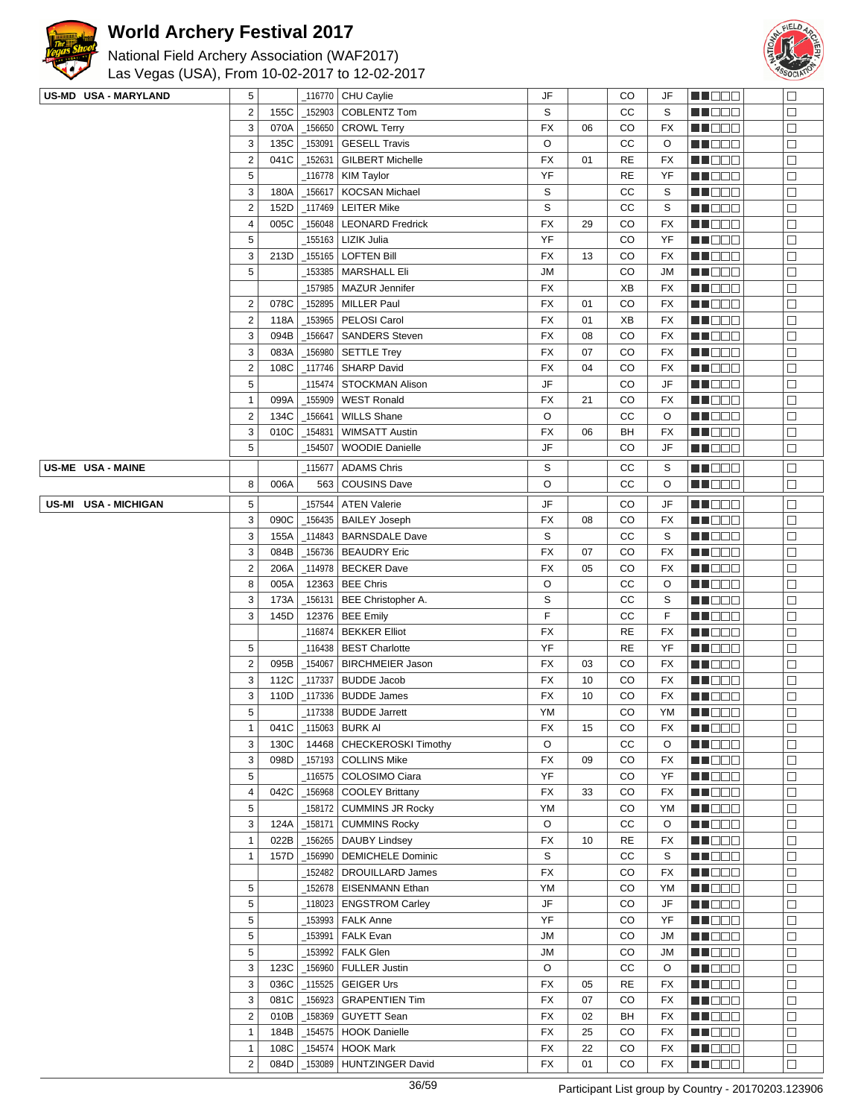



| US-MD USA - MARYLAND | 5                       |      |           | _116770   CHU Caylie        | JF        |    | CO        | JF        | MU O O O          | $\Box$ |
|----------------------|-------------------------|------|-----------|-----------------------------|-----------|----|-----------|-----------|-------------------|--------|
|                      | $\overline{2}$          | 155C | 152903    | <b>COBLENTZ Tom</b>         | S         |    | CC        | S         | 1   1   2   2   2 | $\Box$ |
|                      | $\sqrt{3}$              | 070A | _156650   | <b>CROWL Terry</b>          | FX        | 06 | CO        | FX        | <b>MARGE</b>      | $\Box$ |
|                      | $\mathbf{3}$            | 135C | _153091   | <b>GESELL Travis</b>        | O         |    | СC        | O         | <u>Li Bee</u>     | $\Box$ |
|                      | $\mathbf 2$             | 041C | 152631    | <b>GILBERT Michelle</b>     | FX        | 01 | <b>RE</b> | FX        | MU DO B           | $\Box$ |
|                      | 5                       |      | 116778    | <b>KIM Taylor</b>           | YF        |    | <b>RE</b> | YF        | MN DO B           | □      |
|                      | 3                       | 180A | 156617    | <b>KOCSAN Michael</b>       | S         |    | CC        | S         | MO DO             | $\Box$ |
|                      | $\overline{2}$          | 152D | 117469    | <b>LEITER Mike</b>          | S         |    | CC        | S         | <b>HE</b> OOO     | $\Box$ |
|                      | $\overline{\mathbf{4}}$ | 005C | 156048    | <b>LEONARD Fredrick</b>     | <b>FX</b> | 29 | CO        | FX        | MU DO O           | $\Box$ |
|                      | 5                       |      | 155163    | <b>LIZIK Julia</b>          | YF        |    | CO        | YF        | MN DO B           | □      |
|                      | $\sqrt{3}$              | 213D | 155165_   | <b>LOFTEN Bill</b>          | FX        | 13 | CO        | FX        | <b>HE</b> DOO     | $\Box$ |
|                      | $\overline{5}$          |      | 153385    | MARSHALL Eli                | <b>JM</b> |    | CO        | JM        | <b>HEBBB</b>      | $\Box$ |
|                      |                         |      | 157985_   | MAZUR Jennifer              | FX        |    | XВ        | FX        | N NO DEI          | $\Box$ |
|                      | $\overline{\mathbf{c}}$ | 078C | 152895    | <b>MILLER Paul</b>          | FX        | 01 | CO        | FX        | MU DO B           | $\Box$ |
|                      | $\mathbf 2$             | 118A | 153965    | PELOSI Carol                | FX        | 01 | XB        | FX        | MN D D D          | $\Box$ |
|                      | 3                       | 094B | 156647    | <b>SANDERS Steven</b>       | FX        | 08 | CO        | FX        | <b>HEBBB</b>      | $\Box$ |
|                      | 3                       | 083A | 156980    | <b>SETTLE Trey</b>          | FX        | 07 | CO        | FX        | MU O O O          | $\Box$ |
|                      | $\mathbf 2$             | 108C | 117746    | <b>SHARP David</b>          | FX        | 04 | CO        | FX        | MU DO B           | $\Box$ |
|                      | 5                       |      | _115474   | STOCKMAN Alison             | JF        |    | CO        | JF        | MN OO B           | □      |
|                      | $\mathbf{1}$            | 099A | 155909    | <b>WEST Ronald</b>          | FX        | 21 | CO        | FX        | MO DO O           | $\Box$ |
|                      | $\overline{2}$          | 134C | 156641    | <b>WILLS Shane</b>          | O         |    | СC        | O         | <b>MA</b> OOO     | $\Box$ |
|                      | $\mathbf{3}$            | 010C | 154831    | <b>WIMSATT Austin</b>       | FX        | 06 | BH        | FX        | W OO D            | $\Box$ |
|                      | 5                       |      | 154507    | <b>WOODIE Danielle</b>      | JF        |    | CO        | JF        | MN DO B           | □      |
|                      |                         |      |           |                             |           |    |           |           |                   |        |
| US-ME USA - MAINE    |                         |      | 115677_   | <b>ADAMS Chris</b>          | S         |    | CС        | S         | MU O O O          | $\Box$ |
|                      | 8                       | 006A | 563       | <b>COUSINS Dave</b>         | $\circ$   |    | СC        | O         | MU DO O           | □      |
| US-MI USA - MICHIGAN | 5                       |      | 157544    | <b>ATEN Valerie</b>         | JF        |    | CO        | JF        | MUODO             | $\Box$ |
|                      | 3                       | 090C | _156435   | <b>BAILEY Joseph</b>        | FX        | 08 | CO        | FX        | MU DO O           | $\Box$ |
|                      | $\mathbf{3}$            | 155A | 114843    | <b>BARNSDALE Dave</b>       | S         |    | CC        | S         | MA DO O           | $\Box$ |
|                      | $\sqrt{3}$              | 084B | _156736   | <b>BEAUDRY Eric</b>         | FX        | 07 | CO        | FX        | <u>Li Sec</u>     | □      |
|                      | $\overline{2}$          | 206A | _114978   | <b>BECKER Dave</b>          | <b>FX</b> | 05 | CO        | <b>FX</b> | MU O O O          | □      |
|                      | 8                       | 005A |           | 12363   BEE Chris           | $\circ$   |    | СC        | O         | NN O O O          | $\Box$ |
|                      | 3                       | 173A |           | 156131   BEE Christopher A. | S         |    | СC        | S         | MO DO             | $\Box$ |
|                      | 3                       | 145D | 12376     | <b>BEE Emily</b>            | F         |    | СC        | F         | ME DE S           | П      |
|                      |                         |      | _116874   | <b>BEKKER Elliot</b>        | FX        |    | <b>RE</b> | FX        | MU DO O           | $\Box$ |
|                      | 5                       |      | _116438   | <b>BEST Charlotte</b>       | YF        |    | <b>RE</b> | YF        | MU DO O           | $\Box$ |
|                      | $\mathbf 2$             | 095B | 154067    | <b>BIRCHMEIER Jason</b>     | FX        | 03 | CO        | FX        | <b>RECOR</b>      | $\Box$ |
|                      | 3                       | 112C | _117337   | <b>BUDDE Jacob</b>          | FX        | 10 | CO        | FX        | <b>HEBBB</b>      | $\Box$ |
|                      | 3                       | 110D | _117336   | <b>BUDDE James</b>          | <b>FX</b> | 10 | CO        | FX        | MU DO B           | □      |
|                      | 5                       |      |           | 117338   BUDDE Jarrett      | YM        |    | CO        | YM        | MU DO B           | $\Box$ |
|                      | $\mathbf{1}$            | 041C |           | 115063   BURK AI            | FX        | 15 | CO        | FX        | MI DE S           | $\Box$ |
|                      | 3                       | 130C | 14468     | CHECKEROSKI Timothy         | O         |    | CC        | O         | n i Bele          | П      |
|                      | 3                       | 098D |           | 157193   COLLINS Mike       | FX        | 09 | CO        | FX        | MU DEL            | $\Box$ |
|                      | 5                       |      | 116575    | COLOSIMO Ciara              | YF        |    | CO        | YF        | Ma Mala           | $\Box$ |
|                      | $\overline{\mathbf{4}}$ | 042C | _156968   | <b>COOLEY Brittany</b>      | FX        | 33 | CO        | FX        | MU DOO            | $\Box$ |
|                      | 5                       |      | 158172    | <b>CUMMINS JR Rocky</b>     | YM        |    | CO        | YM        | <b>HEBBB</b>      | $\Box$ |
|                      | 3                       | 124A | 158171    | <b>CUMMINS Rocky</b>        | O         |    | cc        | O         | <b>REDDO</b>      | $\Box$ |
|                      | $\mathbf{1}$            | 022B | _156265   | <b>DAUBY Lindsey</b>        | FX        | 10 | <b>RE</b> | FX        | MU DO B           | □      |
|                      | $\mathbf{1}$            | 157D | _156990   | <b>DEMICHELE Dominic</b>    | S         |    | CC        | S         | ME DE E           | □      |
|                      |                         |      | 152482    | DROUILLARD James            | <b>FX</b> |    | CO        | FX        | <b>MARGO</b>      | $\Box$ |
|                      | 5                       |      | 152678    | <b>EISENMANN Ethan</b>      | YM        |    | CO        | YM        | MA DE S           | П      |
|                      | 5                       |      | _118023   | <b>ENGSTROM Carley</b>      | JF        |    | CO        | JF        | MU DO B           | $\Box$ |
|                      | 5                       |      | _153993   | <b>FALK Anne</b>            | YF        |    | CO        | YF        | MU DO B           | $\Box$ |
|                      | 5                       |      | 153991    | <b>FALK Evan</b>            | <b>JM</b> |    | CO        | JM        | <b>REDDE</b>      | $\Box$ |
|                      | 5                       |      | 153992    | <b>FALK Glen</b>            | <b>JM</b> |    | CO        | JM        | <b>HE</b> DOO     | $\Box$ |
|                      | $\sqrt{3}$              | 123C | 156960    | <b>FULLER Justin</b>        | O         |    | CC        | O         | MU DEL            | $\Box$ |
|                      | $\sqrt{3}$              | 036C | $-115525$ | <b>GEIGER Urs</b>           | FX        | 05 | <b>RE</b> | FX        | MU DO D           | □      |
|                      | $\sqrt{3}$              | 081C | _156923   | <b>GRAPENTIEN Tim</b>       | <b>FX</b> | 07 | CO        | FX        | <b>NNOOD</b>      | $\Box$ |
|                      | $\sqrt{2}$              | 010B | 158369    | <b>GUYETT Sean</b>          | <b>FX</b> | 02 | BH        | FX        | <b>MA</b> OOO     | $\Box$ |
|                      | $\mathbf{1}$            | 184B | 154575    | <b>HOOK Danielle</b>        | FX        | 25 | CO        | FX        | ME BER            | $\Box$ |
|                      | $\mathbf{1}$            | 108C | _154574   | <b>HOOK Mark</b>            | FX        | 22 | CO        | FX        | Ma Mala           | □      |
|                      | $\overline{2}$          | 084D | 153089    | HUNTZINGER David            | FX        | 01 | CO        | FX        | <b>RECOR</b>      | $\Box$ |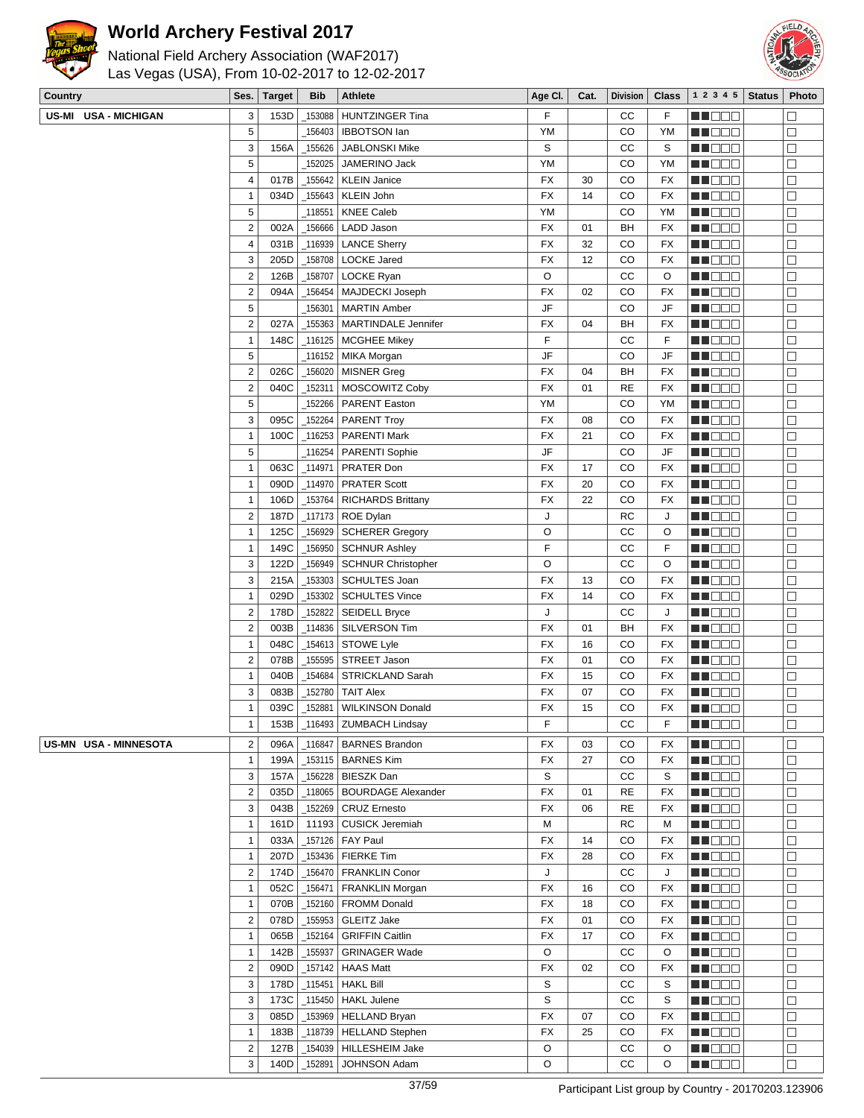

National Field Archery Association (WAF2017) Las Vegas (USA), From 10-02-2017 to 12-02-2017



| Country |                       | Ses.                    | <b>Target</b> | <b>Bib</b>      | <b>Athlete</b>                | Age CI.   | Cat. | <b>Division</b> | Class     | 1 2 3 4 5     | <b>Status</b> | Photo  |
|---------|-----------------------|-------------------------|---------------|-----------------|-------------------------------|-----------|------|-----------------|-----------|---------------|---------------|--------|
|         | US-MI USA - MICHIGAN  | 3                       | 153D          | 153088          | <b>HUNTZINGER Tina</b>        | F         |      | СC              | F         | MU O O O      |               | □      |
|         |                       | 5                       |               | 156403          | <b>IBBOTSON lan</b>           | YM        |      | CO              | YM        | MU DO 2       |               | $\Box$ |
|         |                       | 3                       | 156A          | _155626         | <b>JABLONSKI Mike</b>         | S         |      | СC              | S         | M NO S        |               | $\Box$ |
|         |                       | 5                       |               | 152025          | JAMERINO Jack                 | YM        |      | CO              | YM        | M DE B        |               | $\Box$ |
|         |                       | $\overline{\mathbf{4}}$ | 017B          | 155642          | <b>KLEIN Janice</b>           | FX        | 30   | CO              | <b>FX</b> | M DE S        |               | $\Box$ |
|         |                       | 1                       | 034D          | _155643         | KLEIN John                    | <b>FX</b> | 14   | CO              | <b>FX</b> | MU O O O      |               | $\Box$ |
|         |                       | 5                       |               | $-118551$       | <b>KNEE Caleb</b>             | YM        |      | CO              | YM        | MN DE U       |               | □      |
|         |                       | $\boldsymbol{2}$        | 002A          | _156666         | LADD Jason                    | FX        | 01   | BH              | <b>FX</b> | M DE B        |               | $\Box$ |
|         |                       | 4                       | 031B          | _116939         | <b>LANCE Sherry</b>           | FX        | 32   | CO              | <b>FX</b> | ME DE S       |               | $\Box$ |
|         |                       | 3                       | 205D          | _158708         | <b>LOCKE Jared</b>            | FX        | 12   | CO              | FX        | M NO S        |               | $\Box$ |
|         |                       | $\boldsymbol{2}$        | 126B          | _158707         | LOCKE Ryan                    | O         |      | CC              | O         | M NO S        |               | $\Box$ |
|         |                       | $\mathbf 2$             | 094A          | 156454          | MAJDECKI Joseph               | <b>FX</b> | 02   | CO              | <b>FX</b> | M NO S        |               | $\Box$ |
|         |                       | 5                       |               | _156301         | <b>MARTIN Amber</b>           | JF        |      | CO              | JF        | MU DE E       |               | $\Box$ |
|         |                       | $\boldsymbol{2}$        | 027A          |                 | _155363   MARTINDALE Jennifer | <b>FX</b> | 04   | BH              | <b>FX</b> | M NO SI       |               | $\Box$ |
|         |                       | $\mathbf{1}$            | 148C          |                 | $_1$ 116125   MCGHEE Mikey    | F         |      | cc              | F         | M OO S        |               | $\Box$ |
|         |                       | 5                       |               | 116152          | MIKA Morgan                   | JF        |      | CO              | JF        | MN DE G       |               | $\Box$ |
|         |                       | $\boldsymbol{2}$        | 026C          | _156020         | <b>MISNER Greg</b>            | FX        | 04   | BH              | FX        | M DE B        |               | $\Box$ |
|         |                       | $\boldsymbol{2}$        | 040C          | _152311         | MOSCOWITZ Coby                | FX        | 01   | RE              | <b>FX</b> | M NO W        |               | $\Box$ |
|         |                       | 5                       |               | 152266          | <b>PARENT Easton</b>          | YM        |      | CO              | YM        | Ma Mala       |               | □      |
|         |                       | 3                       | 095C          | _152264         | <b>PARENT Troy</b>            | FX        | 08   | CO              | <b>FX</b> | M NO S        |               | $\Box$ |
|         |                       | $\mathbf{1}$            | 100C          | $-116253$       | <b>PARENTI Mark</b>           | <b>FX</b> | 21   | CO              | <b>FX</b> | M DE B        |               | $\Box$ |
|         |                       | 5                       |               |                 | _116254   PARENTI Sophie      | JF        |      | CO              | JF        | M DE S        |               | $\Box$ |
|         |                       | $\mathbf{1}$            | 063C          | _114971         | PRATER Don                    | <b>FX</b> | 17   | CO              | <b>FX</b> | MU BEG        |               | □      |
|         |                       | $\mathbf{1}$            | 090D          | _114970         | <b>PRATER Scott</b>           | FX        | 20   | CO              | FX        | MN 888        |               | □      |
|         |                       | $\mathbf{1}$            | 106D          | _153764         | <b>RICHARDS Brittany</b>      | FX        | 22   | CO              | FX        | M DE B        |               | $\Box$ |
|         |                       | $\overline{\mathbf{c}}$ | 187D          |                 | _117173   ROE Dylan           | J         |      | RC              | J         | ME DE S       |               | $\Box$ |
|         |                       | 1                       | 125C          | 156929          | <b>SCHERER Gregory</b>        | O         |      | СC              | O         | M DE O        |               | $\Box$ |
|         |                       | 1                       | 149C          | 156950          | <b>SCHNUR Ashley</b>          | F         |      | CC              | F         | M NO S        |               | $\Box$ |
|         |                       | 3                       | 122D          | $\_156949$      | <b>SCHNUR Christopher</b>     | O         |      | CC              | $\circ$   | M DO D        |               | $\Box$ |
|         |                       | 3                       | 215A          | _153303         | SCHULTES Joan                 | <b>FX</b> | 13   | CO              | <b>FX</b> | M DE B        |               | $\Box$ |
|         |                       | $\mathbf{1}$            | 029D          |                 | _153302   SCHULTES Vince      | <b>FX</b> | 14   | CO              | <b>FX</b> | MU O O O      |               | $\Box$ |
|         |                       | $\boldsymbol{2}$        | 178D          | _152822         | <b>SEIDELL Bryce</b>          | J         |      | CC              | J         | M DE O        |               | $\Box$ |
|         |                       | $\overline{2}$          | 003B          | _114836         | SILVERSON Tim                 | <b>FX</b> | 01   | BH              | <b>FX</b> | MOO O         |               | $\Box$ |
|         |                       | $\mathbf{1}$            | 048C          | $\_$ 154613 $ $ | STOWE Lyle                    | FX        | 16   | CO              | FX        | M DE B        |               | $\Box$ |
|         |                       | $\overline{2}$          | 078B          | _155595         | STREET Jason                  | FX        | 01   | CO              | <b>FX</b> | ME DE S       |               | $\Box$ |
|         |                       | $\mathbf{1}$            | 040B          | _154684         | STRICKLAND Sarah              | FX        | 15   | CO              | <b>FX</b> | MU DE B       |               | $\Box$ |
|         |                       | 3                       | 083B          | _152780         | TAIT Alex                     | FX        | 07   | CO              | FX        | MN 888        |               | $\Box$ |
|         |                       | $\mathbf{1}$            | 039C          |                 | 152881 WILKINSON Donald       | <b>FX</b> | 15   | CO              | <b>FX</b> | MA OO O       |               | $\Box$ |
|         |                       | 1                       | 153B          | _116493         | <b>ZUMBACH Lindsay</b>        | F         |      | CC              | F         | <b>MNOOO</b>  |               | $\Box$ |
|         | US-MN USA - MINNESOTA | $\overline{2}$          | 096A          | _116847         | <b>BARNES Brandon</b>         | FX        | 03   | CO              | FX        | M DE B        |               | $\Box$ |
|         |                       | $\mathbf{1}$            | 199A          |                 | 153115   BARNES Kim           | FX        | 27   | CO              | FX        | MU OO O       |               | □      |
|         |                       | 3                       | 157A          |                 | _156228   BIESZK Dan          | S         |      | cc              | S         | MU DO D       |               | □      |
|         |                       | 2                       | 035D          | $-118065$       | <b>BOURDAGE Alexander</b>     | <b>FX</b> | 01   | <b>RE</b>       | FX        | <b>MADDO</b>  |               | $\Box$ |
|         |                       | 3                       | 043B          |                 | _152269 CRUZ Ernesto          | FX        | 06   | <b>RE</b>       | FX        | MN 880        |               | $\Box$ |
|         |                       | 1                       | 161D          |                 | 11193   CUSICK Jeremiah       | M         |      | RC              | М         | M BEG         |               | $\Box$ |
|         |                       | $\mathbf{1}$            | 033A          |                 | _157126   FAY Paul            | FX        | 14   | CO              | FX        | MU BEG        |               | $\Box$ |
|         |                       | $\mathbf{1}$            | 207D          |                 | $-153436$ FIERKE Tim          | FX        | 28   | CO              | FX        | <b>RECOR</b>  |               | $\Box$ |
|         |                       | $\overline{2}$          | 174D          | $\_156470$      | <b>FRANKLIN Conor</b>         | J         |      | cc              | J         | <b>HEDDD</b>  |               | $\Box$ |
|         |                       | $\mathbf{1}$            | 052C          | $-156471$       | FRANKLIN Morgan               | FX        | 16   | CO              | FX        | <b>MNODO</b>  |               | $\Box$ |
|         |                       | $\mathbf{1}$            | 070B          | _152160         | <b>FROMM Donald</b>           | FX        | 18   | CO              | FX        | <b>REDDO</b>  |               | □      |
|         |                       | $\overline{2}$          | 078D          | _155953         | <b>GLEITZ Jake</b>            | FX        | 01   | CO              | FX        | <b>RECOR</b>  |               | □      |
|         |                       | $\mathbf{1}$            | 065B          | $-152164$       | <b>GRIFFIN Caitlin</b>        | FX        | 17   | CO              | FX        | <b>HE</b> DOO |               | $\Box$ |
|         |                       | $\mathbf{1}$            | 142B          | _155937         | <b>GRINAGER Wade</b>          | O         |      | СC              | O         | <b>REDDO</b>  |               | $\Box$ |
|         |                       | $\overline{\mathbf{c}}$ | 090D          |                 | $\_$ 157142   HAAS Matt       | FX        | 02   | CO              | FX        | MU DO U       |               | $\Box$ |
|         |                       | 3                       | 178D          | $-115451$       | <b>HAKL Bill</b>              | S         |      | cc              | S         | MN DE U       |               | □      |
|         |                       | 3                       | 173C          | $\_115450$      | <b>HAKL Julene</b>            | S         |      | cc              | S         | <b>RECOR</b>  |               | □      |
|         |                       | 3                       | 085D          | _153969         | <b>HELLAND Bryan</b>          | FX        | 07   | CO              | FX        | <b>HEDDD</b>  |               | $\Box$ |
|         |                       | $\mathbf{1}$            | 183B          |                 | _118739   HELLAND Stephen     | FX        | 25   | CO              | FX        | <b>MNODO</b>  |               | $\Box$ |
|         |                       | $\overline{2}$          | 127B          |                 | _154039   HILLESHEIM Jake     | O         |      | cc              | O         | <b>MA</b> OOO |               | $\Box$ |

3 140D 152891 JOHNSON Adam **O CC O** 

**FEBBB** 

 $\boxed{\Box}$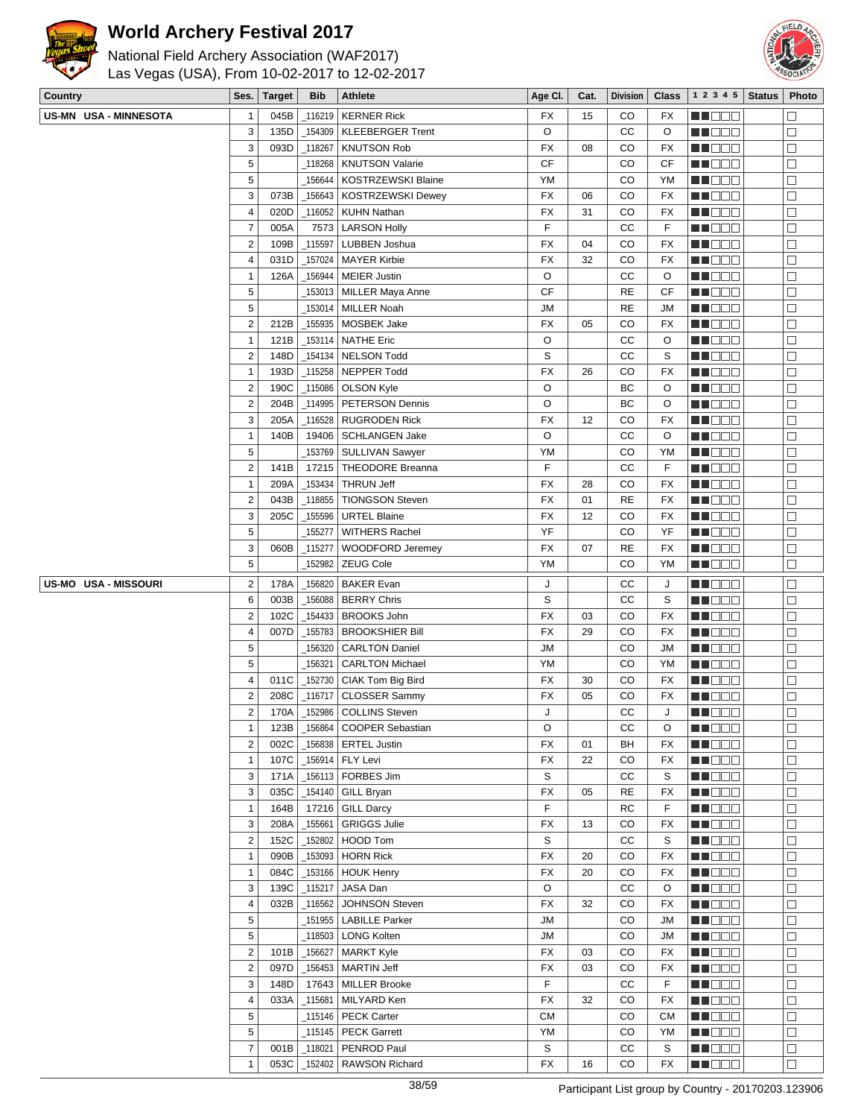



| <b>Country</b> |                             | Ses.                | <b>Target</b> | <b>Bib</b> | <b>Athlete</b>                     | Age CI.     | Cat. | <b>Division</b> | <b>Class</b> | 1 2 3 4 5          | <b>Status</b> | Photo  |
|----------------|-----------------------------|---------------------|---------------|------------|------------------------------------|-------------|------|-----------------|--------------|--------------------|---------------|--------|
|                | US-MN USA - MINNESOTA       | 1                   | 045B          | 116219     | <b>KERNER Rick</b>                 | FX          | 15   | CO              | FX           | MA DE B            |               | $\Box$ |
|                |                             | 3                   | 135D          | 154309     | <b>KLEEBERGER Trent</b>            | O           |      | CC              | O            | MN OO B            |               | $\Box$ |
|                |                             | 3                   | 093D          | $-118267$  | <b>KNUTSON Rob</b>                 | <b>FX</b>   | 08   | CO              | <b>FX</b>    | MNO O O            |               | □      |
|                |                             | 5                   |               | 118268     | <b>KNUTSON Valarie</b>             | <b>CF</b>   |      | CO              | CF           | MN OO B            |               | $\Box$ |
|                |                             | 5                   |               | 156644     | KOSTRZEWSKI Blaine                 | YM          |      | CO              | YM           | MA BEL             |               | $\Box$ |
|                |                             | 3                   | 073B          | 156643     | <b>KOSTRZEWSKI Dewey</b>           | <b>FX</b>   | 06   | CO              | <b>FX</b>    | MUOOO              |               | $\Box$ |
|                |                             | $\overline{4}$      | 020D          | 116052     | <b>KUHN Nathan</b>                 | <b>FX</b>   | 31   | CO              | <b>FX</b>    | MN 888             |               | □      |
|                |                             | $\overline{7}$      | 005A          | 7573       | <b>LARSON Holly</b>                | F           |      | cc              | F            | MOO O              |               | $\Box$ |
|                |                             | $\sqrt{2}$          | 109B          | 115597     | LUBBEN Joshua                      | FX          | 04   | CO              | FX           | <u>en de la</u>    |               | $\Box$ |
|                |                             | 4                   | 031D          | 157024     | <b>MAYER Kirbie</b>                | <b>FX</b>   | 32   | CO              | <b>FX</b>    | MA O O O           |               | $\Box$ |
|                |                             | $\mathbf{1}$        |               |            |                                    | O           |      | СC              | O            |                    |               | $\Box$ |
|                |                             | 5                   | 126A          | 156944     | <b>MEIER Justin</b>                | <b>CF</b>   |      | <b>RE</b>       | CF           | <b>MADOO</b>       |               |        |
|                |                             |                     |               | _153013    | <b>MILLER Maya Anne</b>            |             |      |                 |              | MN OO B            |               | $\Box$ |
|                |                             | 5                   |               | _153014    | MILLER Noah                        | JМ          |      | <b>RE</b>       | <b>JM</b>    | MU DO O            |               | $\Box$ |
|                |                             | $\overline{2}$      | 212B          | _155935    | MOSBEK Jake                        | <b>FX</b>   | 05   | CO              | <b>FX</b>    | MI DE E            |               | $\Box$ |
|                |                             | $\mathbf{1}$        | 121B          | _153114    | <b>NATHE Eric</b>                  | O           |      | cc              | O            | MUOOO              |               | $\Box$ |
|                |                             | $\sqrt{2}$          | 148D          | _154134    | <b>NELSON Todd</b>                 | S           |      | CC              | S            | MN 888             |               | $\Box$ |
|                |                             | $\mathbf{1}$        | 193D          | 115258     | NEPPER Todd                        | <b>FX</b>   | 26   | CO              | FX           | MOO D              |               | $\Box$ |
|                |                             | $\overline{2}$      | 190C          | _115086    | <b>OLSON Kyle</b>                  | O           |      | ВC              | O            | MI DE E            |               | $\Box$ |
|                |                             | $\sqrt{2}$          | 204B          | 114995     | <b>PETERSON Dennis</b>             | O           |      | BC              | O            | MU DO 2            |               | $\Box$ |
|                |                             | 3                   | 205A          | _116528    | <b>RUGRODEN Rick</b>               | FX          | 12   | CO              | <b>FX</b>    | MN 888             |               | $\Box$ |
|                |                             | $\mathbf{1}$        | 140B          | 19406      | <b>SCHLANGEN Jake</b>              | O           |      | cc              | O            | ME DE E            |               | $\Box$ |
|                |                             | $\sqrt{5}$          |               | 153769     | SULLIVAN Sawyer                    | YM          |      | CO              | YM           | MA O O O           |               | $\Box$ |
|                |                             | $\sqrt{2}$          | 141B          | 17215      | <b>THEODORE Breanna</b>            | F           |      | CC              | F            | MUOOO              |               | $\Box$ |
|                |                             | $\mathbf{1}$        | 209A          | _153434    | <b>THRUN Jeff</b>                  | FX          | 28   | CO              | <b>FX</b>    | MN 888             |               | $\Box$ |
|                |                             | $\sqrt{2}$          | 043B          | 118855     | <b>TIONGSON Steven</b>             | <b>FX</b>   | 01   | <b>RE</b>       | <b>FX</b>    | <u> HILLEN</u>     |               | $\Box$ |
|                |                             | 3                   | 205C          | 155596     | <b>URTEL Blaine</b>                | <b>FX</b>   | 12   | CO              | <b>FX</b>    | <u>LI BEB</u>      |               | $\Box$ |
|                |                             | 5                   |               | 155277     | <b>WITHERS Rachel</b>              | YF          |      | CO              | YF           | MU OO B            |               | $\Box$ |
|                |                             | 3                   | 060B          | _115277    | <b>WOODFORD Jeremey</b>            | <b>FX</b>   | 07   | <b>RE</b>       | <b>FX</b>    | MN 888             |               | $\Box$ |
|                |                             | 5                   |               | 152982     | ZEUG Cole                          | YM          |      | CO              | YM           | <b>MADDO</b>       |               | $\Box$ |
|                | <b>US-MO USA - MISSOURI</b> | $\overline{2}$      | 178A          | _156820    | <b>BAKER Evan</b>                  | J           |      | CC              | J            | MUOOO              |               | □      |
|                |                             | 6                   | 003B          | 156088     | <b>BERRY Chris</b>                 | S           |      | CC              | S            | MA DE E            |               | $\Box$ |
|                |                             | $\boldsymbol{2}$    | 102C          | _154433    | <b>BROOKS John</b>                 | <b>FX</b>   | 03   | CO              | <b>FX</b>    | en de la           |               | $\Box$ |
|                |                             | $\overline{4}$      | 007D          | _155783    | <b>BROOKSHIER Bill</b>             | <b>FX</b>   | 29   | CO              | <b>FX</b>    | MU DO O            |               | $\Box$ |
|                |                             | 5                   |               | 156320     | <b>CARLTON Daniel</b>              | <b>JM</b>   |      | CO              | <b>JM</b>    | MN OO B            |               | $\Box$ |
|                |                             | 5                   |               | 156321     | <b>CARLTON Michael</b>             | YM          |      | CO              | YM           | MU DO B            |               | $\Box$ |
|                |                             | 4                   |               |            |                                    | FX          | 30   | CO              | <b>FX</b>    |                    |               | $\Box$ |
|                |                             |                     | 011C          | _152730    | CIAK Tom Big Bird<br>CLOSSER Sammy |             |      |                 |              | <u>Li i Biblio</u> |               |        |
|                |                             | 2<br>$\overline{2}$ | 208C          | $-116717$  |                                    | FX<br>J     | 05   | CO              | FX           | MA O O O           |               | $\Box$ |
|                |                             |                     | 170A          |            | 152986   COLLINS Steven            |             |      | CC              | J            | <b>MA</b> OOO      |               | $\Box$ |
|                |                             | $\mathbf{1}$        | 123B          | _156864    | COOPER Sebastian                   | O           |      | CC              | O            | <b>HE</b> OOO      |               | $\Box$ |
|                |                             | $\overline{2}$      | 002C          |            | 156838   ERTEL Justin              | <b>FX</b>   | 01   | BH              | <b>FX</b>    | ME DE S            |               | $\Box$ |
|                |                             | $\mathbf{1}$        | 107C          |            | $\_$ 156914   FLY Levi             | <b>FX</b>   | 22   | CO              | FX           | MU OOO             |               | $\Box$ |
|                |                             | 3                   | 171A          | $-156113$  | FORBES Jim                         | S           |      | CC              | $\texttt{S}$ | MU DO B            |               | $\Box$ |
|                |                             | 3                   | 035C          | _154140    | GILL Bryan                         | <b>FX</b>   | 05   | <b>RE</b>       | FX           | MU DO B            |               | $\Box$ |
|                |                             | $\mathbf{1}$        | 164B          | 17216      | GILL Darcy                         | $\mathsf F$ |      | <b>RC</b>       | F            | <b>MAGGO</b>       |               | $\Box$ |
|                |                             | 3                   | 208A          | _155661    | <b>GRIGGS Julie</b>                | <b>FX</b>   | 13   | CO              | FX           | <b>HE</b> ODO      |               | $\Box$ |
|                |                             | $\overline{2}$      | 152C          | $-152802$  | HOOD Tom                           | S           |      | CC              | S            | <b>HE</b> OOO      |               | $\Box$ |
|                |                             | $\mathbf{1}$        | 090B          |            | $\_$ 153093 HORN Rick              | FX          | 20   | CO              | FX           | MN 888             |               | $\Box$ |
|                |                             | $\mathbf{1}$        | 084C          | _153166    | <b>HOUK Henry</b>                  | <b>FX</b>   | 20   | CO              | FX           | <b>MADDO</b>       |               | $\Box$ |
|                |                             | 3                   | 139C          | $-115217$  | JASA Dan                           | O           |      | cc              | O            | <b>MEDEE</b>       |               | $\Box$ |
|                |                             | 4                   | 032B          | $-116562$  | <b>JOHNSON Steven</b>              | <b>FX</b>   | 32   | CO              | FX           | MUOOO              |               | $\Box$ |
|                |                             | $\sqrt{5}$          |               | _151955    | LABILLE Parker                     | ЛU          |      | CO              | <b>JM</b>    | MUOOO              |               | $\Box$ |
|                |                             | 5                   |               |            | _118503   LONG Kolten              | <b>JM</b>   |      | CO              | <b>JM</b>    | MU DE C            |               | $\Box$ |
|                |                             | $\overline{2}$      | 101B          | $-156627$  | <b>MARKT Kyle</b>                  | FX          | 03   | CO              | FX           | <b>HEDDE</b>       |               | $\Box$ |
|                |                             | $\overline{2}$      | 097D          | _156453    | <b>MARTIN Jeff</b>                 | FX          | 03   | CO              | FX           | MUDEO              |               | $\Box$ |
|                |                             | 3                   | 148D          | 17643      | <b>MILLER Brooke</b>               | F           |      | CC              | F            | MUOOO              |               | $\Box$ |
|                |                             | $\overline{4}$      | 033A          | _115681    | MILYARD Ken                        | FX          | 32   | CO              | FX           | MN 888             |               | $\Box$ |
|                |                             | 5                   |               | _115146    | PECK Carter                        | <b>CM</b>   |      | CO              | <b>CM</b>    | <b>MA</b> OOO      |               | $\Box$ |
|                |                             | 5                   |               |            | _115145   PECK Garrett             | YM          |      | CO              | YM           | MU DE C            |               | □      |
|                |                             | $\overline{7}$      | 001B          | $-118021$  | PENROD Paul                        | S           |      | cc              | S            | MUOOO              |               | $\Box$ |
|                |                             | $\mathbf{1}$        | 053C          | _152402    | RAWSON Richard                     | <b>FX</b>   | 16   | CO              | <b>FX</b>    | MU DE C            |               | $\Box$ |
|                |                             |                     |               |            |                                    |             |      |                 |              |                    |               |        |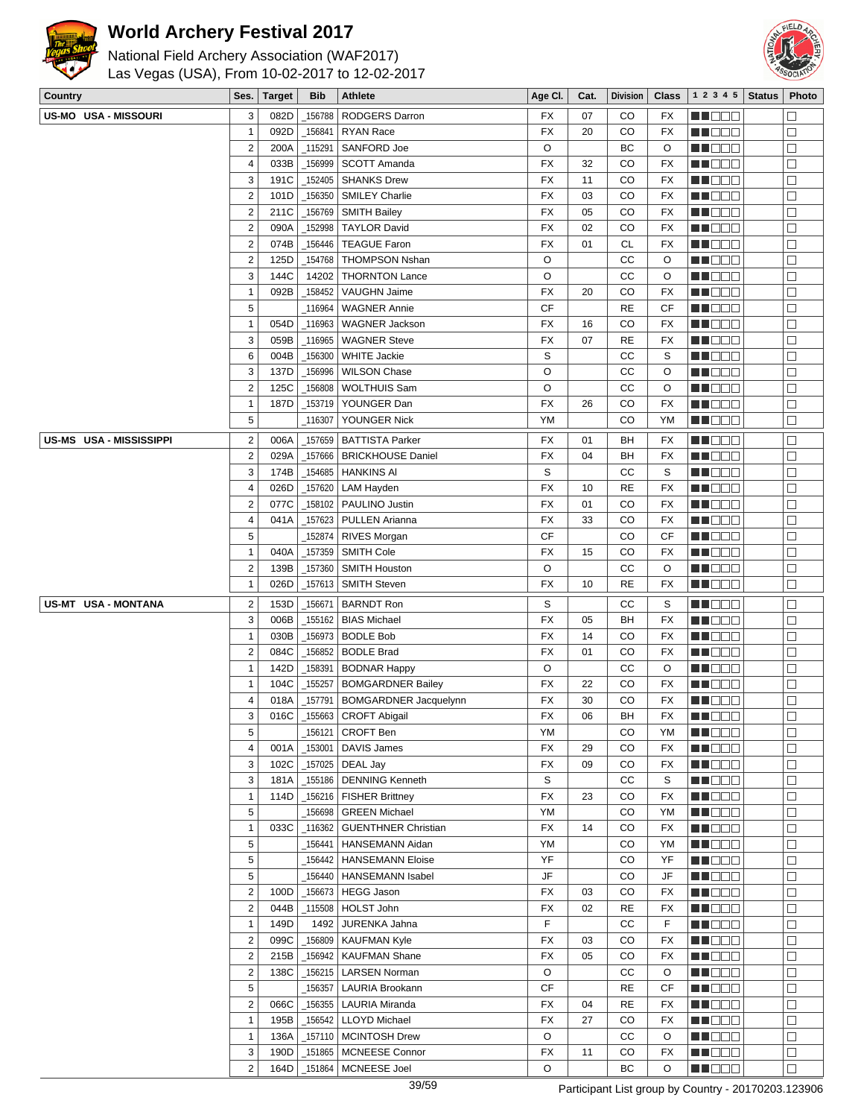



| Country                        | Ses.                    | <b>Target</b> | <b>Bib</b> | Athlete                                                 | Age CI.                | Cat. | <b>Division</b> | <b>Class</b>           | 1 2 3 4 5       | <b>Status</b> | Photo                |
|--------------------------------|-------------------------|---------------|------------|---------------------------------------------------------|------------------------|------|-----------------|------------------------|-----------------|---------------|----------------------|
| <b>US-MO USA - MISSOURI</b>    | 3                       | 082D          | 156788     | <b>RODGERS Darron</b>                                   | FX                     | 07   | CO              | <b>FX</b>              | <u> Hood</u>    |               | $\Box$               |
|                                | $\mathbf{1}$            | 092D          | 156841     | RYAN Race                                               | <b>FX</b>              | 20   | CO              | <b>FX</b>              | MN 888          |               | $\Box$               |
|                                | $\overline{2}$          | 200A          | 115291     | SANFORD Joe                                             | O                      |      | BC              | O                      | n i BBC         |               | $\Box$               |
|                                | $\overline{\mathbf{4}}$ | 033B          | 156999     | SCOTT Amanda                                            | FX                     | 32   | CO              | <b>FX</b>              | MN OO B         |               | $\Box$               |
|                                | 3                       | 191C          | 152405     | <b>SHANKS Drew</b>                                      | <b>FX</b>              | 11   | CO              | <b>FX</b>              | MA DE E         |               | $\Box$               |
|                                | $\boldsymbol{2}$        | 101D          | 156350     | <b>SMILEY Charlie</b>                                   | <b>FX</b>              | 03   | CO              | <b>FX</b>              | MU O O O        |               | $\Box$               |
|                                | $\mathbf 2$             | 211C          | 156769     | <b>SMITH Bailey</b>                                     | FX                     | 05   | CO              | FX                     | NN O O O        |               | $\Box$               |
|                                | $\boldsymbol{2}$        | 090A          | 152998     | <b>TAYLOR David</b>                                     | <b>FX</b>              | 02   | CO              | <b>FX</b>              | <u> Hose</u>    |               | $\Box$               |
|                                | $\mathbf 2$             | 074B          | 156446     | <b>TEAGUE Faron</b>                                     | <b>FX</b>              | 01   | <b>CL</b>       | <b>FX</b>              | MA DE E         |               | $\Box$               |
|                                | $\mathbf 2$             | 125D          |            | <b>THOMPSON Nshan</b>                                   | O                      |      | CC              | O                      |                 |               | $\Box$               |
|                                |                         |               | 154768     |                                                         |                        |      |                 |                        | M DE E          |               |                      |
|                                | 3                       | 144C          | 14202      | <b>THORNTON Lance</b>                                   | O                      |      | CC              | O                      | MU DO U         |               | $\Box$               |
|                                | $\mathbf{1}$            | 092B          | 158452     | VAUGHN Jaime                                            | <b>FX</b>              | 20   | CO              | <b>FX</b>              | N NO D O        |               | $\Box$               |
|                                | 5                       |               | 116964     | <b>WAGNER Annie</b>                                     | <b>CF</b>              |      | <b>RE</b>       | <b>CF</b>              | <b>MADDE</b>    |               | $\Box$               |
|                                | $\mathbf{1}$            | 054D          | 116963     | <b>WAGNER Jackson</b>                                   | FX                     | 16   | CO              | <b>FX</b>              | ME DE S         |               | $\Box$               |
|                                | 3                       | 059B          | 116965     | <b>WAGNER Steve</b>                                     | FX                     | 07   | <b>RE</b>       | <b>FX</b>              | MN 888          |               | $\Box$               |
|                                | 6                       | 004B          | _156300    | <b>WHITE Jackie</b>                                     | S                      |      | CC              | S                      | NN O O O        |               | $\Box$               |
|                                | 3                       | 137D          | 156996     | <b>WILSON Chase</b>                                     | O                      |      | CC              | O                      | e de la co      |               | $\Box$               |
|                                | $\mathbf 2$             | 125C          | 156808     | WOLTHUIS Sam                                            | O                      |      | cc              | O                      | MA DE B         |               | $\Box$               |
|                                | $\mathbf{1}$            | 187D          | 153719     | YOUNGER Dan                                             | <b>FX</b>              | 26   | CO              | <b>FX</b>              | MA DE E         |               | $\Box$               |
|                                | 5                       |               | _116307    | YOUNGER Nick                                            | YM                     |      | CO              | YM                     | MU DO B         |               | $\Box$               |
| <b>US-MS USA - MISSISSIPPI</b> | $\overline{c}$          | 006A          | 157659     | <b>BATTISTA Parker</b>                                  | <b>FX</b>              | 01   | BH              | <b>FX</b>              | MU O O O        |               | $\Box$               |
|                                | $\overline{2}$          | 029A          | _157666    | <b>BRICKHOUSE Daniel</b>                                | <b>FX</b>              | 04   | BH              | <b>FX</b>              | MN O O O        |               | $\Box$               |
|                                | 3                       | 174B          | 154685     | <b>HANKINS AI</b>                                       | S                      |      | CC              | S                      | N N D D D       |               | $\Box$               |
|                                | 4                       | 026D          | 157620     | LAM Hayden                                              | FX                     | 10   | <b>RE</b>       | <b>FX</b>              | MA DE S         |               | $\Box$               |
|                                | $\overline{c}$          | 077C          | _158102    | PAULINO Justin                                          | <b>FX</b>              | 01   | CO              | <b>FX</b>              | M DOO           |               | $\Box$               |
|                                | $\pmb{4}$               | 041A          | 157623_    | PULLEN Arianna                                          | <b>FX</b>              | 33   | CO              | <b>FX</b>              | MNO O O         |               | $\Box$               |
|                                | 5                       |               | 152874     | RIVES Morgan                                            | <b>CF</b>              |      | CO              | CF                     | MN 888          |               | $\Box$               |
|                                | $\mathbf{1}$            | 040A          | _157359    | SMITH Cole                                              | <b>FX</b>              | 15   | CO              | <b>FX</b>              | <u>sa sa sa</u> |               | $\Box$               |
|                                | $\overline{c}$          | 139B          | 157360     | <b>SMITH Houston</b>                                    | O                      |      | CC              | O                      | MUOOO           |               | $\Box$               |
|                                | $\mathbf{1}$            | 026D          | _157613    | <b>SMITH Steven</b>                                     | <b>FX</b>              | 10   | <b>RE</b>       | <b>FX</b>              | NN O O O        |               | $\Box$               |
|                                |                         |               |            |                                                         |                        |      |                 |                        |                 |               |                      |
| US-MT USA - MONTANA            | $\overline{c}$          | 153D          | 156671     | <b>BARNDT Ron</b>                                       | S                      |      | CC              | S                      | MU O O O        |               | $\Box$               |
|                                | 3                       | 006B          | 155162     | <b>BIAS Michael</b>                                     | <b>FX</b>              | 05   | BH              | <b>FX</b>              | NN O O O        |               | $\Box$               |
|                                | $\mathbf{1}$            | 030B          | _156973    | <b>BODLE Bob</b>                                        | FX                     | 14   | CO              | FX                     | MN DE EL        |               | $\Box$               |
|                                | $\mathbf 2$             | 084C          | 156852     | <b>BODLE Brad</b>                                       | <b>FX</b>              | 01   | CO              | FX                     | e de la co      |               | $\Box$               |
|                                | $\mathbf{1}$            | 142D          | 158391     | <b>BODNAR Happy</b>                                     | O                      |      | CC              | O                      | W DOO           |               | $\Box$               |
|                                | $\mathbf{1}$            | 104C          | 155257     | <b>BOMGARDNER Bailey</b>                                | <b>FX</b>              | 22   | CO              | FX                     | MN OO B         |               | $\Box$               |
|                                | 4                       | 018A          | _157791    | <b>BOMGARDNER Jacquelynn</b>                            | <b>FX</b>              | 30   | CO              | <b>FX</b>              | M DE E          |               | $\Box$               |
|                                | 3                       |               |            | $\overline{016C}$ $\vert$ _155663 $\vert$ CROFT Abigail | FX                     | 06   | BH              | FX                     | <b>HOOD</b>     |               | $\overline{\square}$ |
|                                | 5                       |               | 156121     | <b>CROFT Ben</b>                                        | YM                     |      | CO              | YM                     | MU O O O        |               | $\Box$               |
|                                | $\overline{\mathbf{4}}$ | 001A          | _153001    | DAVIS James                                             | FX                     | 29   | CO              | FX                     | M NO SI         |               | $\Box$               |
|                                | 3                       | 102C          | 157025     | DEAL Jay                                                | FX                     | 09   | CO              | FX                     | <b>REDDO</b>    |               | $\Box$               |
|                                | 3                       | 181A          | _155186    | <b>DENNING Kenneth</b>                                  | S                      |      | СC              | S                      | <b>MA</b> OOO   |               | $\Box$               |
|                                | $\mathbf{1}$            | 114D          | _156216    | <b>FISHER Brittney</b>                                  | FX                     | 23   | CO              | FX                     | MU O O O        |               | $\Box$               |
|                                | 5                       |               | 156698     | <b>GREEN Michael</b>                                    | YM                     |      | CO              | YM                     | MU O O O        |               | $\Box$               |
|                                | $\mathbf{1}$            | 033C          | _116362    | <b>GUENTHNER Christian</b>                              | FX                     | 14   | CO              | FX                     | <b>REDDO</b>    |               | $\Box$               |
|                                | $\mathbf 5$             |               | 156441     | HANSEMANN Aidan                                         | YM                     |      | CO              | YM                     | MOO O           |               | $\Box$               |
|                                | 5                       |               | 156442     | <b>HANSEMANN Eloise</b>                                 | YF                     |      | CO              | YF                     | <b>MEDOC</b>    |               | $\Box$               |
|                                | 5                       |               | 156440     | HANSEMANN Isabel                                        | $\mathsf{J}\mathsf{F}$ |      | CO              | $\mathsf{J}\mathsf{F}$ | MUOOO           |               | $\Box$               |
|                                | $\overline{\mathbf{c}}$ | 100D          | _156673    | <b>HEGG Jason</b>                                       | FX                     | 03   | CO              | FX                     | <b>HE</b> OOO   |               | $\Box$               |
|                                | $\overline{2}$          | 044B          |            | $_1$ 115508 HOLST John                                  | FX                     | 02   | RE              | FX                     | <b>MADDO</b>    |               | $\Box$               |
|                                | $\mathbf{1}$            | 149D          | 1492       | JURENKA Jahna                                           | F                      |      | СC              | F                      | MA DE E         |               | $\Box$               |
|                                | $\overline{c}$          | 099C          | _156809    | KAUFMAN Kyle                                            | FX                     | 03   | CO              | FX                     | MU DO S         |               | $\Box$               |
|                                | $\overline{\mathbf{c}}$ | 215B          | _156942    | <b>KAUFMAN Shane</b>                                    | FX                     | 05   | CO              | FX                     | MUDOO           |               | $\Box$               |
|                                | $\overline{c}$          | 138C          | $-156215$  | LARSEN Norman                                           | O                      |      | cc              | O                      | <b>REDDO</b>    |               | $\Box$               |
|                                | 5                       |               | 156357     | LAURIA Brookann                                         | <b>CF</b>              |      | <b>RE</b>       | CF                     | <b>MNOOO</b>    |               | $\Box$               |
|                                | $\mathbf 2$             | 066C          | _156355    | <b>LAURIA Miranda</b>                                   | FX                     | 04   | <b>RE</b>       | FX                     | MUOOO           |               | $\Box$               |
|                                | $\mathbf{1}$            | 195B          | _156542    | <b>LLOYD Michael</b>                                    | FX                     | 27   | CO              | FX                     | MUO OO          |               | $\Box$               |
|                                | $\mathbf{1}$            | 136A          | _157110    | <b>MCINTOSH Drew</b>                                    | O                      |      | СC              | O                      | <b>HE</b> OOO   |               | $\Box$               |
|                                | 3                       | 190D          | _151865    | <b>MCNEESE Connor</b>                                   | FX                     | 11   | CO              | FX                     | <b>HEDDE</b>    |               | $\Box$               |
|                                | $\overline{c}$          |               |            |                                                         |                        |      |                 |                        |                 |               |                      |
|                                |                         | 164D          | _151864    | MCNEESE Joel                                            | O                      |      | ВC              | O                      | MUDEO           |               | $\Box$               |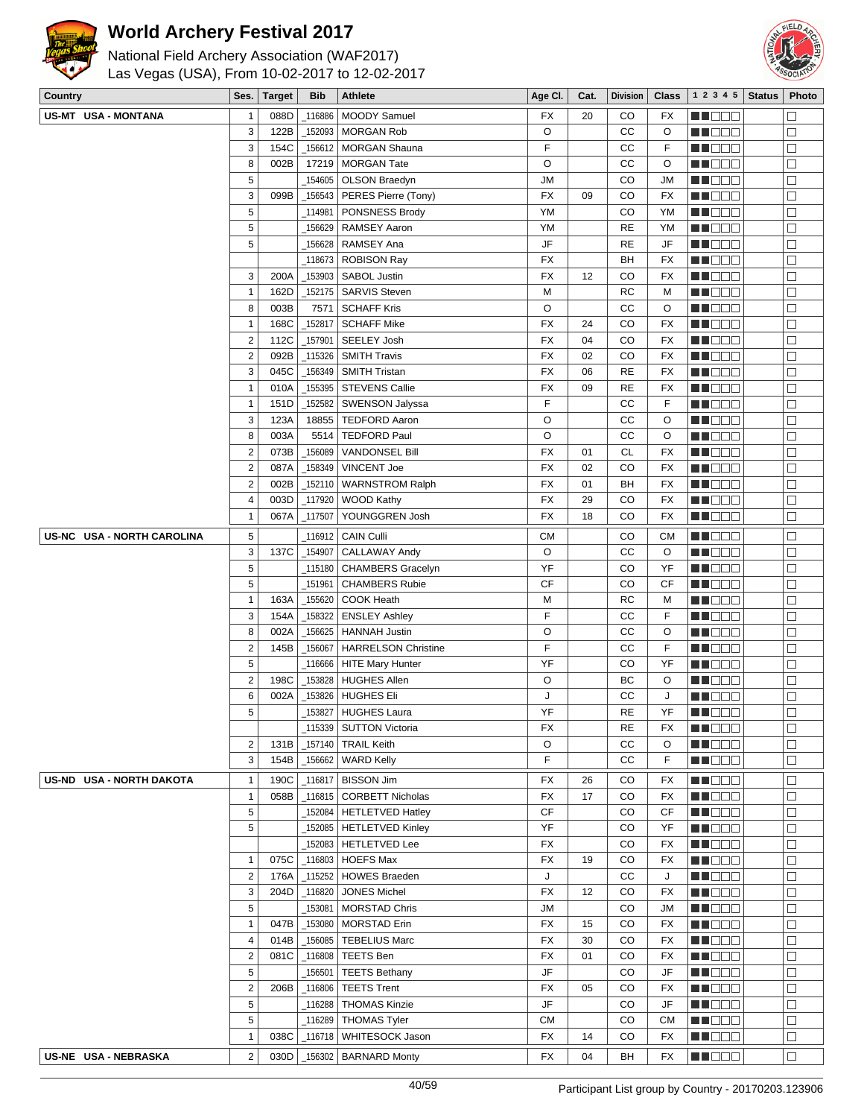



| National Field Archery Association (WAF2017)   |
|------------------------------------------------|
| Las Vegas (USA), From 10-02-2017 to 12-02-2017 |

| Country                    | Ses.                    | <b>Target</b> | <b>Bib</b> | Athlete                           | Age CI.   | Cat. | <b>Division</b> | <b>Class</b> | 1 2 3 4 5           | <b>Status</b> | Photo  |
|----------------------------|-------------------------|---------------|------------|-----------------------------------|-----------|------|-----------------|--------------|---------------------|---------------|--------|
| US-MT USA - MONTANA        | 1                       | 088D          | 116886     | MOODY Samuel                      | FX        | 20   | CO              | <b>FX</b>    | N NO D O            |               |        |
|                            | 3                       | 122B          |            | 152093   MORGAN Rob               | O         |      | CC              | O            | Ma Mala             |               | $\Box$ |
|                            | 3                       | 154C          | _156612    | <b>MORGAN Shauna</b>              | F         |      | CС              | F            | MU DO O             |               | $\Box$ |
|                            | 8                       | 002B          | 17219      | <b>MORGAN Tate</b>                | O         |      | CC              | O            | N N D D D           |               | $\Box$ |
|                            | 5                       |               | 154605     | OLSON Braedyn                     | <b>JM</b> |      | CO              | JM           | MU DE E             |               | $\Box$ |
|                            | 3                       | 099B          |            | $_1$ 156543   PERES Pierre (Tony) | <b>FX</b> | 09   | CO              | FX           | MU DO B             |               | $\Box$ |
|                            | 5                       |               |            | 114981   PONSNESS Brody           | <b>YM</b> |      | CO              | YM           | MU DO O             |               | $\Box$ |
|                            | 5                       |               |            | 156629   RAMSEY Aaron             | YM        |      | <b>RE</b>       | YM           | N NO DE             |               | $\Box$ |
|                            | 5                       |               |            |                                   | JF        |      | <b>RE</b>       | JF           | ME DE S             |               | $\Box$ |
|                            |                         |               |            | _118673   ROBISON Ray             | FX        |      | BH              | FX           | MU DO O             |               | $\Box$ |
|                            | 3                       | 200A          |            | _153903   SABOL Justin            | FX        | 12   | CO              | FX           | MU O O O            |               | $\Box$ |
|                            | $\mathbf{1}$            | 162D          |            | _152175   SARVIS Steven           | M         |      | <b>RC</b>       | M            | N NO D O            |               | $\Box$ |
|                            | 8                       | 003B          | 7571       | <b>SCHAFF Kris</b>                | O         |      | CC              | O            | MU DO O             |               | $\Box$ |
|                            | $\mathbf{1}$            | 168C          | _152817    | <b>SCHAFF Mike</b>                | <b>FX</b> | 24   | CO              | FX           | <u>Li Biblio</u>    |               | □      |
|                            | $\overline{\mathbf{c}}$ | 112C          | _157901    | SEELEY Josh                       | <b>FX</b> | 04   | CO              | FX           | MU O O O            |               | $\Box$ |
|                            | $\overline{\mathbf{c}}$ | 092B          |            | _115326 SMITH Travis              | <b>FX</b> | 02   | CO              | FX           | en de la p          |               | $\Box$ |
|                            | 3                       | 045C          | 156349     | <b>SMITH Tristan</b>              | FX        | 06   | <b>RE</b>       | FX           | MO DO O             |               | $\Box$ |
|                            | $\overline{1}$          | 010A          |            | _155395 STEVENS Callie            | FX        | 09   | <b>RE</b>       | <b>FX</b>    | MU DEL              |               | $\Box$ |
|                            | $\mathbf{1}$            | 151D          | _152582    | SWENSON Jalyssa                   | F         |      | СC              | F            | MU DO B             |               | □      |
|                            | 3                       | 123A          |            | 18855   TEDFORD Aaron             | O         |      | CC              | O            | MN D D D            |               | $\Box$ |
|                            | 8                       | 003A          | 5514       | <b>TEDFORD Paul</b>               | O         |      | cc              | O            | MO DO O             |               | $\Box$ |
|                            | $\mathbf 2$             | 073B          | 156089     | <b>VANDONSEL Bill</b>             | FX        | 01   | <b>CL</b>       | <b>FX</b>    | MU DO O             |               | $\Box$ |
|                            | $\mathbf 2$             | 087A          | _158349    | VINCENT Joe                       | <b>FX</b> | 02   | CO              | <b>FX</b>    | MU DO B             |               | □      |
|                            | $\overline{\mathbf{c}}$ | 002B          |            | _152110   WARNSTROM Ralph         | <b>FX</b> | 01   | BH              | FX           | MU DO S             |               | $\Box$ |
|                            | 4                       | 003D          |            | $_1$ 117920   WOOD Kathy          | <b>FX</b> | 29   | CO              | FX           | e de la p           |               | $\Box$ |
|                            | $\mathbf{1}$            | 067A          | _117507    | YOUNGGREN Josh                    | FX        | 18   | CO              | FX           | <b>MN</b> OOO       |               | $\Box$ |
|                            |                         |               |            |                                   |           |      |                 |              |                     |               |        |
| US-NC USA - NORTH CAROLINA | 5                       |               | _116912    | <b>CAIN Culli</b>                 | <b>CM</b> |      | CO              | <b>CM</b>    | MU DE B             |               | $\Box$ |
|                            | 3                       | 137C          | _154907    | <b>CALLAWAY Andy</b>              | O         |      | CC              | O            | <b>REDDO</b>        |               | $\Box$ |
|                            | 5                       |               |            | 115180   CHAMBERS Gracelyn        | YF        |      | CO              | YF           | MU DO B             |               | $\Box$ |
|                            | 5                       |               | _151961    | <b>CHAMBERS Rubie</b>             | <b>CF</b> |      | CO              | CF           | MN DO B             |               | $\Box$ |
|                            | $\overline{1}$          | 163A          | _155620    | COOK Heath                        | М         |      | RC              | M            | MO DO               |               | $\Box$ |
|                            | 3                       | 154A          | _158322    | <b>ENSLEY Ashley</b>              | F         |      | cc              | F            | ME DE S             |               | □      |
|                            | 8                       | 002A          | 156625     | <b>HANNAH Justin</b>              | O         |      | CC              | O            | MA DE E             |               | $\Box$ |
|                            | $\overline{\mathbf{c}}$ | 145B          | _156067    | <b>HARRELSON Christine</b>        | F         |      | cc              | F            | NN O O O            |               | $\Box$ |
|                            | 5                       |               |            | _116666   HITE Mary Hunter        | YF        |      | CO              | YF           | MU DO D             |               | $\Box$ |
|                            | $\overline{\mathbf{c}}$ | 198C          |            | 153828   HUGHES Allen             | O         |      | ВC              | O            | <u>Li Sec</u>       |               | $\Box$ |
|                            | 6                       | 002A          |            |                                   | J         |      | CC              | J            | MU DO B             |               | $\Box$ |
|                            | 5                       |               |            | 153827 HUGHES Laura               | YF        |      | <b>RE</b>       | YF           | n i De E            |               | $\Box$ |
|                            |                         |               |            | _115339   SUTTON Victoria         | FX        |      | RE              | FX           | MA DE E             |               | $\Box$ |
|                            | $\overline{\mathbf{c}}$ | 131B          |            | _157140   TRAIL Keith             | O         |      | CC              | O            | M DEE               |               | $\Box$ |
|                            | 3                       | 154B          |            | _156662   WARD Kelly              | F         |      | CC              | F            | NH BEE              |               | $\Box$ |
| US-ND USA - NORTH DAKOTA   | $\overline{1}$          | 190C          |            | $_1$ 116817   BISSON Jim          | FX        | 26   | CO              | FX           | MU DO O             |               | $\Box$ |
|                            | $\mathbf{1}$            | 058B          |            | _116815   CORBETT Nicholas        | FX        | 17   | CO              | FX           | MA DE S             |               | $\Box$ |
|                            | 5                       |               |            | _152084   HETLETVED Hatley        | <b>CF</b> |      | CO              | CF           | <b>HE</b> OOO       |               | $\Box$ |
|                            | 5                       |               |            | _152085   HETLETVED Kinley        | YF        |      | CO              | YF           | MN OO B             |               | $\Box$ |
|                            |                         |               |            | 152083   HETLETVED Lee            | FX        |      | CO              | FX           | MN 888              |               | П      |
|                            | $\mathbf{1}$            | 075C          |            | $\_116803$   HOEFS Max            | FX        | 19   | CO              | FX           | MU DO O             |               | $\Box$ |
|                            | $\overline{2}$          | 176A          |            | _115252   HOWES Braeden           | J         |      | СC              | J            | MU DO B             |               | $\Box$ |
|                            | 3                       | 204D          | _116820    | <b>JONES Michel</b>               | FX        | 12   | CO              | FX           | MU DE B             |               | $\Box$ |
|                            | 5                       |               |            | _153081   MORSTAD Chris           | ЛU        |      | CO              | JM           | <u> Lind de la </u> |               | $\Box$ |
|                            | $\overline{1}$          | 047B          |            | _153080   MORSTAD Erin            | FX        | 15   | CO              | <b>FX</b>    | <b>MN</b> OOO       |               | $\Box$ |
|                            | 4                       | 014B          |            | _156085   TEBELIUS Marc           | FX        | 30   | CO              | FX           | WU 88               |               | $\Box$ |
|                            | $\overline{\mathbf{c}}$ | 081C          |            | $_1$ 16808   TEETS Ben            | FX        | 01   | CO              | FX           | MU DO B             |               | $\Box$ |
|                            | 5                       |               |            | _156501   TEETS Bethany           | JF        |      | CO              | JF           | <b>HE</b> OOO       |               | $\Box$ |
|                            | $\overline{\mathbf{c}}$ | 206B          | $\_116806$ | <b>TEETS Trent</b>                | FX        | 05   | CO              | FX           | <b>MA</b> OOO       |               | $\Box$ |
|                            | 5                       |               |            | _116288   THOMAS Kinzie           | JF        |      | CO              | JF           | MU DO O             |               | $\Box$ |
|                            | 5                       |               |            | _116289 THOMAS Tyler              | <b>CM</b> |      | CO              | СM           | MUOOO               |               | $\Box$ |
|                            | $\mathbf{1}$            | 038C          |            | _116718   WHITESOCK Jason         | FX        | 14   | CO              | FX           | MU DO D             |               | $\Box$ |
| US-NE USA - NEBRASKA       | $\overline{2}$          | 030D          |            | _156302   BARNARD Monty           | FX        | 04   | BH              | FX           | MU DO B             |               | $\Box$ |
|                            |                         |               |            |                                   |           |      |                 |              |                     |               |        |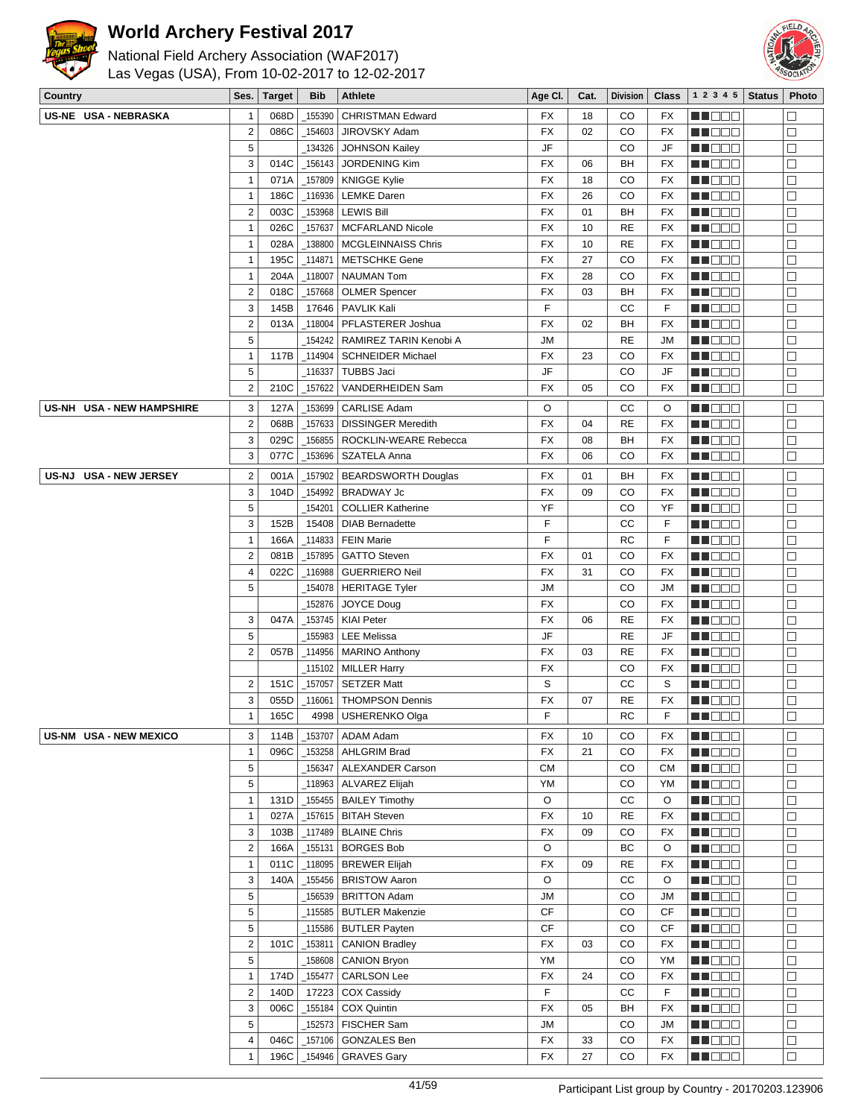



| National Field Archery Association (WAF2017)   |
|------------------------------------------------|
| Las Vegas (USA), From 10-02-2017 to 12-02-2017 |

| Country                   | Ses.                     | <b>Target</b> | Bib                  | Athlete                                  | Age CI.        | Cat. | <b>Division</b> | Class     | 1 2 3 4 5          | <b>Status</b> | Photo            |
|---------------------------|--------------------------|---------------|----------------------|------------------------------------------|----------------|------|-----------------|-----------|--------------------|---------------|------------------|
| US-NE USA - NEBRASKA      | $\mathbf{1}$             | 068D          | 155390               | <b>CHRISTMAN Edward</b>                  | FX             | 18   | CO              | FX        | n i De E           |               | П                |
|                           | $\overline{2}$           | 086C          | _154603              | JIROVSKY Adam                            | <b>FX</b>      | 02   | CO              | FX        | MU O O O           |               | $\Box$           |
|                           | 5                        |               | _134326              | <b>JOHNSON Kailey</b>                    | JF             |      | CO              | JF        | MUOOO              |               | $\Box$           |
|                           | $\sqrt{3}$               | 014C          | _156143              | <b>JORDENING Kim</b>                     | FX             | 06   | BH              | FX        | <u> DEE</u>        |               | $\Box$           |
|                           | $\mathbf{1}$             | 071A          | 157809               | <b>KNIGGE Kylie</b>                      | FX             | 18   | CO              | FX        | <u>LI OOD</u>      |               | $\Box$           |
|                           | $\mathbf{1}$             | 186C          | _116936              | <b>LEMKE Daren</b>                       | <b>FX</b>      | 26   | CO              | <b>FX</b> | MU O O O           |               | $\Box$           |
|                           | $\overline{2}$           | 003C          | 153968               | <b>LEWIS Bill</b>                        | <b>FX</b>      | 01   | BH              | FX        | M DE S             |               | $\Box$           |
|                           | $\mathbf{1}$             | 026C          | _157637              | <b>MCFARLAND Nicole</b>                  | FX             | 10   | <b>RE</b>       | FX        | <b>MADDO</b>       |               | $\Box$           |
|                           | $\mathbf{1}$             | 028A          | 138800               | <b>MCGLEINNAISS Chris</b>                | FX             | 10   | <b>RE</b>       | FX        | MA DE S            |               | $\Box$           |
|                           | $\mathbf{1}$             | 195C          | _114871              | <b>METSCHKE Gene</b>                     | FX             | 27   | CO              | <b>FX</b> | MU DO O            |               | $\Box$           |
|                           | $\mathbf{1}$             | 204A          | $\_118007$           | <b>NAUMAN Tom</b>                        | FX             | 28   | CO              | FX        | MUOOO              |               | $\Box$           |
|                           | $\overline{2}$           | 018C          | _157668              | <b>OLMER Spencer</b>                     | FX             | 03   | BH              | FX        | MA DE E            |               | $\Box$           |
|                           | $\sqrt{3}$               | 145B          | 17646                | PAVLIK Kali                              | F              |      | CC              | F         | MU DE B            |               | $\Box$           |
|                           | $\overline{2}$           | 013A          | 118004               | PFLASTERER Joshua                        | FX             | 02   | BH              | FX        | WU O O O           |               | $\Box$           |
|                           | $\sqrt{5}$               |               | _154242              | RAMIREZ TARIN Kenobi A                   | ЛU             |      | <b>RE</b>       | <b>JM</b> | MUOOO              |               | $\Box$           |
|                           | $\mathbf{1}$             | 117B          |                      | _114904   SCHNEIDER Michael              | FX             | 23   | CO              | FX        | MA DE E            |               | $\Box$           |
|                           | 5                        |               | _116337              | <b>TUBBS Jaci</b>                        | JF             |      | CO              | JF        | MU DE B            |               | $\Box$           |
|                           | $\overline{2}$           | 210C          | _157622              | <b>VANDERHEIDEN Sam</b>                  | FX             | 05   | CO              | FX        | MU DO B            |               | $\Box$           |
| US-NH USA - NEW HAMPSHIRE | 3                        | 127A          | 153699               | <b>CARLISE Adam</b>                      | O              |      | СC              | O         | MA DE E            |               | $\Box$           |
|                           | $\overline{2}$           | 068B          | _157633              | <b>DISSINGER Meredith</b>                | FX             | 04   | RE              | FX        | n in Eile          |               | $\Box$           |
|                           | 3                        | 029C          | _156855              | ROCKLIN-WEARE Rebecca                    | FX             | 08   | BH              | FX        | MUOOO              |               | $\Box$           |
|                           | 3                        | 077C          | 153696               | SZATELA Anna                             | FX             | 06   | CO              | FX        | <b>RECOR</b>       |               | $\Box$           |
| US-NJ USA - NEW JERSEY    | $\overline{\mathbf{c}}$  | 001A          | _157902              | <b>BEARDSWORTH Douglas</b>               | FX             | 01   | BH              | FX        | MUOOO              |               | $\Box$           |
|                           | 3                        | 104D          | _154992              | <b>BRADWAY Jc</b>                        | <b>FX</b>      | 09   | CO              | <b>FX</b> | MN D D O           |               | $\Box$           |
|                           | 5                        |               | 154201               | <b>COLLIER Katherine</b>                 | YF             |      | CO              | YF        | e de e             |               | $\Box$           |
|                           | 3                        | 152B          | 15408                | <b>DIAB Bernadette</b>                   | F              |      | CC              | F         | MU DO O            |               | $\Box$           |
|                           | $\mathbf{1}$             | 166A          | _114833              | <b>FEIN Marie</b>                        | F              |      | <b>RC</b>       | F         | WU 88              |               | $\Box$           |
|                           | $\overline{2}$           | 081B          | _157895              | <b>GATTO Steven</b>                      | FX             | 01   | CO              | FX        | MN DE B            |               | $\Box$           |
|                           | $\overline{4}$           | 022C          | _116988              | <b>GUERRIERO Neil</b>                    | FX             | 31   | CO              | FX        | MU DE B            |               | $\Box$           |
|                           | 5                        |               | _154078              | <b>HERITAGE Tyler</b>                    | JM             |      | CO              | JM        | <u> Hose</u>       |               | $\Box$           |
|                           |                          |               | 152876               | <b>JOYCE Doug</b>                        | FX             |      | CO              | <b>FX</b> | WU 88              |               | $\Box$           |
|                           | 3                        | 047A          | _153745              | <b>KIAI Peter</b>                        | <b>FX</b>      | 06   | <b>RE</b>       | FX        | <b>MADDE</b>       |               | $\Box$           |
|                           | $\sqrt{5}$               |               | 155983               | <b>LEE Melissa</b>                       | JF             |      | <b>RE</b>       | JF        | MU DO D            |               | $\Box$           |
|                           | $\overline{2}$           | 057B          | _114956              | MARINO Anthony                           | FX             | 03   | RE              | FX        | <u> Hose</u>       |               | $\Box$           |
|                           |                          |               | 115102               | <b>MILLER Harry</b>                      | FX             |      | CO              | FX        | MU DO B            |               | $\Box$           |
|                           | $\overline{2}$           | 151C          | _157057              | <b>SETZER Matt</b>                       | S              |      | cc              | S         | MU DO O            |               | $\Box$           |
|                           | 3                        | 055D          | _116061              | <b>THOMPSON Dennis</b>                   | <b>FX</b>      | 07   | <b>RE</b>       | <b>FX</b> | MA OOO             |               | $\Box$           |
|                           | 1                        | 165C          |                      | 4998 USHERENKO Olga                      | F              |      | <b>RC</b>       | F         | n i Biblio         |               | $\Box$           |
| US-NM USA - NEW MEXICO    | 3                        | 114B          | _153707              | ADAM Adam                                | FX             | 10   | CO              | FX        | <b>MNOOO</b>       |               | $\Box$           |
|                           | $\mathbf{1}$             | 096C          | 153258               | AHLGRIM Brad                             | FX             | 21   | CO              | <b>FX</b> | MA DE C            |               | $\Box$           |
|                           | 5                        |               | _156347              | <b>ALEXANDER Carson</b>                  | <b>CM</b>      |      | CO              | <b>CM</b> | MU DO S            |               | $\Box$           |
|                           | 5                        |               |                      | _118963   ALVAREZ Elijah                 | YM             |      | CO              | YM        | MN DOO             |               | $\Box$           |
|                           | $\mathbf{1}$             | 131D          | _155455              | <b>BAILEY Timothy</b>                    | O              |      | CC              | O         | MU O O O           |               | $\Box$           |
|                           | $\mathbf{1}$             | 027A          | 157615               | <b>BITAH Steven</b>                      | FX             | 10   | <b>RE</b>       | FX        | MA DE E            |               | $\Box$           |
|                           | $\sqrt{3}$<br>$\sqrt{2}$ | 103B<br>166A  | _117489<br>$-155131$ | <b>BLAINE Chris</b><br><b>BORGES Bob</b> | <b>FX</b><br>O | 09   | CO<br>BC        | FX<br>O   | WU O O O<br>MN DOO |               | $\Box$<br>$\Box$ |
|                           | $\mathbf{1}$             | 011C          |                      | 118095 BREWER Elijah                     | <b>FX</b>      | 09   | <b>RE</b>       | FX        | MU O O O           |               | $\Box$           |
|                           | 3                        | 140A          | 155456               | <b>BRISTOW Aaron</b>                     | O              |      | CC              | O         | <b>NNOCH</b>       |               | $\Box$           |
|                           | $\sqrt{5}$               |               | 156539               | <b>BRITTON Adam</b>                      | <b>JM</b>      |      | CO              | <b>JM</b> | MA DE C            |               | $\Box$           |
|                           | 5                        |               | _115585              | <b>BUTLER Makenzie</b>                   | <b>CF</b>      |      | CO              | CF        | ME DE S            |               | $\Box$           |
|                           | 5                        |               | _115586              | <b>BUTLER Payten</b>                     | <b>CF</b>      |      | CO              | CF        | MN DOO             |               | $\Box$           |
|                           | $\overline{2}$           | 101C          | _153811              | <b>CANION Bradley</b>                    | <b>FX</b>      | 03   | CO              | FX        | MU DE B            |               | $\Box$           |
|                           | $\sqrt{5}$               |               | 158608               | <b>CANION Bryon</b>                      | YM             |      | CO              | YM        | MU DO O            |               | $\Box$           |
|                           | $\mathbf{1}$             | 174D          | _155477              | <b>CARLSON Lee</b>                       | FX             | 24   | CO              | FX        | WU 88              |               | $\Box$           |
|                           | $\overline{2}$           | 140D          | 17223                | COX Cassidy                              | F              |      | CC              | F         | ME DE E            |               | $\Box$           |
|                           | 3                        | 006C          | 155184               | COX Quintin                              | <b>FX</b>      | 05   | BH              | FX        | MU DO D            |               | $\Box$           |
|                           | 5                        |               | 152573               | FISCHER Sam                              | JM             |      | CO              | JM        | ME DE S            |               | $\Box$           |
|                           | $\overline{4}$           | 046C          | _157106              | <b>GONZALES Ben</b>                      | FX             | 33   | CO              | <b>FX</b> | MU DO O            |               | $\Box$           |
|                           | $\mathbf{1}$             | 196C          |                      | _154946 GRAVES Gary                      | <b>FX</b>      | 27   | CO              | FX        | NH DE B            |               | $\Box$           |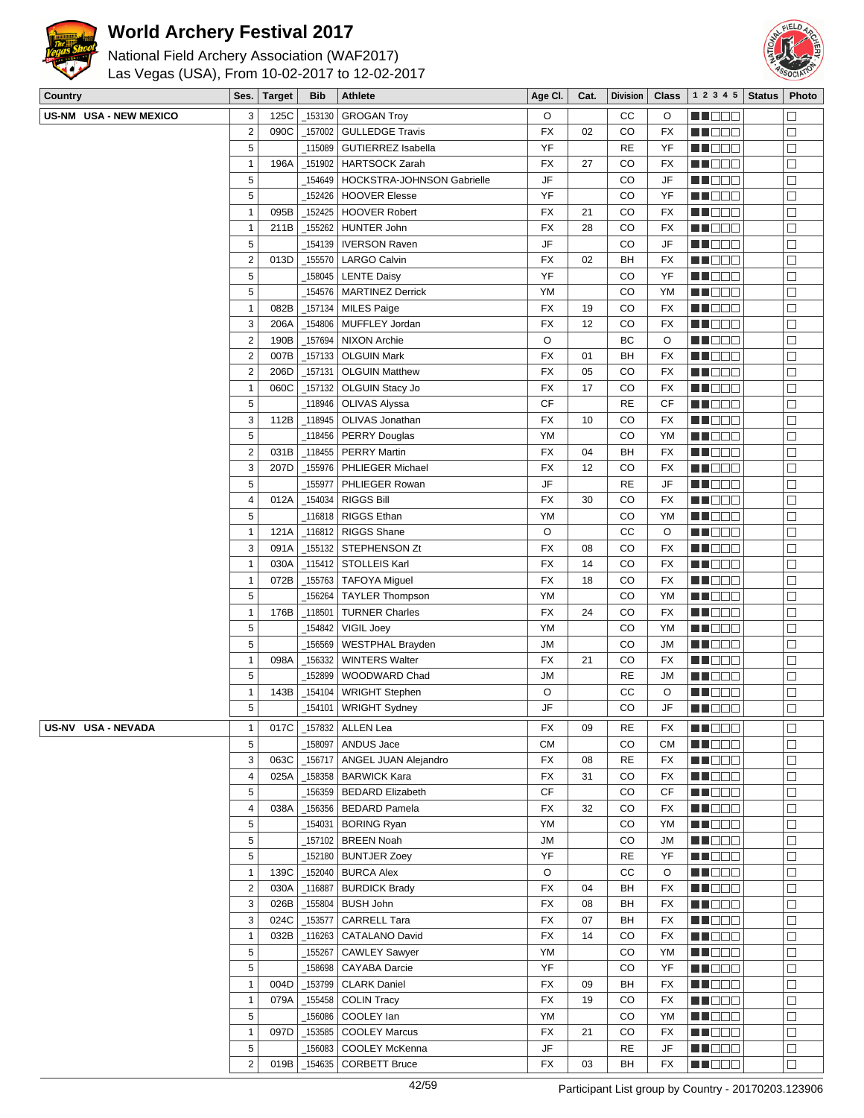



| National Field Archery Association (WAF2017)<br>Las Vegas (USA), From 10-02-2017 to 12-02-2017 |                  |               |            |                            |           |      |                 |              |                |               |        |
|------------------------------------------------------------------------------------------------|------------------|---------------|------------|----------------------------|-----------|------|-----------------|--------------|----------------|---------------|--------|
| <b>Country</b>                                                                                 | Ses.             | <b>Target</b> | <b>Bib</b> | Athlete                    | Age CI.   | Cat. | <b>Division</b> | <b>Class</b> | 1 2 3 4 5      | <b>Status</b> | Photo  |
| US-NM USA - NEW MEXICO                                                                         | 3                | 125C          | 153130     | <b>GROGAN Troy</b>         | O         |      | cc              | O            | MA DO O        |               | $\Box$ |
|                                                                                                | $\overline{2}$   | 090C          | 157002     | <b>GULLEDGE Travis</b>     | <b>FX</b> | 02   | CO              | <b>FX</b>    | M DE O         |               | □      |
|                                                                                                | 5                |               | 115089     | <b>GUTIERREZ Isabella</b>  | YF        |      | <b>RE</b>       | YF           | MU DO O        |               | $\Box$ |
|                                                                                                | $\mathbf{1}$     | 196A          | 151902     | <b>HARTSOCK Zarah</b>      | <b>FX</b> | 27   | CO              | <b>FX</b>    | MU DO O        |               | $\Box$ |
|                                                                                                | 5                |               | 154649     | HOCKSTRA-JOHNSON Gabrielle | <b>JF</b> |      | CO              | JF           | <b>MA</b> OO O |               | $\Box$ |
|                                                                                                | 5                |               | 152426     | <b>HOOVER Elesse</b>       | YF        |      | CO              | YF           | MU O O O       |               | □      |
|                                                                                                | $\mathbf{1}$     | 095B          | 152425     | <b>HOOVER Robert</b>       | <b>FX</b> | 21   | CO              | <b>FX</b>    | Ma Mala        |               | $\Box$ |
|                                                                                                | $\mathbf{1}$     | 211B          | 155262     | <b>HUNTER John</b>         | <b>FX</b> | 28   | CO              | <b>FX</b>    | MA DO O        |               | $\Box$ |
|                                                                                                | 5                |               | 154139     | <b>IVERSON Raven</b>       | JF        |      | CO              | JF           | M DE B         |               | □      |
|                                                                                                | $\overline{2}$   | 013D          | 155570     | <b>LARGO Calvin</b>        | <b>FX</b> | 02   | BH              | <b>FX</b>    | MU DO O        |               | □      |
|                                                                                                | 5                |               | 158045     | <b>LENTE Daisy</b>         | YF        |      | CO              | YF           | n i Bele       |               | □      |
|                                                                                                | 5                |               | 154576     | <b>MARTINEZ Derrick</b>    | YM        |      | CO              | YM           | MN 888         |               | $\Box$ |
|                                                                                                | $\mathbf{1}$     | 082B          | 157134     | <b>MILES Paige</b>         | <b>FX</b> | 19   | CO              | FX           | N DE S         |               | $\Box$ |
|                                                                                                | 3                | 206A          | 154806     | MUFFLEY Jordan             | <b>FX</b> | 12   | CO              | <b>FX</b>    | M DO U         |               | $\Box$ |
|                                                                                                | $\boldsymbol{2}$ | 190B          | 157694     | <b>NIXON Archie</b>        | O         |      | BC              | O            | M DO O         |               | $\Box$ |
|                                                                                                | $\sqrt{2}$       | 007B          | $-157133$  | <b>OLGUIN Mark</b>         | <b>FX</b> | 01   | BH              | <b>FX</b>    | MU DO O        |               | $\Box$ |
|                                                                                                | $\overline{2}$   | 206D          | 157131     | <b>OLGUIN Matthew</b>      | <b>FX</b> | 05   | CO              | <b>FX</b>    | N DE S         |               | $\Box$ |
|                                                                                                | $\mathbf{1}$     | 060C          | 157132     | OLGUIN Stacy Jo            | <b>FX</b> | 17   | CO              | <b>FX</b>    | N DE S         |               | $\Box$ |
|                                                                                                | 5                |               | 118946     | <b>OLIVAS Alyssa</b>       | <b>CF</b> |      | <b>RE</b>       | CF           | M DE O         |               | □      |
|                                                                                                | 3                | 112B          | 118945     | OLIVAS Jonathan            | <b>FX</b> | 10   | CO              | <b>FX</b>    | M NO S         |               | $\Box$ |
|                                                                                                | 5                |               | 118456     | <b>PERRY Douglas</b>       | YM        |      | CO              | YM           | MN 888         |               | $\Box$ |
|                                                                                                | $\sqrt{2}$       | 031B          | $-118455$  | <b>PERRY Martin</b>        | <b>FX</b> | 04   | BH              | <b>FX</b>    | MA DO O        |               | □      |
|                                                                                                | 3                | 207D          | _155976    | PHLIEGER Michael           | <b>FX</b> | 12   | CO              | <b>FX</b>    | M DE O         |               | $\Box$ |
|                                                                                                | 5                |               | 155977     | PHLIEGER Rowan             | <b>JF</b> |      | <b>RE</b>       | JF           | MA DO O        |               | $\Box$ |
|                                                                                                | $\overline{4}$   | 012A          | 154034     | <b>RIGGS Bill</b>          | <b>FX</b> | 30   | CO              | <b>FX</b>    | M OO O         |               | $\Box$ |
|                                                                                                | 5                |               | 116818     | <b>RIGGS Ethan</b>         | YM        |      | CO              | YM           | M DE B         |               | $\Box$ |
|                                                                                                | $\mathbf{1}$     | 121A          | 116812     | <b>RIGGS Shane</b>         | O         |      | CC              | O            | M DE O         |               | $\Box$ |
|                                                                                                | 3                | 091A          | _155132    | STEPHENSON Zt              | <b>FX</b> | 08   | CO              | <b>FX</b>    | M DO O         |               | □      |
|                                                                                                | $\mathbf{1}$     | 030A          | 115412     | <b>STOLLEIS Karl</b>       | <b>FX</b> | 14   | CO              | <b>FX</b>    | MA DE L        |               | $\Box$ |
|                                                                                                | $\mathbf{1}$     | 072B          | 155763     | <b>TAFOYA Miguel</b>       | <b>FX</b> | 18   | CO              | <b>FX</b>    | MA DE L        |               | $\Box$ |
|                                                                                                | 5                |               | 156264     | <b>TAYLER Thompson</b>     | YM        |      | CO              | <b>YM</b>    | M DO U         |               | $\Box$ |
|                                                                                                | $\mathbf{1}$     | 176B          | 118501     | <b>TURNER Charles</b>      | <b>FX</b> | 24   | CO              | <b>FX</b>    | M DE O         |               | □      |
|                                                                                                | 5                |               | 154842     | VIGIL Joey                 | YM        |      | CO              | YM           | MN 88 E        |               | $\Box$ |
|                                                                                                | 5                |               | 156569     | <b>WESTPHAL Brayden</b>    | JМ        |      | CO              | JM           | e de e         |               | $\Box$ |
|                                                                                                | $\mathbf{1}$     | 098A          | 156332     | <b>WINTERS Walter</b>      | <b>FX</b> | 21   | CO              | <b>FX</b>    | M NO W         |               | $\Box$ |
|                                                                                                | 5                |               | 152899     | WOODWARD Chad              | <b>JM</b> |      | <b>RE</b>       | <b>JM</b>    | M NO W         |               | $\Box$ |
|                                                                                                | $\overline{1}$   | 143R          | 154104     | <b>WRIGHT Stephen</b>      | $\cap$    |      | CC.             | $\Omega$     | <b>HENDR</b>   |               | $\Box$ |

US-NV USA - NEVADA

| 5              |      | 156264 | <b>TAYLER Thompson</b>  | <b>YM</b> |    | CO        | YM        | l Innin                                             | $\Box$       |
|----------------|------|--------|-------------------------|-----------|----|-----------|-----------|-----------------------------------------------------|--------------|
| $\mathbf{1}$   | 176B | 118501 | <b>TURNER Charles</b>   | <b>FX</b> | 24 | CO        | <b>FX</b> | an an                                               | П            |
| 5              |      | 154842 | VIGIL Joey              | YM        |    | CO        | YM        | UN DO T                                             | $\Box$       |
| 5              |      | 156569 | WESTPHAL Brayden        | <b>JM</b> |    | CO        | <b>JM</b> | HEN DI TITO                                         | $\Box$       |
| $\mathbf{1}$   | 098A | 156332 | <b>WINTERS Walter</b>   | <b>FX</b> | 21 | CO        | <b>FX</b> | UU NATI                                             | П            |
| 5              |      | 152899 | WOODWARD Chad           | <b>JM</b> |    | <b>RE</b> | <b>JM</b> | HI NOTO                                             | $\Box$       |
| $\mathbf{1}$   | 143B | 154104 | <b>WRIGHT Stephen</b>   | O         |    | cc        | O         | man man                                             | $\Box$       |
| 5              |      | 154101 | <b>WRIGHT Sydney</b>    | <b>JF</b> |    | <b>CO</b> | JF        | a in no                                             | П            |
| 1              | 017C | 157832 | <b>ALLEN Lea</b>        | <b>FX</b> | 09 | <b>RE</b> | <b>FX</b> | TIN NA                                              | $\mathsf{L}$ |
| 5              |      | 158097 | ANDUS Jace              | <b>CM</b> |    | CO        | <b>CM</b> | ТГ                                                  | П            |
| 3              | 063C | 156717 | ANGEL JUAN Alejandro    | <b>FX</b> | 80 | <b>RE</b> | <b>FX</b> | HI NOOC                                             | П            |
| 4              | 025A | 158358 | <b>BARWICK Kara</b>     | <b>FX</b> | 31 | CO        | <b>FX</b> | man man                                             | П            |
| 5              |      | 156359 | <b>BEDARD Elizabeth</b> | <b>CF</b> |    | CO        | CF        | N N T<br>an an                                      | $\Box$       |
| 4              | 038A | 156356 | <b>BEDARD Pamela</b>    | <b>FX</b> | 32 | CO        | <b>FX</b> | a ka                                                | $\Box$       |
| 5              |      | 154031 | <b>BORING Ryan</b>      | YM        |    | CO        | YM        | <u>u Land</u>                                       | П            |
| 5              |      | 157102 | <b>BREEN Noah</b>       | <b>JM</b> |    | CO        | <b>JM</b> | n na m                                              | П            |
| 5              |      | 152180 | <b>BUNTJER Zoey</b>     | YF        |    | <b>RE</b> | YF        | man man                                             | П            |
| 1              | 139C | 152040 | <b>BURCA Alex</b>       | $\circ$   |    | cc        | O         | n n n n n                                           | П            |
| $\overline{2}$ | 030A | 116887 | <b>BURDICK Brady</b>    | <b>FX</b> | 04 | <b>BH</b> | <b>FX</b> | a int                                               | П            |
| 3              | 026B | 155804 | <b>BUSH John</b>        | <b>FX</b> | 08 | <b>BH</b> | <b>FX</b> | TI NATI                                             | П            |
| 3              | 024C | 153577 | <b>CARRELL Tara</b>     | <b>FX</b> | 07 | <b>BH</b> | <b>FX</b> | n n n n                                             | П            |
| 1              | 032B | 116263 | <b>CATALANO David</b>   | <b>FX</b> | 14 | CO        | <b>FX</b> | TE DE L                                             | $\Box$       |
| 5              |      | 155267 | <b>CAWLEY Sawyer</b>    | YM        |    | CO        | YM        | ┐Г<br>a ka                                          | $\Box$       |
| 5              |      | 158698 | <b>CAYABA Darcie</b>    | YF        |    | CO        | YF        | HI O O O                                            | $\Box$       |
| 1              | 004D | 153799 | <b>CLARK Daniel</b>     | <b>FX</b> | 09 | <b>BH</b> | <b>FX</b> | n noon                                              | П            |
| 1              | 079A | 155458 | <b>COLIN Tracy</b>      | <b>FX</b> | 19 | CO        | <b>FX</b> | ППГ<br>a ka                                         | $\Box$       |
| 5              |      | 156086 | COOLEY lan              | YM        |    | CO        | YM        |                                                     |              |
| 1              | 097D | 153585 | <b>COOLEY Marcus</b>    | <b>FX</b> | 21 | CO        | <b>FX</b> | <u> HOOF</u>                                        | $\Box$       |
| 5              |      | 156083 | COOLEY McKenna          | JF        |    | <b>RE</b> | JF        | ┐г                                                  | П            |
| $\overline{2}$ | 019B | 154635 | <b>CORBETT Bruce</b>    | <b>FX</b> | 03 | <b>BH</b> | <b>FX</b> | a a mata                                            |              |
|                |      |        | 42/59                   |           |    |           |           | Participant List group by Country - 20170203.123906 |              |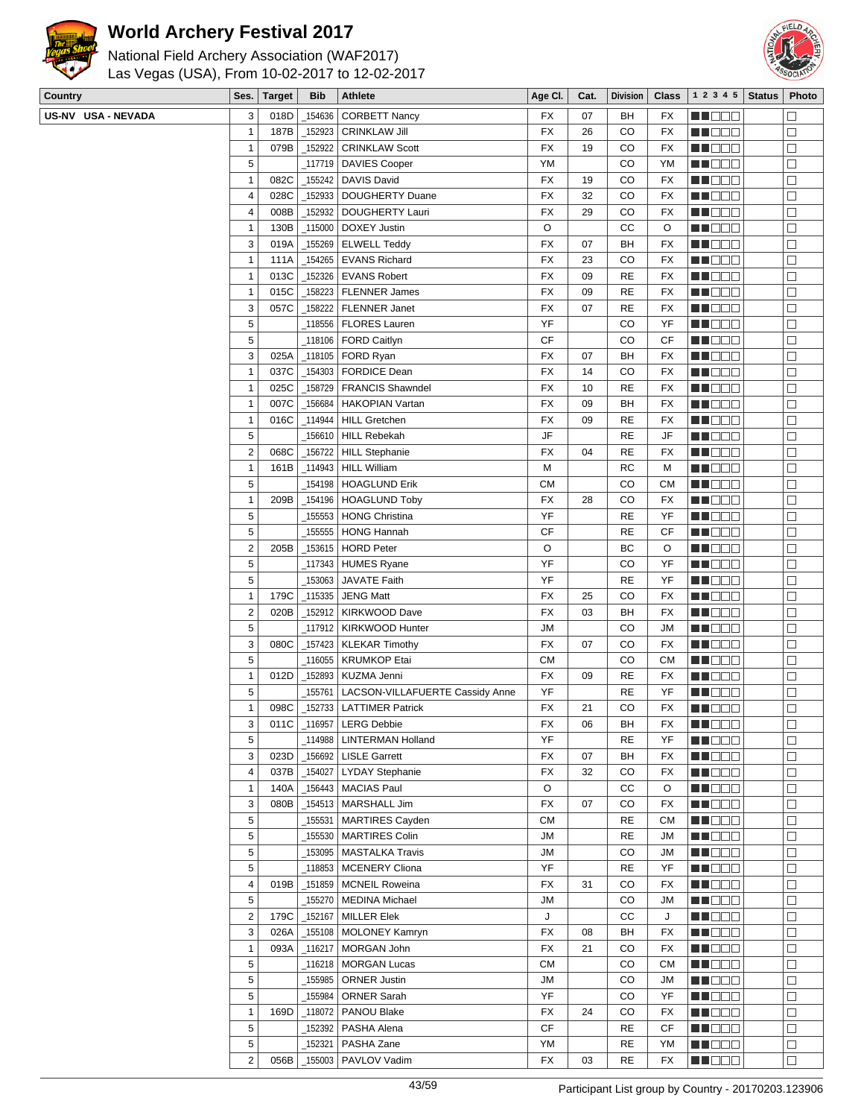



| National Field Archery Association (WAF2017)<br>Las Vegas (USA), From 10-02-2017 to 12-02-2017 |  |  |                             |  |                             |  |  |  |  |  |  |  |  |
|------------------------------------------------------------------------------------------------|--|--|-----------------------------|--|-----------------------------|--|--|--|--|--|--|--|--|
| <b>Country</b>                                                                                 |  |  | Ses. Target   Bib   Athlete |  |                             |  |  |  |  |  |  |  |  |
| US-NV USA - NEVADA                                                                             |  |  |                             |  | 3 018D 154636 CORBETT Nancy |  |  |  |  |  |  |  |  |

| Country            | Ses.           | <b>Target</b> | <b>Bib</b> | Athlete                                        | Age CI.   | Cat. | <b>Division</b> | <b>Class</b> | 1 2 3 4 5         | <b>Status</b> | Photo  |
|--------------------|----------------|---------------|------------|------------------------------------------------|-----------|------|-----------------|--------------|-------------------|---------------|--------|
| US-NV USA - NEVADA | 3              | 018D          | 154636     | <b>CORBETT Nancy</b>                           | FX        | 07   | BH              | FX           | MA DE L           |               |        |
|                    | $\overline{1}$ | 187B          | _152923    | <b>CRINKLAW Jill</b>                           | FX        | 26   | CO              | FX           | MU OOO            |               | $\Box$ |
|                    | $\mathbf{1}$   | 079B          | 152922     | <b>CRINKLAW Scott</b>                          | FX        | 19   | CO              | FX           | MU DO B           |               | $\Box$ |
|                    | 5              |               | 117719     | <b>DAVIES Cooper</b>                           | YM        |      | CO              | YM           | MO DO O           |               | $\Box$ |
|                    | $\mathbf{1}$   | 082C          | _155242    | DAVIS David                                    | FX        | 19   | CO              | FX           | MU DE E           |               | $\Box$ |
|                    | 4              | 028C          | _152933    | DOUGHERTY Duane                                | FX        | 32   | CO              | <b>FX</b>    | MU OOO            |               | □      |
|                    | 4              | 008B          | 152932     | DOUGHERTY Lauri                                | FX        | 29   | CO              | FX           | M DO O            |               | □      |
|                    | $\mathbf{1}$   | 130B          | _115000    | DOXEY Justin                                   | O         |      | cc              | O            | MA BEL            |               | $\Box$ |
|                    | 3              | 019A          | 155269     | <b>ELWELL Teddy</b>                            | FX        | 07   | BH              | FX           | MA DE L           |               | $\Box$ |
|                    | $\mathbf{1}$   | 111A          | 154265     | <b>EVANS Richard</b>                           | FX        | 23   | CO              | FX           | MU DO U           |               | □      |
|                    | $\overline{1}$ | 013C          |            | _152326   EVANS Robert                         | <b>FX</b> | 09   | RE              | FX           | MN OO O           |               | □      |
|                    | $\mathbf{1}$   | 015C          | _158223    | <b>FLENNER James</b>                           | FX        | 09   | RE              | FX           | <b>REDDE</b>      |               | $\Box$ |
|                    | $\sqrt{3}$     | 057C          | 158222     | <b>FLENNER Janet</b>                           | FX        | 07   | <b>RE</b>       | <b>FX</b>    | <b>REDDO</b>      |               | $\Box$ |
|                    | $\sqrt{5}$     |               |            | 118556   FLORES Lauren                         | YF        |      | CO              | YF           | MU DO B           |               | $\Box$ |
|                    | 5              |               |            | _118106   FORD Caitlyn                         | CF        |      | CO              | CF           | MU DO D           |               | $\Box$ |
|                    | 3              | 025A          |            | _118105   FORD Ryan                            | FX        | 07   | BH              | <b>FX</b>    | MN D D O          |               | $\Box$ |
|                    | $\mathbf{1}$   | 037C          | 154303     | <b>FORDICE Dean</b>                            | FX        | 14   | CO              | FX           | M DOO             |               | $\Box$ |
|                    |                |               |            |                                                |           |      |                 |              |                   |               |        |
|                    | $\overline{1}$ | 025C          | _158729    | <b>FRANCIS Shawndel</b>                        | FX        | 10   | <b>RE</b>       | FX           | MU DE B<br>MU BEG |               | $\Box$ |
|                    | $\mathbf{1}$   | 007C          | _156684    | <b>HAKOPIAN Vartan</b><br><b>HILL Gretchen</b> | FX        | 09   | BH              | FX           |                   |               | $\Box$ |
|                    | $\overline{1}$ | 016C          | _114944    |                                                | FX        | 09   | <b>RE</b>       | FX           | <b>REDDE</b>      |               | $\Box$ |
|                    | $\sqrt{5}$     |               | _156610    | <b>HILL Rebekah</b>                            | JF        |      | <b>RE</b>       | JF           | <b>REDDO</b>      |               | $\Box$ |
|                    | $\overline{2}$ | 068C          | 156722     | <b>HILL Stephanie</b>                          | FX        | 04   | <b>RE</b>       | FX           | <b>MNOOO</b>      |               | $\Box$ |
|                    | $\mathbf{1}$   | 161B          |            | _114943   HILL William                         | М         |      | <b>RC</b>       | M            | MU DO B           |               | $\Box$ |
|                    | 5              |               |            | _154198   HOAGLUND Erik                        | <b>CM</b> |      | CO              | <b>CM</b>    | <b>RECODE</b>     |               | $\Box$ |
|                    | $\mathbf{1}$   | 209B          |            | _154196   HOAGLUND Toby                        | FX        | 28   | CO              | <b>FX</b>    | <b>REDDO</b>      |               | $\Box$ |
|                    | 5              |               | 155553     | <b>HONG Christina</b>                          | YF        |      | RE              | YF           | M D D D           |               | $\Box$ |
|                    | 5              |               | 155555     | <b>HONG Hannah</b>                             | CF        |      | RE              | СF           | MU DO U           |               | □      |
|                    | $\overline{2}$ | 205B          | _153615    | <b>HORD Peter</b>                              | O         |      | BC              | O            | <b>RECOR</b>      |               | $\Box$ |
|                    | 5              |               |            | _117343   HUMES Ryane                          | YF        |      | CO              | YF           | <b>REDDE</b>      |               | $\Box$ |
|                    | 5              |               | 153063     | JAVATE Faith                                   | YF        |      | RE              | YF           | <b>REDDO</b>      |               | $\Box$ |
|                    | $\mathbf{1}$   | 179C          | _115335    | <b>JENG Matt</b>                               | FX        | 25   | CO              | <b>FX</b>    | MU DEL            |               | $\Box$ |
|                    | $\overline{2}$ | 020B          | _152912    | <b>KIRKWOOD Dave</b>                           | FX        | 03   | BH              | <b>FX</b>    | MU O O O          |               | $\Box$ |
|                    | 5              |               |            | _117912   KIRKWOOD Hunter                      | JМ        |      | CO              | JM           | <b>REDDE</b>      |               | □      |
|                    | 3              | 080C          |            | _157423   KLEKAR Timothy                       | FX        | 07   | CO              | FX           | MO DO O           |               | $\Box$ |
|                    | 5              |               | 116055     | <b>KRUMKOP Etai</b>                            | <b>CM</b> |      | CO              | CМ           | M DO B            |               | $\Box$ |
|                    | $\overline{1}$ | 012D          | _152893    | <b>KUZMA Jenni</b>                             | FX        | 09   | <b>RE</b>       | FX           | M DO O            |               | □      |
|                    | 5              |               | 155761     | LACSON-VILLAFUERTE Cassidy Anne                | YF        |      | RE              | YF           | M DE O            |               | □      |
|                    | $\overline{1}$ | 098C          |            | 152733   LATTIMER Patrick                      | <b>FX</b> | 21   | CO              | FX           | <b>REBED</b>      |               | $\Box$ |
|                    | 3              |               |            | 011C   116957   LERG Debbie                    | FX        | 06   | BH              | FX           | M DEC             |               | ⊔      |
|                    | $\sqrt{5}$     |               | _114988    | LINTERMAN Holland                              | YF        |      | RE              | YF           | MU OOO            |               | □      |
|                    | $\sqrt{3}$     | 023D          |            | _156692   LISLE Garrett                        | FX        | 07   | BH              | FX           | <b>RECOR</b>      |               | $\Box$ |
|                    | 4              | 037B          | 154027     | <b>LYDAY Stephanie</b>                         | FX        | 32   | CO              | FX           | <b>REDDE</b>      |               | П      |
|                    | $\mathbf{1}$   | 140A          |            | _156443   MACIAS Paul                          | O         |      | СC              | O            | MU O O O          |               | $\Box$ |
|                    | 3              | 080B          | _154513    | MARSHALL Jim                                   | FX        | 07   | CO              | FX           | MU DO B           |               | $\Box$ |
|                    | 5              |               | _155531    | <b>MARTIRES Cayden</b>                         | СM        |      | <b>RE</b>       | CМ           | MU DO S           |               | □      |
|                    | 5              |               | _155530    | <b>MARTIRES Colin</b>                          | JM        |      | <b>RE</b>       | JM           | <b>RECOR</b>      |               | $\Box$ |
|                    | 5              |               | _153095    | <b>MASTALKA Travis</b>                         | <b>JM</b> |      | CO              | JM           | MB BBB            |               | $\Box$ |
|                    | 5              |               |            | _118853   MCENERY Cliona                       | YF        |      | <b>RE</b>       | YF           | MU OOO            |               | $\Box$ |
|                    | $\overline{4}$ | 019B          | _151859    | MCNEIL Roweina                                 | FX        | 31   | CO              | FX           | MU OOO            |               | $\Box$ |
|                    | 5              |               |            | 155270   MEDINA Michael                        | JM        |      | CO              | JM           | <b>REDDO</b>      |               | $\Box$ |
|                    | $\overline{2}$ | 179C          | _152167    | <b>MILLER Elek</b>                             | J         |      | CС              | J            | <b>REDDO</b>      |               | $\Box$ |
|                    | 3              | 026A          |            | _155108   MOLONEY Kamryn                       | FX        | 08   | BH              | FX           | MU DO B           |               | $\Box$ |
|                    | $\mathbf{1}$   | 093A          | _116217    | MORGAN John                                    | FX        | 21   | CO              | FX           | MU DO B           |               | □      |
|                    | 5              |               | _116218    | MORGAN Lucas                                   | <b>CM</b> |      | CO              | CМ           | MU DO B           |               | $\Box$ |
|                    | 5              |               | _155985    | <b>ORNER Justin</b>                            | JM        |      | CO              | JM           | MU DE L           |               | $\Box$ |
|                    | 5              |               | _155984    | <b>ORNER Sarah</b>                             | YF        |      | CO              | YF           | <b>MNOOO</b>      |               | $\Box$ |
|                    | $\mathbf{1}$   | 169D          | _118072    | <b>PANOU Blake</b>                             | FX        | 24   | CO              | FX           | MU DO B           |               | □      |
|                    | 5              |               |            |                                                | СF        |      |                 |              |                   |               |        |
|                    |                |               | _152392    | PASHA Alena                                    |           |      | RE              | СF           | MU DO B           |               | $\Box$ |
|                    | $\sqrt{5}$     |               | 152321     | PASHA Zane                                     | YM        |      | RE              | YM           | <b>REDDO</b>      |               | $\Box$ |
|                    | $\overline{2}$ | 056B          |            | _155003   PAVLOV Vadim                         | FX        | 03   | <b>RE</b>       | FX           | <b>REBEE</b>      |               | □      |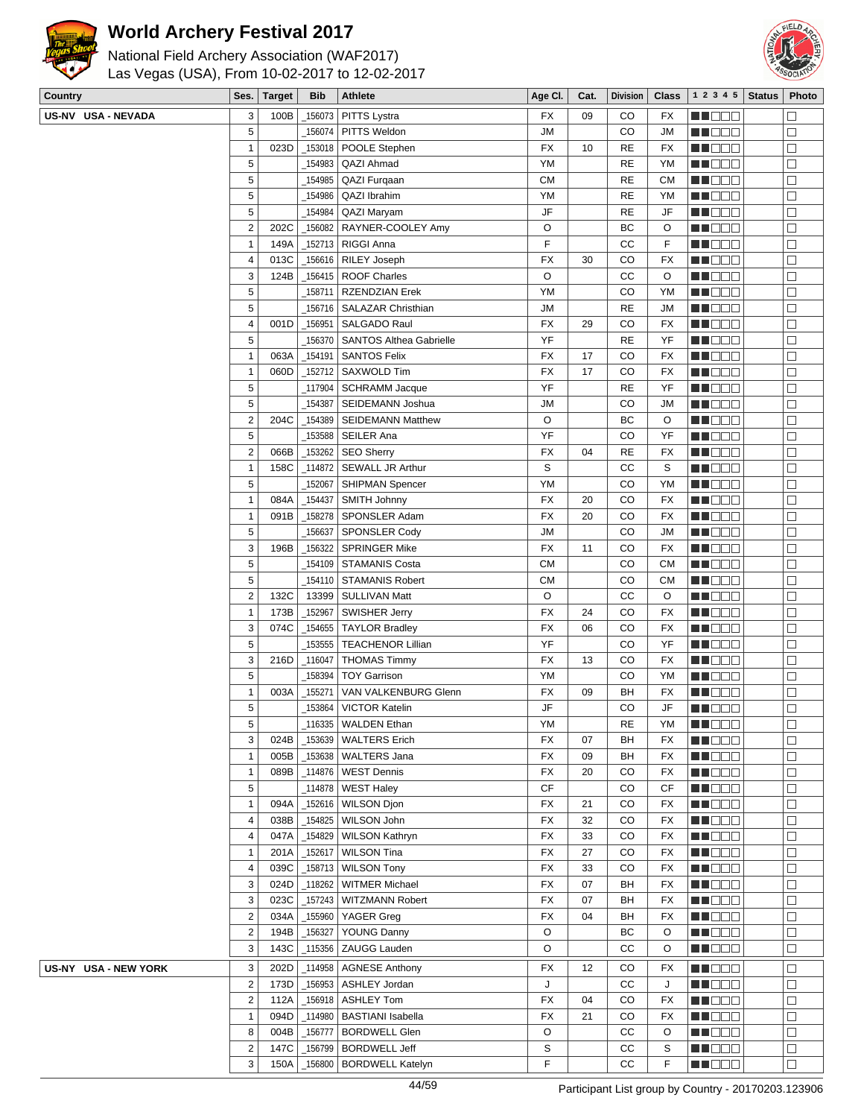



| Country              | Ses.                    | <b>Target</b> | <b>Bib</b> | Athlete                        | Age CI.   | Cat. | <b>Division</b> | <b>Class</b> | $1\ 2\ 3\ 4\ 5$ Status | Photo             |
|----------------------|-------------------------|---------------|------------|--------------------------------|-----------|------|-----------------|--------------|------------------------|-------------------|
| US-NV USA - NEVADA   | 3                       | 100B          | _156073    | PITTS Lystra                   | <b>FX</b> | 09   | CO              | FX           | N NO DE L              | $\Box$            |
|                      | 5                       |               | _156074    | PITTS Weldon                   | <b>JM</b> |      | CO              | <b>JM</b>    | <b>RECOD</b>           | □                 |
|                      | 1                       | 023D          |            | _153018   POOLE Stephen        | <b>FX</b> | 10   | <b>RE</b>       | FX           | MU DO O                | $\Box$            |
|                      | 5                       |               | 154983     | QAZI Ahmad                     | YM        |      | <b>RE</b>       | YM           | MA DO O                | $\Box$            |
|                      | 5                       |               | _154985    | QAZI Furgaan                   | <b>CM</b> |      | <b>RE</b>       | <b>CM</b>    | M D D D                | $\Box$            |
|                      | 5                       |               | 154986     | QAZI Ibrahim                   | YM        |      | <b>RE</b>       | YM           | MU DO S                | $\Box$            |
|                      | 5                       |               | 154984     | QAZI Maryam                    | JF        |      | <b>RE</b>       | JF           | MU DE B                | $\Box$            |
|                      | 2                       | 202C          | $-156082$  | RAYNER-COOLEY Amy              | O         |      | BC              | O            | MN 888                 | $\Box$            |
|                      |                         |               |            |                                | F         |      |                 |              |                        |                   |
|                      | 1                       | 149A          | _152713    | <b>RIGGI Anna</b>              |           |      | cc              | F            | <b>HE</b> OOO          | $\Box$            |
|                      | $\overline{\mathbf{4}}$ | 013C          | $-156616$  | <b>RILEY Joseph</b>            | <b>FX</b> | 30   | CO              | <b>FX</b>    | MU DO B                | $\Box$            |
|                      | 3                       | 124B          |            | _156415   ROOF Charles         | O         |      | cc              | O            | N DO O                 | □                 |
|                      | 5                       |               | _158711    | <b>RZENDZIAN Erek</b>          | YM        |      | CO              | YM           | MO DO                  | $\Box$            |
|                      | 5                       |               | _156716    | SALAZAR Christhian             | <b>JM</b> |      | <b>RE</b>       | <b>JM</b>    | ME DE S                | $\Box$            |
|                      | 4                       | 001D          | $-156951$  | SALGADO Raul                   | FX        | 29   | CO              | FX           | MU DO O                | $\Box$            |
|                      | 5                       |               | _156370    | <b>SANTOS Althea Gabrielle</b> | YF        |      | <b>RE</b>       | YF           | MUOOO                  | □                 |
|                      | $\mathbf{1}$            | 063A          | $-154191$  | <b>SANTOS Felix</b>            | <b>FX</b> | 17   | CO              | FX           | MN 888                 | $\Box$            |
|                      | 1                       | 060D          | _152712    | <b>SAXWOLD Tim</b>             | <b>FX</b> | 17   | CO              | <b>FX</b>    | MU DO O                | $\Box$            |
|                      | 5                       |               | 117904     | <b>SCHRAMM Jacque</b>          | YF        |      | <b>RE</b>       | YF           | MU DO O                | $\Box$            |
|                      | 5                       |               | _154387    | SEIDEMANN Joshua               | <b>JM</b> |      | CO              | JM           | ME 888                 | □                 |
|                      | 2                       | 204C          | $-154389$  | <b>SEIDEMANN Matthew</b>       | O         |      | BC              | O            | N DO D                 | $\Box$            |
|                      | 5                       |               | _153588    | SEILER Ana                     | YF        |      | CO              | YF           | MN 888                 | $\Box$            |
|                      | 2                       | 066B          | 153262     | <b>SEO Sherry</b>              | <b>FX</b> | 04   | <b>RE</b>       | FX           | MU DO O                | $\Box$            |
|                      | 1                       | 158C          | $-114872$  | SEWALL JR Arthur               | S         |      | cc              | S            | MU DO B                | $\Box$            |
|                      | 5                       |               | 152067     | SHIPMAN Spencer                | YM        |      | CO              | YM           | <u>ma mata</u>         | □                 |
|                      | $\mathbf{1}$            | 084A          | $-154437$  | SMITH Johnny                   | <b>FX</b> | 20   | CO              | FX           | MN 888                 | $\Box$            |
|                      | 1                       | 091B          | _158278    | SPONSLER Adam                  | FX        | 20   | CO              | <b>FX</b>    | <b>MN</b> OOO          | $\Box$            |
|                      | 5                       |               | 156637     | <b>SPONSLER Cody</b>           | <b>JM</b> |      | CO              | <b>JM</b>    | MU OO O                | $\Box$            |
|                      | 3                       | 196B          | $-156322$  | <b>SPRINGER Mike</b>           | <b>FX</b> | 11   | CO              | <b>FX</b>    | MU O O O               | □                 |
|                      | $\sqrt{5}$              |               | _154109    | <b>STAMANIS Costa</b>          | <b>CM</b> |      | CO              | СM           | <b>MARGE</b>           | $\Box$            |
|                      | 5                       |               | 154110     | <b>STAMANIS Robert</b>         | <b>CM</b> |      | CO              | <b>CM</b>    | <b>MA</b> DOO          | $\Box$            |
|                      | 2                       | 132C          | 13399      | <b>SULLIVAN Matt</b>           | O         |      | cc              | O            | MU DEL                 | $\Box$            |
|                      | $\mathbf{1}$            | 173B          | 152967     | SWISHER Jerry                  | <b>FX</b> | 24   | CO              | FX           | MN DO B                | □                 |
|                      | 3                       | 074C          | $-154655$  | <b>TAYLOR Bradley</b>          | FX        | 06   | CO              | FX           | MU DO D                | $\Box$            |
|                      | 5                       |               |            |                                | YF        |      |                 |              | MA DEL                 | $\Box$            |
|                      |                         |               | _153555    | <b>TEACHENOR Lillian</b>       |           |      | CO              | YF           |                        |                   |
|                      | 3                       | 216D          | $-116047$  | <b>THOMAS Timmy</b>            | FX        | 13   | CO              | FX           | MU DO O                | $\Box$            |
|                      | 5                       |               | _158394    | <b>TOY Garrison</b>            | YM        |      | CO              | YM           | MU DEL                 | □                 |
|                      | 1                       | 003A          | $-155271$  | VAN VALKENBURG Glenn           | <b>FX</b> | 09   | BH              | <b>FX</b>    | MN OO B                | $\Box$            |
|                      | 5                       |               | _153864    | <b>VICTOR Katelin</b>          | JF        |      | CO              | JF           | <b>REDDE</b>           | $\Box$            |
|                      | 5                       |               |            | _116335 WALDEN Ethan           | YM        |      | RE              | YM           | <b>BECOO</b>           | $\overline{\Box}$ |
|                      | 3                       | 024B          | $-153639$  | <b>WALTERS Erich</b>           | FX        | 07   | BH              | FX           | MU DO B                | $\Box$            |
|                      | $\mathbf{1}$            | 005B          | $-153638$  | <b>WALTERS Jana</b>            | FX        | 09   | BH              | FX           | MU DO O                | □                 |
|                      | $\mathbf{1}$            | 089B          |            | 114876   WEST Dennis           | FX        | 20   | CO              | FX           | <b>REDDE</b>           | $\Box$            |
|                      | 5                       |               |            | _114878   WEST Haley           | CF        |      | CO              | CF           | <b>MA</b> DOO          | $\Box$            |
|                      | 1                       | 094A          | $-152616$  | <b>WILSON Djon</b>             | FX        | 21   | CO              | FX           | MUODO                  | □                 |
|                      | 4                       | 038B          | _154825    | WILSON John                    | FX        | 32   | CO              | FX           | <b>HOOO</b>            | □                 |
|                      | 4                       | 047A          | $-154829$  | <b>WILSON Kathryn</b>          | <b>FX</b> | 33   | CO              | FX           | <b>MA</b> OOO          | $\Box$            |
|                      | 1                       | 201A          | $-152617$  | <b>WILSON Tina</b>             | FX        | 27   | CO              | FX           | HEEEE                  | $\Box$            |
|                      | 4                       | 039C          |            | $-158713$ WILSON Tony          | FX        | 33   | CO              | FX           | MU O O O               | $\Box$            |
|                      | 3                       | 024D          | $-118262$  | <b>WITMER Michael</b>          | FX        | 07   | BH              | FX           | MUOOO                  | □                 |
|                      | 3                       | 023C          | 157243     | <b>WITZMANN Robert</b>         | FX        | 07   | BH              | FX           | MU DOO                 | $\Box$            |
|                      | $\overline{2}$          | 034A          | _155960    | YAGER Greg                     | FX        | 04   | BH              | FX           | <b>MA</b> OOO          | $\Box$            |
|                      | 2                       | 194B          | $-156327$  | <b>YOUNG Danny</b>             | O         |      | ВC              | O            | MA DELL                | $\Box$            |
|                      | 3                       | 143C          | _115356    | ZAUGG Lauden                   | O         |      | СC              | O            | MU O O O               | □                 |
| US-NY USA - NEW YORK | 3                       | 202D          |            | $_1$ 114958   AGNESE Anthony   | FX        | 12   | CO              | FX           | MU DO D                | $\Box$            |
|                      | $\overline{2}$          | 173D          | _156953    | ASHLEY Jordan                  | J         |      | CC              |              | MN DO B                | $\Box$            |
|                      | $\mathbf{2}$            |               |            |                                |           |      |                 | J            |                        |                   |
|                      |                         | 112A          |            | $\_156918$ $ $ ASHLEY Tom      | FX        | 04   | CO              | FX           | <b>RECOR</b>           | $\Box$            |
|                      | $\mathbf{1}$            | 094D          | $-114980$  | <b>BASTIANI Isabella</b>       | FX        | 21   | CO              | FX           | <b>HELLER</b>          | $\Box$            |
|                      | 8                       | 004B          | $-156777$  | <b>BORDWELL Glen</b>           | O         |      | СC              | O            | MU DO O                | $\Box$            |
|                      | $\overline{2}$          | 147C          | _156799    | <b>BORDWELL Jeff</b>           | S         |      | СC              | S            | <b>HE</b> 888          | □                 |
|                      | 3                       | 150A          | _156800    | <b>BORDWELL Katelyn</b>        | F         |      | cc              | F            | MU DE B                | $\Box$            |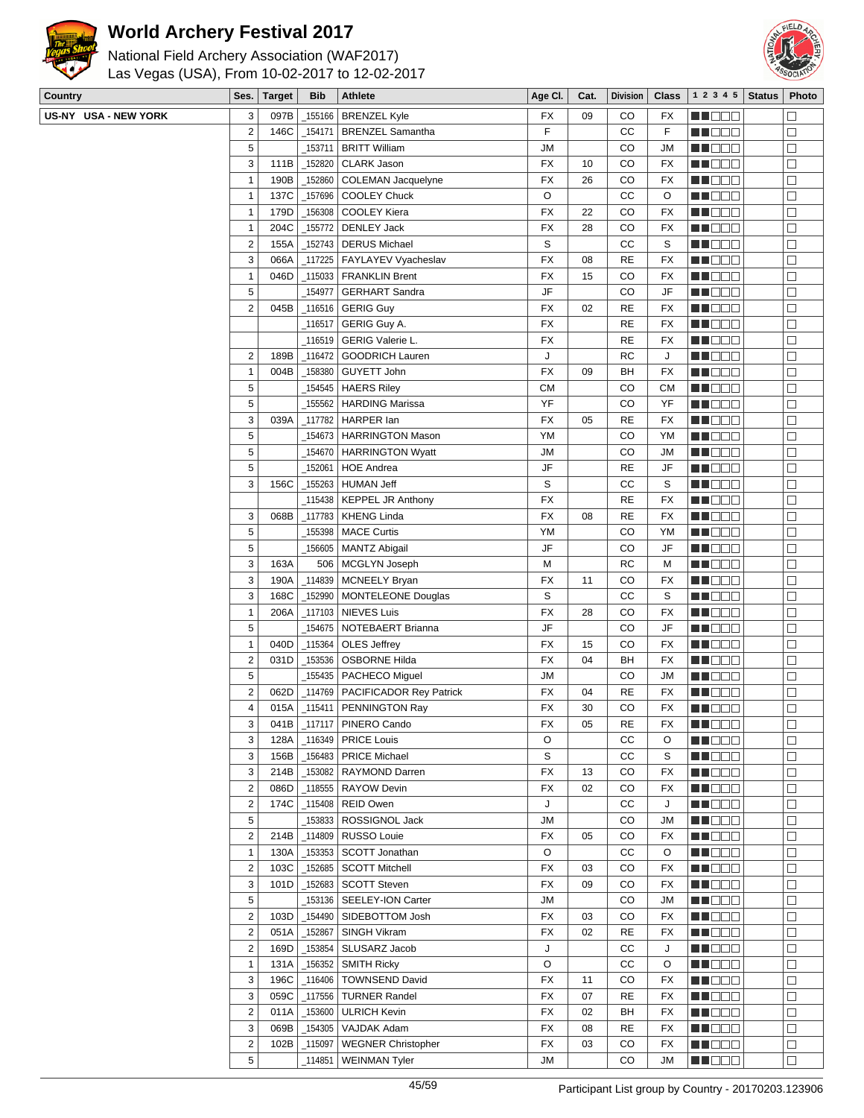

## **World Archery Festival 2017**



| Las Vegas (USA), From 10-02-2017 to 12-02-2017 |  |
|------------------------------------------------|--|
| National Field Archery Association (WAF2017)   |  |

| Country              | Ses.                    | <b>Target</b> | <b>Bib</b> | <b>Athlete</b>               | Age CI.   | Cat. | <b>Division</b> | <b>Class</b> | 1 2 3 4 5              | <b>Status</b> | Photo            |
|----------------------|-------------------------|---------------|------------|------------------------------|-----------|------|-----------------|--------------|------------------------|---------------|------------------|
| US-NY USA - NEW YORK | 3                       | 097B          | 155166     | <b>BRENZEL Kyle</b>          | FX        | 09   | CO              | FX           | M DE E                 |               | $\Box$           |
|                      | $\overline{2}$          | 146C          | _154171    | <b>BRENZEL Samantha</b>      | F         |      | CC              | F            | MU DO 2                |               | $\Box$           |
|                      | 5                       |               | 153711     | <b>BRITT William</b>         | <b>JM</b> |      | CO              | JM           | MN DO B                |               | $\Box$           |
|                      | 3                       | 111B          | 152820     | <b>CLARK Jason</b>           | <b>FX</b> | 10   | CO              | <b>FX</b>    | <b>REDDO</b>           |               | $\Box$           |
|                      | $\mathbf{1}$            | 190B          | 152860     | <b>COLEMAN Jacquelyne</b>    | <b>FX</b> | 26   | CO              | FX           | MU DE E                |               | $\Box$           |
|                      | $\mathbf{1}$            | 137C          | _157696    | <b>COOLEY Chuck</b>          | O         |      | CC              | O            | ME 88                  |               | $\Box$           |
|                      | $\mathbf{1}$            | 179D          | 156308     | COOLEY Kiera                 | <b>FX</b> | 22   | CO              | FX           | MN 888                 |               | $\Box$           |
|                      | 1                       | 204C          | 155772     | <b>DENLEY Jack</b>           | <b>FX</b> | 28   | CO              | FX           | MN OO O                |               | $\Box$           |
|                      | $\overline{2}$          | 155A          | 152743     | <b>DERUS Michael</b>         | S         |      | СC              | S            | M HOO E                |               | $\Box$           |
|                      | 3                       | 066A          | 117225     | FAYLAYEV Vyacheslav          | FX        | 08   | <b>RE</b>       | FX           | M HOOC                 |               | $\Box$           |
|                      | $\mathbf{1}$            | 046D          | 115033     | <b>FRANKLIN Brent</b>        | <b>FX</b> | 15   | CO              | FX           | MN 888                 |               | $\Box$           |
|                      | 5                       |               | 154977     | <b>GERHART Sandra</b>        | JF        |      | CO              | JF           | MA DE C                |               | $\Box$           |
|                      | $\overline{2}$          | 045B          | 116516     | <b>GERIG Guy</b>             | <b>FX</b> | 02   | <b>RE</b>       | FX           | <b>HELIOLI</b>         |               | $\Box$           |
|                      |                         |               | 116517     | GERIG Guy A.                 | <b>FX</b> |      | <b>RE</b>       | FX           | MU DO O                |               | $\Box$           |
|                      |                         |               | 116519     | GERIG Valerie L.             | <b>FX</b> |      | <b>RE</b>       | FX           | MNO 88                 |               | $\Box$           |
|                      | $\overline{2}$          | 189B          | $-116472$  | <b>GOODRICH Lauren</b>       | J         |      | <b>RC</b>       | J            |                        |               |                  |
|                      |                         |               |            |                              |           |      |                 |              | MI DE S                |               | $\Box$           |
|                      | 1                       | 004B          | 158380     | GUYETT John                  | <b>FX</b> | 09   | BH              | FX           | ME DE S                |               | $\Box$           |
|                      | 5                       |               | 154545_    | <b>HAERS Riley</b>           | <b>CM</b> |      | CO              | <b>CM</b>    | M HOOL                 |               | $\Box$           |
|                      | 5                       |               | 155562     | <b>HARDING Marissa</b>       | YF        |      | CO              | YF           | <u>ma cina</u>         |               | $\Box$           |
|                      | 3                       | 039A          | 117782     | HARPER lan                   | <b>FX</b> | 05   | <b>RE</b>       | FX           | MU DO S                |               | $\Box$           |
|                      | 5                       |               | 154673     | <b>HARRINGTON Mason</b>      | YM        |      | CO              | YM           | ME DE E                |               | $\Box$           |
|                      | 5                       |               | 154670     | <b>HARRINGTON Wyatt</b>      | <b>JM</b> |      | CO              | JМ           | <b>MNOOO</b>           |               | $\Box$           |
|                      | 5                       |               | 152061     | <b>HOE Andrea</b>            | JF        |      | <b>RE</b>       | JF           | MU DO B                |               | $\Box$           |
|                      | 3                       | 156C          | _155263    | <b>HUMAN Jeff</b>            | S         |      | CC              | S            | NN O O O               |               | $\Box$           |
|                      |                         |               |            | _115438   KEPPEL JR Anthony  | <b>FX</b> |      | <b>RE</b>       | FX           | MA DE C                |               | $\Box$           |
|                      | 3                       | 068B          | 117783     | <b>KHENG Linda</b>           | <b>FX</b> | 08   | <b>RE</b>       | FX           | MU DEL                 |               | $\Box$           |
|                      | 5                       |               | 155398     | <b>MACE Curtis</b>           | YM        |      | CO              | YM           | M SO S                 |               | $\Box$           |
|                      | 5                       |               | 156605     | <b>MANTZ Abigail</b>         | JF        |      | CO              | JF           | MU OO U                |               | $\Box$           |
|                      | 3                       | 163A          | 506        | MCGLYN Joseph                | M         |      | <b>RC</b>       | M            | MA DE C                |               | $\Box$           |
|                      | 3                       | 190A          | 114839     | MCNEELY Bryan                | <b>FX</b> | 11   | CO              | FX           | <u>Li Bee</u>          |               | $\Box$           |
|                      | 3                       | 168C          | 152990     | <b>MONTELEONE Douglas</b>    | S         |      | CC              | S            | MU DO O                |               | $\Box$           |
|                      | $\mathbf{1}$            | 206A          | 117103     | <b>NIEVES Luis</b>           | <b>FX</b> | 28   | CO              | <b>FX</b>    | MN DO B                |               | $\Box$           |
|                      | 5                       |               | 154675     | NOTEBAERT Brianna            | JF        |      | CO              | JF           | MNO OO                 |               | $\Box$           |
|                      | $\mathbf{1}$            | 040D          | $-115364$  | OLES Jeffrey                 | <b>FX</b> | 15   | CO              | FX           | <u>en de la</u>        |               | $\Box$           |
|                      | $\overline{\mathbf{c}}$ | 031D          | _153536    | <b>OSBORNE Hilda</b>         | <b>FX</b> | 04   | BH              | FX           | MA MA M                |               | $\Box$           |
|                      | 5                       |               | 155435_    | PACHECO Miguel               | <b>JM</b> |      | CO              | JМ           | MU O O U               |               | $\Box$           |
|                      | $\overline{2}$          | 062D          | 114769     | PACIFICADOR Rey Patrick      | <b>FX</b> | 04   | <b>RE</b>       | FX           | MU DO L                |               | $\Box$           |
|                      | $\overline{4}$          | 015A          | $-115411$  | PENNINGTON Ray               | <b>FX</b> | 30   | CO              | FX           | MA DE E                |               | $\Box$           |
|                      | 3                       |               |            | 041B   117117   PINERO Cando | FX        | 05   | RE              | FX           | <u> Liberal de la </u> |               | ⊔                |
|                      | 3                       | 128A          |            | _116349   PRICE Louis        | O         |      | СC              | O            | MU OOO                 |               | $\Box$           |
|                      | 3                       | 156B          |            | _156483   PRICE Michael      | S         |      | CC              | S            | MNO O O                |               |                  |
|                      | 3                       | 214B          | $-153082$  | RAYMOND Darren               | FX        | 13   | CO              | FX           | <b>NNOOO</b>           |               | $\Box$<br>$\Box$ |
|                      |                         |               |            |                              |           |      |                 |              |                        |               |                  |
|                      | $\overline{2}$          | 086D          | $\_118555$ | RAYOW Devin                  | FX        | 02   | CO              | FX           | MU DE S                |               | $\Box$           |
|                      | $\overline{\mathbf{c}}$ | 174C          | $-115408$  | <b>REID Owen</b>             | J         |      | СC              | J            | M DOO                  |               | $\Box$           |
|                      | 5                       |               | _153833    | ROSSIGNOL Jack               | JM        |      | CO              | JМ           | MU DO S                |               | $\Box$           |
|                      | $\overline{2}$          | 214B          | $-114809$  | RUSSO Louie                  | FX        | 05   | CO              | FX           | <b>RECOR</b>           |               | $\Box$           |
|                      | $\mathbf{1}$            | 130A          | _153353    | SCOTT Jonathan               | O         |      | СC              | O            | <b>MNO</b> OO          |               | $\Box$           |
|                      | $\overline{2}$          | 103C          | _152685    | <b>SCOTT Mitchell</b>        | FX        | 03   | CO              | FX           | MU OOO                 |               | $\Box$           |
|                      | 3                       | 101D          | _152683    | <b>SCOTT Steven</b>          | FX        | 09   | CO              | FX           | MU DO B                |               | $\Box$           |
|                      | 5                       |               | 153136     | SEELEY-ION Carter            | JM        |      | CO              | JM           | <b>REDDO</b>           |               | $\Box$           |
|                      | $\overline{2}$          | 103D          | _154490    | SIDEBOTTOM Josh              | FX        | 03   | CO              | FX           | MU DE S                |               | $\Box$           |
|                      | $\overline{2}$          | 051A          | $-152867$  | SINGH Vikram                 | FX        | 02   | RE              | FX           | <b>MNODO</b>           |               | $\Box$           |
|                      | $\overline{2}$          | 169D          | _153854    | SLUSARZ Jacob                | J         |      | СC              | J            | MU DO B                |               | $\Box$           |
|                      | $\mathbf{1}$            | 131A          | _156352    | <b>SMITH Ricky</b>           | O         |      | СC              | O            | MU DEL                 |               | $\Box$           |
|                      | 3                       | 196C          | _116406    | <b>TOWNSEND David</b>        | FX        | 11   | CO              | FX           | <b>REBEE</b>           |               | $\Box$           |
|                      | 3                       | 059C          | $-117556$  | <b>TURNER Randel</b>         | FX        | 07   | <b>RE</b>       | FX           | M DOO                  |               | $\Box$           |
|                      | $\overline{2}$          | 011A          | _153600    | <b>ULRICH Kevin</b>          | <b>FX</b> | 02   | BH              | FX           | MU OO B                |               | $\Box$           |
|                      | 3                       | 069B          | _154305    | VAJDAK Adam                  | FX        | 08   | RE              | FX           | MU DO B                |               | $\Box$           |
|                      | $\overline{2}$          | 102B          | 115097     | <b>WEGNER Christopher</b>    | FX        | 03   | CO              | FX           | <b>REDDO</b>           |               | $\Box$           |
|                      | 5                       |               | 114851_    | <b>WEINMAN Tyler</b>         | JM        |      | CO              | JM           | <b>REDDE</b>           |               | $\Box$           |
|                      |                         |               |            |                              |           |      |                 |              |                        |               |                  |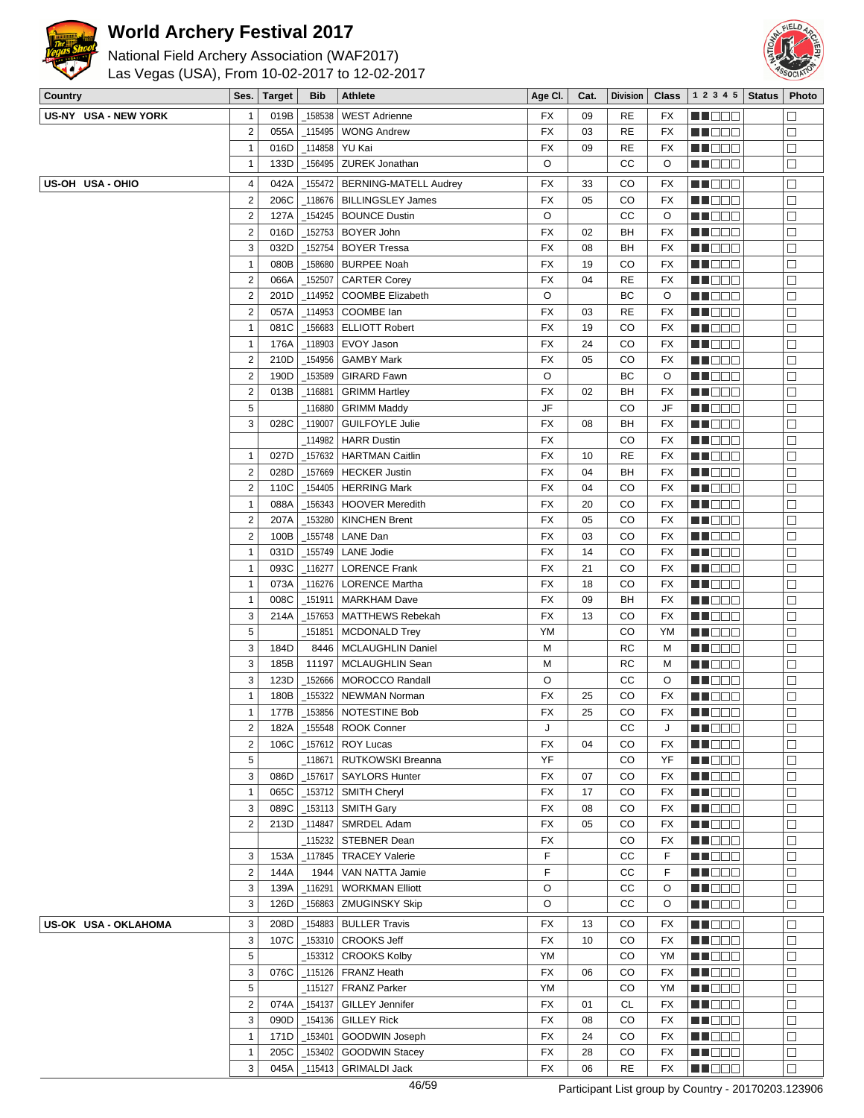



| Country              |                                  | Ses.   Target | Bib                | Athlete                                 | Age Cl.   | Cat.     | Division    | <b>Class</b> | $\vert$ 1 2 3 4 5   Status   Photo |                   |
|----------------------|----------------------------------|---------------|--------------------|-----------------------------------------|-----------|----------|-------------|--------------|------------------------------------|-------------------|
| US-NY USA - NEW YORK | $\mathbf{1}$                     | 019B          | 158538             | <b>WEST Adrienne</b>                    | FX        | 09       | <b>RE</b>   | FX           | MU DE O                            | $\Box$            |
|                      | $\overline{2}$                   | 055A          | _115495            | <b>WONG Andrew</b>                      | FX        | 03       | <b>RE</b>   | FX           | M DOO                              | $\Box$            |
|                      | $\mathbf{1}$                     | 016D          | _114858            | YU Kai                                  | FX        | 09       | <b>RE</b>   | FX           | MN O O O                           | $\Box$            |
|                      | $\mathbf{1}$                     | 133D          | _156495            | ZUREK Jonathan                          | O         |          | CC          | O            | <b>REDDE</b>                       | $\Box$            |
| US-OH USA-OHIO       | 4                                | 042A          | 155472             | BERNING-MATELL Audrey                   | FX        | 33       | CO          | FX           | MN DOO                             | $\Box$            |
|                      | $\overline{c}$                   | 206C          | 118676             | <b>BILLINGSLEY James</b>                | FX        | 05       | CO          | <b>FX</b>    | MA DE E                            | $\Box$            |
|                      | $\overline{c}$                   | 127A          | 154245_            | <b>BOUNCE Dustin</b>                    | O         |          | cc          | O            | MA DO O                            | $\Box$            |
|                      | $\overline{\mathbf{c}}$          | 016D          | _152753            | BOYER John                              | FX        | 02       | BH          | <b>FX</b>    | <b>REDDE</b>                       | $\Box$            |
|                      | 3                                | 032D          | 152754             | <b>BOYER Tressa</b>                     | <b>FX</b> | 08       | BH          | FX           | MN DO O                            | $\Box$            |
|                      | $\mathbf{1}$                     | 080B          | _158680            | <b>BURPEE Noah</b>                      | FX        | 19       | CO          | FX           | MOO O                              | $\Box$            |
|                      | $\overline{2}$                   |               |                    |                                         | FX        | 04       | <b>RE</b>   | FX           |                                    | $\Box$            |
|                      | $\overline{\mathbf{c}}$          | 066A<br>201D  | _152507            | <b>CARTER Corey</b>                     | O         |          | BC          | O            | <u>LI DEC</u><br><b>MA</b> OOO     | $\Box$            |
|                      | $\mathbf 2$                      |               | _114952            | <b>COOMBE Elizabeth</b>                 | FX        | 03       | <b>RE</b>   |              |                                    | $\Box$            |
|                      | $\mathbf{1}$                     | 057A<br>081C  | _114953<br>_156683 | COOMBE lan<br><b>ELLIOTT Robert</b>     | FX        | 19       | CO          | FX           | MN 888                             |                   |
|                      |                                  |               |                    |                                         |           |          |             | FX           | MA DE C                            | $\Box$<br>$\Box$  |
|                      | $\mathbf{1}$<br>$\overline{2}$   | 176A          | 118903             | EVOY Jason                              | FX        | 24<br>05 | CO          | FX           | ME DE C                            |                   |
|                      |                                  | 210D          | _154956            | <b>GAMBY Mark</b><br><b>GIRARD Fawn</b> | FX<br>O   |          | CO          | FX           | MU DO B                            | $\Box$            |
|                      | $\overline{2}$<br>$\overline{c}$ | 190D          | _153589            |                                         |           | 02       | BC          | O            | MN DOO                             | $\Box$            |
|                      |                                  | 013B          | $-116881$          | <b>GRIMM Hartley</b>                    | FX        |          | BH          | FX           | MN 88                              | $\Box$            |
|                      | 5                                |               | _116880            | <b>GRIMM Maddy</b>                      | JF        |          | CO          | JF           | MOO O                              | $\Box$            |
|                      | 3                                | 028C          | _119007            | <b>GUILFOYLE Julie</b>                  | FX        | 08       | BH          | FX           | MU O O O                           | $\Box$            |
|                      |                                  |               | 114982             | <b>HARR Dustin</b>                      | FX        |          | CO          | FX           | MU O O O                           | $\Box$            |
|                      | $\mathbf{1}$                     | 027D          | _157632            | <b>HARTMAN Caitlin</b>                  | FX        | 10       | <b>RE</b>   | FX           | MN DOO                             | $\Box$            |
|                      | $\mathbf 2$                      | 028D          | 157669             | <b>HECKER Justin</b>                    | <b>FX</b> | 04       | BH          | <b>FX</b>    | M DE S                             | $\Box$            |
|                      | $\overline{2}$                   | 110C          | 154405             | <b>HERRING Mark</b>                     | FX        | 04       | CO          | <b>FX</b>    | <b>MN</b> OOO                      | $\Box$            |
|                      | $\mathbf{1}$                     | 088A          | 156343             | <b>HOOVER Meredith</b>                  | FX        | 20       | CO          | FX           | MU DO B                            | $\Box$            |
|                      | $\overline{\mathbf{c}}$          | 207A          | 153280             | <b>KINCHEN Brent</b>                    | FX        | 05       | CO          | FX           | MN DO O                            | $\Box$            |
|                      | $\overline{c}$                   | 100B          | _155748            | LANE Dan                                | FX        | 03       | CO          | FX           | MOO D                              | $\Box$            |
|                      | $\mathbf{1}$                     | 031D          | 155749             | <b>LANE Jodie</b>                       | FX        | 14       | CO          | FX           | MA DE E                            | $\Box$            |
|                      | $\mathbf{1}$                     | 093C          | _116277            | <b>LORENCE Frank</b>                    | FX        | 21       | CO          | FX           | MU O O O                           | $\Box$            |
|                      | $\mathbf{1}$                     | 073A          | _116276            | <b>LORENCE Martha</b>                   | FX        | 18       | CO          | FX           | MN 888                             | $\Box$            |
|                      | $\mathbf{1}$                     | 008C          | _151911            | <b>MARKHAM Dave</b>                     | FX        | 09       | BH          | FX           | MOO O                              | $\Box$            |
|                      | 3                                | 214A          | 157653             | <b>MATTHEWS Rebekah</b>                 | <b>FX</b> | 13       | CO          | FX           | MOO D                              | $\Box$            |
|                      | 5                                |               | _151851            | <b>MCDONALD Trey</b>                    | YM        |          | CO          | YM           | M DO B                             | $\Box$            |
|                      | 3                                | 184D          | 8446               | <b>MCLAUGHLIN Daniel</b>                | М         |          | <b>RC</b>   | М            | MN 888                             | $\Box$            |
|                      | 3                                | 185B          | 11197              | MCLAUGHLIN Sean                         | М         |          | <b>RC</b>   | M            | MN 88                              | $\Box$            |
|                      | 3                                | 123D          | 152666             | <b>MOROCCO Randall</b>                  | O         |          | CC          | O            | <b>NNODO</b>                       | $\Box$            |
|                      | $\mathbf{1}$                     | 180B          | 155322             | <b>NEWMAN Norman</b>                    | FX        | 25       | CO          | FX           | MU O O O                           | $\Box$            |
|                      | $\mathbf{1}$                     | 177B          | _153856            | NOTESTINE Bob                           | FX        | 25       | CO          | FX           | MN 888                             | $\Box$            |
|                      | 2                                | 182A          |                    | $-155548$ ROOK Conner                   | J         |          | $_{\rm CC}$ | J            | <b>HOOD</b>                        | $\overline{\Box}$ |
|                      | $\mathbf 2$                      | 106C          | 157612             | ROY Lucas                               | FX        | 04       | CO          | FX           | MOO O                              | $\Box$            |
|                      | 5                                |               | _118671            | RUTKOWSKI Breanna                       | YF        |          | CO          | YF           | MU O O O                           | $\Box$            |
|                      | 3                                | 086D          | _157617            | <b>SAYLORS Hunter</b>                   | FX        | 07       | CO          | FX           | MU OO O                            | $\Box$            |
|                      | $\mathbf{1}$                     | 065C          | _153712            | <b>SMITH Cheryl</b>                     | FX        | 17       | CO          | FX           | MU DO B                            | $\Box$            |
|                      | 3                                | 089C          | _153113            | <b>SMITH Gary</b>                       | FX        | 08       | CO          | FX           | <b>MEDDE</b>                       | П                 |
|                      | $\overline{2}$                   | 213D          | 114847             | SMRDEL Adam                             | FX        | 05       | CO          | FX           | MU DO D                            | $\Box$            |
|                      |                                  |               | 115232             | <b>STEBNER Dean</b>                     | FX        |          | CO          | FX           | <b>MNODO</b>                       | $\Box$            |
|                      | 3                                | 153A          | _117845            | <b>TRACEY Valerie</b>                   | F         |          | CС          | F            | <b>MEDDD</b>                       | $\Box$            |
|                      | $\overline{\mathbf{c}}$          | 144A          | 1944               | VAN NATTA Jamie                         | F         |          | cc          | F            | <b>MARGO</b>                       | $\Box$            |
|                      | 3                                | 139A          | 116291             | <b>WORKMAN Elliott</b>                  | O         |          | cc          | O            | <b>MUDD</b>                        | $\Box$            |
|                      | 3                                | 126D          | _156863            | <b>ZMUGINSKY Skip</b>                   | O         |          | CC          | O            | MD 88                              | $\Box$            |
| US-OK USA - OKLAHOMA | 3                                | 208D          | 154883             | <b>BULLER Travis</b>                    | FX        | 13       | CO          | FX           | <b>NNODO</b>                       | $\Box$            |
|                      | 3                                | 107C          | _153310            | <b>CROOKS Jeff</b>                      | FX        | 10       | CO          | FX           | W OO D                             | $\Box$            |
|                      | 5                                |               | _153312            | <b>CROOKS Kolby</b>                     | YM        |          | CO          | YM           | <b>MUDDO</b>                       | $\Box$            |
|                      | 3                                | 076C          | _115126            | FRANZ Heath                             | <b>FX</b> | 06       | CO          | FX           | <b>MARGO</b>                       | $\Box$            |
|                      | 5                                |               | _115127            | FRANZ Parker                            | YM        |          | CO          | YM           | <b>MNO</b> OO                      | $\Box$            |
|                      | $\overline{2}$                   | 074A          | _154137            | <b>GILLEY Jennifer</b>                  | FX        | 01       | СL          | FX           | <b>RECOD</b>                       | $\Box$            |
|                      | 3                                | 090D          | _154136            | <b>GILLEY Rick</b>                      | FX        | 08       | CO          | FX           | <u>ma ce</u>                       | $\Box$            |
|                      | $\mathbf{1}$                     | 171D          | _153401            | GOODWIN Joseph                          | FX        | 24       | CO          | FX           | <b>REDDE</b>                       | $\Box$            |
|                      | $\mathbf{1}$                     | 205C          | 153402             | <b>GOODWIN Stacey</b>                   | FX        | 28       | CO          | FX           | <b>NNOOC</b>                       | $\Box$            |
|                      | 3                                | 045A          | _115413            | <b>GRIMALDI Jack</b>                    | FX        | 06       | <b>RE</b>   | FX           | <b>BEDDE</b>                       | $\Box$            |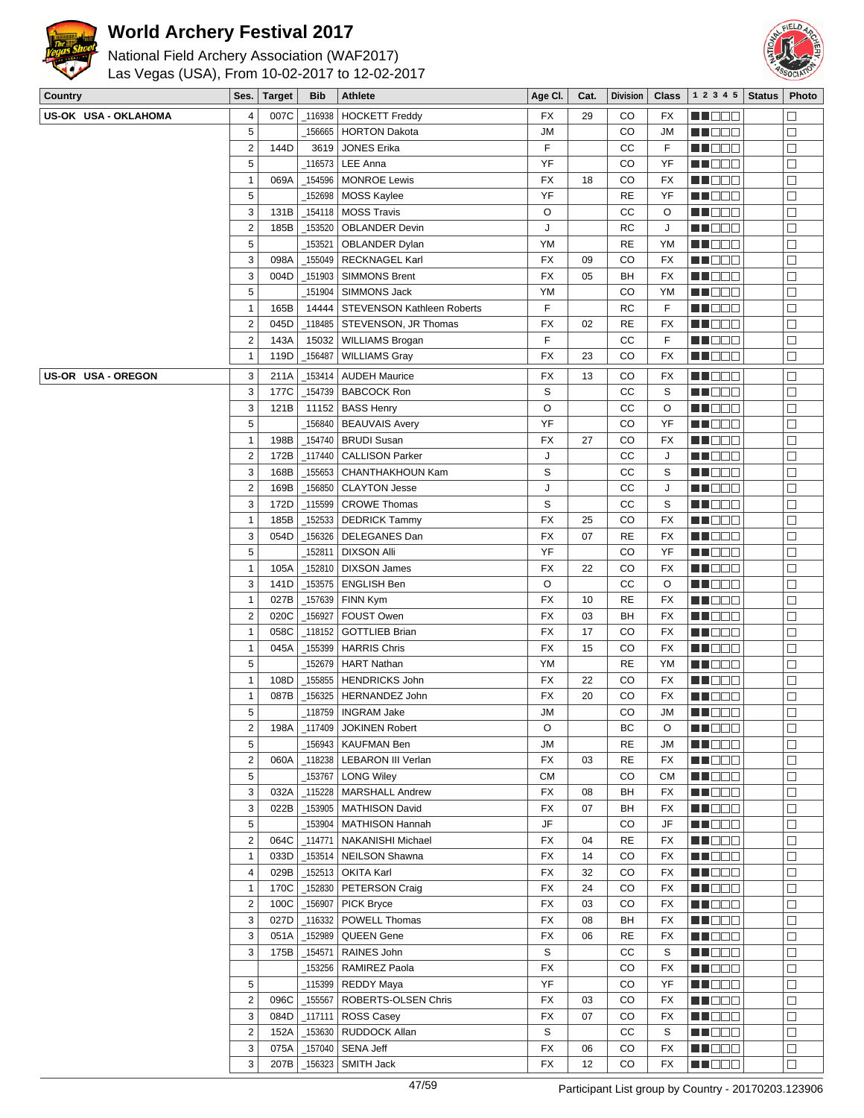



| Country              | Ses.                      | <b>Target</b> | <b>Bib</b> | Athlete                                        | Age CI.                 | Cat. | <b>Division</b> | Class     | 1 2 3 4 5          | <b>Status</b> | Photo       |
|----------------------|---------------------------|---------------|------------|------------------------------------------------|-------------------------|------|-----------------|-----------|--------------------|---------------|-------------|
| US-OK USA - OKLAHOMA | 4                         | 007C          | 116938     | <b>HOCKETT Freddy</b>                          | FX                      | 29   | CO              | FX        | MA DE C            |               | Τ           |
|                      | 5                         |               | 156665     | <b>HORTON Dakota</b>                           | <b>JM</b>               |      | CO              | JM        | M OO S             |               | $\Box$      |
|                      | 2                         | 144D          | 3619       | <b>JONES Erika</b>                             | F                       |      | CC              | F         | MU DO O            |               | $\Box$      |
|                      | 5                         |               | _116573    | LEE Anna                                       | YF                      |      | CO              | YF        | <u> Hees</u>       |               | $\Box$      |
|                      | $\mathbf{1}$              | 069A          | _154596    | <b>MONROE Lewis</b>                            | FX                      | 18   | CO              | <b>FX</b> | ME DE S            |               | $\Box$      |
|                      | 5                         |               | 152698     | <b>MOSS Kaylee</b>                             | YF                      |      | <b>RE</b>       | YF        | MU DO 3            |               | $\Box$      |
|                      | 3                         | 131B          | $\_154118$ | <b>MOSS Travis</b>                             | O                       |      | cc              | O         | MU DO O            |               | □           |
|                      | $\sqrt{2}$                | 185B          |            | _153520   OBLANDER Devin                       | J                       |      | <b>RC</b>       | J         | n de e             |               | $\Box$      |
|                      | 5                         |               | 153521     | OBLANDER Dylan                                 | YM                      |      | <b>RE</b>       | YM        | ME DE S            |               | $\Box$      |
|                      | 3                         | 098A          | 155049     | <b>RECKNAGEL Karl</b>                          | FX                      | 09   | CO              | FX        | M DE O             |               | □           |
|                      | 3                         | 004D          | _151903    | <b>SIMMONS Brent</b>                           | FX                      | 05   | BH              | FX        | M OO O             |               | □           |
|                      | 5                         |               |            | _151904 SIMMONS Jack                           | YM                      |      | CO              | YM        | M OO O             |               | $\Box$      |
|                      | $\mathbf{1}$              | 165B          |            | 14444   STEVENSON Kathleen Roberts             | F                       |      | <b>RC</b>       | F         | <u>Li i Biblio</u> |               | $\Box$      |
|                      | $\sqrt{2}$                | 045D          | _118485    | STEVENSON, JR Thomas                           | FX                      | 02   | <b>RE</b>       | <b>FX</b> | ME DE S            |               | $\Box$      |
|                      | $\sqrt{2}$                | 143A          | 15032      | WILLIAMS Brogan                                | F                       |      | cc              | F         | <u> HOOS</u>       |               | $\Box$      |
|                      | $\mathbf{1}$              | 119D          | _156487    | <b>WILLIAMS Gray</b>                           | FX                      | 23   | CO              | <b>FX</b> | M D D D            |               | $\Box$      |
| US-OR USA - OREGON   | 3                         | 211A          | _153414    | <b>AUDEH Maurice</b>                           | FX                      | 13   | CO              | FX        | MUO OO             |               | $\Box$      |
|                      | 3                         | 177C          | _154739    | <b>BABCOCK Ron</b>                             | S                       |      | CC              | S         | MN OO B            |               | $\Box$      |
|                      | 3                         | 121B          |            | 11152   BASS Henry                             | O                       |      | CC              | O         | <u>en de la</u>    |               | $\Box$      |
|                      | 5                         |               |            | 156840   BEAUVAIS Avery                        | YF                      |      | CO              | YF        | MI DE E            |               | $\Box$      |
|                      | $\mathbf{1}$              | 198B          |            | _154740   BRUDI Susan                          | FX                      | 27   | CO              | <b>FX</b> | MU OO B            |               | □           |
|                      | $\sqrt{2}$                | 172B          | 117440     | <b>CALLISON Parker</b>                         | J                       |      | CC              | J         | MN 888             |               | $\Box$      |
|                      | 3                         | 168B          | 155653     | <b>CHANTHAKHOUN Kam</b>                        | S                       |      | CC              | S         | MA BER             |               | $\Box$      |
|                      | $\sqrt{2}$                | 169B          | $\_156850$ | <b>CLAYTON Jesse</b>                           | J                       |      | cc              | J         | MU O O O           |               | $\Box$      |
|                      | 3                         | 172D          | _115599    | <b>CROWE Thomas</b>                            | S                       |      | cc              | S         | M DOO              |               | $\Box$      |
|                      | $\mathbf{1}$              | 185B          | _152533    | <b>DEDRICK Tammy</b>                           | FX                      | 25   | CO              | <b>FX</b> | MU DO O            |               | □           |
|                      | 3                         | 054D          | 156326     | DELEGANES Dan                                  | FX                      | 07   | <b>RE</b>       | FX        | ME DE E            |               | $\Box$      |
|                      | 5                         |               | 152811     | <b>DIXSON Alli</b>                             | YF                      |      | CO              | YF        | <u> Hees</u>       |               | $\Box$      |
|                      | $\mathbf{1}$              | 105A          | _152810    | <b>DIXSON James</b>                            | FX                      | 22   | CO              | FX        | MU OO B            |               | □           |
|                      | 3                         | 141D          | $\_153575$ | <b>ENGLISH Ben</b>                             | O                       |      | cc              | O         | MN OO B            |               | □           |
|                      | $\mathbf{1}$              | 027B          | _157639    | FINN Kym                                       | FX                      | 10   | <b>RE</b>       | FX        | MO DO              |               | $\Box$      |
|                      | $\boldsymbol{2}$          | 020C          | 156927     | FOUST Owen                                     | FX                      | 03   | BH              | <b>FX</b> | MU DO O            |               | $\Box$      |
|                      | $\mathbf{1}$              | 058C          | 118152     | <b>GOTTLIEB Brian</b>                          | FX                      | 17   | CO              | FX        | MU O O O           |               | □           |
|                      | $\mathbf{1}$              | 045A          | _155399    | <b>HARRIS Chris</b>                            | FX                      | 15   | CO              | FX        | NN OOO             |               | $\Box$      |
|                      | 5                         |               | 152679     | <b>HART Nathan</b>                             | YM                      |      | <b>RE</b>       | YM        | MA DEL             |               | $\Box$      |
|                      | 1                         | 108D          | 155855     | <b>HENDRICKS John</b>                          | FX                      | 22   | CO              | FX        | ME DE S            |               | $\Box$      |
|                      | $\mathbf{1}$              | 087B          | 156325     | HERNANDEZ John                                 | FX                      | 20   | CO              | FX        | MI DE E            |               | $\Box$      |
|                      | 5                         |               |            | 118759   INGRAM Jake                           | <b>JM</b>               |      | <b>CO</b>       | JМ        | MN 888             |               | □           |
|                      | $\overline{2}$            | 198A          | _117409    | <b>JOKINEN Robert</b>                          | O                       |      | BC              | O         | M DE S             |               | $\Box$      |
|                      | $\sqrt{5}$                |               |            | _156943   KAUFMAN Ben                          | <b>JM</b>               |      | <b>RE</b>       | <b>JM</b> | M DE B             |               | $\Box$      |
|                      | $\boldsymbol{2}$<br>5     | 060A          |            | _118238   LEBARON III Verlan                   | <b>FX</b><br>${\sf CM}$ | 03   | <b>RE</b><br>CO | FX        | MH BEE<br>MA ME    |               | $\Box$      |
|                      |                           | 032A          | $\_153767$ | <b>LONG Wiley</b><br>_115228   MARSHALL Andrew |                         | 08   |                 | CM        |                    |               | $\Box$      |
|                      | 3<br>3                    | 022B          |            | _153905   MATHISON David                       | FX<br>FX                | 07   | BH<br>BH        | FX<br>FX  | MH BEE<br>M DE E   |               | □<br>$\Box$ |
|                      | 5                         |               | _153904    | <b>MATHISON Hannah</b>                         | JF                      |      | CO              | JF        | M DOO              |               | $\Box$      |
|                      | $\overline{2}$            | 064C          | $-114771$  | NAKANISHI Michael                              | FX                      | 04   | RE              | FX        | MU OOO             |               | $\Box$      |
|                      | $\mathbf{1}$              | 033D          |            | _153514 NEILSON Shawna                         | <b>FX</b>               | 14   | CO              | FX        | MU DO U            |               | □           |
|                      | 4                         | 029B          |            | _152513   OKITA Karl                           | <b>FX</b>               | 32   | CO              | FX        | <b>MNODO</b>       |               | $\Box$      |
|                      | $\mathbf{1}$              | 170C          |            | _152830 PETERSON Craig                         | FX                      | 24   | CO              | FX        | <b>NNODO</b>       |               | $\Box$      |
|                      | $\overline{\mathbf{c}}$   | 100C          | _156907    | <b>PICK Bryce</b>                              | FX                      | 03   | CO              | FX        | <b>RECOR</b>       |               | □           |
|                      | 3                         | 027D          | $\_116332$ | POWELL Thomas                                  | FX                      | 08   | BH              | FX        | MU O O O           |               | □           |
|                      | 3                         | 051A          |            | $\_152989$ QUEEN Gene                          | FX                      | 06   | <b>RE</b>       | FX        | MN DOO             |               | $\Box$      |
|                      | 3                         | 175B          | _154571    | RAINES John                                    | S                       |      | CC              | S         | M DE S             |               | $\Box$      |
|                      |                           |               | _153256    | RAMIREZ Paola                                  | FX                      |      | CO              | FX        | MU DO B            |               | $\Box$      |
|                      | 5                         |               | _115399    | REDDY Maya                                     | YF                      |      | CO              | YF        | MU O O O           |               | $\Box$      |
|                      | $\overline{2}$            | 096C          | _155567    | ROBERTS-OLSEN Chris                            | <b>FX</b>               | 03   | CO              | FX        | <b>REDDE</b>       |               | $\Box$      |
|                      | 3                         | 084D          |            | $_1$ 117111   ROSS Casey                       | FX                      | 07   | CO              | FX        | M DE S             |               | $\Box$      |
|                      | $\overline{2}$            | 152A          |            | _153630   RUDDOCK Allan                        | S                       |      | $_{\rm CC}$     | S         | <b>MNODO</b>       |               | $\Box$      |
|                      | $\ensuremath{\mathsf{3}}$ | 075A          | _157040    | SENA Jeff                                      | <b>FX</b>               | 06   | CO              | FX        | MU OO O            |               | $\Box$      |
|                      | 3                         | 207B          |            | $\_156323$ SMITH Jack                          | FX                      | 12   | CO              | <b>FX</b> | <b>HEDDD</b>       |               | $\Box$      |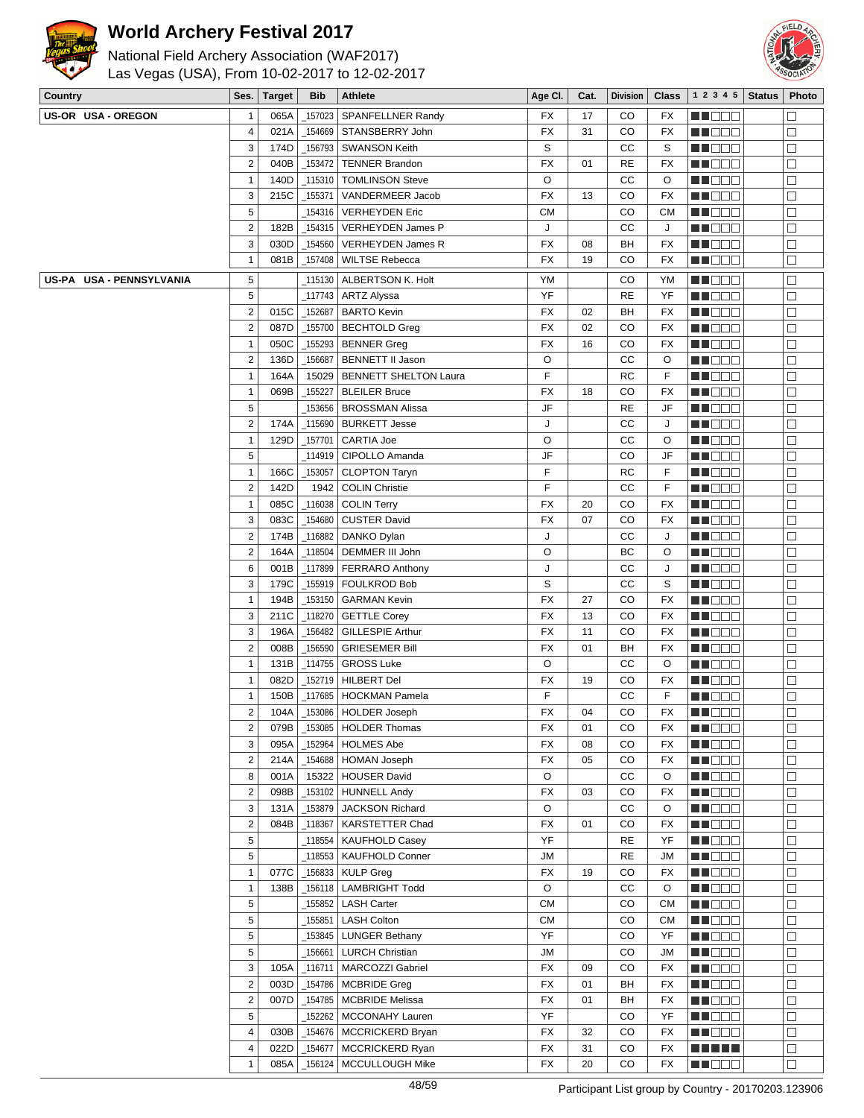



| Country                  | Ses.                | <b>Target</b> | <b>Bib</b> | Athlete                                       | Age CI.    | Cat.     | <b>Division</b> | <b>Class</b> | 1 2 3 4 5            | <b>Status</b> | Photo            |
|--------------------------|---------------------|---------------|------------|-----------------------------------------------|------------|----------|-----------------|--------------|----------------------|---------------|------------------|
| US-OR USA-OREGON         | $\mathbf{1}$        | 065A          | 157023     | SPANFELLNER Randy                             | FX         | 17       | CO              | FX           | e de la co           |               | $\Box$           |
|                          | $\overline{4}$      | 021A          | 154669     | STANSBERRY John                               | <b>FX</b>  | 31       | CO              | <b>FX</b>    | MU O O O             |               | $\Box$           |
|                          | 3                   | 174D          | 156793     | <b>SWANSON Keith</b>                          | S          |          | СC              | S            | MN OO B              |               | $\Box$           |
|                          | $\overline{2}$      | 040B          | 153472     | <b>TENNER Brandon</b>                         | <b>FX</b>  | 01       | RE              | FX           | n i Biblio           |               | $\Box$           |
|                          | $\mathbf{1}$        | 140D          | _115310    | <b>TOMLINSON Steve</b>                        | O          |          | СC              | O            | <b>MNOOO</b>         |               | $\Box$           |
|                          | 3                   | 215C          | _155371    | VANDERMEER Jacob                              | <b>FX</b>  | 13       | CO              | FX           | MU O O O             |               | $\Box$           |
|                          | 5                   |               | _154316    | <b>VERHEYDEN Eric</b>                         | CМ         |          | CO              | <b>CM</b>    | NN O O O             |               | $\Box$           |
|                          | $\overline{2}$      | 182B          | 154315     | VERHEYDEN James P                             | J          |          | CC              | J            | NN OOO               |               | $\Box$           |
|                          | 3                   | 030D          | _154560    | <b>VERHEYDEN James R</b>                      | <b>FX</b>  | 08       | BH              | FX           | e de la co           |               | $\Box$           |
|                          | $\mathbf{1}$        | 081B          | $-157408$  | <b>WILTSE Rebecca</b>                         | <b>FX</b>  | 19       | CO              | FX           | MU DE S              |               | $\Box$           |
| US-PA USA - PENNSYLVANIA | 5                   |               | _115130    | ALBERTSON K. Holt                             | YM         |          | CO              | YM           | MA DE E              |               | $\Box$           |
|                          | 5                   |               | _117743    | <b>ARTZ Alyssa</b>                            | YF         |          | <b>RE</b>       | YF           | MU DO B              |               | $\Box$           |
|                          | $\overline{2}$      | 015C          | _152687    | <b>BARTO Kevin</b>                            | FX         | 02       | BH              | FX           | NN O O O             |               | $\Box$           |
|                          | $\overline{2}$      | 087D          | $\_155700$ | <b>BECHTOLD Greg</b>                          | <b>FX</b>  | 02       | CO              | FX           | NN DE B              |               | $\Box$           |
|                          | $\mathbf{1}$        | 050C          |            | _155293   BENNER Greg                         | <b>FX</b>  | 16       | CO              | FX           | <u> Hose</u>         |               | $\Box$           |
|                          | $\overline{2}$      | 136D          | 156687     | <b>BENNETT II Jason</b>                       | O          |          | СC              | O            | ME DE S              |               | $\Box$           |
|                          | $\mathbf{1}$        | 164A          | 15029      | <b>BENNETT SHELTON Laura</b>                  | F          |          | <b>RC</b>       | F            | M HOO W              |               | $\Box$           |
|                          | $\mathbf{1}$        | 069B          | _155227    | <b>BLEILER Bruce</b>                          | <b>FX</b>  | 18       | CO              | <b>FX</b>    | M DOO                |               | $\Box$           |
|                          | 5                   |               | 153656     | <b>BROSSMAN Alissa</b>                        | JF         |          | <b>RE</b>       | JF           | N N D D D            |               | $\Box$           |
|                          | $\overline{2}$      | 174A          | 115690     | <b>BURKETT Jesse</b>                          | J          |          | CC              | J            | MA MER               |               | $\Box$           |
|                          | $\mathbf{1}$        | 129D          | _157701    | <b>CARTIA Joe</b>                             | O          |          | СC              | O            | MU DO B              |               | $\Box$           |
|                          | 5                   |               |            | CIPOLLO Amanda                                | JF         |          | CO              | JF           | en de la p           |               | $\Box$           |
|                          | $\mathbf{1}$        | 166C          | 153057     | <b>CLOPTON Taryn</b>                          | F          |          | <b>RC</b>       | F            | MU DEL               |               | $\Box$           |
|                          | $\overline{2}$      | 142D          | 1942       | <b>COLIN Christie</b>                         | F          |          | СC              | F            | n i Biblio           |               | $\Box$           |
|                          | $\mathbf{1}$        | 085C          | $-116038$  | <b>COLIN Terry</b>                            | <b>FX</b>  | 20       | CO              | FX           | MU O O O             |               | $\Box$           |
|                          | 3                   | 083C          | 154680     | <b>CUSTER David</b>                           | <b>FX</b>  | 07       | CO              | FX           | M D D D              |               | $\Box$           |
|                          | $\overline{2}$      | 174B          | 116882     | DANKO Dylan                                   | J          |          | CC              | J            | e de la co           |               | $\Box$           |
|                          | $\overline{2}$      | 164A          | _118504    | DEMMER III John                               | O          |          | BC              | O            | MA DE S              |               | $\Box$           |
|                          | 6                   | 001B          | 117899     | <b>FERRARO Anthony</b>                        | J          |          | CC              | J            | MU O O O             |               | $\Box$           |
|                          | 3                   | 179C          | _155919    | <b>FOULKROD Bob</b>                           | S          |          | CC              | S            | MNO OO               |               | $\Box$           |
|                          | $\mathbf{1}$        | 194B          | _153150    | <b>GARMAN Kevin</b>                           | <b>FX</b>  | 27       | CO              | <b>FX</b>    | en de la c           |               | $\Box$           |
|                          | 3                   | 211C          | $-118270$  | <b>GETTLE Corey</b>                           | <b>FX</b>  | 13       | CO              | FX           | <u> Hose</u>         |               | $\Box$           |
|                          | 3                   | 196A          | _156482    | <b>GILLESPIE Arthur</b>                       | <b>FX</b>  | 11       | CO              | <b>FX</b>    | MA DE E              |               | $\Box$           |
|                          | $\overline{2}$      | 008B          | 156590     | <b>GRIESEMER Bill</b>                         | <b>FX</b>  | 01       | BH              | FX           | MN DO B              |               | $\Box$           |
|                          | $\mathbf{1}$        | 131B          | _114755    | <b>GROSS Luke</b>                             | O          |          | СC              | O            | NN DE S              |               | $\Box$           |
|                          | $\mathbf 1$         | 082D          |            | _152719   HILBERT Del                         | FX         | 19       | CO              | <b>FX</b>    | N DE S               |               | $\Box$           |
|                          | $\mathbf 1$         | 150B          |            | _117685   HOCKMAN Pamela                      | F          |          | CC              | F            | <b>REDDE</b>         |               | $\Box$           |
|                          | $\overline{c}$      | 104A          |            | 153086 HOLDER Joseph                          | FX         | 04       | CO              | FX           | MN 888               |               | $\Box$           |
|                          | $\overline{2}$      | 079B          |            | _153085   HOLDER Thomas                       | FX         | 01       | CO              | FX           | MN 88                |               | $\Box$           |
|                          | 3                   | 095A          | 152964     | <b>HOLMES Abe</b>                             | FX         | 08       | CO              | FX           | <u>Ma diba</u>       |               | $\Box$           |
|                          | $\sqrt{2}$          | 214A          |            | _154688   HOMAN Joseph                        | FX         | 05       | CO              | FX           | MUDEO                |               | $\Box$           |
|                          | 8                   | 001A          |            | 15322 HOUSER David                            | O          |          | cc              | O            | MU DO B              |               | □                |
|                          | $\overline{2}$      | 098B          |            | _153102   HUNNELL Andy                        | <b>FX</b>  | 03       | CO              | FX           | MU DE B              |               | $\Box$           |
|                          | 3                   | 131A          | _153879    | <b>JACKSON Richard</b>                        | O          |          | cc              | O            | ME E E E             |               | $\Box$           |
|                          | $\overline{2}$      | 084B          | $\_118367$ | <b>KARSTETTER Chad</b>                        | <b>FX</b>  | 01       | CO              | FX           | <b>HEDDD</b>         |               | $\Box$           |
|                          | $\sqrt{5}$          |               |            | _118554   KAUFHOLD Casey                      | YF         |          | <b>RE</b>       | YF           | <b>HE</b> OOO        |               | $\Box$           |
|                          | 5                   |               |            | 118553   KAUFHOLD Conner                      | <b>JM</b>  |          | <b>RE</b>       | <b>JM</b>    | MNO OO               |               | $\Box$           |
|                          | $\mathbf{1}$        | 077C          | $-156833$  | <b>KULP Greg</b>                              | FX         | 19       | CO              | FX           | <b>HE</b> OOO        |               | $\Box$           |
|                          | $\mathbf{1}$        | 138B          |            | 156118   LAMBRIGHT Todd                       | O          |          | CC              | O            | <u>Ma dina</u>       |               | $\Box$           |
|                          | 5                   |               |            | 155852   LASH Carter                          | СM         |          | CO              | <b>CM</b>    | MU O O O             |               | $\Box$           |
|                          | 5                   |               |            | 155851   LASH Colton                          | ${\sf CM}$ |          | CO              | <b>CM</b>    | MU DO D              |               | $\Box$           |
|                          | 5                   |               |            | 153845   LUNGER Bethany                       | YF         |          | CO              | YF           | MN 888               |               | $\Box$           |
|                          | 5                   |               |            | 156661   LURCH Christian                      | <b>JM</b>  |          | CO              | JM           | ME SER               |               | $\Box$           |
|                          | 3                   | 105A          |            | _116711   MARCOZZI Gabriel                    | FX         | 09       | CO              | FX           | <b>MADOO</b>         |               | $\Box$           |
|                          | $\sqrt{2}$          | 003D          |            | $\_154786$ MCBRIDE Greg                       | FX         | 01       | BH              | FX           | <b>MA</b> OOO        |               | $\Box$           |
|                          | $\sqrt{2}$          | 007D          |            | _154785   MCBRIDE Melissa                     | FX         | 01       | BH              | FX           | MU DO B              |               | $\Box$           |
|                          | 5                   |               |            | 152262   MCCONAHY Lauren                      | YF         |          | CO              | YF           | MO O O               |               | $\Box$           |
|                          | $\overline{4}$<br>4 | 030B<br>022D  | _154677    | _154676   MCCRICKERD Bryan<br>MCCRICKERD Ryan | FX<br>FX   | 32       | CO<br>CO        | FX           | MU DE S<br>E E E E E |               | □                |
|                          | $\mathbf{1}$        | 085A          |            | _156124   MCCULLOUGH Mike                     | FX         | 31<br>20 | CO              | FX<br>FX     | <b>MADDE</b>         |               | $\Box$<br>$\Box$ |
|                          |                     |               |            |                                               |            |          |                 |              |                      |               |                  |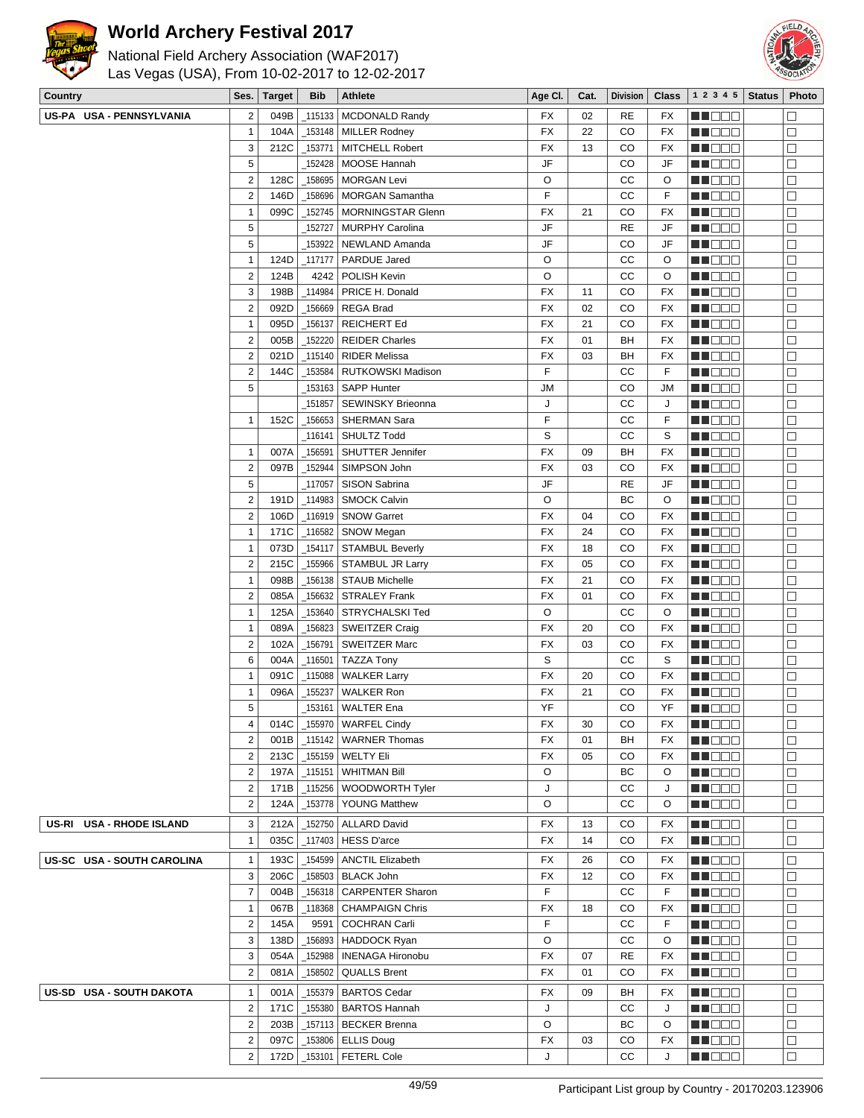



| Country                    | Ses.                                               | <b>Target</b> | <b>Bib</b>             | <b>Athlete</b>                                          | Age CI.   | Cat.     | <b>Division</b> | <b>Class</b> | 1 2 3 4 5              | <b>Status</b> | Photo       |
|----------------------------|----------------------------------------------------|---------------|------------------------|---------------------------------------------------------|-----------|----------|-----------------|--------------|------------------------|---------------|-------------|
| US-PA USA - PENNSYLVANIA   | $\overline{\mathbf{c}}$                            | 049B          | $-115133$              | <b>MCDONALD Randy</b>                                   | FX        | 02       | <b>RE</b>       | FX           | MA DE L                |               | $\Box$      |
|                            | $\mathbf{1}$                                       | 104A          | $-153148$              | <b>MILLER Rodney</b>                                    | FX        | 22       | CO              | <b>FX</b>    | MUOOO                  |               | $\Box$      |
|                            | 3                                                  | 212C          | $-153771$              | <b>MITCHELL Robert</b>                                  | <b>FX</b> | 13       | CO              | FX           | MU DO O                |               | $\Box$      |
|                            | 5                                                  |               | _152428                | MOOSE Hannah                                            | JF        |          | CO              | JF           | MO DO O                |               | $\Box$      |
|                            | $\mathbf 2$                                        | 128C          | 158695                 | <b>MORGAN Levi</b>                                      | O         |          | СC              | O            | MA DE L                |               | $\Box$      |
|                            | $\overline{\mathbf{c}}$                            | 146D          | 158696                 | <b>MORGAN Samantha</b>                                  | F         |          | СC              | F            | M DE O                 |               | □           |
|                            | $\mathbf{1}$                                       | 099C          | _152745                | <b>MORNINGSTAR Glenn</b>                                | FX        | 21       | CO              | FX           | M DO O                 |               | $\Box$      |
|                            | 5                                                  |               | 152727                 | <b>MURPHY Carolina</b>                                  | JF        |          | <b>RE</b>       | JF           | MA DE L                |               | $\Box$      |
|                            | 5                                                  |               | 153922                 | NEWLAND Amanda                                          | JF        |          | CO              | JF           | M DE B                 |               | $\Box$      |
|                            | $\mathbf{1}$                                       | 124D          | $-117177$              | <b>PARDUE Jared</b>                                     | O         |          | cc              | O            | MU DO U                |               | □           |
|                            | $\overline{\mathbf{c}}$                            | 124B          | 4242                   | POLISH Kevin                                            | O         |          | СC              | O            | MU DEL                 |               | □           |
|                            | 3                                                  | 198B          | _114984                | PRICE H. Donald                                         | <b>FX</b> | 11       | CO              | <b>FX</b>    | MA DE L                |               | $\Box$      |
|                            | $\overline{c}$                                     | 092D          | 156669                 | <b>REGA Brad</b>                                        | <b>FX</b> | 02       | CO              | FX           | M DEE                  |               | $\Box$      |
|                            | $\mathbf{1}$                                       | 095D          | _156137                | <b>REICHERT Ed</b>                                      | <b>FX</b> | 21       | CO              | FX           | M DE O                 |               | $\Box$      |
|                            | $\overline{\mathbf{c}}$                            | 005B          | 152220                 | <b>REIDER Charles</b>                                   | <b>FX</b> | 01       | BH              | FX           | MN DE U                |               | $\Box$      |
|                            | $\overline{2}$                                     | 021D          | $\_115140$             | <b>RIDER Melissa</b>                                    | <b>FX</b> | 03       | BH              | FX           | M D D D                |               | $\Box$      |
|                            | $\mathbf 2$                                        | 144C          | _153584                | RUTKOWSKI Madison                                       | F         |          | СC              | F            | ME DE L                |               | $\Box$      |
|                            | 5                                                  |               | _153163                | <b>SAPP Hunter</b>                                      | JM        |          | CO              | JM           | MA DE S                |               | □           |
|                            |                                                    |               | _151857                | <b>SEWINSKY Brieonna</b>                                | J         |          | СC              | J            | MU DO B                |               | □           |
|                            | $\mathbf{1}$                                       | 152C          | _156653                | SHERMAN Sara                                            | F         |          | СC              | F            | <b>REDDE</b>           |               | □           |
|                            |                                                    |               | _116141                | <b>SHULTZ Todd</b>                                      | S         |          | СC              | S            | <b>HE</b> OOO          |               | $\Box$      |
|                            | 1                                                  | 007A          | $-156591$              | <b>SHUTTER Jennifer</b>                                 | <b>FX</b> | 09       | BH              | <b>FX</b>    | MU DO B                |               | $\Box$      |
|                            | $\mathbf 2$                                        | 097B          | _152944                | SIMPSON John                                            | <b>FX</b> | 03       | CO              | FX           | M DO O                 |               | $\Box$      |
|                            | 5                                                  |               | 117057                 | <b>SISON Sabrina</b>                                    | JF        |          | <b>RE</b>       | JF           | M DO O                 |               | $\Box$      |
|                            | $\overline{2}$                                     | 191D          | $-114983$              | <b>SMOCK Calvin</b>                                     | O         |          | BC              | O            | MA DE L                |               | $\Box$      |
|                            | $\mathbf 2$                                        | 106D          | _116919                | <b>SNOW Garret</b>                                      | FX        | 04       | CO              | FX           | MA DE L                |               | $\Box$      |
|                            | $\mathbf{1}$                                       | 171C          | $-116582$              | SNOW Megan                                              | <b>FX</b> | 24       | CO              | <b>FX</b>    | MU DO O                |               | □           |
|                            | $\mathbf{1}$                                       | 073D          | $-154117$              | <b>STAMBUL Beverly</b>                                  | FX        | 18       | CO              | FX           | M DO O                 |               | $\Box$      |
|                            | $\overline{\mathbf{c}}$                            | 215C          | _155966                | <b>STAMBUL JR Larry</b>                                 | <b>FX</b> | 05       | CO              | FX           | MU DO O                |               | □           |
|                            | $\mathbf{1}$                                       | 098B          | _156138                | <b>STAUB Michelle</b>                                   | FX        | 21       | CO              | FX           | <u> Literatu</u>       |               | $\Box$      |
|                            | $\overline{c}$                                     | 085A          | _156632                | <b>STRALEY Frank</b>                                    | <b>FX</b> | 01       | CO              | FX           | MU DO B                |               | $\Box$      |
|                            | $\mathbf{1}$                                       | 125A          | _153640                | STRYCHALSKI Ted                                         | O         |          | cc              | O            | M OO O                 |               | $\Box$      |
|                            | 1                                                  | 089A          | 156823                 | <b>SWEITZER Craig</b>                                   | <b>FX</b> | 20       | CO              | FX           | M D D D                |               | $\Box$      |
|                            | $\overline{c}$                                     | 102A          | 156791                 | <b>SWEITZER Marc</b>                                    | <b>FX</b> | 03       | CO              | <b>FX</b>    | ME DE L                |               | $\Box$      |
|                            | 6                                                  | 004A          |                        |                                                         | S         |          | СC              | S            | n i Biblio             |               | □           |
|                            | 1                                                  | 091C          | $\_116501$<br>115088   | <b>TAZZA Tony</b>                                       | FX        | 20       | CO              | <b>FX</b>    | MU DO B                |               | □           |
|                            | $\mathbf{1}$                                       | 096A          | $-155237$              | <b>WALKER Larry</b>                                     | FX        | 21       | CO              |              |                        |               |             |
|                            | 5                                                  |               |                        | <b>WALKER Ron</b>                                       | YF        |          |                 | FX           | M DO D<br><b>MNOOO</b> |               | $\Box$      |
|                            |                                                    |               | _153161                | <b>WALTER Ena</b>                                       |           |          | CO              | YF           |                        |               | $\Box$      |
|                            | 4<br>$\overline{2}$                                |               |                        | 014C   _155970   WARFEL Cindy                           | FX<br>FX  | 30<br>01 | CO<br>BH        | FХ<br>FX     | <u> Liberal de la </u> |               | ப<br>□      |
|                            |                                                    |               |                        | 001B   _115142   WARNER Thomas                          | <b>FX</b> | 05       | CO              |              | WO OO U                |               |             |
|                            | $\overline{\mathbf{c}}$<br>$\overline{\mathbf{c}}$ |               |                        | 213C   155159   WELTY Eli<br>$\_$ 115151   WHITMAN Bill | O         |          | ВC              | FX           | <u> Literatu</u>       |               | □           |
|                            |                                                    | 197A          |                        |                                                         | J         |          |                 | $\circ$      | N NO DEI               |               | $\Box$<br>□ |
|                            | $\overline{\mathbf{c}}$<br>$\boldsymbol{2}$        | 171B<br>124A  | $-115256$<br>$-153778$ | WOODWORTH Tyler<br><b>YOUNG Matthew</b>                 | O         |          | СC<br>СC        | J<br>O       | <b>MNOOO</b>           |               | □           |
|                            |                                                    |               |                        |                                                         |           |          |                 |              | W OOO                  |               |             |
| US-RI USA - RHODE ISLAND   | 3                                                  | 212A          |                        | _152750   ALLARD David                                  | FX        | 13       | CO              | FX           | MUOOO                  |               | □           |
|                            | $\mathbf{1}$                                       | 035C          |                        | $_1$ 117403   HESS D'arce                               | FX        | 14       | CO              | FX           | MU DE B                |               | □           |
| US-SC USA - SOUTH CAROLINA | $\mathbf{1}$                                       | 193C          | 154599                 | <b>ANCTIL Elizabeth</b>                                 | FX        | 26       | CO              | FX           | <b>MNOOO</b>           |               | $\Box$      |
|                            | 3                                                  | 206C          | _158503                | <b>BLACK John</b>                                       | FX        | 12       | CO              | FX           | WO OO U                |               | □           |
|                            | $\overline{7}$                                     | 004B          | $-156318$              | <b>CARPENTER Sharon</b>                                 | F         |          | СC              | F            | <b>REDDO</b>           |               | □           |
|                            | $\mathbf{1}$                                       | 067B          |                        | _118368   CHAMPAIGN Chris                               | FX        | 18       | CO              | FX           | N NO DEI               |               | $\Box$      |
|                            | $\overline{\mathbf{c}}$                            | 145A          | 9591                   | <b>COCHRAN Carli</b>                                    | F         |          | СC              | F            | <b>MUDDO</b>           |               | □           |
|                            | 3                                                  | 138D          | _156893                | HADDOCK Ryan                                            | O         |          | СC              | $\circ$      | MU DO B                |               | □           |
|                            | 3                                                  | 054A          | _152988                | <b>INENAGA Hironobu</b>                                 | FX        | 07       | <b>RE</b>       | FX           | NN O O O               |               | □           |
|                            | $\overline{2}$                                     | 081A          | $-158502$              | <b>QUALLS Brent</b>                                     | <b>FX</b> | 01       | CO              | FX           | <b>REDDO</b>           |               | $\Box$      |
| US-SD USA - SOUTH DAKOTA   | $\mathbf{1}$                                       | 001A          | $-155379$              | <b>BARTOS Cedar</b>                                     | FX        | 09       | BH              | FX           | NN O O O               |               | $\Box$      |
|                            | $\overline{2}$                                     | 171C          | _155380                | <b>BARTOS Hannah</b>                                    | J         |          | CС              | J            | MO DO O                |               | $\Box$      |
|                            | $\overline{2}$                                     | 203B          |                        | $_1$ 157113   BECKER Brenna                             | O         |          | BС              | O            | <b>MNOOO</b>           |               | □           |
|                            | $\overline{\mathbf{c}}$                            | 097C          |                        | $-153806$ ELLIS Doug                                    | FX        | 03       | CO              | FX           | MUO OO                 |               | □           |
|                            | $\overline{2}$                                     |               |                        | 172D   153101   FETERL Cole                             | J         |          | cc              | J            | MUOOO                  |               | П           |
|                            |                                                    |               |                        |                                                         |           |          |                 |              |                        |               |             |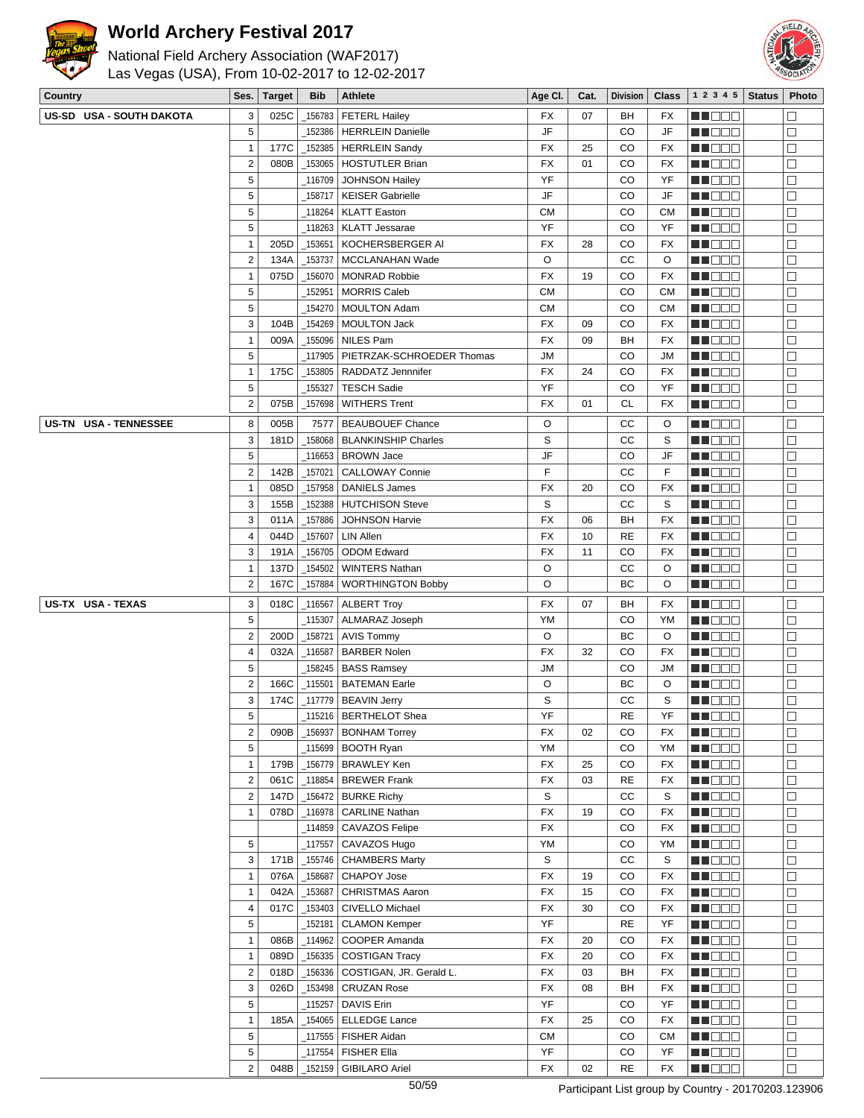



| <b>Legacy</b><br>National Field Archery Association (WAF2017) |                |             | Las Vegas (USA), From 10-02-2017 to 12-02-2017 |                                 |           |      |                 |              |                    | 全意<br>SOCIA |       |  |  |  |  |
|---------------------------------------------------------------|----------------|-------------|------------------------------------------------|---------------------------------|-----------|------|-----------------|--------------|--------------------|-------------|-------|--|--|--|--|
| Country                                                       |                | Ses. Target | <b>Bib</b>                                     | Athlete                         | Age CI.   | Cat. | <b>Division</b> | <b>Class</b> | $1 2 3 4 5$ Status |             | Photo |  |  |  |  |
| US-SD USA - SOUTH DAKOTA                                      | 3              |             |                                                | 025C   156783   FETERL Hailey   | <b>FX</b> | 07   | <b>BH</b>       | <b>FX</b>    | n in Film          |             |       |  |  |  |  |
|                                                               | 5              |             |                                                | 152386 HERRLEIN Danielle        | JF        |      | CO              | JF           | n in Eise          |             |       |  |  |  |  |
|                                                               |                |             |                                                | 177C   152385   HERRLEIN Sandy  | <b>FX</b> | 25   | <sub>CO</sub>   | <b>FX</b>    | MA DE E            |             |       |  |  |  |  |
|                                                               | $\overline{2}$ |             |                                                | 080B   153065   HOSTUTLER Brian | <b>FX</b> | 01   | CO              | <b>FX</b>    | n na n             |             |       |  |  |  |  |
|                                                               | 5              |             |                                                | 116709 JOHNSON Hailey           | YF        |      | CO              | YF           | ma mata            |             |       |  |  |  |  |
|                                                               | 5              |             |                                                | 158717   KEISER Gabrielle       | JF        |      | CO              | JF           | ma man             |             |       |  |  |  |  |
|                                                               | 5              |             |                                                | 118264 KLATT Easton             | <b>CM</b> |      | CO              | <b>CM</b>    | MA DE E            |             |       |  |  |  |  |
|                                                               | 5              |             |                                                | 118263   KLATT Jessarae         | YF        |      | CO              | YF           | man man            |             |       |  |  |  |  |
|                                                               |                |             |                                                |                                 | - - -     |      | --              | - - -        | _____              |             |       |  |  |  |  |

|                       | $\overline{2}$          | 080B |           | _153065   HOSTUTLER Brian                         | FX              | 01 | CO        | FX              | ME DE E           | $\Box$      |
|-----------------------|-------------------------|------|-----------|---------------------------------------------------|-----------------|----|-----------|-----------------|-------------------|-------------|
|                       | 5                       |      |           | 116709 JOHNSON Hailey                             | YF              |    | CO        | YF              | MA DE S           | $\Box$      |
|                       | 5                       |      |           | 158717   KEISER Gabrielle                         | JF              |    | CO        | JF              | ME 88             | □           |
|                       | $\mathbf 5$             |      |           | 118264   KLATT Easton                             | <b>CM</b>       |    | CO        | СM              | MU DE L           | $\Box$      |
|                       | 5                       |      |           | _118263   KLATT Jessarae                          | YF              |    | CO        | YF              | MI DE LI          | $\Box$      |
|                       | $\mathbf{1}$            | 205D | $-153651$ | KOCHERSBERGER AI                                  | FX              | 28 | CO        | FX              | <b>NN</b> OOO     | $\Box$      |
|                       | $\overline{2}$          | 134A | _153737   | MCCLANAHAN Wade                                   | O               |    | СC        | O               | MU OO U           | $\Box$      |
|                       | 1                       | 075D | _156070   | <b>MONRAD Robbie</b>                              | FX              | 19 | CO        | FX              | MU DO B           | $\Box$      |
|                       | $\sqrt{5}$              |      | _152951   | <b>MORRIS Caleb</b>                               | <b>CM</b>       |    | CO        | CМ              | MN 888            | $\Box$      |
|                       | $\sqrt{5}$              |      | _154270   | <b>MOULTON Adam</b>                               | <b>CM</b>       |    | CO        | СM              | <u> Literatu</u>  | □           |
|                       | 3                       | 104B |           | _154269   MOULTON Jack                            | <b>FX</b>       | 09 | CO        | <b>FX</b>       | MU DO B           | $\Box$      |
|                       | $\mathbf{1}$            | 009A |           | _155096   NILES Pam                               | FX              | 09 | BH        | FX              | M O O O           | □           |
|                       | $\sqrt{5}$              |      | _117905   | PIETRZAK-SCHROEDER Thomas                         | JМ              |    | CO        | JM              | <b>MNODO</b>      | $\Box$      |
|                       | $\mathbf{1}$            | 175C | _153805   | RADDATZ Jennnifer                                 | <b>FX</b>       | 24 | CO        | FX              | M DE B            | $\Box$      |
|                       | 5                       |      | _155327   | <b>TESCH Sadie</b>                                | YF              |    | CO        | YF              | M NO W            | $\Box$      |
|                       | $\overline{2}$          | 075B | _157698   | <b>WITHERS Trent</b>                              | FX              | 01 | <b>CL</b> | FX              | MU DO 3           | □           |
| US-TN USA - TENNESSEE | 8                       | 005B | 7577      | <b>BEAUBOUEF Chance</b>                           | O               |    | СC        | O               | MU DO D           | □           |
|                       | 3                       | 181D |           | _158068   BLANKINSHIP Charles                     | S               |    | СC        | S               | MU OO U           | □           |
|                       | $\sqrt{5}$              |      |           | _116653   BROWN Jace                              | JF              |    | CO        | JF              | M NO S            | □           |
|                       | $\sqrt{2}$              | 142B | $-157021$ | <b>CALLOWAY Connie</b>                            | F               |    | CC        | F               | <b>RECODE</b>     | $\Box$      |
|                       | $\mathbf{1}$            | 085D |           | $_1$ 157958 DANIELS James                         | FX              | 20 | CO        | FX              | <b>MNOOO</b>      | □           |
|                       | 3                       | 155B | _152388   | <b>HUTCHISON Steve</b>                            | S               |    | cc        | S               | MU DO B           | □           |
|                       | 3                       | 011A | _157886   | <b>JOHNSON Harvie</b>                             | <b>FX</b>       | 06 | BH        | FX              | MUOOO             | $\Box$      |
|                       | 4                       | 044D | _157607   | <b>LIN Allen</b>                                  | FX              | 10 | <b>RE</b> | FX              | <b>MNODO</b>      | $\Box$      |
|                       | 3                       | 191A |           | _156705   ODOM Edward                             | FX              | 11 | CO        | FX              | <b>MN</b> OOO     | $\Box$      |
|                       | 1                       | 137D | $-154502$ | <b>WINTERS Nathan</b>                             | O               |    | CC        | O               | MU DO B           | □           |
|                       | $\overline{2}$          | 167C |           | _157884   WORTHINGTON Bobby                       | O               |    | BC        | O               | NH DE B           | $\Box$      |
| US-TX USA - TEXAS     | 3                       | 018C |           | $_1$ 16567   ALBERT Troy                          | FX              | 07 | BH        | FX              | <b>MNO</b> OO     | □           |
|                       | 5                       |      |           | _115307 ALMARAZ Joseph                            | YM              |    | CO        | YM              | MNO OO            | □           |
|                       | $\overline{\mathbf{c}}$ | 200D |           | _158721   AVIS Tommy                              | O               |    | BC        | O               | MN 888            | $\Box$      |
|                       | $\overline{4}$          | 032A | $-116587$ | <b>BARBER Nolen</b>                               | <b>FX</b>       | 32 | CO        | FX              | <b>REDDO</b>      | $\Box$      |
|                       | 5                       |      |           | _158245   BASS Ramsey                             | JМ              |    | CO        | JM              | MU DE L           | $\Box$      |
|                       | $\overline{2}$          | 166C |           | $_1$ 115501   BATEMAN Earle                       | O               |    | BC        | O               | MU DE L           | □           |
|                       | 3                       | 174C |           | $_1$ 117779   BEAVIN Jerry                        | S               |    | cc        | S               | MU DO D           | $\Box$      |
|                       | $\sqrt{5}$              |      |           | _115216   BERTHELOT Shea                          | YF              |    | <b>RE</b> | YF              | <b>MN</b> OOO     | $\Box$      |
|                       | $\boldsymbol{2}$        | 090B | _156937   | <b>BONHAM Torrey</b>                              | FX              | 02 | CO        | FX              | MU DO S           | $\Box$      |
|                       | 5                       |      |           | _115699   BOOTH Ryan                              | YM              |    | CO        | YM              | MN OO B           | □           |
|                       | $\mathbf{1}$            | 179B |           | 156779   BRAWLEY Ken                              | FX              | 25 | CO        | FX              | <b>REDDE</b>      | $\Box$      |
|                       | $\overline{2}$          |      |           | 061C   118854   BREWER Frank                      | FX              | 03 | <b>RE</b> | <b>FX</b>       | MU DE B           | $\Box$      |
|                       | 2                       | 147D |           | $-156472$ BURKE Richy                             | S               |    | СC        | S               | MU O O O          | $\Box$      |
|                       | $\mathbf{1}$            | 078D |           | _116978   CARLINE Nathan                          | <b>FX</b>       | 19 | CO        | FX              | MU DE L           | □           |
|                       |                         |      |           | _114859 CAVAZOS Felipe                            | FX              |    | CO        | FX              | Martin Mar        | □           |
|                       | 5                       |      |           | _117557 CAVAZOS Hugo                              | YM              |    | CO        | YM              | <b>HE</b> OOO     | $\Box$      |
|                       | 3                       | 171B | 155746    | <b>CHAMBERS Marty</b>                             | S               |    | СC        | S               | <b>REDD</b> O     | □           |
|                       | $\mathbf{1}$            | 076A | _158687   | CHAPOY Jose                                       | FX              | 19 | CO        | FX              | MU DO B           | □           |
|                       | $\mathbf{1}$            | 042A | _153687   | CHRISTMAS Aaron                                   | FX              | 15 | CO        | FX              | MU DO D           | $\Box$      |
|                       | 4                       | 017C | $-153403$ | CIVELLO Michael                                   | <b>FX</b>       | 30 | CO        | FX              | MU DO D           | $\Box$      |
|                       | 5                       |      | 152181    | <b>CLAMON Kemper</b>                              | YF              |    | <b>RE</b> | YF              | <b>MN</b> OOO     | □           |
|                       | $\mathbf{1}$            | 086B | 114962    | COOPER Amanda                                     | FX              | 20 | CO        | FX              | MU DO D           | □           |
|                       | $\mathbf{1}$            | 089D |           | _156335   COSTIGAN Tracy                          | FX              | 20 | CO        | FX              | MU DEL            | □           |
|                       | $\overline{\mathbf{c}}$ | 018D | _156336   | COSTIGAN, JR. Gerald L.                           | FX              | 03 | BH        | FX              | <b>RECOR</b>      | $\Box$      |
|                       | 3                       | 026D |           | _153498 CRUZAN Rose                               | FX              | 08 | BH        | FX              | <b>MN</b> OOO     | $\Box$      |
|                       | 5<br>$\mathbf{1}$       |      | $-115257$ | DAVIS Erin                                        | YF              |    | CO        | YF              | MU DO D           | □           |
|                       | 5                       | 185A |           | _154065   ELLEDGE Lance<br>_117555   FISHER Aidan | FX<br><b>CM</b> | 25 | CO<br>CO  | FX<br><b>CM</b> | MNO OB<br>MU DO D | □<br>$\Box$ |
|                       | $\sqrt{5}$              |      |           | _117554   FISHER Ella                             | YF              |    | CO        | YF              | <b>HE</b> OOO     | $\Box$      |
|                       | $\overline{2}$          | 048B |           | $-152159$ GIBILARO Ariel                          | <b>FX</b>       | 02 | <b>RE</b> | FX              | MU DO D           | $\Box$      |
|                       |                         |      |           |                                                   |                 |    |           |                 |                   |             |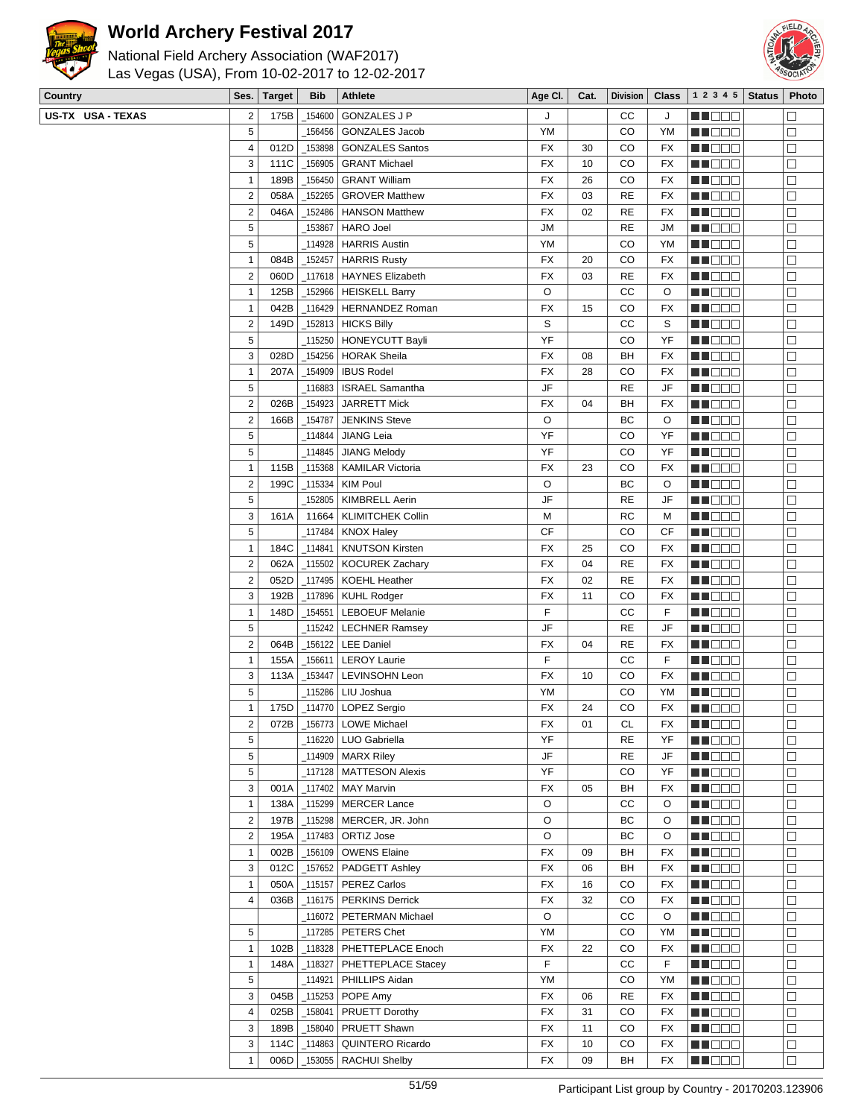

US-TX USA - TEXAS

## **World Archery Festival 2017**



| Country           | Ses.                    | <b>Target</b> | <b>Bib</b> | Athlete                        | Age CI.   | Cat. | Division  |           | Class $\vert$ 1 2 3 4 5   Status | Photo                |
|-------------------|-------------------------|---------------|------------|--------------------------------|-----------|------|-----------|-----------|----------------------------------|----------------------|
| US-TX USA - TEXAS | $\overline{2}$          | 175B          |            | _154600   GONZALES J P         | J         |      | CC        | J         | MA DE EL                         | П                    |
|                   | 5                       |               |            | 156456 GONZALES Jacob          | <b>YM</b> |      | CO        | YM        | MU DO B                          | $\Box$               |
|                   | 4                       | 012D          | _153898    | GONZALES Santos                | FX        | 30   | CO        | FX        | MU DO B                          | $\Box$               |
|                   | 3                       | 111C          | 156905     | GRANT Michael                  | FX        | 10   | CO        | FX        | <b>REDDO</b>                     | $\Box$               |
|                   | $\mathbf{1}$            | 189B          | 156450     | <b>GRANT William</b>           | FX        | 26   | CO        | FX        | <b>MNOOO</b>                     | $\Box$               |
|                   | $\overline{2}$          | 058A          | 152265     | <b>GROVER Matthew</b>          | <b>FX</b> | 03   | <b>RE</b> | FX        | MU DO B                          | $\Box$               |
|                   | $\overline{2}$          | 046A          | 152486     | <b>HANSON Matthew</b>          | FX        | 02   | <b>RE</b> | FX        |                                  | □                    |
|                   | $\sqrt{5}$              |               |            |                                | <b>JM</b> |      | <b>RE</b> |           | MN 888                           |                      |
|                   |                         |               | 153867     | <b>HARO Joel</b>               |           |      |           | JМ        | MN OO O                          | $\Box$               |
|                   | $\sqrt{5}$              |               |            | 114928   HARRIS Austin         | YM        |      | CO        | ΥM        | MU DE E                          | $\Box$               |
|                   | $\mathbf{1}$            | 084B          | _152457    | HARRIS Rusty                   | FX        | 20   | CO        | FX        | MUO OO                           | $\Box$               |
|                   | $\mathbf 2$             | 060D          |            | _117618   HAYNES Elizabeth     | FX        | 03   | <b>RE</b> | FX        | MUO OO                           | $\Box$               |
|                   | $\overline{1}$          | 125B          |            | _152966   HEISKELL Barry       | O         |      | СC        | O         | MU DO O                          | $\Box$               |
|                   | $\overline{1}$          | 042B          |            | _116429   HERNANDEZ Roman      | FX        | 15   | CO        | FX        | <b>REDDO</b>                     | $\Box$               |
|                   | $\overline{2}$          | 149D          |            | $\_$ 152813   HICKS Billy      | S         |      | СC        | S         | MU DO B                          | $\Box$               |
|                   | $\overline{5}$          |               |            | _115250   HONEYCUTT Bayli      | YF        |      | CO        | YF        | MU OOO                           | □                    |
|                   | 3                       | 028D          |            | _154256   HORAK Sheila         | FX        | 08   | BH        | FX        | MN O O O                         | $\Box$               |
|                   | $\overline{1}$          | 207A          | 154909     | <b>IBUS Rodel</b>              | FX        | 28   | CO        | FX        | <b>REDDO</b>                     | $\Box$               |
|                   | $\sqrt{5}$              |               |            | 116883   ISRAEL Samantha       | JF        |      | <b>RE</b> | JF        | MU DO B                          | □                    |
|                   | $\overline{2}$          | 026B          |            | 154923 JARRETT Mick            | FX        | 04   | BH        | FX        | MU OOO                           | □                    |
|                   | $\overline{\mathbf{c}}$ | 166B          | 154787     | <b>JENKINS Steve</b>           | O         |      | ВC        | O         | NN DE S                          | $\Box$               |
|                   | 5                       |               | 114844     | JIANG Leia                     | YF        |      | CO        | YF        | <b>REDDO</b>                     | $\Box$               |
|                   |                         |               |            |                                |           |      |           |           |                                  |                      |
|                   | 5                       |               |            | 114845 JIANG Melody            | YF        |      | CO        | YF        | <b>MNOOO</b>                     | $\Box$               |
|                   | $\mathbf{1}$            | 115B          |            | 115368   KAMILAR Victoria      | FX        | 23   | CO        | FX        | MU DO B                          | □                    |
|                   | $\overline{2}$          | 199C          | _115334    | KIM Poul                       | O         |      | ВC        | O         | <b>REDDE</b>                     | □                    |
|                   | $\sqrt{5}$              |               | 152805     | KIMBRELL Aerin                 | JF        |      | <b>RE</b> | JF        | <b>HE</b> DOO                    | $\Box$               |
|                   | $\sqrt{3}$              | 161A          | 11664      | KLIMITCHEK Collin              | M         |      | RC        | М         | <b>MA</b> DOO                    | $\Box$               |
|                   | $\sqrt{5}$              |               |            | _117484   KNOX Haley           | CF        |      | CO        | CF        | MU DO B                          | □                    |
|                   | $\mathbf{1}$            | 184C          | 114841     | <b>KNUTSON Kirsten</b>         | FX        | 25   | CO        | FX        | <b>RECOR</b>                     | $\Box$               |
|                   | $\overline{2}$          | 062A          |            | _115502   KOCUREK Zachary      | FX        | 04   | <b>RE</b> | FX        | <b>RECOR</b>                     | $\Box$               |
|                   | $\overline{2}$          | 052D          | 117495_    | KOEHL Heather                  | <b>FX</b> | 02   | <b>RE</b> | FX        | ME DE E                          | $\Box$               |
|                   | 3                       | 192B          |            | _117896   KUHL Rodger          | <b>FX</b> | 11   | CO        | FX        | MU DO B                          | $\Box$               |
|                   | $\overline{1}$          | 148D          | 154551     | <b>LEBOEUF Melanie</b>         | F         |      | СC        | F         | MN 888                           | □                    |
|                   | 5                       |               |            |                                | JF        |      | <b>RE</b> | JF        |                                  | $\Box$               |
|                   |                         |               |            | _115242   LECHNER Ramsey       |           |      |           |           | MA DE C                          |                      |
|                   | $\overline{2}$          | 064B          |            | 156122   LEE Daniel            | FX        | 04   | <b>RE</b> | FX        | MA BELE                          | $\Box$               |
|                   | $\overline{1}$          | 155A          | 156611     | <b>LEROY Laurie</b>            | F         |      | CC        | F         | MU DOO                           | $\Box$               |
|                   | $\sqrt{3}$              | 113A          | _153447    | <b>LEVINSOHN Leon</b>          | FX        | 10   | CO        | FX        | MU DO B                          | □                    |
|                   | 5                       |               |            | 115286   LIU Joshua            | YM        |      | CO        | YM        | MA DO O                          | $\Box$               |
|                   | $\mathbf{1}$            | 175D          |            | _114770   LOPEZ Sergio         | FX        | 24   | CO        | FX        | <b>REDDO</b>                     | $\Box$               |
|                   | $\boldsymbol{2}$        |               |            | 072B   156773   LOWE Michael   | FX        | 01   | CL        | <b>FX</b> | <b>RECOD</b>                     | $\overline{\square}$ |
|                   | 5                       |               |            | 116220   LUO Gabriella         | YF        |      | RE        | YF        | MU OOO                           | □                    |
|                   | $\sqrt{5}$              |               |            | _114909   MARX Riley           | JF        |      | RE        | JF        | <b>REDDE</b>                     | □                    |
|                   | $\sqrt{5}$              |               |            | 117128   MATTESON Alexis       | YF        |      | CO        | YF        | MN 888                           | $\Box$               |
|                   | 3                       | 001A          |            | 117402   MAY Marvin            | FX        | 05   | BH        | FX        | <u>Maca</u>                      | $\Box$               |
|                   | $\mathbf{1}$            | 138A          |            | 115299   MERCER Lance          | O         |      | СC        | O         | MU OOO                           | $\Box$               |
|                   | $\overline{2}$          | 197B          |            | 115298   MERCER, JR. John      | O         |      | ВC        | O         | MU DOO                           | $\Box$               |
|                   | $\overline{2}$          | 195A          |            | $\_$ 117483 $\vert$ ORTIZ Jose | O         |      | ВC        | O         | <b>MA</b> OOO                    | $\Box$               |
|                   |                         |               |            | 156109   OWENS Elaine          |           |      |           |           |                                  | $\Box$               |
|                   | $\mathbf{1}$            | 002B          |            |                                | FX        | 09   | BH        | FX        | <b>MEDDE</b>                     |                      |
|                   | 3                       | 012C          |            | _157652 PADGETT Ashley         | FX        | 06   | BH        | FX        | MU OOO                           | $\Box$               |
|                   | $\mathbf{1}$            | 050A          | 115157     | <b>PEREZ Carlos</b>            | FX        | 16   | CO        | FX        | MU DO S                          | $\Box$               |
|                   | 4                       | 036B          |            | _116175   PERKINS Derrick      | FX        | 32   | CO        | FX        | <b>REDDE</b>                     | $\Box$               |
|                   |                         |               |            | _116072   PETERMAN Michael     | O         |      | СC        | O         | <b>MNOOO</b>                     | $\Box$               |
|                   | $\sqrt{5}$              |               |            | $_1$ 117285   PETERS Chet      | YM        |      | CO        | YM        | MU DE S                          | $\Box$               |
|                   | $\mathbf{1}$            | 102B          |            | _118328   PHETTEPLACE Enoch    | FX        | 22   | CO        | FX        | MU DO B                          | $\Box$               |
|                   | $\mathbf{1}$            | 148A          | _118327    | PHETTEPLACE Stacey             | F         |      | СC        | F         | <b>RECOR</b>                     | $\Box$               |
|                   | $\sqrt{5}$              |               | 114921     | PHILLIPS Aidan                 | YM        |      | CO        | YM        | <u>Maca</u>                      | $\Box$               |
|                   | 3                       | 045B          |            | _115253   POPE Amy             | FX        | 06   | RE        | FX        | <u>LL DEC</u>                    | $\Box$               |
|                   | 4                       | 025B          | 158041     | PRUETT Dorothy                 | FX        | 31   | CO        | FX        | MU DO B                          | $\Box$               |
|                   | 3                       | 189B          | _158040    | PRUETT Shawn                   | FX        | 11   | CO        | FX        |                                  | $\Box$               |
|                   |                         |               |            |                                |           |      |           |           | <b>REDDE</b>                     |                      |
|                   | 3                       | 114C          | _114863    | QUINTERO Ricardo               | FX        | 10   | CO        | FX        | <b>REDDO</b>                     | $\Box$               |
|                   | $\mathbf{1}$            | 006D          |            | _153055   RACHUI Shelby        | FX        | 09   | BH        | FX        | <b>HE</b> OOO                    | $\Box$               |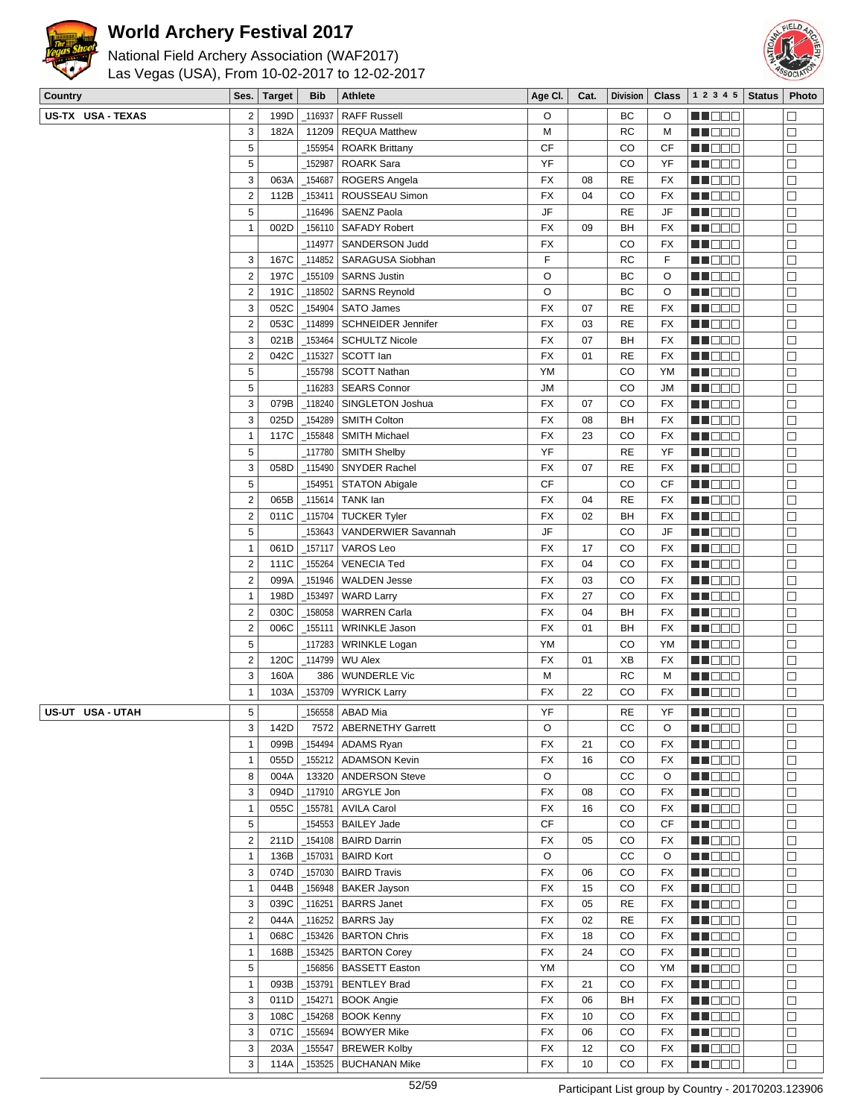



| Country           | Ses.                           | Target       | <b>Bib</b>            | <b>Athlete</b>                                | Age Cl.   | Cat.     | <b>Division</b> | <b>Class</b>    | 1 2 3 4 5           | <b>Status</b> | Photo            |
|-------------------|--------------------------------|--------------|-----------------------|-----------------------------------------------|-----------|----------|-----------------|-----------------|---------------------|---------------|------------------|
| US-TX USA - TEXAS | $\overline{2}$                 | 199D         | 116937                | <b>RAFF Russell</b>                           | O         |          | BC              | O               | MA DE S             |               | $\Box$           |
|                   | 3                              | 182A         | 11209                 | <b>REQUA Matthew</b>                          | М         |          | <b>RC</b>       | M               | MU DO B             |               | □                |
|                   | 5                              |              | _155954               | <b>ROARK Brittany</b>                         | <b>CF</b> |          | CO              | СF              | MU DE B             |               | □                |
|                   | 5                              |              | 152987                | <b>ROARK Sara</b>                             | YF        |          | CO              | YF              | MN 888              |               | $\Box$           |
|                   | 3                              | 063A         | 154687                | ROGERS Angela                                 | FX        | 08       | <b>RE</b>       | <b>FX</b>       | MU DO D             |               | $\Box$           |
|                   | $\overline{2}$                 | 112B         | _153411               | ROUSSEAU Simon                                | <b>FX</b> | 04       | CO              | <b>FX</b>       | MU O O O            |               | □                |
|                   | 5                              |              |                       | _116496   SAENZ Paola                         | JF        |          | <b>RE</b>       | JF              | MU DO D             |               | □                |
|                   | $\mathbf{1}$                   | 002D         |                       | 156110 SAFADY Robert                          | <b>FX</b> | 09       | BH              | FX              | N NO DEI            |               | $\Box$           |
|                   |                                |              |                       | 114977   SANDERSON Judd                       | FX        |          | CO              | FX              | MA DE E             |               | $\Box$           |
|                   | 3                              | 167C         |                       | _114852   SARAGUSA Siobhan                    | F         |          | <b>RC</b>       | F               | M DO D              |               | □                |
|                   | $\overline{2}$                 | 197C         |                       | _155109 SARNS Justin                          | O         |          | BC              | O               | MN DO B             |               | □                |
|                   | $\overline{2}$                 | 191C         | $-118502$             | <b>SARNS Reynold</b>                          | O         |          | BC              | O               | MU DO D             |               | $\Box$           |
|                   | 3                              | 052C         | 154904                | SATO James                                    | <b>FX</b> | 07       | <b>RE</b>       | <b>FX</b>       | ME DE S             |               | $\Box$           |
|                   | $\overline{2}$                 | 053C         |                       | _114899   SCHNEIDER Jennifer                  | <b>FX</b> | 03       | <b>RE</b>       | <b>FX</b>       | MU DO D             |               | $\Box$           |
|                   | 3                              | 021B         | _153464               | <b>SCHULTZ Nicole</b>                         | <b>FX</b> | 07       | BH              | FX              | MUOOO               |               | $\Box$           |
|                   | $\overline{2}$                 | 042C         | $\_$ 115327           | SCOTT lan                                     | <b>FX</b> | 01       | <b>RE</b>       | <b>FX</b>       | <b>REDD</b> O       |               | $\Box$           |
|                   | 5                              |              |                       | 155798   SCOTT Nathan                         | YM        |          | CO              | YM              | N NO DEI            |               | $\Box$           |
|                   | 5                              |              |                       | 116283 SEARS Connor                           | <b>JM</b> |          | CO              | JМ              | MU DO D             |               | $\Box$           |
|                   | 3                              | 079B         | _118240               | SINGLETON Joshua                              | <b>FX</b> | 07       | CO              | FX              | MU DO B             |               | □                |
|                   | 3                              | 025D         | _154289               | <b>SMITH Colton</b>                           | FX        | 08       | BH              | FX              | MU DO O             |               | $\Box$           |
|                   | $\mathbf{1}$                   | 117C         | $\_155848$            | <b>SMITH Michael</b>                          | <b>FX</b> | 23       | CO              | <b>FX</b>       | <b>MA</b> DOO       |               | $\Box$           |
|                   | 5                              |              | 117780                | <b>SMITH Shelby</b>                           | YF        |          | <b>RE</b>       | YF              | MU DO O             |               | $\Box$           |
|                   | 3                              | 058D         | _115490               | <b>SNYDER Rachel</b>                          | FX        | 07       | <b>RE</b>       | FX              | MU DO B             |               | □                |
|                   | 5                              |              | _154951               | <b>STATON Abigale</b>                         | <b>CF</b> |          | CO              | CF              | MN DO B             |               | $\Box$           |
|                   | $\overline{\mathbf{c}}$        | 065B         |                       | _115614   TANK lan                            | <b>FX</b> | 04       | <b>RE</b>       | <b>FX</b>       | MN O O O            |               | $\Box$           |
|                   | $\overline{2}$                 | 011C         |                       | _115704   TUCKER Tyler                        | <b>FX</b> | 02       | BH              | FX              | <b>MA</b> OOO       |               | $\Box$           |
|                   | 5                              |              |                       | 153643   VANDERWIER Savannah                  | JF        |          | CO              | JF              | MU DE S             |               | $\Box$           |
|                   | $\mathbf{1}$                   | 061D         |                       | _157117   VAROS Leo                           | <b>FX</b> | 17       | CO              | FX              | MN DO B             |               | □                |
|                   | $\overline{2}$                 | 111C         | _155264               | <b>VENECIA Ted</b>                            | FX        | 04       | CO              | <b>FX</b>       | MN 888              |               | $\Box$           |
|                   | $\overline{\mathbf{c}}$        | 099A         | 151946                | <b>WALDEN Jesse</b>                           | FX        | 03       | CO              | <b>FX</b>       | <b>HEDDD</b>        |               | $\Box$           |
|                   | $\mathbf{1}$<br>$\overline{2}$ | 198D<br>030C | _153497<br>$\_158058$ | <b>WARD Larry</b><br><b>WARREN Carla</b>      | FX<br>FX  | 27<br>04 | CO<br>BH        | FX<br><b>FX</b> | MU DO D<br>MN DO B  |               | $\Box$           |
|                   | $\overline{2}$                 | 006C         | _155111               | <b>WRINKLE Jason</b>                          | <b>FX</b> | 01       | BH              | <b>FX</b>       | MN 888              |               | $\Box$<br>$\Box$ |
|                   | 5                              |              |                       | _117283 WRINKLE Logan                         | YM        |          | CO              | YM              | <b>MA</b> OOO       |               | $\Box$           |
|                   | $\overline{2}$                 | 120C         |                       | _114799   WU Alex                             | <b>FX</b> | 01       | XB              | FX              | MU DO D             |               | $\Box$           |
|                   | 3                              | 160A         |                       | 386 WUNDERLE Vic                              | М         |          | RC              | м               | MU DO B             |               | $\Box$           |
|                   | $\mathbf{1}$                   | 103A         |                       | _153709   WYRICK Larry                        | <b>FX</b> | 22       | CO              | FX              | MU DO O             |               | $\Box$           |
|                   |                                |              |                       |                                               |           |          |                 |                 |                     |               |                  |
| US-UT USA - UTAH  | 5<br>3                         | 142D         |                       | 156558   ABAD Mia<br>7572   ABERNETHY Garrett | YF<br>O   |          | <b>RE</b><br>CC | YF<br>O         | MA DELL<br>MH DE EI |               | $\Box$<br>$\Box$ |
|                   | $\mathbf{1}$                   | 099B         | 154494                | <b>ADAMS Ryan</b>                             | FX        | 21       | CO              | FX              | MA DO O             |               | $\Box$           |
|                   | $\mathbf{1}$                   | 055D         |                       | _155212   ADAMSON Kevin                       | FX        | 16       | CO              | FX              | <b>HEDDD</b>        |               | $\Box$           |
|                   | 8                              | 004A         |                       | 13320   ANDERSON Steve                        | O         |          | cc              | O               | MU DO B             |               | $\Box$           |
|                   | 3                              | 094D         |                       | _117910   ARGYLE Jon                          | <b>FX</b> | 08       | CO              | FX              | <b>RECOD</b>        |               | $\Box$           |
|                   | $\mathbf{1}$                   | 055C         | _155781               | <b>AVILA Carol</b>                            | FX        | 16       | CO              | FX              | MA DE EL            |               | $\Box$           |
|                   | 5                              |              |                       | _154553   BAILEY Jade                         | СF        |          | CO              | СF              | <b>MA</b> OOO       |               | $\Box$           |
|                   | $\overline{2}$                 | 211D         |                       | _154108   BAIRD Darrin                        | FX        | 05       | CO              | FX              | MU DO B             |               | □                |
|                   | $\mathbf{1}$                   | 136B         |                       | $\_157031$ BAIRD Kort                         | O         |          | cc              | O               | MU DO D             |               | $\Box$           |
|                   | 3                              | 074D         |                       | $\_157030$ BAIRD Travis                       | <b>FX</b> | 06       | $_{\rm CO}$     | FX              | <b>RECOR</b>        |               | $\Box$           |
|                   | $\mathbf{1}$                   | 044B         |                       | _156948   BAKER Jayson                        | FX        | 15       | CO              | FX              | <b>MA</b> OOO       |               | $\Box$           |
|                   | 3                              | 039C         |                       | _116251   BARRS Janet                         | FX        | 05       | <b>RE</b>       | FX              | MU OOO              |               | $\Box$           |
|                   | $\overline{2}$                 | 044A         | $\_116252$            | <b>BARRS Jay</b>                              | FX        | 02       | <b>RE</b>       | FX              | <b>MADDE</b>        |               | □                |
|                   | $\mathbf{1}$                   | 068C         |                       | _153426   BARTON Chris                        | FX        | 18       | CO              | FX              | <b>HE</b> OOO       |               | $\Box$           |
|                   | $\mathbf{1}$                   | 168B         |                       | _153425   BARTON Corey                        | FX        | 24       | CO              | FX              | ME DE E             |               | $\Box$           |
|                   | 5                              |              |                       | 156856   BASSETT Easton                       | YM        |          | CO              | YM              | MUDEO               |               | $\Box$           |
|                   | $\mathbf{1}$                   | 093B         |                       | _153791   BENTLEY Brad                        | FX        | 21       | CO              | FX              | MN O O O            |               | □                |
|                   | 3                              | 011D         | $-154271$             | <b>BOOK Angie</b>                             | FX        | 06       | BH              | FX              | <b>REDDE</b>        |               | $\Box$           |
|                   | 3                              | 108C         |                       | $\_154268$ BOOK Kenny                         | <b>FX</b> | 10       | CO              | FX              | <b>NH</b> OOO       |               | $\Box$           |
|                   | 3                              | 071C         |                       | _155694 BOWYER Mike                           | <b>FX</b> | 06       | CO              | FX              | MUDEO               |               | $\Box$           |
|                   | 3                              | 203A         | _155547               | <b>BREWER Kolby</b>                           | <b>FX</b> | 12       | CO              | FX              | <b>REDDE</b>        |               | $\Box$           |
|                   | 3                              | 114A         |                       | <b>BUCHANAN Mike</b>                          | FX        | 10       | CO              | FX              | <b>REDDE</b>        |               | $\Box$           |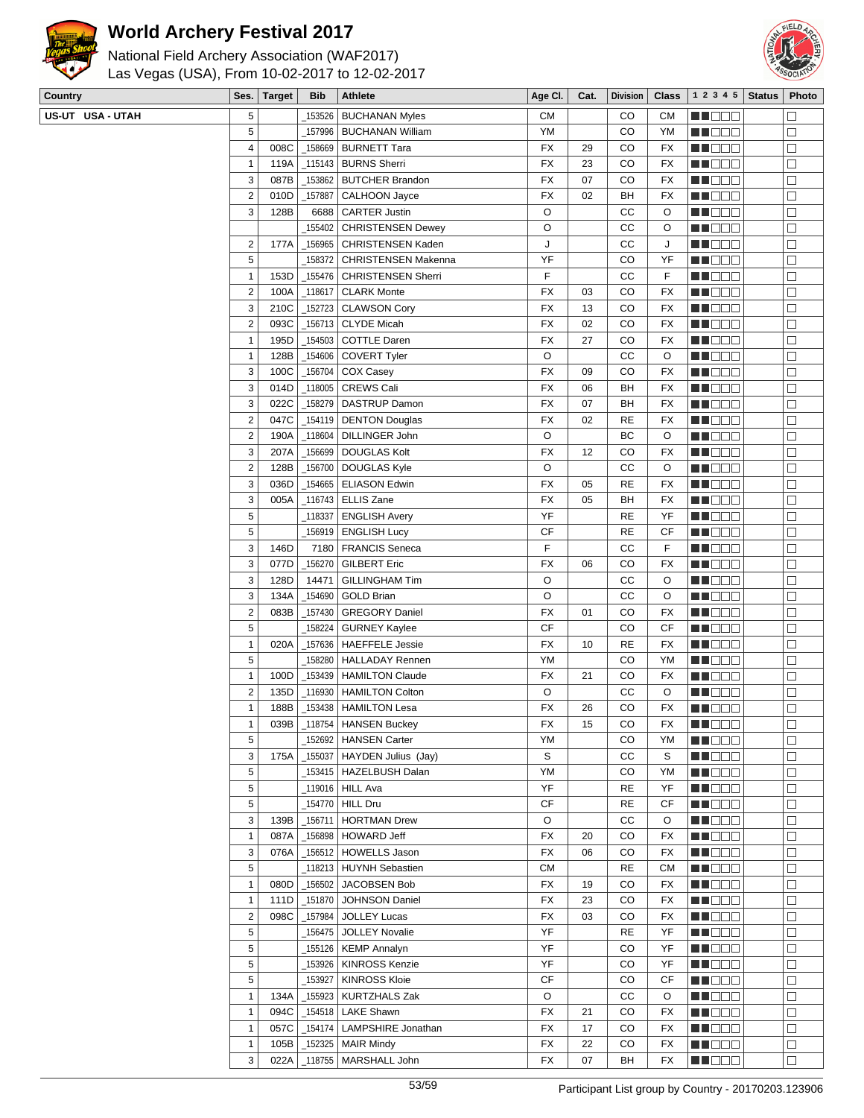

## **World Archery Festival 2017**



| National Field Archery Association (WAF2017)   |  |  |
|------------------------------------------------|--|--|
| Las Vegas (USA), From 10-02-2017 to 12-02-2017 |  |  |
|                                                |  |  |

| Country          | Ses.           | <b>Target</b> | <b>Bib</b> | <b>Athlete</b>                | Age CI.   | Cat. | <b>Division</b> | <b>Class</b> | $1\ 2\ 3\ 4\ 5$ | <b>Status</b> | Photo            |
|------------------|----------------|---------------|------------|-------------------------------|-----------|------|-----------------|--------------|-----------------|---------------|------------------|
| US-UT USA - UTAH | 5              |               | 153526     | <b>BUCHANAN Myles</b>         | <b>CM</b> |      | CO              | CМ           | N NO D O        |               | $\Box$           |
|                  | 5              |               | 157996     | <b>BUCHANAN William</b>       | YM        |      | CO              | YM           | MU DO B         |               | □                |
|                  | $\overline{4}$ | 008C          | _158669    | <b>BURNETT Tara</b>           | FX        | 29   | CO              | FX           | MN OO B         |               | $\Box$           |
|                  | $\mathbf{1}$   | 119A          |            | 115143 BURNS Sherri           | FX        | 23   | CO              | FX           | <u> Helen</u>   |               | $\Box$           |
|                  | 3              | 087B          | _153862    | <b>BUTCHER Brandon</b>        | FX        | 07   | CO              | FX           | <b>MUDDO</b>    |               | $\Box$           |
|                  | $\overline{2}$ | 010D          | 157887     | CALHOON Jayce                 | <b>FX</b> | 02   | BH              | FX           | MU O O O        |               | $\Box$           |
|                  | 3              | 128B          | 6688       | <b>CARTER Justin</b>          | O         |      | СC              | O            | MN DO B         |               | $\Box$           |
|                  |                |               | 155402     | <b>CHRISTENSEN Dewey</b>      | O         |      | СC              | O            | M D D D         |               | $\Box$           |
|                  | $\overline{2}$ | 177A          | 156965     | CHRISTENSEN Kaden             | J         |      | СC              | J            | ma bas          |               | $\Box$           |
|                  | 5              |               | 158372     | <b>CHRISTENSEN Makenna</b>    | YF        |      | CO              | YF           | MU DO O         |               | $\Box$           |
|                  | $\mathbf{1}$   | 153D          | 155476     | <b>CHRISTENSEN Sherri</b>     | F         |      | CC              | F            | MN DO B         |               | □                |
|                  | $\overline{2}$ | 100A          | 118617     | <b>CLARK Monte</b>            | FX        | 03   | CO              | FX           | MN OO O         |               | $\Box$           |
|                  | $\sqrt{3}$     | 210C          | 152723     | CLAWSON Cory                  | <b>FX</b> | 13   | CO              | FX           | <u>Li Bee</u>   |               | □                |
|                  | $\overline{2}$ | 093C          |            | _156713 CLYDE Micah           | FX        | 02   | CO              | FX           | MUDEO           |               | $\Box$           |
|                  | $\mathbf{1}$   | 195D          |            | _154503 COTTLE Daren          | <b>FX</b> | 27   | CO              | FX           | NN O O O        |               | $\Box$           |
|                  | $\overline{1}$ | 128B          | 154606     | <b>COVERT Tyler</b>           | O         |      | СC              | O            | MN OO O         |               | $\Box$           |
|                  | 3              | 100C          | 156704     | COX Casey                     | FX        | 09   | CO              | FX           | MA DE C         |               |                  |
|                  | 3              | 014D          | 118005     | <b>CREWS Cali</b>             | FX        | 06   | BH              |              | MU DO O         |               | $\Box$<br>$\Box$ |
|                  |                |               |            |                               |           |      |                 | FX           |                 |               |                  |
|                  | 3              | 022C          | _158279    | DASTRUP Damon                 | <b>FX</b> | 07   | BH              | FX           | M DOO           |               | □                |
|                  | $\overline{2}$ | 047C          |            | 154119   DENTON Douglas       | FX        | 02   | <b>RE</b>       | FX           | NN DE S         |               | $\Box$           |
|                  | $\overline{2}$ | 190A          | 118604     | DILLINGER John                | O         |      | BC              | O            | <b>HEBBB</b>    |               | $\Box$           |
|                  | $\sqrt{3}$     | 207A          |            | 156699 DOUGLAS Kolt_          | FX        | 12   | CO              | FX           | <u>LI DOO</u>   |               | □                |
|                  | $\overline{2}$ | 128B          |            | _156700   DOUGLAS Kyle        | O         |      | cc              | O            | MU DO B         |               | $\Box$           |
|                  | $\sqrt{3}$     | 036D          |            | _154665 ELIASON Edwin         | <b>FX</b> | 05   | <b>RE</b>       | FX           | NN O O O        |               | $\Box$           |
|                  | 3              | 005A          |            | _116743   ELLIS Zane          | FX        | 05   | BH              | FX           | MU DE B         |               | $\Box$           |
|                  | 5              |               | 118337     | <b>ENGLISH Avery</b>          | YF        |      | <b>RE</b>       | YF           | M DE L          |               | $\Box$           |
|                  | 5              |               | 156919     | <b>ENGLISH Lucy</b>           | CF        |      | <b>RE</b>       | СF           | MU DO B         |               | □                |
|                  | 3              | 146D          | 7180       | <b>FRANCIS Seneca</b>         | F         |      | CС              | F            | NN O O O        |               | □                |
|                  | 3              | 077D          | 156270     | <b>GILBERT Eric</b>           | FX        | 06   | CO              | FX           | N NO D O        |               | $\Box$           |
|                  | $\sqrt{3}$     | 128D          | 14471      | <b>GILLINGHAM Tim</b>         | O         |      | CC              | O            | <b>HEDDD</b>    |               | $\Box$           |
|                  | $\sqrt{3}$     | 134A          | 154690     | <b>GOLD Brian</b>             | O         |      | cc              | O            | MU O O O        |               | □                |
|                  | $\overline{2}$ | 083B          | 157430     | <b>GREGORY Daniel</b>         | <b>FX</b> | 01   | CO              | FX           | NN O O O        |               | □                |
|                  | 5              |               | 158224     | GURNEY Kaylee                 | <b>CF</b> |      | CO              | CF           | NN DE S         |               | $\Box$           |
|                  | $\mathbf{1}$   | 020A          | 157636     | <b>HAEFFELE Jessie</b>        | <b>FX</b> | 10   | <b>RE</b>       | FX           | N NO D O        |               | $\Box$           |
|                  | 5              |               | 158280     | <b>HALLADAY Rennen</b>        | YM        |      | CO              | ΥM           | MU DO B         |               | $\Box$           |
|                  | $\mathbf{1}$   | 100D          | _153439    | HAMILTON Claude               | FX        | 21   | CO              | FX           | MU DO B         |               | □                |
|                  | $\overline{2}$ | 135D          | 116930     | <b>HAMILTON Colton</b>        | O         |      | cc              | O            | NN DE S         |               | $\Box$           |
|                  | $\overline{1}$ | 188B          |            | _153438   HAMILTON Lesa       | FX        | 26   | CO              | FX           | n de B          |               | $\Box$           |
|                  | 1              | 039B          |            | _118754   HANSEN Buckey       | FX        | 15   | CO              | FX           | MU OOO          |               | ⊔                |
|                  | 5              |               |            | _152692   HANSEN Carter       | YM        |      | CO              | ΥM           | MU DO 3         |               | □                |
|                  | 3              | 175A          |            | _155037   HAYDEN Julius (Jay) | S         |      | СC              | S            | MUDOO           |               | □                |
|                  | 5              |               |            | 153415   HAZELBUSH Dalan      | <b>YM</b> |      | CO              | YM           | <b>RECODE</b>   |               | $\Box$           |
|                  | 5              |               |            |                               | YF        |      | <b>RE</b>       | YF           | <b>MNOOO</b>    |               | $\Box$           |
|                  | $\overline{5}$ |               |            | 154770   HILL Dru             | <b>CF</b> |      | RE              | CF           | MU DO O         |               | □                |
|                  | 3              | 139B          | 156711     | <b>HORTMAN Drew</b>           | O         |      | СC              | O            | <b>RECOD</b>    |               | □                |
|                  | $\mathbf{1}$   | 087A          |            | 156898   HOWARD Jeff          | FX        | 20   | CO              | FX           | MN OO B         |               | $\Box$           |
|                  |                |               |            |                               |           |      |                 |              |                 |               |                  |
|                  | 3              | 076A          |            | 156512   HOWELLS Jason        | FX        | 06   | CO              | FX           | MU DE E         |               | $\Box$           |
|                  | $\sqrt{5}$     |               |            | 118213 HUYNH Sebastien        | <b>CM</b> |      | RE              | СM           | MU DO O         |               | $\Box$           |
|                  | $\mathbf{1}$   | 080D          | _156502    | JACOBSEN Bob                  | FX        | 19   | CO              | FX           | MU DEL          |               | □                |
|                  | $\mathbf{1}$   | 111D          | _151870    | <b>JOHNSON Daniel</b>         | FX        | 23   | CO              | FX           | <b>RECOR</b>    |               | $\Box$           |
|                  | $\overline{2}$ | 098C          | _157984    | <b>JOLLEY Lucas</b>           | FX        | 03   | CO              | FX           | <b>MEDDE</b>    |               | $\Box$           |
|                  | 5              |               | _156475    | <b>JOLLEY Novalie</b>         | YF        |      | <b>RE</b>       | YF           | <b>MNODO</b>    |               | $\Box$           |
|                  | 5              |               |            | 155126   KEMP Annalyn         | YF        |      | CO              | YF           | MU DO B         |               | □                |
|                  | $\sqrt{5}$     |               | 153926     | KINROSS Kenzie                | YF        |      | CO              | YF           | <b>REDDE</b>    |               | $\Box$           |
|                  | 5              |               | _153927    | <b>KINROSS Kloie</b>          | CF        |      | CO              | CF           | <b>MADDO</b>    |               | $\Box$           |
|                  | $\mathbf{1}$   | 134A          |            | _155923   KURTZHALS Zak       | O         |      | СC              | O            | MU DO O         |               | $\Box$           |
|                  | $\mathbf{1}$   | 094C          |            | _154518   LAKE Shawn          | FX        | 21   | CO              | FX           | MU DO B         |               | $\Box$           |
|                  | $\mathbf{1}$   | 057C          |            | 154174   LAMPSHIRE Jonathan   | FX        | 17   | CO              | FX           | <b>REDDE</b>    |               | $\Box$           |
|                  | $\mathbf{1}$   | 105B          | 152325     | <b>MAIR Mindy</b>             | FX        | 22   | CO              | FX           | <b>MARGE</b>    |               | □                |
|                  | 3              | 022A          |            | 118755   MARSHALL John        | FX        | 07   | BH              | FX           | MU DE E         |               | □                |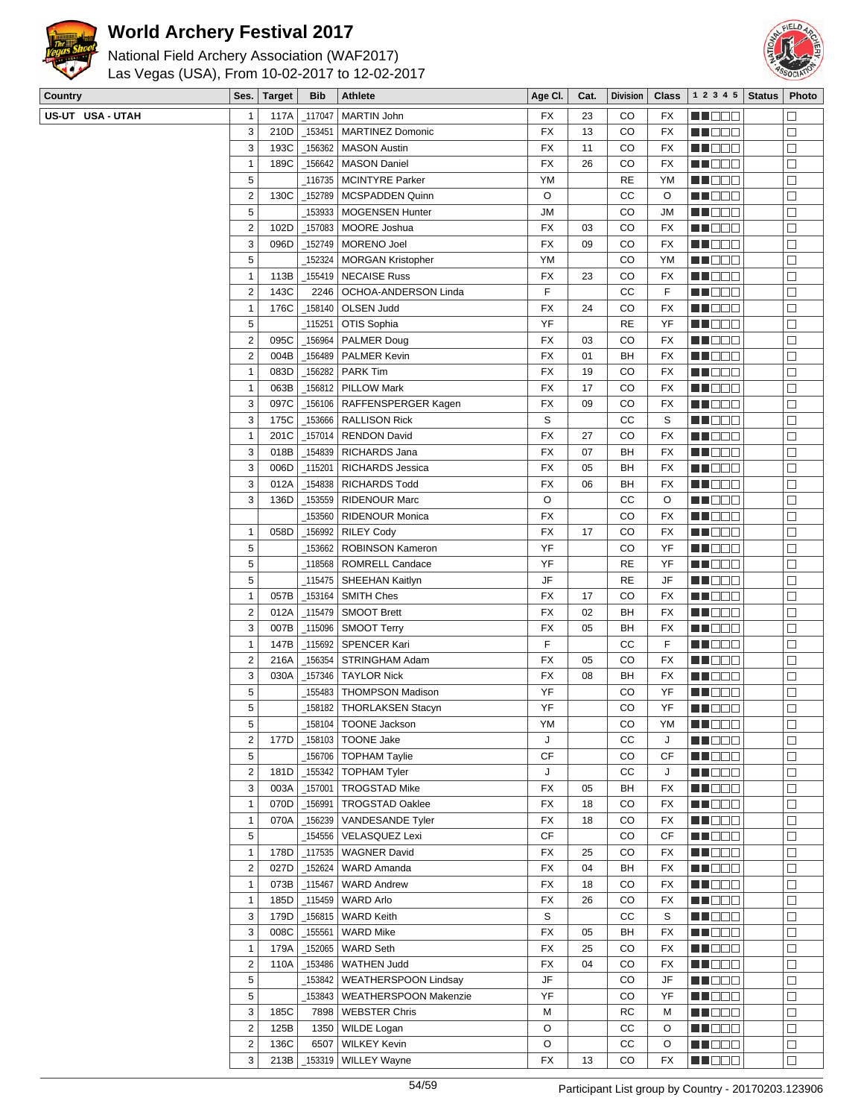



 $\Box$ 

 $\Box$ 

 $\Box$ 

 $\Box$ 

 $\Box$ 

 $\overline{\Box}$ 

 $\overline{\Box}$ 

 $\Box$  $\overline{\square}$ 

 $\Box$ 

 $\Box$ 

 $\Box$ 

 $\Box$  $\boxed{\Box}$ 

 $\Box$  $\overline{\square}$ 

 $\Box$ 

ME OO O

**NNOCO** 

**NNODO** 

**NNDDD** 

**NNOCO** 

**RECOR** 

**NNOCE** 

ME DE S

ME OO O

MI BEL

MU DE S **HEBBB** 

**NNOOO** 

**BECOD** ME DE S

**REDEE** 

**HELLE** 

| Country          | Ses. $ $                | <b>Target</b> | <b>Bib</b> | <b>Athlete</b>              | Age CI.   | Cat. | <b>Division</b> | <b>Class</b> | 1 2 3 4 5         | <b>Status</b> | Photo  |
|------------------|-------------------------|---------------|------------|-----------------------------|-----------|------|-----------------|--------------|-------------------|---------------|--------|
| US-UT USA - UTAH | 1                       | 117A          | 117047     | MARTIN John                 | FX        | 23   | CO              | FX           | MA DE S           |               | $\Box$ |
|                  | 3                       | 210D          | 153451     | <b>MARTINEZ Domonic</b>     | FX        | 13   | CO              | <b>FX</b>    | MU DO B           |               | $\Box$ |
|                  | 3                       | 193C          | _156362    | <b>MASON Austin</b>         | FX        | 11   | CO              | <b>FX</b>    | n i DDD           |               | $\Box$ |
|                  | $\mathbf{1}$            | 189C          | 156642     | <b>MASON Daniel</b>         | FX        | 26   | CO              | FX           | MT DE S           |               | $\Box$ |
|                  | 5                       |               |            | 116735   MCINTYRE Parker    | YM        |      | <b>RE</b>       | YM           | M DE S            |               | $\Box$ |
|                  | $\overline{\mathbf{c}}$ | 130C          | _152789    | MCSPADDEN Quinn             | O         |      | СC              | O            | M DE O            |               | $\Box$ |
|                  | 5                       |               |            | 153933   MOGENSEN Hunter    | JМ        |      | CO              | JM           | M OO E            |               | $\Box$ |
|                  | $\overline{c}$          | 102D          |            | _157083   MOORE Joshua      | FX        | 03   | CO              | FX           | MA DE L           |               | $\Box$ |
|                  | 3                       | 096D          | _152749    | MORENO Joel                 | <b>FX</b> | 09   | CO              | <b>FX</b>    | <b>RECOR</b>      |               | $\Box$ |
|                  | 5                       |               | 152324     | MORGAN Kristopher           | YM        |      | CO              | YM           | <b>HE</b> OOO     |               | $\Box$ |
|                  | $\mathbf{1}$            | 113B          | 155419     | <b>NECAISE Russ</b>         | FX        | 23   | CO              | <b>FX</b>    | MU O O O          |               | $\Box$ |
|                  | $\overline{c}$          | 143C          | 2246       | <b>OCHOA-ANDERSON Linda</b> | F         |      | СC              | F            | MA SE E           |               | $\Box$ |
|                  | 1                       | 176C          |            | _158140   OLSEN Judd        | FX        | 24   | CO              | FX           | e de e            |               | $\Box$ |
|                  | 5                       |               | 115251     | OTIS Sophia                 | YF        |      | <b>RE</b>       | YF           | n i de e          |               | $\Box$ |
|                  | $\overline{c}$          | 095C          | _156964    | <b>PALMER Doug</b>          | FX        | 03   | CO              | FX           | n i Bele          |               | $\Box$ |
|                  | $\mathbf 2$             | 004B          | _156489    | PALMER Kevin                | FX        | 01   | BH              | FX           | MU DEL            |               | $\Box$ |
|                  | $\mathbf{1}$            | 083D          | 156282     | <b>PARK Tim</b>             | FX        | 19   | CO              | FX           | M DE L            |               | $\Box$ |
|                  | $\mathbf{1}$            | 063B          | $-156812$  | <b>PILLOW Mark</b>          | FX        | 17   | CO              | FX           | MU DOO            |               | $\Box$ |
|                  | 3                       | 097C          | _156106    | RAFFENSPERGER Kagen         | <b>FX</b> | 09   | CO              | <b>FX</b>    | MU DO B           |               | $\Box$ |
|                  | 3                       | 175C          | _153666    | <b>RALLISON Rick</b>        | S         |      | СC              | S            | MN DO B           |               | $\Box$ |
|                  | $\mathbf{1}$            | 201C          | _157014    | <b>RENDON David</b>         | FX        | 27   | CO              | FX           | <u> Literatur</u> |               | $\Box$ |
|                  | 3                       | 018B          | _154839    | RICHARDS Jana               | FX        | 07   | BH              | FX           | M DE S            |               | $\Box$ |
|                  | 3                       | 006D          | _115201    | RICHARDS Jessica            | FX        | 05   | BH              | <b>FX</b>    | M DE E            |               | $\Box$ |
|                  | 3                       | 012A          | _154838    | <b>RICHARDS Todd</b>        | FX        | 06   | BH              | FX           | M DO O            |               | $\Box$ |
|                  | 3                       | 136D          | _153559    | <b>RIDENOUR Marc</b>        | O         |      | СC              | O            | MA DE L           |               | $\Box$ |
|                  |                         |               | _153560    | <b>RIDENOUR Monica</b>      | FX        |      | CO              | FX           | MA DE L           |               | $\Box$ |
|                  | 1                       | 058D          | _156992    | <b>RILEY Cody</b>           | <b>FX</b> | 17   | CO              | <b>FX</b>    | <b>NN</b> 888     |               | $\Box$ |
|                  | 5                       |               | 153662     | <b>ROBINSON Kameron</b>     | YF        |      | CO              | YF           | MU DO B           |               | $\Box$ |
|                  | 5                       |               | 118568     | ROMRELL Candace             | YF        |      | <b>RE</b>       | YF           | MN D D D          |               | $\Box$ |
|                  | 5                       |               | _115475    | SHEEHAN Kaitlyn             | JF        |      | <b>RE</b>       | JF           | <u> Literatu</u>  |               | $\Box$ |
|                  | 1                       | 057B          | $\_153164$ | SMITH Ches                  | FX        | 17   | CO              | FX           | MU DO B           |               | $\Box$ |
|                  | $\overline{c}$          | 012A          |            | $_1$ 115479   SMOOT Brett   | FX        | 02   | BH              | FX           | M OO O            |               | $\Box$ |
|                  | 3                       | 007B          |            | $_1$ 15096   SMOOT Terry    | FX        | 05   | BH              | FX           | M D D D           |               | $\Box$ |
|                  | $\mathbf{1}$            | 147B          | $-115692$  | SPENCER Kari                | F         |      | CC              | F            | ME DE L           |               | $\Box$ |
|                  | 2                       | 216A          |            | _156354   STRINGHAM Adam    | FX        | 05   | CO              | FX           | M DE U            |               | $\Box$ |
|                  | 3                       | 030A          |            | _157346   TAYLOR Nick       | FX        | 08   | BH              | FX           | <b>NH</b> OOO     |               | $\Box$ |
|                  | 5                       |               |            | _155483   THOMPSON Madison  | YF        |      | CO              | YF           | MUOOO             |               | $\Box$ |
|                  | 5                       |               | 158182     | <b>THORLAKSEN Stacyn</b>    | YF        |      | CO              | YF           | MU DE B           |               | $\Box$ |
|                  | 5                       |               | _158104    | <b>TOONE Jackson</b>        | YM        |      | CO              | YM           | MU DO B           |               | $\Box$ |
|                  | $\overline{\mathbf{c}}$ | 177D          | _158103    | <b>TOONE Jake</b>           | J         |      | cc              | J            | <b>REDDE</b>      |               | $\Box$ |
|                  | 5                       |               | 156706     | <b>TOPHAM Taylie</b>        | <b>CF</b> |      | CO              | СF           | MN 888            |               | $\Box$ |
|                  | $\overline{\mathbf{c}}$ | 181D          | $-155342$  | <b>TOPHAM Tyler</b>         | J         |      | CC              | J            | MN OO O           |               | $\Box$ |
|                  | 3                       | 003A          | $-157001$  | <b>TROGSTAD Mike</b>        | FX        | 05   | BH              | FX           | <b>RECOR</b>      |               | $\Box$ |

1 070D 156991 TROGSTAD Oaklee FX 18 CO FX 1 070A 156239 VANDESANDE Tyler FX 18 CO FX 5  $\vert$  154556 VELASQUEZ Lexi cF cF cO CF 1 178D 117535 WAGNER David FX 7 25 CO FX 2 027D 152624 WARD Amanda<br>
FX 04 BH FX 1 073B 115467 WARD Andrew FX 18 CO FX 1 185D 115459 WARD Arlo **FX FX** 26 CO FX 3 | 179D | 156815 | WARD Keith S CC | S 3 008C 155561 WARD Mike FX 65 BH FX 1 179A 152065 WARD Seth FX 7 25 CO FX 2 110A 153486 WATHEN Judd FX 64 CO FX 5  $\vert$  153842 WEATHERSPOON Lindsay JF JF CO JF 5 | 153843 WEATHERSPOON Makenzie | YF | CO YF 3 | 185C | 7898 | WEBSTER Chris M RC | M | RC | M 2 125B 1350 WILDE Logan O CC O 2 | 136C | 6507 | WILKEY Kevin | O | CC | O 3 213B 153319 WILLEY Wayne FX 13 CO FX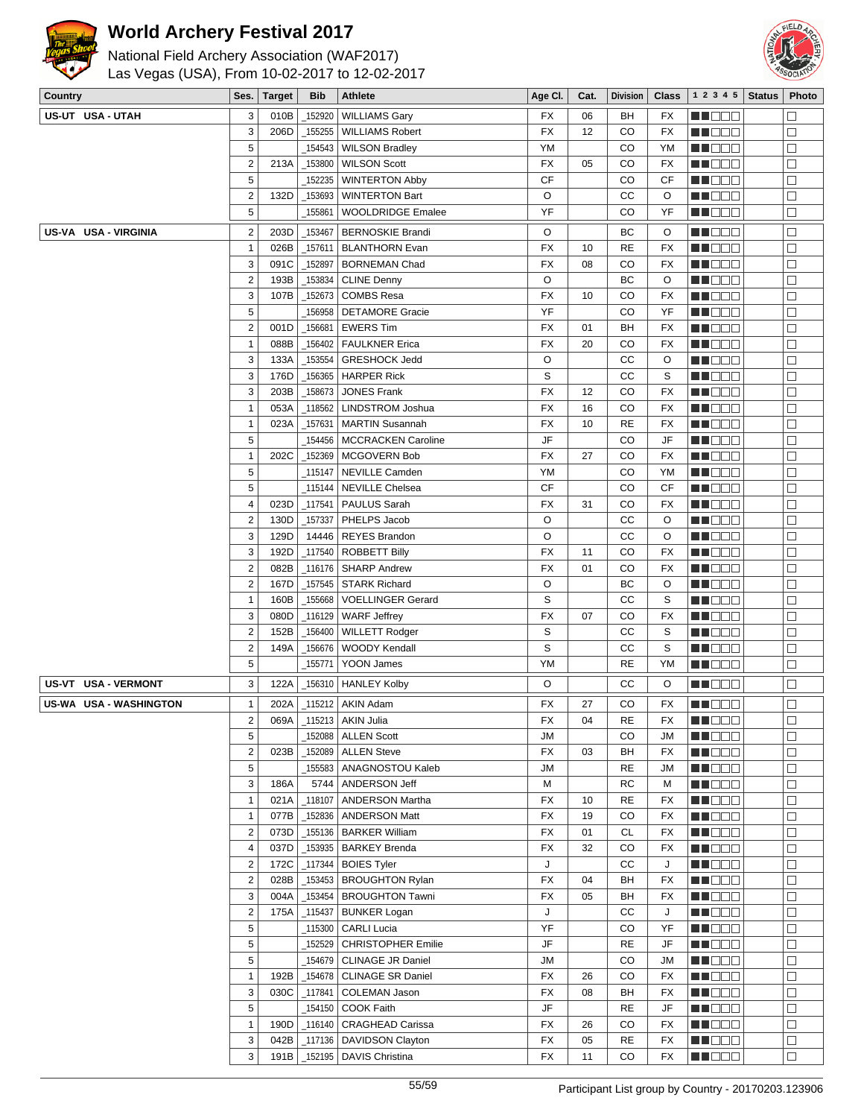



| National Field Archery Association (WAF2017)   |
|------------------------------------------------|
| Las Vegas (USA), From 10-02-2017 to 12-02-2017 |

| Country                              | Ses.                         | <b>Target</b> | <b>Bib</b>        | Athlete                                     | Age CI.         | Cat.     | <b>Division</b> | <b>Class</b> | 1 2 3 4 5                      | <b>Status</b> | Photo                |
|--------------------------------------|------------------------------|---------------|-------------------|---------------------------------------------|-----------------|----------|-----------------|--------------|--------------------------------|---------------|----------------------|
| US-UT USA - UTAH                     | 3                            | 010B          | 152920            | <b>WILLIAMS Gary</b>                        | FX              | 06       | BH              | FX           | <b>MA</b> OOO                  |               | $\Box$               |
|                                      | 3                            | 206D          | 155255            | <b>WILLIAMS Robert</b>                      | FX              | 12       | CO              | <b>FX</b>    | MUOOO                          |               | □                    |
|                                      | $\sqrt{5}$                   |               | 154543            | <b>WILSON Bradley</b>                       | YM              |          | CO              | YM           | MN 888                         |               | $\Box$               |
|                                      | $\sqrt{2}$                   | 213A          | _153800           | <b>WILSON Scott</b>                         | FX              | 05       | CO              | FX           | <b>HEBBB</b>                   |               | $\Box$               |
|                                      | $\sqrt{5}$                   |               | 152235            | <b>WINTERTON Abby</b>                       | <b>CF</b>       |          | CO              | CF           | N I DE B                       |               | $\Box$               |
|                                      | $\sqrt{2}$                   | 132D          | 153693            | <b>WINTERTON Bart</b>                       | O               |          | cc              | O            | MUOOO                          |               | $\Box$               |
|                                      | $\sqrt{5}$                   |               | 155861            | <b>WOOLDRIDGE Emalee</b>                    | YF              |          | CO              | YF           | MU DO O                        |               | $\Box$               |
| US-VA USA - VIRGINIA                 | $\overline{2}$               | 203D          | 153467            | <b>BERNOSKIE Brandi</b>                     | O               |          | BC              | O            | MU O O O                       |               | $\Box$               |
|                                      | $\mathbf{1}$                 | 026B          | 157611            | <b>BLANTHORN Evan</b>                       | FX              | 10       | <b>RE</b>       | <b>FX</b>    | NN O O O                       |               | $\Box$               |
|                                      | 3                            | 091C          | _152897           | <b>BORNEMAN Chad</b>                        | <b>FX</b>       | 08       | CO              | <b>FX</b>    | <b>MARGE</b>                   |               | $\Box$               |
|                                      | $\overline{2}$               | 193B          | _153834           | <b>CLINE Denny</b>                          | O               |          | BC              | O            | <u>ka kata sa </u>             |               | $\Box$               |
|                                      | 3                            | 107B          | 152673            | <b>COMBS Resa</b>                           | <b>FX</b>       | 10       | CO              | FX           | MU DO B                        |               | □                    |
|                                      | $\overline{5}$               |               | 156958            | <b>DETAMORE Gracie</b>                      | YF              |          | CO              | YF           | M O O O                        |               | $\Box$               |
|                                      | $\overline{2}$               | 001D          | 156681            | <b>EWERS Tim</b>                            | FX              | 01       | BH              | FX           | M D D D                        |               | $\Box$               |
|                                      | $\mathbf{1}$                 | 088B          | 156402            | <b>FAULKNER Erica</b>                       | <b>FX</b>       | 20       | CO              | FX           | <b>HE</b> OOO                  |               | $\Box$               |
|                                      | $\sqrt{3}$                   | 133A          | 153554            | <b>GRESHOCK Jedd</b>                        | $\circ$         |          | cc              | O            | MU O O O                       |               | $\Box$               |
|                                      | $\sqrt{3}$                   | 176D          | 156365            | <b>HARPER Rick</b>                          | S               |          | cc              | S            | MN DO B                        |               | □                    |
|                                      | $\sqrt{3}$                   | 203B          | 158673            | <b>JONES Frank</b>                          | FX              | 12       | CO              | FX           | M D D D                        |               | $\Box$               |
|                                      | $\mathbf{1}$                 | 053A          | 118562            | <b>LINDSTROM Joshua</b>                     | <b>FX</b>       | 16       | CO              | <b>FX</b>    | N I BE E                       |               | $\Box$               |
|                                      | $\mathbf{1}$                 | 023A          | 157631            | <b>MARTIN Susannah</b>                      | <b>FX</b>       | 10       | <b>RE</b>       | FX           | MU DO O                        |               | $\Box$               |
|                                      | $\sqrt{5}$                   |               | 154456            | <b>MCCRACKEN Caroline</b>                   | JF              |          | CO              | JF           | MU DO B                        |               | $\Box$               |
|                                      | $\overline{1}$               | 202C          | _152369           | MCGOVERN Bob                                | <b>FX</b>       | 27       | CO              | FX           | M NO S                         |               | $\Box$               |
|                                      | $\sqrt{5}$                   |               | 115147_           | NEVILLE Camden                              | YM              |          | CO              | YM           | M DE B                         |               | $\Box$               |
|                                      | $\sqrt{5}$                   |               | 115144            | <b>NEVILLE Chelsea</b>                      | <b>CF</b>       |          | CO              | CF           | <b>MNDDD</b>                   |               | $\Box$               |
|                                      | 4                            | 023D          | 117541            | PAULUS Sarah                                | FX              | 31       | CO              | FX           | MUOOO                          |               | □                    |
|                                      | $\overline{2}$               | 130D          | 157337            | PHELPS Jacob                                | O               |          | СC              | O            | MN O O O                       |               | $\Box$               |
|                                      | $\sqrt{3}$                   | 129D          | 14446             | <b>REYES Brandon</b>                        | O               |          | CС              | O            | e de la co                     |               | $\Box$<br>$\Box$     |
|                                      | 3<br>$\overline{2}$          | 192D<br>082B  | 117540<br>_116176 | <b>ROBBETT Billy</b><br><b>SHARP Andrew</b> | FX<br><b>FX</b> | 11<br>01 | CO<br>CO        | FX<br>FX     | <u>ka kata</u>                 |               | $\Box$               |
|                                      | $\overline{2}$               | 167D          | 157545            | <b>STARK Richard</b>                        | O               |          | ВC              | O            | MU O O O<br>MN DO B            |               | $\Box$               |
|                                      | $\overline{1}$               | 160B          | 155668            | <b>VOELLINGER Gerard</b>                    | S               |          | СC              | S            | M D D D                        |               | $\Box$               |
|                                      | $\sqrt{3}$                   | 080D          | 116129            | <b>WARF Jeffrey</b>                         | FX              | 07       | CO              | FX           | <u> Histori</u>                |               | $\Box$               |
|                                      | $\overline{2}$               | 152B          | _156400           | <b>WILLETT Rodger</b>                       | S               |          | cc              | S            | MA O O O                       |               | $\Box$               |
|                                      | $\overline{2}$               | 149A          | 156676            | WOODY Kendall                               | S               |          | cc              | S            | MN DO B                        |               | $\Box$               |
|                                      | $\sqrt{5}$                   |               | _155771           | YOON James                                  | YM              |          | <b>RE</b>       | YM           | <b>REDDE</b>                   |               | $\Box$               |
| <b>USA - VERMONT</b><br><b>US-VT</b> | 3                            | 122A          |                   | _156310 HANLEY Kolby                        | O               |          | СC              | O            | MN DO B                        |               | $\Box$               |
| US-WA USA - WASHINGTON               | $\mathbf{1}$                 | 202A          |                   | _115212   AKIN Adam                         | FX              | 27       | CO              | FX           | MUOOO                          |               | $\Box$               |
|                                      | $\boldsymbol{2}$             |               |                   | 069A   _115213   AKIN Julia                 | FX              | 04       | $\sf RE$        | FX           | <b>REDDO</b>                   |               | $\overline{\square}$ |
|                                      | 5                            |               |                   | $\_$ 152088   ALLEN Scott                   | <b>JM</b>       |          | CO              | JM           | MN DE EL                       |               | $\Box$               |
|                                      | $\overline{2}$               | 023B          |                   | 152089   ALLEN Steve                        | FX              | 03       | BH              | FX           | <b>REBED</b>                   |               | $\Box$               |
|                                      | $\sqrt{5}$                   |               |                   | _155583   ANAGNOSTOU Kaleb                  | <b>JM</b>       |          | RE              | JM           | <b>HE</b> OOO                  |               | $\Box$               |
|                                      | 3                            | 186A          | 5744              | ANDERSON Jeff                               | M               |          | RC              | M            | <b>MA</b> OOO                  |               | $\Box$               |
|                                      | $\mathbf{1}$                 | 021A          | 118107            | <b>ANDERSON Martha</b>                      | FX              | 10       | <b>RE</b>       | FX           | MU DE C                        |               | $\Box$               |
|                                      | $\mathbf{1}$                 | 077B          | 152836            | <b>ANDERSON Matt</b>                        | FX              | 19       | CO              | FX           | MOO O                          |               | $\Box$               |
|                                      | $\overline{2}$               | 073D          |                   | 155136   BARKER William                     | FX              | 01       | <b>CL</b>       | FX           | MUDEO                          |               | $\Box$               |
|                                      | $\sqrt{4}$                   | 037D          |                   | _153935 BARKEY Brenda                       | <b>FX</b>       | 32       | CO              | FX           | <b>HE</b> OOO                  |               | $\Box$               |
|                                      | $\overline{2}$               | 172C          |                   | $_1$ 117344   BOIES Tyler                   | J               |          | cc              | J            | <b>REDD</b> O                  |               | $\Box$               |
|                                      | $\overline{2}$               | 028B          | _153453           | <b>BROUGHTON Rylan</b>                      | FX              | 04       | BH              | FX           | M E E E E                      |               | $\Box$               |
|                                      | $\sqrt{3}$                   | 004A          | 153454            | <b>BROUGHTON Tawni</b>                      | <b>FX</b>       | 05       | BH              | FX           | MU DE E                        |               | □                    |
|                                      | $\overline{2}$<br>$\sqrt{5}$ | 175A          | 115437<br>_115300 | <b>BUNKER Logan</b><br>CARLI Lucia          | J<br>YF         |          | СC<br>CO        | J<br>YF      | Ma Mala                        |               | $\Box$<br>$\Box$     |
|                                      | 5                            |               | 152529            | <b>CHRISTOPHER Emilie</b>                   | JF              |          | RE              | JF           | <b>HE</b> OOO<br><b>HE</b> EEE |               | $\Box$               |
|                                      | $\sqrt{5}$                   |               | 154679            | <b>CLINAGE JR Daniel</b>                    | <b>JM</b>       |          | CO              | JM           | <b>MNDDD</b>                   |               | □                    |
|                                      | $\mathbf{1}$                 | 192B          | _154678           | <b>CLINAGE SR Daniel</b>                    | FX              | 26       | CO              | FX           | MU O O O                       |               | □                    |
|                                      | 3                            | 030C          | $-117841$         | COLEMAN Jason                               | <b>FX</b>       | 08       | BH              | FX           | <b>HE</b> OOO                  |               | □                    |
|                                      | $\sqrt{5}$                   |               |                   | _154150   COOK Faith                        | JF              |          | RE              | JF           | <b>REDDO</b>                   |               | $\Box$               |
|                                      | $\mathbf{1}$                 | 190D          |                   | _116140   CRAGHEAD Carissa                  | FX              | 26       | CO              | FX           | <b>HEDDD</b>                   |               | $\Box$               |
|                                      | 3                            | 042B          |                   | _117136   DAVIDSON Clayton                  | FX              | 05       | RE              | FX           | MU DO O                        |               | $\Box$               |
|                                      | $\sqrt{3}$                   | 191B          |                   | _152195   DAVIS Christina                   | FX              | 11       | CO              | FX           | <b>HE</b> OOO                  |               | $\Box$               |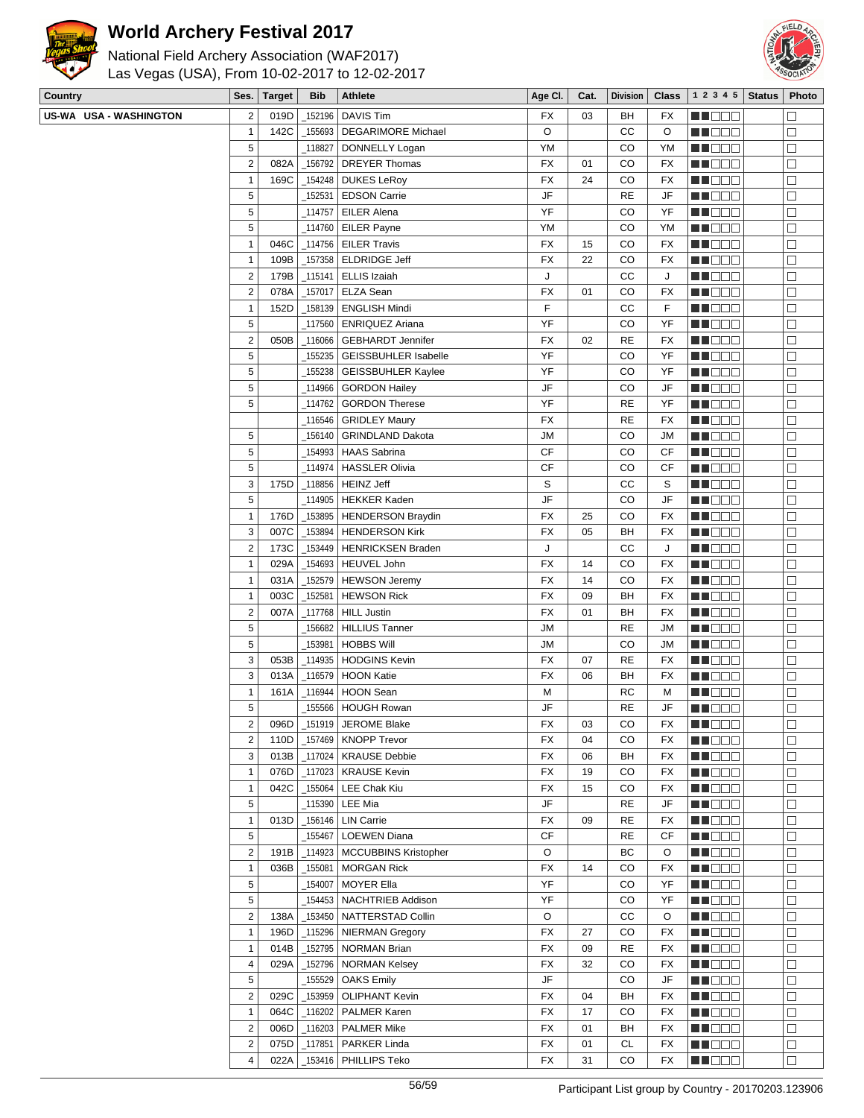



| Las Vegas (USA), From 10-02-2017 to 12-02-2017 |  |
|------------------------------------------------|--|
| National Field Archery Association (WAF2017)   |  |

| Country                | Ses.                    | <b>Target</b> | <b>Bib</b>     | <b>Athlete</b>                                | Age CI.   | Cat.     | <b>Division</b> | <b>Class</b> | $1\ 2\ 3\ 4\ 5$ Status | Photo            |
|------------------------|-------------------------|---------------|----------------|-----------------------------------------------|-----------|----------|-----------------|--------------|------------------------|------------------|
| US-WA USA - WASHINGTON | $\overline{\mathbf{c}}$ | 019D          | 152196         | <b>DAVIS Tim</b>                              | FX        | 03       | BH              | FX           | MA DE E                | $\Box$           |
|                        | $\mathbf{1}$            | 142C          | _155693        | <b>DEGARIMORE Michael</b>                     | O         |          | CC              | O            | MU DEL                 | $\Box$           |
|                        | 5                       |               | _118827        | DONNELLY Logan                                | YM        |          | CO              | YM           | MA DEL                 | $\Box$           |
|                        | $\overline{2}$          | 082A          |                | 156792   DREYER Thomas                        | FX        | 01       | CO              | FX           | <b>HEDDE</b>           | $\Box$           |
|                        | 1                       | 169C          |                | $\_$ 154248 DUKES LeRoy                       | FX        | 24       | CO              | FX           | NN DE D                | $\Box$           |
|                        | 5                       |               |                | _152531   EDSON Carrie                        | JF        |          | <b>RE</b>       | JF           | MU O O O               | $\Box$           |
|                        | 5                       |               |                | _114757   EILER Alena                         | YF        |          | CO              | YF           | MN DO B                | $\Box$           |
|                        | 5                       |               |                | _114760   EILER Payne                         | YM        |          | CO              | YM           | ME E E E               | $\Box$           |
|                        | $\mathbf{1}$            | 046C          |                | $_1$ 114756   EILER Travis                    | FX        | 15       | CO              | FX           | NN DE O                | $\Box$           |
|                        | $\mathbf{1}$            | 109B          |                | $-157358$ ELDRIDGE Jeff                       | FX        | 22       | CO              | FX           | MUODO                  | $\Box$           |
|                        | 2                       | 179B          |                | $\_115141$ ELLIS Izaiah                       | J         |          | СC              | J            | MUOOO                  | $\Box$           |
|                        | $\boldsymbol{2}$        | 078A          |                | 157017   ELZA Sean                            | <b>FX</b> | 01       | CO              | FX           | MU DO D                | $\Box$           |
|                        | 1                       | 152D          |                | _158139   ENGLISH Mindi                       | F         |          | СC              | F            | <u> El Bel</u>         | $\Box$           |
|                        | 5                       |               |                | _117560   ENRIQUEZ Ariana                     | YF        |          | CO              | YF           | <u>Li dec</u>          | $\Box$           |
|                        | $\boldsymbol{2}$        | 050B          |                | _116066 GEBHARDT Jennifer                     | FX        | 02       | <b>RE</b>       | FX           | MUOOO                  | $\Box$           |
|                        | 5                       |               |                | 155235   GEISSBUHLER Isabelle                 | YF        |          | CO              | YF           | MUOOO                  | $\Box$           |
|                        | 5                       |               | _155238        | <b>GEISSBUHLER Kaylee</b>                     | YF        |          | CO              | YF           | MU DE B                | $\Box$           |
|                        | 5                       |               | _114966        | <b>GORDON Hailey</b>                          | JF        |          | CO              | JF           | MA DE E                | $\Box$           |
|                        | 5                       |               |                | _114762 GORDON Therese                        | YF        |          | <b>RE</b>       | YF           | MUODO                  | $\Box$           |
|                        |                         |               |                | _116546 GRIDLEY Maury                         | FX        |          | <b>RE</b>       | FX           | MN DE B                | $\Box$           |
|                        | 5                       |               |                | 156140 GRINDLAND Dakota                       | <b>JM</b> |          | CO              | JM           | MU DE B                | $\Box$           |
|                        | 5                       |               |                | _154993   HAAS Sabrina                        | CF        |          | CO              | CF           | <b>MEDOC</b>           | $\Box$           |
|                        | 5                       |               |                | _114974   HASSLER Olivia                      | <b>CF</b> |          | CO              | СF           | MU O O O               | □                |
|                        | 3                       | 175D          |                |                                               | S         |          | СC              | S            | MU DO B                | $\Box$           |
|                        | 5                       |               |                | _114905   HEKKER Kaden                        | JF        |          | CO              | JF           | MN 888                 | $\Box$           |
|                        | $\mathbf{1}$            | 176D          |                | _153895   HENDERSON Braydin                   | FX        | 25       | CO              | FX           | <u>LI OOO</u>          | $\Box$           |
|                        | 3                       | 007C          | $\_153894$     | <b>HENDERSON Kirk</b>                         | FX        | 05       | BH              | FX           | MUODO                  | $\Box$           |
|                        | $\boldsymbol{2}$        | 173C          |                | _153449   HENRICKSEN Braden                   | J         |          | CC              | J            | N DO O                 | $\Box$           |
|                        | $\mathbf{1}$            | 029A          |                | _154693   HEUVEL John                         | FX        | 14       | CO              | FX           | MN 888                 | $\Box$           |
|                        |                         |               |                |                                               | FX        |          | CO              |              |                        |                  |
|                        | 1<br>1                  | 031A<br>003C  | $-152581$      | _152579   HEWSON Jeremy<br><b>HEWSON Rick</b> | FX        | 14<br>09 | BH              | FX<br>FX     | MU DE B<br>MU DO O     | $\Box$<br>$\Box$ |
|                        | $\boldsymbol{2}$        | 007A          |                | _117768 HILL Justin                           | FX        | 01       | BH              | FX           |                        | □                |
|                        | 5                       |               |                | _156682   HILLIUS Tanner                      | <b>JM</b> |          | <b>RE</b>       | JM           | MUOOO                  |                  |
|                        | 5                       |               |                |                                               |           |          |                 |              | MUOOO                  | $\Box$           |
|                        |                         |               | $\_153981$ $ $ | <b>HOBBS Will</b>                             | <b>JM</b> |          | CO              | JM           | ME DE S                | $\Box$           |
|                        | 3<br>3                  | 053B          |                | _114935   HODGINS Kevin<br>116579 HOON Katie  | FX        | 07       | <b>RE</b>       | FX           | MI DE E                | $\Box$           |
|                        |                         | 013A          |                |                                               | FX        | 06       | BH              | FX           | MUO OO                 | □                |
|                        | $\mathbf{1}$            | 161A          | $\_116944$     | <b>HOON Sean</b>                              | M         |          | RC              | M            | N DO D                 | $\Box$           |
|                        | 5                       |               |                | 155566   HOUGH Rowan                          | JF        |          | <b>RE</b>       | JF           | N NOS                  | $\Box$           |
|                        | 2                       | 096D          |                | $\_151919$   JEROME Blake                     | FX        | 03       | CO              | FX           | <u>LI OBB</u>          | $\Box$           |
|                        | $\overline{2}$          | 110D          |                | _157469   KNOPP Trevor                        | FX        | 04       | CO              | FX           | <b>HLOOD</b>           | □                |
|                        | 3                       | 013B          |                | 117024   KRAUSE Debbie                        | FX        | 06       | BH              | FX           | MN O O O               | $\Box$           |
|                        | 1                       | 076D          |                | _117023   KRAUSE Kevin                        | FX        | 19       | CO              | FX           | MA DE EL               | $\Box$           |
|                        | 1                       | 042C          |                | _155064   LEE Chak Kiu                        | FX        | 15       | CO              | FX           | <b>REDDE</b>           | $\Box$           |
|                        | 5                       |               |                | _115390   LEE Mia                             | JF        |          | <b>RE</b>       | JF           | MUOOO                  | $\Box$           |
|                        | $\mathbf{1}$            | 013D          |                | $_1$ 156146   LIN Carrie                      | FX        | 09       | <b>RE</b>       | FX           | <b>RECO</b> E          | $\Box$           |
|                        | 5                       |               |                | 155467   LOEWEN Diana                         | CF        |          | <b>RE</b>       | СF           | MA DEL 1               | $\Box$           |
|                        | $\overline{c}$          | 191B          |                | _114923   MCCUBBINS Kristopher                | O         |          | ВC              | O            | <b>MA</b> OOO          | $\Box$           |
|                        | 1                       | 036B          | 155081         | <b>MORGAN Rick</b>                            | FX        | 14       | CO              | FX           | MU O O O               | $\Box$           |
|                        | 5                       |               |                | _154007   MOYER Ella                          | YF        |          | CO              | YF           | MU DO B                | $\Box$           |
|                        | 5                       |               |                | _154453 NACHTRIEB Addison                     | YF        |          | CO              | YF           | MN O O O               | $\Box$           |
|                        | $\overline{2}$          | 138A          |                | _153450 NATTERSTAD Collin                     | O         |          | CC              | O            | <b>HE</b> DOO          | $\Box$           |
|                        | $\mathbf{1}$            | 196D          |                | _115296   NIERMAN Gregory                     | <b>FX</b> | 27       | CO              | FX           | <b>REDDE</b>           | $\Box$           |
|                        | $\mathbf{1}$            | 014B          |                | $_1$ 152795   NORMAN Brian                    | <b>FX</b> | 09       | <b>RE</b>       | FX           | MU DO B                | $\Box$           |
|                        | 4                       | 029A          |                | _152796   NORMAN Kelsey                       | FX        | 32       | CO              | FX           | <b>RECOD</b>           | $\Box$           |
|                        | 5                       |               |                | _155529   OAKS Emily                          | JF        |          | CO              | JF           | MA DE EL               | $\Box$           |
|                        | $\overline{c}$          | 029C          |                | _153959   OLIPHANT Kevin                      | FX        | 04       | BH              | FX           | <b>MA</b> OOO          | $\Box$           |
|                        | $\mathbf{1}$            | 064C          |                | $_1$ 16202   PALMER Karen                     | FX        | 17       | CO              | FX           | MUODO                  | □                |
|                        | $\overline{c}$          | 006D          |                | $_1$ 116203   PALMER Mike                     | FX        | 01       | BH              | FX           | MU DOO                 | $\Box$           |
|                        | 2                       | 075D          |                | _117851   PARKER Linda                        | FX        | 01       | <b>CL</b>       | FX           | MA DEL 1               | $\Box$           |
|                        | 4                       | 022A          |                | _153416   PHILLIPS Teko                       | <b>FX</b> | 31       | CO              | FX           | MUOOO                  | $\Box$           |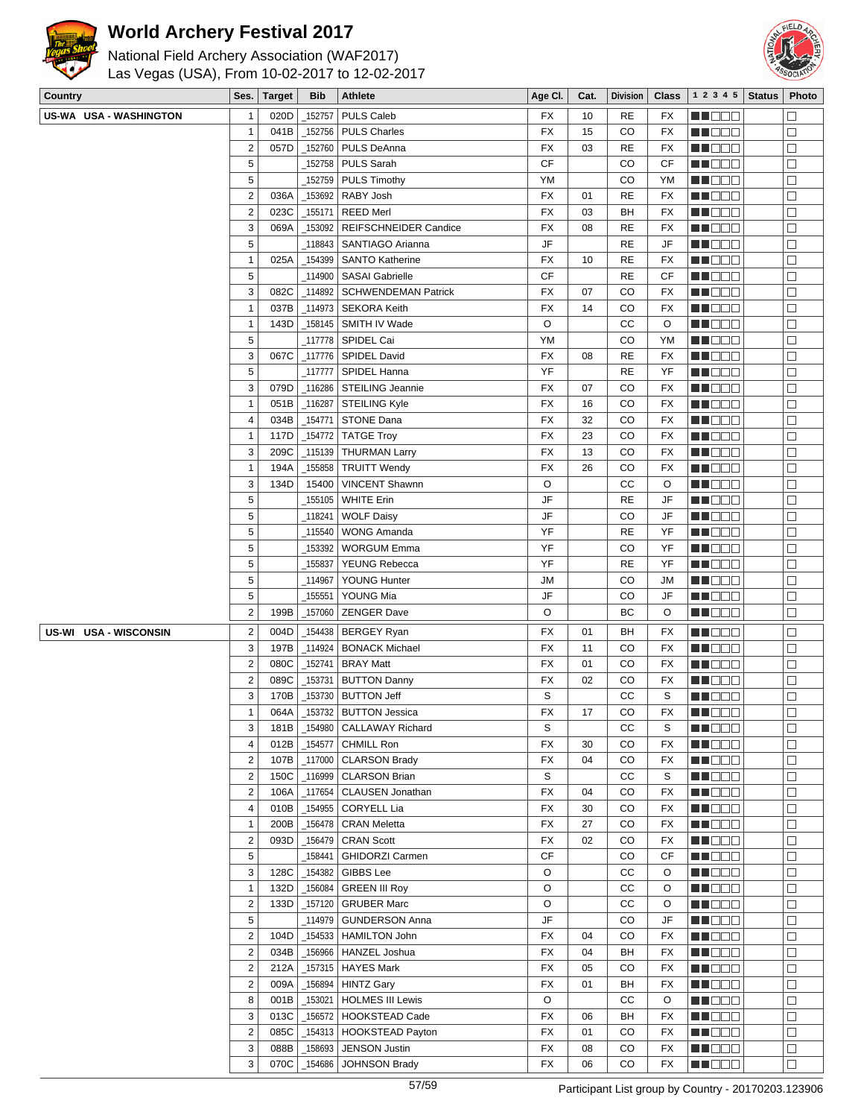



| PULS Caleb<br>020D<br>152757<br>10<br><b>RE</b><br>M DE E<br>$\Box$<br>$\mathbf{1}$<br>FX<br>FX<br>PULS Charles<br>CO<br>$\mathbf{1}$<br>041B<br>_152756<br><b>FX</b><br>15<br><b>FX</b><br>M DOO<br>□<br>$\sqrt{2}$<br>057D<br>_152760<br><b>PULS DeAnna</b><br>FX<br>03<br><b>RE</b><br>MU DO B<br>$\Box$<br>FX<br>$\mathbf 5$<br>$\Box$<br><b>CF</b><br>152758<br><b>PULS Sarah</b><br>CO<br>CF<br>MO DO O<br>5<br>CO<br>$\Box$<br><b>PULS Timothy</b><br>YM<br>YM<br>152759<br>MU DE E<br>$\overline{\mathbf{c}}$<br><b>FX</b><br>MU OOO<br>$\Box$<br>_153692<br>RABY Josh<br>01<br><b>RE</b><br>FX<br>036A<br>$\mathbf 2$<br><b>FX</b><br>$\Box$<br>023C<br>_155171<br><b>REED Merl</b><br>03<br>BH<br>FX<br>MN DO B<br>3<br>$\Box$<br>_153092<br>REIFSCHNEIDER Candice<br><b>FX</b><br>08<br><b>RE</b><br><b>MN</b> OOO<br>069A<br>FX<br>5<br>JF<br>$\Box$<br><b>RE</b><br>JF<br>M DE L<br>118843<br>SANTIAGO Arianna<br>$\Box$<br>$\mathbf{1}$<br>025A<br>_154399<br><b>SANTO Katherine</b><br>FX<br>10<br><b>RE</b><br>MU DO L<br>FX<br>5<br><b>CF</b><br>_114900  <br>SASAI Gabrielle<br><b>RE</b><br>CF<br>MU DO B<br>□<br>3<br>082C<br>_114892<br><b>SCHWENDEMAN Patrick</b><br><b>FX</b><br>07<br>CO<br>FX<br>$\Box$<br>MO DO<br>$\Box$<br>$\mathbf{1}$<br>_114973<br><b>SEKORA Keith</b><br>FX<br>14<br>CO<br>FX<br>ME DE S<br>037B<br>O<br>CC<br>$\Box$<br>$\mathbf{1}$<br>$-158145$<br>O<br>143D<br>SMITH IV Wade<br>MU DO B<br>5<br>YM<br>CO<br>$\Box$<br>YM<br>MN DO B<br>3<br><b>FX</b><br>$\Box$<br>067C<br>_117776   SPIDEL David<br><b>RE</b><br>FX<br>08<br>MN D D O<br>$\Box$<br>5<br><b>MN</b> OOO<br>117777<br>SPIDEL Hanna<br>YF<br><b>RE</b><br>YF<br>3<br>$\Box$<br>079D<br>_116286<br>STEILING Jeannie<br>FX<br>CO<br>M DEL<br>07<br>FX<br>$\Box$<br>$\mathbf{1}$<br>$-116287$<br><b>STEILING Kyle</b><br>FX<br>CO<br>MA O O C<br>051B<br>16<br>FX<br>$\overline{\mathbf{4}}$<br>034B<br>154771<br>STONE Dana<br>FX<br>32<br>CO<br>FX<br>MU DO B<br>$\Box$<br>$\Box$<br>$\_$ 154772 TATGE Troy<br>CO<br>117D<br>FX<br>23<br>FX<br>MA DE E<br>1<br>$\Box$<br>3<br>209C<br>_115139<br><b>THURMAN Larry</b><br>FX<br>13<br>CO<br>FX<br><b>MA</b> OOO<br>$\Box$<br>$\mathbf{1}$<br>155858<br>FX<br>26<br>CO<br>FX<br>194A<br><b>TRUITT Wendy</b><br>MU DO B<br>3<br>O<br>CC<br>$\Box$<br>134D<br>15400<br>O<br>MU DOO<br><b>VINCENT Shawnn</b><br>5<br>JF<br>155105<br>WHITE Erin<br><b>RE</b><br>JF<br>$\Box$<br>MO DO O<br>$\Box$<br>5<br><b>MN</b> OOC<br>118241<br><b>WOLF Daisy</b><br>JF<br>CO<br>JF<br>$\sqrt{5}$<br>YF<br>$\Box$<br><b>WONG Amanda</b><br><b>RE</b><br>YF<br>M DOC<br>_115540<br>5<br>YF<br>$\Box$<br>153392<br><b>WORGUM Emma</b><br>CO<br>YF<br>MU DO L<br>$\sqrt{5}$<br>YF<br>YF<br>155837<br>YEUNG Rebecca<br><b>RE</b><br>MN OO O<br>$\Box$<br>5<br>$\Box$<br>114967<br>YOUNG Hunter<br><b>JM</b><br>CO<br><b>JM</b><br>ME DE S<br>$\sqrt{5}$<br>$\Box$<br>JF<br>155551<br>YOUNG Mia<br>CO<br>JF<br>MU DO O<br>$\mathbf 2$<br>O<br>$\Box$<br>BC<br>O<br>199B<br>_157060<br><b>ZENGER Dave</b><br>N N O O G<br>$\overline{2}$<br>004D<br>MU OO O<br>$\Box$<br>US-WI USA - WISCONSIN<br>_154438<br><b>BERGEY Ryan</b><br>FX<br>01<br>BH<br>FX<br>3<br>$-114924$<br>CO<br>$\Box$<br>197B<br><b>BONACK Michael</b><br>FX<br>11<br>FX<br>ME E E E<br>$\sqrt{2}$<br>$\Box$<br>080C<br>152741<br><b>BRAY Matt</b><br>FX<br>01<br>CO<br>FX<br><b>MN</b> OOO<br>$\mathbf 2$<br>153731<br>FX<br>CO<br>$\Box$<br>089C<br><b>BUTTON Danny</b><br>02<br>FX<br><u>Li Sec</u><br>$\Box$<br>S<br>CC<br>3<br>153730   BUTTON Jeff<br>S<br>170B<br>MU DO B<br>$\Box$<br>$\mathbf{1}$<br>064A<br>_153732   BUTTON Jessica<br><b>FX</b><br>CO<br>FX<br>MN DOO<br>17<br>3<br><b>CALLAWAY Richard</b><br>S<br>СC<br>$\Box$<br>181B<br>$-154980$<br>S<br>MA DE C<br>$\overline{4}$<br>$\Box$<br><b>FX</b><br><b>HE</b> DEL<br>012B<br>_154577<br><b>CHMILL Ron</b><br>30<br>CO<br>FX<br>$\mathbf 2$<br>$-117000$ CLARSON Brady<br>CO<br>n de de<br>$\Box$<br>107B<br>FX<br>04<br>FX<br>$\mathbb S$<br><u> SHOOC</u><br>$-116999$ CLARSON Brian<br>cc<br>$\Box$<br>$\overline{2}$<br>150C<br>S<br>$\overline{2}$<br>117654 CLAUSEN Jonathan<br><b>FX</b><br>CO<br>106A<br>04<br>FX<br>MU DO B<br>$\Box$<br>CORYELL Lia<br><b>MN</b> OOO<br>$\Box$<br>4<br>010B<br>_154955<br>FX<br>CO<br>FX<br>30<br>$\Box$<br>$\mathbf{1}$<br>156478<br><b>CRAN Meletta</b><br>FX<br>27<br>CO<br>FX<br>MUOOO<br>200B<br>$\overline{2}$<br>□<br>093D<br>_156479<br><b>CRAN Scott</b><br>FX<br>02<br>CO<br>MU DOO<br>FX<br>$\,$ 5 $\,$<br><b>CF</b><br>$\Box$<br>_158441<br>GHIDORZI Carmen<br>CO<br>CF<br>MU DOO<br>3<br>GIBBS Lee<br>O<br>$\Box$<br>128C<br>_154382<br>СC<br>O<br><b>MN</b> OOO<br>$\Box$<br>O<br><b>RECOR</b><br>$\mathbf{1}$<br>_156084<br><b>GREEN III Roy</b><br>СC<br>O<br>132D<br>$\mathbf 2$<br>O<br>$\Box$<br>_157120<br><b>GRUBER Marc</b><br>СC<br>O<br>MU DO B<br>133D<br>5<br>JF<br>n de la c<br>$\Box$<br>_114979   GUNDERSON Anna<br>CO<br>JF<br>$\overline{2}$<br>CO<br>_154533   HAMILTON John<br>FX<br>04<br>FX<br><b>MN</b> OOO<br>$\Box$<br>104D<br>HANZEL Joshua<br>$\Box$<br>$\overline{2}$<br>_156966<br>FX<br>BH<br><b>REBEE</b><br>034B<br>04<br>FX<br>$\overline{2}$<br>$\Box$<br>_157315<br><b>HAYES Mark</b><br>FX<br>05<br>CO<br>FX<br>MU DO O<br>212A<br>$\overline{2}$<br>$\Box$<br>009A<br>_156894<br><b>HINTZ Gary</b><br><b>FX</b><br>BH<br>01<br>FX<br>MU OO O<br>8<br>O<br>CC<br>$\Box$<br>001B<br>_153021<br><b>HOLMES III Lewis</b><br>O<br>MU DOO<br>$\Box$<br>3<br>013C<br>_156572<br>HOOKSTEAD Cade<br>FX<br>06<br>BH<br>FX<br>ME DE S<br>$\boldsymbol{2}$<br>THE OC<br>$\Box$<br>085C<br>_154313<br><b>HOOKSTEAD Payton</b><br>FX<br>01<br>CO<br>FX<br>3<br><b>JENSON Justin</b><br>CO<br>MU DO L<br>088B<br>158693<br>FX<br>08<br>FX<br>$\Box$ | <b>Country</b>         | Ses. | <b>Target</b> | <b>Bib</b> | <b>Athlete</b>       | Age CI.   | Cat. | <b>Division</b> | <b>Class</b> | 1 2 3 4 5      | <b>Status</b> | Photo  |
|-------------------------------------------------------------------------------------------------------------------------------------------------------------------------------------------------------------------------------------------------------------------------------------------------------------------------------------------------------------------------------------------------------------------------------------------------------------------------------------------------------------------------------------------------------------------------------------------------------------------------------------------------------------------------------------------------------------------------------------------------------------------------------------------------------------------------------------------------------------------------------------------------------------------------------------------------------------------------------------------------------------------------------------------------------------------------------------------------------------------------------------------------------------------------------------------------------------------------------------------------------------------------------------------------------------------------------------------------------------------------------------------------------------------------------------------------------------------------------------------------------------------------------------------------------------------------------------------------------------------------------------------------------------------------------------------------------------------------------------------------------------------------------------------------------------------------------------------------------------------------------------------------------------------------------------------------------------------------------------------------------------------------------------------------------------------------------------------------------------------------------------------------------------------------------------------------------------------------------------------------------------------------------------------------------------------------------------------------------------------------------------------------------------------------------------------------------------------------------------------------------------------------------------------------------------------------------------------------------------------------------------------------------------------------------------------------------------------------------------------------------------------------------------------------------------------------------------------------------------------------------------------------------------------------------------------------------------------------------------------------------------------------------------------------------------------------------------------------------------------------------------------------------------------------------------------------------------------------------------------------------------------------------------------------------------------------------------------------------------------------------------------------------------------------------------------------------------------------------------------------------------------------------------------------------------------------------------------------------------------------------------------------------------------------------------------------------------------------------------------------------------------------------------------------------------------------------------------------------------------------------------------------------------------------------------------------------------------------------------------------------------------------------------------------------------------------------------------------------------------------------------------------------------------------------------------------------------------------------------------------------------------------------------------------------------------------------------------------------------------------------------------------------------------------------------------------------------------------------------------------------------------------------------------------------------------------------------------------------------------------------------------------------------------------------------------------------------------------------------------------------------------------------------------------------------------------------------------------------------------------------------------------------------------------------------------------------------------------------------------------------------------------------------------------------------------------------------------------------------------------------------------------------------------------------------------------------------------------------------------------------------------------------------------------------------------------------------------------------------------------------------------------------------------------------------------------------------------------------------------------------------------------------------------------------------------------------------------------------------------------------------------------------------------------------------------------------------------------------------------------------------------------------------------------------------------------|------------------------|------|---------------|------------|----------------------|-----------|------|-----------------|--------------|----------------|---------------|--------|
|                                                                                                                                                                                                                                                                                                                                                                                                                                                                                                                                                                                                                                                                                                                                                                                                                                                                                                                                                                                                                                                                                                                                                                                                                                                                                                                                                                                                                                                                                                                                                                                                                                                                                                                                                                                                                                                                                                                                                                                                                                                                                                                                                                                                                                                                                                                                                                                                                                                                                                                                                                                                                                                                                                                                                                                                                                                                                                                                                                                                                                                                                                                                                                                                                                                                                                                                                                                                                                                                                                                                                                                                                                                                                                                                                                                                                                                                                                                                                                                                                                                                                                                                                                                                                                                                                                                                                                                                                                                                                                                                                                                                                                                                                                                                                                                                                                                                                                                                                                                                                                                                                                                                                                                                                                                                                                                                                                                                                                                                                                                                                                                                                                                                                                                                                                                                                         | US-WA USA - WASHINGTON |      |               |            |                      |           |      |                 |              |                |               |        |
|                                                                                                                                                                                                                                                                                                                                                                                                                                                                                                                                                                                                                                                                                                                                                                                                                                                                                                                                                                                                                                                                                                                                                                                                                                                                                                                                                                                                                                                                                                                                                                                                                                                                                                                                                                                                                                                                                                                                                                                                                                                                                                                                                                                                                                                                                                                                                                                                                                                                                                                                                                                                                                                                                                                                                                                                                                                                                                                                                                                                                                                                                                                                                                                                                                                                                                                                                                                                                                                                                                                                                                                                                                                                                                                                                                                                                                                                                                                                                                                                                                                                                                                                                                                                                                                                                                                                                                                                                                                                                                                                                                                                                                                                                                                                                                                                                                                                                                                                                                                                                                                                                                                                                                                                                                                                                                                                                                                                                                                                                                                                                                                                                                                                                                                                                                                                                         |                        |      |               |            |                      |           |      |                 |              |                |               |        |
|                                                                                                                                                                                                                                                                                                                                                                                                                                                                                                                                                                                                                                                                                                                                                                                                                                                                                                                                                                                                                                                                                                                                                                                                                                                                                                                                                                                                                                                                                                                                                                                                                                                                                                                                                                                                                                                                                                                                                                                                                                                                                                                                                                                                                                                                                                                                                                                                                                                                                                                                                                                                                                                                                                                                                                                                                                                                                                                                                                                                                                                                                                                                                                                                                                                                                                                                                                                                                                                                                                                                                                                                                                                                                                                                                                                                                                                                                                                                                                                                                                                                                                                                                                                                                                                                                                                                                                                                                                                                                                                                                                                                                                                                                                                                                                                                                                                                                                                                                                                                                                                                                                                                                                                                                                                                                                                                                                                                                                                                                                                                                                                                                                                                                                                                                                                                                         |                        |      |               |            |                      |           |      |                 |              |                |               |        |
|                                                                                                                                                                                                                                                                                                                                                                                                                                                                                                                                                                                                                                                                                                                                                                                                                                                                                                                                                                                                                                                                                                                                                                                                                                                                                                                                                                                                                                                                                                                                                                                                                                                                                                                                                                                                                                                                                                                                                                                                                                                                                                                                                                                                                                                                                                                                                                                                                                                                                                                                                                                                                                                                                                                                                                                                                                                                                                                                                                                                                                                                                                                                                                                                                                                                                                                                                                                                                                                                                                                                                                                                                                                                                                                                                                                                                                                                                                                                                                                                                                                                                                                                                                                                                                                                                                                                                                                                                                                                                                                                                                                                                                                                                                                                                                                                                                                                                                                                                                                                                                                                                                                                                                                                                                                                                                                                                                                                                                                                                                                                                                                                                                                                                                                                                                                                                         |                        |      |               |            |                      |           |      |                 |              |                |               |        |
|                                                                                                                                                                                                                                                                                                                                                                                                                                                                                                                                                                                                                                                                                                                                                                                                                                                                                                                                                                                                                                                                                                                                                                                                                                                                                                                                                                                                                                                                                                                                                                                                                                                                                                                                                                                                                                                                                                                                                                                                                                                                                                                                                                                                                                                                                                                                                                                                                                                                                                                                                                                                                                                                                                                                                                                                                                                                                                                                                                                                                                                                                                                                                                                                                                                                                                                                                                                                                                                                                                                                                                                                                                                                                                                                                                                                                                                                                                                                                                                                                                                                                                                                                                                                                                                                                                                                                                                                                                                                                                                                                                                                                                                                                                                                                                                                                                                                                                                                                                                                                                                                                                                                                                                                                                                                                                                                                                                                                                                                                                                                                                                                                                                                                                                                                                                                                         |                        |      |               |            |                      |           |      |                 |              |                |               |        |
|                                                                                                                                                                                                                                                                                                                                                                                                                                                                                                                                                                                                                                                                                                                                                                                                                                                                                                                                                                                                                                                                                                                                                                                                                                                                                                                                                                                                                                                                                                                                                                                                                                                                                                                                                                                                                                                                                                                                                                                                                                                                                                                                                                                                                                                                                                                                                                                                                                                                                                                                                                                                                                                                                                                                                                                                                                                                                                                                                                                                                                                                                                                                                                                                                                                                                                                                                                                                                                                                                                                                                                                                                                                                                                                                                                                                                                                                                                                                                                                                                                                                                                                                                                                                                                                                                                                                                                                                                                                                                                                                                                                                                                                                                                                                                                                                                                                                                                                                                                                                                                                                                                                                                                                                                                                                                                                                                                                                                                                                                                                                                                                                                                                                                                                                                                                                                         |                        |      |               |            |                      |           |      |                 |              |                |               |        |
|                                                                                                                                                                                                                                                                                                                                                                                                                                                                                                                                                                                                                                                                                                                                                                                                                                                                                                                                                                                                                                                                                                                                                                                                                                                                                                                                                                                                                                                                                                                                                                                                                                                                                                                                                                                                                                                                                                                                                                                                                                                                                                                                                                                                                                                                                                                                                                                                                                                                                                                                                                                                                                                                                                                                                                                                                                                                                                                                                                                                                                                                                                                                                                                                                                                                                                                                                                                                                                                                                                                                                                                                                                                                                                                                                                                                                                                                                                                                                                                                                                                                                                                                                                                                                                                                                                                                                                                                                                                                                                                                                                                                                                                                                                                                                                                                                                                                                                                                                                                                                                                                                                                                                                                                                                                                                                                                                                                                                                                                                                                                                                                                                                                                                                                                                                                                                         |                        |      |               |            |                      |           |      |                 |              |                |               |        |
|                                                                                                                                                                                                                                                                                                                                                                                                                                                                                                                                                                                                                                                                                                                                                                                                                                                                                                                                                                                                                                                                                                                                                                                                                                                                                                                                                                                                                                                                                                                                                                                                                                                                                                                                                                                                                                                                                                                                                                                                                                                                                                                                                                                                                                                                                                                                                                                                                                                                                                                                                                                                                                                                                                                                                                                                                                                                                                                                                                                                                                                                                                                                                                                                                                                                                                                                                                                                                                                                                                                                                                                                                                                                                                                                                                                                                                                                                                                                                                                                                                                                                                                                                                                                                                                                                                                                                                                                                                                                                                                                                                                                                                                                                                                                                                                                                                                                                                                                                                                                                                                                                                                                                                                                                                                                                                                                                                                                                                                                                                                                                                                                                                                                                                                                                                                                                         |                        |      |               |            |                      |           |      |                 |              |                |               |        |
|                                                                                                                                                                                                                                                                                                                                                                                                                                                                                                                                                                                                                                                                                                                                                                                                                                                                                                                                                                                                                                                                                                                                                                                                                                                                                                                                                                                                                                                                                                                                                                                                                                                                                                                                                                                                                                                                                                                                                                                                                                                                                                                                                                                                                                                                                                                                                                                                                                                                                                                                                                                                                                                                                                                                                                                                                                                                                                                                                                                                                                                                                                                                                                                                                                                                                                                                                                                                                                                                                                                                                                                                                                                                                                                                                                                                                                                                                                                                                                                                                                                                                                                                                                                                                                                                                                                                                                                                                                                                                                                                                                                                                                                                                                                                                                                                                                                                                                                                                                                                                                                                                                                                                                                                                                                                                                                                                                                                                                                                                                                                                                                                                                                                                                                                                                                                                         |                        |      |               |            |                      |           |      |                 |              |                |               |        |
|                                                                                                                                                                                                                                                                                                                                                                                                                                                                                                                                                                                                                                                                                                                                                                                                                                                                                                                                                                                                                                                                                                                                                                                                                                                                                                                                                                                                                                                                                                                                                                                                                                                                                                                                                                                                                                                                                                                                                                                                                                                                                                                                                                                                                                                                                                                                                                                                                                                                                                                                                                                                                                                                                                                                                                                                                                                                                                                                                                                                                                                                                                                                                                                                                                                                                                                                                                                                                                                                                                                                                                                                                                                                                                                                                                                                                                                                                                                                                                                                                                                                                                                                                                                                                                                                                                                                                                                                                                                                                                                                                                                                                                                                                                                                                                                                                                                                                                                                                                                                                                                                                                                                                                                                                                                                                                                                                                                                                                                                                                                                                                                                                                                                                                                                                                                                                         |                        |      |               |            |                      |           |      |                 |              |                |               |        |
|                                                                                                                                                                                                                                                                                                                                                                                                                                                                                                                                                                                                                                                                                                                                                                                                                                                                                                                                                                                                                                                                                                                                                                                                                                                                                                                                                                                                                                                                                                                                                                                                                                                                                                                                                                                                                                                                                                                                                                                                                                                                                                                                                                                                                                                                                                                                                                                                                                                                                                                                                                                                                                                                                                                                                                                                                                                                                                                                                                                                                                                                                                                                                                                                                                                                                                                                                                                                                                                                                                                                                                                                                                                                                                                                                                                                                                                                                                                                                                                                                                                                                                                                                                                                                                                                                                                                                                                                                                                                                                                                                                                                                                                                                                                                                                                                                                                                                                                                                                                                                                                                                                                                                                                                                                                                                                                                                                                                                                                                                                                                                                                                                                                                                                                                                                                                                         |                        |      |               |            |                      |           |      |                 |              |                |               |        |
|                                                                                                                                                                                                                                                                                                                                                                                                                                                                                                                                                                                                                                                                                                                                                                                                                                                                                                                                                                                                                                                                                                                                                                                                                                                                                                                                                                                                                                                                                                                                                                                                                                                                                                                                                                                                                                                                                                                                                                                                                                                                                                                                                                                                                                                                                                                                                                                                                                                                                                                                                                                                                                                                                                                                                                                                                                                                                                                                                                                                                                                                                                                                                                                                                                                                                                                                                                                                                                                                                                                                                                                                                                                                                                                                                                                                                                                                                                                                                                                                                                                                                                                                                                                                                                                                                                                                                                                                                                                                                                                                                                                                                                                                                                                                                                                                                                                                                                                                                                                                                                                                                                                                                                                                                                                                                                                                                                                                                                                                                                                                                                                                                                                                                                                                                                                                                         |                        |      |               |            |                      |           |      |                 |              |                |               |        |
|                                                                                                                                                                                                                                                                                                                                                                                                                                                                                                                                                                                                                                                                                                                                                                                                                                                                                                                                                                                                                                                                                                                                                                                                                                                                                                                                                                                                                                                                                                                                                                                                                                                                                                                                                                                                                                                                                                                                                                                                                                                                                                                                                                                                                                                                                                                                                                                                                                                                                                                                                                                                                                                                                                                                                                                                                                                                                                                                                                                                                                                                                                                                                                                                                                                                                                                                                                                                                                                                                                                                                                                                                                                                                                                                                                                                                                                                                                                                                                                                                                                                                                                                                                                                                                                                                                                                                                                                                                                                                                                                                                                                                                                                                                                                                                                                                                                                                                                                                                                                                                                                                                                                                                                                                                                                                                                                                                                                                                                                                                                                                                                                                                                                                                                                                                                                                         |                        |      |               |            |                      |           |      |                 |              |                |               |        |
|                                                                                                                                                                                                                                                                                                                                                                                                                                                                                                                                                                                                                                                                                                                                                                                                                                                                                                                                                                                                                                                                                                                                                                                                                                                                                                                                                                                                                                                                                                                                                                                                                                                                                                                                                                                                                                                                                                                                                                                                                                                                                                                                                                                                                                                                                                                                                                                                                                                                                                                                                                                                                                                                                                                                                                                                                                                                                                                                                                                                                                                                                                                                                                                                                                                                                                                                                                                                                                                                                                                                                                                                                                                                                                                                                                                                                                                                                                                                                                                                                                                                                                                                                                                                                                                                                                                                                                                                                                                                                                                                                                                                                                                                                                                                                                                                                                                                                                                                                                                                                                                                                                                                                                                                                                                                                                                                                                                                                                                                                                                                                                                                                                                                                                                                                                                                                         |                        |      |               |            |                      |           |      |                 |              |                |               |        |
|                                                                                                                                                                                                                                                                                                                                                                                                                                                                                                                                                                                                                                                                                                                                                                                                                                                                                                                                                                                                                                                                                                                                                                                                                                                                                                                                                                                                                                                                                                                                                                                                                                                                                                                                                                                                                                                                                                                                                                                                                                                                                                                                                                                                                                                                                                                                                                                                                                                                                                                                                                                                                                                                                                                                                                                                                                                                                                                                                                                                                                                                                                                                                                                                                                                                                                                                                                                                                                                                                                                                                                                                                                                                                                                                                                                                                                                                                                                                                                                                                                                                                                                                                                                                                                                                                                                                                                                                                                                                                                                                                                                                                                                                                                                                                                                                                                                                                                                                                                                                                                                                                                                                                                                                                                                                                                                                                                                                                                                                                                                                                                                                                                                                                                                                                                                                                         |                        |      |               |            |                      |           |      |                 |              |                |               |        |
|                                                                                                                                                                                                                                                                                                                                                                                                                                                                                                                                                                                                                                                                                                                                                                                                                                                                                                                                                                                                                                                                                                                                                                                                                                                                                                                                                                                                                                                                                                                                                                                                                                                                                                                                                                                                                                                                                                                                                                                                                                                                                                                                                                                                                                                                                                                                                                                                                                                                                                                                                                                                                                                                                                                                                                                                                                                                                                                                                                                                                                                                                                                                                                                                                                                                                                                                                                                                                                                                                                                                                                                                                                                                                                                                                                                                                                                                                                                                                                                                                                                                                                                                                                                                                                                                                                                                                                                                                                                                                                                                                                                                                                                                                                                                                                                                                                                                                                                                                                                                                                                                                                                                                                                                                                                                                                                                                                                                                                                                                                                                                                                                                                                                                                                                                                                                                         |                        |      |               |            |                      |           |      |                 |              |                |               |        |
|                                                                                                                                                                                                                                                                                                                                                                                                                                                                                                                                                                                                                                                                                                                                                                                                                                                                                                                                                                                                                                                                                                                                                                                                                                                                                                                                                                                                                                                                                                                                                                                                                                                                                                                                                                                                                                                                                                                                                                                                                                                                                                                                                                                                                                                                                                                                                                                                                                                                                                                                                                                                                                                                                                                                                                                                                                                                                                                                                                                                                                                                                                                                                                                                                                                                                                                                                                                                                                                                                                                                                                                                                                                                                                                                                                                                                                                                                                                                                                                                                                                                                                                                                                                                                                                                                                                                                                                                                                                                                                                                                                                                                                                                                                                                                                                                                                                                                                                                                                                                                                                                                                                                                                                                                                                                                                                                                                                                                                                                                                                                                                                                                                                                                                                                                                                                                         |                        |      |               |            |                      |           |      |                 |              |                |               |        |
|                                                                                                                                                                                                                                                                                                                                                                                                                                                                                                                                                                                                                                                                                                                                                                                                                                                                                                                                                                                                                                                                                                                                                                                                                                                                                                                                                                                                                                                                                                                                                                                                                                                                                                                                                                                                                                                                                                                                                                                                                                                                                                                                                                                                                                                                                                                                                                                                                                                                                                                                                                                                                                                                                                                                                                                                                                                                                                                                                                                                                                                                                                                                                                                                                                                                                                                                                                                                                                                                                                                                                                                                                                                                                                                                                                                                                                                                                                                                                                                                                                                                                                                                                                                                                                                                                                                                                                                                                                                                                                                                                                                                                                                                                                                                                                                                                                                                                                                                                                                                                                                                                                                                                                                                                                                                                                                                                                                                                                                                                                                                                                                                                                                                                                                                                                                                                         |                        |      |               |            |                      |           |      |                 |              |                |               |        |
|                                                                                                                                                                                                                                                                                                                                                                                                                                                                                                                                                                                                                                                                                                                                                                                                                                                                                                                                                                                                                                                                                                                                                                                                                                                                                                                                                                                                                                                                                                                                                                                                                                                                                                                                                                                                                                                                                                                                                                                                                                                                                                                                                                                                                                                                                                                                                                                                                                                                                                                                                                                                                                                                                                                                                                                                                                                                                                                                                                                                                                                                                                                                                                                                                                                                                                                                                                                                                                                                                                                                                                                                                                                                                                                                                                                                                                                                                                                                                                                                                                                                                                                                                                                                                                                                                                                                                                                                                                                                                                                                                                                                                                                                                                                                                                                                                                                                                                                                                                                                                                                                                                                                                                                                                                                                                                                                                                                                                                                                                                                                                                                                                                                                                                                                                                                                                         |                        |      |               |            |                      |           |      |                 |              |                |               |        |
|                                                                                                                                                                                                                                                                                                                                                                                                                                                                                                                                                                                                                                                                                                                                                                                                                                                                                                                                                                                                                                                                                                                                                                                                                                                                                                                                                                                                                                                                                                                                                                                                                                                                                                                                                                                                                                                                                                                                                                                                                                                                                                                                                                                                                                                                                                                                                                                                                                                                                                                                                                                                                                                                                                                                                                                                                                                                                                                                                                                                                                                                                                                                                                                                                                                                                                                                                                                                                                                                                                                                                                                                                                                                                                                                                                                                                                                                                                                                                                                                                                                                                                                                                                                                                                                                                                                                                                                                                                                                                                                                                                                                                                                                                                                                                                                                                                                                                                                                                                                                                                                                                                                                                                                                                                                                                                                                                                                                                                                                                                                                                                                                                                                                                                                                                                                                                         |                        |      |               |            |                      |           |      |                 |              |                |               |        |
|                                                                                                                                                                                                                                                                                                                                                                                                                                                                                                                                                                                                                                                                                                                                                                                                                                                                                                                                                                                                                                                                                                                                                                                                                                                                                                                                                                                                                                                                                                                                                                                                                                                                                                                                                                                                                                                                                                                                                                                                                                                                                                                                                                                                                                                                                                                                                                                                                                                                                                                                                                                                                                                                                                                                                                                                                                                                                                                                                                                                                                                                                                                                                                                                                                                                                                                                                                                                                                                                                                                                                                                                                                                                                                                                                                                                                                                                                                                                                                                                                                                                                                                                                                                                                                                                                                                                                                                                                                                                                                                                                                                                                                                                                                                                                                                                                                                                                                                                                                                                                                                                                                                                                                                                                                                                                                                                                                                                                                                                                                                                                                                                                                                                                                                                                                                                                         |                        |      |               |            |                      |           |      |                 |              |                |               |        |
|                                                                                                                                                                                                                                                                                                                                                                                                                                                                                                                                                                                                                                                                                                                                                                                                                                                                                                                                                                                                                                                                                                                                                                                                                                                                                                                                                                                                                                                                                                                                                                                                                                                                                                                                                                                                                                                                                                                                                                                                                                                                                                                                                                                                                                                                                                                                                                                                                                                                                                                                                                                                                                                                                                                                                                                                                                                                                                                                                                                                                                                                                                                                                                                                                                                                                                                                                                                                                                                                                                                                                                                                                                                                                                                                                                                                                                                                                                                                                                                                                                                                                                                                                                                                                                                                                                                                                                                                                                                                                                                                                                                                                                                                                                                                                                                                                                                                                                                                                                                                                                                                                                                                                                                                                                                                                                                                                                                                                                                                                                                                                                                                                                                                                                                                                                                                                         |                        |      |               |            |                      |           |      |                 |              |                |               |        |
|                                                                                                                                                                                                                                                                                                                                                                                                                                                                                                                                                                                                                                                                                                                                                                                                                                                                                                                                                                                                                                                                                                                                                                                                                                                                                                                                                                                                                                                                                                                                                                                                                                                                                                                                                                                                                                                                                                                                                                                                                                                                                                                                                                                                                                                                                                                                                                                                                                                                                                                                                                                                                                                                                                                                                                                                                                                                                                                                                                                                                                                                                                                                                                                                                                                                                                                                                                                                                                                                                                                                                                                                                                                                                                                                                                                                                                                                                                                                                                                                                                                                                                                                                                                                                                                                                                                                                                                                                                                                                                                                                                                                                                                                                                                                                                                                                                                                                                                                                                                                                                                                                                                                                                                                                                                                                                                                                                                                                                                                                                                                                                                                                                                                                                                                                                                                                         |                        |      |               |            |                      |           |      |                 |              |                |               |        |
|                                                                                                                                                                                                                                                                                                                                                                                                                                                                                                                                                                                                                                                                                                                                                                                                                                                                                                                                                                                                                                                                                                                                                                                                                                                                                                                                                                                                                                                                                                                                                                                                                                                                                                                                                                                                                                                                                                                                                                                                                                                                                                                                                                                                                                                                                                                                                                                                                                                                                                                                                                                                                                                                                                                                                                                                                                                                                                                                                                                                                                                                                                                                                                                                                                                                                                                                                                                                                                                                                                                                                                                                                                                                                                                                                                                                                                                                                                                                                                                                                                                                                                                                                                                                                                                                                                                                                                                                                                                                                                                                                                                                                                                                                                                                                                                                                                                                                                                                                                                                                                                                                                                                                                                                                                                                                                                                                                                                                                                                                                                                                                                                                                                                                                                                                                                                                         |                        |      |               |            |                      |           |      |                 |              |                |               |        |
|                                                                                                                                                                                                                                                                                                                                                                                                                                                                                                                                                                                                                                                                                                                                                                                                                                                                                                                                                                                                                                                                                                                                                                                                                                                                                                                                                                                                                                                                                                                                                                                                                                                                                                                                                                                                                                                                                                                                                                                                                                                                                                                                                                                                                                                                                                                                                                                                                                                                                                                                                                                                                                                                                                                                                                                                                                                                                                                                                                                                                                                                                                                                                                                                                                                                                                                                                                                                                                                                                                                                                                                                                                                                                                                                                                                                                                                                                                                                                                                                                                                                                                                                                                                                                                                                                                                                                                                                                                                                                                                                                                                                                                                                                                                                                                                                                                                                                                                                                                                                                                                                                                                                                                                                                                                                                                                                                                                                                                                                                                                                                                                                                                                                                                                                                                                                                         |                        |      |               |            |                      |           |      |                 |              |                |               |        |
|                                                                                                                                                                                                                                                                                                                                                                                                                                                                                                                                                                                                                                                                                                                                                                                                                                                                                                                                                                                                                                                                                                                                                                                                                                                                                                                                                                                                                                                                                                                                                                                                                                                                                                                                                                                                                                                                                                                                                                                                                                                                                                                                                                                                                                                                                                                                                                                                                                                                                                                                                                                                                                                                                                                                                                                                                                                                                                                                                                                                                                                                                                                                                                                                                                                                                                                                                                                                                                                                                                                                                                                                                                                                                                                                                                                                                                                                                                                                                                                                                                                                                                                                                                                                                                                                                                                                                                                                                                                                                                                                                                                                                                                                                                                                                                                                                                                                                                                                                                                                                                                                                                                                                                                                                                                                                                                                                                                                                                                                                                                                                                                                                                                                                                                                                                                                                         |                        |      |               |            |                      |           |      |                 |              |                |               |        |
|                                                                                                                                                                                                                                                                                                                                                                                                                                                                                                                                                                                                                                                                                                                                                                                                                                                                                                                                                                                                                                                                                                                                                                                                                                                                                                                                                                                                                                                                                                                                                                                                                                                                                                                                                                                                                                                                                                                                                                                                                                                                                                                                                                                                                                                                                                                                                                                                                                                                                                                                                                                                                                                                                                                                                                                                                                                                                                                                                                                                                                                                                                                                                                                                                                                                                                                                                                                                                                                                                                                                                                                                                                                                                                                                                                                                                                                                                                                                                                                                                                                                                                                                                                                                                                                                                                                                                                                                                                                                                                                                                                                                                                                                                                                                                                                                                                                                                                                                                                                                                                                                                                                                                                                                                                                                                                                                                                                                                                                                                                                                                                                                                                                                                                                                                                                                                         |                        |      |               |            |                      |           |      |                 |              |                |               |        |
|                                                                                                                                                                                                                                                                                                                                                                                                                                                                                                                                                                                                                                                                                                                                                                                                                                                                                                                                                                                                                                                                                                                                                                                                                                                                                                                                                                                                                                                                                                                                                                                                                                                                                                                                                                                                                                                                                                                                                                                                                                                                                                                                                                                                                                                                                                                                                                                                                                                                                                                                                                                                                                                                                                                                                                                                                                                                                                                                                                                                                                                                                                                                                                                                                                                                                                                                                                                                                                                                                                                                                                                                                                                                                                                                                                                                                                                                                                                                                                                                                                                                                                                                                                                                                                                                                                                                                                                                                                                                                                                                                                                                                                                                                                                                                                                                                                                                                                                                                                                                                                                                                                                                                                                                                                                                                                                                                                                                                                                                                                                                                                                                                                                                                                                                                                                                                         |                        |      |               |            |                      |           |      |                 |              |                |               |        |
|                                                                                                                                                                                                                                                                                                                                                                                                                                                                                                                                                                                                                                                                                                                                                                                                                                                                                                                                                                                                                                                                                                                                                                                                                                                                                                                                                                                                                                                                                                                                                                                                                                                                                                                                                                                                                                                                                                                                                                                                                                                                                                                                                                                                                                                                                                                                                                                                                                                                                                                                                                                                                                                                                                                                                                                                                                                                                                                                                                                                                                                                                                                                                                                                                                                                                                                                                                                                                                                                                                                                                                                                                                                                                                                                                                                                                                                                                                                                                                                                                                                                                                                                                                                                                                                                                                                                                                                                                                                                                                                                                                                                                                                                                                                                                                                                                                                                                                                                                                                                                                                                                                                                                                                                                                                                                                                                                                                                                                                                                                                                                                                                                                                                                                                                                                                                                         |                        |      |               |            |                      |           |      |                 |              |                |               |        |
|                                                                                                                                                                                                                                                                                                                                                                                                                                                                                                                                                                                                                                                                                                                                                                                                                                                                                                                                                                                                                                                                                                                                                                                                                                                                                                                                                                                                                                                                                                                                                                                                                                                                                                                                                                                                                                                                                                                                                                                                                                                                                                                                                                                                                                                                                                                                                                                                                                                                                                                                                                                                                                                                                                                                                                                                                                                                                                                                                                                                                                                                                                                                                                                                                                                                                                                                                                                                                                                                                                                                                                                                                                                                                                                                                                                                                                                                                                                                                                                                                                                                                                                                                                                                                                                                                                                                                                                                                                                                                                                                                                                                                                                                                                                                                                                                                                                                                                                                                                                                                                                                                                                                                                                                                                                                                                                                                                                                                                                                                                                                                                                                                                                                                                                                                                                                                         |                        |      |               |            |                      |           |      |                 |              |                |               |        |
|                                                                                                                                                                                                                                                                                                                                                                                                                                                                                                                                                                                                                                                                                                                                                                                                                                                                                                                                                                                                                                                                                                                                                                                                                                                                                                                                                                                                                                                                                                                                                                                                                                                                                                                                                                                                                                                                                                                                                                                                                                                                                                                                                                                                                                                                                                                                                                                                                                                                                                                                                                                                                                                                                                                                                                                                                                                                                                                                                                                                                                                                                                                                                                                                                                                                                                                                                                                                                                                                                                                                                                                                                                                                                                                                                                                                                                                                                                                                                                                                                                                                                                                                                                                                                                                                                                                                                                                                                                                                                                                                                                                                                                                                                                                                                                                                                                                                                                                                                                                                                                                                                                                                                                                                                                                                                                                                                                                                                                                                                                                                                                                                                                                                                                                                                                                                                         |                        |      |               |            |                      |           |      |                 |              |                |               |        |
|                                                                                                                                                                                                                                                                                                                                                                                                                                                                                                                                                                                                                                                                                                                                                                                                                                                                                                                                                                                                                                                                                                                                                                                                                                                                                                                                                                                                                                                                                                                                                                                                                                                                                                                                                                                                                                                                                                                                                                                                                                                                                                                                                                                                                                                                                                                                                                                                                                                                                                                                                                                                                                                                                                                                                                                                                                                                                                                                                                                                                                                                                                                                                                                                                                                                                                                                                                                                                                                                                                                                                                                                                                                                                                                                                                                                                                                                                                                                                                                                                                                                                                                                                                                                                                                                                                                                                                                                                                                                                                                                                                                                                                                                                                                                                                                                                                                                                                                                                                                                                                                                                                                                                                                                                                                                                                                                                                                                                                                                                                                                                                                                                                                                                                                                                                                                                         |                        |      |               |            |                      |           |      |                 |              |                |               |        |
|                                                                                                                                                                                                                                                                                                                                                                                                                                                                                                                                                                                                                                                                                                                                                                                                                                                                                                                                                                                                                                                                                                                                                                                                                                                                                                                                                                                                                                                                                                                                                                                                                                                                                                                                                                                                                                                                                                                                                                                                                                                                                                                                                                                                                                                                                                                                                                                                                                                                                                                                                                                                                                                                                                                                                                                                                                                                                                                                                                                                                                                                                                                                                                                                                                                                                                                                                                                                                                                                                                                                                                                                                                                                                                                                                                                                                                                                                                                                                                                                                                                                                                                                                                                                                                                                                                                                                                                                                                                                                                                                                                                                                                                                                                                                                                                                                                                                                                                                                                                                                                                                                                                                                                                                                                                                                                                                                                                                                                                                                                                                                                                                                                                                                                                                                                                                                         |                        |      |               |            |                      |           |      |                 |              |                |               |        |
|                                                                                                                                                                                                                                                                                                                                                                                                                                                                                                                                                                                                                                                                                                                                                                                                                                                                                                                                                                                                                                                                                                                                                                                                                                                                                                                                                                                                                                                                                                                                                                                                                                                                                                                                                                                                                                                                                                                                                                                                                                                                                                                                                                                                                                                                                                                                                                                                                                                                                                                                                                                                                                                                                                                                                                                                                                                                                                                                                                                                                                                                                                                                                                                                                                                                                                                                                                                                                                                                                                                                                                                                                                                                                                                                                                                                                                                                                                                                                                                                                                                                                                                                                                                                                                                                                                                                                                                                                                                                                                                                                                                                                                                                                                                                                                                                                                                                                                                                                                                                                                                                                                                                                                                                                                                                                                                                                                                                                                                                                                                                                                                                                                                                                                                                                                                                                         |                        |      |               |            |                      |           |      |                 |              |                |               |        |
|                                                                                                                                                                                                                                                                                                                                                                                                                                                                                                                                                                                                                                                                                                                                                                                                                                                                                                                                                                                                                                                                                                                                                                                                                                                                                                                                                                                                                                                                                                                                                                                                                                                                                                                                                                                                                                                                                                                                                                                                                                                                                                                                                                                                                                                                                                                                                                                                                                                                                                                                                                                                                                                                                                                                                                                                                                                                                                                                                                                                                                                                                                                                                                                                                                                                                                                                                                                                                                                                                                                                                                                                                                                                                                                                                                                                                                                                                                                                                                                                                                                                                                                                                                                                                                                                                                                                                                                                                                                                                                                                                                                                                                                                                                                                                                                                                                                                                                                                                                                                                                                                                                                                                                                                                                                                                                                                                                                                                                                                                                                                                                                                                                                                                                                                                                                                                         |                        |      |               |            |                      |           |      |                 |              |                |               |        |
|                                                                                                                                                                                                                                                                                                                                                                                                                                                                                                                                                                                                                                                                                                                                                                                                                                                                                                                                                                                                                                                                                                                                                                                                                                                                                                                                                                                                                                                                                                                                                                                                                                                                                                                                                                                                                                                                                                                                                                                                                                                                                                                                                                                                                                                                                                                                                                                                                                                                                                                                                                                                                                                                                                                                                                                                                                                                                                                                                                                                                                                                                                                                                                                                                                                                                                                                                                                                                                                                                                                                                                                                                                                                                                                                                                                                                                                                                                                                                                                                                                                                                                                                                                                                                                                                                                                                                                                                                                                                                                                                                                                                                                                                                                                                                                                                                                                                                                                                                                                                                                                                                                                                                                                                                                                                                                                                                                                                                                                                                                                                                                                                                                                                                                                                                                                                                         |                        |      |               |            |                      |           |      |                 |              |                |               |        |
|                                                                                                                                                                                                                                                                                                                                                                                                                                                                                                                                                                                                                                                                                                                                                                                                                                                                                                                                                                                                                                                                                                                                                                                                                                                                                                                                                                                                                                                                                                                                                                                                                                                                                                                                                                                                                                                                                                                                                                                                                                                                                                                                                                                                                                                                                                                                                                                                                                                                                                                                                                                                                                                                                                                                                                                                                                                                                                                                                                                                                                                                                                                                                                                                                                                                                                                                                                                                                                                                                                                                                                                                                                                                                                                                                                                                                                                                                                                                                                                                                                                                                                                                                                                                                                                                                                                                                                                                                                                                                                                                                                                                                                                                                                                                                                                                                                                                                                                                                                                                                                                                                                                                                                                                                                                                                                                                                                                                                                                                                                                                                                                                                                                                                                                                                                                                                         |                        |      |               |            |                      |           |      |                 |              |                |               |        |
|                                                                                                                                                                                                                                                                                                                                                                                                                                                                                                                                                                                                                                                                                                                                                                                                                                                                                                                                                                                                                                                                                                                                                                                                                                                                                                                                                                                                                                                                                                                                                                                                                                                                                                                                                                                                                                                                                                                                                                                                                                                                                                                                                                                                                                                                                                                                                                                                                                                                                                                                                                                                                                                                                                                                                                                                                                                                                                                                                                                                                                                                                                                                                                                                                                                                                                                                                                                                                                                                                                                                                                                                                                                                                                                                                                                                                                                                                                                                                                                                                                                                                                                                                                                                                                                                                                                                                                                                                                                                                                                                                                                                                                                                                                                                                                                                                                                                                                                                                                                                                                                                                                                                                                                                                                                                                                                                                                                                                                                                                                                                                                                                                                                                                                                                                                                                                         |                        |      |               |            |                      |           |      |                 |              |                |               |        |
|                                                                                                                                                                                                                                                                                                                                                                                                                                                                                                                                                                                                                                                                                                                                                                                                                                                                                                                                                                                                                                                                                                                                                                                                                                                                                                                                                                                                                                                                                                                                                                                                                                                                                                                                                                                                                                                                                                                                                                                                                                                                                                                                                                                                                                                                                                                                                                                                                                                                                                                                                                                                                                                                                                                                                                                                                                                                                                                                                                                                                                                                                                                                                                                                                                                                                                                                                                                                                                                                                                                                                                                                                                                                                                                                                                                                                                                                                                                                                                                                                                                                                                                                                                                                                                                                                                                                                                                                                                                                                                                                                                                                                                                                                                                                                                                                                                                                                                                                                                                                                                                                                                                                                                                                                                                                                                                                                                                                                                                                                                                                                                                                                                                                                                                                                                                                                         |                        |      |               |            |                      |           |      |                 |              |                |               |        |
|                                                                                                                                                                                                                                                                                                                                                                                                                                                                                                                                                                                                                                                                                                                                                                                                                                                                                                                                                                                                                                                                                                                                                                                                                                                                                                                                                                                                                                                                                                                                                                                                                                                                                                                                                                                                                                                                                                                                                                                                                                                                                                                                                                                                                                                                                                                                                                                                                                                                                                                                                                                                                                                                                                                                                                                                                                                                                                                                                                                                                                                                                                                                                                                                                                                                                                                                                                                                                                                                                                                                                                                                                                                                                                                                                                                                                                                                                                                                                                                                                                                                                                                                                                                                                                                                                                                                                                                                                                                                                                                                                                                                                                                                                                                                                                                                                                                                                                                                                                                                                                                                                                                                                                                                                                                                                                                                                                                                                                                                                                                                                                                                                                                                                                                                                                                                                         |                        |      |               |            |                      |           |      |                 |              |                |               |        |
|                                                                                                                                                                                                                                                                                                                                                                                                                                                                                                                                                                                                                                                                                                                                                                                                                                                                                                                                                                                                                                                                                                                                                                                                                                                                                                                                                                                                                                                                                                                                                                                                                                                                                                                                                                                                                                                                                                                                                                                                                                                                                                                                                                                                                                                                                                                                                                                                                                                                                                                                                                                                                                                                                                                                                                                                                                                                                                                                                                                                                                                                                                                                                                                                                                                                                                                                                                                                                                                                                                                                                                                                                                                                                                                                                                                                                                                                                                                                                                                                                                                                                                                                                                                                                                                                                                                                                                                                                                                                                                                                                                                                                                                                                                                                                                                                                                                                                                                                                                                                                                                                                                                                                                                                                                                                                                                                                                                                                                                                                                                                                                                                                                                                                                                                                                                                                         |                        |      |               |            |                      |           |      |                 |              |                |               |        |
|                                                                                                                                                                                                                                                                                                                                                                                                                                                                                                                                                                                                                                                                                                                                                                                                                                                                                                                                                                                                                                                                                                                                                                                                                                                                                                                                                                                                                                                                                                                                                                                                                                                                                                                                                                                                                                                                                                                                                                                                                                                                                                                                                                                                                                                                                                                                                                                                                                                                                                                                                                                                                                                                                                                                                                                                                                                                                                                                                                                                                                                                                                                                                                                                                                                                                                                                                                                                                                                                                                                                                                                                                                                                                                                                                                                                                                                                                                                                                                                                                                                                                                                                                                                                                                                                                                                                                                                                                                                                                                                                                                                                                                                                                                                                                                                                                                                                                                                                                                                                                                                                                                                                                                                                                                                                                                                                                                                                                                                                                                                                                                                                                                                                                                                                                                                                                         |                        |      |               |            |                      |           |      |                 |              |                |               |        |
|                                                                                                                                                                                                                                                                                                                                                                                                                                                                                                                                                                                                                                                                                                                                                                                                                                                                                                                                                                                                                                                                                                                                                                                                                                                                                                                                                                                                                                                                                                                                                                                                                                                                                                                                                                                                                                                                                                                                                                                                                                                                                                                                                                                                                                                                                                                                                                                                                                                                                                                                                                                                                                                                                                                                                                                                                                                                                                                                                                                                                                                                                                                                                                                                                                                                                                                                                                                                                                                                                                                                                                                                                                                                                                                                                                                                                                                                                                                                                                                                                                                                                                                                                                                                                                                                                                                                                                                                                                                                                                                                                                                                                                                                                                                                                                                                                                                                                                                                                                                                                                                                                                                                                                                                                                                                                                                                                                                                                                                                                                                                                                                                                                                                                                                                                                                                                         |                        |      |               |            |                      |           |      |                 |              |                |               |        |
|                                                                                                                                                                                                                                                                                                                                                                                                                                                                                                                                                                                                                                                                                                                                                                                                                                                                                                                                                                                                                                                                                                                                                                                                                                                                                                                                                                                                                                                                                                                                                                                                                                                                                                                                                                                                                                                                                                                                                                                                                                                                                                                                                                                                                                                                                                                                                                                                                                                                                                                                                                                                                                                                                                                                                                                                                                                                                                                                                                                                                                                                                                                                                                                                                                                                                                                                                                                                                                                                                                                                                                                                                                                                                                                                                                                                                                                                                                                                                                                                                                                                                                                                                                                                                                                                                                                                                                                                                                                                                                                                                                                                                                                                                                                                                                                                                                                                                                                                                                                                                                                                                                                                                                                                                                                                                                                                                                                                                                                                                                                                                                                                                                                                                                                                                                                                                         |                        |      |               |            |                      |           |      |                 |              |                |               |        |
|                                                                                                                                                                                                                                                                                                                                                                                                                                                                                                                                                                                                                                                                                                                                                                                                                                                                                                                                                                                                                                                                                                                                                                                                                                                                                                                                                                                                                                                                                                                                                                                                                                                                                                                                                                                                                                                                                                                                                                                                                                                                                                                                                                                                                                                                                                                                                                                                                                                                                                                                                                                                                                                                                                                                                                                                                                                                                                                                                                                                                                                                                                                                                                                                                                                                                                                                                                                                                                                                                                                                                                                                                                                                                                                                                                                                                                                                                                                                                                                                                                                                                                                                                                                                                                                                                                                                                                                                                                                                                                                                                                                                                                                                                                                                                                                                                                                                                                                                                                                                                                                                                                                                                                                                                                                                                                                                                                                                                                                                                                                                                                                                                                                                                                                                                                                                                         |                        |      |               |            |                      |           |      |                 |              |                |               |        |
|                                                                                                                                                                                                                                                                                                                                                                                                                                                                                                                                                                                                                                                                                                                                                                                                                                                                                                                                                                                                                                                                                                                                                                                                                                                                                                                                                                                                                                                                                                                                                                                                                                                                                                                                                                                                                                                                                                                                                                                                                                                                                                                                                                                                                                                                                                                                                                                                                                                                                                                                                                                                                                                                                                                                                                                                                                                                                                                                                                                                                                                                                                                                                                                                                                                                                                                                                                                                                                                                                                                                                                                                                                                                                                                                                                                                                                                                                                                                                                                                                                                                                                                                                                                                                                                                                                                                                                                                                                                                                                                                                                                                                                                                                                                                                                                                                                                                                                                                                                                                                                                                                                                                                                                                                                                                                                                                                                                                                                                                                                                                                                                                                                                                                                                                                                                                                         |                        |      |               |            |                      |           |      |                 |              |                |               |        |
|                                                                                                                                                                                                                                                                                                                                                                                                                                                                                                                                                                                                                                                                                                                                                                                                                                                                                                                                                                                                                                                                                                                                                                                                                                                                                                                                                                                                                                                                                                                                                                                                                                                                                                                                                                                                                                                                                                                                                                                                                                                                                                                                                                                                                                                                                                                                                                                                                                                                                                                                                                                                                                                                                                                                                                                                                                                                                                                                                                                                                                                                                                                                                                                                                                                                                                                                                                                                                                                                                                                                                                                                                                                                                                                                                                                                                                                                                                                                                                                                                                                                                                                                                                                                                                                                                                                                                                                                                                                                                                                                                                                                                                                                                                                                                                                                                                                                                                                                                                                                                                                                                                                                                                                                                                                                                                                                                                                                                                                                                                                                                                                                                                                                                                                                                                                                                         |                        |      |               |            |                      |           |      |                 |              |                |               |        |
|                                                                                                                                                                                                                                                                                                                                                                                                                                                                                                                                                                                                                                                                                                                                                                                                                                                                                                                                                                                                                                                                                                                                                                                                                                                                                                                                                                                                                                                                                                                                                                                                                                                                                                                                                                                                                                                                                                                                                                                                                                                                                                                                                                                                                                                                                                                                                                                                                                                                                                                                                                                                                                                                                                                                                                                                                                                                                                                                                                                                                                                                                                                                                                                                                                                                                                                                                                                                                                                                                                                                                                                                                                                                                                                                                                                                                                                                                                                                                                                                                                                                                                                                                                                                                                                                                                                                                                                                                                                                                                                                                                                                                                                                                                                                                                                                                                                                                                                                                                                                                                                                                                                                                                                                                                                                                                                                                                                                                                                                                                                                                                                                                                                                                                                                                                                                                         |                        |      |               |            |                      |           |      |                 |              |                |               |        |
|                                                                                                                                                                                                                                                                                                                                                                                                                                                                                                                                                                                                                                                                                                                                                                                                                                                                                                                                                                                                                                                                                                                                                                                                                                                                                                                                                                                                                                                                                                                                                                                                                                                                                                                                                                                                                                                                                                                                                                                                                                                                                                                                                                                                                                                                                                                                                                                                                                                                                                                                                                                                                                                                                                                                                                                                                                                                                                                                                                                                                                                                                                                                                                                                                                                                                                                                                                                                                                                                                                                                                                                                                                                                                                                                                                                                                                                                                                                                                                                                                                                                                                                                                                                                                                                                                                                                                                                                                                                                                                                                                                                                                                                                                                                                                                                                                                                                                                                                                                                                                                                                                                                                                                                                                                                                                                                                                                                                                                                                                                                                                                                                                                                                                                                                                                                                                         |                        |      |               |            |                      |           |      |                 |              |                |               |        |
|                                                                                                                                                                                                                                                                                                                                                                                                                                                                                                                                                                                                                                                                                                                                                                                                                                                                                                                                                                                                                                                                                                                                                                                                                                                                                                                                                                                                                                                                                                                                                                                                                                                                                                                                                                                                                                                                                                                                                                                                                                                                                                                                                                                                                                                                                                                                                                                                                                                                                                                                                                                                                                                                                                                                                                                                                                                                                                                                                                                                                                                                                                                                                                                                                                                                                                                                                                                                                                                                                                                                                                                                                                                                                                                                                                                                                                                                                                                                                                                                                                                                                                                                                                                                                                                                                                                                                                                                                                                                                                                                                                                                                                                                                                                                                                                                                                                                                                                                                                                                                                                                                                                                                                                                                                                                                                                                                                                                                                                                                                                                                                                                                                                                                                                                                                                                                         |                        |      |               |            |                      |           |      |                 |              |                |               |        |
|                                                                                                                                                                                                                                                                                                                                                                                                                                                                                                                                                                                                                                                                                                                                                                                                                                                                                                                                                                                                                                                                                                                                                                                                                                                                                                                                                                                                                                                                                                                                                                                                                                                                                                                                                                                                                                                                                                                                                                                                                                                                                                                                                                                                                                                                                                                                                                                                                                                                                                                                                                                                                                                                                                                                                                                                                                                                                                                                                                                                                                                                                                                                                                                                                                                                                                                                                                                                                                                                                                                                                                                                                                                                                                                                                                                                                                                                                                                                                                                                                                                                                                                                                                                                                                                                                                                                                                                                                                                                                                                                                                                                                                                                                                                                                                                                                                                                                                                                                                                                                                                                                                                                                                                                                                                                                                                                                                                                                                                                                                                                                                                                                                                                                                                                                                                                                         |                        |      |               |            |                      |           |      |                 |              |                |               |        |
|                                                                                                                                                                                                                                                                                                                                                                                                                                                                                                                                                                                                                                                                                                                                                                                                                                                                                                                                                                                                                                                                                                                                                                                                                                                                                                                                                                                                                                                                                                                                                                                                                                                                                                                                                                                                                                                                                                                                                                                                                                                                                                                                                                                                                                                                                                                                                                                                                                                                                                                                                                                                                                                                                                                                                                                                                                                                                                                                                                                                                                                                                                                                                                                                                                                                                                                                                                                                                                                                                                                                                                                                                                                                                                                                                                                                                                                                                                                                                                                                                                                                                                                                                                                                                                                                                                                                                                                                                                                                                                                                                                                                                                                                                                                                                                                                                                                                                                                                                                                                                                                                                                                                                                                                                                                                                                                                                                                                                                                                                                                                                                                                                                                                                                                                                                                                                         |                        |      |               |            |                      |           |      |                 |              |                |               |        |
|                                                                                                                                                                                                                                                                                                                                                                                                                                                                                                                                                                                                                                                                                                                                                                                                                                                                                                                                                                                                                                                                                                                                                                                                                                                                                                                                                                                                                                                                                                                                                                                                                                                                                                                                                                                                                                                                                                                                                                                                                                                                                                                                                                                                                                                                                                                                                                                                                                                                                                                                                                                                                                                                                                                                                                                                                                                                                                                                                                                                                                                                                                                                                                                                                                                                                                                                                                                                                                                                                                                                                                                                                                                                                                                                                                                                                                                                                                                                                                                                                                                                                                                                                                                                                                                                                                                                                                                                                                                                                                                                                                                                                                                                                                                                                                                                                                                                                                                                                                                                                                                                                                                                                                                                                                                                                                                                                                                                                                                                                                                                                                                                                                                                                                                                                                                                                         |                        |      |               |            |                      |           |      |                 |              |                |               |        |
|                                                                                                                                                                                                                                                                                                                                                                                                                                                                                                                                                                                                                                                                                                                                                                                                                                                                                                                                                                                                                                                                                                                                                                                                                                                                                                                                                                                                                                                                                                                                                                                                                                                                                                                                                                                                                                                                                                                                                                                                                                                                                                                                                                                                                                                                                                                                                                                                                                                                                                                                                                                                                                                                                                                                                                                                                                                                                                                                                                                                                                                                                                                                                                                                                                                                                                                                                                                                                                                                                                                                                                                                                                                                                                                                                                                                                                                                                                                                                                                                                                                                                                                                                                                                                                                                                                                                                                                                                                                                                                                                                                                                                                                                                                                                                                                                                                                                                                                                                                                                                                                                                                                                                                                                                                                                                                                                                                                                                                                                                                                                                                                                                                                                                                                                                                                                                         |                        |      |               |            |                      |           |      |                 |              |                |               |        |
|                                                                                                                                                                                                                                                                                                                                                                                                                                                                                                                                                                                                                                                                                                                                                                                                                                                                                                                                                                                                                                                                                                                                                                                                                                                                                                                                                                                                                                                                                                                                                                                                                                                                                                                                                                                                                                                                                                                                                                                                                                                                                                                                                                                                                                                                                                                                                                                                                                                                                                                                                                                                                                                                                                                                                                                                                                                                                                                                                                                                                                                                                                                                                                                                                                                                                                                                                                                                                                                                                                                                                                                                                                                                                                                                                                                                                                                                                                                                                                                                                                                                                                                                                                                                                                                                                                                                                                                                                                                                                                                                                                                                                                                                                                                                                                                                                                                                                                                                                                                                                                                                                                                                                                                                                                                                                                                                                                                                                                                                                                                                                                                                                                                                                                                                                                                                                         |                        |      |               |            |                      |           |      |                 |              |                |               |        |
|                                                                                                                                                                                                                                                                                                                                                                                                                                                                                                                                                                                                                                                                                                                                                                                                                                                                                                                                                                                                                                                                                                                                                                                                                                                                                                                                                                                                                                                                                                                                                                                                                                                                                                                                                                                                                                                                                                                                                                                                                                                                                                                                                                                                                                                                                                                                                                                                                                                                                                                                                                                                                                                                                                                                                                                                                                                                                                                                                                                                                                                                                                                                                                                                                                                                                                                                                                                                                                                                                                                                                                                                                                                                                                                                                                                                                                                                                                                                                                                                                                                                                                                                                                                                                                                                                                                                                                                                                                                                                                                                                                                                                                                                                                                                                                                                                                                                                                                                                                                                                                                                                                                                                                                                                                                                                                                                                                                                                                                                                                                                                                                                                                                                                                                                                                                                                         |                        |      |               |            |                      |           |      |                 |              |                |               |        |
|                                                                                                                                                                                                                                                                                                                                                                                                                                                                                                                                                                                                                                                                                                                                                                                                                                                                                                                                                                                                                                                                                                                                                                                                                                                                                                                                                                                                                                                                                                                                                                                                                                                                                                                                                                                                                                                                                                                                                                                                                                                                                                                                                                                                                                                                                                                                                                                                                                                                                                                                                                                                                                                                                                                                                                                                                                                                                                                                                                                                                                                                                                                                                                                                                                                                                                                                                                                                                                                                                                                                                                                                                                                                                                                                                                                                                                                                                                                                                                                                                                                                                                                                                                                                                                                                                                                                                                                                                                                                                                                                                                                                                                                                                                                                                                                                                                                                                                                                                                                                                                                                                                                                                                                                                                                                                                                                                                                                                                                                                                                                                                                                                                                                                                                                                                                                                         |                        |      |               |            |                      |           |      |                 |              |                |               |        |
|                                                                                                                                                                                                                                                                                                                                                                                                                                                                                                                                                                                                                                                                                                                                                                                                                                                                                                                                                                                                                                                                                                                                                                                                                                                                                                                                                                                                                                                                                                                                                                                                                                                                                                                                                                                                                                                                                                                                                                                                                                                                                                                                                                                                                                                                                                                                                                                                                                                                                                                                                                                                                                                                                                                                                                                                                                                                                                                                                                                                                                                                                                                                                                                                                                                                                                                                                                                                                                                                                                                                                                                                                                                                                                                                                                                                                                                                                                                                                                                                                                                                                                                                                                                                                                                                                                                                                                                                                                                                                                                                                                                                                                                                                                                                                                                                                                                                                                                                                                                                                                                                                                                                                                                                                                                                                                                                                                                                                                                                                                                                                                                                                                                                                                                                                                                                                         |                        |      |               |            |                      |           |      |                 |              |                |               |        |
|                                                                                                                                                                                                                                                                                                                                                                                                                                                                                                                                                                                                                                                                                                                                                                                                                                                                                                                                                                                                                                                                                                                                                                                                                                                                                                                                                                                                                                                                                                                                                                                                                                                                                                                                                                                                                                                                                                                                                                                                                                                                                                                                                                                                                                                                                                                                                                                                                                                                                                                                                                                                                                                                                                                                                                                                                                                                                                                                                                                                                                                                                                                                                                                                                                                                                                                                                                                                                                                                                                                                                                                                                                                                                                                                                                                                                                                                                                                                                                                                                                                                                                                                                                                                                                                                                                                                                                                                                                                                                                                                                                                                                                                                                                                                                                                                                                                                                                                                                                                                                                                                                                                                                                                                                                                                                                                                                                                                                                                                                                                                                                                                                                                                                                                                                                                                                         |                        |      |               |            |                      |           |      |                 |              |                |               |        |
|                                                                                                                                                                                                                                                                                                                                                                                                                                                                                                                                                                                                                                                                                                                                                                                                                                                                                                                                                                                                                                                                                                                                                                                                                                                                                                                                                                                                                                                                                                                                                                                                                                                                                                                                                                                                                                                                                                                                                                                                                                                                                                                                                                                                                                                                                                                                                                                                                                                                                                                                                                                                                                                                                                                                                                                                                                                                                                                                                                                                                                                                                                                                                                                                                                                                                                                                                                                                                                                                                                                                                                                                                                                                                                                                                                                                                                                                                                                                                                                                                                                                                                                                                                                                                                                                                                                                                                                                                                                                                                                                                                                                                                                                                                                                                                                                                                                                                                                                                                                                                                                                                                                                                                                                                                                                                                                                                                                                                                                                                                                                                                                                                                                                                                                                                                                                                         |                        |      |               |            |                      |           |      |                 |              |                |               |        |
|                                                                                                                                                                                                                                                                                                                                                                                                                                                                                                                                                                                                                                                                                                                                                                                                                                                                                                                                                                                                                                                                                                                                                                                                                                                                                                                                                                                                                                                                                                                                                                                                                                                                                                                                                                                                                                                                                                                                                                                                                                                                                                                                                                                                                                                                                                                                                                                                                                                                                                                                                                                                                                                                                                                                                                                                                                                                                                                                                                                                                                                                                                                                                                                                                                                                                                                                                                                                                                                                                                                                                                                                                                                                                                                                                                                                                                                                                                                                                                                                                                                                                                                                                                                                                                                                                                                                                                                                                                                                                                                                                                                                                                                                                                                                                                                                                                                                                                                                                                                                                                                                                                                                                                                                                                                                                                                                                                                                                                                                                                                                                                                                                                                                                                                                                                                                                         |                        |      |               |            |                      |           |      |                 |              |                |               |        |
|                                                                                                                                                                                                                                                                                                                                                                                                                                                                                                                                                                                                                                                                                                                                                                                                                                                                                                                                                                                                                                                                                                                                                                                                                                                                                                                                                                                                                                                                                                                                                                                                                                                                                                                                                                                                                                                                                                                                                                                                                                                                                                                                                                                                                                                                                                                                                                                                                                                                                                                                                                                                                                                                                                                                                                                                                                                                                                                                                                                                                                                                                                                                                                                                                                                                                                                                                                                                                                                                                                                                                                                                                                                                                                                                                                                                                                                                                                                                                                                                                                                                                                                                                                                                                                                                                                                                                                                                                                                                                                                                                                                                                                                                                                                                                                                                                                                                                                                                                                                                                                                                                                                                                                                                                                                                                                                                                                                                                                                                                                                                                                                                                                                                                                                                                                                                                         |                        | 3    | 070C          | _154686    | <b>JOHNSON Brady</b> | <b>FX</b> | 06   | CO              | FX           | <u> El Col</u> |               | $\Box$ |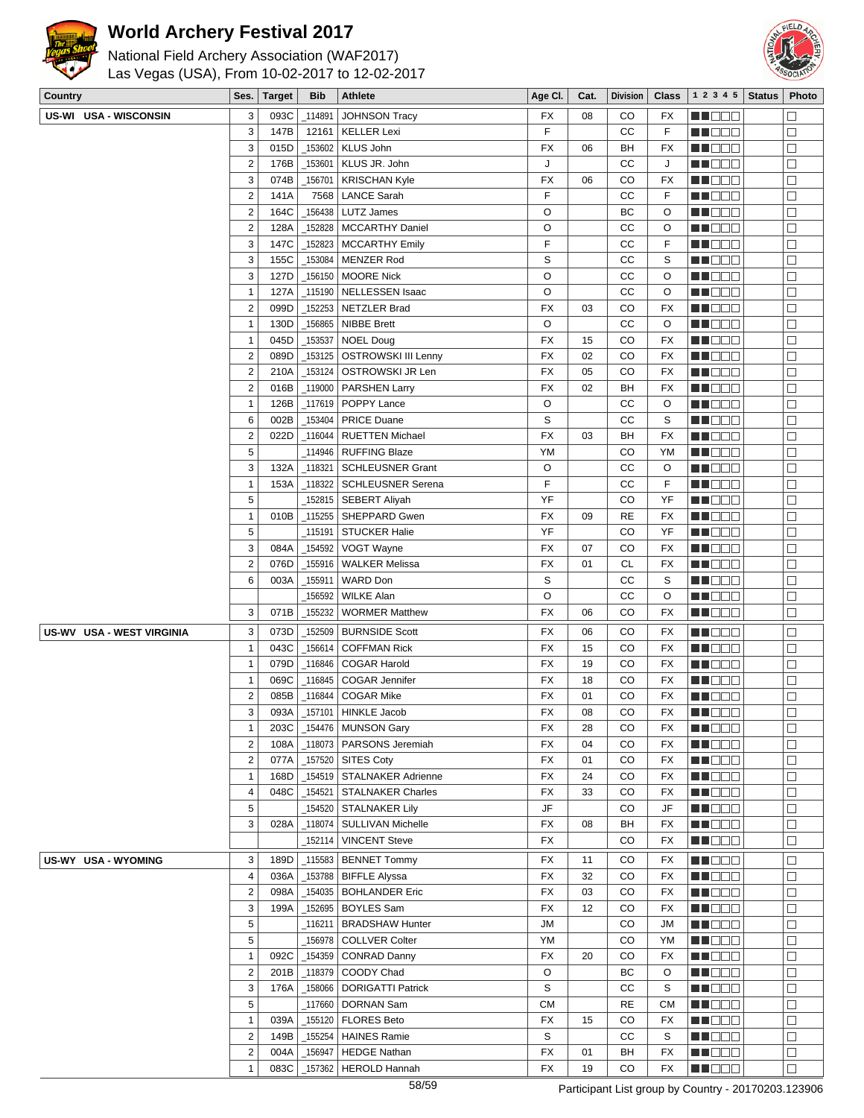



| National Field Archery Association (WAF2017)   |
|------------------------------------------------|
| Las Vegas (USA), From 10-02-2017 to 12-02-2017 |

| Country                          | Ses.                                    | <b>Target</b> | <b>Bib</b>           | <b>Athlete</b>                              | Age CI.   | Cat.     | <b>Division</b> | <b>Class</b> | 1 2 3 4 5          | <b>Status</b> | Photo            |
|----------------------------------|-----------------------------------------|---------------|----------------------|---------------------------------------------|-----------|----------|-----------------|--------------|--------------------|---------------|------------------|
| US-WI USA - WISCONSIN            | 3                                       | 093C          | 114891               | <b>JOHNSON Tracy</b>                        | FX        | 08       | CO              | FX           | e de e             |               | П                |
|                                  | 3                                       | 147B          | 12161                | <b>KELLER Lexi</b>                          | F         |          | CC              | F            | MU DO B            |               | $\Box$           |
|                                  | 3                                       | 015D          | 153602               | <b>KLUS John</b>                            | FX        | 06       | BH              | FX           | NN O O O           |               | $\Box$           |
|                                  | $\overline{c}$                          | 176B          | 153601               | KLUS JR. John                               | J         |          | CC              | J            | n de de            |               | $\Box$           |
|                                  | 3                                       | 074B          | 156701               | <b>KRISCHAN Kyle</b>                        | <b>FX</b> | 06       | CO              | FX           | <u> HOOO</u>       |               | $\Box$           |
|                                  | $\overline{2}$                          | 141A          | 7568                 | <b>LANCE Sarah</b>                          | F         |          | CC              | F            | MU DO B            |               | $\Box$           |
|                                  | $\overline{2}$                          | 164C          | 156438               | LUTZ James                                  | O         |          | ВC              | O            | MU DO O            |               | $\Box$           |
|                                  | $\overline{2}$                          | 128A          | 152828               | <b>MCCARTHY Daniel</b>                      | O         |          | CС              | O            | MN OO O            |               | $\Box$           |
|                                  | 3                                       | 147C          | _152823              | <b>MCCARTHY Emily</b>                       | F         |          | CС              | F            | <u>Li Bee</u>      |               | $\Box$           |
|                                  | 3                                       | 155C          | _153084              | <b>MENZER Rod</b>                           | S         |          | CС              | S            | MU DO O            |               | $\Box$           |
|                                  | 3                                       | 127D          | _156150              | <b>MOORE Nick</b>                           | O         |          | CC              | O            | MU OO O            |               | $\Box$           |
|                                  | $\mathbf{1}$                            | 127A          | 115190               | <b>NELLESSEN Isaac</b>                      | O         |          | CC              | O            | N NO D O           |               | $\Box$           |
|                                  | $\overline{c}$                          | 099D          | 152253               | <b>NETZLER Brad</b>                         | FX        | 03       | CO              | <b>FX</b>    | N DE S             |               | $\Box$           |
|                                  | $\mathbf{1}$                            | 130D          | _156865              | <b>NIBBE Brett</b>                          | O         |          | CC              | O            | MU O O O           |               | $\Box$           |
|                                  | $\mathbf{1}$                            | 045D          | $-153537$            | <b>NOEL Doug</b>                            | <b>FX</b> | 15       | CO              | <b>FX</b>    | MN DO B            |               | $\Box$           |
|                                  | $\overline{2}$                          | 089D          | _153125              | <b>OSTROWSKI III Lenny</b>                  | <b>FX</b> | 02       | CO              | <b>FX</b>    | <b>RECOR</b>       |               | $\Box$           |
|                                  | $\overline{\mathbf{c}}$                 | 210A          | 153124               | OSTROWSKI JR Len                            | FX        | 05       | CO              | FX           | n de de            |               | $\Box$           |
|                                  | $\overline{c}$                          | 016B          | _119000              | <b>PARSHEN Larry</b>                        | FX        | 02       | BH              | FX           | MU DO B            |               | $\Box$           |
|                                  | $\mathbf{1}$                            | 126B          | $-117619$            | POPPY Lance                                 | O         |          | СC              | O            | MU DO B            |               | $\Box$           |
|                                  | 6                                       | 002B          | _153404              | <b>PRICE Duane</b>                          | S         |          | CС              | S            | <b>REDDE</b>       |               | $\Box$           |
|                                  | $\overline{c}$                          | 022D          | 116044               | <b>RUETTEN Michael</b>                      | <b>FX</b> | 03       | BН              | <b>FX</b>    | <b>HEBBB</b>       |               | $\Box$           |
|                                  | 5                                       |               | 114946               | <b>RUFFING Blaze</b>                        | YM        |          | CO              | YM           | <b>MA</b> OOO      |               | $\Box$           |
|                                  | 3                                       | 132A          | $-118321$            | <b>SCHLEUSNER Grant</b>                     | O         |          | CC              | O            | MU O O O           |               | $\Box$           |
|                                  | $\mathbf{1}$                            | 153A          | $-118322$            | <b>SCHLEUSNER Serena</b>                    | F         |          | CC              | F            | MU DOO             |               | $\Box$           |
|                                  | 5                                       |               |                      | _152815   SEBERT Aliyah                     | YF        |          | CO              | YF           | N NO D O           |               | $\Box$           |
|                                  | $\mathbf{1}$                            | 010B          | $-115255$            | SHEPPARD Gwen                               | FX        | 09       | <b>RE</b>       | FX           | N NO D O           |               | $\Box$           |
|                                  | 5                                       |               | _115191              | <b>STUCKER Halie</b>                        | YF        |          | CO              | YF           | MU O O O           |               | $\Box$           |
|                                  | 3                                       | 084A          | _154592              | VOGT Wayne                                  | FX        | 07       | CO              | FX           | NN O O O           |               | $\Box$           |
|                                  | $\overline{c}$                          | 076D          | _155916              | <b>WALKER Melissa</b>                       | FX        | 01       | <b>CL</b>       | FX           | <b>REDDE</b>       |               | $\Box$           |
|                                  | 6                                       | 003A          | 155911               | <b>WARD Don</b>                             | S         |          | cc              | S            | <u>LI BEE</u>      |               | $\Box$           |
|                                  |                                         |               | 156592               | <b>WILKE Alan</b>                           | O         |          | cc              | O            | MU DO O            |               | $\Box$           |
|                                  | 3                                       | 071B          | _155232              | <b>WORMER Matthew</b>                       | <b>FX</b> | 06       | CO              | <b>FX</b>    | NN O O O           |               | $\Box$           |
| <b>US-WV USA - WEST VIRGINIA</b> |                                         |               |                      | <b>BURNSIDE Scott</b>                       |           |          |                 |              |                    |               |                  |
|                                  | 3                                       | 073D<br>043C  | 152509               |                                             | <b>FX</b> | 06       | CO<br>CO        | FX           | MA O O O           |               | $\Box$           |
|                                  | $\mathbf{1}$                            |               | 156614               | <b>COFFMAN Rick</b><br><b>COGAR Harold</b>  | FX        | 15<br>19 | CO              | FX           | NN O O O           |               | $\Box$           |
|                                  | $\mathbf{1}$                            | 079D          | $-116846$            |                                             | FX        |          |                 | FX           | NN DE S            |               | $\Box$<br>$\Box$ |
|                                  | $\mathbf{1}$<br>$\overline{\mathbf{c}}$ | 069C<br>085B  | 116845<br>_116844    | COGAR Jennifer<br><b>COGAR Mike</b>         | FX<br>FX  | 18<br>01 | CO<br>CO        | FX<br>FX     | e de la co         |               | $\Box$           |
|                                  | 3                                       | 093A          | $-157101$            | <b>HINKLE Jacob</b>                         | FX        | 08       | CO              | <b>FX</b>    | MA DEL<br>n i de e |               | $\Box$           |
|                                  | $\mathbf{1}$                            | 203C          |                      | $_1$ 154476   MUNSON Gary                   | FX        | 28       | CO              | FX           | MI DE S            |               | $\Box$           |
|                                  | $\overline{\mathbf{c}}$                 | 108A          | $-118073$            | PARSONS Jeremiah                            | FX        | 04       | CO              | FX           | MA DE C            |               | $\Box$           |
|                                  | $\overline{2}$                          | 077A          |                      | $-157520$ SITES Coty                        | FX        | 01       | CO              | FX           | MU DOO             |               | □                |
|                                  | $\mathbf{1}$                            | 168D          |                      | _154519   STALNAKER Adrienne                | FX        | 24       | CO              | FX           | ME BER             |               | $\Box$           |
|                                  | $\overline{4}$                          | 048C          | 154521               | <b>STALNAKER Charles</b>                    | FX        | 33       | CO              | FX           | <b>RECOR</b>       |               | $\Box$           |
|                                  | $\,$ 5 $\,$                             |               |                      | _154520 STALNAKER Lily                      | JF        |          | CO              | JF           | MA DE E            |               | $\Box$           |
|                                  | 3                                       | 028A          | _118074              | SULLIVAN Michelle                           | FX        | 08       | BH              | FX           | MU DE B            |               | $\Box$           |
|                                  |                                         |               | _152114              | <b>VINCENT Steve</b>                        | FX        |          | CO              | FX           | MA DO O            |               | $\Box$           |
| US-WY USA - WYOMING              |                                         | 189D          |                      |                                             |           |          |                 |              |                    |               | $\Box$           |
|                                  | 3<br>$\overline{4}$                     | 036A          | $-115583$<br>_153788 | <b>BENNET Tommy</b><br><b>BIFFLE Alyssa</b> | FX<br>FX  | 11<br>32 | CO<br>CO        | FX<br>FX     | MU DO O<br>MU DO B |               | $\Box$           |
|                                  | $\overline{2}$                          | 098A          | _154035              | <b>BOHLANDER Eric</b>                       | FX        | 03       | CO              | FX           | MN DO B            |               | $\Box$           |
|                                  | 3                                       | 199A          | _152695              | <b>BOYLES Sam</b>                           | <b>FX</b> | 12       | CO              | FX           | <b>REDDO</b>       |               | $\Box$           |
|                                  | 5                                       |               | $-116211$            | <b>BRADSHAW Hunter</b>                      | JМ        |          | CO              | JM           | <b>MNODO</b>       |               | $\Box$           |
|                                  | 5                                       |               |                      | _156978 COLLVER Colter                      | YM        |          | CO              | YM           | MU DE S            |               | $\Box$           |
|                                  | $\mathbf{1}$                            | 092C          | _154359              | <b>CONRAD Danny</b>                         | FX        | 20       | CO              | FX           | MU DEL             |               | $\Box$           |
|                                  | $\overline{2}$                          | 201B          | $\_118379$           | COODY Chad                                  | O         |          | ВC              | O            | <b>REDDE</b>       |               | $\Box$           |
|                                  | 3                                       | 176A          | _158066              | <b>DORIGATTI Patrick</b>                    | S         |          | СC              | S            | <b>REDDO</b>       |               | $\Box$           |
|                                  | 5                                       |               | _117660              | DORNAN Sam                                  | <b>CM</b> |          | <b>RE</b>       | СM           | <b>NH</b> OOO      |               | $\Box$           |
|                                  | $\mathbf{1}$                            | 039A          | _155120              | <b>FLORES Beto</b>                          | FX        | 15       | CO              | FX           | MU OOO             |               | $\Box$           |
|                                  | $\overline{2}$                          | 149B          | _155254              | <b>HAINES Ramie</b>                         | S         |          | CС              | S            | <b>RECOR</b>       |               | $\Box$           |
|                                  | $\overline{2}$                          | 004A          | _156947              | <b>HEDGE Nathan</b>                         | FX        | 01       | BH              | FX           | <u> HOOS</u>       |               | $\Box$           |
|                                  | $\mathbf{1}$                            | 083C          |                      | _157362   HEROLD Hannah                     | FX        | 19       | CO              | FX           | MU DO O            |               | $\Box$           |
|                                  |                                         |               |                      |                                             |           |          |                 |              |                    |               |                  |